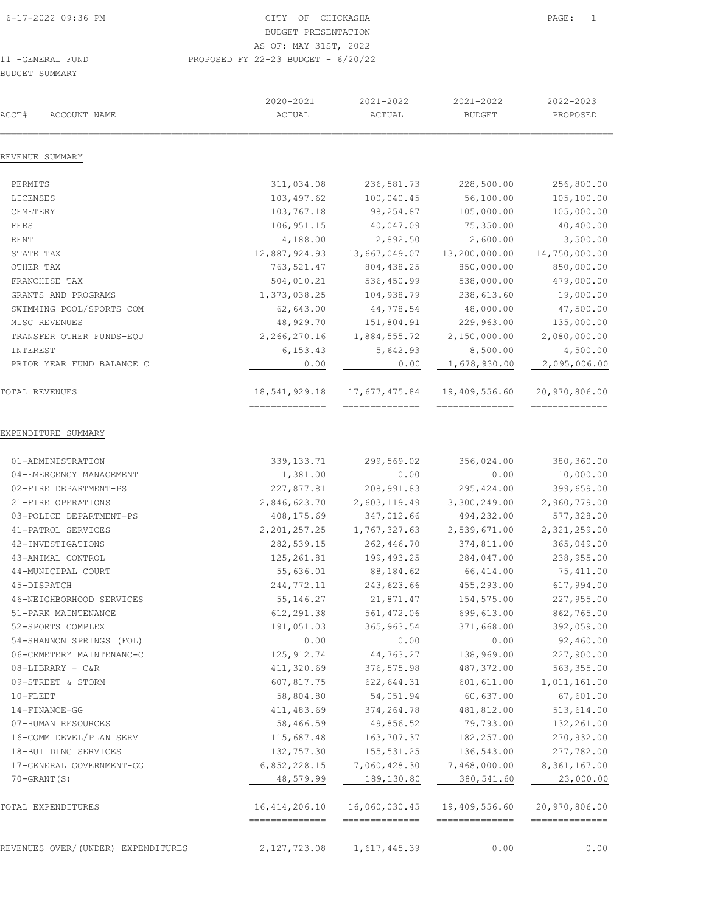| ACCT#<br>ACCOUNT NAME              | 2020-2021<br>ACTUAL               | 2021-2022<br>ACTUAL             | 2021-2022<br><b>BUDGET</b>      | 2022-2023<br>PROPOSED           |
|------------------------------------|-----------------------------------|---------------------------------|---------------------------------|---------------------------------|
| REVENUE SUMMARY                    |                                   |                                 |                                 |                                 |
| PERMITS                            | 311,034.08                        | 236, 581.73                     | 228,500.00                      | 256,800.00                      |
| LICENSES                           | 103, 497.62                       | 100,040.45                      | 56,100.00                       | 105,100.00                      |
| CEMETERY                           | 103,767.18                        | 98, 254.87                      | 105,000.00                      | 105,000.00                      |
| FEES                               | 106,951.15                        | 40,047.09                       | 75,350.00                       | 40,400.00                       |
| RENT                               | 4,188.00                          | 2,892.50                        | 2,600.00                        | 3,500.00                        |
| STATE TAX                          | 12,887,924.93                     | 13,667,049.07                   | 13,200,000.00                   | 14,750,000.00                   |
| OTHER TAX                          | 763,521.47                        | 804, 438.25                     | 850,000.00                      | 850,000.00                      |
| FRANCHISE TAX                      | 504,010.21                        | 536,450.99                      | 538,000.00                      | 479,000.00                      |
| GRANTS AND PROGRAMS                | 1,373,038.25                      | 104,938.79                      | 238,613.60                      | 19,000.00                       |
| SWIMMING POOL/SPORTS COM           | 62,643.00                         | 44,778.54                       | 48,000.00                       | 47,500.00                       |
| MISC REVENUES                      | 48,929.70                         | 151,804.91                      | 229,963.00                      | 135,000.00                      |
| TRANSFER OTHER FUNDS-EQU           | 2,266,270.16                      | 1,884,555.72                    | 2,150,000.00                    | 2,080,000.00                    |
| INTEREST                           | 6, 153.43                         | 5,642.93                        | 8,500.00                        | 4,500.00                        |
| PRIOR YEAR FUND BALANCE C          | 0.00                              | 0.00                            | 1,678,930.00                    | 2,095,006.00                    |
| TOTAL REVENUES                     | 18,541,929.18<br>==============   | 17,677,475.84<br>-------------- | 19,409,556.60<br>============== | 20,970,806.00<br>---------      |
| EXPENDITURE SUMMARY                |                                   |                                 |                                 |                                 |
| 01-ADMINISTRATION                  | 339, 133.71                       | 299,569.02                      | 356,024.00                      | 380,360.00                      |
| 04-EMERGENCY MANAGEMENT            | 1,381.00                          | 0.00                            | 0.00                            | 10,000.00                       |
| 02-FIRE DEPARTMENT-PS              | 227,877.81                        | 208, 991.83                     | 295, 424.00                     | 399,659.00                      |
| 21-FIRE OPERATIONS                 | 2,846,623.70                      | 2,603,119.49                    | 3,300,249.00                    | 2,960,779.00                    |
| 03-POLICE DEPARTMENT-PS            | 408,175.69                        | 347,012.66                      | 494,232.00                      | 577,328.00                      |
| 41-PATROL SERVICES                 | 2, 201, 257.25                    | 1,767,327.63                    | 2,539,671.00                    | 2,321,259.00                    |
| 42-INVESTIGATIONS                  | 282,539.15                        | 262,446.70                      | 374,811.00                      | 365,049.00                      |
| 43-ANIMAL CONTROL                  | 125,261.81                        | 199, 493.25                     | 284,047.00                      | 238,955.00                      |
| 44-MUNICIPAL COURT                 | 55,636.01                         | 88,184.62                       | 66, 414.00                      | 75, 411.00                      |
| 45-DISPATCH                        | 244,772.11                        | 243,623.66                      | 455,293.00                      | 617,994.00                      |
| 46-NEIGHBORHOOD SERVICES           | 55, 146.27                        | 21,871.47                       | 154,575.00                      | 227,955.00                      |
| 51-PARK MAINTENANCE                | 612, 291.38                       | 561, 472.06                     | 699,613.00                      | 862,765.00                      |
| 52-SPORTS COMPLEX                  | 191,051.03                        | 365, 963.54                     | 371,668.00                      | 392,059.00                      |
| 54-SHANNON SPRINGS (FOL)           | 0.00                              | 0.00                            | 0.00                            | 92,460.00                       |
| 06-CEMETERY MAINTENANC-C           | 125, 912.74                       | 44,763.27                       | 138,969.00                      | 227,900.00                      |
| 08-LIBRARY - C&R                   | 411,320.69                        | 376, 575.98                     | 487, 372.00                     | 563, 355.00                     |
| 09-STREET & STORM                  | 607,817.75                        | 622, 644.31                     | 601, 611.00                     | 1,011,161.00                    |
| $10 -$ FLEET                       | 58,804.80                         | 54,051.94                       | 60,637.00                       | 67,601.00                       |
| 14-FINANCE-GG                      | 411, 483.69                       | 374, 264.78                     | 481,812.00                      | 513,614.00                      |
| 07-HUMAN RESOURCES                 | 58,466.59                         | 49,856.52                       | 79,793.00                       | 132,261.00                      |
| 16-COMM DEVEL/PLAN SERV            | 115,687.48                        | 163,707.37                      | 182,257.00                      | 270,932.00                      |
| 18-BUILDING SERVICES               | 132,757.30                        | 155, 531.25                     | 136,543.00                      | 277,782.00                      |
| 17-GENERAL GOVERNMENT-GG           | 6,852,228.15                      | 7,060,428.30                    | 7,468,000.00                    | 8, 361, 167.00                  |
| $70 - GRANT(S)$                    | 48,579.99                         | 189,130.80                      | 380,541.60                      | 23,000.00                       |
| TOTAL EXPENDITURES                 | 16, 414, 206.10<br>-------------- | 16,060,030.45<br>============== | 19,409,556.60<br>============== | 20,970,806.00<br>-------------- |
| REVENUES OVER/(UNDER) EXPENDITURES | 2,127,723.08                      | 1,617,445.39                    | 0.00                            | 0.00                            |
|                                    |                                   |                                 |                                 |                                 |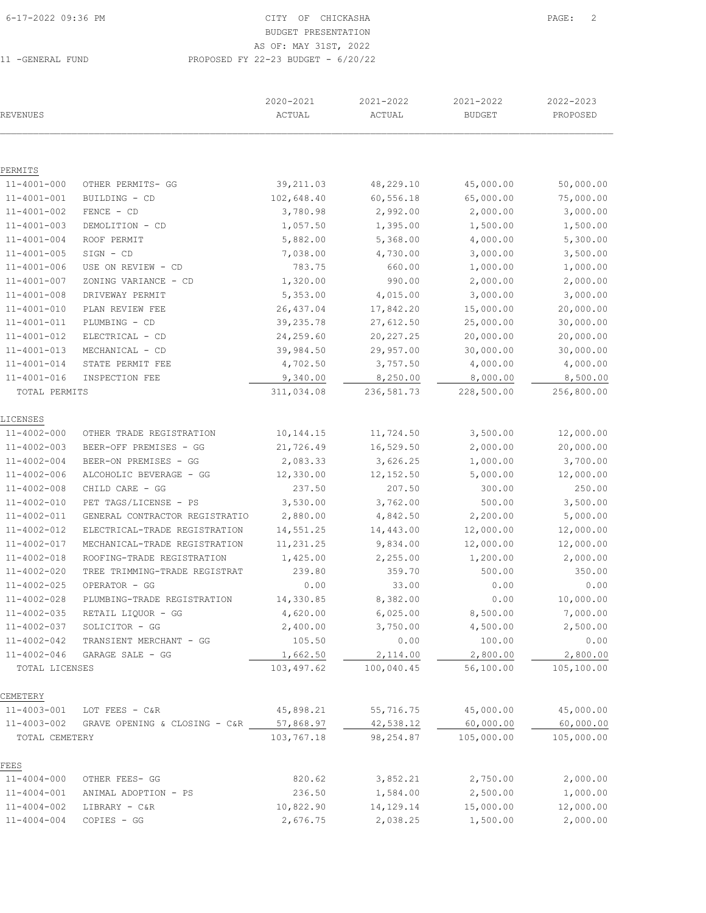# BUDGET PRESENTATION

11 -GENERAL FUND PROPOS

AS OF: MAY 31ST, 2022

|  | $11000 + 11111000 + 110000$    |  |
|--|--------------------------------|--|
|  | )SED FY 22-23 BUDGET - 6/20/22 |  |
|  |                                |  |

| REVENUES          |                                         | 2020-2021<br>ACTUAL | 2021-2022<br>ACTUAL | 2021-2022<br><b>BUDGET</b> | 2022-2023<br>PROPOSED |
|-------------------|-----------------------------------------|---------------------|---------------------|----------------------------|-----------------------|
|                   |                                         |                     |                     |                            |                       |
| PERMITS           |                                         |                     |                     |                            |                       |
| $11 - 4001 - 000$ | OTHER PERMITS- GG                       | 39, 211.03          | 48,229.10           | 45,000.00                  | 50,000.00             |
| $11 - 4001 - 001$ | BUILDING - CD                           | 102,648.40          | 60,556.18           | 65,000.00                  | 75,000.00             |
| $11 - 4001 - 002$ | FENCE - CD                              | 3,780.98            | 2,992.00            | 2,000.00                   | 3,000.00              |
| $11 - 4001 - 003$ | DEMOLITION - CD                         | 1,057.50            | 1,395.00            | 1,500.00                   | 1,500.00              |
| $11 - 4001 - 004$ | ROOF PERMIT                             | 5,882.00            | 5,368.00            | 4,000.00                   | 5,300.00              |
| $11 - 4001 - 005$ | SIGN - CD                               | 7,038.00            | 4,730.00            | 3,000.00                   | 3,500.00              |
| $11 - 4001 - 006$ | USE ON REVIEW - CD                      | 783.75              | 660.00              | 1,000.00                   | 1,000.00              |
| $11 - 4001 - 007$ | ZONING VARIANCE - CD                    | 1,320.00            | 990.00              | 2,000.00                   | 2,000.00              |
| $11 - 4001 - 008$ | DRIVEWAY PERMIT                         | 5,353.00            | 4,015.00            | 3,000.00                   | 3,000.00              |
| $11 - 4001 - 010$ | PLAN REVIEW FEE                         | 26, 437.04          | 17,842.20           | 15,000.00                  | 20,000.00             |
| $11 - 4001 - 011$ | PLUMBING - CD                           | 39,235.78           | 27,612.50           | 25,000.00                  | 30,000.00             |
| $11 - 4001 - 012$ | ELECTRICAL - CD                         | 24,259.60           | 20, 227.25          | 20,000.00                  | 20,000.00             |
| $11 - 4001 - 013$ | MECHANICAL - CD                         | 39,984.50           | 29,957.00           | 30,000.00                  | 30,000.00             |
| $11 - 4001 - 014$ | STATE PERMIT FEE                        | 4,702.50            | 3,757.50            | 4,000.00                   | 4,000.00              |
| $11 - 4001 - 016$ | INSPECTION FEE                          | 9,340.00            | 8,250.00            | 8,000.00                   | 8,500.00              |
| TOTAL PERMITS     |                                         | 311,034.08          | 236, 581.73         | 228,500.00                 | 256,800.00            |
| LICENSES          |                                         |                     |                     |                            |                       |
| 11-4002-000       | OTHER TRADE REGISTRATION                | 10,144.15           | 11,724.50           | 3,500.00                   | 12,000.00             |
| 11-4002-003       | BEER-OFF PREMISES - GG                  | 21,726.49           | 16,529.50           | 2,000.00                   | 20,000.00             |
| $11 - 4002 - 004$ | BEER-ON PREMISES - GG                   | 2,083.33            | 3,626.25            | 1,000.00                   | 3,700.00              |
| $11 - 4002 - 006$ | ALCOHOLIC BEVERAGE - GG                 | 12,330.00           | 12, 152.50          | 5,000.00                   | 12,000.00             |
| $11 - 4002 - 008$ | CHILD CARE - GG                         | 237.50              | 207.50              | 300.00                     | 250.00                |
| $11 - 4002 - 010$ | PET TAGS/LICENSE - PS                   | 3,530.00            | 3,762.00            | 500.00                     | 3,500.00              |
| $11 - 4002 - 011$ | GENERAL CONTRACTOR REGISTRATIO          | 2,880.00            | 4,842.50            | 2,200.00                   | 5,000.00              |
| $11 - 4002 - 012$ | ELECTRICAL-TRADE REGISTRATION           | 14,551.25           | 14,443.00           | 12,000.00                  | 12,000.00             |
| $11 - 4002 - 017$ | MECHANICAL-TRADE REGISTRATION           | 11,231.25           | 9,834.00            | 12,000.00                  | 12,000.00             |
| $11 - 4002 - 018$ | ROOFING-TRADE REGISTRATION              | 1,425.00            | 2,255.00            | 1,200.00                   | 2,000.00              |
| $11 - 4002 - 020$ | TREE TRIMMING-TRADE REGISTRAT           | 239.80              | 359.70              | 500.00                     | 350.00                |
| $11 - 4002 - 025$ | OPERATOR - GG                           | 0.00                | 33.00               | 0.00                       | 0.00                  |
| $11 - 4002 - 028$ | PLUMBING-TRADE REGISTRATION             | 14,330.85           | 8,382.00            | 0.00                       | 10,000.00             |
| 11-4002-035       | RETAIL LIQUOR - GG                      | 4,620.00            | 6,025.00            | 8,500.00                   | 7,000.00              |
| $11 - 4002 - 037$ | SOLICITOR - GG                          | 2,400.00            | 3,750.00            | 4,500.00                   | 2,500.00              |
| $11 - 4002 - 042$ | TRANSIENT MERCHANT - GG                 | 105.50              | 0.00                | 100.00                     | 0.00                  |
| $11 - 4002 - 046$ | GARAGE SALE - GG                        | 1,662.50            | 2,114.00            | 2,800.00                   | 2,800.00              |
| TOTAL LICENSES    |                                         | 103,497.62          | 100,040.45          | 56,100.00                  | 105,100.00            |
| CEMETERY          |                                         |                     |                     |                            |                       |
| $11 - 4003 - 001$ | LOT FEES - C&R                          | 45,898.21           | 55,716.75           | 45,000.00                  | 45,000.00             |
| $11 - 4003 - 002$ | GRAVE OPENING & CLOSING - C&R 57,868.97 |                     | 42,538.12           | 60,000.00                  | 60,000.00             |
| TOTAL CEMETERY    |                                         | 103,767.18          | 98,254.87           | 105,000.00                 | 105,000.00            |
| FEES              |                                         |                     |                     |                            |                       |
| $11 - 4004 - 000$ | OTHER FEES- GG                          | 820.62              | 3,852.21            | 2,750.00                   | 2,000.00              |
| $11 - 4004 - 001$ | ANIMAL ADOPTION - PS                    | 236.50              | 1,584.00            | 2,500.00                   | 1,000.00              |
| $11 - 4004 - 002$ | LIBRARY - C&R                           | 10,822.90           | 14, 129. 14         | 15,000.00                  | 12,000.00             |
| $11 - 4004 - 004$ | $COPIES - GG$                           | 2,676.75            | 2,038.25            | 1,500.00                   | 2,000.00              |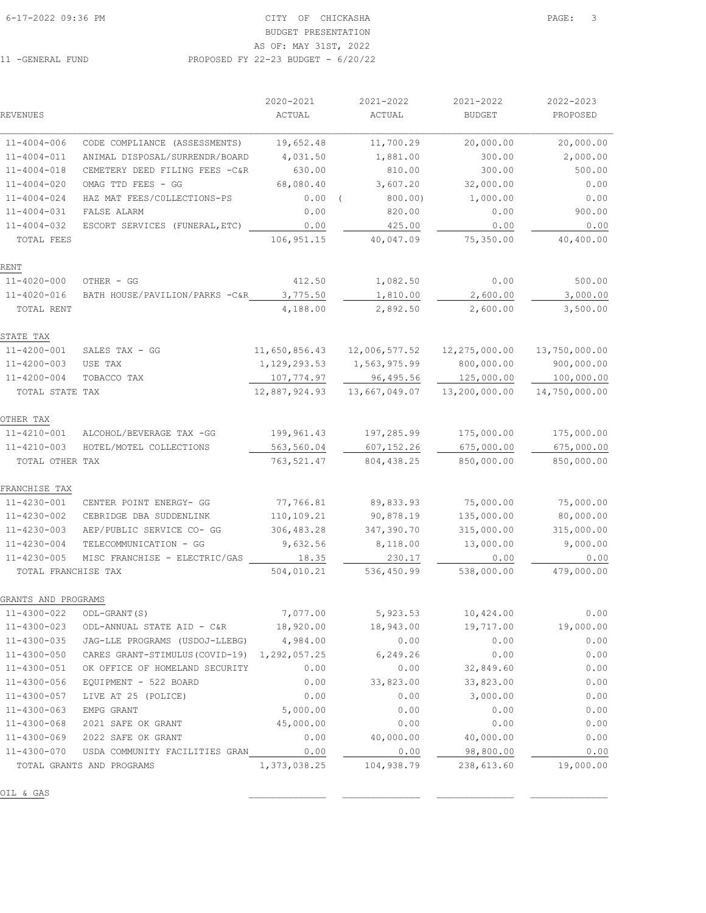# BUDGET PRESENTATION AS OF: MAY 31ST, 2022

11 -GENERAL FUND PROPOSED FY 22-23 BUDGET - 6/20/22

 2020-2021 2021-2022 2021-2022 2022-2023 REVENUES ACTUAL ACTUAL BUDGET PROPOSED

| $11 - 4004 - 006$   | CODE COMPLIANCE (ASSESSMENTS)                             | 19,652.48     | 11,700.29                                          | 20,000.00          | 20,000.00     |
|---------------------|-----------------------------------------------------------|---------------|----------------------------------------------------|--------------------|---------------|
| $11 - 4004 - 011$   | ANIMAL DISPOSAL/SURRENDR/BOARD                            | 4,031.50      | 1,881.00                                           | 300.00             | 2,000.00      |
| $11 - 4004 - 018$   | CEMETERY DEED FILING FEES -C&R                            | 630.00        | 810.00                                             | 300.00             | 500.00        |
| $11 - 4004 - 020$   | OMAG TTD FEES - GG                                        | 68,080.40     | 3,607.20                                           | 32,000.00          | 0.00          |
| $11 - 4004 - 024$   | HAZ MAT FEES/COLLECTIONS-PS                               | $0.00$ (      | 800.00                                             | 1,000.00           | 0.00          |
| $11 - 4004 - 031$   | FALSE ALARM                                               | 0.00          | 820.00                                             | 0.00               | 900.00        |
| $11 - 4004 - 032$   | ESCORT SERVICES (FUNERAL, ETC)                            | 0.00          | 425.00                                             | 0.00               | 0.00          |
| TOTAL FEES          |                                                           | 106,951.15    | 40,047.09                                          | 75,350.00          | 40,400.00     |
| RENT                |                                                           |               |                                                    |                    |               |
| $11 - 4020 - 000$   | OTHER - GG                                                | 412.50        | 1,082.50                                           | 0.00               | 500.00        |
| $11 - 4020 - 016$   | BATH HOUSE/PAVILION/PARKS -C&R                            | 3,775.50      | 1,810.00                                           | 2,600.00           | 3,000.00      |
| TOTAL RENT          |                                                           | 4,188.00      | 2,892.50                                           | 2,600.00           | 3,500.00      |
| STATE TAX           |                                                           |               |                                                    |                    |               |
| $11 - 4200 - 001$   | SALES TAX $-$ GG                                          | 11,650,856.43 | 12,006,577.52                                      | 12,275,000.00      | 13,750,000.00 |
| $11 - 4200 - 003$   | USE TAX                                                   |               | 1, 129, 293.53 1, 563, 975.99                      | 800,000.00         | 900,000.00    |
| $11 - 4200 - 004$   | TOBACCO TAX                                               | 107,774.97    | 96,495.56                                          | 125,000.00         | 100,000.00    |
| TOTAL STATE TAX     |                                                           | 12,887,924.93 | 13,667,049.07                                      | 13,200,000.00      | 14,750,000.00 |
| OTHER TAX           |                                                           |               |                                                    |                    |               |
| 11-4210-001         | ALCOHOL/BEVERAGE TAX -GG                                  | 199,961.43    | 197,285.99                                         | 175,000.00         | 175,000.00    |
| $11 - 4210 - 003$   | HOTEL/MOTEL COLLECTIONS                                   | 563,560.04    | 607, 152.26                                        | 675,000.00         | 675,000.00    |
| TOTAL OTHER TAX     |                                                           | 763,521.47    | 804, 438.25                                        | 850,000.00         | 850,000.00    |
| FRANCHISE TAX       |                                                           |               |                                                    |                    |               |
| $11 - 4230 - 001$   | CENTER POINT ENERGY- GG                                   | 77,766.81     | 89,833.93                                          | 75,000.00          | 75,000.00     |
| $11 - 4230 - 002$   | CEBRIDGE DBA SUDDENLINK                                   | 110,109.21    | 90,878.19                                          | 135,000.00         | 80,000.00     |
| $11 - 4230 - 003$   | AEP/PUBLIC SERVICE CO- GG                                 | 306,483.28    | 347,390.70                                         | 315,000.00         | 315,000.00    |
| $11 - 4230 - 004$   | TELECOMMUNICATION - GG                                    | 9,632.56      | 8,118.00                                           | 13,000.00          | 9,000.00      |
| $11 - 4230 - 005$   | MISC FRANCHISE - ELECTRIC/GAS                             | 18.35         | 230.17                                             | 0.00               | 0.00          |
| TOTAL FRANCHISE TAX |                                                           | 504,010.21    | 536,450.99                                         | 538,000.00         | 479,000.00    |
| GRANTS AND PROGRAMS |                                                           |               |                                                    |                    |               |
| 11-4300-022         | ODL-GRANT (S)                                             | 7,077.00      | 5,923.53                                           | 10,424.00          | 0.00          |
| $11 - 4300 - 023$   | ODL-ANNUAL STATE AID - C&R                                | 18,920.00     | 18,943.00                                          | 19,717.00          | 19,000.00     |
| 11-4300-035         | JAG-LLE PROGRAMS (USDOJ-LLEBG)                            | 4,984.00      | 0.00                                               | 0.00               | 0.00          |
| 11-4300-050         | CARES GRANT-STIMULUS(COVID-19) 1,292,057.25 6,249.26      |               |                                                    | 0.00               | 0.00          |
| 11-4300-051         | OK OFFICE OF HOMELAND SECURITY 0.00                       |               |                                                    | $0.00$ $32,849.60$ | 0.00          |
| 11-4300-056         | EQUIPMENT - 522 BOARD                                     |               | $0.00$ $33,823.00$ $33,823.00$                     |                    | 0.00          |
| 11-4300-057         | LIVE AT 25 (POLICE)                                       | 0.00          | 0.00                                               | 3,000.00           | 0.00          |
| 11-4300-063         | EMPG GRANT                                                | 5,000.00      | 0.00                                               | 0.00               | 0.00          |
| 11-4300-068         | 2021 SAFE OK GRANT                                        | 45,000.00     | 0.00                                               | 0.00               | 0.00          |
|                     | 11-4300-069 2022 SAFE OK GRANT                            |               | $0.00$ 40,000.00 40,000.00                         |                    | 0.00          |
|                     | 11-4300-070 USDA COMMUNITY FACILITIES GRAN 0.00 0.00 0.00 |               |                                                    | 98,800.00          | 0.00          |
|                     | TOTAL GRANTS AND PROGRAMS                                 |               | 1,373,038.25   104,938.79   238,613.60   19,000.00 |                    |               |
| OIL & GAS           |                                                           |               |                                                    |                    |               |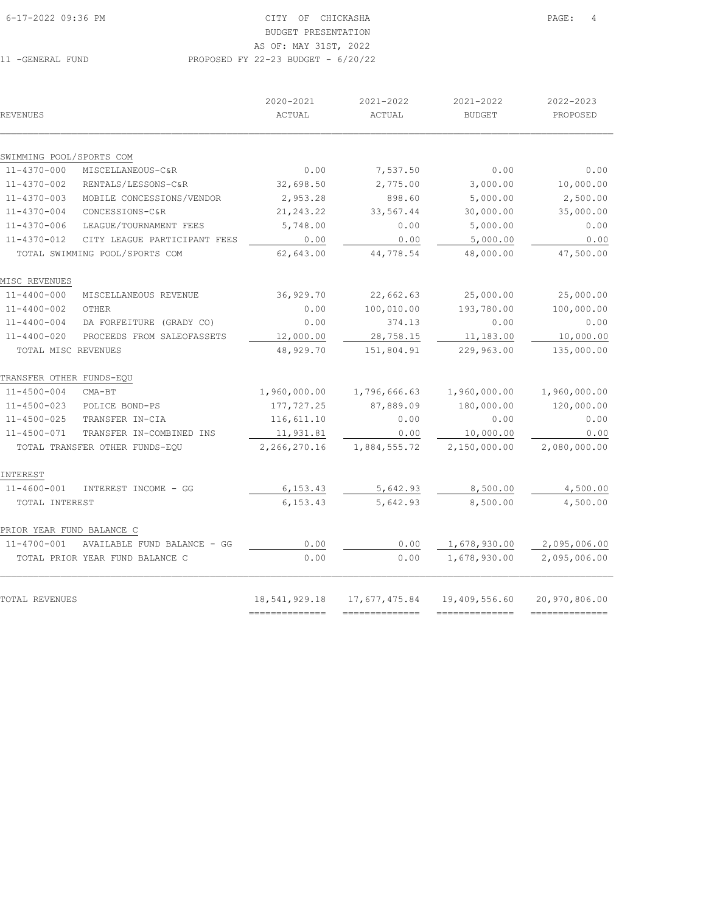# BUDGET PRESENTATION

AS OF: MAY 31ST, 2022

# 11 -GENERAL FUND PROPOSED FY 22-23 BUDGET - 6/20/22

| REVENUES                                      |                                                  | 2020-2021<br>ACTUAL | 2021-2022<br>ACTUAL | 2021-2022<br><b>BUDGET</b> | 2022-2023<br>PROPOSED |
|-----------------------------------------------|--------------------------------------------------|---------------------|---------------------|----------------------------|-----------------------|
|                                               |                                                  |                     |                     |                            |                       |
| SWIMMING POOL/SPORTS COM<br>$11 - 4370 - 000$ |                                                  | 0.00                |                     | 0.00                       | 0.00                  |
| $11 - 4370 - 002$                             | MISCELLANEOUS-C&R                                | 32,698.50           | 7,537.50            | 3,000.00                   | 10,000.00             |
| $11 - 4370 - 003$                             | RENTALS/LESSONS-C&R<br>MOBILE CONCESSIONS/VENDOR | 2,953.28            | 2,775.00<br>898.60  | 5,000.00                   | 2,500.00              |
| $11 - 4370 - 004$                             | CONCESSIONS-C&R                                  |                     |                     | 30,000.00                  | 35,000.00             |
|                                               |                                                  | 21, 243.22          | 33,567.44           |                            |                       |
| $11 - 4370 - 006$                             | LEAGUE/TOURNAMENT FEES                           | 5,748.00            | 0.00                | 5,000.00                   | 0.00                  |
| $11 - 4370 - 012$                             | CITY LEAGUE PARTICIPANT FEES                     | 0.00                | 0.00                | 5,000.00                   | 0.00                  |
|                                               | TOTAL SWIMMING POOL/SPORTS COM                   | 62,643.00           | 44,778.54           | 48,000.00                  | 47,500.00             |
| MISC REVENUES                                 |                                                  |                     |                     |                            |                       |
| $11 - 4400 - 000$                             | MISCELLANEOUS REVENUE                            | 36,929.70           | 22,662.63           | 25,000.00                  | 25,000.00             |
| $11 - 4400 - 002$                             | OTHER                                            | 0.00                | 100,010.00          | 193,780.00                 | 100,000.00            |
| $11 - 4400 - 004$                             | DA FORFEITURE (GRADY CO)                         | 0.00                | 374.13              | 0.00                       | 0.00                  |
| $11 - 4400 - 020$                             | PROCEEDS FROM SALEOFASSETS                       | 12,000.00           | 28,758.15           | 11,183.00                  | 10,000.00             |
| TOTAL MISC REVENUES                           |                                                  | 48,929.70           | 151,804.91          | 229,963.00                 | 135,000.00            |
|                                               |                                                  |                     |                     |                            |                       |
| TRANSFER OTHER FUNDS-EQU                      |                                                  |                     |                     |                            |                       |
| 11-4500-004                                   | $CMA-BT$                                         | 1,960,000.00        | 1,796,666.63        | 1,960,000.00               | 1,960,000.00          |
| $11 - 4500 - 023$                             | POLICE BOND-PS                                   | 177,727.25          | 87,889.09           | 180,000.00                 | 120,000.00            |
| $11 - 4500 - 025$                             | TRANSFER IN-CIA                                  | 116,611.10          | 0.00                | 0.00                       | 0.00                  |
| $11 - 4500 - 071$                             | TRANSFER IN-COMBINED INS                         | 11,931.81           | 0.00                | 10,000.00                  | 0.00                  |
|                                               | TOTAL TRANSFER OTHER FUNDS-EQU                   | 2,266,270.16        | 1,884,555.72        | 2,150,000.00               | 2,080,000.00          |
| INTEREST                                      |                                                  |                     |                     |                            |                       |
| $11 - 4600 - 001$                             | INTEREST INCOME - GG                             | 6, 153.43           | 5,642.93            | 8,500.00                   | 4,500.00              |
| TOTAL INTEREST                                |                                                  | 6, 153.43           | 5,642.93            | 8,500.00                   | 4,500.00              |
| PRIOR YEAR FUND BALANCE C                     |                                                  |                     |                     |                            |                       |
| 11-4700-001                                   | AVAILABLE FUND BALANCE - GG                      | 0.00                | 0.00                | 1,678,930.00               | 2,095,006.00          |
|                                               | TOTAL PRIOR YEAR FUND BALANCE C                  | 0.00                | 0.00                | 1,678,930.00               | 2,095,006.00          |
| TOTAL REVENUES                                |                                                  | 18,541,929.18       | 17,677,475.84       | 19,409,556.60              | 20,970,806.00         |
|                                               |                                                  | ==============      | ---------------     | --------------             | ---------------       |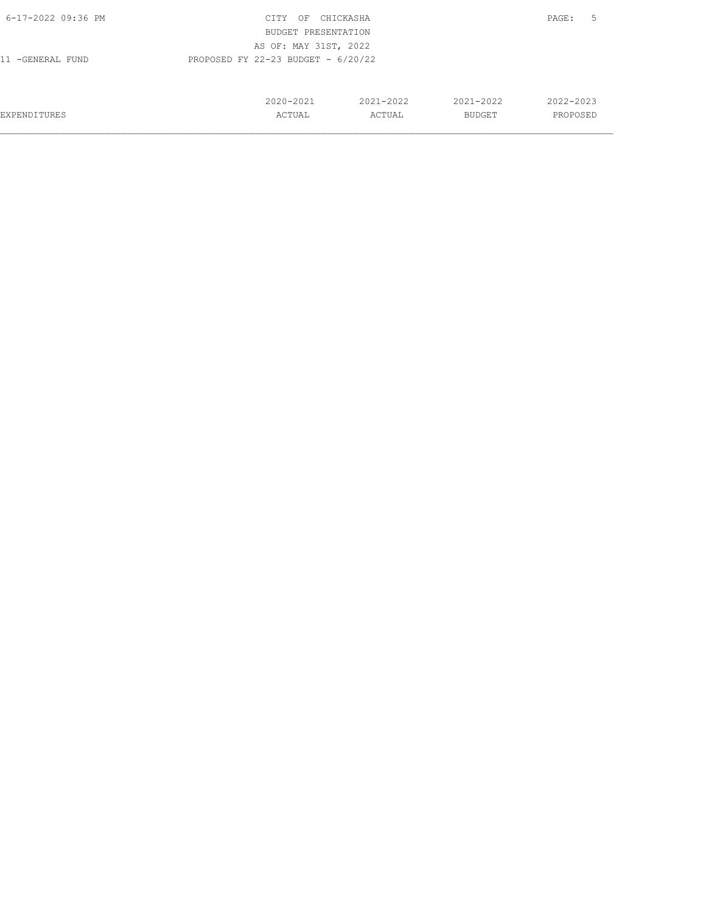| 6-17-2022 09:36 PM                                       | CITY<br>OF          | CHICKASHA     |               | 5<br>PAGE: |  |  |
|----------------------------------------------------------|---------------------|---------------|---------------|------------|--|--|
|                                                          | BUDGET PRESENTATION |               |               |            |  |  |
| AS OF: MAY 31ST, 2022                                    |                     |               |               |            |  |  |
| PROPOSED FY 22-23 BUDGET - $6/20/22$<br>11 -GENERAL FUND |                     |               |               |            |  |  |
|                                                          |                     |               |               |            |  |  |
|                                                          |                     |               |               |            |  |  |
|                                                          | $2020 - 2021$       | $2021 - 2022$ | $2021 - 2022$ | 2022-2023  |  |  |
| <b>EXPENDITURES</b>                                      | ACTUAL              | ACTUAL        | <b>BUDGET</b> | PROPOSED   |  |  |
|                                                          |                     |               |               |            |  |  |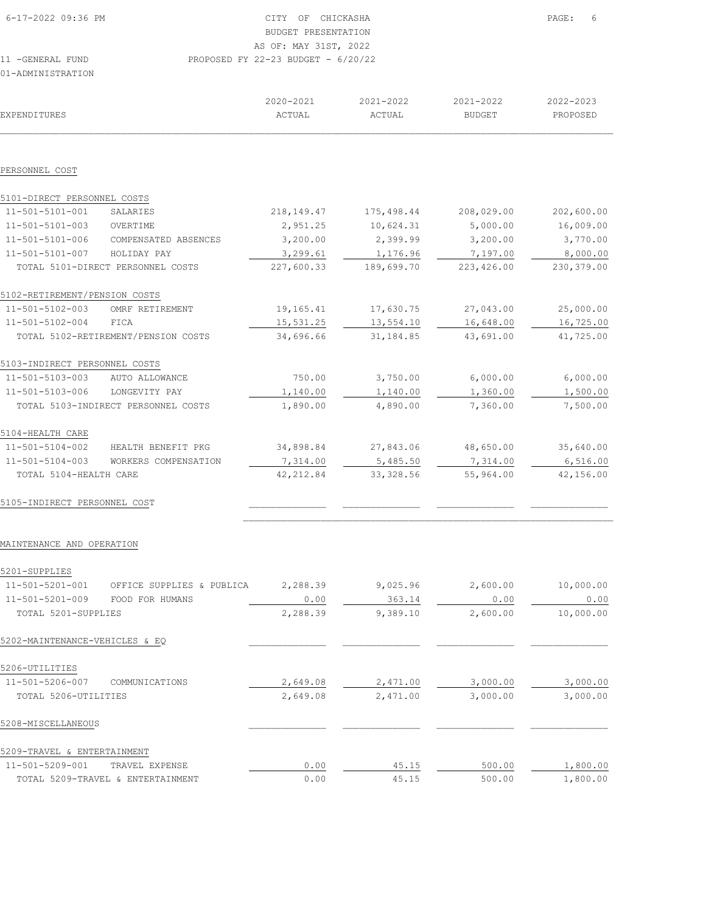| 6-17-2022 09:36 PM | CITY OF CHICKASHA                    | PAGE: 6 |
|--------------------|--------------------------------------|---------|
|                    | BUDGET PRESENTATION                  |         |
|                    | AS OF: MAY 31ST, 2022                |         |
| 11 - GENERAL FUND  | PROPOSED FY 22-23 BUDGET - $6/20/22$ |         |
| 01-ADMINISTRATION  |                                      |         |

| EXPENDITURES                  |                                     | 2020-2021<br>ACTUAL | 2021-2022<br>ACTUAL | 2021-2022<br><b>BUDGET</b> | 2022-2023<br>PROPOSED |
|-------------------------------|-------------------------------------|---------------------|---------------------|----------------------------|-----------------------|
|                               |                                     |                     |                     |                            |                       |
| PERSONNEL COST                |                                     |                     |                     |                            |                       |
| 5101-DIRECT PERSONNEL COSTS   |                                     |                     |                     |                            |                       |
| 11-501-5101-001               | SALARIES                            | 218,149.47          | 175,498.44          | 208,029.00                 | 202,600.00            |
| 11-501-5101-003               | OVERTIME                            | 2,951.25            | 10,624.31           | 5,000.00                   | 16,009.00             |
| 11-501-5101-006               | COMPENSATED ABSENCES                | 3,200.00            | 2,399.99            | 3,200.00                   | 3,770.00              |
| 11-501-5101-007               | HOLIDAY PAY                         | 3,299.61            | 1,176.96            | 7,197.00                   | 8,000.00              |
|                               | TOTAL 5101-DIRECT PERSONNEL COSTS   | 227,600.33          | 189,699.70          | 223,426.00                 | 230,379.00            |
| 5102-RETIREMENT/PENSION COSTS |                                     |                     |                     |                            |                       |
| 11-501-5102-003               | OMRF RETIREMENT                     | 19,165.41           | 17,630.75           | 27,043.00                  | 25,000.00             |
| 11-501-5102-004               | FICA                                | 15,531.25           | 13,554.10           | 16,648.00                  | 16,725.00             |
|                               | TOTAL 5102-RETIREMENT/PENSION COSTS | 34,696.66           | 31, 184.85          | 43,691.00                  | 41,725.00             |
| 5103-INDIRECT PERSONNEL COSTS |                                     |                     |                     |                            |                       |
| 11-501-5103-003               | AUTO ALLOWANCE                      | 750.00              | 3,750.00            | 6,000.00                   | 6,000.00              |
| 11-501-5103-006               | LONGEVITY PAY                       | 1,140.00            | 1,140.00            | 1,360.00                   | 1,500.00              |
|                               | TOTAL 5103-INDIRECT PERSONNEL COSTS | 1,890.00            | 4,890.00            | 7,360.00                   | 7,500.00              |
| 5104-HEALTH CARE              |                                     |                     |                     |                            |                       |
| 11-501-5104-002               | HEALTH BENEFIT PKG                  | 34,898.84           | 27,843.06           | 48,650.00                  | 35,640.00             |
| 11-501-5104-003               | WORKERS COMPENSATION                | 7,314.00            | 5,485.50            | 7,314.00                   | 6,516.00              |
| TOTAL 5104-HEALTH CARE        |                                     | 42, 212.84          | 33, 328.56          | 55,964.00                  | 42,156.00             |
| 5105-INDIRECT PERSONNEL COST  |                                     |                     |                     |                            |                       |

#### MAINTENANCE AND OPERATION

| 5201-SUPPLIES                  |                                   |          |          |          |           |
|--------------------------------|-----------------------------------|----------|----------|----------|-----------|
| 11-501-5201-001                | OFFICE SUPPLIES & PUBLICA         | 2,288.39 | 9,025.96 | 2,600.00 | 10,000.00 |
| 11-501-5201-009                | FOOD FOR HUMANS                   | 0.00     | 363.14   | 0.00     | 0.00      |
| TOTAL 5201-SUPPLIES            |                                   | 2,288.39 | 9,389.10 | 2,600.00 | 10,000.00 |
| 5202-MAINTENANCE-VEHICLES & EO |                                   |          |          |          |           |
| 5206-UTILITIES                 |                                   |          |          |          |           |
| 11-501-5206-007                | COMMUNICATIONS                    | 2,649.08 | 2,471.00 | 3,000.00 | 3,000.00  |
| TOTAL 5206-UTILITIES           |                                   | 2,649.08 | 2,471.00 | 3,000.00 | 3,000.00  |
| 5208-MISCELLANEOUS             |                                   |          |          |          |           |
| 5209-TRAVEL & ENTERTAINMENT    |                                   |          |          |          |           |
| 11-501-5209-001                | TRAVEL EXPENSE                    | 0.00     | 45.15    | 500.00   | 1,800.00  |
|                                | TOTAL 5209-TRAVEL & ENTERTAINMENT | 0.00     | 45.15    | 500.00   | 1,800.00  |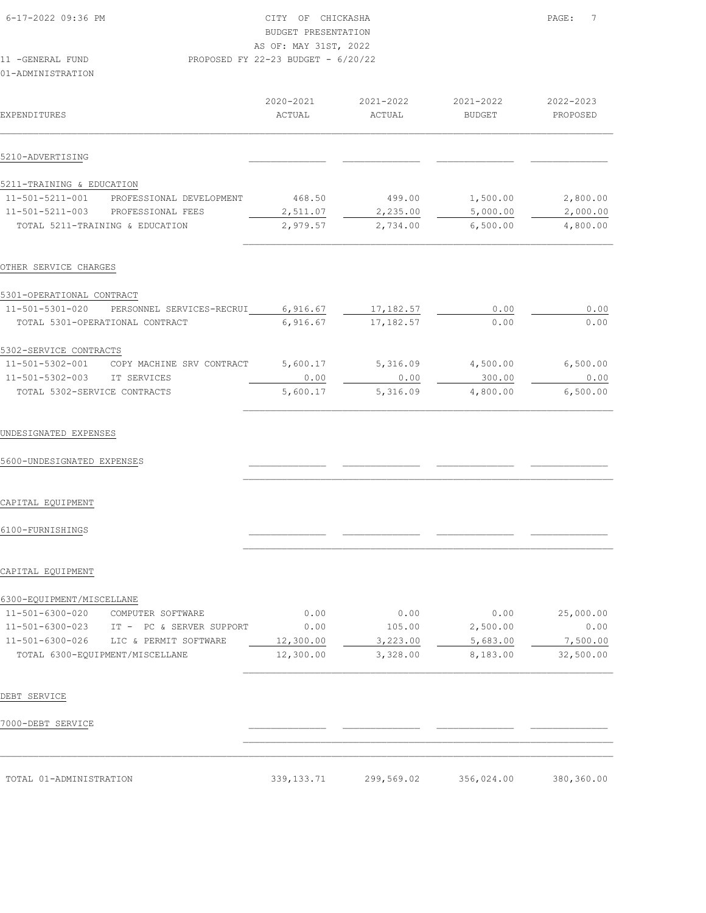|                              |                                 | 2020-2021 | 2021-2022  | 2021-2022     | 2022-2023 |
|------------------------------|---------------------------------|-----------|------------|---------------|-----------|
| EXPENDITURES                 |                                 | ACTUAL    | ACTUAL     | <b>BUDGET</b> | PROPOSED  |
| 5210-ADVERTISING             |                                 |           |            |               |           |
|                              |                                 |           |            |               |           |
| 5211-TRAINING & EDUCATION    |                                 |           |            |               |           |
| 11-501-5211-001              | PROFESSIONAL DEVELOPMENT        | 468.50    | 499.00     | 1,500.00      | 2,800.00  |
| 11-501-5211-003              | PROFESSIONAL FEES               | 2,511.07  | 2,235.00   | 5,000.00      | 2,000.00  |
|                              | TOTAL 5211-TRAINING & EDUCATION | 2,979.57  | 2,734.00   | 6,500.00      | 4,800.00  |
|                              |                                 |           |            |               |           |
| OTHER SERVICE CHARGES        |                                 |           |            |               |           |
| 5301-OPERATIONAL CONTRACT    |                                 |           |            |               |           |
| 11-501-5301-020              | PERSONNEL SERVICES-RECRUI       | 6,916.67  | 17,182.57  | 0.00          | 0.00      |
|                              | TOTAL 5301-OPERATIONAL CONTRACT | 6,916.67  | 17, 182.57 | 0.00          | 0.00      |
| 5302-SERVICE CONTRACTS       |                                 |           |            |               |           |
| 11-501-5302-001              | COPY MACHINE SRV CONTRACT       | 5,600.17  | 5,316.09   | 4,500.00      | 6,500.00  |
| $11 - 501 - 5302 - 003$      | IT SERVICES                     | 0.00      | 0.00       | 300.00        | 0.00      |
| TOTAL 5302-SERVICE CONTRACTS |                                 | 5,600.17  | 5,316.09   | 4,800.00      | 6,500.00  |
|                              |                                 |           |            |               |           |
| UNDESIGNATED EXPENSES        |                                 |           |            |               |           |
| 5600-UNDESIGNATED EXPENSES   |                                 |           |            |               |           |

CAPITAL EQUIPMENT

6100-FURNISHINGS \_\_\_\_\_\_\_\_\_\_\_\_\_\_ \_\_\_\_\_\_\_\_\_\_\_\_\_\_ \_\_\_\_\_\_\_\_\_\_\_\_\_\_ \_\_\_\_\_\_\_\_\_\_\_\_\_\_

#### CAPITAL EQUIPMENT

| 6300-EOUIPMENT/MISCELLANE |                                 |           |          |          |           |
|---------------------------|---------------------------------|-----------|----------|----------|-----------|
| 11-501-6300-020           | COMPUTER SOFTWARE               | 0.00      | 0.00     | 0.00     | 25,000.00 |
| 11-501-6300-023           | PC & SERVER SUPPORT<br>$TP =$   | 0.00      | 105.00   | 2,500.00 | 0.00      |
| 11-501-6300-026           | LIC & PERMIT SOFTWARE           | 12,300.00 | 3,223.00 | 5,683.00 | 7,500.00  |
|                           | TOTAL 6300-EOUIPMENT/MISCELLANE | 12,300.00 | 3,328.00 | 8,183.00 | 32,500.00 |

 $\mathcal{L}_\text{max}$ 

 $\mathcal{L}_\text{max}$  $\mathcal{L}_\text{max} = \mathcal{L}_\text{max} = \mathcal{L}_\text{max} = \mathcal{L}_\text{max} = \mathcal{L}_\text{max} = \mathcal{L}_\text{max} = \mathcal{L}_\text{max} = \mathcal{L}_\text{max} = \mathcal{L}_\text{max} = \mathcal{L}_\text{max} = \mathcal{L}_\text{max} = \mathcal{L}_\text{max} = \mathcal{L}_\text{max} = \mathcal{L}_\text{max} = \mathcal{L}_\text{max} = \mathcal{L}_\text{max} = \mathcal{L}_\text{max} = \mathcal{L}_\text{max} = \mathcal{$ 

 $\mathcal{L}_\text{max}$ 

 $\mathcal{L}_\text{max}$ 

#### DEBT SERVICE

7000-DEBT SERVICE \_\_\_\_\_\_\_\_\_\_\_\_\_\_ \_\_\_\_\_\_\_\_\_\_\_\_\_\_ \_\_\_\_\_\_\_\_\_\_\_\_\_\_ \_\_\_\_\_\_\_\_\_\_\_\_\_\_

| TOTAL 01-ADMINISTRATION                                                                                         | 339, 133. 71 | 299,569.02 | 356,024.00 | 380,360.00 |
|-----------------------------------------------------------------------------------------------------------------|--------------|------------|------------|------------|
| the contract of the contract of the contract of the contract of the contract of the contract of the contract of |              | .          |            |            |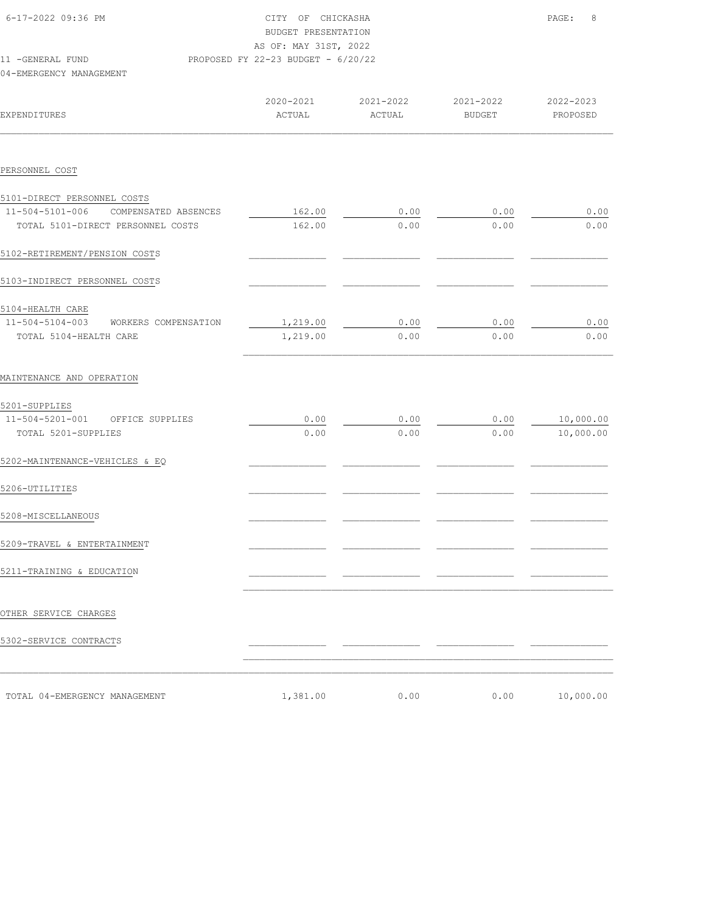| 6-17-2022 09:36 PM                   | CITY OF CHICKASHA<br>BUDGET PRESENTATION<br>AS OF: MAY 31ST, 2022 |           |           | 8<br>PAGE: |
|--------------------------------------|-------------------------------------------------------------------|-----------|-----------|------------|
| 11 -GENERAL FUND                     | PROPOSED FY 22-23 BUDGET - 6/20/22                                |           |           |            |
| 04-EMERGENCY MANAGEMENT              |                                                                   |           |           |            |
|                                      |                                                                   |           |           |            |
|                                      | 2020-2021                                                         | 2021-2022 | 2021-2022 | 2022-2023  |
| <b>EXPENDITURES</b>                  | ACTUAL                                                            | ACTUAL    | BUDGET    | PROPOSED   |
|                                      |                                                                   |           |           |            |
| PERSONNEL COST                       |                                                                   |           |           |            |
| 5101-DIRECT PERSONNEL COSTS          |                                                                   |           |           |            |
| 11-504-5101-006 COMPENSATED ABSENCES | 162.00                                                            | 0.00      | 0.00      | 0.00       |
| TOTAL 5101-DIRECT PERSONNEL COSTS    | 162.00                                                            | 0.00      | 0.00      | 0.00       |
| 5102-RETIREMENT/PENSION COSTS        |                                                                   |           |           |            |
| 5103-INDIRECT PERSONNEL COSTS        |                                                                   |           |           |            |
| 5104-HEALTH CARE                     |                                                                   |           |           |            |
| 11-504-5104-003 WORKERS COMPENSATION | 1,219.00                                                          | 0.00      | 0.00      | 0.00       |
| TOTAL 5104-HEALTH CARE               | 1,219.00                                                          | 0.00      | 0.00      | 0.00       |
| MAINTENANCE AND OPERATION            |                                                                   |           |           |            |
| 5201-SUPPLIES                        |                                                                   |           |           |            |
| 11-504-5201-001 OFFICE SUPPLIES      | 0.00                                                              | 0.00      | 0.00      | 10,000.00  |
| TOTAL 5201-SUPPLIES                  | 0.00                                                              | 0.00      | 0.00      | 10,000.00  |
| 5202-MAINTENANCE-VEHICLES & EQ       |                                                                   |           |           |            |
| 5206-UTILITIES                       |                                                                   |           |           |            |
| 5208-MISCELLANEOUS                   |                                                                   |           |           |            |
| 5209-TRAVEL & ENTERTAINMENT          |                                                                   |           |           |            |
| 5211-TRAINING & EDUCATION            |                                                                   |           |           |            |
|                                      |                                                                   |           |           |            |
| OTHER SERVICE CHARGES                |                                                                   |           |           |            |
| 5302-SERVICE CONTRACTS               |                                                                   |           |           |            |
|                                      |                                                                   |           |           |            |
| TOTAL 04-EMERGENCY MANAGEMENT        | 1,381.00                                                          | 0.00      | 0.00      | 10,000.00  |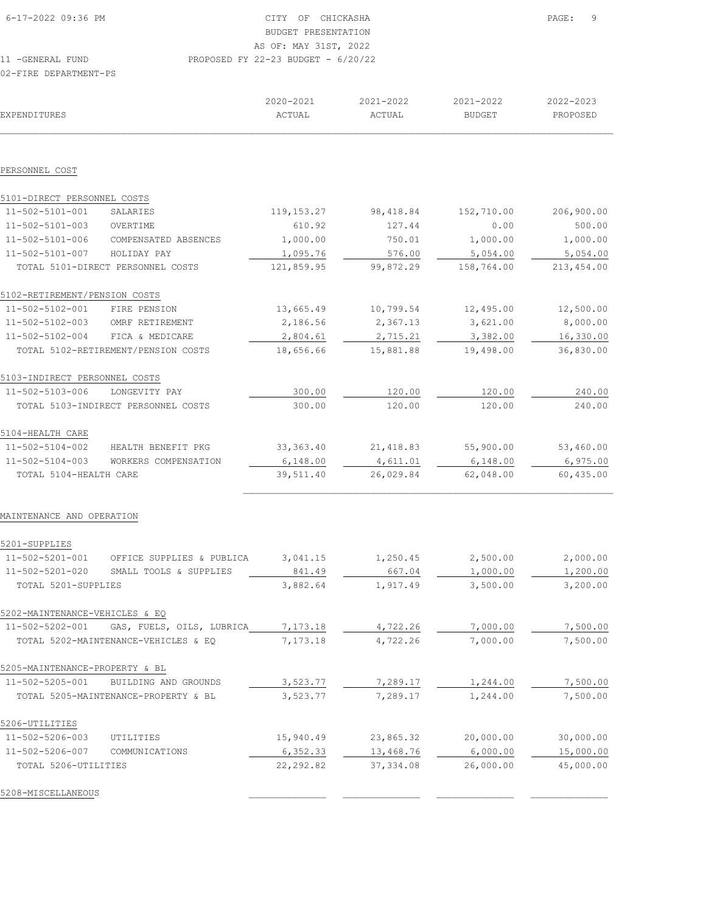| 6-17-2022 09:36 PM             |                                      | CITY OF CHICKASHA<br>BUDGET PRESENTATION<br>AS OF: MAY 31ST, 2022 | 9<br>PAGE: |               |            |
|--------------------------------|--------------------------------------|-------------------------------------------------------------------|------------|---------------|------------|
| 11 - GENERAL FUND              |                                      | PROPOSED FY 22-23 BUDGET - $6/20/22$                              |            |               |            |
| 02-FIRE DEPARTMENT-PS          |                                      |                                                                   |            |               |            |
|                                |                                      | 2020-2021                                                         | 2021-2022  | 2021-2022     | 2022-2023  |
| <b>EXPENDITURES</b>            |                                      | ACTUAL                                                            | ACTUAL     | <b>BUDGET</b> | PROPOSED   |
|                                |                                      |                                                                   |            |               |            |
| PERSONNEL COST                 |                                      |                                                                   |            |               |            |
| 5101-DIRECT PERSONNEL COSTS    |                                      |                                                                   |            |               |            |
| 11-502-5101-001                | SALARIES                             | 119, 153. 27                                                      | 98, 418.84 | 152,710.00    | 206,900.00 |
| 11-502-5101-003                | OVERTIME                             | 610.92                                                            | 127.44     | 0.00          | 500.00     |
| 11-502-5101-006                | COMPENSATED ABSENCES                 | 1,000.00                                                          | 750.01     | 1,000.00      | 1,000.00   |
| 11-502-5101-007                | HOLIDAY PAY                          | 1,095.76                                                          | 576.00     | 5,054.00      | 5,054.00   |
|                                | TOTAL 5101-DIRECT PERSONNEL COSTS    | 121,859.95                                                        | 99,872.29  | 158,764.00    | 213,454.00 |
| 5102-RETIREMENT/PENSION COSTS  |                                      |                                                                   |            |               |            |
| 11-502-5102-001                | FIRE PENSION                         | 13,665.49                                                         | 10,799.54  | 12,495.00     | 12,500.00  |
| 11-502-5102-003                | OMRF RETIREMENT                      | 2,186.56                                                          | 2,367.13   | 3,621.00      | 8,000.00   |
| 11-502-5102-004                | FICA & MEDICARE                      | 2,804.61                                                          | 2,715.21   | 3,382.00      | 16,330.00  |
|                                | TOTAL 5102-RETIREMENT/PENSION COSTS  | 18,656.66                                                         | 15,881.88  | 19,498.00     | 36,830.00  |
| 5103-INDIRECT PERSONNEL COSTS  |                                      |                                                                   |            |               |            |
| 11-502-5103-006                | LONGEVITY PAY                        | 300.00                                                            | 120.00     | 120.00        | 240.00     |
|                                | TOTAL 5103-INDIRECT PERSONNEL COSTS  | 300.00                                                            | 120.00     | 120.00        | 240.00     |
| 5104-HEALTH CARE               |                                      |                                                                   |            |               |            |
| 11-502-5104-002                | HEALTH BENEFIT PKG                   | 33, 363.40                                                        | 21, 418.83 | 55,900.00     | 53,460.00  |
| 11-502-5104-003                | WORKERS COMPENSATION                 | 6,148.00                                                          | 4,611.01   | 6,148.00      | 6,975.00   |
| TOTAL 5104-HEALTH CARE         |                                      | 39,511.40                                                         | 26,029.84  | 62,048.00     | 60,435.00  |
| MAINTENANCE AND OPERATION      |                                      |                                                                   |            |               |            |
| 5201-SUPPLIES                  |                                      |                                                                   |            |               |            |
| 11-502-5201-001                | OFFICE SUPPLIES & PUBLICA            | 3,041.15                                                          | 1,250.45   | 2,500.00      | 2,000.00   |
| 11-502-5201-020                | SMALL TOOLS & SUPPLIES               | 841.49                                                            | 667.04     | 1,000.00      | 1,200.00   |
| TOTAL 5201-SUPPLIES            |                                      | 3,882.64                                                          | 1,917.49   | 3,500.00      | 3,200.00   |
| 5202-MAINTENANCE-VEHICLES & EQ |                                      |                                                                   |            |               |            |
| 11-502-5202-001                | GAS, FUELS, OILS, LUBRICA            | 7,173.18                                                          | 4,722.26   | 7,000.00      | 7,500.00   |
|                                | TOTAL 5202-MAINTENANCE-VEHICLES & EQ | 7,173.18                                                          | 4,722.26   | 7,000.00      | 7,500.00   |
| 5205-MAINTENANCE-PROPERTY & BL |                                      |                                                                   |            |               |            |
| 11-502-5205-001                | BUILDING AND GROUNDS                 | 3,523.77                                                          | 7,289.17   | 1,244.00      | 7,500.00   |
|                                | TOTAL 5205-MAINTENANCE-PROPERTY & BL | 3,523.77                                                          | 7,289.17   | 1,244.00      | 7,500.00   |
| 5206-UTILITIES                 |                                      |                                                                   |            |               |            |

11-502-5206-003 UTILITIES 15,940.49 23,865.32 20,000.00 30,000.00<br>11-502-5206-007 COMMUNICATIONS <u>6,352.33</u> 13,468.76 6,000.00 15,000.00 11-502-5206-007 COMMUNICATIONS 6,352.33 13,468.76 6,000.00 15,000.00 TOTAL 5206-UTILITIES 22,292.82 37,334.08 26,000.00 45,000.00 5208-MISCELLANEOUS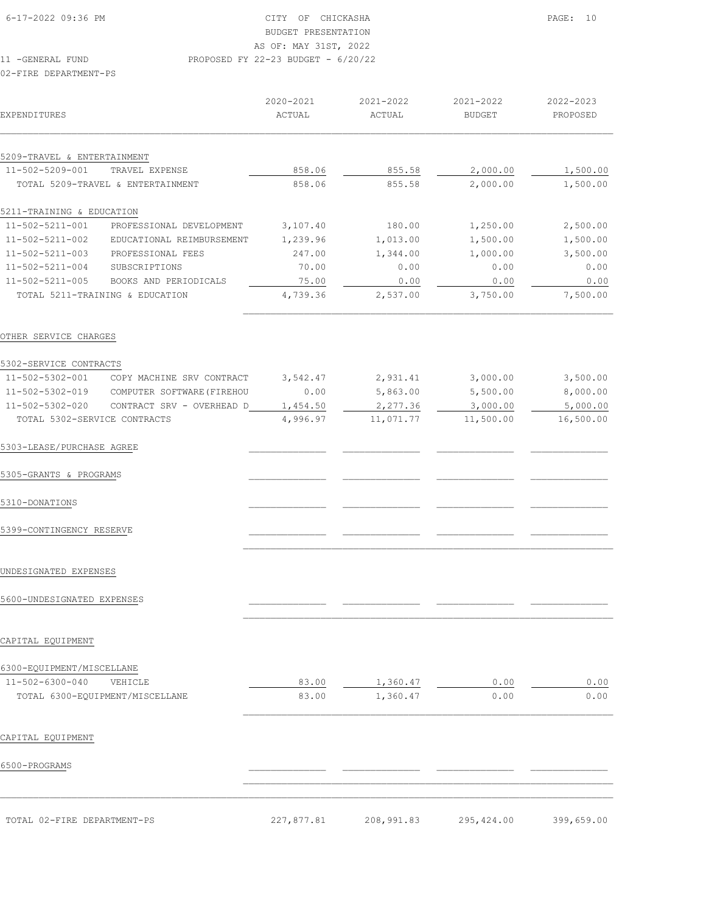| EXPENDITURES                |                                   | $2020 - 2021$<br>ACTUAL | 2021-2022<br>ACTUAL | 2021-2022<br><b>BUDGET</b> | 2022-2023<br>PROPOSED |
|-----------------------------|-----------------------------------|-------------------------|---------------------|----------------------------|-----------------------|
|                             |                                   |                         |                     |                            |                       |
| 5209-TRAVEL & ENTERTAINMENT |                                   |                         |                     |                            |                       |
| 11-502-5209-001             | TRAVEL EXPENSE                    | 858.06                  | 855.58              | 2,000.00                   | 1,500.00              |
|                             | TOTAL 5209-TRAVEL & ENTERTAINMENT | 858.06                  | 855.58              | 2,000.00                   | 1,500.00              |
| 5211-TRAINING & EDUCATION   |                                   |                         |                     |                            |                       |
| 11-502-5211-001             | PROFESSIONAL DEVELOPMENT          | 3,107.40                | 180.00              | 1,250.00                   | 2,500.00              |
| 11-502-5211-002             | EDUCATIONAL REIMBURSEMENT         | 1,239.96                | 1,013.00            | 1,500.00                   | 1,500.00              |
| 11-502-5211-003             | PROFESSIONAL FEES                 | 247.00                  | 1,344.00            | 1,000.00                   | 3,500.00              |
| 11-502-5211-004             | SUBSCRIPTIONS                     | 70.00                   | 0.00                | 0.00                       | 0.00                  |
| 11-502-5211-005             | BOOKS AND PERIODICALS             | 75.00                   | 0.00                | 0.00                       | 0.00                  |

 TOTAL 5211-TRAINING & EDUCATION 4,739.36 2,537.00 3,750.00 7,500.00  $\mathcal{L}_\text{max}$ 

## OTHER SERVICE CHARGES

| 5302-SERVICE CONTRACTS                              |                                            |          |           |           |           |
|-----------------------------------------------------|--------------------------------------------|----------|-----------|-----------|-----------|
| 11-502-5302-001                                     | COPY MACHINE SRV CONTRACT                  | 3,542.47 | 2,931.41  | 3,000.00  | 3,500.00  |
|                                                     | 11-502-5302-019 COMPUTER SOFTWARE (FIREHOU | 0.00     | 5,863.00  | 5,500.00  | 8,000.00  |
| 11-502-5302-020                                     | CONTRACT SRV - OVERHEAD D                  | 1,454.50 | 2,277.36  | 3,000.00  | 5,000.00  |
| TOTAL 5302-SERVICE CONTRACTS                        |                                            | 4,996.97 | 11,071.77 | 11,500.00 | 16,500.00 |
| 5303-LEASE/PURCHASE AGREE                           |                                            |          |           |           |           |
| 5305-GRANTS & PROGRAMS                              |                                            |          |           |           |           |
| 5310-DONATIONS                                      |                                            |          |           |           |           |
| 5399-CONTINGENCY RESERVE                            |                                            |          |           |           |           |
| UNDESIGNATED EXPENSES<br>5600-UNDESIGNATED EXPENSES |                                            |          |           |           |           |
| CAPITAL EQUIPMENT                                   |                                            |          |           |           |           |
|                                                     |                                            |          |           |           |           |
| 6300-EQUIPMENT/MISCELLANE                           |                                            |          |           |           |           |
| 11-502-6300-040                                     | VEHICLE                                    | 83.00    | 1,360.47  | 0.00      | 0.00      |
|                                                     | TOTAL 6300-EQUIPMENT/MISCELLANE            | 83.00    | 1,360.47  | 0.00      | 0.00      |
| CAPITAL EQUIPMENT                                   |                                            |          |           |           |           |
| 6500-PROGRAMS                                       |                                            |          |           |           |           |

TOTAL 02-FIRE DEPARTMENT-PS 227,877.81 208,991.83 295,424.00 399,659.00

 $\mathcal{L}_\text{max} = \mathcal{L}_\text{max} = \mathcal{L}_\text{max} = \mathcal{L}_\text{max} = \mathcal{L}_\text{max} = \mathcal{L}_\text{max} = \mathcal{L}_\text{max} = \mathcal{L}_\text{max} = \mathcal{L}_\text{max} = \mathcal{L}_\text{max} = \mathcal{L}_\text{max} = \mathcal{L}_\text{max} = \mathcal{L}_\text{max} = \mathcal{L}_\text{max} = \mathcal{L}_\text{max} = \mathcal{L}_\text{max} = \mathcal{L}_\text{max} = \mathcal{L}_\text{max} = \mathcal{$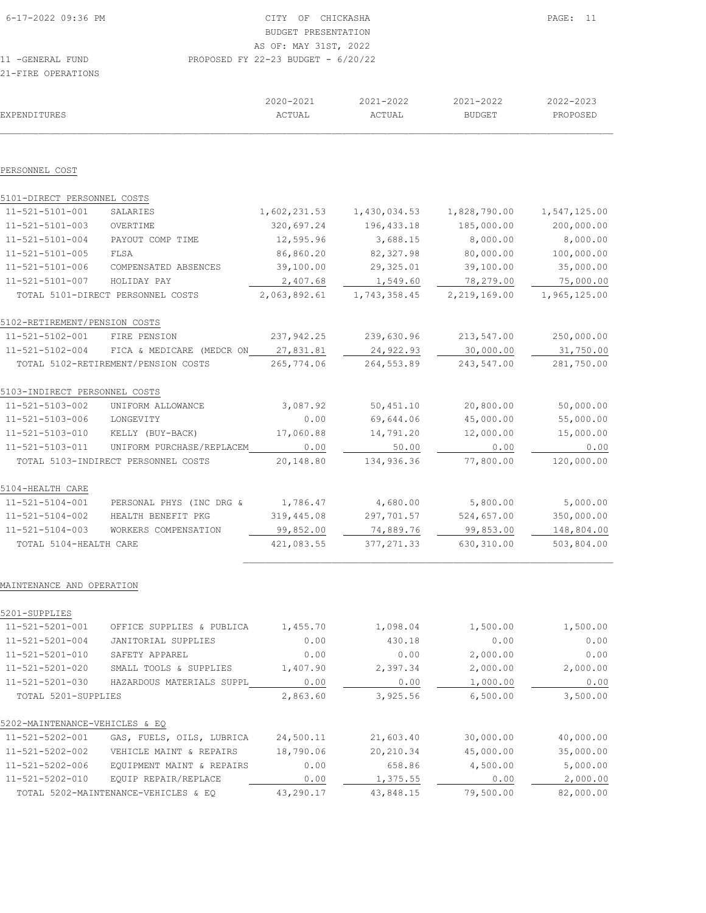| ZI-FIKE UFEKATIUND          |                                              |                     |                     |                     |                       |
|-----------------------------|----------------------------------------------|---------------------|---------------------|---------------------|-----------------------|
| EXPENDITURES                |                                              | 2020-2021<br>ACTUAL | 2021-2022<br>ACTUAL | 2021-2022<br>BUDGET | 2022-2023<br>PROPOSED |
|                             |                                              |                     |                     |                     |                       |
| PERSONNEL COST              |                                              |                     |                     |                     |                       |
| 5101-DIRECT PERSONNEL COSTS |                                              |                     |                     |                     |                       |
| 11-521-5101-001             | SALARIES                                     | 1,602,231.53        | 1,430,034.53        | 1,828,790.00        | 1,547,125.00          |
| 11-521-5101-003             | OVERTIME                                     | 320,697.24          | 196, 433.18         | 185,000.00          | 200,000.00            |
| 11-521-5101-004             | PAYOUT COMP TIME                             | 12,595.96           | 3,688.15            | 8,000.00            | 8,000.00              |
| 11 FO1 F101 OOF             | $\blacksquare$ $\blacksquare$ $\blacksquare$ | oc oco oo           | 00, 00, 00, 00      | 0000000             | $100,000,00$          |

| 11-521-5101-005               | FLSA                                | 86,860.20    | 82, 327.98   | 80,000.00    | 100,000.00   |
|-------------------------------|-------------------------------------|--------------|--------------|--------------|--------------|
| 11-521-5101-006               | COMPENSATED ABSENCES                | 39,100.00    | 29,325.01    | 39,100.00    | 35,000.00    |
| $11 - 521 - 5101 - 007$       | HOLIDAY PAY                         | 2,407.68     | 1,549.60     | 78,279.00    | 75,000.00    |
|                               | TOTAL 5101-DIRECT PERSONNEL COSTS   | 2,063,892.61 | 1,743,358.45 | 2,219,169.00 | 1,965,125.00 |
| 5102-RETIREMENT/PENSION COSTS |                                     |              |              |              |              |
| 11-521-5102-001               | FIRE PENSION                        | 237,942.25   | 239,630.96   | 213,547.00   | 250,000.00   |
| 11-521-5102-004               | FICA & MEDICARE (MEDCR ON           | 27,831.81    | 24,922.93    | 30,000.00    | 31,750.00    |
|                               | TOTAL 5102-RETIREMENT/PENSION COSTS | 265,774.06   | 264,553.89   | 243,547.00   | 281,750.00   |
| 5103-INDIRECT PERSONNEL COSTS |                                     |              |              |              |              |
| 11-521-5103-002               | UNIFORM ALLOWANCE                   | 3,087.92     | 50,451.10    | 20,800.00    | 50,000.00    |
| 11-521-5103-006               | LONGEVITY                           | 0.00         | 69,644.06    | 45,000.00    | 55,000.00    |
| 11-521-5103-010               | KELLY (BUY-BACK)                    | 17,060.88    | 14,791.20    | 12,000.00    | 15,000.00    |
| 11-521-5103-011               | UNIFORM PURCHASE/REPLACEM           | 0.00         | 50.00        | 0.00         | 0.00         |
|                               | TOTAL 5103-INDIRECT PERSONNEL COSTS | 20,148.80    | 134,936.36   | 77,800.00    | 120,000.00   |
| 5104-HEALTH CARE              |                                     |              |              |              |              |
| 11-521-5104-001               | PERSONAL PHYS (INC DRG &            | 1,786.47     | 4,680.00     | 5,800.00     | 5,000.00     |
| 11-521-5104-002               | HEALTH BENEFIT PKG                  | 319,445.08   | 297,701.57   | 524,657.00   | 350,000.00   |
| $11 - 521 - 5104 - 003$       | WORKERS COMPENSATION                | 99,852.00    | 74,889.76    | 99,853.00    | 148,804.00   |
| TOTAL 5104-HEALTH CARE        |                                     | 421,083.55   | 377, 271.33  | 630,310.00   | 503,804.00   |
|                               |                                     |              |              |              |              |

## MAINTENANCE AND OPERATION

| OFFICE SUPPLIES & PUBLICA | 1,455.70                                                                                      | 1,098.04  | 1,500.00  | 1,500.00  |
|---------------------------|-----------------------------------------------------------------------------------------------|-----------|-----------|-----------|
| JANITORIAL SUPPLIES       | 0.00                                                                                          | 430.18    | 0.00      | 0.00      |
| SAFETY APPAREL            | 0.00                                                                                          | 0.00      | 2,000.00  | 0.00      |
| SMALL TOOLS & SUPPLIES    | 1,407.90                                                                                      | 2,397.34  | 2,000.00  | 2,000.00  |
| HAZARDOUS MATERIALS SUPPL | 0.00                                                                                          | 0.00      | 1,000.00  | 0.00      |
|                           | 2,863.60                                                                                      | 3,925.56  | 6,500.00  | 3,500.00  |
|                           |                                                                                               |           |           |           |
| GAS, FUELS, OILS, LUBRICA | 24,500.11                                                                                     | 21,603.40 | 30,000.00 | 40,000.00 |
| VEHICLE MAINT & REPAIRS   | 18,790.06                                                                                     | 20,210.34 | 45,000.00 | 35,000.00 |
| EQUIPMENT MAINT & REPAIRS | 0.00                                                                                          | 658.86    | 4,500.00  | 5,000.00  |
| EOUIP REPAIR/REPLACE      | 0.00                                                                                          | 1,375.55  | 0.00      | 2,000.00  |
|                           | 43,290.17                                                                                     | 43,848.15 | 79,500.00 | 82,000.00 |
|                           | TOTAL 5201-SUPPLIES<br>5202-MAINTENANCE-VEHICLES & EO<br>TOTAL 5202-MAINTENANCE-VEHICLES & EO |           |           |           |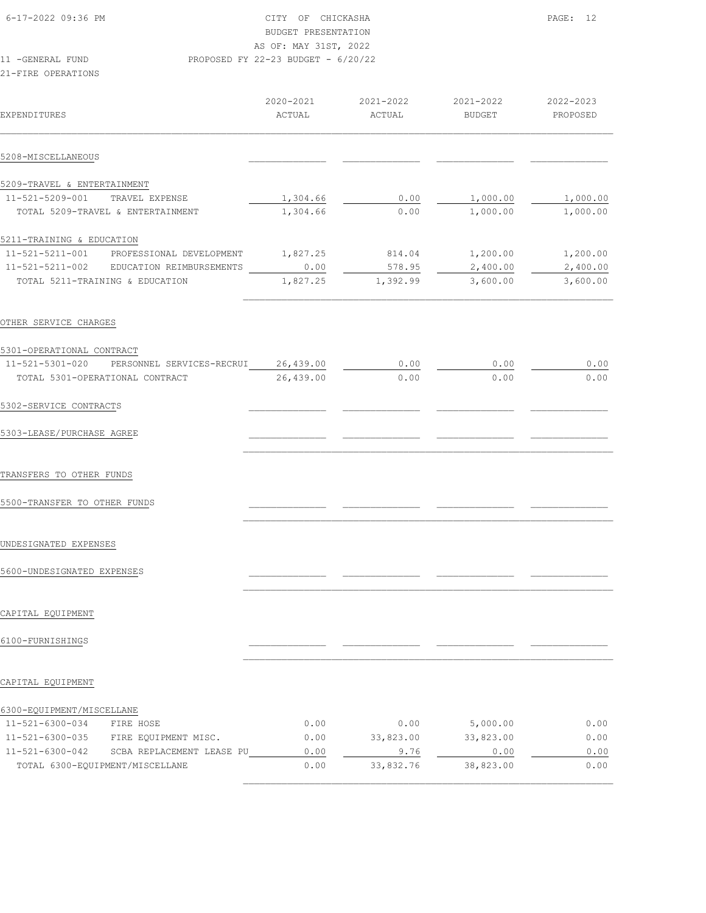| 6-17-2022 09:36 PM | CITY OF CHICKASHA                    | PAGE: 12 |  |
|--------------------|--------------------------------------|----------|--|
|                    | BUDGET PRESENTATION                  |          |  |
|                    | AS OF: MAY 31ST, 2022                |          |  |
| 11 - GENERAL FUND  | PROPOSED FY 22-23 BUDGET - $6/20/22$ |          |  |
|                    |                                      |          |  |

| EXPENDITURES                |                                   | 2020-2021<br>ACTUAL | 2021-2022<br>ACTUAL | 2021-2022<br><b>BUDGET</b> | 2022-2023<br>PROPOSED |
|-----------------------------|-----------------------------------|---------------------|---------------------|----------------------------|-----------------------|
| 5208-MISCELLANEOUS          |                                   |                     |                     |                            |                       |
| 5209-TRAVEL & ENTERTAINMENT |                                   |                     |                     |                            |                       |
| 11-521-5209-001             | TRAVEL EXPENSE                    | 1,304.66            | 0.00                | 1,000.00                   | 1,000.00              |
|                             | TOTAL 5209-TRAVEL & ENTERTAINMENT | 1,304.66            | 0.00                | 1,000.00                   | 1,000.00              |
| 5211-TRAINING & EDUCATION   |                                   |                     |                     |                            |                       |
| 11-521-5211-001             | PROFESSIONAL DEVELOPMENT          | 1,827.25            | 814.04              | 1,200.00                   | 1,200.00              |
| 11-521-5211-002             | EDUCATION REIMBURSEMENTS          | 0.00                | 578.95              | 2,400.00                   | 2,400.00              |
|                             | TOTAL 5211-TRAINING & EDUCATION   | 1,827.25            | 1,392.99            | 3,600.00                   | 3,600.00              |

OTHER SERVICE CHARGES

| 5301-OPERATIONAL CONTRACT                    |           |      |      |      |
|----------------------------------------------|-----------|------|------|------|
| 11-521-5301-020<br>PERSONNEL SERVICES-RECRUI | 26,439.00 | 0.00 | 0.00 | 0.00 |
| TOTAL 5301-OPERATIONAL CONTRACT              | 26,439.00 | 0.00 | 0.00 | 0.00 |
| 5302-SERVICE CONTRACTS                       |           |      |      |      |
| 5303-LEASE/PURCHASE AGREE                    |           |      |      |      |

 $\mathcal{L}_\text{max}$ 

 $\mathcal{L}_\text{max}$ 

 $\mathcal{L}_\text{max}$ 

TRANSFERS TO OTHER FUNDS

5500-TRANSFER TO OTHER FUNDS \_\_\_\_\_\_\_\_\_\_\_\_\_\_ \_\_\_\_\_\_\_\_\_\_\_\_\_\_ \_\_\_\_\_\_\_\_\_\_\_\_\_\_ \_\_\_\_\_\_\_\_\_\_\_\_\_\_

#### UNDESIGNATED EXPENSES

5600-UNDESIGNATED EXPENSES \_\_\_\_\_\_\_\_\_\_\_\_\_\_ \_\_\_\_\_\_\_\_\_\_\_\_\_\_ \_\_\_\_\_\_\_\_\_\_\_\_\_\_ \_\_\_\_\_\_\_\_\_\_\_\_\_\_

## CAPITAL EQUIPMENT

# 6100-FURNISHINGS \_\_\_\_\_\_\_\_\_\_\_\_\_\_ \_\_\_\_\_\_\_\_\_\_\_\_\_\_ \_\_\_\_\_\_\_\_\_\_\_\_\_\_ \_\_\_\_\_\_\_\_\_\_\_\_\_\_

#### CAPITAL EQUIPMENT

| 11-521-6300-034 | FIRE HOSE                       | 0.00 | 0.00      | 5,000.00  | 0.00 |
|-----------------|---------------------------------|------|-----------|-----------|------|
| 11-521-6300-035 | FIRE EQUIPMENT MISC.            | 0.00 | 33,823.00 | 33,823.00 | 0.00 |
| 11-521-6300-042 | SCBA REPLACEMENT LEASE PU       | 0.00 | 9.76      | 0.00      | 0.00 |
|                 | TOTAL 6300-EOUIPMENT/MISCELLANE | 0.00 | 33,832.76 | 38,823.00 | 0.00 |
|                 |                                 |      |           |           |      |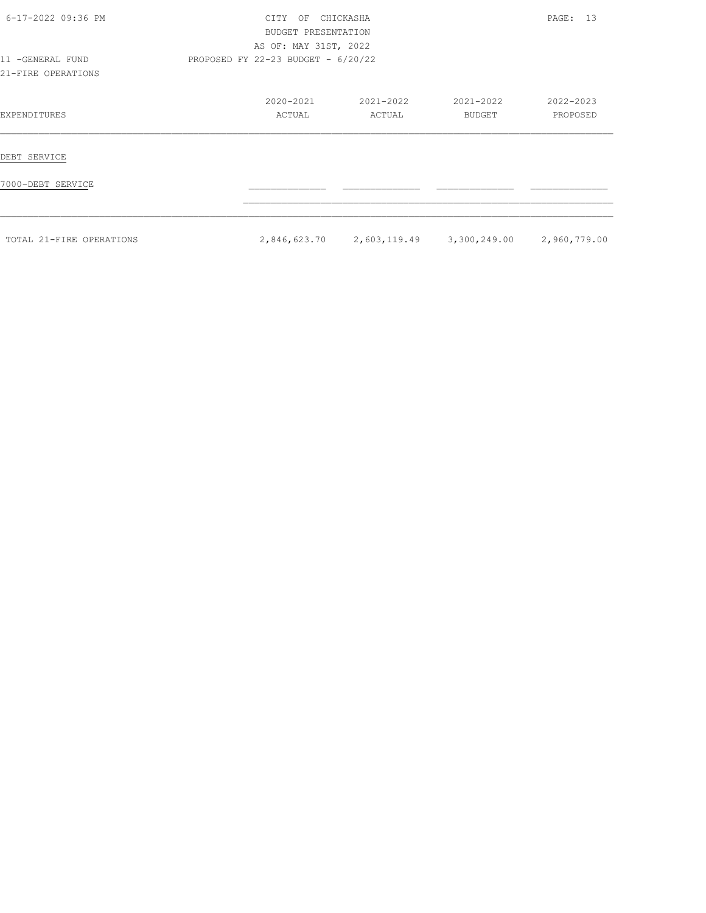| 6-17-2022 09:36 PM                     | <b>CTTY</b><br>OF                    | CHICKASHA<br>BUDGET PRESENTATION<br>AS OF: MAY 31ST, 2022 |                           |                       |  |  |  |
|----------------------------------------|--------------------------------------|-----------------------------------------------------------|---------------------------|-----------------------|--|--|--|
| 11 -GENERAL FUND<br>21-FIRE OPERATIONS | PROPOSED FY 22-23 BUDGET - $6/20/22$ |                                                           |                           |                       |  |  |  |
| EXPENDITURES                           | 2020-2021<br>ACTUAL                  | 2021-2022<br>ACTUAL                                       | 2021-2022<br>BUDGET       | 2022-2023<br>PROPOSED |  |  |  |
| DEBT SERVICE                           |                                      |                                                           |                           |                       |  |  |  |
| 7000-DEBT SERVICE                      |                                      |                                                           |                           |                       |  |  |  |
| TOTAL 21-FIRE OPERATIONS               |                                      | 2,846,623.70 2,603,119.49                                 | 3,300,249.00 2,960,779.00 |                       |  |  |  |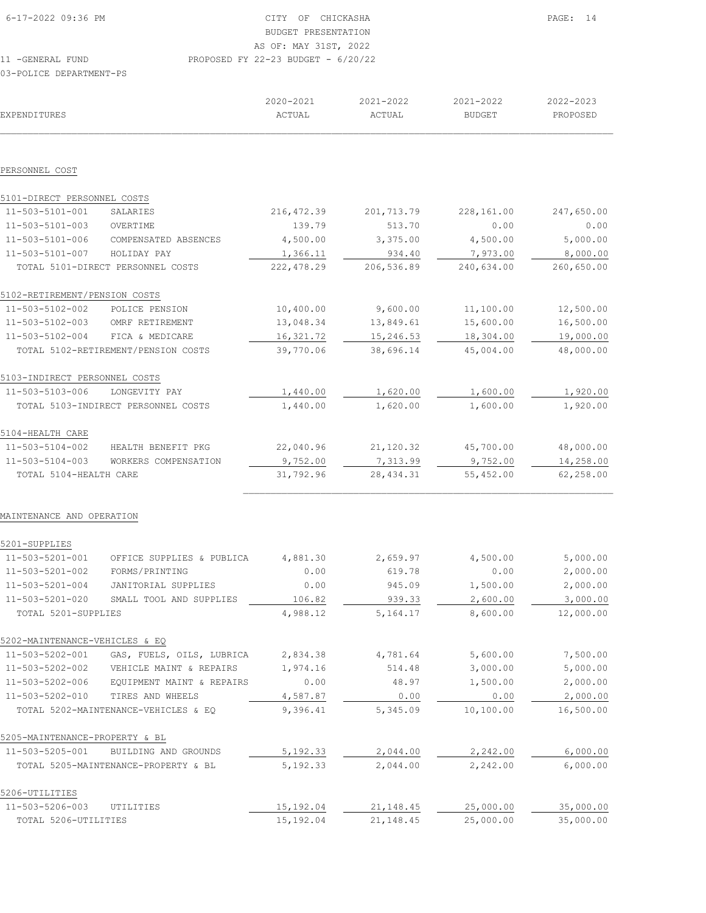| 6-17-2022 09:36 PM              |                                     | CITY OF CHICKASHA                    | PAGF: 14   |               |            |
|---------------------------------|-------------------------------------|--------------------------------------|------------|---------------|------------|
|                                 |                                     | <b>BUDGET PRESENTATION</b>           |            |               |            |
|                                 |                                     | AS OF: MAY 31ST, 2022                |            |               |            |
| 11 - GENERAL FUND               |                                     | PROPOSED FY 22-23 BUDGET - $6/20/22$ |            |               |            |
| 03-POLICE DEPARTMENT-PS         |                                     |                                      |            |               |            |
|                                 |                                     | 2020-2021                            | 2021-2022  | 2021-2022     | 2022-2023  |
| <b>EXPENDITURES</b>             |                                     | ACTUAL                               | ACTUAL     | <b>BUDGET</b> | PROPOSED   |
|                                 |                                     |                                      |            |               |            |
| PERSONNEL COST                  |                                     |                                      |            |               |            |
| 5101-DIRECT PERSONNEL COSTS     |                                     |                                      |            |               |            |
| 11-503-5101-001                 | SALARIES                            | 216, 472.39                          | 201,713.79 | 228,161.00    | 247,650.00 |
| 11-503-5101-003                 | OVERTIME                            | 139.79                               | 513.70     | 0.00          | 0.00       |
| 11-503-5101-006                 | COMPENSATED ABSENCES                | 4,500.00                             | 3,375.00   | 4,500.00      | 5,000.00   |
| 11-503-5101-007                 | HOLIDAY PAY                         | 1,366.11                             | 934.40     | 7,973.00      | 8,000.00   |
|                                 | TOTAL 5101-DIRECT PERSONNEL COSTS   | 222,478.29                           | 206,536.89 | 240,634.00    | 260,650.00 |
| 5102-RETIREMENT/PENSION COSTS   |                                     |                                      |            |               |            |
| 11-503-5102-002                 | POLICE PENSION                      | 10,400.00                            | 9,600.00   | 11,100.00     | 12,500.00  |
| 11-503-5102-003 OMRF RETIREMENT |                                     | 13,048.34                            | 13,849.61  | 15,600.00     | 16,500.00  |
| 11-503-5102-004 FICA & MEDICARE |                                     | 16,321.72                            | 15,246.53  | 18,304.00     | 19,000.00  |
|                                 | TOTAL 5102-RETIREMENT/PENSION COSTS | 39,770.06                            | 38,696.14  | 45,004.00     | 48,000.00  |
| 5103-INDIRECT PERSONNEL COSTS   |                                     |                                      |            |               |            |
| 11-503-5103-006                 | LONGEVITY PAY                       | 1,440.00                             | 1,620.00   | 1,600.00      | 1,920.00   |
|                                 | TOTAL 5103-INDIRECT PERSONNEL COSTS | 1,440.00                             | 1,620.00   | 1,600.00      | 1,920.00   |
| 5104-HEALTH CARE                |                                     |                                      |            |               |            |
|                                 |                                     |                                      |            |               |            |

| 11-503-5104-002        | HEALTH BENEFIT PKG   | 22,040.96 | 21,120.32 | 45,700.00 | 48,000.00 |
|------------------------|----------------------|-----------|-----------|-----------|-----------|
| 11-503-5104-003        | WORKERS COMPENSATION | 9,752.00  | 7,313.99  | 9,752.00  | 14,258.00 |
| TOTAL 5104-HEALTH CARE |                      | 31,792.96 | 28,434.31 | 55,452.00 | 62,258.00 |
|                        |                      |           |           |           |           |

#### MAINTENANCE AND OPERATION

| 5201-SUPPLIES                  |                                      |           |            |           |           |
|--------------------------------|--------------------------------------|-----------|------------|-----------|-----------|
| 11-503-5201-001                | OFFICE SUPPLIES & PUBLICA            | 4,881.30  | 2,659.97   | 4,500.00  | 5,000.00  |
| 11-503-5201-002                | FORMS/PRINTING                       | 0.00      | 619.78     | 0.00      | 2,000.00  |
| 11-503-5201-004                | JANITORIAL SUPPLIES                  | 0.00      | 945.09     | 1,500.00  | 2,000.00  |
| 11-503-5201-020                | SMALL TOOL AND SUPPLIES              | 106.82    | 939.33     | 2,600.00  | 3,000.00  |
| TOTAL 5201-SUPPLIES            |                                      | 4,988.12  | 5,164.17   | 8,600.00  | 12,000.00 |
| 5202-MAINTENANCE-VEHICLES & EQ |                                      |           |            |           |           |
| 11-503-5202-001                | GAS, FUELS, OILS, LUBRICA            | 2,834.38  | 4,781.64   | 5,600.00  | 7,500.00  |
| 11-503-5202-002                | VEHICLE MAINT & REPAIRS              | 1,974.16  | 514.48     | 3,000.00  | 5,000.00  |
| 11-503-5202-006                | EQUIPMENT MAINT & REPAIRS            | 0.00      | 48.97      | 1,500.00  | 2,000.00  |
| 11-503-5202-010                | TIRES AND WHEELS                     | 4,587.87  | 0.00       | 0.00      | 2,000.00  |
|                                | TOTAL 5202-MAINTENANCE-VEHICLES & EQ | 9,396.41  | 5,345.09   | 10,100.00 | 16,500.00 |
| 5205-MAINTENANCE-PROPERTY & BL |                                      |           |            |           |           |
| 11-503-5205-001                | BUILDING AND GROUNDS                 | 5,192.33  | 2,044.00   | 2,242.00  | 6,000.00  |
|                                | TOTAL 5205-MAINTENANCE-PROPERTY & BL | 5,192.33  | 2,044.00   | 2,242.00  | 6,000.00  |
| 5206-UTILITIES                 |                                      |           |            |           |           |
| 11-503-5206-003                | UTILITIES                            | 15,192.04 | 21, 148.45 | 25,000.00 | 35,000.00 |
| TOTAL 5206-UTILITIES           |                                      | 15,192.04 | 21, 148.45 | 25,000.00 | 35,000.00 |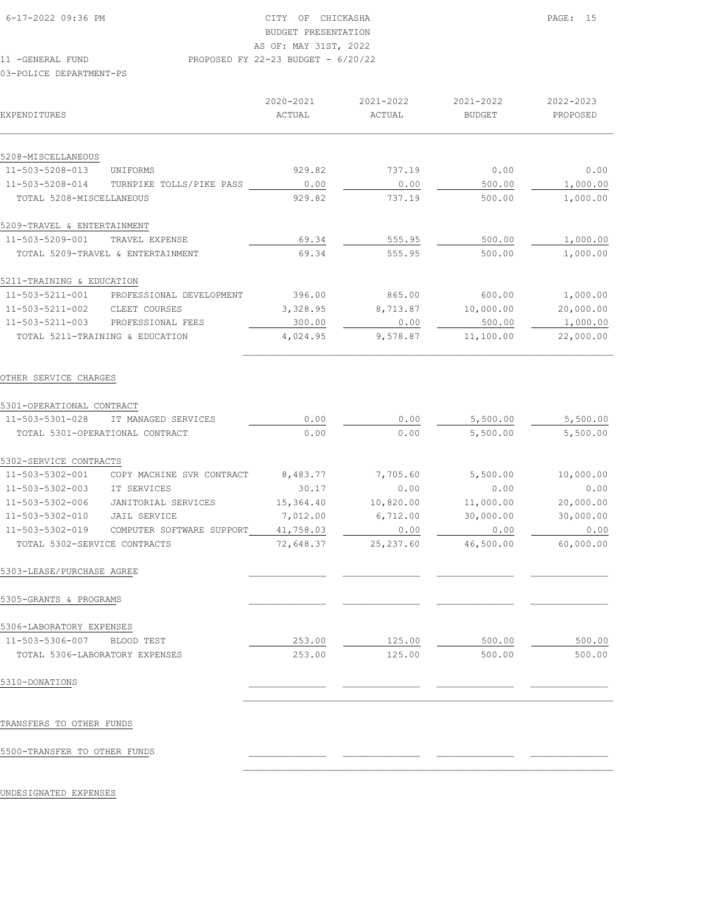11 -GENERAL FUND PROPOSED FY 22-23 BUDGET - 6/20/22

03-POLICE DEPARTMENT-PS

| EXPENDITURES                   |                                   | 2020-2021<br>ACTUAL | 2021-2022<br>ACTUAL | 2021-2022<br><b>BUDGET</b> | 2022-2023<br>PROPOSED |
|--------------------------------|-----------------------------------|---------------------|---------------------|----------------------------|-----------------------|
| 5208-MISCELLANEOUS             |                                   |                     |                     |                            |                       |
| 11-503-5208-013                | UNIFORMS                          | 929.82              | 737.19              | 0.00                       | 0.00                  |
| 11-503-5208-014                | TURNPIKE TOLLS/PIKE PASS          | 0.00                | 0.00                | 500.00                     | 1,000.00              |
| TOTAL 5208-MISCELLANEOUS       |                                   | 929.82              | 737.19              | 500.00                     | 1,000.00              |
| 5209-TRAVEL & ENTERTAINMENT    |                                   |                     |                     |                            |                       |
| 11-503-5209-001                | TRAVEL EXPENSE                    | 69.34               | 555.95              | 500.00                     | 1,000.00              |
|                                | TOTAL 5209-TRAVEL & ENTERTAINMENT | 69.34               | 555.95              | 500.00                     | 1,000.00              |
| 5211-TRAINING & EDUCATION      |                                   |                     |                     |                            |                       |
| 11-503-5211-001                | PROFESSIONAL DEVELOPMENT          | 396.00              | 865.00              | 600.00                     | 1,000.00              |
| 11-503-5211-002                | CLEET COURSES                     | 3,328.95            | 8,713.87            | 10,000.00                  | 20,000.00             |
| $11 - 503 - 5211 - 003$        | PROFESSIONAL FEES                 | 300.00              | 0.00                | 500.00                     | 1,000.00              |
|                                | TOTAL 5211-TRAINING & EDUCATION   | 4,024.95            | 9,578.87            | 11,100.00                  | 22,000.00             |
| OTHER SERVICE CHARGES          |                                   |                     |                     |                            |                       |
| 5301-OPERATIONAL CONTRACT      |                                   |                     |                     |                            |                       |
| 11-503-5301-028                | IT MANAGED SERVICES               | 0.00                | 0.00                | 5,500.00                   | 5,500.00              |
|                                | TOTAL 5301-OPERATIONAL CONTRACT   | 0.00                | 0.00                | 5,500.00                   | 5,500.00              |
| 5302-SERVICE CONTRACTS         |                                   |                     |                     |                            |                       |
| 11-503-5302-001                | COPY MACHINE SVR CONTRACT         | 8,483.77            | 7,705.60            | 5,500.00                   | 10,000.00             |
| 11-503-5302-003                | IT SERVICES                       | 30.17               | 0.00                | 0.00                       | 0.00                  |
| 11-503-5302-006                | JANITORIAL SERVICES               | 15,364.40           | 10,820.00           | 11,000.00                  | 20,000.00             |
| 11-503-5302-010                | <b>JAIL SERVICE</b>               | 7,012.00            | 6,712.00            | 30,000.00                  | 30,000.00             |
| 11-503-5302-019                | COMPUTER SOFTWARE SUPPORT         | 41,758.03           | 0.00                | 0.00                       | 0.00                  |
| TOTAL 5302-SERVICE CONTRACTS   |                                   | 72,648.37           | 25, 237.60          | 46,500.00                  | 60,000.00             |
| 5303-LEASE/PURCHASE AGREE      |                                   |                     |                     |                            |                       |
| 5305-GRANTS & PROGRAMS         |                                   |                     |                     |                            |                       |
| 5306-LABORATORY EXPENSES       |                                   |                     |                     |                            |                       |
| 11-503-5306-007 BLOOD TEST     |                                   | 253.00              | 125.00              | 500.00                     | 500.00                |
| TOTAL 5306-LABORATORY EXPENSES |                                   | 253.00              | 125.00              | 500.00                     | 500.00                |
| 5310-DONATIONS                 |                                   |                     |                     |                            |                       |
| TRANSFERS TO OTHER FUNDS       |                                   |                     |                     |                            |                       |
| 5500-TRANSFER TO OTHER FUNDS   |                                   |                     |                     |                            |                       |

 $\mathcal{L}_\text{max}$ 

UNDESIGNATED EXPENSES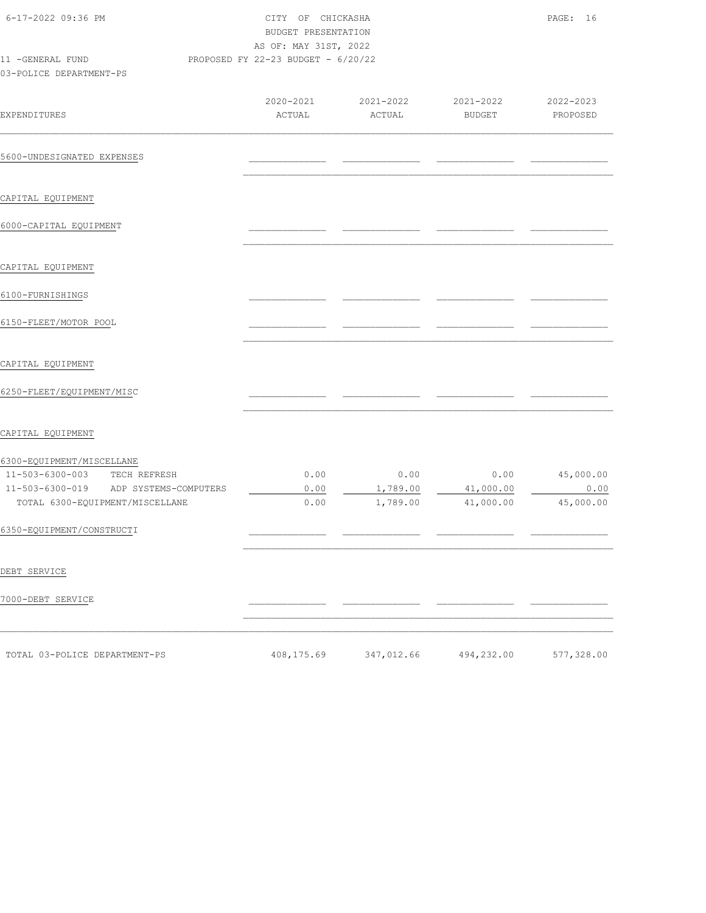| 6-17-2022 09:36 PM                                                                                 | CITY OF CHICKASHA<br>BUDGET PRESENTATION<br>AS OF: MAY 31ST, 2022 |                     |                            | PAGE: 16              |
|----------------------------------------------------------------------------------------------------|-------------------------------------------------------------------|---------------------|----------------------------|-----------------------|
| 11 -GENERAL FUND<br>03-POLICE DEPARTMENT-PS                                                        | PROPOSED FY 22-23 BUDGET - 6/20/22                                |                     |                            |                       |
| EXPENDITURES                                                                                       | 2020-2021<br>ACTUAL                                               | 2021-2022<br>ACTUAL | 2021-2022<br><b>BUDGET</b> | 2022-2023<br>PROPOSED |
| 5600-UNDESIGNATED EXPENSES                                                                         |                                                                   |                     |                            |                       |
| CAPITAL EQUIPMENT                                                                                  |                                                                   |                     |                            |                       |
| 6000-CAPITAL EQUIPMENT                                                                             |                                                                   |                     |                            |                       |
| CAPITAL EQUIPMENT                                                                                  |                                                                   |                     |                            |                       |
| 6100-FURNISHINGS                                                                                   |                                                                   |                     |                            |                       |
| 6150-FLEET/MOTOR POOL                                                                              |                                                                   |                     |                            |                       |
| CAPITAL EQUIPMENT                                                                                  |                                                                   |                     |                            |                       |
| 6250-FLEET/EQUIPMENT/MISC                                                                          |                                                                   |                     |                            |                       |
| CAPITAL EQUIPMENT                                                                                  |                                                                   |                     |                            |                       |
| 6300-EQUIPMENT/MISCELLANE<br>11-503-6300-003 TECH REFRESH<br>11-503-6300-019 ADP SYSTEMS-COMPUTERS | 0.00<br>0.00                                                      | 0.00<br>1,789.00    | 0.00<br>41,000.00          | 45,000.00<br>0.00     |
| TOTAL 6300-EQUIPMENT/MISCELLANE<br>6350-EQUIPMENT/CONSTRUCTI                                       | 0.00                                                              | 1,789.00            | 41,000.00                  | 45,000.00             |
|                                                                                                    |                                                                   |                     |                            |                       |
| DEBT SERVICE                                                                                       |                                                                   |                     |                            |                       |
| 7000-DEBT SERVICE                                                                                  |                                                                   |                     |                            |                       |
| TOTAL 03-POLICE DEPARTMENT-PS                                                                      | 408,175.69                                                        | 347,012.66          | 494,232.00                 | 577,328.00            |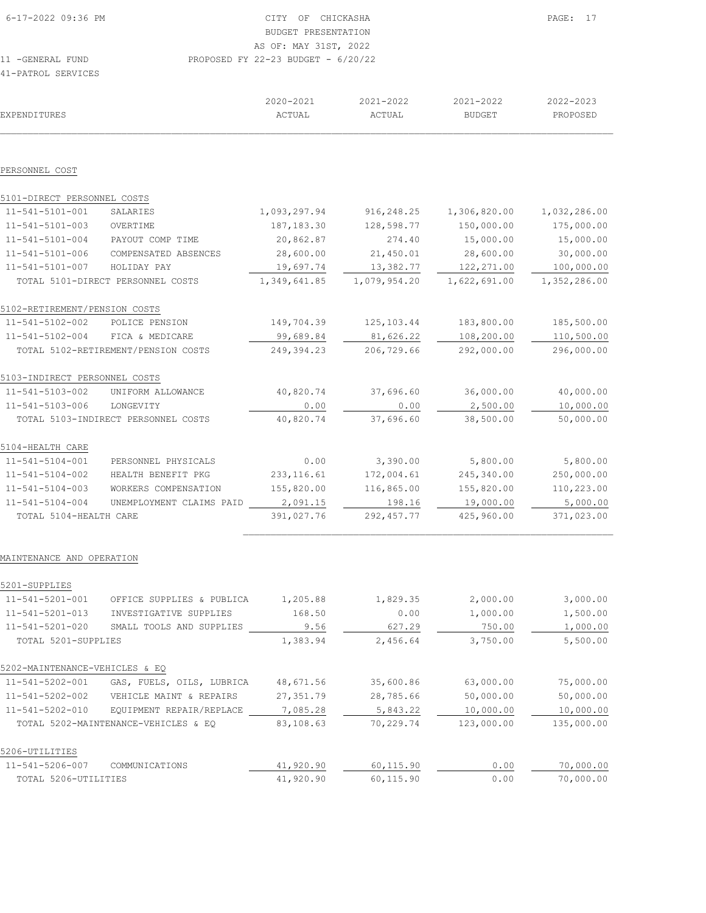| 16-17-2022 09:36 PM | CITY OF CHICKASHA                    | PAGE: 17 |
|---------------------|--------------------------------------|----------|
|                     | BUDGET PRESENTATION                  |          |
|                     | AS OF: MAY 31ST, 2022                |          |
| 11 -GENERAL FUND    | PROPOSED FY 22-23 BUDGET - $6/20/22$ |          |
| 41-PATROL SERVICES  |                                      |          |

 2020-2021 2021-2022 2021-2022 2022-2023 EXPENDITURES ACTUAL ACTUAL BUDGET PROPOSED  $\mathcal{L}_\text{max} = \mathcal{L}_\text{max} = \mathcal{L}_\text{max} = \mathcal{L}_\text{max} = \mathcal{L}_\text{max} = \mathcal{L}_\text{max} = \mathcal{L}_\text{max} = \mathcal{L}_\text{max} = \mathcal{L}_\text{max} = \mathcal{L}_\text{max} = \mathcal{L}_\text{max} = \mathcal{L}_\text{max} = \mathcal{L}_\text{max} = \mathcal{L}_\text{max} = \mathcal{L}_\text{max} = \mathcal{L}_\text{max} = \mathcal{L}_\text{max} = \mathcal{L}_\text{max} = \mathcal{$ PERSONNEL COST 5101-DIRECT PERSONNEL COSTS 11-541-5101-001 SALARIES 1,093,297.94 916,248.25 1,306,820.00 1,032,286.00 11-541-5101-003 OVERTIME 187,183.30 128,598.77 150,000.00 175,000.00 11-541-5101-004 PAYOUT COMP TIME 20,862.87 274.40 15,000.00 15,000.00 11-541-5101-006 COMPENSATED ABSENCES 28,600.00 21,450.01 28,600.00 30,000.00 11-541-5101-007 HOLIDAY PAY 19,697.74 13,382.77 122,271.00 100,000.00 TOTAL 5101-DIRECT PERSONNEL COSTS 1,349,641.85 1,079,954.20 1,622,691.00 1,352,286.00 5102-RETIREMENT/PENSION COSTS 11-541-5102-002 POLICE PENSION 149,704.39 125,103.44 183,800.00 185,500.00 11-541-5102-004 FICA & MEDICARE 99,689.84 81,626.22 108,200.00 110,500.00 TOTAL 5102-RETIREMENT/PENSION COSTS 249,394.23 206,729.66 292,000.00 296,000.00 5103-INDIRECT PERSONNEL COSTS 11-541-5103-002 UNIFORM ALLOWANCE 40,820.74 37,696.60 36,000.00 40,000.00 11-541-5103-006 LONGEVITY  $\frac{0.00}{40,820.74}$   $\frac{0.00}{37,696.60}$   $\frac{2,500.00}{38,500.00}$   $\frac{10,000.00}{50,000.00}$  TOTAL 5103-INDIRECT PERSONNEL COSTS 40,820.74 37,696.60 38,500.00 50,000.00 5104-HEALTH CARE 11-541-5104-001 PERSONNEL PHYSICALS 0.00 3,390.00 5,800.00 5,800.00<br>11-541-5104-002 HEALTH BENEFIT PKG 233,116.61 172,004.61 245,340.00 250,000.00<br>11-541-5104-003 WORKERS COMPENSATION 155,820.00 116,865.00 155,820.00 110,2 11-541-5104-002 HEALTH BENEFIT PKG 233,116.61 11-541-5104-003 WORKERS COMPENSATION 155,820.00 116,865.00 155,820.00 110,223.00 11-541-5104-004 UNEMPLOYMENT CLAIMS PAID 2,091.15 198.16 198.16 19,000.00 5,000.00<br>
198.16 19,000.00 5,000.00 5,000.00 5,000.00 5,000.00 5,000.00 1371,023.00 TOTAL 5104-HEALTH CARE 391,027.76 292,457.77 425,960.00 371,023.00  $\mathcal{L}_\text{max}$ 

#### MAINTENANCE AND OPERATION

| 5201-SUPPLIES                  |                                      |           |           |            |            |
|--------------------------------|--------------------------------------|-----------|-----------|------------|------------|
| 11-541-5201-001                | OFFICE SUPPLIES & PUBLICA            | 1,205.88  | 1,829.35  | 2,000.00   | 3,000.00   |
| 11-541-5201-013                | INVESTIGATIVE SUPPLIES               | 168.50    | 0.00      | 1,000.00   | 1,500.00   |
| 11-541-5201-020                | SMALL TOOLS AND SUPPLIES             | 9.56      | 627.29    | 750.00     | 1,000.00   |
| TOTAL 5201-SUPPLIES            |                                      | 1,383.94  | 2,456.64  | 3,750.00   | 5,500.00   |
| 5202-MAINTENANCE-VEHICLES & EO |                                      |           |           |            |            |
| 11-541-5202-001                | GAS, FUELS, OILS, LUBRICA            | 48,671.56 | 35,600.86 | 63,000.00  | 75,000.00  |
| 11-541-5202-002                | VEHICLE MAINT & REPAIRS              | 27,351.79 | 28,785.66 | 50,000.00  | 50,000.00  |
| 11-541-5202-010                | EQUIPMENT REPAIR/REPLACE             | 7,085.28  | 5,843.22  | 10,000.00  | 10,000.00  |
|                                | TOTAL 5202-MAINTENANCE-VEHICLES & EQ | 83,108.63 | 70,229.74 | 123,000.00 | 135,000.00 |
| 5206-UTILITIES                 |                                      |           |           |            |            |
| 11-541-5206-007                | COMMUNICATIONS                       | 41,920.90 | 60,115.90 | 0.00       | 70,000.00  |
| TOTAL 5206-UTILITIES           |                                      | 41,920.90 | 60,115.90 | 0.00       | 70,000.00  |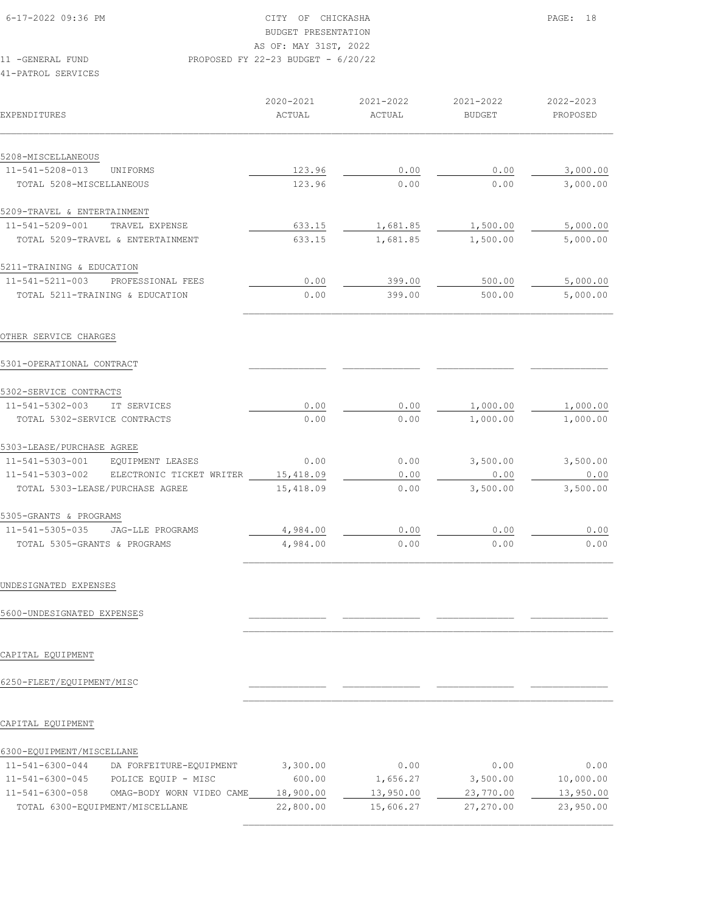AS OF: MAY 31ST, 2022

# BUDGET PRESENTATION

11 -GENERAL FUND PROPOSED FY 22-23 BUDGET - 6/20/22

#### 41-PATROL SERVICES

| EXPENDITURES                                       | 2020-2021<br>ACTUAL | 2021-2022<br>ACTUAL | 2021-2022<br><b>BUDGET</b> | 2022-2023<br>PROPOSED |
|----------------------------------------------------|---------------------|---------------------|----------------------------|-----------------------|
| 5208-MISCELLANEOUS                                 |                     |                     |                            |                       |
| $11 - 541 - 5208 - 013$<br><b>UNTFORMS</b>         | 123.96              | 0.00                | 0.00                       | 3,000.00              |
| TOTAL 5208-MISCELLANEOUS                           | 123.96              | 0.00                | 0.00                       | 3,000.00              |
| 5209-TRAVEL & ENTERTAINMENT                        |                     |                     |                            |                       |
| 11-541-5209-001<br>TRAVEL EXPENSE                  | 633.15              | 1,681.85            | 1,500.00                   | 5,000.00              |
| TOTAL 5209-TRAVEL & ENTERTAINMENT                  | 633.15              | 1,681.85            | 1,500.00                   | 5,000.00              |
| 5211-TRAINING & EDUCATION                          |                     |                     |                            |                       |
| 11-541-5211-003<br>PROFESSIONAL FEES               | 0.00                | 399.00              | 500.00                     | 5,000.00              |
| TOTAL 5211-TRAINING & EDUCATION                    | 0.00                | 399.00              | 500.00                     | 5,000.00              |
| OTHER SERVICE CHARGES<br>5301-OPERATIONAL CONTRACT |                     |                     |                            |                       |
| 5302-SERVICE CONTRACTS                             |                     |                     |                            |                       |
| 11-541-5302-003<br><b>TT SERVICES</b>              | 0.00                | 0.00                | 1,000.00                   | 1,000.00              |
| TOTAL 5302-SERVICE CONTRACTS                       | 0.00                | 0.00                | 1,000.00                   | 1,000.00              |
| 5303-LEASE/PURCHASE AGREE                          |                     |                     |                            |                       |
| 11-541-5303-001<br>EQUIPMENT LEASES                | 0.00                | 0.00                | 3,500.00                   | 3,500.00              |
| 11-541-5303-002<br>ELECTRONIC TICKET WRITER        | 15,418.09           | 0.00                | 0.00                       | 0.00                  |
| TOTAL 5303-LEASE/PURCHASE AGREE                    | 15,418.09           | 0.00                | 3,500.00                   | 3,500.00              |
| 5305-GRANTS & PROGRAMS                             |                     |                     |                            |                       |
| 11-541-5305-035<br>JAG-LLE PROGRAMS                | 4,984.00            | 0.00                | 0.00                       | 0.00                  |
| TOTAL 5305-GRANTS & PROGRAMS                       | 4,984.00            | 0.00                | 0.00                       | 0.00                  |

#### UNDESIGNATED EXPENSES

## 5600-UNDESIGNATED EXPENSES

CAPITAL EQUIPMENT

## 6250-FLEET/EQUIPMENT/MISC \_\_\_\_\_\_\_\_\_\_\_\_\_\_ \_\_\_\_\_\_\_\_\_\_\_\_\_\_ \_\_\_\_\_\_\_\_\_\_\_\_\_\_ \_\_\_\_\_\_\_\_\_\_\_\_\_\_

#### CAPITAL EQUIPMENT

| 11-541-6300-044 | DA FORFEITURE-EQUIPMENT         | 3,300.00  | 0.00      | 0.00      | 0.00      |
|-----------------|---------------------------------|-----------|-----------|-----------|-----------|
| 11-541-6300-045 | POLICE EQUIP - MISC             | 600.00    | 1,656.27  | 3,500.00  | 10,000.00 |
| 11-541-6300-058 | OMAG-BODY WORN VIDEO CAME       | 18,900.00 | 13,950.00 | 23,770.00 | 13,950.00 |
|                 | TOTAL 6300-EOUIPMENT/MISCELLANE | 22,800.00 | 15,606.27 | 27,270.00 | 23,950.00 |
|                 |                                 |           |           |           |           |

 $\mathcal{L}_\text{max}$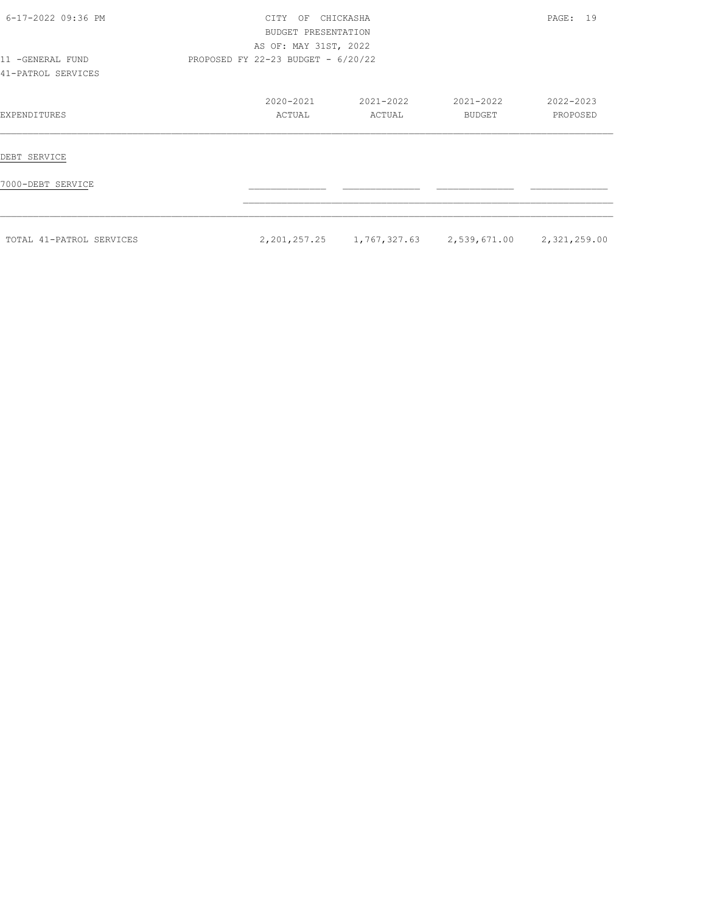| 6-17-2022 09:36 PM                     | CHICKASHA<br><b>CTTY</b><br>OF<br>BUDGET PRESENTATION<br>AS OF: MAY 31ST, 2022 | PAGE: 19            |                                                                 |                       |
|----------------------------------------|--------------------------------------------------------------------------------|---------------------|-----------------------------------------------------------------|-----------------------|
| 11 -GENERAL FUND<br>41-PATROL SERVICES | PROPOSED FY 22-23 BUDGET - $6/20/22$                                           |                     |                                                                 |                       |
| EXPENDITURES                           | 2020-2021<br>ACTUAL                                                            | 2021-2022<br>ACTUAL | 2021-2022<br>BUDGET                                             | 2022-2023<br>PROPOSED |
| DEBT SERVICE                           |                                                                                |                     |                                                                 |                       |
| 7000-DEBT SERVICE                      |                                                                                |                     |                                                                 |                       |
| TOTAL 41-PATROL SERVICES               |                                                                                |                     | 2, 201, 257. 25 1, 767, 327. 63 2, 539, 671. 00 2, 321, 259. 00 |                       |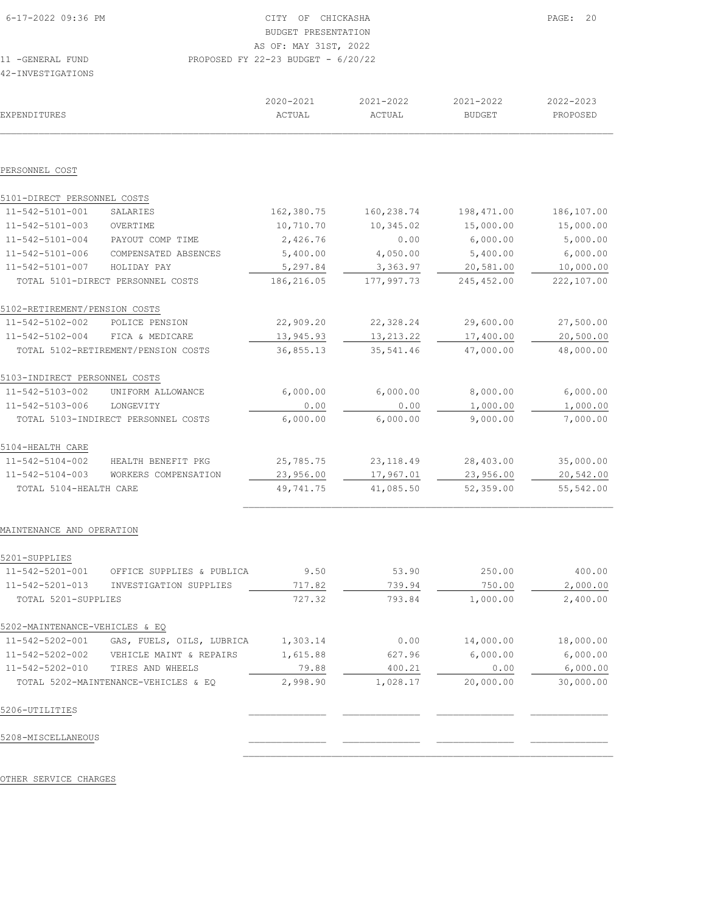| 6-17-2022 09:36 PM | CITY OF CHICKASHA                    | PAGE: 20 |
|--------------------|--------------------------------------|----------|
|                    | BUDGET PRESENTATION                  |          |
|                    | AS OF: MAY 31ST, 2022                |          |
| 11 - GENERAL FUND  | PROPOSED FY 22-23 BUDGET - $6/20/22$ |          |
| 42-INVESTIGATIONS  |                                      |          |

| EXPENDITURES                   |                                      | 2020-2021<br>ACTUAL | 2021-2022<br>ACTUAL | 2021-2022<br><b>BUDGET</b> | 2022-2023<br>PROPOSED |
|--------------------------------|--------------------------------------|---------------------|---------------------|----------------------------|-----------------------|
| PERSONNEL COST                 |                                      |                     |                     |                            |                       |
| 5101-DIRECT PERSONNEL COSTS    |                                      |                     |                     |                            |                       |
| 11-542-5101-001                | SALARIES                             | 162,380.75          | 160,238.74          | 198,471.00                 | 186,107.00            |
| 11-542-5101-003                | OVERTIME                             | 10,710.70           | 10,345.02           | 15,000.00                  | 15,000.00             |
| $11 - 542 - 5101 - 004$        | PAYOUT COMP TIME                     | 2,426.76            | 0.00                | 6,000.00                   | 5,000.00              |
| 11-542-5101-006                | COMPENSATED ABSENCES                 | 5,400.00            | 4,050.00            | 5,400.00                   | 6,000.00              |
| 11-542-5101-007                | HOLIDAY PAY                          | 5,297.84            | 3,363.97            | 20,581.00                  | 10,000.00             |
|                                | TOTAL 5101-DIRECT PERSONNEL COSTS    | 186,216.05          | 177,997.73          | 245,452.00                 | 222,107.00            |
| 5102-RETIREMENT/PENSION COSTS  |                                      |                     |                     |                            |                       |
| 11-542-5102-002                | POLICE PENSION                       | 22,909.20           | 22,328.24           | 29,600.00                  | 27,500.00             |
| 11-542-5102-004                | FICA & MEDICARE                      | 13,945.93           | 13, 213. 22         | 17,400.00                  | 20,500.00             |
|                                | TOTAL 5102-RETIREMENT/PENSION COSTS  | 36,855.13           | 35,541.46           | 47,000.00                  | 48,000.00             |
| 5103-INDIRECT PERSONNEL COSTS  |                                      |                     |                     |                            |                       |
| 11-542-5103-002                | UNIFORM ALLOWANCE                    | 6,000.00            | 6,000.00            | 8,000.00                   | 6,000.00              |
| 11-542-5103-006                | LONGEVITY                            | 0.00                | 0.00                | 1,000.00                   | 1,000.00              |
|                                | TOTAL 5103-INDIRECT PERSONNEL COSTS  | 6,000.00            | 6,000.00            | 9,000.00                   | 7,000.00              |
| 5104-HEALTH CARE               |                                      |                     |                     |                            |                       |
| 11-542-5104-002                | HEALTH BENEFIT PKG                   | 25,785.75           | 23, 118.49          | 28,403.00                  | 35,000.00             |
| 11-542-5104-003                | WORKERS COMPENSATION                 | 23,956.00           | 17,967.01           | 23,956.00                  | 20,542.00             |
| TOTAL 5104-HEALTH CARE         |                                      | 49,741.75           | 41,085.50           | 52,359.00                  | 55,542.00             |
| MAINTENANCE AND OPERATION      |                                      |                     |                     |                            |                       |
| 5201-SUPPLIES                  |                                      |                     |                     |                            |                       |
| 11-542-5201-001                | OFFICE SUPPLIES & PUBLICA            | 9.50                | 53.90               | 250.00                     | 400.00                |
| 11-542-5201-013                | INVESTIGATION SUPPLIES               | 717.82              | 739.94              | 750.00                     | 2,000.00              |
| TOTAL 5201-SUPPLIES            |                                      | 727.32              | 793.84              | 1,000.00                   | 2,400.00              |
| 5202-MAINTENANCE-VEHICLES & EQ |                                      |                     |                     |                            |                       |
| 11-542-5202-001                | GAS, FUELS, OILS, LUBRICA            | 1,303.14            | 0.00                | 14,000.00                  | 18,000.00             |
| 11-542-5202-002                | VEHICLE MAINT & REPAIRS              | 1,615.88            | 627.96              | 6,000.00                   | 6,000.00              |
| 11-542-5202-010                | TIRES AND WHEELS                     | 79.88               | 400.21              | 0.00                       | 6,000.00              |
|                                | TOTAL 5202-MAINTENANCE-VEHICLES & EQ | 2,998.90            | 1,028.17            | 20,000.00                  | 30,000.00             |

 $\mathcal{L}_\text{max}$ 

## 5206-UTILITIES \_\_\_\_\_\_\_\_\_\_\_\_\_\_ \_\_\_\_\_\_\_\_\_\_\_\_\_\_ \_\_\_\_\_\_\_\_\_\_\_\_\_\_ \_\_\_\_\_\_\_\_\_\_\_\_\_\_

5208-MISCELLANEOUS \_\_\_\_\_\_\_\_\_\_\_\_\_\_ \_\_\_\_\_\_\_\_\_\_\_\_\_\_ \_\_\_\_\_\_\_\_\_\_\_\_\_\_ \_\_\_\_\_\_\_\_\_\_\_\_\_\_

OTHER SERVICE CHARGES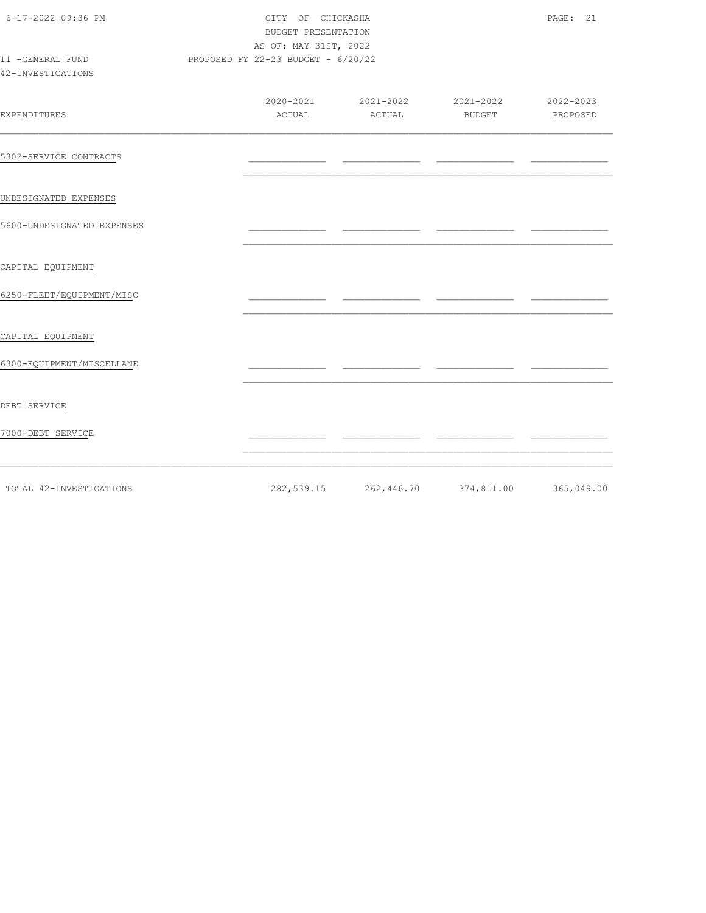| 6-17-2022 09:36 PM                    | PAGE: 21<br>CITY OF CHICKASHA<br>BUDGET PRESENTATION<br>AS OF: MAY 31ST, 2022 |                                    |        |                                                   |          |
|---------------------------------------|-------------------------------------------------------------------------------|------------------------------------|--------|---------------------------------------------------|----------|
| 11 -GENERAL FUND<br>42-INVESTIGATIONS |                                                                               | PROPOSED FY 22-23 BUDGET - 6/20/22 |        |                                                   |          |
| EXPENDITURES                          |                                                                               | ACTUAL                             | ACTUAL | 2020-2021 2021-2022 2021-2022 2020-2023<br>BUDGET | PROPOSED |
| 5302-SERVICE CONTRACTS                |                                                                               |                                    |        |                                                   |          |
| UNDESIGNATED EXPENSES                 |                                                                               |                                    |        |                                                   |          |
| 5600-UNDESIGNATED EXPENSES            |                                                                               |                                    |        |                                                   |          |
| CAPITAL EQUIPMENT                     |                                                                               |                                    |        |                                                   |          |
| 6250-FLEET/EQUIPMENT/MISC             |                                                                               |                                    |        |                                                   |          |
| CAPITAL EQUIPMENT                     |                                                                               |                                    |        |                                                   |          |
| 6300-EQUIPMENT/MISCELLANE             |                                                                               |                                    |        |                                                   |          |
| DEBT SERVICE                          |                                                                               |                                    |        |                                                   |          |
| 7000-DEBT SERVICE                     |                                                                               |                                    |        |                                                   |          |
| TOTAL 42-INVESTIGATIONS               |                                                                               |                                    |        | 282,539.15 262,446.70 374,811.00 365,049.00       |          |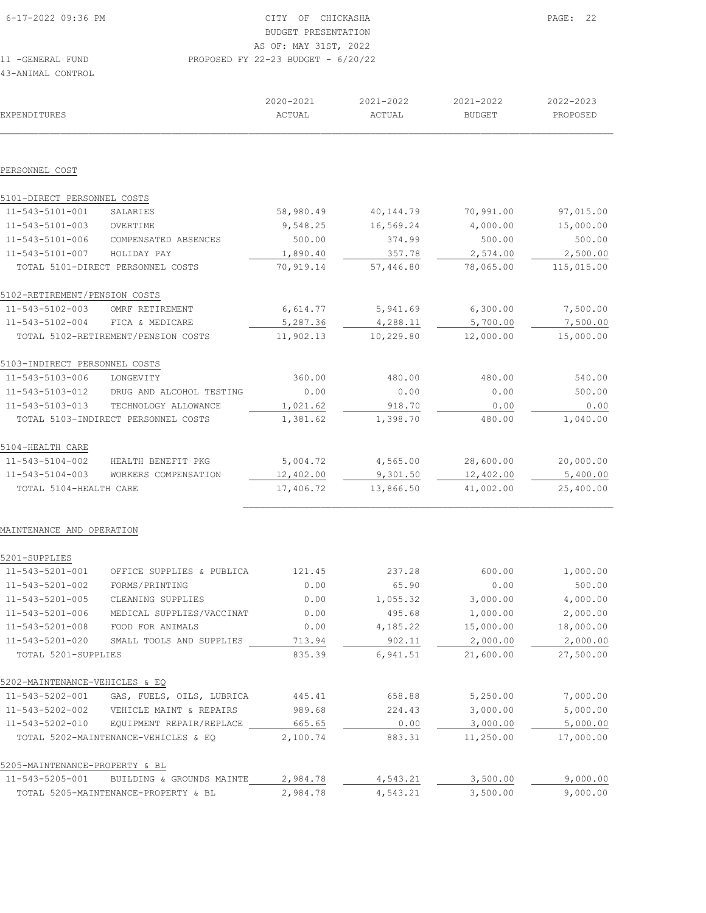| 6-17-2022 09:36 PM | CITY OF CHICKASHA                    | 22<br>PAGE: |
|--------------------|--------------------------------------|-------------|
|                    | BUDGET PRESENTATION                  |             |
|                    | AS OF: MAY 31ST, 2022                |             |
| 11 -GENERAL FUND   | PROPOSED FY 22-23 BUDGET - $6/20/22$ |             |
| 43-ANIMAL CONTROL  |                                      |             |

| EXPENDITURES                  |                                     | 2020-2021<br>ACTUAL | 2021-2022<br>ACTUAL | 2021-2022<br><b>BUDGET</b> | 2022-2023<br>PROPOSED |
|-------------------------------|-------------------------------------|---------------------|---------------------|----------------------------|-----------------------|
|                               |                                     |                     |                     |                            |                       |
|                               |                                     |                     |                     |                            |                       |
| PERSONNEL COST                |                                     |                     |                     |                            |                       |
| 5101-DIRECT PERSONNEL COSTS   |                                     |                     |                     |                            |                       |
| 11-543-5101-001               | SALARIES                            | 58,980.49           | 40, 144.79          | 70,991.00                  | 97,015.00             |
| 11-543-5101-003               | OVERTIME                            | 9,548.25            | 16,569.24           | 4,000.00                   | 15,000.00             |
| 11-543-5101-006               | COMPENSATED ABSENCES                | 500.00              | 374.99              | 500.00                     | 500.00                |
| 11-543-5101-007               | HOLIDAY PAY                         | 1,890.40            | 357.78              | 2,574.00                   | 2,500.00              |
|                               | TOTAL 5101-DIRECT PERSONNEL COSTS   | 70,919.14           | 57,446.80           | 78,065.00                  | 115,015.00            |
| 5102-RETIREMENT/PENSION COSTS |                                     |                     |                     |                            |                       |
| 11-543-5102-003               | OMRF RETIREMENT                     | 6,614.77            | 5,941.69            | 6,300.00                   | 7,500.00              |
| 11-543-5102-004               | FICA & MEDICARE                     | 5,287.36            | 4,288.11            | 5,700.00                   | 7,500.00              |
|                               | TOTAL 5102-RETIREMENT/PENSION COSTS | 11,902.13           | 10,229.80           | 12,000.00                  | 15,000.00             |
| 5103-INDIRECT PERSONNEL COSTS |                                     |                     |                     |                            |                       |
| 11-543-5103-006               | LONGEVITY                           | 360.00              | 480.00              | 480.00                     | 540.00                |
| 11-543-5103-012               | DRUG AND ALCOHOL TESTING            | 0.00                | 0.00                | 0.00                       | 500.00                |
| 11-543-5103-013               | TECHNOLOGY ALLOWANCE                | 1,021.62            | 918.70              | 0.00                       | 0.00                  |
|                               | TOTAL 5103-INDIRECT PERSONNEL COSTS | 1,381.62            | 1,398.70            | 480.00                     | 1,040.00              |
| 5104-HEALTH CARE              |                                     |                     |                     |                            |                       |
| 11-543-5104-002               | HEALTH BENEFIT PKG                  | 5,004.72            | 4,565.00            | 28,600.00                  | 20,000.00             |
| 11-543-5104-003               | WORKERS COMPENSATION                | 12,402.00           | 9,301.50            | 12,402.00                  | 5,400.00              |
| TOTAL 5104-HEALTH CARE        |                                     | 17,406.72           | 13,866.50           | 41,002.00                  | 25,400.00             |
|                               |                                     |                     |                     |                            |                       |

#### MAINTENANCE AND OPERATION

| 5201-SUPPLIES                  |                                      |          |          |           |           |
|--------------------------------|--------------------------------------|----------|----------|-----------|-----------|
| 11-543-5201-001                | OFFICE SUPPLIES & PUBLICA            | 121.45   | 237.28   | 600.00    | 1,000.00  |
| 11-543-5201-002                | FORMS/PRINTING                       | 0.00     | 65.90    | 0.00      | 500.00    |
| 11-543-5201-005                | CLEANING SUPPLIES                    | 0.00     | 1,055.32 | 3,000.00  | 4,000.00  |
| 11-543-5201-006                | MEDICAL SUPPLIES/VACCINAT            | 0.00     | 495.68   | 1,000.00  | 2,000.00  |
| 11-543-5201-008                | FOOD FOR ANIMALS                     | 0.00     | 4,185.22 | 15,000.00 | 18,000.00 |
| 11-543-5201-020                | SMALL TOOLS AND SUPPLIES             | 713.94   | 902.11   | 2,000.00  | 2,000.00  |
| TOTAL 5201-SUPPLIES            |                                      | 835.39   | 6,941.51 | 21,600.00 | 27,500.00 |
| 5202-MAINTENANCE-VEHICLES & EQ |                                      |          |          |           |           |
| 11-543-5202-001                | GAS, FUELS, OILS, LUBRICA            | 445.41   | 658.88   | 5,250.00  | 7,000.00  |
| 11-543-5202-002                | VEHICLE MAINT & REPAIRS              | 989.68   | 224.43   | 3,000.00  | 5,000.00  |
| 11-543-5202-010                | EQUIPMENT REPAIR/REPLACE             | 665.65   | 0.00     | 3,000.00  | 5,000.00  |
|                                | TOTAL 5202-MAINTENANCE-VEHICLES & EO | 2,100.74 | 883.31   | 11,250.00 | 17,000.00 |
| 5205-MAINTENANCE-PROPERTY & BL |                                      |          |          |           |           |
| 11-543-5205-001                | BUILDING<br>GROUNDS MAINTE<br>ିଧ     | 2,984.78 | 4,543.21 | 3,500.00  | 9,000.00  |
|                                | TOTAL 5205-MAINTENANCE-PROPERTY & BL | 2,984.78 | 4,543.21 | 3,500.00  | 9,000.00  |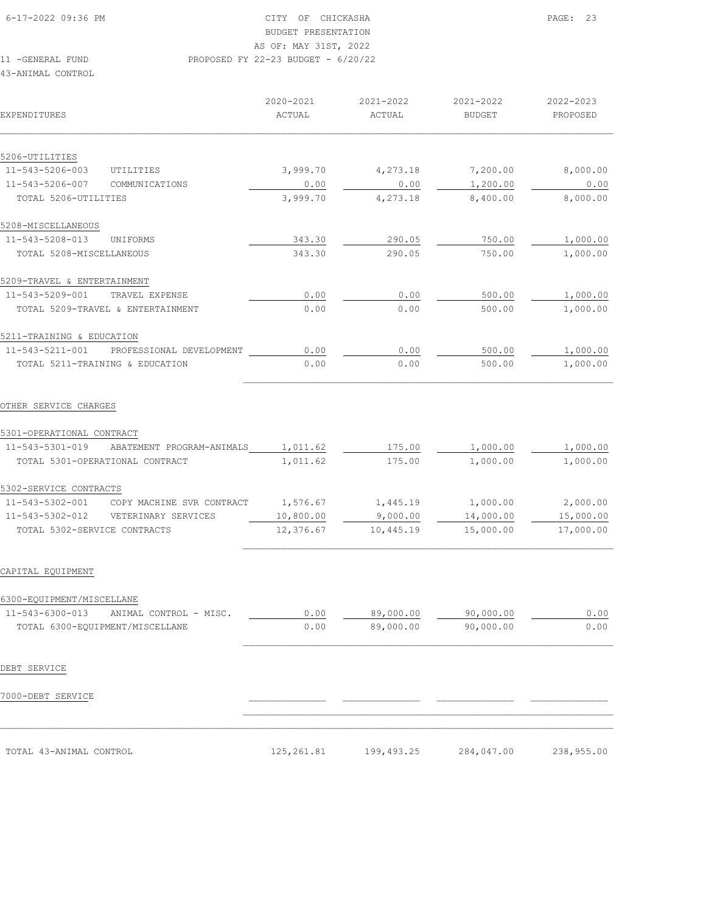11 -GENERAL FUND PROPOSED FY 22-23 BUDGET - 6/20/22

#### 43-ANIMAL CONTROL

| EXPENDITURES                                                           | 2020-2021<br>ACTUAL    | 2021-2022<br>ACTUAL   | 2021-2022<br><b>BUDGET</b> | 2022-2023<br>PROPOSED  |
|------------------------------------------------------------------------|------------------------|-----------------------|----------------------------|------------------------|
|                                                                        |                        |                       |                            |                        |
| 5206-UTILITIES                                                         |                        |                       |                            |                        |
| 11-543-5206-003<br>UTILITIES                                           | 3,999.70               | 4,273.18              | 7,200.00                   | 8,000.00               |
| 11-543-5206-007<br>COMMUNICATIONS<br>TOTAL 5206-UTILITIES              | 0.00<br>3,999.70       | 0.00<br>4,273.18      | 1,200.00<br>8,400.00       | 0.00<br>8,000.00       |
| 5208-MISCELLANEOUS                                                     |                        |                       |                            |                        |
| 11-543-5208-013<br>UNIFORMS                                            | 343.30                 | 290.05                | 750.00                     | 1,000.00               |
| TOTAL 5208-MISCELLANEOUS                                               | 343.30                 | 290.05                | 750.00                     | 1,000.00               |
| 5209-TRAVEL & ENTERTAINMENT                                            |                        |                       |                            |                        |
| 11-543-5209-001<br>TRAVEL EXPENSE                                      | 0.00                   | 0.00                  | 500.00                     | 1,000.00               |
| TOTAL 5209-TRAVEL & ENTERTAINMENT                                      | 0.00                   | 0.00                  | 500.00                     | 1,000.00               |
| 5211-TRAINING & EDUCATION                                              |                        |                       |                            |                        |
| 11-543-5211-001 PROFESSIONAL DEVELOPMENT                               | 0.00                   | 0.00                  | 500.00                     | 1,000.00               |
| TOTAL 5211-TRAINING & EDUCATION                                        | 0.00                   | 0.00                  | 500.00                     | 1,000.00               |
| OTHER SERVICE CHARGES                                                  |                        |                       |                            |                        |
| 5301-OPERATIONAL CONTRACT                                              |                        |                       |                            |                        |
| 11-543-5301-019 ABATEMENT PROGRAM-ANIMALS                              | 1,011.62               | 175.00                | 1,000.00                   | 1,000.00               |
| TOTAL 5301-OPERATIONAL CONTRACT                                        | 1,011.62               | 175.00                | 1,000.00                   | 1,000.00               |
| 5302-SERVICE CONTRACTS                                                 |                        |                       |                            |                        |
| 11-543-5302-001<br>COPY MACHINE SVR CONTRACT                           | 1,576.67               | 1,445.19              | 1,000.00                   | 2,000.00               |
| 11-543-5302-012<br>VETERINARY SERVICES<br>TOTAL 5302-SERVICE CONTRACTS | 10,800.00<br>12,376.67 | 9,000.00<br>10,445.19 | 14,000.00<br>15,000.00     | 15,000.00<br>17,000.00 |
| CAPITAL EQUIPMENT                                                      |                        |                       |                            |                        |
| 6300-EOUIPMENT/MISCELLANE                                              |                        |                       |                            |                        |
| 11-543-6300-013<br>ANIMAL CONTROL - MISC.                              | 0.00                   | 89,000.00             | 90,000.00                  | 0.00                   |
| TOTAL 6300-EQUIPMENT/MISCELLANE                                        | 0.00                   | 89,000.00             | 90,000.00                  | 0.00                   |
| DEBT SERVICE                                                           |                        |                       |                            |                        |
| 7000-DEBT SERVICE                                                      |                        |                       |                            |                        |
| TOTAL 43-ANIMAL CONTROL                                                | 125, 261.81            | 199, 493.25           | 284,047.00                 | 238,955.00             |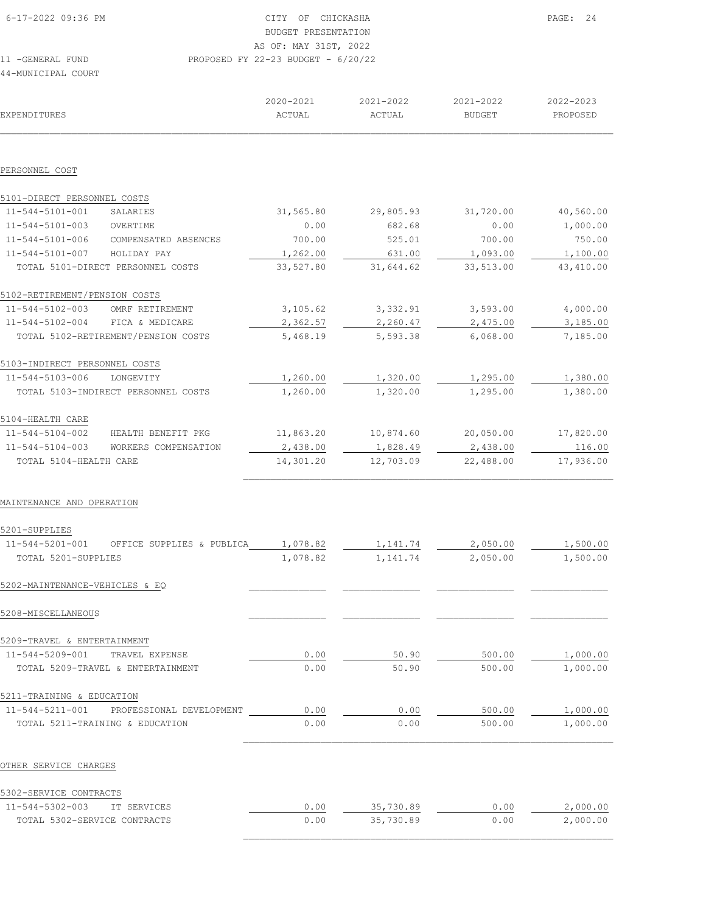| 6-17-2022 09:36 PM          | CITY OF CHICKASHA                    |           |               | PAGE: 24  |
|-----------------------------|--------------------------------------|-----------|---------------|-----------|
|                             | BUDGET PRESENTATION                  |           |               |           |
|                             | AS OF: MAY 31ST, 2022                |           |               |           |
| 11 - GENERAL FUND           | PROPOSED FY 22-23 BUDGET - $6/20/22$ |           |               |           |
| 44-MUNICIPAL COURT          |                                      |           |               |           |
|                             | 2020-2021                            | 2021-2022 | 2021-2022     | 2022-2023 |
| EXPENDITURES                | ACTUAL                               | ACTUAL    | <b>BUDGET</b> | PROPOSED  |
|                             |                                      |           |               |           |
| PERSONNEL COST              |                                      |           |               |           |
| 5101-DIRECT PERSONNEL COSTS |                                      |           |               |           |

| $11 - 544 - 5101 - 001$       | SALARIES                            | 31,565.80 | 29,805.93 | 31,720.00 | 40,560.00 |
|-------------------------------|-------------------------------------|-----------|-----------|-----------|-----------|
| 11-544-5101-003               | OVERTIME                            | 0.00      | 682.68    | 0.00      | 1,000.00  |
| 11-544-5101-006               | COMPENSATED ABSENCES                | 700.00    | 525.01    | 700.00    | 750.00    |
| 11-544-5101-007               | HOLIDAY PAY                         | 1,262.00  | 631.00    | 1,093.00  | 1,100.00  |
|                               | TOTAL 5101-DIRECT PERSONNEL COSTS   | 33,527.80 | 31,644.62 | 33,513.00 | 43,410.00 |
| 5102-RETIREMENT/PENSION COSTS |                                     |           |           |           |           |
| 11-544-5102-003               | OMRF RETIREMENT                     | 3,105.62  | 3,332.91  | 3,593.00  | 4,000.00  |
| 11-544-5102-004               | FICA & MEDICARE                     | 2,362.57  | 2,260.47  | 2,475.00  | 3,185.00  |
|                               | TOTAL 5102-RETIREMENT/PENSION COSTS | 5,468.19  | 5,593.38  | 6,068.00  | 7,185.00  |
| 5103-INDIRECT PERSONNEL COSTS |                                     |           |           |           |           |
| 11-544-5103-006               | LONGEVITY                           | 1,260.00  | 1,320.00  | 1,295.00  | 1,380.00  |
|                               | TOTAL 5103-INDIRECT PERSONNEL COSTS | 1,260.00  | 1,320.00  | 1,295.00  | 1,380.00  |
| 5104-HEALTH CARE              |                                     |           |           |           |           |
| 11-544-5104-002               | HEALTH BENEFIT PKG                  | 11,863.20 | 10,874.60 | 20,050.00 | 17,820.00 |
| 11-544-5104-003               | WORKERS<br>COMPENSATION             | 2,438.00  | 1,828.49  | 2,438.00  | 116.00    |
| TOTAL 5104-HEALTH CARE        |                                     | 14,301.20 | 12,703.09 | 22,488.00 | 17,936.00 |
|                               |                                     |           |           |           |           |

 $\mathcal{L}_\text{max}$ 

#### MAINTENANCE AND OPERATION

| OFFICE SUPPLIES & PUBLICA         | 1,078.82 | 1,141.74 | 2,050.00 | 1,500.00 |
|-----------------------------------|----------|----------|----------|----------|
| TOTAL 5201-SUPPLIES               | 1,078.82 | 1,141.74 | 2,050.00 | 1,500.00 |
| 5202-MAINTENANCE-VEHICLES & EO    |          |          |          |          |
|                                   |          |          |          |          |
| 5209-TRAVEL & ENTERTAINMENT       |          |          |          |          |
| TRAVEL EXPENSE                    | 0.00     | 50.90    | 500.00   | 1,000.00 |
| TOTAL 5209-TRAVEL & ENTERTAINMENT | 0.00     | 50.90    | 500.00   | 1,000.00 |
| 5211-TRAINING & EDUCATION         |          |          |          |          |
| PROFESSIONAL DEVELOPMENT          | 0.00     | 0.00     | 500.00   | 1,000.00 |
| TOTAL 5211-TRAINING & EDUCATION   | 0.00     | 0.00     | 500.00   | 1,000.00 |
|                                   |          |          |          |          |

#### OTHER SERVICE CHARGES

| 5302-SERVICE CONTRACTS                 |      |           |      |          |
|----------------------------------------|------|-----------|------|----------|
| $11 - 544 - 5302 - 003$<br>TT SERVICES | 0.00 | 35,730.89 | 0.00 | 2,000.00 |
| TOTAL 5302-SERVICE CONTRACTS           | 0.00 | 35,730.89 | 0.00 | 2,000.00 |
|                                        |      |           |      |          |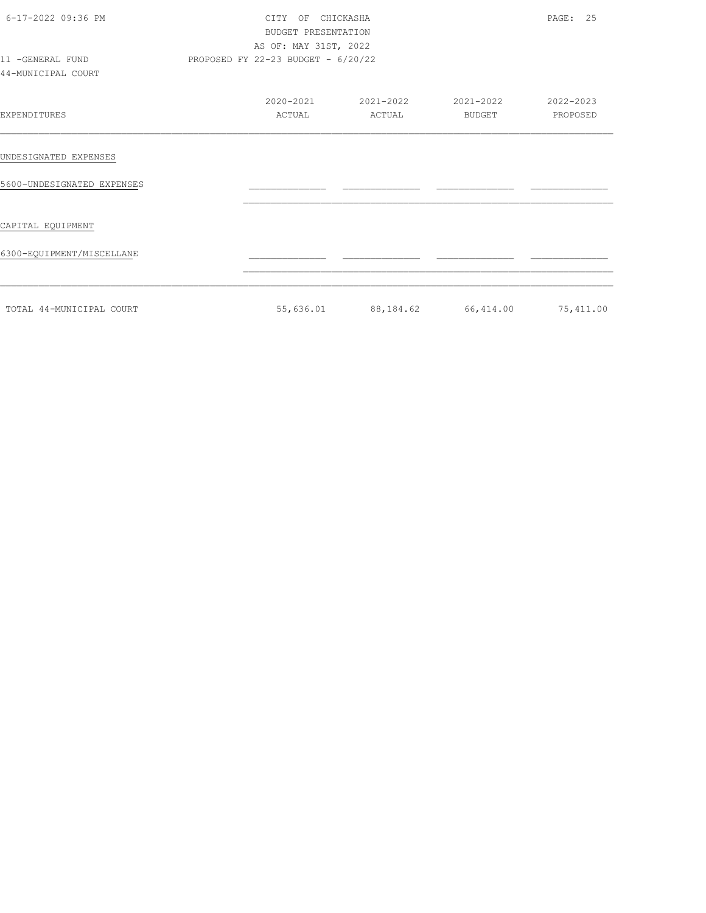| 6-17-2022 09:36 PM<br>11 -GENERAL FUND | CITY OF CHICKASHA<br>BUDGET PRESENTATION<br>AS OF: MAY 31ST, 2022<br>PROPOSED FY 22-23 BUDGET - 6/20/22 |        |                               | PAGE: 25              |
|----------------------------------------|---------------------------------------------------------------------------------------------------------|--------|-------------------------------|-----------------------|
| 44-MUNICIPAL COURT                     |                                                                                                         |        |                               |                       |
| EXPENDITURES                           | 2020-2021<br>ACTUAL                                                                                     | ACTUAL | 2021-2022 2021-2022<br>BUDGET | 2022-2023<br>PROPOSED |
| UNDESIGNATED EXPENSES                  |                                                                                                         |        |                               |                       |
| 5600-UNDESIGNATED EXPENSES             |                                                                                                         |        |                               |                       |
| CAPITAL EQUIPMENT                      |                                                                                                         |        |                               |                       |
| 6300-EQUIPMENT/MISCELLANE              |                                                                                                         |        |                               |                       |
| TOTAL 44-MUNICIPAL COURT               | 55,636.01                                                                                               |        | 88,184.62 66,414.00 75,411.00 |                       |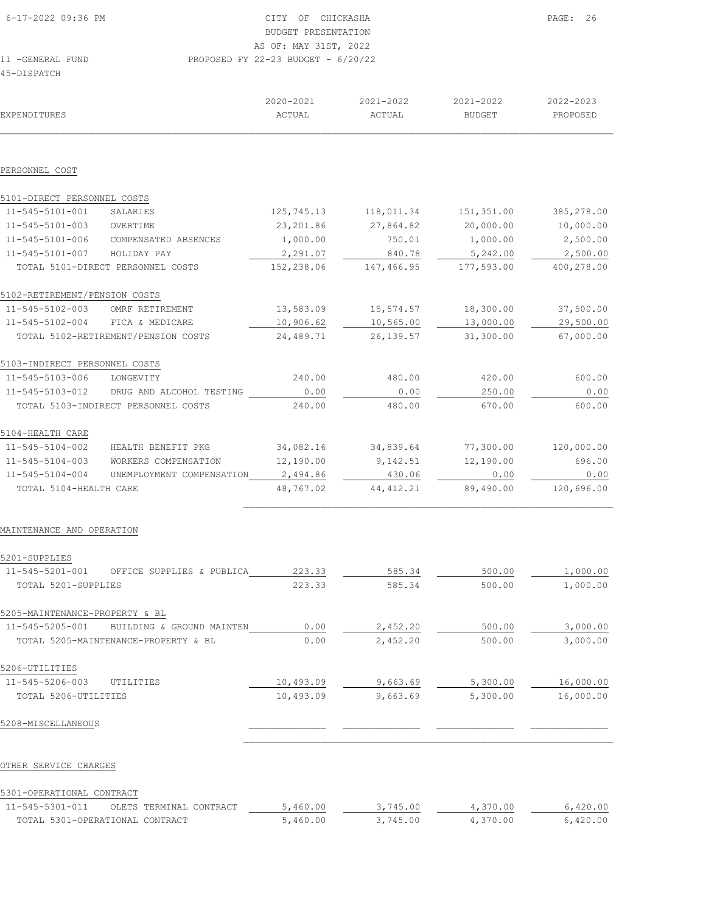| DISPATCH |  |  |  |
|----------|--|--|--|
|          |  |  |  |
|          |  |  |  |
|          |  |  |  |

|                                |                                      | 2020-2021  | 2021-2022  | 2021-2022     | 2022-2023  |
|--------------------------------|--------------------------------------|------------|------------|---------------|------------|
| EXPENDITURES                   |                                      | ACTUAL     | ACTUAL     | <b>BUDGET</b> | PROPOSED   |
|                                |                                      |            |            |               |            |
| PERSONNEL COST                 |                                      |            |            |               |            |
| 5101-DIRECT PERSONNEL COSTS    |                                      |            |            |               |            |
| 11-545-5101-001                | SALARIES                             | 125,745.13 | 118,011.34 | 151,351.00    | 385,278.00 |
| 11-545-5101-003                | OVERTIME                             | 23,201.86  | 27,864.82  | 20,000.00     | 10,000.00  |
| 11-545-5101-006                | COMPENSATED ABSENCES                 | 1,000.00   | 750.01     | 1,000.00      | 2,500.00   |
| 11-545-5101-007                | HOLIDAY PAY                          | 2,291.07   | 840.78     | 5,242.00      | 2,500.00   |
|                                | TOTAL 5101-DIRECT PERSONNEL COSTS    | 152,238.06 | 147,466.95 | 177,593.00    | 400,278.00 |
| 5102-RETIREMENT/PENSION COSTS  |                                      |            |            |               |            |
| 11-545-5102-003                | OMRF RETIREMENT                      | 13,583.09  | 15,574.57  | 18,300.00     | 37,500.00  |
|                                | 11-545-5102-004 FICA & MEDICARE      | 10,906.62  | 10,565.00  | 13,000.00     | 29,500.00  |
|                                | TOTAL 5102-RETIREMENT/PENSION COSTS  | 24,489.71  | 26, 139.57 | 31,300.00     | 67,000.00  |
| 5103-INDIRECT PERSONNEL COSTS  |                                      |            |            |               |            |
| 11-545-5103-006                | LONGEVITY                            | 240.00     | 480.00     | 420.00        | 600.00     |
| 11-545-5103-012                | DRUG AND ALCOHOL TESTING             | 0.00       | 0.00       | 250.00        | 0.00       |
|                                | TOTAL 5103-INDIRECT PERSONNEL COSTS  | 240.00     | 480.00     | 670.00        | 600.00     |
| 5104-HEALTH CARE               |                                      |            |            |               |            |
| 11-545-5104-002                | HEALTH BENEFIT PKG                   | 34,082.16  | 34,839.64  | 77,300.00     | 120,000.00 |
| 11-545-5104-003                | WORKERS COMPENSATION                 | 12,190.00  | 9,142.51   | 12,190.00     | 696.00     |
| 11-545-5104-004                | UNEMPLOYMENT COMPENSATION            | 2,494.86   | 430.06     | 0.00          | 0.00       |
| TOTAL 5104-HEALTH CARE         |                                      | 48,767.02  | 44, 412.21 | 89,490.00     | 120,696.00 |
| MAINTENANCE AND OPERATION      |                                      |            |            |               |            |
|                                |                                      |            |            |               |            |
| 5201-SUPPLIES                  |                                      |            |            |               |            |
| 11-545-5201-001                | OFFICE SUPPLIES & PUBLICA            | 223.33     | 585.34     | 500.00        | 1,000.00   |
| TOTAL 5201-SUPPLIES            |                                      | 223.33     | 585.34     | 500.00        | 1,000.00   |
| 5205-MAINTENANCE-PROPERTY & BL |                                      |            |            |               |            |
| 11-545-5205-001                | BUILDING & GROUND MAINTEN            | 0.00       | 2,452.20   | 500.00        | 3,000.00   |
|                                | TOTAL 5205-MAINTENANCE-PROPERTY & BL | 0.00       | 2,452.20   | 500.00        | 3,000.00   |
| 5206-UTILITIES                 |                                      |            |            |               |            |
| 11-545-5206-003                | UTILITIES                            | 10,493.09  | 9,663.69   | 5,300.00      | 16,000.00  |
| TOTAL 5206-UTILITIES           |                                      | 10,493.09  | 9,663.69   | 5,300.00      | 16,000.00  |
| 5208-MISCELLANEOUS             |                                      |            |            |               |            |
|                                |                                      |            |            |               |            |
| OTHER SERVICE CHARGES          |                                      |            |            |               |            |
|                                |                                      |            |            |               |            |

## 5301-OPERATIONAL CONTRACT

| $11 - 545 - 5301 - 011$         | OLETS TERMINAL CONTRACT | 5,460.00 | 3,745.00 | 4,370.00 | 6,420.00 |
|---------------------------------|-------------------------|----------|----------|----------|----------|
| TOTAL 5301-OPERATIONAL CONTRACT |                         | 5,460.00 | 3,745.00 | 4,370.00 | 6,420.00 |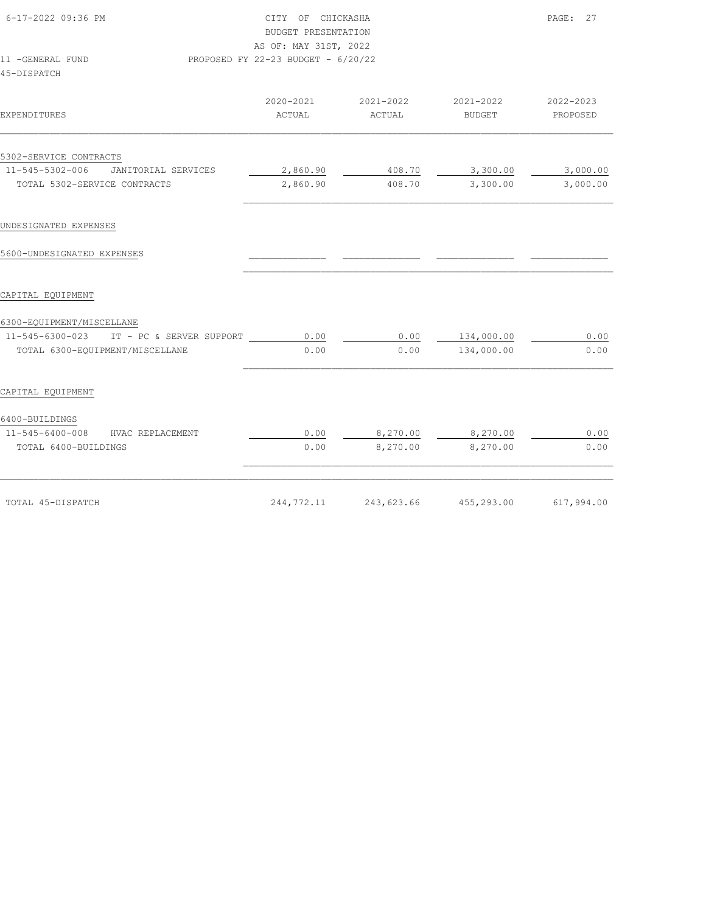| 6-17-2022 09:36 PM<br>11 -GENERAL FUND   | CITY OF CHICKASHA<br>BUDGET PRESENTATION<br>AS OF: MAY 31ST, 2022<br>PROPOSED FY 22-23 BUDGET - 6/20/22 |                       |                       | PAGE: 27              |
|------------------------------------------|---------------------------------------------------------------------------------------------------------|-----------------------|-----------------------|-----------------------|
| 45-DISPATCH                              |                                                                                                         |                       |                       |                       |
| EXPENDITURES                             | 2020-2021<br>ACTUAL                                                                                     | 2021-2022<br>ACTUAL   | 2021-2022<br>BUDGET   | 2022-2023<br>PROPOSED |
| 5302-SERVICE CONTRACTS                   |                                                                                                         |                       |                       |                       |
| 11-545-5302-006 JANITORIAL SERVICES      | 2,860.90                                                                                                | 408.70                | $3,300.00$ $3,000.00$ |                       |
| TOTAL 5302-SERVICE CONTRACTS             | 2,860.90                                                                                                | 408.70                | 3,300.00              | 3,000.00              |
| UNDESIGNATED EXPENSES                    |                                                                                                         |                       |                       |                       |
| 5600-UNDESIGNATED EXPENSES               |                                                                                                         |                       |                       |                       |
| CAPITAL EQUIPMENT                        |                                                                                                         |                       |                       |                       |
|                                          |                                                                                                         |                       |                       |                       |
| 6300-EQUIPMENT/MISCELLANE                |                                                                                                         |                       |                       |                       |
| 11-545-6300-023 IT - PC & SERVER SUPPORT | 0.00                                                                                                    | 0.00                  | 134,000.00            | 0.00                  |
| TOTAL 6300-EQUIPMENT/MISCELLANE          | 0.00                                                                                                    | 0.00                  | 134,000.00            | 0.00                  |
| CAPITAL EQUIPMENT                        |                                                                                                         |                       |                       |                       |
| 6400-BUILDINGS                           |                                                                                                         |                       |                       |                       |
| 11-545-6400-008 HVAC REPLACEMENT         | 0.00                                                                                                    | 8,270.00              | 8,270.00              | 0.00                  |
| TOTAL 6400-BUILDINGS                     | 0.00                                                                                                    | 8,270.00              | 8,270.00              | 0.00                  |
| TOTAL 45-DISPATCH                        |                                                                                                         | 244,772.11 243,623.66 | 455,293.00            | 617,994.00            |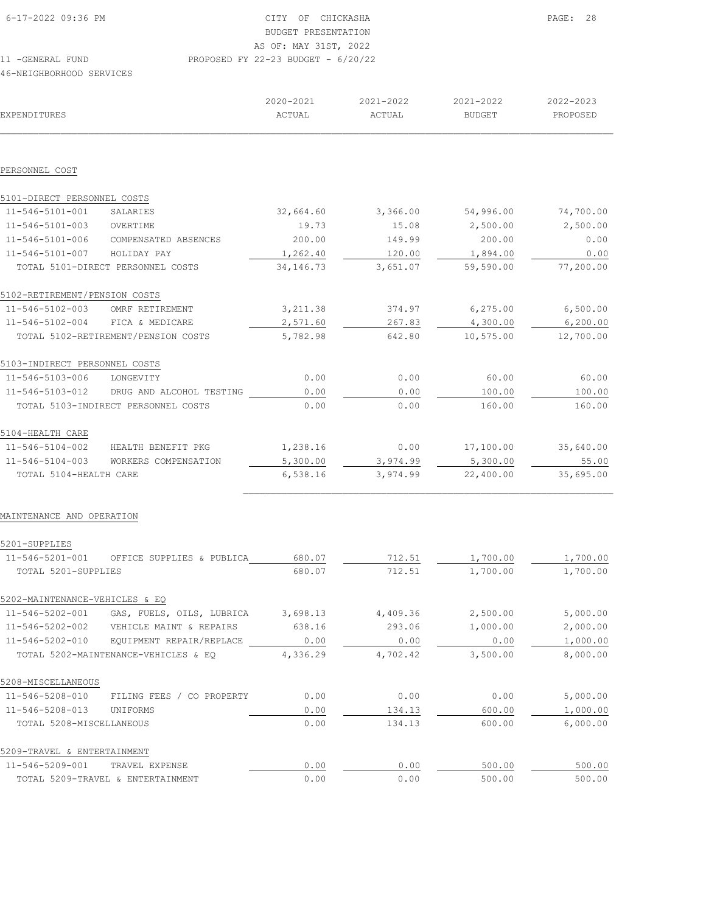| 6-17-2022 09:36 PM       | CTTY<br>OF                           | CHICKASHA |           | PAGE: 28      |  |
|--------------------------|--------------------------------------|-----------|-----------|---------------|--|
|                          | BUDGET PRESENTATION                  |           |           |               |  |
|                          | AS OF: MAY 31ST, 2022                |           |           |               |  |
| 11 -GENERAL FUND         | PROPOSED FY 22-23 BUDGET - $6/20/22$ |           |           |               |  |
| 46-NEIGHBORHOOD SERVICES |                                      |           |           |               |  |
|                          |                                      |           |           |               |  |
|                          | 2020-2021                            | 2021-2022 | 2021-2022 | $2022 - 2023$ |  |

| EXPENDITURES                   |                                           | ACTUAL      | ACTUAL   | BUDGET    | PROPOSED  |
|--------------------------------|-------------------------------------------|-------------|----------|-----------|-----------|
|                                |                                           |             |          |           |           |
| PERSONNEL COST                 |                                           |             |          |           |           |
| 5101-DIRECT PERSONNEL COSTS    |                                           |             |          |           |           |
| 11-546-5101-001                | SALARIES                                  | 32,664.60   | 3,366.00 | 54,996.00 | 74,700.00 |
| 11-546-5101-003                | OVERTIME                                  | 19.73       | 15.08    | 2,500.00  | 2,500.00  |
| 11-546-5101-006                | COMPENSATED ABSENCES                      | 200.00      | 149.99   | 200.00    | 0.00      |
| $11 - 546 - 5101 - 007$        | HOLIDAY PAY                               | 1,262.40    | 120.00   | 1,894.00  | 0.00      |
|                                | TOTAL 5101-DIRECT PERSONNEL COSTS         | 34, 146. 73 | 3,651.07 | 59,590.00 | 77,200.00 |
| 5102-RETIREMENT/PENSION COSTS  |                                           |             |          |           |           |
| 11-546-5102-003                | OMRF RETIREMENT                           | 3, 211.38   | 374.97   | 6, 275.00 | 6,500.00  |
| 11-546-5102-004                | FICA & MEDICARE                           | 2,571.60    | 267.83   | 4,300.00  | 6, 200.00 |
|                                | TOTAL 5102-RETIREMENT/PENSION COSTS       | 5,782.98    | 642.80   | 10,575.00 | 12,700.00 |
| 5103-INDIRECT PERSONNEL COSTS  |                                           |             |          |           |           |
| 11-546-5103-006                | LONGEVITY                                 | 0.00        | 0.00     | 60.00     | 60.00     |
| 11-546-5103-012                | DRUG AND ALCOHOL TESTING                  | 0.00        | 0.00     | 100.00    | 100.00    |
|                                | TOTAL 5103-INDIRECT PERSONNEL COSTS       | 0.00        | 0.00     | 160.00    | 160.00    |
| 5104-HEALTH CARE               |                                           |             |          |           |           |
| 11-546-5104-002                | HEALTH BENEFIT PKG                        | 1,238.16    | 0.00     | 17,100.00 | 35,640.00 |
| 11-546-5104-003                | WORKERS COMPENSATION                      | 5,300.00    | 3,974.99 | 5,300.00  | 55.00     |
| TOTAL 5104-HEALTH CARE         |                                           | 6,538.16    | 3,974.99 | 22,400.00 | 35,695.00 |
| MAINTENANCE AND OPERATION      |                                           |             |          |           |           |
| 5201-SUPPLIES                  |                                           |             |          |           |           |
| 11-546-5201-001                | OFFICE SUPPLIES & PUBLICA                 | 680.07      | 712.51   | 1,700.00  | 1,700.00  |
| TOTAL 5201-SUPPLIES            |                                           | 680.07      | 712.51   | 1,700.00  | 1,700.00  |
| 5202-MAINTENANCE-VEHICLES & EO |                                           |             |          |           |           |
| 11-546-5202-001                | GAS, FUELS, OILS, LUBRICA                 | 3,698.13    | 4,409.36 | 2,500.00  | 5,000.00  |
|                                | 11-546-5202-002 VEHICLE MAINT & REPAIRS   | 638.16      | 293.06   | 1,000.00  | 2,000.00  |
|                                | 11-546-5202-010 EQUIPMENT REPAIR/REPLACE  | 0.00        | 0.00     | 0.00      | 1,000.00  |
|                                | TOTAL 5202-MAINTENANCE-VEHICLES & EQ      | 4,336.29    | 4,702.42 | 3,500.00  | 8,000.00  |
| 5208-MISCELLANEOUS             |                                           |             |          |           |           |
|                                | 11-546-5208-010 FILING FEES / CO PROPERTY | 0.00        | 0.00     | 0.00      | 5,000.00  |
| 11-546-5208-013 UNIFORMS       |                                           | 0.00        | 134.13   | 600.00    | 1,000.00  |
| TOTAL 5208-MISCELLANEOUS       |                                           | 0.00        | 134.13   | 600.00    | 6,000.00  |
| 5209-TRAVEL & ENTERTAINMENT    |                                           |             |          |           |           |
| 11-546-5209-001 TRAVEL EXPENSE |                                           | 0.00        | 0.00     | 500.00    | 500.00    |
|                                | TOTAL 5209-TRAVEL & ENTERTAINMENT         | 0.00        | 0.00     | 500.00    | 500.00    |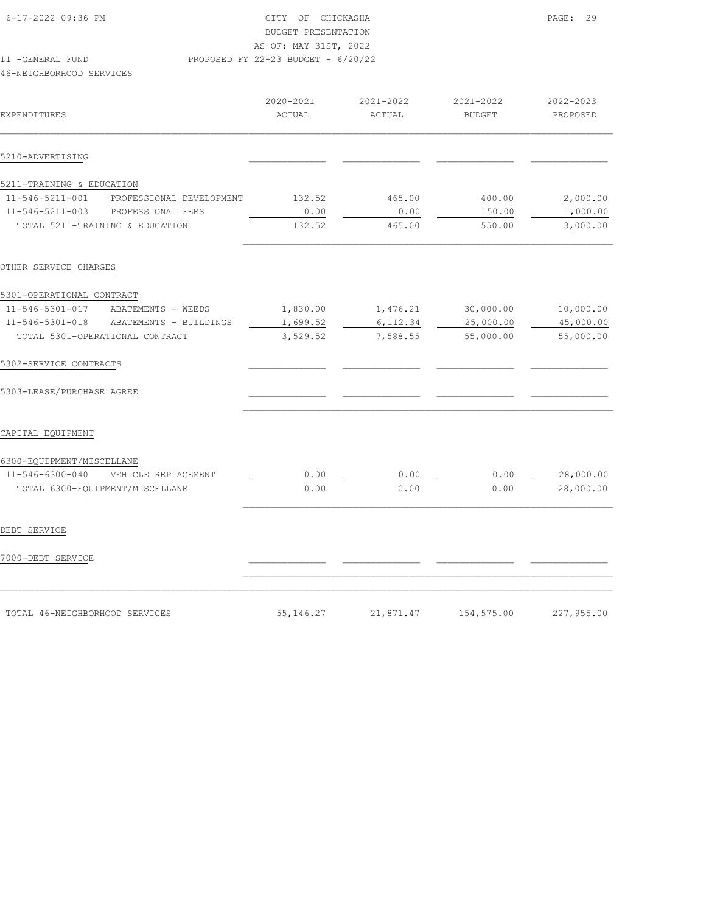| 6-17-2022 09:36 PM                              |                          | OF<br>CITY<br>BUDGET PRESENTATION  | CHICKASHA           |                            | 29<br>PAGE:           |
|-------------------------------------------------|--------------------------|------------------------------------|---------------------|----------------------------|-----------------------|
|                                                 |                          | AS OF: MAY 31ST, 2022              |                     |                            |                       |
| 11<br>-GENERAL FUND<br>46-NEIGHBORHOOD SERVICES |                          | PROPOSED FY 22-23 BUDGET - 6/20/22 |                     |                            |                       |
| <b>EXPENDITURES</b>                             |                          | 2020-2021<br>ACTUAL                | 2021-2022<br>ACTUAL | 2021-2022<br><b>BUDGET</b> | 2022-2023<br>PROPOSED |
| 5210-ADVERTISING                                |                          |                                    |                     |                            |                       |
| 5211-TRAINING & EDUCATION                       |                          |                                    |                     |                            |                       |
| $11 - 546 - 5211 - 001$                         | PROFESSIONAL DEVELOPMENT | 132.52                             | 465.00              | 400.00                     | 2,000.00              |
| $11 - 546 - 5211 - 003$                         | PROFESSIONAL FEES        | 0.00                               | 0.00                | 150.00                     | 1,000.00              |
| TOTAL 5211-TRAINING & EDUCATION                 |                          | 132.52                             | 465.00              | 550.00                     | 3,000.00              |

| OTHER SERVICE CHARGES                  |          |          |           |           |
|----------------------------------------|----------|----------|-----------|-----------|
| 5301-OPERATIONAL CONTRACT              |          |          |           |           |
| 11-546-5301-017<br>ABATEMENTS - WEEDS  | 1,830.00 | 1,476.21 | 30,000.00 | 10,000.00 |
| 11-546-5301-018 ABATEMENTS - BUILDINGS | 1,699.52 | 6,112.34 | 25,000.00 | 45,000.00 |
| TOTAL 5301-OPERATIONAL CONTRACT        | 3,529.52 | 7,588.55 | 55,000.00 | 55,000.00 |
| 5302-SERVICE CONTRACTS                 |          |          |           |           |
| 5303-LEASE/PURCHASE AGREE              |          |          |           |           |
| CAPITAL EQUIPMENT                      |          |          |           |           |
| 6300-EOUIPMENT/MISCELLANE              |          |          |           |           |
| 11-546-6300-040<br>VEHICLE REPLACEMENT | 0.00     | 0.00     | 0.00      | 28,000.00 |
| TOTAL 6300-EQUIPMENT/MISCELLANE        | 0.00     | 0.00     | 0.00      | 28,000.00 |
|                                        |          |          |           |           |
| DEBT SERVICE                           |          |          |           |           |
| 7000-DEBT SERVICE                      |          |          |           |           |
|                                        |          |          |           |           |
|                                        |          |          |           |           |

 TOTAL 5211-TRAINING & EDUCATION 132.52 465.00 550.00 3,000.00  $\mathcal{L}_\text{max}$ 

| TOTAL 46-NEIGHBORHOOD SERVICES | 55, 146.27 | 21,871.47 | 154,575.00 | 227,955.00 |
|--------------------------------|------------|-----------|------------|------------|
|--------------------------------|------------|-----------|------------|------------|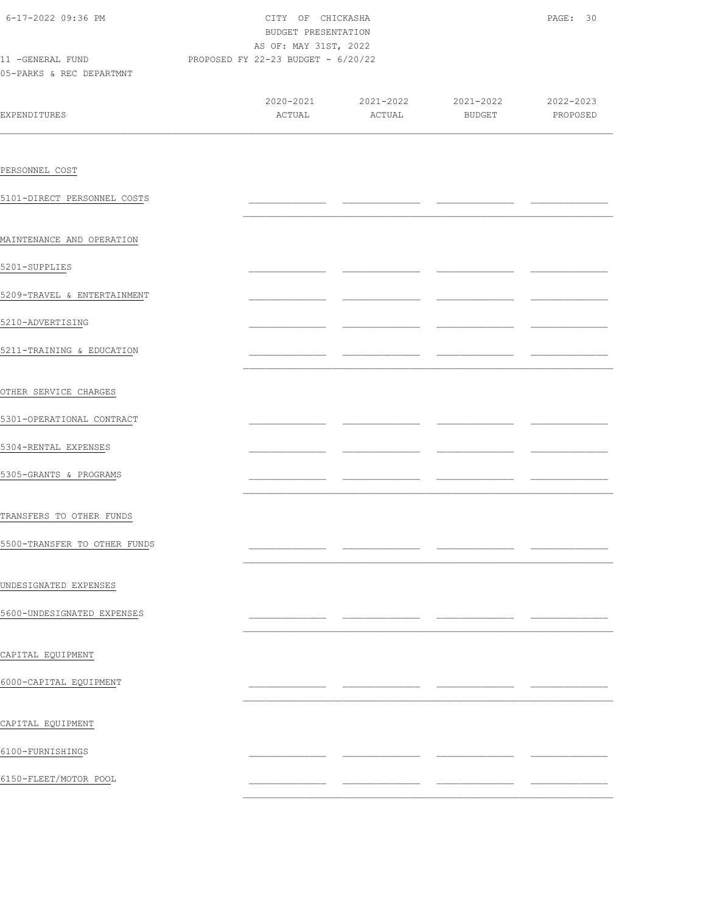| 6-17-2022 09:36 PM<br>11 -GENERAL FUND PROPOSED FY 22-23 BUDGET - 6/20/22 | CITY OF CHICKASHA<br>BUDGET PRESENTATION<br>AS OF: MAY 31ST, 2022 | PAGE: 30      |                                                                            |  |
|---------------------------------------------------------------------------|-------------------------------------------------------------------|---------------|----------------------------------------------------------------------------|--|
| 05-PARKS & REC DEPARTMNT                                                  |                                                                   |               |                                                                            |  |
| <b>EXPENDITURES</b>                                                       |                                                                   | ACTUAL ACTUAL | $2020 - 2021$ $2021 - 2022$ $2021 - 2022$ $2022 - 2023$<br>BUDGET PROPOSED |  |
|                                                                           |                                                                   |               |                                                                            |  |
| PERSONNEL COST                                                            |                                                                   |               |                                                                            |  |
| 5101-DIRECT PERSONNEL COSTS                                               |                                                                   |               |                                                                            |  |
| MAINTENANCE AND OPERATION                                                 |                                                                   |               |                                                                            |  |
| 5201-SUPPLIES                                                             |                                                                   |               |                                                                            |  |
| 5209-TRAVEL & ENTERTAINMENT                                               |                                                                   |               |                                                                            |  |
| 5210-ADVERTISING                                                          |                                                                   |               |                                                                            |  |
| 5211-TRAINING & EDUCATION                                                 |                                                                   |               |                                                                            |  |
| OTHER SERVICE CHARGES                                                     |                                                                   |               |                                                                            |  |
| 5301-OPERATIONAL CONTRACT                                                 |                                                                   |               |                                                                            |  |
| 5304-RENTAL EXPENSES                                                      |                                                                   |               |                                                                            |  |
| 5305-GRANTS & PROGRAMS                                                    |                                                                   |               | ____                                                                       |  |
| TRANSFERS TO OTHER FUNDS                                                  |                                                                   |               |                                                                            |  |
| 5500-TRANSFER TO OTHER FUNDS                                              |                                                                   |               |                                                                            |  |
| UNDESIGNATED EXPENSES                                                     |                                                                   |               |                                                                            |  |
| 5600-UNDESIGNATED EXPENSES                                                |                                                                   |               |                                                                            |  |
| CAPITAL EQUIPMENT                                                         |                                                                   |               |                                                                            |  |
| 6000-CAPITAL EQUIPMENT                                                    |                                                                   |               |                                                                            |  |
| CAPITAL EQUIPMENT                                                         |                                                                   |               |                                                                            |  |
| 6100-FURNISHINGS                                                          |                                                                   |               |                                                                            |  |
| 6150-FLEET/MOTOR POOL                                                     |                                                                   |               |                                                                            |  |
|                                                                           |                                                                   |               |                                                                            |  |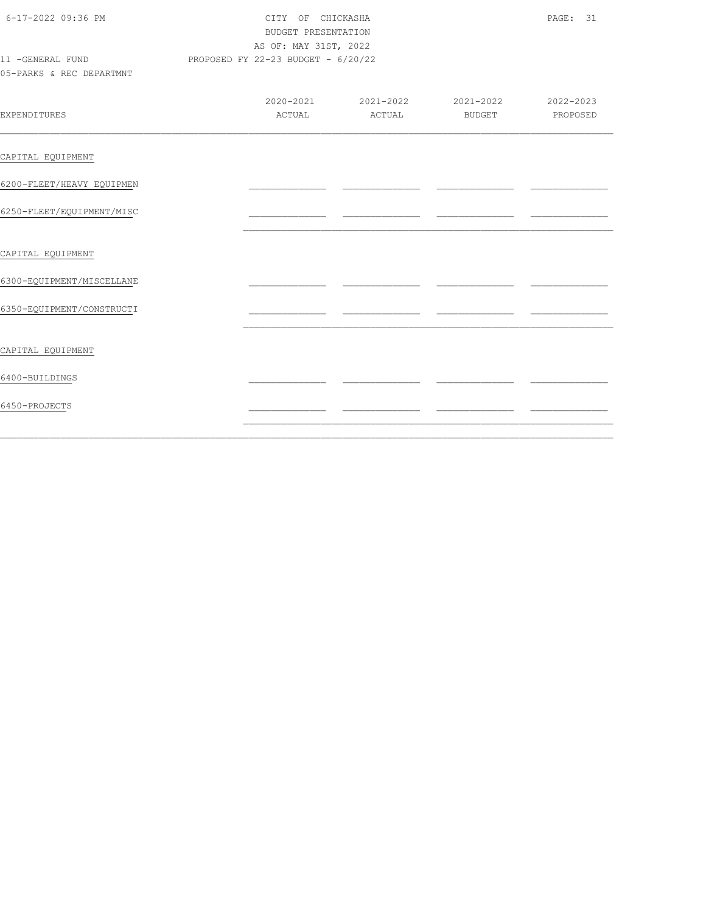| 6-17-2022 09:36 PM<br>11 -GENERAL FUND<br>05-PARKS & REC DEPARTMNT | CITY OF CHICKASHA<br><b>BUDGET PRESENTATION</b><br>AS OF: MAY 31ST, 2022<br>PROPOSED FY 22-23 BUDGET - 6/20/22 | PAGE: 31 |                                                   |          |
|--------------------------------------------------------------------|----------------------------------------------------------------------------------------------------------------|----------|---------------------------------------------------|----------|
| <b>EXPENDITURES</b>                                                | ACTUAL                                                                                                         | ACTUAL   | 2020-2021 2021-2022 2021-2022 2022-2023<br>BUDGET | PROPOSED |
| CAPITAL EQUIPMENT                                                  |                                                                                                                |          |                                                   |          |
| 6200-FLEET/HEAVY EQUIPMEN                                          |                                                                                                                |          |                                                   |          |
| 6250-FLEET/EOUIPMENT/MISC                                          |                                                                                                                |          |                                                   |          |
| CAPITAL EQUIPMENT                                                  |                                                                                                                |          |                                                   |          |
| 6300-EQUIPMENT/MISCELLANE                                          |                                                                                                                |          |                                                   |          |
| 6350-EQUIPMENT/CONSTRUCTI                                          |                                                                                                                |          |                                                   |          |
| CAPITAL EQUIPMENT                                                  |                                                                                                                |          |                                                   |          |
| 6400-BUILDINGS                                                     |                                                                                                                |          |                                                   |          |
| 6450-PROJECTS                                                      |                                                                                                                |          |                                                   |          |
|                                                                    |                                                                                                                |          |                                                   |          |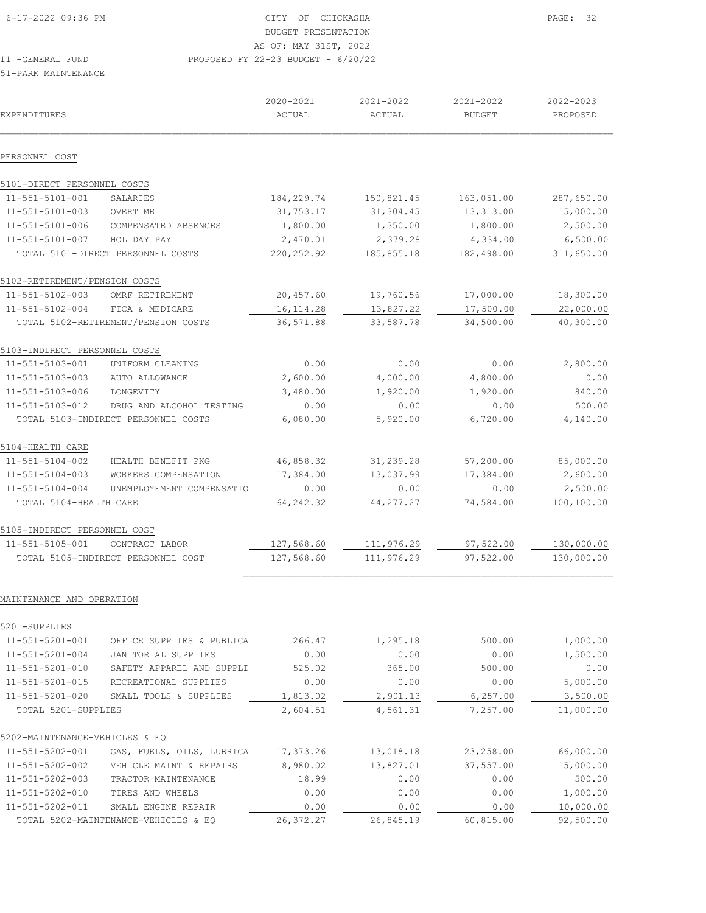| 16-17-2022 09:36 PM | CITY OF CHICKASHA                    | PAGE: 32 |
|---------------------|--------------------------------------|----------|
|                     | BUDGET PRESENTATION                  |          |
|                     | AS OF: MAY 31ST, 2022                |          |
| 11 -GENERAL FUND    | PROPOSED FY 22-23 BUDGET - $6/20/22$ |          |

51-PARK MAINTENANCE

| <b>EXPENDITURES</b>                    |                                                             | 2020-2021<br>ACTUAL  | 2021-2022<br>ACTUAL  | 2021-2022<br><b>BUDGET</b> | 2022-2023<br>PROPOSED  |
|----------------------------------------|-------------------------------------------------------------|----------------------|----------------------|----------------------------|------------------------|
| PERSONNEL COST                         |                                                             |                      |                      |                            |                        |
| 5101-DIRECT PERSONNEL COSTS            |                                                             |                      |                      |                            |                        |
| 11-551-5101-001                        | SALARIES                                                    | 184,229.74           | 150,821.45           | 163,051.00                 | 287,650.00             |
| 11-551-5101-003                        | OVERTIME                                                    | 31,753.17            | 31,304.45            | 13,313.00                  | 15,000.00              |
| 11-551-5101-006                        | COMPENSATED ABSENCES                                        | 1,800.00             | 1,350.00             | 1,800.00                   | 2,500.00               |
| 11-551-5101-007                        | HOLIDAY PAY                                                 | 2,470.01             | 2,379.28             | 4,334.00                   | 6,500.00               |
|                                        | TOTAL 5101-DIRECT PERSONNEL COSTS                           | 220, 252.92          | 185,855.18           | 182,498.00                 | 311,650.00             |
| 5102-RETIREMENT/PENSION COSTS          |                                                             |                      |                      |                            |                        |
| 11-551-5102-003                        | OMRF RETIREMENT                                             | 20,457.60            | 19,760.56            | 17,000.00                  | 18,300.00              |
| 11-551-5102-004                        | FICA & MEDICARE                                             | 16, 114.28           | 13,827.22            | 17,500.00                  | 22,000.00              |
|                                        | TOTAL 5102-RETIREMENT/PENSION COSTS                         | 36,571.88            | 33,587.78            | 34,500.00                  | 40,300.00              |
| 5103-INDIRECT PERSONNEL COSTS          |                                                             |                      |                      |                            |                        |
| 11-551-5103-001                        | UNIFORM CLEANING                                            | 0.00                 | 0.00                 | 0.00                       | 2,800.00               |
| 11-551-5103-003                        | AUTO ALLOWANCE                                              | 2,600.00             | 4,000.00             | 4,800.00                   | 0.00                   |
| 11-551-5103-006                        | LONGEVITY                                                   | 3,480.00             | 1,920.00             | 1,920.00                   | 840.00                 |
| 11-551-5103-012                        | DRUG AND ALCOHOL TESTING                                    | 0.00                 | 0.00                 | 0.00                       | 500.00                 |
|                                        | TOTAL 5103-INDIRECT PERSONNEL COSTS                         | 6,080.00             | 5,920.00             | 6,720.00                   | 4,140.00               |
| 5104-HEALTH CARE                       |                                                             |                      |                      |                            |                        |
| 11-551-5104-002                        | HEALTH BENEFIT PKG                                          | 46,858.32            | 31,239.28            | 57,200.00                  | 85,000.00              |
| 11-551-5104-003                        | WORKERS COMPENSATION                                        | 17,384.00            | 13,037.99            | 17,384.00                  | 12,600.00              |
| $11 - 551 - 5104 - 004$                | UNEMPLOYEMENT COMPENSATIO                                   | 0.00                 | 0.00                 | 0.00                       | 2,500.00               |
| TOTAL 5104-HEALTH CARE                 |                                                             | 64, 242.32           | 44, 277.27           | 74,584.00                  | 100,100.00             |
| 5105-INDIRECT PERSONNEL COST           |                                                             |                      |                      |                            |                        |
| 11-551-5105-001                        | CONTRACT LABOR                                              | 127,568.60           | 111,976.29           | 97,522.00                  | 130,000.00             |
|                                        | TOTAL 5105-INDIRECT PERSONNEL COST                          | 127,568.60           | 111,976.29           | 97,522.00                  | 130,000.00             |
| MAINTENANCE AND OPERATION              |                                                             |                      |                      |                            |                        |
| 5201-SUPPLIES                          |                                                             |                      |                      |                            |                        |
| 11-551-5201-001                        | OFFICE SUPPLIES & PUBLICA                                   | 266.47               | 1,295.18             | 500.00                     | 1,000.00               |
| 11-551-5201-004                        | <b>JANITORIAL SUPPLIES</b>                                  | 0.00                 | 0.00                 | 0.00                       | 1,500.00               |
| 11-551-5201-010                        | SAFETY APPAREL AND SUPPLI                                   | 525.02               | 365.00               | 500.00                     | 0.00                   |
| 11-551-5201-015                        | RECREATIONAL SUPPLIES                                       | 0.00                 | 0.00                 | 0.00                       | 5,000.00               |
| 11-551-5201-020<br>TOTAL 5201-SUPPLIES | SMALL TOOLS & SUPPLIES                                      | 1,813.02<br>2,604.51 | 2,901.13<br>4,561.31 | 6, 257.00<br>7,257.00      | 3,500.00<br>11,000.00  |
|                                        |                                                             |                      |                      |                            |                        |
| 5202-MAINTENANCE-VEHICLES & EQ         |                                                             |                      |                      |                            |                        |
| 11-551-5202-001                        | GAS, FUELS, OILS, LUBRICA                                   | 17,373.26            | 13,018.18            | 23,258.00                  | 66,000.00              |
| 11-551-5202-002                        | VEHICLE MAINT & REPAIRS                                     | 8,980.02             | 13,827.01            | 37,557.00                  | 15,000.00              |
| 11-551-5202-003                        | TRACTOR MAINTENANCE                                         | 18.99                | 0.00                 | 0.00                       | 500.00                 |
| 11-551-5202-010<br>11-551-5202-011     | TIRES AND WHEELS                                            | 0.00                 | 0.00                 | 0.00                       | 1,000.00               |
|                                        | SMALL ENGINE REPAIR<br>TOTAL 5202-MAINTENANCE-VEHICLES & EQ | 0.00<br>26, 372.27   | 0.00<br>26,845.19    | 0.00<br>60,815.00          | 10,000.00<br>92,500.00 |
|                                        |                                                             |                      |                      |                            |                        |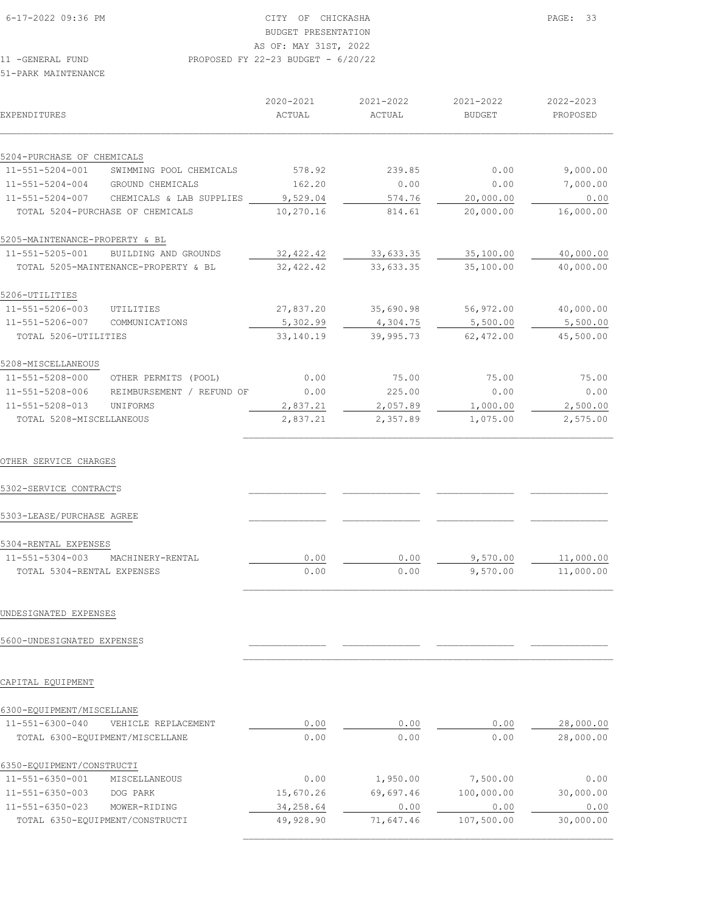# BUDGET PRESENTATION

11 -GENERAL FUND PROPOSED FY 22-23 BUDGET - 6/20/22

#### 51-PARK MAINTENANCE

| <b>EXPENDITURES</b>            |                                      | 2020-2021<br>ACTUAL | 2021-2022<br>ACTUAL | 2021-2022<br><b>BUDGET</b> | 2022-2023<br>PROPOSED |
|--------------------------------|--------------------------------------|---------------------|---------------------|----------------------------|-----------------------|
| 5204-PURCHASE OF CHEMICALS     |                                      |                     |                     |                            |                       |
| 11-551-5204-001                | SWIMMING POOL CHEMICALS              | 578.92              | 239.85              | 0.00                       | 9,000.00              |
| 11-551-5204-004                | GROUND CHEMICALS                     | 162.20              | 0.00                | 0.00                       | 7,000.00              |
| 11-551-5204-007                | CHEMICALS & LAB SUPPLIES             | 9,529.04            | 574.76              | 20,000.00                  | 0.00                  |
|                                | TOTAL 5204-PURCHASE OF CHEMICALS     | 10,270.16           | 814.61              | 20,000.00                  | 16,000.00             |
| 5205-MAINTENANCE-PROPERTY & BL |                                      |                     |                     |                            |                       |
| 11-551-5205-001                | BUILDING AND GROUNDS                 | 32,422.42           | 33,633.35           | 35,100.00                  | 40,000.00             |
|                                | TOTAL 5205-MAINTENANCE-PROPERTY & BL | 32,422.42           | 33,633.35           | 35,100.00                  | 40,000.00             |
| 5206-UTILITIES                 |                                      |                     |                     |                            |                       |
| 11-551-5206-003                | UTILITIES                            | 27,837.20           | 35,690.98           | 56,972.00                  | 40,000.00             |
| 11-551-5206-007                | COMMUNICATIONS                       | 5,302.99            | 4,304.75            | 5,500.00                   | 5,500.00              |
| TOTAL 5206-UTILITIES           |                                      | 33,140.19           | 39,995.73           | 62,472.00                  | 45,500.00             |
| 5208-MISCELLANEOUS             |                                      |                     |                     |                            |                       |
| 11-551-5208-000                | OTHER PERMITS (POOL)                 | 0.00                | 75.00               | 75.00                      | 75.00                 |
| 11-551-5208-006                | REIMBURSEMENT / REFUND OF            | 0.00                | 225.00              | 0.00                       | 0.00                  |
| 11-551-5208-013                | UNIFORMS                             | 2,837.21            | 2,057.89            | 1,000.00                   | 2,500.00              |
| TOTAL 5208-MISCELLANEOUS       |                                      | 2,837.21            | 2,357.89            | 1,075.00                   | 2,575.00              |
| OTHER SERVICE CHARGES          |                                      |                     |                     |                            |                       |
| 5302-SERVICE CONTRACTS         |                                      |                     |                     |                            |                       |
| 5303-LEASE/PURCHASE AGREE      |                                      |                     |                     |                            |                       |
| 5304-RENTAL EXPENSES           |                                      |                     |                     |                            |                       |
| 11-551-5304-003                | MACHINERY-RENTAL                     | 0.00                | 0.00                | 9,570.00                   | 11,000.00             |
| TOTAL 5304-RENTAL EXPENSES     |                                      | 0.00                | 0.00                | 9,570.00                   | 11,000.00             |
| UNDESIGNATED EXPENSES          |                                      |                     |                     |                            |                       |
| 5600-UNDESIGNATED EXPENSES     |                                      |                     |                     |                            |                       |

CAPITAL EQUIPMENT

## 6300-EQUIPMENT/MISCELLANE

| 11-551-6300-040                 | VEHICLE REPLACEMENT             | 0.00      | 0.00      | 0.00       | 28,000.00 |
|---------------------------------|---------------------------------|-----------|-----------|------------|-----------|
|                                 | TOTAL 6300-EOUIPMENT/MISCELLANE | 0.00      | 0.00      | 0.00       | 28,000.00 |
| 6350-EQUIPMENT/CONSTRUCTI       |                                 |           |           |            |           |
| 11-551-6350-001                 | MISCELLANEOUS                   | 0.00      | 1,950.00  | 7,500.00   | 0.00      |
| 11-551-6350-003                 | DOG PARK                        | 15,670.26 | 69,697.46 | 100,000.00 | 30,000.00 |
| 11-551-6350-023                 | MOWER-RIDING                    | 34,258.64 | 0.00      | 0.00       | 0.00      |
| TOTAL 6350-EQUIPMENT/CONSTRUCTI |                                 | 49,928.90 | 71,647.46 | 107,500.00 | 30,000.00 |
|                                 |                                 |           |           |            |           |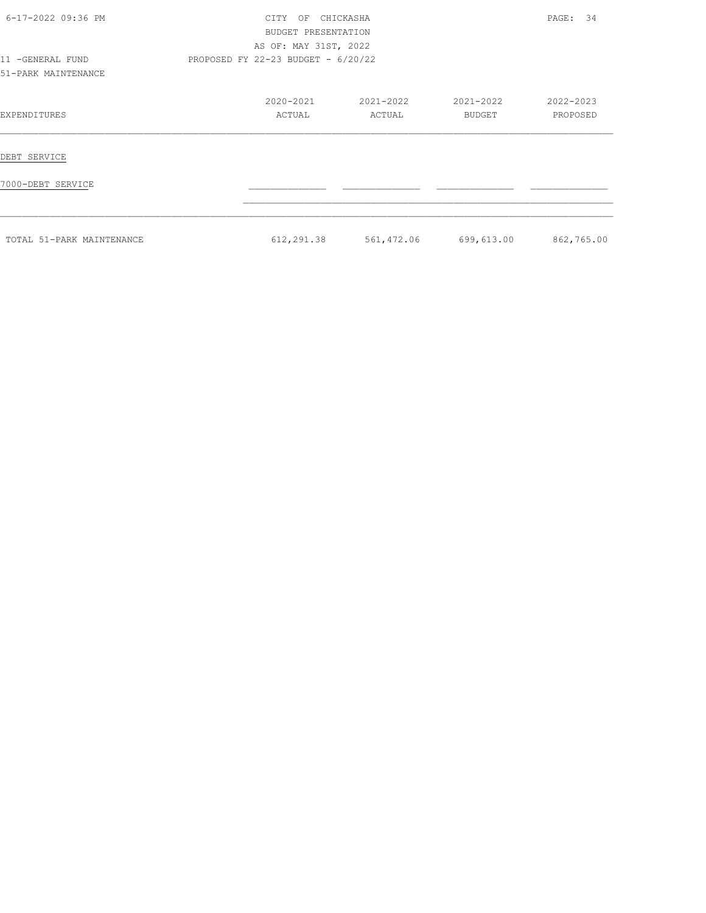| 6-17-2022 09:36 PM                      | <b>CTTY</b>                          | CHICKASHA<br>ΟF<br>BUDGET PRESENTATION<br>AS OF: MAY 31ST, 2022 |                     |                     | 34<br>PAGE:           |
|-----------------------------------------|--------------------------------------|-----------------------------------------------------------------|---------------------|---------------------|-----------------------|
| 11 -GENERAL FUND<br>51-PARK MAINTENANCE | PROPOSED FY 22-23 BUDGET - $6/20/22$ |                                                                 |                     |                     |                       |
| EXPENDITURES                            |                                      | 2020-2021<br>ACTUAL                                             | 2021-2022<br>ACTUAL | 2021-2022<br>BUDGET | 2022-2023<br>PROPOSED |
| DEBT SERVICE                            |                                      |                                                                 |                     |                     |                       |
| 7000-DEBT SERVICE                       |                                      |                                                                 |                     |                     |                       |
| TOTAL 51-PARK MAINTENANCE               |                                      | 612,291.38                                                      | 561,472.06          | 699,613.00          | 862,765.00            |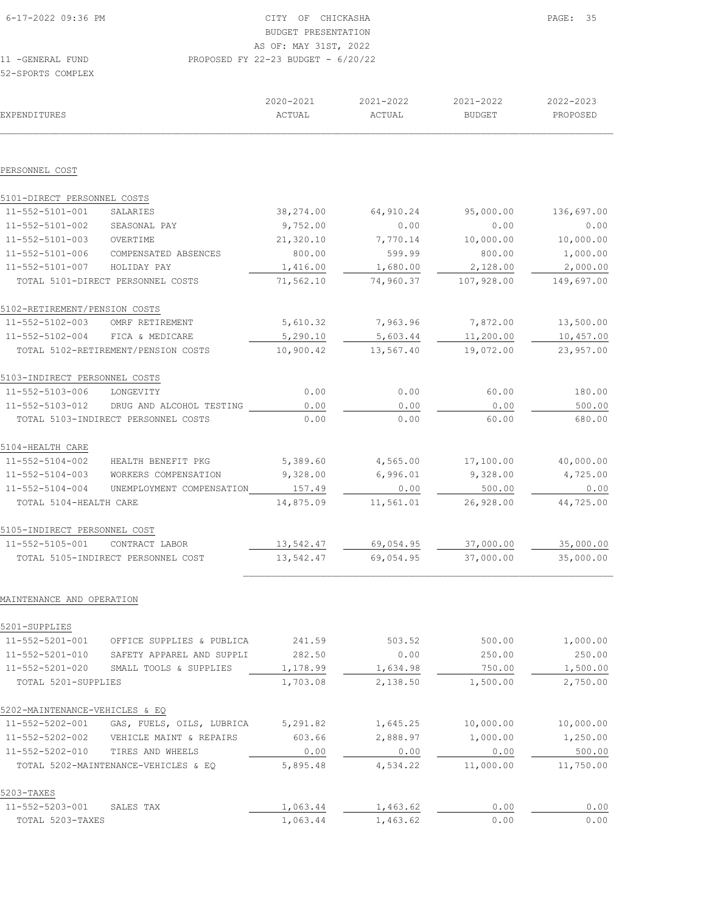| 6-17-2022 09:36 PM | CITY OF CHICKASHA                    | PAGE: 35 |
|--------------------|--------------------------------------|----------|
|                    | BUDGET PRESENTATION                  |          |
|                    | AS OF: MAY 31ST, 2022                |          |
| 11 - GENERAL FUND  | PROPOSED FY 22-23 BUDGET - $6/20/22$ |          |
| 52-SPORTS COMPLEX  |                                      |          |

 ${\tt ACTUAL} \hspace{1.5cm} {\tt ACTUAL} \hspace{1.5cm} {\tt BUDGET} \hspace{1.5cm} {\tt PROPOSED}$  $\mathcal{L}_\text{max} = \mathcal{L}_\text{max} = \mathcal{L}_\text{max} = \mathcal{L}_\text{max} = \mathcal{L}_\text{max} = \mathcal{L}_\text{max} = \mathcal{L}_\text{max} = \mathcal{L}_\text{max} = \mathcal{L}_\text{max} = \mathcal{L}_\text{max} = \mathcal{L}_\text{max} = \mathcal{L}_\text{max} = \mathcal{L}_\text{max} = \mathcal{L}_\text{max} = \mathcal{L}_\text{max} = \mathcal{L}_\text{max} = \mathcal{L}_\text{max} = \mathcal{L}_\text{max} = \mathcal{$ PERSONNEL COST 5101-DIRECT PERSONNEL COSTS 11-552-5101-001 SALARIES 38,274.00 64,910.24 95,000.00 136,697.00 11-552-5101-002 SEASONAL PAY 9,752.00 0.00 0.00 0.00 11-552-5101-003 OVERTIME 21,320.10 7,770.14 10,000.00 10,000.00 11-552-5101-006 COMPENSATED ABSENCES 800.00 599.99 800.00 1,000.00<br>11-552-5101-007 HOLIDAY PAY 1,416.00 1,416.00 1,680.00 2,128.00 2,000.00<br>11-552-5101-DIRECT PERSONNEL COSTS 71,562.10 74,960.37 107,928.00 149,697.00 11-552-5101-007 HOLIDAY PAY 1,416.00 1,680.00 2,128.00 2,000.00 TOTAL 5101-DIRECT PERSONNEL COSTS 71,562.10 74,960.37 107,928.00 149,697.00 5102-RETIREMENT/PENSION COSTS 11-552-5102-003 OMRF RETIREMENT 5,610.32 7,963.96 7,872.00 13,500.00<br>11-552-5102-004 FICA & MEDICARE 5,290.10 5,603.44 11,200.00 10,457.00 11-552-5102-004 FICA & MEDICARE 5,290.10 5,603.44 11,200.00 10,457.00 TOTAL 5102-RETIREMENT/PENSION COSTS 10,900.42 13,567.40 19,072.00 23,957.00 5103-INDIRECT PERSONNEL COSTS 11-552-5103-006 LONGEVITY 0.00 0.00 60.00 180.00<br>11-552-5103-012 DRUG AND ALCOHOL TESTING 0.00 0.00 0.00 0.00 0.00 500.00<br>680.00 680.00 11-552-5103-012 DRUG AND ALCOHOL TESTING <br>
momai. 5103-TNDIRECT PERSONNEL COSTS 0.00 0.00 0.00 0.00 60.00 60.00 680.00 TOTAL 5103-INDIRECT PERSONNEL COSTS 0.00 5104-HEALTH CARE 11-552-5104-002 HEALTH BENEFIT PKG 5,389.60 4,565.00 17,100.00 40,000.00 11-552-5104-003 WORKERS COMPENSATION 9,328.00 6,996.01 9,328.00 4,725.00 11-552-5104-004 UNEMPLOYMENT COMPENSATION 157.49 0.00 500.00 0.00 TOTAL 5104-HEALTH CARE 14,875.09 11,561.01 26,928.00 44,725.00 5105-INDIRECT PERSONNEL COST 11-552-5105-001 CONTRACT LABOR 13,542.47 69,054.95 37,000.00 35,000.00 TOTAL 5105-INDIRECT PERSONNEL COST 13,542.47 69,054.95 37,000.00 35,000.00

2020-2021 2021-2022 2021-2022 2022-2023

#### MAINTENANCE AND OPERATION

| 5201-SUPPLIES                  |                                      |          |          |           |           |
|--------------------------------|--------------------------------------|----------|----------|-----------|-----------|
| 11-552-5201-001                | OFFICE SUPPLIES & PUBLICA            | 241.59   | 503.52   | 500.00    | 1,000.00  |
| 11-552-5201-010                | SAFETY APPAREL AND SUPPLI            | 282.50   | 0.00     | 250.00    | 250.00    |
| 11-552-5201-020                | SMALL TOOLS & SUPPLIES               | 1,178.99 | 1,634.98 | 750.00    | 1,500.00  |
| TOTAL 5201-SUPPLIES            |                                      | 1,703.08 | 2,138.50 | 1,500.00  | 2,750.00  |
| 5202-MAINTENANCE-VEHICLES & EO |                                      |          |          |           |           |
| 11-552-5202-001                | GAS, FUELS, OILS, LUBRICA            | 5,291.82 | 1,645.25 | 10,000.00 | 10,000.00 |
| 11-552-5202-002                | VEHICLE MAINT & REPAIRS              | 603.66   | 2,888.97 | 1,000.00  | 1,250.00  |
| $11 - 552 - 5202 - 010$        | TIRES AND WHEELS                     | 0.00     | 0.00     | 0.00      | 500.00    |
|                                | TOTAL 5202-MAINTENANCE-VEHICLES & EO | 5,895.48 | 4,534.22 | 11,000.00 | 11,750.00 |
| 5203-TAXES                     |                                      |          |          |           |           |
| 11-552-5203-001                | SALES TAX                            | 1,063.44 | 1,463.62 | 0.00      | 0.00      |
| TOTAL 5203-TAXES               |                                      | 1,063.44 | 1,463.62 | 0.00      | 0.00      |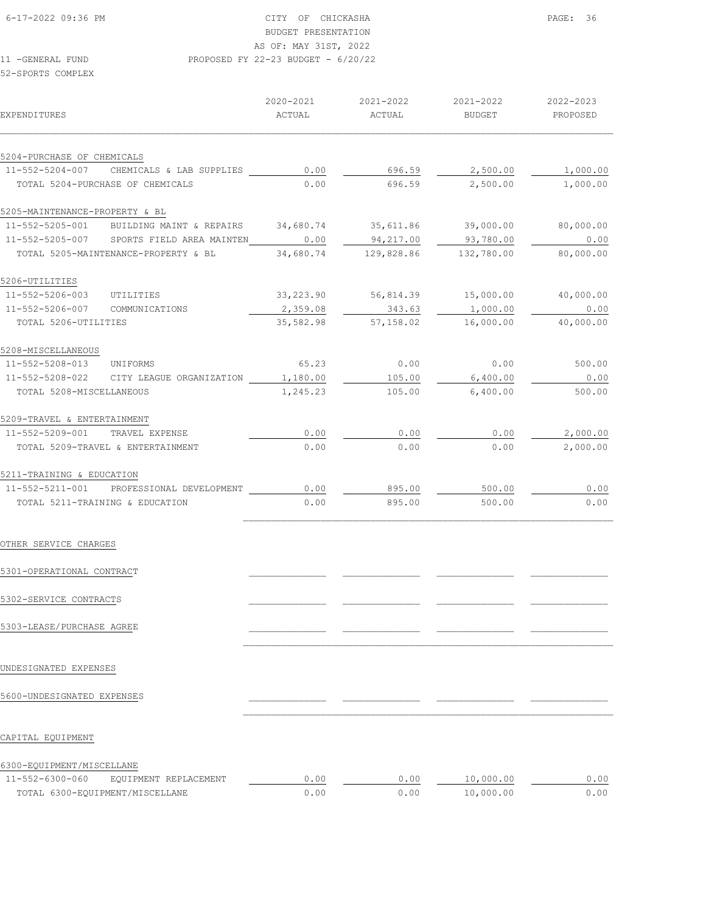# BUDGET PRESENTATION

AS OF: MAY 31ST, 2022

11 -GENERAL FUND PROPOSED FY 22-23 BUDGET - 6/20/22

52-SPORTS COMPLEX

| <b>EXPENDITURES</b>                                                                 |                       | 2020-2021<br>ACTUAL | 2021-2022<br>ACTUAL                             | 2021-2022<br>BUDGET  | 2022-2023<br>PROPOSED |
|-------------------------------------------------------------------------------------|-----------------------|---------------------|-------------------------------------------------|----------------------|-----------------------|
|                                                                                     |                       |                     |                                                 |                      |                       |
| 5204-PURCHASE OF CHEMICALS                                                          |                       |                     |                                                 |                      |                       |
| $11-552-5204-007$ CHEMICALS & LAB SUPPLIES 0.00<br>TOTAL 5204-PURCHASE OF CHEMICALS |                       | 0.00                | 696.59<br>696.59                                | 2,500.00<br>2,500.00 | 1,000.00<br>1,000.00  |
|                                                                                     |                       |                     |                                                 |                      |                       |
| 5205-MAINTENANCE-PROPERTY & BL                                                      |                       |                     |                                                 |                      |                       |
| 11-552-5205-001 BUILDING MAINT & REPAIRS 34,680.74 35,611.86 39,000.00 80,000.00    |                       |                     |                                                 |                      |                       |
| 11-552-5205-007 SPORTS FIELD AREA MAINTEN 0.00 94,217.00                            |                       |                     |                                                 | 93,780.00            | 0.00                  |
| TOTAL 5205-MAINTENANCE-PROPERTY & BL                                                |                       |                     | 34,680.74 129,828.86 132,780.00                 |                      | 80,000.00             |
| 5206-UTILITIES                                                                      |                       |                     |                                                 |                      |                       |
| 11-552-5206-003 UTILITIES                                                           |                       |                     | $33,223.90$ $56,814.39$ $15,000.00$ $40,000.00$ |                      |                       |
| 11-552-5206-007 COMMUNICATIONS                                                      |                       | 2,359.08            | 343.63                                          | 1,000.00             | 0.00                  |
| TOTAL 5206-UTILITIES                                                                |                       |                     | 35,582.98 57,158.02 16,000.00                   |                      | 40,000.00             |
| 5208-MISCELLANEOUS                                                                  |                       |                     |                                                 |                      |                       |
| 11-552-5208-013 UNIFORMS                                                            |                       |                     | $65.23$ 0.00 0.00                               |                      | 500.00                |
| 11-552-5208-022 CITY LEAGUE ORGANIZATION 1,180.00                                   |                       |                     | 105.00                                          | 6,400.00             | 0.00                  |
| TOTAL 5208-MISCELLANEOUS                                                            |                       | 1,245.23            | 105.00                                          | 6,400.00             | 500.00                |
|                                                                                     |                       |                     |                                                 |                      |                       |
| 5209-TRAVEL & ENTERTAINMENT                                                         |                       |                     |                                                 |                      |                       |
| 11-552-5209-001 TRAVEL EXPENSE                                                      |                       | 0.00                | 0.00                                            | 0.00                 | 2,000.00              |
| TOTAL 5209-TRAVEL & ENTERTAINMENT                                                   |                       | 0.00                | 0.00                                            | 0.00                 | 2,000.00              |
| 5211-TRAINING & EDUCATION                                                           |                       |                     |                                                 |                      |                       |
| 11-552-5211-001 PROFESSIONAL DEVELOPMENT                                            |                       | 0.00                | 895.00                                          | 500.00               | 0.00                  |
| TOTAL 5211-TRAINING & EDUCATION                                                     |                       | 0.00                | 895.00                                          | 500.00               | 0.00                  |
| OTHER SERVICE CHARGES                                                               |                       |                     |                                                 |                      |                       |
| 5301-OPERATIONAL CONTRACT                                                           |                       |                     |                                                 |                      |                       |
| 5302-SERVICE CONTRACTS                                                              |                       |                     |                                                 |                      |                       |
| 5303-LEASE/PURCHASE AGREE                                                           |                       |                     |                                                 |                      |                       |
| UNDESIGNATED EXPENSES                                                               |                       |                     |                                                 |                      |                       |
| 5600-UNDESIGNATED EXPENSES                                                          |                       |                     |                                                 |                      |                       |
| CAPITAL EQUIPMENT                                                                   |                       |                     |                                                 |                      |                       |
| 6300-EQUIPMENT/MISCELLANE                                                           |                       |                     |                                                 |                      |                       |
| 11-552-6300-060                                                                     | EQUIPMENT REPLACEMENT | 0.00                | 0.00                                            | 10,000.00            | 0.00                  |
| TOTAL 6300-EQUIPMENT/MISCELLANE                                                     |                       | 0.00                | 0.00                                            | 10,000.00            | 0.00                  |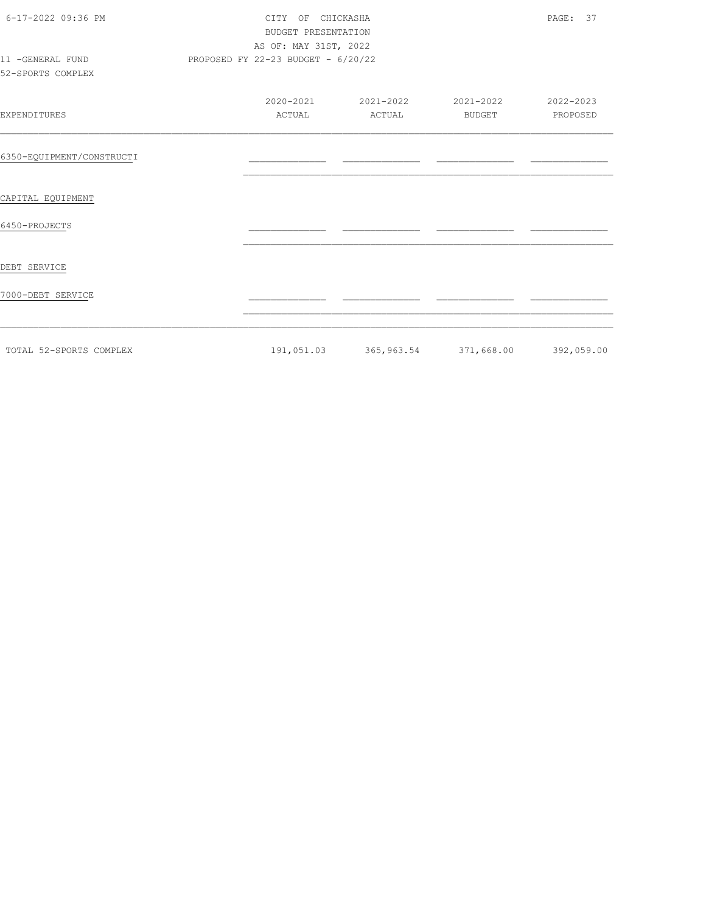| 6-17-2022 09:36 PM<br>11 -GENERAL FUND<br>52-SPORTS COMPLEX | PROPOSED FY 22-23 BUDGET - 6/20/22 | CITY OF CHICKASHA<br>BUDGET PRESENTATION<br>AS OF: MAY 31ST, 2022 |                            |                       |  |  |
|-------------------------------------------------------------|------------------------------------|-------------------------------------------------------------------|----------------------------|-----------------------|--|--|
| EXPENDITURES                                                | 2020-2021<br>ACTUAL                | 2021-2022<br>ACTUAL                                               | 2021-2022<br><b>BUDGET</b> | 2022-2023<br>PROPOSED |  |  |
| 6350-EQUIPMENT/CONSTRUCTI                                   |                                    |                                                                   |                            |                       |  |  |
| CAPITAL EQUIPMENT                                           |                                    |                                                                   |                            |                       |  |  |
| 6450-PROJECTS                                               |                                    |                                                                   |                            |                       |  |  |
| DEBT SERVICE                                                |                                    |                                                                   |                            |                       |  |  |
| 7000-DEBT SERVICE                                           |                                    |                                                                   |                            |                       |  |  |
| TOTAL 52-SPORTS COMPLEX                                     |                                    | 191,051.03 365,963.54 371,668.00 392,059.00                       |                            |                       |  |  |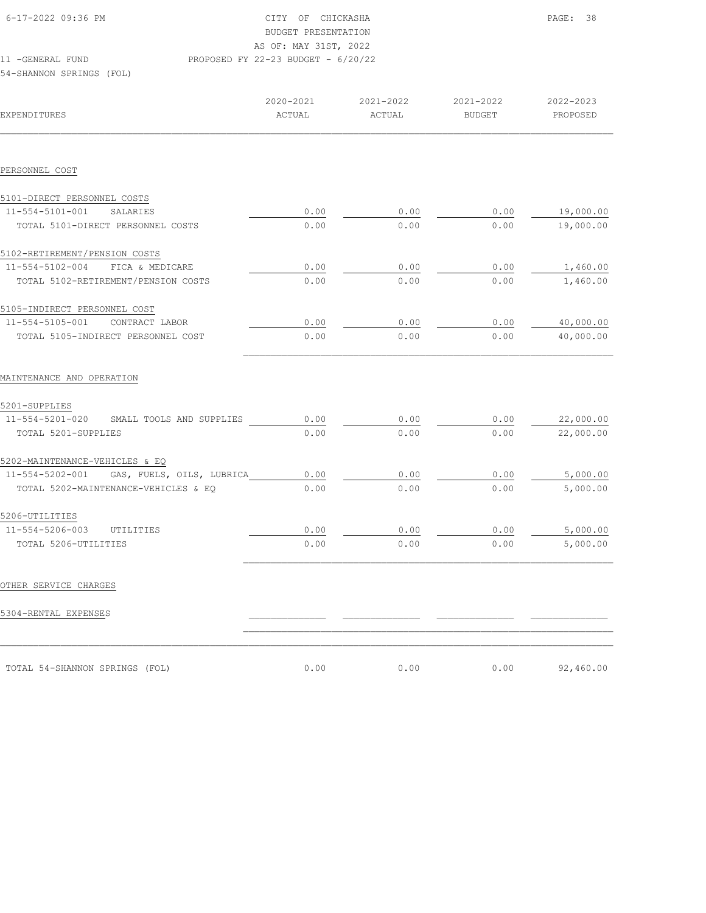| 6-17-2022 09:36 PM                          |                                    | CITY OF CHICKASHA<br>BUDGET PRESENTATION<br>AS OF: MAY 31ST, 2022 |                     |                       |  |  |
|---------------------------------------------|------------------------------------|-------------------------------------------------------------------|---------------------|-----------------------|--|--|
| 11 - GENERAL FUND                           | PROPOSED FY 22-23 BUDGET - 6/20/22 |                                                                   |                     |                       |  |  |
| 54-SHANNON SPRINGS (FOL)                    |                                    |                                                                   |                     |                       |  |  |
|                                             |                                    |                                                                   |                     |                       |  |  |
| <b>EXPENDITURES</b>                         | 2020-2021<br>ACTUAL                | 2021-2022<br>ACTUAL                                               | 2021-2022<br>BUDGET | 2022-2023<br>PROPOSED |  |  |
|                                             |                                    |                                                                   |                     |                       |  |  |
| PERSONNEL COST                              |                                    |                                                                   |                     |                       |  |  |
| 5101-DIRECT PERSONNEL COSTS                 |                                    |                                                                   |                     |                       |  |  |
| 11-554-5101-001<br>SALARIES                 | 0.00                               | 0.00                                                              | 0.00                | 19,000.00             |  |  |
| TOTAL 5101-DIRECT PERSONNEL COSTS           | 0.00                               | 0.00                                                              | 0.00                | 19,000.00             |  |  |
| 5102-RETIREMENT/PENSION COSTS               |                                    |                                                                   |                     |                       |  |  |
| 11-554-5102-004 FICA & MEDICARE             | 0.00                               | 0.00                                                              | 0.00                | 1,460.00              |  |  |
| TOTAL 5102-RETIREMENT/PENSION COSTS         | 0.00                               | 0.00                                                              | 0.00                | 1,460.00              |  |  |
| 5105-INDIRECT PERSONNEL COST                |                                    |                                                                   |                     |                       |  |  |
| $11 - 554 - 5105 - 001$<br>CONTRACT LABOR   | 0.00                               | 0.00                                                              | 0.00                | 40,000.00             |  |  |
| TOTAL 5105-INDIRECT PERSONNEL COST          | 0.00                               | 0.00                                                              | 0.00                | 40,000.00             |  |  |
| MAINTENANCE AND OPERATION                   |                                    |                                                                   |                     |                       |  |  |
| 5201-SUPPLIES                               |                                    |                                                                   |                     |                       |  |  |
| 11-554-5201-020<br>SMALL TOOLS AND SUPPLIES | 0.00                               | 0.00                                                              | 0.00                | 22,000.00             |  |  |
| TOTAL 5201-SUPPLIES                         | 0.00                               | 0.00                                                              | 0.00                | 22,000.00             |  |  |
| 5202-MAINTENANCE-VEHICLES & EQ              |                                    |                                                                   |                     |                       |  |  |
| 11-554-5202-001 GAS, FUELS, OILS, LUBRICA   | 0.00                               | 0.00                                                              | 0.00                | 5,000.00              |  |  |
| TOTAL 5202-MAINTENANCE-VEHICLES & EQ        | 0.00                               | 0.00                                                              | 0.00                | 5,000.00              |  |  |
| 5206-UTILITIES                              |                                    |                                                                   |                     |                       |  |  |
| 11-554-5206-003 UTILITIES                   | 0.00                               | 0.00                                                              | 0.00                | 5,000.00              |  |  |
| TOTAL 5206-UTILITIES                        | 0.00                               | 0.00                                                              | 0.00                | 5,000.00              |  |  |
|                                             |                                    |                                                                   |                     |                       |  |  |
| OTHER SERVICE CHARGES                       |                                    |                                                                   |                     |                       |  |  |
| 5304-RENTAL EXPENSES                        |                                    |                                                                   |                     |                       |  |  |
|                                             |                                    |                                                                   |                     |                       |  |  |
| TOTAL 54-SHANNON SPRINGS (FOL)              | 0.00                               | 0.00                                                              | 0.00                | 92,460.00             |  |  |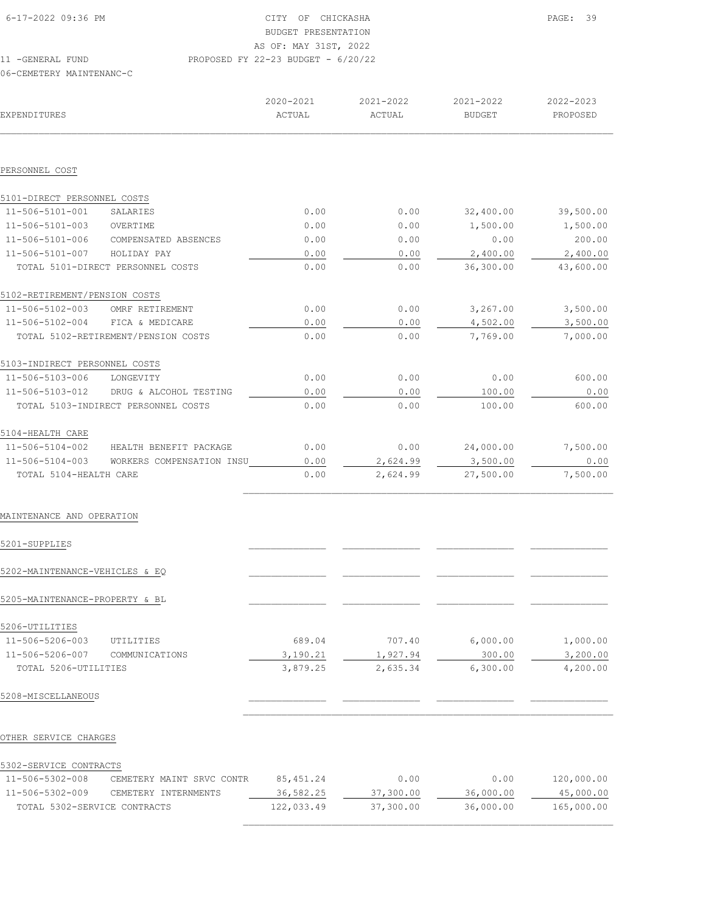| 11 - GENERAL FUND  | PROPOSED FY 22-23 BUDGET - 6/20/22 |
|--------------------|------------------------------------|
|                    | AS OF: MAY 31ST, 2022              |
|                    | BUDGET PRESENTATION                |
| 6-17-2022 09:36 PM | CITY OF CHICKASHA                  |
|                    |                                    |

| EXPENDITURES                  |                                     | 2020-2021<br>ACTUAL | 2021-2022<br>ACTUAL | 2021-2022<br><b>BUDGET</b> | 2022-2023<br>PROPOSED |
|-------------------------------|-------------------------------------|---------------------|---------------------|----------------------------|-----------------------|
|                               |                                     |                     |                     |                            |                       |
| PERSONNEL COST                |                                     |                     |                     |                            |                       |
| 5101-DIRECT PERSONNEL COSTS   |                                     |                     |                     |                            |                       |
| 11-506-5101-001               | SALARIES                            | 0.00                | 0.00                | 32,400.00                  | 39,500.00             |
| 11-506-5101-003               | OVERTIME                            | 0.00                | 0.00                | 1,500.00                   | 1,500.00              |
| 11-506-5101-006               | COMPENSATED ABSENCES                | 0.00                | 0.00                | 0.00                       | 200.00                |
| 11-506-5101-007               | HOLIDAY PAY                         | 0.00                | 0.00                | 2,400.00                   | 2,400.00              |
|                               | TOTAL 5101-DIRECT PERSONNEL COSTS   | 0.00                | 0.00                | 36,300.00                  | 43,600.00             |
| 5102-RETIREMENT/PENSION COSTS |                                     |                     |                     |                            |                       |
| 11-506-5102-003               | OMRF RETIREMENT                     | 0.00                | 0.00                | 3,267.00                   | 3,500.00              |
| 11-506-5102-004               | FICA & MEDICARE                     | 0.00                | 0.00                | 4,502.00                   | 3,500.00              |
|                               | TOTAL 5102-RETIREMENT/PENSION COSTS | 0.00                | 0.00                | 7,769.00                   | 7,000.00              |
| 5103-INDIRECT PERSONNEL COSTS |                                     |                     |                     |                            |                       |
| 11-506-5103-006               | LONGEVITY                           | 0.00                | 0.00                | 0.00                       | 600.00                |
| 11-506-5103-012               | DRUG & ALCOHOL TESTING              | 0.00                | 0.00                | 100.00                     | 0.00                  |
|                               | TOTAL 5103-INDIRECT PERSONNEL COSTS | 0.00                | 0.00                | 100.00                     | 600.00                |
| 5104-HEALTH CARE              |                                     |                     |                     |                            |                       |
| 11-506-5104-002               | HEALTH BENEFIT PACKAGE              | 0.00                | 0.00                | 24,000.00                  | 7,500.00              |
| 11-506-5104-003               | WORKERS COMPENSATION INSU           | 0.00                | 2,624.99            | 3,500.00                   | 0.00                  |
| TOTAL 5104-HEALTH CARE        |                                     | 0.00                | 2,624.99            | 27,500.00                  | 7,500.00              |
|                               |                                     |                     |                     |                            |                       |

## MAINTENANCE AND OPERATION

|  | 5201-SUPPLIES |
|--|---------------|
|--|---------------|

| 5201-SUPPLIES                  |                |          |          |          |          |
|--------------------------------|----------------|----------|----------|----------|----------|
| 5202-MAINTENANCE-VEHICLES & EO |                |          |          |          |          |
| 5205-MAINTENANCE-PROPERTY & BL |                |          |          |          |          |
| 5206-UTILITIES                 |                |          |          |          |          |
| 11-506-5206-003                | UTILITIES      | 689.04   | 707.40   | 6,000.00 | 1,000.00 |
| 11-506-5206-007                | COMMUNICATIONS | 3,190.21 | 1,927.94 | 300.00   | 3,200.00 |
| TOTAL 5206-UTILITIES           |                | 3,879.25 | 2,635.34 | 6,300.00 | 4,200.00 |
| 5208-MISCELLANEOUS             |                |          |          |          |          |

# OTHER SERVICE CHARGES

| 5302-SERVICE CONTRACTS |  |
|------------------------|--|
|------------------------|--|

| $11 - 506 - 5302 - 008$      | CEMETERY MAINT SRVC CONTR | 85,451.24  | 0.00      | 0.00      | 120,000.00 |
|------------------------------|---------------------------|------------|-----------|-----------|------------|
| 11-506-5302-009              | CEMETERY INTERNMENTS      | 36,582.25  | 37,300.00 | 36,000.00 | 45,000.00  |
| TOTAL 5302-SERVICE CONTRACTS |                           | 122,033.49 | 37,300.00 | 36,000.00 | 165,000.00 |
|                              |                           |            |           |           |            |

 $\mathcal{L}_\text{max}$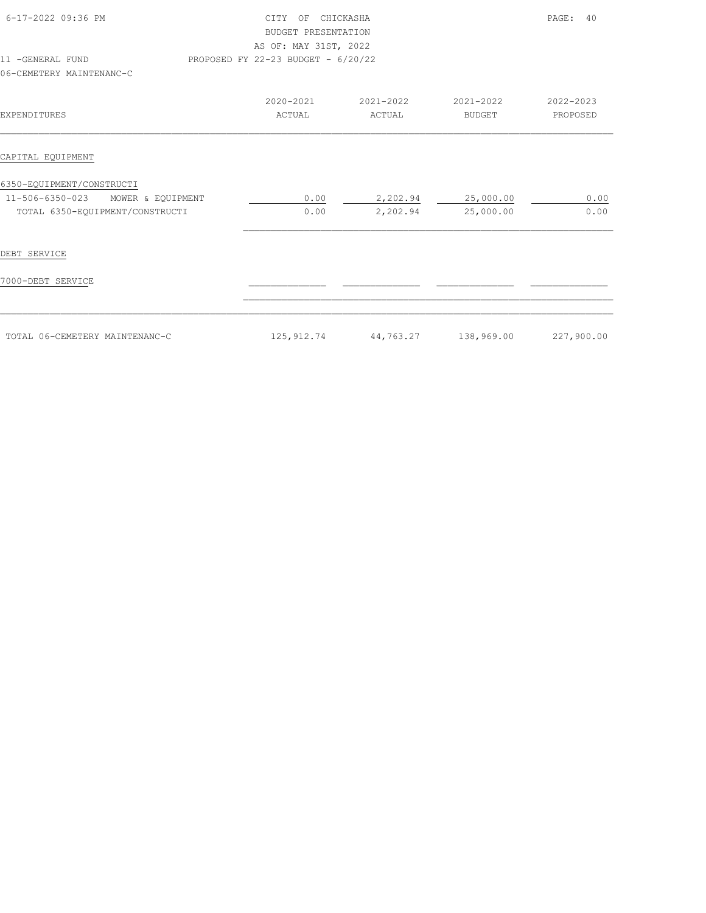| 6-17-2022 09:36 PM<br>11 -GENERAL FUND<br>06-CEMETERY MAINTENANC-C                                   | CITY OF CHICKASHA<br>BUDGET PRESENTATION<br>AS OF: MAY 31ST, 2022<br>PROPOSED FY 22-23 BUDGET - 6/20/22 |                      |                            | PAGE:<br>40           |
|------------------------------------------------------------------------------------------------------|---------------------------------------------------------------------------------------------------------|----------------------|----------------------------|-----------------------|
| EXPENDITURES                                                                                         | 2020-2021<br>ACTUAL                                                                                     | 2021-2022<br>ACTUAL  | 2021-2022<br><b>BUDGET</b> | 2022-2023<br>PROPOSED |
| CAPITAL EQUIPMENT                                                                                    |                                                                                                         |                      |                            |                       |
| 6350-EQUIPMENT/CONSTRUCTI<br>11-506-6350-023<br>MOWER & EQUIPMENT<br>TOTAL 6350-EQUIPMENT/CONSTRUCTI | 0.00<br>0.00                                                                                            | 2,202.94<br>2,202.94 | 25,000.00<br>25,000.00     | 0.00<br>0.00          |
| DEBT SERVICE                                                                                         |                                                                                                         |                      |                            |                       |
| 7000-DEBT SERVICE                                                                                    |                                                                                                         |                      |                            |                       |
| TOTAL 06-CEMETERY MAINTENANC-C                                                                       | 125, 912.74                                                                                             | 44,763.27            | 138,969.00                 | 227,900.00            |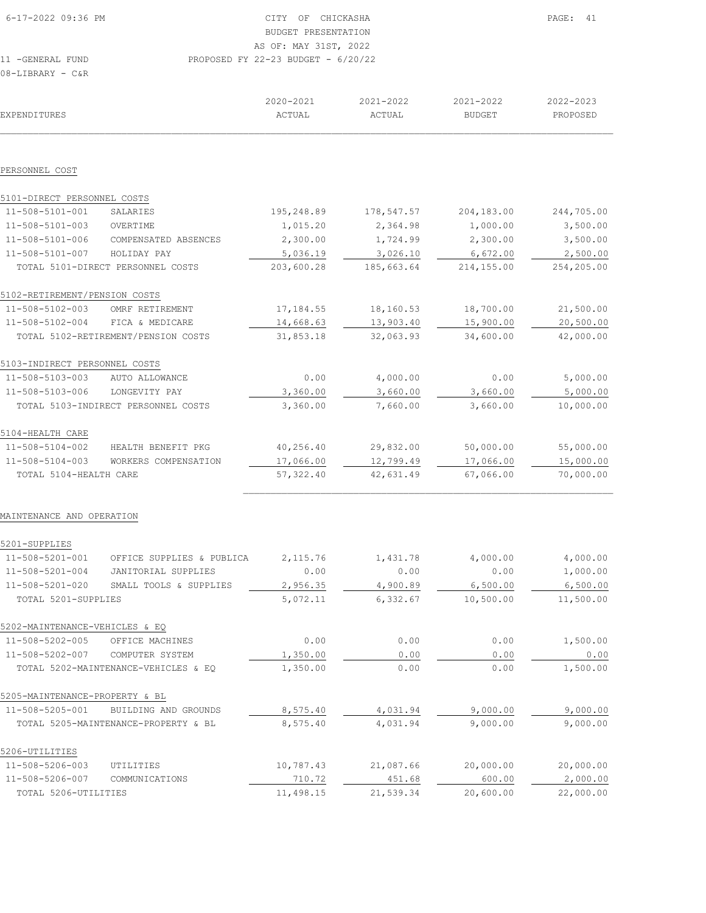| 6-17-2022 09:36 PM | CITY OF CHICKASHA                    | PAGE: 41 |
|--------------------|--------------------------------------|----------|
|                    | BUDGET PRESENTATION                  |          |
|                    | AS OF: MAY 31ST, 2022                |          |
| 11 -GENERAL FUND   | PROPOSED FY 22-23 BUDGET - $6/20/22$ |          |
| 08-LIBRARY - C&R   |                                      |          |

|                                |                                      | 2020-2021  | 2021-2022     | 2021-2022     | 2022-2023  |
|--------------------------------|--------------------------------------|------------|---------------|---------------|------------|
| EXPENDITURES                   |                                      | ACTUAL     | <b>ACTUAL</b> | <b>BUDGET</b> | PROPOSED   |
|                                |                                      |            |               |               |            |
| PERSONNEL COST                 |                                      |            |               |               |            |
| 5101-DIRECT PERSONNEL COSTS    |                                      |            |               |               |            |
| 11-508-5101-001                | SALARIES                             | 195,248.89 | 178,547.57    | 204,183.00    | 244,705.00 |
| 11-508-5101-003                | OVERTIME                             | 1,015.20   | 2,364.98      | 1,000.00      | 3,500.00   |
| 11-508-5101-006                | COMPENSATED ABSENCES                 | 2,300.00   | 1,724.99      | 2,300.00      | 3,500.00   |
| 11-508-5101-007                | HOLIDAY PAY                          | 5,036.19   | 3,026.10      | 6,672.00      | 2,500.00   |
|                                | TOTAL 5101-DIRECT PERSONNEL COSTS    | 203,600.28 | 185,663.64    | 214,155.00    | 254,205.00 |
| 5102-RETIREMENT/PENSION COSTS  |                                      |            |               |               |            |
| 11-508-5102-003                | OMRF RETIREMENT                      | 17,184.55  | 18,160.53     | 18,700.00     | 21,500.00  |
| 11-508-5102-004                | FICA & MEDICARE                      | 14,668.63  | 13,903.40     | 15,900.00     | 20,500.00  |
|                                | TOTAL 5102-RETIREMENT/PENSION COSTS  | 31,853.18  | 32,063.93     | 34,600.00     | 42,000.00  |
| 5103-INDIRECT PERSONNEL COSTS  |                                      |            |               |               |            |
| 11-508-5103-003                | AUTO ALLOWANCE                       | 0.00       | 4,000.00      | 0.00          | 5,000.00   |
| 11-508-5103-006                | LONGEVITY PAY                        | 3,360.00   | 3,660.00      | 3,660.00      | 5,000.00   |
|                                | TOTAL 5103-INDIRECT PERSONNEL COSTS  | 3,360.00   | 7,660.00      | 3,660.00      | 10,000.00  |
| 5104-HEALTH CARE               |                                      |            |               |               |            |
| 11-508-5104-002                | HEALTH BENEFIT PKG                   | 40,256.40  | 29,832.00     | 50,000.00     | 55,000.00  |
| 11-508-5104-003                | WORKERS COMPENSATION                 | 17,066.00  | 12,799.49     | 17,066.00     | 15,000.00  |
| TOTAL 5104-HEALTH CARE         |                                      | 57,322.40  | 42,631.49     | 67,066.00     | 70,000.00  |
|                                |                                      |            |               |               |            |
| MAINTENANCE AND OPERATION      |                                      |            |               |               |            |
| 5201-SUPPLIES                  |                                      |            |               |               |            |
| 11-508-5201-001                | OFFICE SUPPLIES & PUBLICA            | 2,115.76   | 1,431.78      | 4,000.00      | 4,000.00   |
| 11-508-5201-004                | <b>JANITORIAL SUPPLIES</b>           | 0.00       | 0.00          | 0.00          | 1,000.00   |
| 11-508-5201-020                | SMALL TOOLS & SUPPLIES               | 2,956.35   | 4,900.89      | 6,500.00      | 6,500.00   |
| TOTAL 5201-SUPPLIES            |                                      | 5,072.11   | 6,332.67      | 10,500.00     | 11,500.00  |
| 5202-MAINTENANCE-VEHICLES & EQ |                                      |            |               |               |            |
| 11-508-5202-005                | OFFICE MACHINES                      | 0.00       | 0.00          | 0.00          | 1,500.00   |
| 11-508-5202-007                | COMPUTER SYSTEM                      | 1,350.00   | 0.00          | 0.00          | 0.00       |
|                                | TOTAL 5202-MAINTENANCE-VEHICLES & EQ | 1,350.00   | 0.00          | 0.00          | 1,500.00   |
| 5205-MAINTENANCE-PROPERTY & BL |                                      |            |               |               |            |
| 11-508-5205-001                | BUILDING AND GROUNDS                 | 8,575.40   | 4,031.94      | 9,000.00      | 9,000.00   |
|                                | TOTAL 5205-MAINTENANCE-PROPERTY & BL | 8,575.40   | 4,031.94      | 9,000.00      | 9,000.00   |
| 5206-UTILITIES                 |                                      |            |               |               |            |
| 11-508-5206-003                | UTILITIES                            | 10,787.43  | 21,087.66     | 20,000.00     | 20,000.00  |
| 11-508-5206-007                | COMMUNICATIONS                       | 710.72     | 451.68        | 600.00        | 2,000.00   |
| TOTAL 5206-UTILITIES           |                                      | 11,498.15  | 21,539.34     | 20,600.00     | 22,000.00  |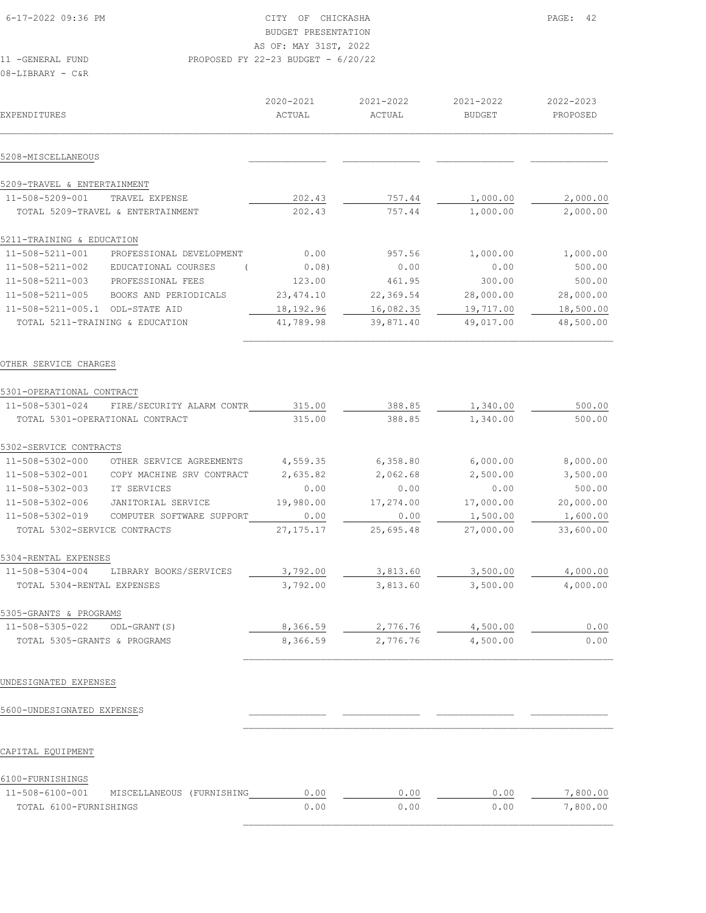| 08-LIBRARY - C&R                |                                   |                         |                         |                            |                       |
|---------------------------------|-----------------------------------|-------------------------|-------------------------|----------------------------|-----------------------|
| EXPENDITURES                    |                                   | $2020 - 2021$<br>ACTUAL | $2021 - 2022$<br>ACTUAL | 2021-2022<br><b>BUDGET</b> | 2022-2023<br>PROPOSED |
| 5208-MISCELLANEOUS              |                                   |                         |                         |                            |                       |
| 5209-TRAVEL & ENTERTAINMENT     |                                   |                         |                         |                            |                       |
| 11-508-5209-001                 | TRAVEL EXPENSE                    | 202.43                  | 757.44                  | 1,000.00                   | 2,000.00              |
|                                 | TOTAL 5209-TRAVEL & ENTERTAINMENT | 202.43                  | 757.44                  | 1,000.00                   | 2,000.00              |
| 5211-TRAINING & EDUCATION       |                                   |                         |                         |                            |                       |
| 11-508-5211-001                 | PROFESSIONAL DEVELOPMENT          | 0.00                    | 957.56                  | 1,000.00                   | 1,000.00              |
| 11-508-5211-002                 | EDUCATIONAL COURSES               | 0.08)                   | 0.00                    | 0.00                       | 500.00                |
| 11-508-5211-003                 | PROFESSIONAL FEES                 | 123.00                  | 461.95                  | 300.00                     | 500.00                |
| 11-508-5211-005                 | BOOKS AND PERIODICALS             | 23, 474.10              | 22,369.54               | 28,000.00                  | 28,000.00             |
| $11 - 508 - 5211 - 005.1$       | ODL-STATE AID                     | 18,192.96               | 16,082.35               | 19,717.00                  | 18,500.00             |
| TOTAL 5211-TRAINING & EDUCATION |                                   | 41,789.98               | 39,871.40               | 49,017.00                  | 48,500.00             |

| 5301-OPERATIONAL CONTRACT       |                           |             |           |           |           |
|---------------------------------|---------------------------|-------------|-----------|-----------|-----------|
| 11-508-5301-024                 | FIRE/SECURITY ALARM CONTR | 315.00      | 388.85    | 1,340.00  | 500.00    |
| TOTAL 5301-OPERATIONAL CONTRACT |                           | 315.00      | 388.85    | 1,340.00  | 500.00    |
| 5302-SERVICE CONTRACTS          |                           |             |           |           |           |
| 11-508-5302-000                 | OTHER SERVICE AGREEMENTS  | 4,559.35    | 6,358.80  | 6,000.00  | 8,000.00  |
| 11-508-5302-001                 | COPY MACHINE SRV CONTRACT | 2,635.82    | 2,062.68  | 2,500.00  | 3,500.00  |
| 11-508-5302-003                 | IT SERVICES               | 0.00        | 0.00      | 0.00      | 500.00    |
| 11-508-5302-006                 | JANITORIAL SERVICE        | 19,980.00   | 17,274.00 | 17,000.00 | 20,000.00 |
| 11-508-5302-019                 | COMPUTER SOFTWARE SUPPORT | 0.00        | 0.00      | 1,500.00  | 1,600.00  |
| TOTAL 5302-SERVICE CONTRACTS    |                           | 27, 175. 17 | 25,695.48 | 27,000.00 | 33,600.00 |
| 5304-RENTAL EXPENSES            |                           |             |           |           |           |
| 11-508-5304-004                 | LIBRARY BOOKS/SERVICES    | 3,792.00    | 3,813.60  | 3,500.00  | 4,000.00  |
| TOTAL 5304-RENTAL EXPENSES      |                           | 3,792.00    | 3,813.60  | 3,500.00  | 4,000.00  |
| 5305-GRANTS & PROGRAMS          |                           |             |           |           |           |
| 11-508-5305-022                 | ODL-GRANT (S)             | 8,366.59    | 2,776.76  | 4,500.00  | 0.00      |
| TOTAL 5305-GRANTS & PROGRAMS    |                           | 8,366.59    | 2,776.76  | 4,500.00  | 0.00      |

 $\mathcal{L}_\text{max}$ 

 $\mathcal{L}_\text{max}$ 

#### UNDESIGNATED EXPENSES

## 5600-UNDESIGNATED EXPENSES \_\_\_\_\_\_\_\_\_\_\_\_\_\_ \_\_\_\_\_\_\_\_\_\_\_\_\_\_ \_\_\_\_\_\_\_\_\_\_\_\_\_\_ \_\_\_\_\_\_\_\_\_\_\_\_\_\_

#### CAPITAL EQUIPMENT

# 6100-FURNISHINGS

| $11 - 508 - 6100 - 001$ | MISCELLANEOUS (FURNISHING | .00  | .00  | ე. იი | 7,800.00 |
|-------------------------|---------------------------|------|------|-------|----------|
| TOTAL 6100-FURNISHINGS  |                           | 0.00 | 0.00 | 0.00  | 7,800.00 |
|                         |                           |      |      |       |          |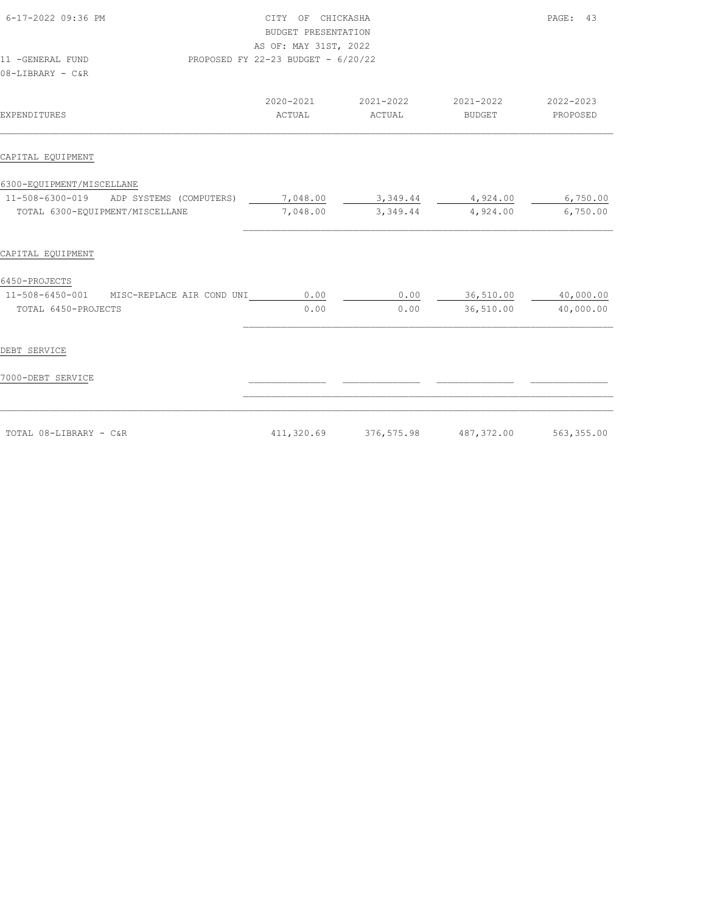| 6-17-2022 09:36 PM                        | CITY OF CHICKASHA<br>BUDGET PRESENTATION<br>AS OF: MAY 31ST, 2022 | PAGE: 43    |               |            |
|-------------------------------------------|-------------------------------------------------------------------|-------------|---------------|------------|
| 11 -GENERAL FUND                          | PROPOSED FY 22-23 BUDGET - 6/20/22                                |             |               |            |
| 08-LIBRARY - C&R                          |                                                                   |             |               |            |
|                                           | 2020-2021                                                         | 2021-2022   | 2021-2022     | 2022-2023  |
| EXPENDITURES                              | ACTUAL                                                            | ACTUAL      | <b>BUDGET</b> | PROPOSED   |
| CAPITAL EQUIPMENT                         |                                                                   |             |               |            |
| 6300-EQUIPMENT/MISCELLANE                 |                                                                   |             |               |            |
| 11-508-6300-019 ADP SYSTEMS (COMPUTERS)   | 7,048.00                                                          | 3,349.44    | 4,924.00      | 6,750.00   |
| TOTAL 6300-EQUIPMENT/MISCELLANE           | 7,048.00                                                          | 3,349.44    | 4,924.00      | 6,750.00   |
| CAPITAL EQUIPMENT                         |                                                                   |             |               |            |
| 6450-PROJECTS                             |                                                                   |             |               |            |
| 11-508-6450-001 MISC-REPLACE AIR COND UNI | 0.00                                                              | 0.00        | 36,510.00     | 40,000.00  |
| TOTAL 6450-PROJECTS                       | 0.00                                                              | 0.00        | 36,510.00     | 40,000.00  |
| DEBT SERVICE                              |                                                                   |             |               |            |
|                                           |                                                                   |             |               |            |
| 7000-DEBT SERVICE                         |                                                                   |             |               |            |
|                                           |                                                                   |             |               |            |
| TOTAL 08-LIBRARY - C&R                    | 411,320.69                                                        | 376, 575.98 | 487,372.00    | 563,355.00 |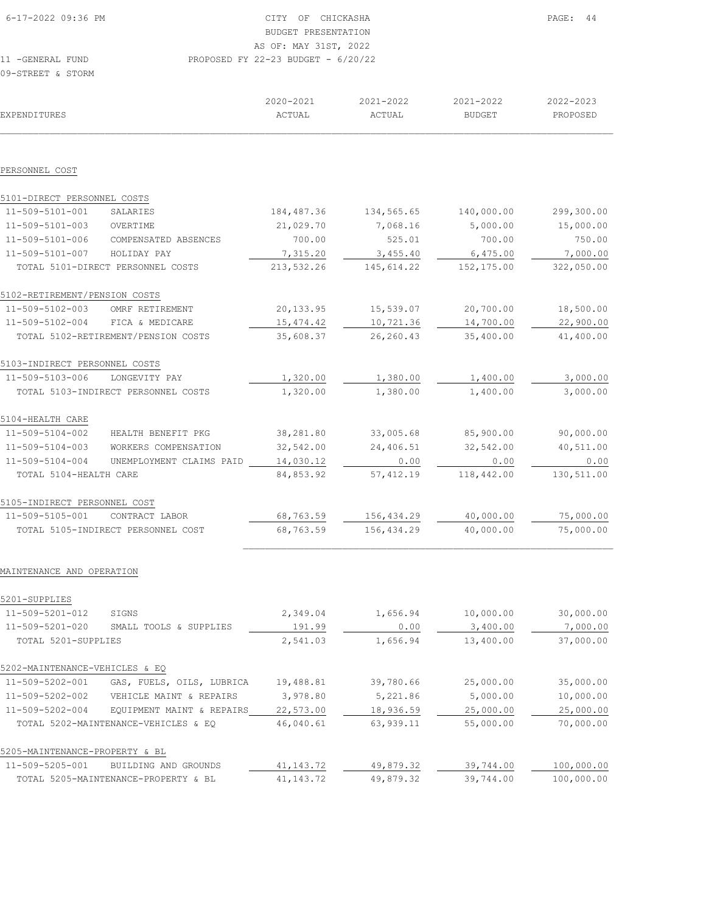| 6-17-2022 09:36 PM | CITY OF CHICKASHA                    | PAGE: 44 |
|--------------------|--------------------------------------|----------|
|                    | BUDGET PRESENTATION                  |          |
|                    | AS OF: MAY 31ST, 2022                |          |
| 11 - GENERAL FUND  | PROPOSED FY 22-23 BUDGET - $6/20/22$ |          |
| 09-STREET & STORM  |                                      |          |

| EXPENDITURES                   |                                      | 2020-2021<br>ACTUAL | 2021-2022<br>ACTUAL | 2021-2022<br><b>BUDGET</b> | 2022-2023<br>PROPOSED |
|--------------------------------|--------------------------------------|---------------------|---------------------|----------------------------|-----------------------|
|                                |                                      |                     |                     |                            |                       |
| PERSONNEL COST                 |                                      |                     |                     |                            |                       |
| 5101-DIRECT PERSONNEL COSTS    |                                      |                     |                     |                            |                       |
| 11-509-5101-001                | SALARIES                             | 184, 487.36         | 134,565.65          | 140,000.00                 | 299,300.00            |
| 11-509-5101-003                | OVERTIME                             | 21,029.70           | 7,068.16            | 5,000.00                   | 15,000.00             |
| $11 - 509 - 5101 - 006$        | COMPENSATED ABSENCES                 | 700.00              | 525.01              | 700.00                     | 750.00                |
| 11-509-5101-007                | HOLIDAY PAY                          | 7,315.20            | 3,455.40            | 6,475.00                   | 7,000.00              |
|                                | TOTAL 5101-DIRECT PERSONNEL COSTS    | 213,532.26          | 145, 614.22         | 152,175.00                 | 322,050.00            |
| 5102-RETIREMENT/PENSION COSTS  |                                      |                     |                     |                            |                       |
| 11-509-5102-003                | OMRF RETIREMENT                      | 20,133.95           | 15,539.07           | 20,700.00                  | 18,500.00             |
| 11-509-5102-004                | FICA & MEDICARE                      | 15, 474.42          | 10,721.36           | 14,700.00                  | 22,900.00             |
|                                | TOTAL 5102-RETIREMENT/PENSION COSTS  | 35,608.37           | 26, 260.43          | 35,400.00                  | 41,400.00             |
| 5103-INDIRECT PERSONNEL COSTS  |                                      |                     |                     |                            |                       |
| 11-509-5103-006                | LONGEVITY PAY                        | 1,320.00            | 1,380.00            | 1,400.00                   | 3,000.00              |
|                                | TOTAL 5103-INDIRECT PERSONNEL COSTS  | 1,320.00            | 1,380.00            | 1,400.00                   | 3,000.00              |
| 5104-HEALTH CARE               |                                      |                     |                     |                            |                       |
| 11-509-5104-002                | HEALTH BENEFIT PKG                   | 38,281.80           | 33,005.68           | 85,900.00                  | 90,000.00             |
| 11-509-5104-003                | WORKERS COMPENSATION                 | 32,542.00           | 24,406.51           | 32,542.00                  | 40,511.00             |
| 11-509-5104-004                | UNEMPLOYMENT CLAIMS PAID             | 14,030.12           | 0.00                | 0.00                       | 0.00                  |
| TOTAL 5104-HEALTH CARE         |                                      | 84,853.92           | 57, 412.19          | 118,442.00                 | 130,511.00            |
| 5105-INDIRECT PERSONNEL COST   |                                      |                     |                     |                            |                       |
| 11-509-5105-001                | CONTRACT LABOR                       | 68,763.59           | 156, 434.29         | 40,000.00                  | 75,000.00             |
|                                | TOTAL 5105-INDIRECT PERSONNEL COST   | 68,763.59           | 156,434.29          | 40,000.00                  | 75,000.00             |
|                                |                                      |                     |                     |                            |                       |
| MAINTENANCE AND OPERATION      |                                      |                     |                     |                            |                       |
| 5201-SUPPLIES                  |                                      |                     |                     |                            |                       |
| 11-509-5201-012                | SIGNS                                | 2,349.04            | 1,656.94            | 10,000.00                  | 30,000.00             |
| 11-509-5201-020                | SMALL TOOLS & SUPPLIES               | 191.99              | 0.00                | 3,400.00                   | 7,000.00              |
| TOTAL 5201-SUPPLIES            |                                      | 2,541.03            | 1,656.94            | 13,400.00                  | 37,000.00             |
| 5202-MAINTENANCE-VEHICLES & EQ |                                      |                     |                     |                            |                       |
| 11-509-5202-001                | GAS, FUELS, OILS, LUBRICA            | 19,488.81           | 39,780.66           | 25,000.00                  | 35,000.00             |
| 11-509-5202-002                | VEHICLE MAINT & REPAIRS              | 3,978.80            | 5,221.86            | 5,000.00                   | 10,000.00             |
| 11-509-5202-004                | EQUIPMENT MAINT & REPAIRS            | 22,573.00           | 18,936.59           | 25,000.00                  | 25,000.00             |
|                                | TOTAL 5202-MAINTENANCE-VEHICLES & EQ | 46,040.61           | 63, 939.11          | 55,000.00                  | 70,000.00             |
|                                |                                      |                     |                     |                            |                       |

| 5205-MAINTENANCE-PROPERTY & BL |                                      |           |           |           |            |
|--------------------------------|--------------------------------------|-----------|-----------|-----------|------------|
| 11-509-5205-001                | BUILDING AND GROUNDS                 | 41,143.72 | 49,879.32 | 39,744.00 | 100,000.00 |
|                                | TOTAL 5205-MAINTENANCE-PROPERTY & BL | 41,143.72 | 49,879.32 | 39,744.00 | 100,000.00 |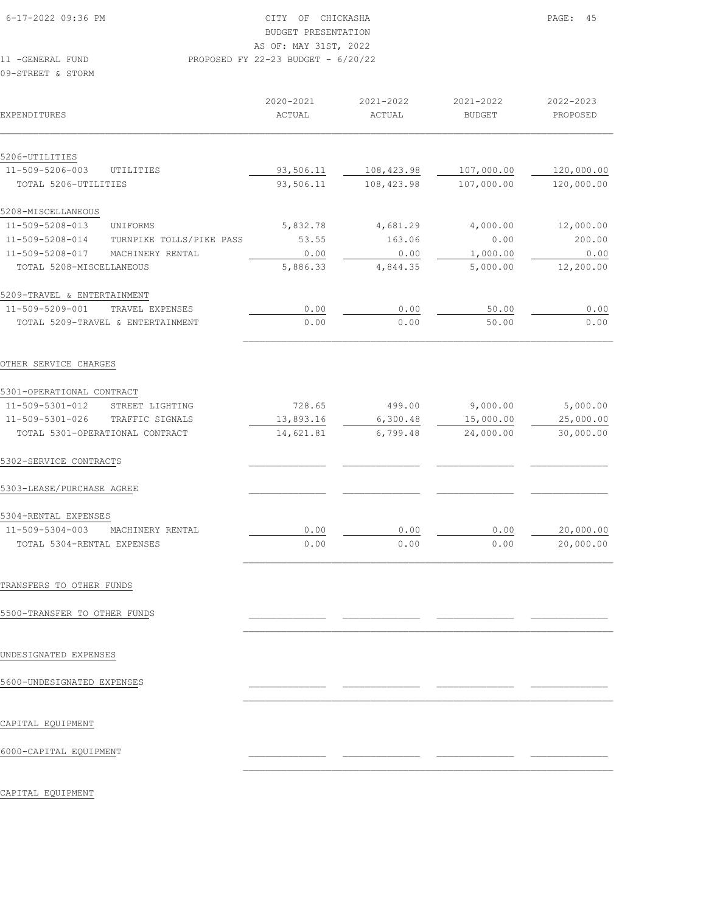# BUDGET PRESENTATION

AS OF: MAY 31ST, 2022

11 -GENERAL FUND PROPOSED FY 22-23 BUDGET - 6/20/22

09-STREET & STORM

| <b>EXPENDITURES</b>          |                                   | 2020-2021<br>ACTUAL | 2021-2022<br>ACTUAL | 2021-2022<br><b>BUDGET</b> | 2022-2023<br>PROPOSED |
|------------------------------|-----------------------------------|---------------------|---------------------|----------------------------|-----------------------|
| 5206-UTILITIES               |                                   |                     |                     |                            |                       |
| 11-509-5206-003              | UTILITIES                         | 93,506.11           | 108,423.98          | 107,000.00                 | 120,000.00            |
| TOTAL 5206-UTILITIES         |                                   | 93,506.11           | 108,423.98          | 107,000.00                 | 120,000.00            |
| 5208-MISCELLANEOUS           |                                   |                     |                     |                            |                       |
| 11-509-5208-013              | UNIFORMS                          | 5,832.78            | 4,681.29            | 4,000.00                   | 12,000.00             |
| 11-509-5208-014              | TURNPIKE TOLLS/PIKE PASS          | 53.55               | 163.06              | 0.00                       | 200.00                |
| 11-509-5208-017              | MACHINERY RENTAL                  | 0.00                | 0.00                | 1,000.00                   | 0.00                  |
| TOTAL 5208-MISCELLANEOUS     |                                   | 5,886.33            | 4,844.35            | 5,000.00                   | 12,200.00             |
| 5209-TRAVEL & ENTERTAINMENT  |                                   |                     |                     |                            |                       |
| 11-509-5209-001              | TRAVEL EXPENSES                   | 0.00                | 0.00                | 50.00                      | 0.00                  |
|                              | TOTAL 5209-TRAVEL & ENTERTAINMENT | 0.00                | 0.00                | 50.00                      | 0.00                  |
| OTHER SERVICE CHARGES        |                                   |                     |                     |                            |                       |
| 5301-OPERATIONAL CONTRACT    |                                   |                     |                     |                            |                       |
| 11-509-5301-012              | STREET LIGHTING                   | 728.65              | 499.00              | 9,000.00                   | 5,000.00              |
| 11-509-5301-026              | TRAFFIC SIGNALS                   | 13,893.16           | 6,300.48            | 15,000.00                  | 25,000.00             |
|                              | TOTAL 5301-OPERATIONAL CONTRACT   | 14,621.81           | 6,799.48            | 24,000.00                  | 30,000.00             |
| 5302-SERVICE CONTRACTS       |                                   |                     |                     |                            |                       |
| 5303-LEASE/PURCHASE AGREE    |                                   |                     |                     |                            |                       |
| 5304-RENTAL EXPENSES         |                                   |                     |                     |                            |                       |
| $11 - 509 - 5304 - 003$      | MACHINERY RENTAL                  | 0.00                | 0.00                | 0.00                       | 20,000.00             |
| TOTAL 5304-RENTAL EXPENSES   |                                   | 0.00                | 0.00                | 0.00                       | 20,000.00             |
| TRANSFERS TO OTHER FUNDS     |                                   |                     |                     |                            |                       |
| 5500-TRANSFER TO OTHER FUNDS |                                   |                     |                     |                            |                       |
| UNDESIGNATED EXPENSES        |                                   |                     |                     |                            |                       |
| 5600-UNDESIGNATED EXPENSES   |                                   |                     |                     |                            |                       |
| CAPITAL EQUIPMENT            |                                   |                     |                     |                            |                       |
| 6000-CAPITAL EQUIPMENT       |                                   |                     |                     |                            |                       |

 $\mathcal{L}_\text{max}$ 

CAPITAL EQUIPMENT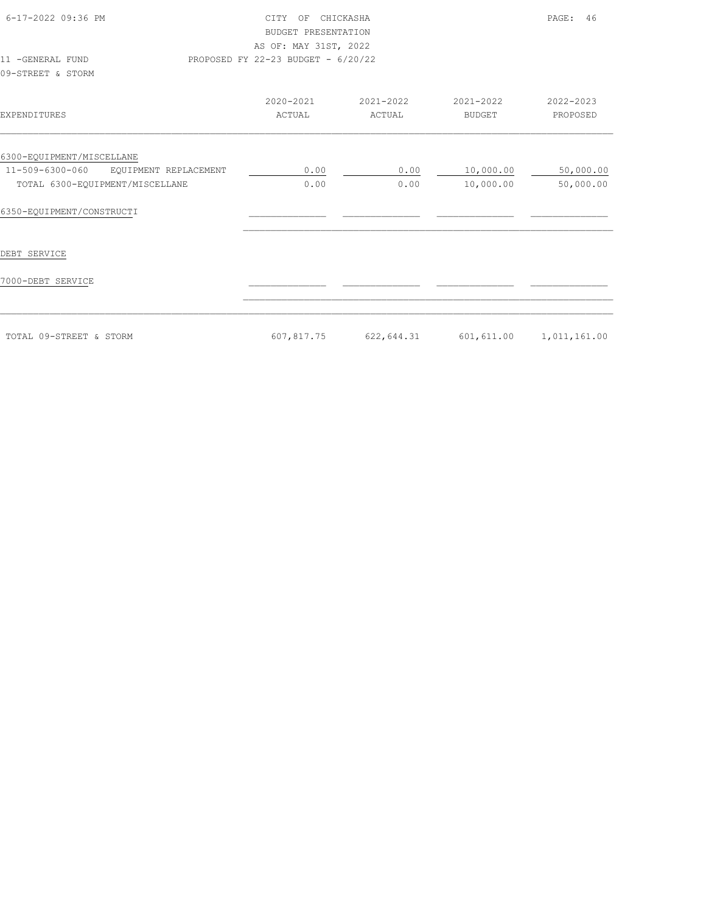| 6-17-2022 09:36 PM<br>11 -GENERAL FUND<br>09-STREET & STORM                                              | CITY OF CHICKASHA<br>BUDGET PRESENTATION<br>AS OF: MAY 31ST, 2022<br>PROPOSED FY 22-23 BUDGET - 6/20/22 |                     |                            | PAGE:<br>46            |
|----------------------------------------------------------------------------------------------------------|---------------------------------------------------------------------------------------------------------|---------------------|----------------------------|------------------------|
| EXPENDITURES                                                                                             | 2020-2021<br>ACTUAL                                                                                     | 2021-2022<br>ACTUAL | 2021-2022<br><b>BUDGET</b> | 2022-2023<br>PROPOSED  |
| 6300-EQUIPMENT/MISCELLANE<br>11-509-6300-060<br>EOUIPMENT REPLACEMENT<br>TOTAL 6300-EQUIPMENT/MISCELLANE | 0.00<br>0.00                                                                                            | 0.00<br>0.00        | 10,000.00<br>10,000.00     | 50,000.00<br>50,000.00 |
| 6350-EQUIPMENT/CONSTRUCTI                                                                                |                                                                                                         |                     |                            |                        |
| DEBT SERVICE                                                                                             |                                                                                                         |                     |                            |                        |
| 7000-DEBT SERVICE                                                                                        |                                                                                                         |                     |                            |                        |
| TOTAL 09-STREET & STORM                                                                                  | 607,817.75                                                                                              | 622,644.31          | 601,611.00                 | 1,011,161.00           |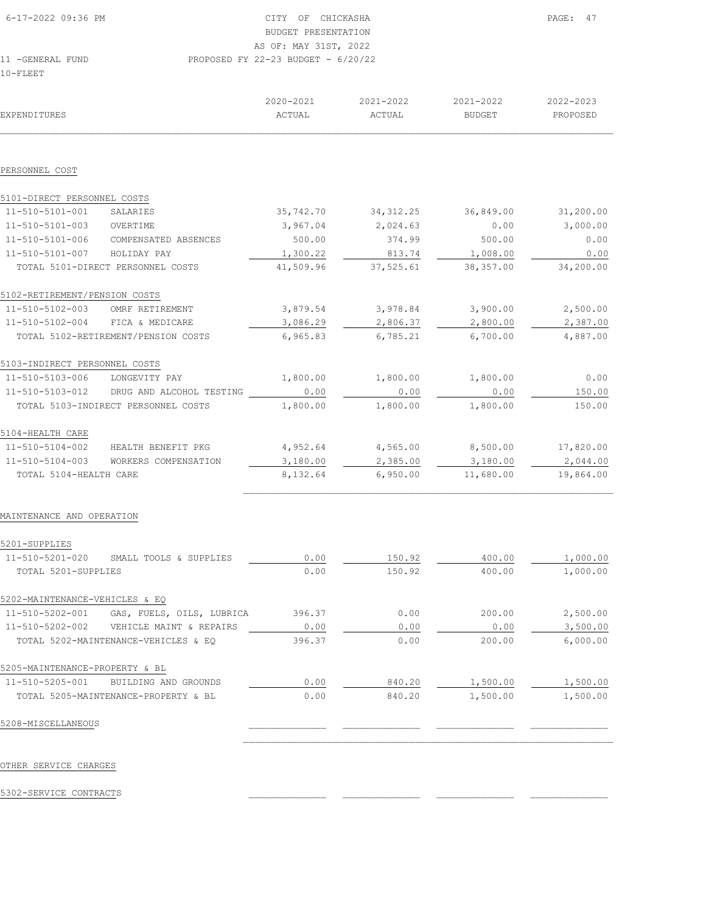| 6-17-2022 09:36 PM      | CITY OF CHICKASHA                    | PAGE: 47 |
|-------------------------|--------------------------------------|----------|
|                         | BUDGET PRESENTATION                  |          |
|                         | AS OF: MAY 31ST, 2022                |          |
| 11 -GENERAL FUND        | PROPOSED FY 22-23 BUDGET - $6/20/22$ |          |
| $10 - \text{F}$ T.E.E.T |                                      |          |

| EXPENDITURES                   |                                      | 2020-2021<br>ACTUAL | 2021-2022<br>ACTUAL | 2021-2022<br><b>BUDGET</b> | 2022-2023<br>PROPOSED |
|--------------------------------|--------------------------------------|---------------------|---------------------|----------------------------|-----------------------|
|                                |                                      |                     |                     |                            |                       |
| PERSONNEL COST                 |                                      |                     |                     |                            |                       |
| 5101-DIRECT PERSONNEL COSTS    |                                      |                     |                     |                            |                       |
| 11-510-5101-001                | SALARIES                             | 35,742.70           | 34, 312.25          | 36,849.00                  | 31,200.00             |
| 11-510-5101-003                | OVERTIME                             | 3,967.04            | 2,024.63            | 0.00                       | 3,000.00              |
| 11-510-5101-006                | COMPENSATED ABSENCES                 | 500.00              | 374.99              | 500.00                     | 0.00                  |
| 11-510-5101-007                | HOLIDAY PAY                          | 1,300.22            | 813.74              | 1,008.00                   | 0.00                  |
|                                | TOTAL 5101-DIRECT PERSONNEL COSTS    | 41,509.96           | 37,525.61           | 38, 357.00                 | 34,200.00             |
| 5102-RETIREMENT/PENSION COSTS  |                                      |                     |                     |                            |                       |
| 11-510-5102-003                | OMRF RETIREMENT                      | 3,879.54            | 3,978.84            | 3,900.00                   | 2,500.00              |
| 11-510-5102-004                | FICA & MEDICARE                      | 3,086.29            | 2,806.37            | 2,800.00                   | 2,387.00              |
|                                | TOTAL 5102-RETIREMENT/PENSION COSTS  | 6,965.83            | 6,785.21            | 6,700.00                   | 4,887.00              |
| 5103-INDIRECT PERSONNEL COSTS  |                                      |                     |                     |                            |                       |
| 11-510-5103-006                | LONGEVITY PAY                        | 1,800.00            | 1,800.00            | 1,800.00                   | 0.00                  |
| 11-510-5103-012                | DRUG AND ALCOHOL TESTING             | 0.00                | 0.00                | 0.00                       | 150.00                |
|                                | TOTAL 5103-INDIRECT PERSONNEL COSTS  | 1,800.00            | 1,800.00            | 1,800.00                   | 150.00                |
| 5104-HEALTH CARE               |                                      |                     |                     |                            |                       |
| 11-510-5104-002                | HEALTH BENEFIT PKG                   | 4,952.64            | 4,565.00            | 8,500.00                   | 17,820.00             |
| 11-510-5104-003                | WORKERS COMPENSATION                 | 3,180.00            | 2,385.00            | 3,180.00                   | 2,044.00              |
| TOTAL 5104-HEALTH CARE         |                                      | 8,132.64            | 6,950.00            | 11,680.00                  | 19,864.00             |
| MAINTENANCE AND OPERATION      |                                      |                     |                     |                            |                       |
| 5201-SUPPLIES                  |                                      |                     |                     |                            |                       |
| 11-510-5201-020                | SMALL TOOLS & SUPPLIES               | 0.00                | 150.92              | 400.00                     | 1,000.00              |
| TOTAL 5201-SUPPLIES            |                                      | 0.00                | 150.92              | 400.00                     | 1,000.00              |
| 5202-MAINTENANCE-VEHICLES & EQ |                                      |                     |                     |                            |                       |
| 11-510-5202-001                | GAS, FUELS, OILS, LUBRICA            | 396.37              | 0.00                | 200.00                     | 2,500.00              |
| 11-510-5202-002                | VEHICLE MAINT & REPAIRS              | 0.00                | 0.00                | 0.00                       | 3,500.00              |
|                                | TOTAL 5202-MAINTENANCE-VEHICLES & EQ | 396.37              | 0.00                | 200.00                     | 6,000.00              |
| 5205-MAINTENANCE-PROPERTY & BL |                                      |                     |                     |                            |                       |
| 11-510-5205-001                | BUILDING AND GROUNDS                 | 0.00                | 840.20              | 1,500.00                   | 1,500.00              |
|                                | TOTAL 5205-MAINTENANCE-PROPERTY & BL | 0.00                | 840.20              | 1,500.00                   | 1,500.00              |
| 5208-MISCELLANEOUS             |                                      |                     |                     |                            |                       |
|                                |                                      |                     |                     |                            |                       |

5302-SERVICE CONTRACTS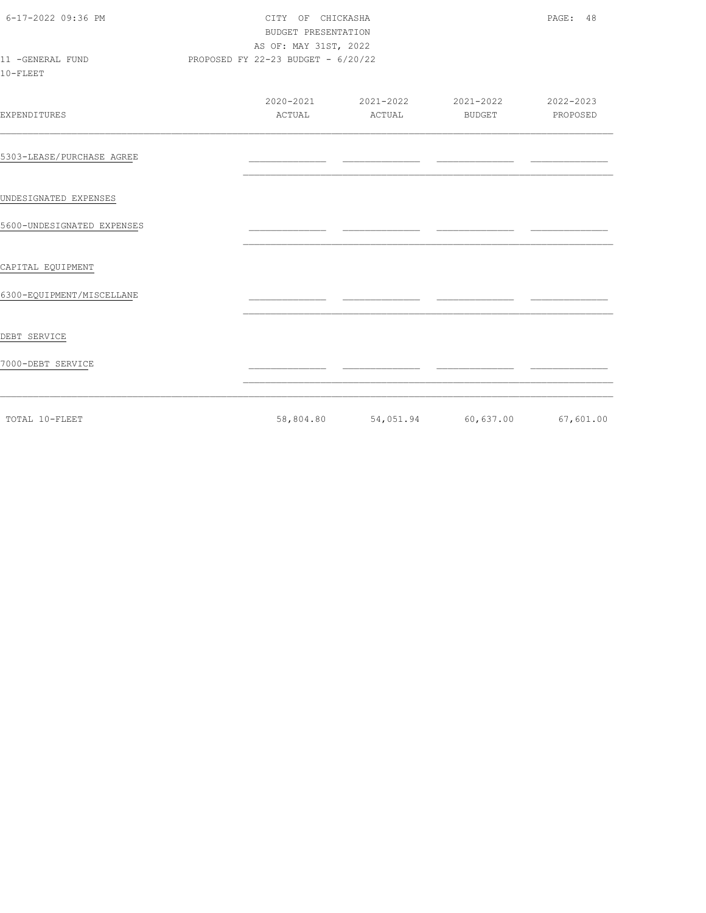| 6-17-2022 09:36 PM<br>11 -GENERAL FUND | CITY OF CHICKASHA<br>BUDGET PRESENTATION<br>AS OF: MAY 31ST, 2022<br>PROPOSED FY 22-23 BUDGET - 6/20/22 |  |                                         | PAGE: 48 |  |  |
|----------------------------------------|---------------------------------------------------------------------------------------------------------|--|-----------------------------------------|----------|--|--|
| 10-FLEET                               |                                                                                                         |  |                                         |          |  |  |
| EXPENDITURES                           |                                                                                                         |  |                                         |          |  |  |
| 5303-LEASE/PURCHASE AGREE              |                                                                                                         |  |                                         |          |  |  |
| UNDESIGNATED EXPENSES                  |                                                                                                         |  |                                         |          |  |  |
| 5600-UNDESIGNATED EXPENSES             |                                                                                                         |  |                                         |          |  |  |
| CAPITAL EQUIPMENT                      |                                                                                                         |  |                                         |          |  |  |
| 6300-EQUIPMENT/MISCELLANE              |                                                                                                         |  |                                         |          |  |  |
| DEBT SERVICE                           |                                                                                                         |  |                                         |          |  |  |
| 7000-DEBT SERVICE                      |                                                                                                         |  |                                         |          |  |  |
| TOTAL 10-FLEET                         |                                                                                                         |  | 58,804.80 54,051.94 60,637.00 67,601.00 |          |  |  |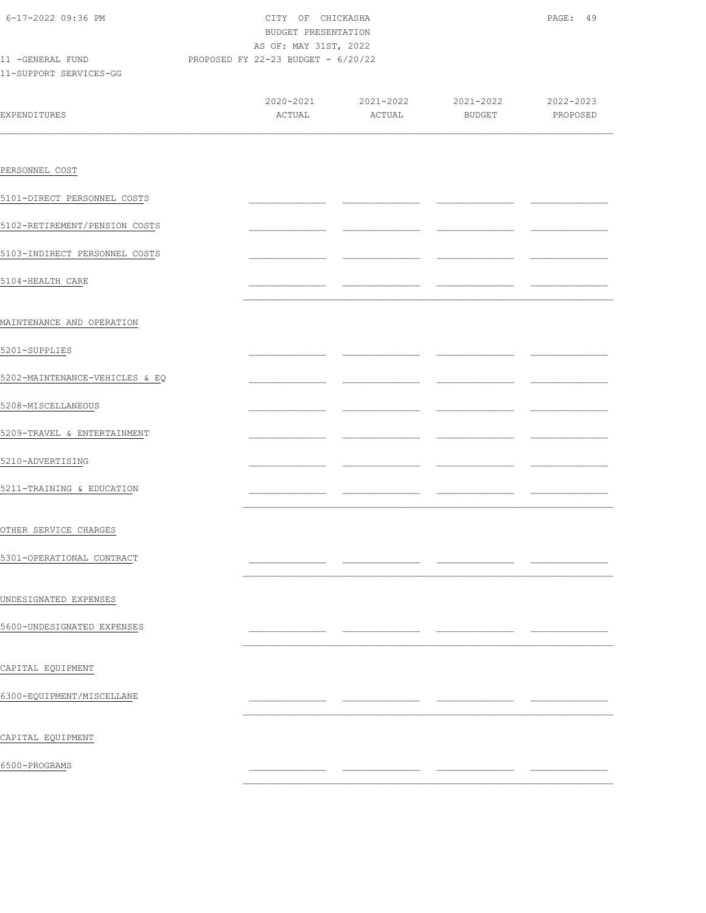| 6-17-2022 09:36 PM<br>11 -GENERAL FUND<br>PROPOSED FY 22-23 BUDGET - 6/20/22 |  | CITY OF CHICKASHA<br>BUDGET PRESENTATION<br>AS OF: MAY 31ST, 2022 | PAGE: 49                                |  |  |
|------------------------------------------------------------------------------|--|-------------------------------------------------------------------|-----------------------------------------|--|--|
| 11-SUPPORT SERVICES-GG                                                       |  |                                                                   |                                         |  |  |
| EXPENDITURES                                                                 |  |                                                                   | 2020-2021 2021-2022 2021-2022 2020-2022 |  |  |
|                                                                              |  |                                                                   |                                         |  |  |
| PERSONNEL COST                                                               |  |                                                                   |                                         |  |  |
| 5101-DIRECT PERSONNEL COSTS                                                  |  |                                                                   |                                         |  |  |
| 5102-RETIREMENT/PENSION COSTS                                                |  |                                                                   |                                         |  |  |
| 5103-INDIRECT PERSONNEL COSTS                                                |  |                                                                   |                                         |  |  |
| 5104-HEALTH CARE                                                             |  |                                                                   |                                         |  |  |
| MAINTENANCE AND OPERATION                                                    |  |                                                                   |                                         |  |  |
| 5201-SUPPLIES                                                                |  |                                                                   |                                         |  |  |
| 5202-MAINTENANCE-VEHICLES & EQ                                               |  |                                                                   |                                         |  |  |
| 5208-MISCELLANEOUS                                                           |  |                                                                   |                                         |  |  |
| 5209-TRAVEL & ENTERTAINMENT                                                  |  |                                                                   |                                         |  |  |
| 5210-ADVERTISING                                                             |  |                                                                   |                                         |  |  |
| 5211-TRAINING & EDUCATION                                                    |  |                                                                   |                                         |  |  |
| OTHER SERVICE CHARGES                                                        |  |                                                                   |                                         |  |  |
| 5301-OPERATIONAL CONTRACT                                                    |  |                                                                   |                                         |  |  |
|                                                                              |  |                                                                   |                                         |  |  |
| UNDESIGNATED EXPENSES                                                        |  |                                                                   |                                         |  |  |
| 5600-UNDESIGNATED EXPENSES                                                   |  |                                                                   |                                         |  |  |
| CAPITAL EQUIPMENT                                                            |  |                                                                   |                                         |  |  |
| 6300-EQUIPMENT/MISCELLANE                                                    |  |                                                                   |                                         |  |  |
| CAPITAL EQUIPMENT                                                            |  |                                                                   |                                         |  |  |
| 6500-PROGRAMS                                                                |  |                                                                   |                                         |  |  |
|                                                                              |  |                                                                   |                                         |  |  |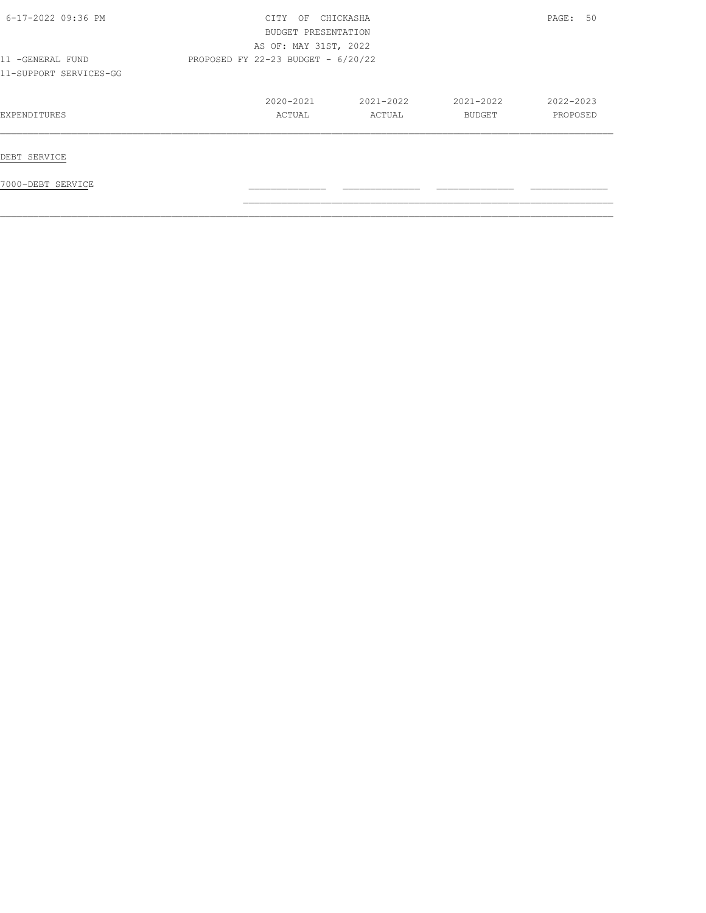| 6-17-2022 09:36 PM                         | CITY OF CHICKASHA<br>BUDGET PRESENTATION<br>AS OF: MAY 31ST, 2022 |                     |                     | PAGE: 50              |
|--------------------------------------------|-------------------------------------------------------------------|---------------------|---------------------|-----------------------|
| 11 -GENERAL FUND<br>11-SUPPORT SERVICES-GG | PROPOSED FY 22-23 BUDGET - 6/20/22                                |                     |                     |                       |
| EXPENDITURES                               | 2020-2021<br>ACTUAL                                               | 2021-2022<br>ACTUAL | 2021-2022<br>BUDGET | 2022-2023<br>PROPOSED |
| DEBT SERVICE                               |                                                                   |                     |                     |                       |
| 7000-DEBT SERVICE                          |                                                                   |                     |                     |                       |

 $\mathcal{L}_\text{max}$  $\mathcal{L}_\text{max} = \mathcal{L}_\text{max} = \mathcal{L}_\text{max} = \mathcal{L}_\text{max} = \mathcal{L}_\text{max} = \mathcal{L}_\text{max} = \mathcal{L}_\text{max} = \mathcal{L}_\text{max} = \mathcal{L}_\text{max} = \mathcal{L}_\text{max} = \mathcal{L}_\text{max} = \mathcal{L}_\text{max} = \mathcal{L}_\text{max} = \mathcal{L}_\text{max} = \mathcal{L}_\text{max} = \mathcal{L}_\text{max} = \mathcal{L}_\text{max} = \mathcal{L}_\text{max} = \mathcal{$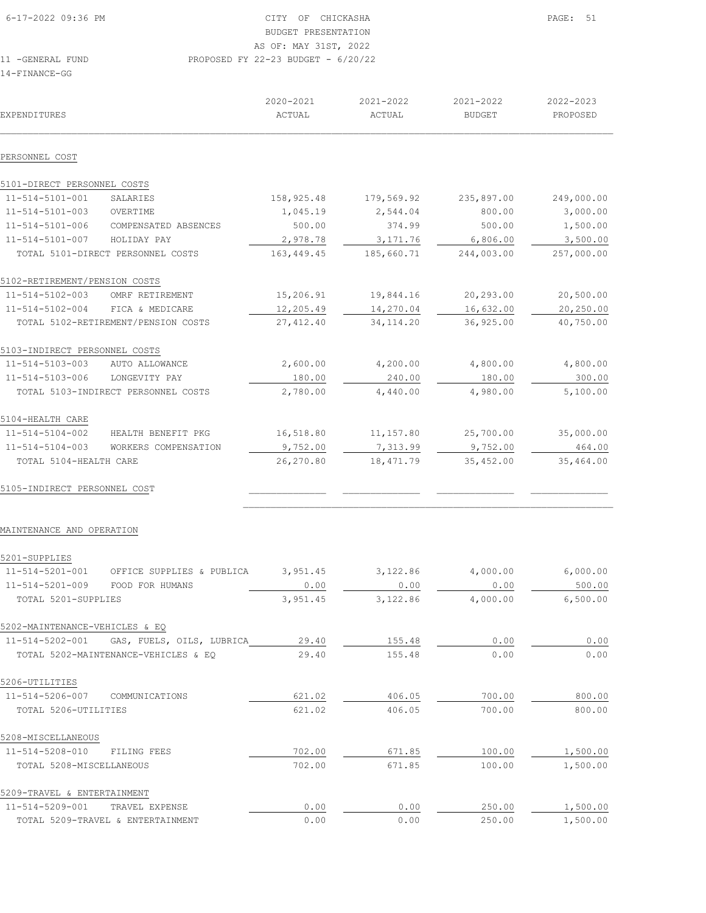| EXPENDITURES                  |                                     | 2020-2021<br>ACTUAL | 2021-2022<br>ACTUAL | 2021-2022<br><b>BUDGET</b> | 2022-2023<br>PROPOSED |
|-------------------------------|-------------------------------------|---------------------|---------------------|----------------------------|-----------------------|
| PERSONNEL COST                |                                     |                     |                     |                            |                       |
| 5101-DIRECT PERSONNEL COSTS   |                                     |                     |                     |                            |                       |
| 11-514-5101-001               | SALARIES                            | 158,925.48          | 179,569.92          | 235,897.00                 | 249,000.00            |
| 11-514-5101-003               | OVERTIME                            | 1,045.19            | 2,544.04            | 800.00                     | 3,000.00              |
| $11 - 514 - 5101 - 006$       | COMPENSATED ABSENCES                | 500.00              | 374.99              | 500.00                     | 1,500.00              |
| 11-514-5101-007               | HOLIDAY PAY                         | 2,978.78            | 3, 171.76           | 6,806.00                   | 3,500.00              |
|                               | TOTAL 5101-DIRECT PERSONNEL COSTS   | 163,449.45          | 185,660.71          | 244,003.00                 | 257,000.00            |
| 5102-RETIREMENT/PENSION COSTS |                                     |                     |                     |                            |                       |
| 11-514-5102-003               | OMRF RETIREMENT                     | 15,206.91           | 19,844.16           | 20,293.00                  | 20,500.00             |
| 11-514-5102-004               | FICA & MEDICARE                     | 12,205.49           | 14,270.04           | 16,632.00                  | 20,250.00             |
|                               | TOTAL 5102-RETIREMENT/PENSION COSTS | 27, 412.40          | 34, 114.20          | 36,925.00                  | 40,750.00             |
| 5103-INDIRECT PERSONNEL COSTS |                                     |                     |                     |                            |                       |
| 11-514-5103-003               | AUTO ALLOWANCE                      | 2,600.00            | 4,200.00            | 4,800.00                   | 4,800.00              |
| 11-514-5103-006               | LONGEVITY PAY                       | 180.00              | 240.00              | 180.00                     | 300.00                |
|                               | TOTAL 5103-INDIRECT PERSONNEL COSTS | 2,780.00            | 4,440.00            | 4,980.00                   | 5,100.00              |
| 5104-HEALTH CARE              |                                     |                     |                     |                            |                       |
| 11-514-5104-002               | HEALTH BENEFIT PKG                  | 16,518.80           | 11, 157.80          | 25,700.00                  | 35,000.00             |
| $11 - 514 - 5104 - 003$       | WORKERS COMPENSATION                | 9,752.00            | 7,313.99            | 9,752.00                   | 464.00                |
| TOTAL 5104-HEALTH CARE        |                                     | 26,270.80           | 18, 471.79          | 35,452.00                  | 35,464.00             |
| 5105-INDIRECT PERSONNEL COST  |                                     |                     |                     |                            |                       |
|                               |                                     |                     |                     |                            |                       |
| MAINTENANCE AND OPERATION     |                                     |                     |                     |                            |                       |

| 5201-SUPPLIES                  |                                      |          |          |          |          |
|--------------------------------|--------------------------------------|----------|----------|----------|----------|
| 11-514-5201-001                | OFFICE SUPPLIES &<br>PUBLICA         | 3,951.45 | 3,122.86 | 4,000.00 | 6,000.00 |
| 11-514-5201-009                | FOOD FOR HUMANS                      | 0.00     | 0.00     | 0.00     | 500.00   |
| TOTAL 5201-SUPPLIES            |                                      | 3,951.45 | 3,122.86 | 4,000.00 | 6,500.00 |
| 5202-MAINTENANCE-VEHICLES & EQ |                                      |          |          |          |          |
| 11-514-5202-001                | GAS, FUELS, OILS, LUBRICA            | 29.40    | 155.48   | 0.00     | 0.00     |
|                                | TOTAL 5202-MAINTENANCE-VEHICLES & EO | 29.40    | 155.48   | 0.00     | 0.00     |
| 5206-UTILITIES                 |                                      |          |          |          |          |
| 11-514-5206-007                | COMMUNICATIONS                       | 621.02   | 406.05   | 700.00   | 800.00   |
| TOTAL 5206-UTILITIES           |                                      | 621.02   | 406.05   | 700.00   | 800.00   |
| 5208-MISCELLANEOUS             |                                      |          |          |          |          |
| 11-514-5208-010                | FILING FEES                          | 702.00   | 671.85   | 100.00   | 1,500.00 |
| TOTAL 5208-MISCELLANEOUS       |                                      | 702.00   | 671.85   | 100.00   | 1,500.00 |
| 5209-TRAVEL & ENTERTAINMENT    |                                      |          |          |          |          |
| 11-514-5209-001                | TRAVEL EXPENSE                       | 0.00     | 0.00     | 250.00   | 1,500.00 |
|                                | TOTAL 5209-TRAVEL & ENTERTAINMENT    | 0.00     | 0.00     | 250.00   | 1,500.00 |
|                                |                                      |          |          |          |          |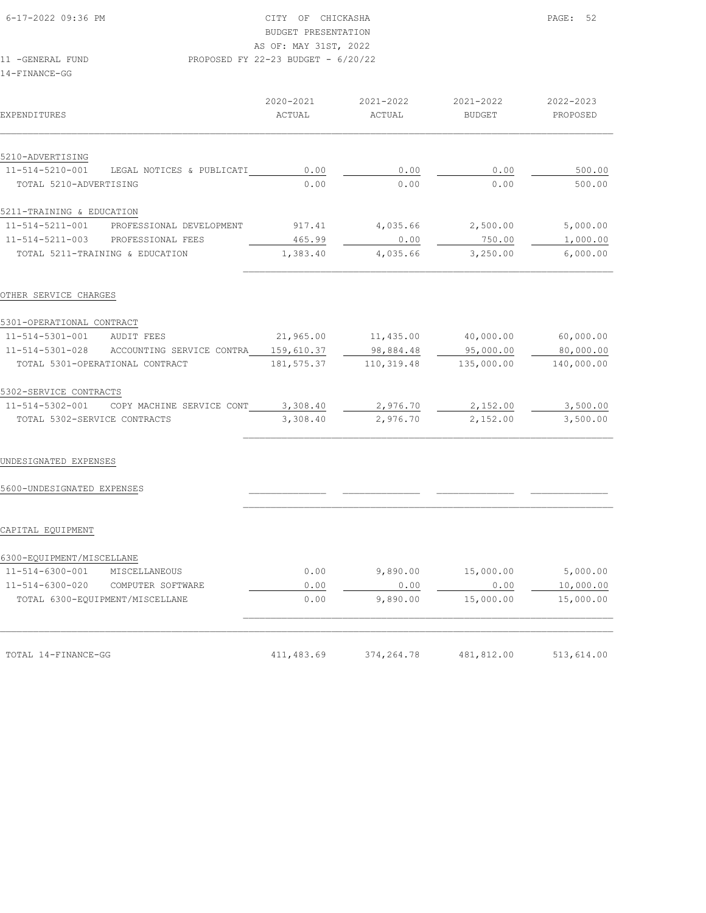# BUDGET PRESENTATION

AS OF: MAY 31ST, 2022

# 11 -GENERAL FUND PROPOSED FY 22-23 BUDGET - 6/20/22

14-FINANCE-GG

| <b>EXPENDITURES</b>          |                                                        | 2020-2021<br>ACTUAL | 2021-2022<br>ACTUAL                 | 2021-2022<br>BUDGET | 2022-2023<br>PROPOSED |
|------------------------------|--------------------------------------------------------|---------------------|-------------------------------------|---------------------|-----------------------|
| 5210-ADVERTISING             |                                                        |                     |                                     |                     |                       |
| 11-514-5210-001              | LEGAL NOTICES & PUBLICATI                              | 0.00                | 0.00                                | 0.00                | 500.00                |
| TOTAL 5210-ADVERTISING       |                                                        | 0.00                | 0.00                                | 0.00                | 500.00                |
| 5211-TRAINING & EDUCATION    |                                                        |                     |                                     |                     |                       |
|                              | 11-514-5211-001 PROFESSIONAL DEVELOPMENT               |                     | 917.41 4,035.66 2,500.00            |                     | 5,000.00              |
|                              | 11-514-5211-003 PROFESSIONAL FEES                      | 465.99              | 0.00                                | 750.00              | 1,000.00              |
|                              | TOTAL 5211-TRAINING & EDUCATION                        | 1,383.40            | 4,035.66                            | 3,250.00            | 6,000.00              |
| OTHER SERVICE CHARGES        |                                                        |                     |                                     |                     |                       |
| 5301-OPERATIONAL CONTRACT    |                                                        |                     |                                     |                     |                       |
| 11-514-5301-001 AUDIT FEES   |                                                        |                     | 21,965.00    11,435.00    40,000.00 |                     | 60,000.00             |
|                              | $11-514-5301-028$ ACCOUNTING SERVICE CONTRA 159,610.37 |                     | 98,884.48                           | 95,000.00           | 80,000.00             |
|                              | TOTAL 5301-OPERATIONAL CONTRACT                        | 181,575.37          | 110, 319.48                         | 135,000.00          | 140,000.00            |
| 5302-SERVICE CONTRACTS       |                                                        |                     |                                     |                     |                       |
| 11-514-5302-001              | COPY MACHINE SERVICE CONT                              | 3,308.40            | 2,976.70                            | 2,152.00            | 3,500.00              |
| TOTAL 5302-SERVICE CONTRACTS |                                                        | 3,308.40            | 2,976.70                            | 2,152.00            | 3,500.00              |
| UNDESIGNATED EXPENSES        |                                                        |                     |                                     |                     |                       |
| 5600-UNDESIGNATED EXPENSES   |                                                        |                     |                                     |                     |                       |
| CAPITAL EQUIPMENT            |                                                        |                     |                                     |                     |                       |
| 6300-EOUIPMENT/MISCELLANE    |                                                        |                     |                                     |                     |                       |
| 11-514-6300-001              | MISCELLANEOUS                                          | 0.00                | 9,890.00                            | 15,000.00           | 5,000.00              |

 11-514-6300-001 MISCELLANEOUS 0.00 9,890.00 15,000.00 5,000.00 11-514-6300-020 COMPUTER SOFTWARE 0.00 0.00 0.00 10,000.00 TOTAL 6300-EQUIPMENT/MISCELLANE 0.00 9,890.00 15,000.00 15,000.00

 $\mathcal{L}_\text{max} = \mathcal{L}_\text{max} = \mathcal{L}_\text{max} = \mathcal{L}_\text{max} = \mathcal{L}_\text{max} = \mathcal{L}_\text{max} = \mathcal{L}_\text{max} = \mathcal{L}_\text{max} = \mathcal{L}_\text{max} = \mathcal{L}_\text{max} = \mathcal{L}_\text{max} = \mathcal{L}_\text{max} = \mathcal{L}_\text{max} = \mathcal{L}_\text{max} = \mathcal{L}_\text{max} = \mathcal{L}_\text{max} = \mathcal{L}_\text{max} = \mathcal{L}_\text{max} = \mathcal{$ 

TOTAL 14-FINANCE-GG 411,483.69 374,264.78 481,812.00 513,614.00

 $\frac{0.00}{9,890.00}$  –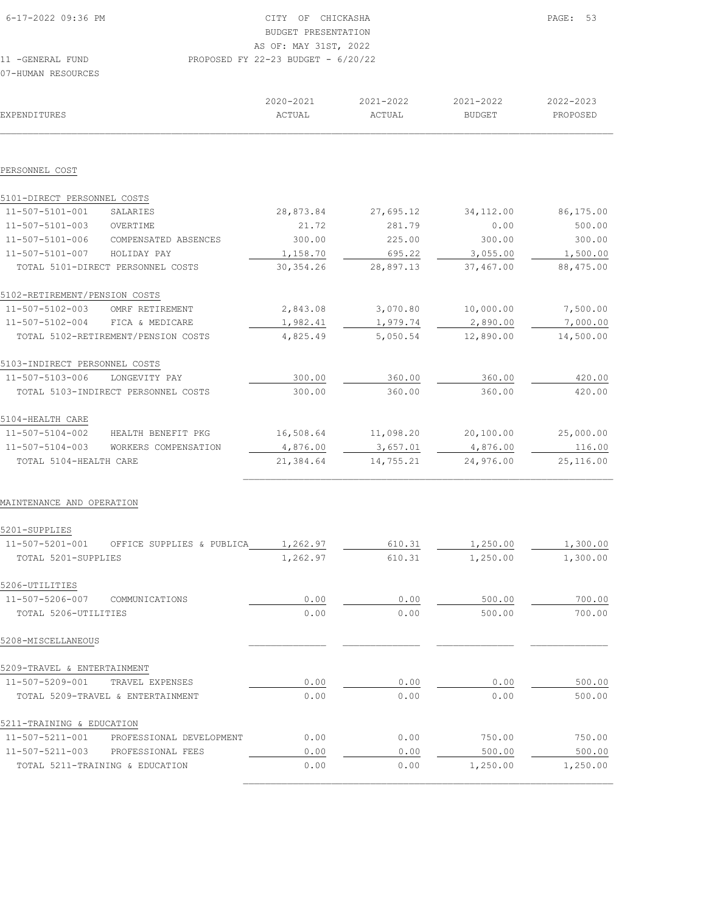| $6 - 17 - 2022$ 09:36 PM                | OF<br>CTTY                           | CHICKASHA     |               | PAGE: 53  |
|-----------------------------------------|--------------------------------------|---------------|---------------|-----------|
|                                         | BUDGET PRESENTATION                  |               |               |           |
|                                         | AS OF: MAY 31ST, 2022                |               |               |           |
| 11 - GENERAL FUND<br>07-HUMAN RESOURCES | PROPOSED FY 22-23 BUDGET - $6/20/22$ |               |               |           |
|                                         | 2020-2021                            | $2021 - 2022$ | $2021 - 2022$ | 2022-2023 |
| <b>EXPENDITURES</b>                     | ACTUAL                               | ACTUAL        | BUDGET        | PROPOSED  |
|                                         |                                      |               |               |           |

| 5101-DIRECT PERSONNEL COSTS   |                                     |            |           |            |           |
|-------------------------------|-------------------------------------|------------|-----------|------------|-----------|
| 11-507-5101-001               | SALARIES                            | 28,873.84  | 27,695.12 | 34, 112.00 | 86,175.00 |
| 11-507-5101-003               | OVERTIME                            | 21.72      | 281.79    | 0.00       | 500.00    |
| 11-507-5101-006               | COMPENSATED ABSENCES                | 300.00     | 225.00    | 300.00     | 300.00    |
| 11-507-5101-007               | HOLIDAY PAY                         | 1,158.70   | 695.22    | 3,055.00   | 1,500.00  |
|                               | TOTAL 5101-DIRECT PERSONNEL COSTS   | 30, 354.26 | 28,897.13 | 37,467.00  | 88,475.00 |
| 5102-RETIREMENT/PENSION COSTS |                                     |            |           |            |           |
| 11-507-5102-003               | OMRF RETIREMENT                     | 2,843.08   | 3,070.80  | 10,000.00  | 7,500.00  |
| 11-507-5102-004               | FICA & MEDICARE                     | 1,982.41   | 1,979.74  | 2,890.00   | 7,000.00  |
|                               | TOTAL 5102-RETIREMENT/PENSION COSTS | 4,825.49   | 5,050.54  | 12,890.00  | 14,500.00 |
| 5103-INDIRECT PERSONNEL COSTS |                                     |            |           |            |           |
| 11-507-5103-006               | LONGEVITY PAY                       | 300.00     | 360.00    | 360.00     | 420.00    |
|                               | TOTAL 5103-INDIRECT PERSONNEL COSTS | 300.00     | 360.00    | 360.00     | 420.00    |
| 5104-HEALTH CARE              |                                     |            |           |            |           |
| 11-507-5104-002               | HEALTH BENEFIT PKG                  | 16,508.64  | 11,098.20 | 20,100.00  | 25,000.00 |
| 11-507-5104-003               | WORKERS COMPENSATION                | 4,876.00   | 3,657.01  | 4,876.00   | 116.00    |
| TOTAL 5104-HEALTH CARE        |                                     | 21,384.64  | 14,755.21 | 24,976.00  | 25,116.00 |
|                               |                                     |            |           |            |           |

 $\mathcal{L}_\text{max}$ 

MAINTENANCE AND OPERATION

| 5201-SUPPLIES               |                                   |          |        |          |          |
|-----------------------------|-----------------------------------|----------|--------|----------|----------|
| 11-507-5201-001             | OFFICE SUPPLIES & PUBLICA         | 1,262.97 | 610.31 | 1,250.00 | 1,300.00 |
| TOTAL 5201-SUPPLIES         |                                   | 1,262.97 | 610.31 | 1,250.00 | 1,300.00 |
| 5206-UTILITIES              |                                   |          |        |          |          |
| 11-507-5206-007             | COMMUNICATIONS                    | 0.00     | 0.00   | 500.00   | 700.00   |
| TOTAL 5206-UTILITIES        |                                   | 0.00     | 0.00   | 500.00   | 700.00   |
| 5208-MISCELLANEOUS          |                                   |          |        |          |          |
| 5209-TRAVEL & ENTERTAINMENT |                                   |          |        |          |          |
| 11-507-5209-001             | TRAVEL EXPENSES                   | 0.00     | 0.00   | 0.00     | 500.00   |
|                             | TOTAL 5209-TRAVEL & ENTERTAINMENT | 0.00     | 0.00   | 0.00     | 500.00   |
| 5211-TRAINING & EDUCATION   |                                   |          |        |          |          |
| 11-507-5211-001             | PROFESSIONAL DEVELOPMENT          | 0.00     | 0.00   | 750.00   | 750.00   |
| $11 - 507 - 5211 - 003$     | PROFESSIONAL FEES                 | 0.00     | 0.00   | 500.00   | 500.00   |
|                             | TOTAL 5211-TRAINING & EDUCATION   | 0.00     | 0.00   | 1,250.00 | 1,250.00 |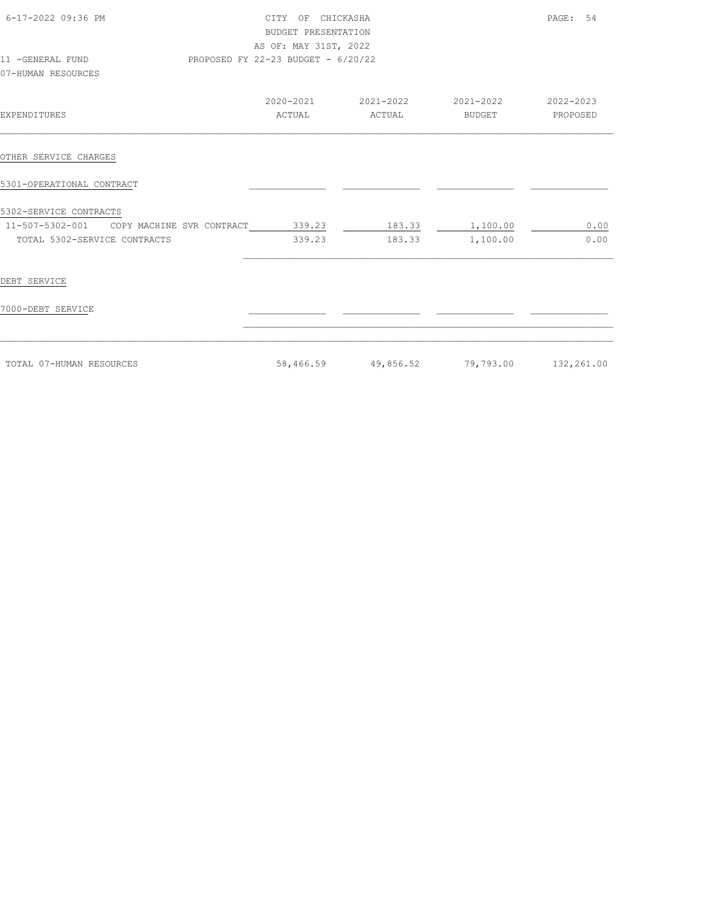| 6-17-2022 09:36 PM<br>11 -GENERAL FUND                           | CITY OF CHICKASHA<br>BUDGET PRESENTATION<br>AS OF: MAY 31ST, 2022<br>PROPOSED FY 22-23 BUDGET - 6/20/22 |                        |                                                          | PAGE: 54        |
|------------------------------------------------------------------|---------------------------------------------------------------------------------------------------------|------------------------|----------------------------------------------------------|-----------------|
| 07-HUMAN RESOURCES                                               |                                                                                                         |                        |                                                          |                 |
| EXPENDITURES                                                     |                                                                                                         | ACTUAL ACTUAL          | 2020-2021 2021-2022 2021-2022 2020-2023<br><b>BUDGET</b> | <b>PROPOSED</b> |
| OTHER SERVICE CHARGES                                            |                                                                                                         |                        |                                                          |                 |
| 5301-OPERATIONAL CONTRACT                                        |                                                                                                         |                        |                                                          |                 |
| 5302-SERVICE CONTRACTS                                           |                                                                                                         |                        |                                                          |                 |
| 11-507-5302-001 COPY MACHINE SVR CONTRACT 339.23 183.33 1,100.00 |                                                                                                         |                        |                                                          | 0.00            |
| TOTAL 5302-SERVICE CONTRACTS                                     |                                                                                                         | 339.23 183.33 1,100.00 |                                                          | 0.00            |
| DEBT SERVICE                                                     |                                                                                                         |                        |                                                          |                 |
| 7000-DEBT SERVICE                                                |                                                                                                         |                        |                                                          |                 |
| TOTAL 07-HUMAN RESOURCES                                         |                                                                                                         |                        | 58,466.59 49,856.52 79,793.00 132,261.00                 |                 |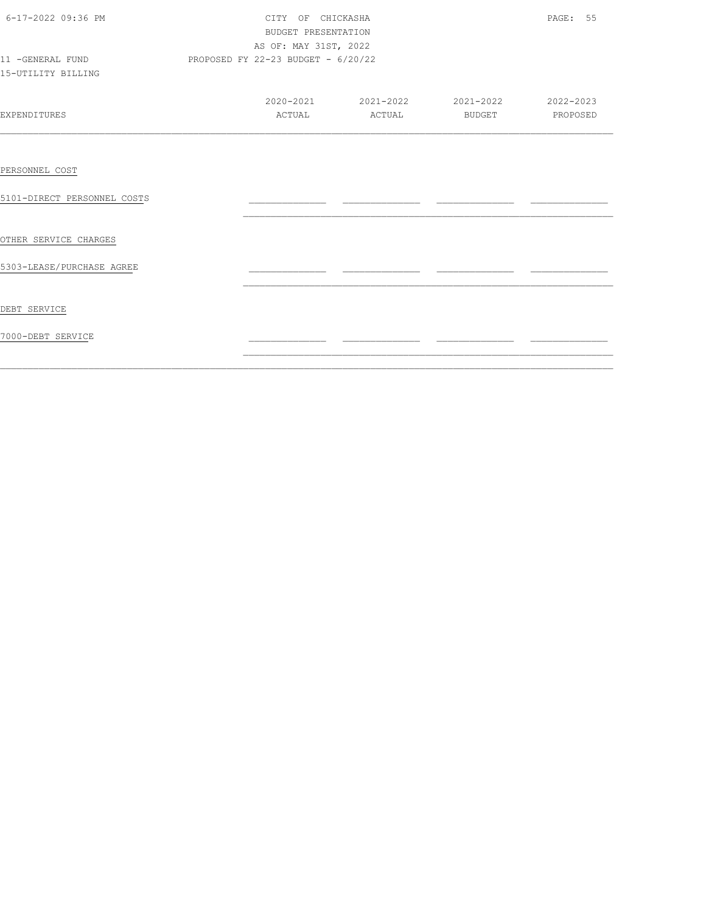| 6-17-2022 09:36 PM<br>11 -GENERAL FUND<br>15-UTILITY BILLING | CITY OF CHICKASHA<br>BUDGET PRESENTATION<br>AS OF: MAY 31ST, 2022<br>PROPOSED FY 22-23 BUDGET - 6/20/22 | PAGE: 55                                |  |
|--------------------------------------------------------------|---------------------------------------------------------------------------------------------------------|-----------------------------------------|--|
| EXPENDITURES                                                 |                                                                                                         | 2020-2021 2021-2022 2021-2022 2020-2023 |  |
| PERSONNEL COST<br>5101-DIRECT PERSONNEL COSTS                |                                                                                                         |                                         |  |
| OTHER SERVICE CHARGES<br>5303-LEASE/PURCHASE AGREE           |                                                                                                         |                                         |  |
| DEBT SERVICE                                                 |                                                                                                         |                                         |  |
| 7000-DEBT SERVICE                                            |                                                                                                         |                                         |  |

 $\mathcal{L}_\text{max} = \mathcal{L}_\text{max} = \mathcal{L}_\text{max} = \mathcal{L}_\text{max} = \mathcal{L}_\text{max} = \mathcal{L}_\text{max} = \mathcal{L}_\text{max} = \mathcal{L}_\text{max} = \mathcal{L}_\text{max} = \mathcal{L}_\text{max} = \mathcal{L}_\text{max} = \mathcal{L}_\text{max} = \mathcal{L}_\text{max} = \mathcal{L}_\text{max} = \mathcal{L}_\text{max} = \mathcal{L}_\text{max} = \mathcal{L}_\text{max} = \mathcal{L}_\text{max} = \mathcal{$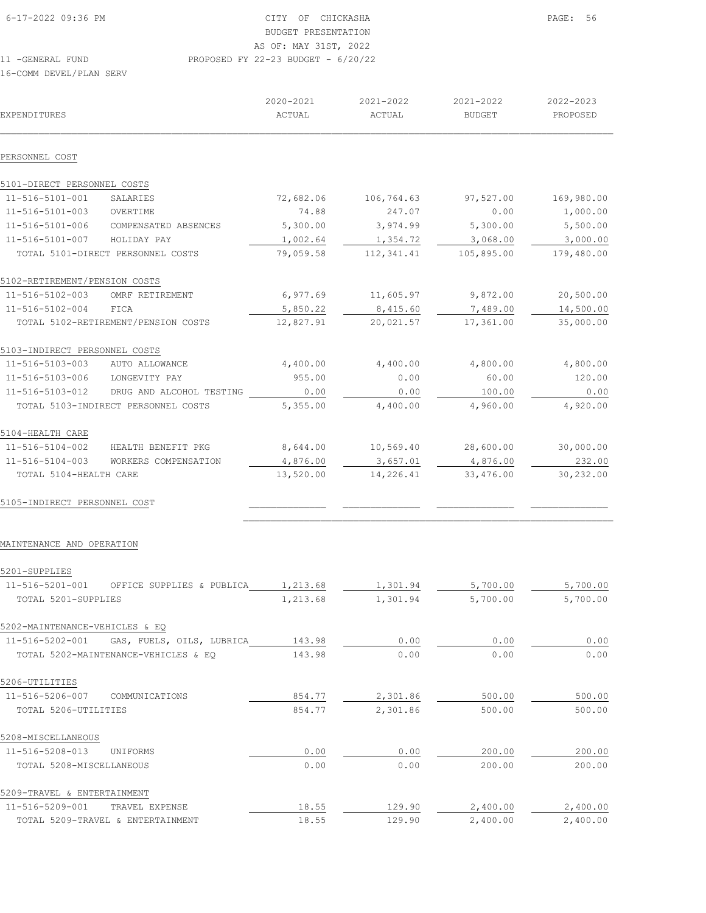| 6-17-2022 09:36 PM      | CITY OF CHICKASHA                    | PAGE: 56 |
|-------------------------|--------------------------------------|----------|
|                         | BUDGET PRESENTATION                  |          |
|                         | AS OF: MAY 31ST, 2022                |          |
| 11 -GENERAL FUND        | PROPOSED FY 22-23 BUDGET - $6/20/22$ |          |
| 16-COMM DEVEL/PLAN SERV |                                      |          |

| EXPENDITURES                  |                                     | 2020-2021<br>ACTUAL | 2021-2022<br>ACTUAL | 2021-2022<br><b>BUDGET</b> | 2022-2023<br>PROPOSED |
|-------------------------------|-------------------------------------|---------------------|---------------------|----------------------------|-----------------------|
| PERSONNEL COST                |                                     |                     |                     |                            |                       |
| 5101-DIRECT PERSONNEL COSTS   |                                     |                     |                     |                            |                       |
| 11-516-5101-001               | SALARIES                            | 72,682.06           | 106,764.63          | 97,527.00                  | 169,980.00            |
| 11-516-5101-003               | OVERTIME                            | 74.88               | 247.07              | 0.00                       | 1,000.00              |
| 11-516-5101-006               | COMPENSATED ABSENCES                | 5,300.00            | 3,974.99            | 5,300.00                   | 5,500.00              |
| 11-516-5101-007               | HOLIDAY PAY                         | 1,002.64            | 1,354.72            | 3,068.00                   | 3,000.00              |
|                               | TOTAL 5101-DIRECT PERSONNEL COSTS   | 79,059.58           | 112, 341.41         | 105,895.00                 | 179,480.00            |
| 5102-RETIREMENT/PENSION COSTS |                                     |                     |                     |                            |                       |
| 11-516-5102-003               | OMRF RETIREMENT                     | 6,977.69            | 11,605.97           | 9,872.00                   | 20,500.00             |
| 11-516-5102-004               | FICA                                | 5,850.22            | 8,415.60            | 7,489.00                   | 14,500.00             |
|                               | TOTAL 5102-RETIREMENT/PENSION COSTS | 12,827.91           | 20,021.57           | 17,361.00                  | 35,000.00             |
| 5103-INDIRECT PERSONNEL COSTS |                                     |                     |                     |                            |                       |
| 11-516-5103-003               | AUTO ALLOWANCE                      | 4,400.00            | 4,400.00            | 4,800.00                   | 4,800.00              |
| 11-516-5103-006               | LONGEVITY PAY                       | 955.00              | 0.00                | 60.00                      | 120.00                |
| 11-516-5103-012               | DRUG AND ALCOHOL TESTING            | 0.00                | 0.00                | 100.00                     | 0.00                  |
|                               | TOTAL 5103-INDIRECT PERSONNEL COSTS | 5,355.00            | 4,400.00            | 4,960.00                   | 4,920.00              |
| 5104-HEALTH CARE              |                                     |                     |                     |                            |                       |
| 11-516-5104-002               | HEALTH BENEFIT PKG                  | 8,644.00            | 10,569.40           | 28,600.00                  | 30,000.00             |
| 11-516-5104-003               | WORKERS COMPENSATION                | 4,876.00            | 3,657.01            | 4,876.00                   | 232.00                |
| TOTAL 5104-HEALTH CARE        |                                     | 13,520.00           | 14,226.41           | 33,476.00                  | 30,232.00             |
| 5105-INDIRECT PERSONNEL COST  |                                     |                     |                     |                            |                       |
|                               |                                     |                     |                     |                            |                       |

## MAINTENANCE AND OPERATION

| 5201-SUPPLIES                                |          |          |          |          |
|----------------------------------------------|----------|----------|----------|----------|
| 11-516-5201-001<br>OFFICE SUPPLIES & PUBLICA | 1,213.68 | 1,301.94 | 5,700.00 | 5,700.00 |
| TOTAL 5201-SUPPLIES                          | 1,213.68 | 1,301.94 | 5,700.00 | 5,700.00 |
| 5202-MAINTENANCE-VEHICLES & EQ               |          |          |          |          |
| 11-516-5202-001<br>GAS, FUELS, OILS, LUBRICA | 143.98   | 0.00     | 0.00     | 0.00     |
| TOTAL 5202-MAINTENANCE-VEHICLES & EQ         | 143.98   | 0.00     | 0.00     | 0.00     |
| 5206-UTILITIES                               |          |          |          |          |
| 11-516-5206-007<br>COMMUNICATIONS            | 854.77   | 2,301.86 | 500.00   | 500.00   |
| TOTAL 5206-UTILITIES                         | 854.77   | 2,301.86 | 500.00   | 500.00   |
| 5208-MISCELLANEOUS                           |          |          |          |          |
| 11-516-5208-013<br><b>UNTFORMS</b>           | 0.00     | 0.00     | 200.00   | 200.00   |
| TOTAL 5208-MISCELLANEOUS                     | 0.00     | 0.00     | 200.00   | 200.00   |
| 5209-TRAVEL & ENTERTAINMENT                  |          |          |          |          |
| 11-516-5209-001<br>TRAVEL EXPENSE            | 18.55    | 129.90   | 2,400.00 | 2,400.00 |
| TOTAL 5209-TRAVEL & ENTERTAINMENT            | 18.55    | 129.90   | 2,400.00 | 2,400.00 |

 $\mathcal{L}_\text{max}$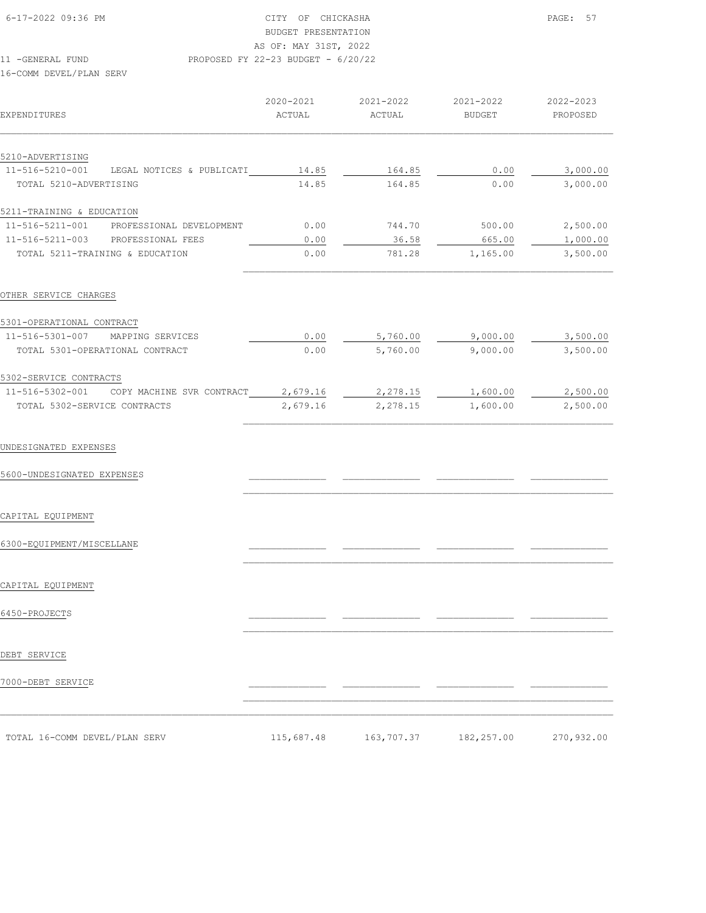| 6-17-2022 09:36 PM | CITY OF CHICKASHA                    | PAGE: 57 |
|--------------------|--------------------------------------|----------|
|                    | BUDGET PRESENTATION                  |          |
|                    | AS OF: MAY 31ST, 2022                |          |
| 11 -GENERAL FUND   | PROPOSED FY 22-23 BUDGET - $6/20/22$ |          |

| EXPENDITURES              |                                 | 2020-2021<br>ACTUAL | 2021-2022<br>ACTUAL | 2021-2022<br><b>BUDGET</b> | 2022-2023<br>PROPOSED |
|---------------------------|---------------------------------|---------------------|---------------------|----------------------------|-----------------------|
| 5210-ADVERTISING          |                                 |                     |                     |                            |                       |
| $11 - 516 - 5210 - 001$   | LEGAL NOTICES<br>& PUBLICATI    | 14.85               | 164.85              | 0.00                       | 3,000.00              |
| TOTAL 5210-ADVERTISING    |                                 | 14.85               | 164.85              | 0.00                       | 3,000.00              |
| 5211-TRAINING & EDUCATION |                                 |                     |                     |                            |                       |
| 11-516-5211-001           | PROFESSIONAL DEVELOPMENT        | 0.00                | 744.70              | 500.00                     | 2,500.00              |
| $11 - 516 - 5211 - 003$   | PROFESSIONAL FEES               | 0.00                | 36.58               | 665.00                     | 1,000.00              |
|                           | TOTAL 5211-TRAINING & EDUCATION | 0.00                | 781.28              | 1,165.00                   | 3,500.00              |

| 5301-OPERATIONAL CONTRACT       |                           |          |          |          |          |
|---------------------------------|---------------------------|----------|----------|----------|----------|
| 11-516-5301-007                 | MAPPING SERVICES          | 0.00     | 5,760.00 | 9,000.00 | 3,500.00 |
| TOTAL 5301-OPERATIONAL CONTRACT |                           | 0.00     | 5,760.00 | 9,000.00 | 3,500.00 |
| 5302-SERVICE CONTRACTS          |                           |          |          |          |          |
| 11-516-5302-001                 | COPY MACHINE SVR CONTRACT | 2,679.16 | 2,278.15 | 1,600.00 | 2,500.00 |
| TOTAL 5302-SERVICE CONTRACTS    |                           | 2,679.16 | 2,278.15 | 1,600.00 | 2,500.00 |

 $\mathcal{L}_\text{max}$ 

 $\mathcal{L}_\text{max}$ 

 $\mathcal{L}_\text{max}$ 

 $\mathcal{L}_\text{max}$ 

#### UNDESIGNATED EXPENSES

5600-UNDESIGNATED EXPENSES \_\_\_\_\_\_\_\_\_\_\_\_\_\_ \_\_\_\_\_\_\_\_\_\_\_\_\_\_ \_\_\_\_\_\_\_\_\_\_\_\_\_\_ \_\_\_\_\_\_\_\_\_\_\_\_\_\_

# CAPITAL EQUIPMENT

6300-EQUIPMENT/MISCELLANE \_\_\_\_\_\_\_\_\_\_\_\_\_\_ \_\_\_\_\_\_\_\_\_\_\_\_\_\_ \_\_\_\_\_\_\_\_\_\_\_\_\_\_ \_\_\_\_\_\_\_\_\_\_\_\_\_\_

# CAPITAL EQUIPMENT

# 6450-PROJECTS \_\_\_\_\_\_\_\_\_\_\_\_\_\_ \_\_\_\_\_\_\_\_\_\_\_\_\_\_ \_\_\_\_\_\_\_\_\_\_\_\_\_\_ \_\_\_\_\_\_\_\_\_\_\_\_\_\_

# DEBT SERVICE

7000-DEBT SERVICE \_\_\_\_\_\_\_\_\_\_\_\_\_\_ \_\_\_\_\_\_\_\_\_\_\_\_\_\_ \_\_\_\_\_\_\_\_\_\_\_\_\_\_ \_\_\_\_\_\_\_\_\_\_\_\_\_\_

| TOTAL 16-COMM DEVEL/PLAN SERV | 115,687.48 | 163,707.37 | 182,257.00 | 270,932.00 |
|-------------------------------|------------|------------|------------|------------|

 $\mathcal{L}_\text{max}$  $\mathcal{L}_\text{max} = \mathcal{L}_\text{max} = \mathcal{L}_\text{max} = \mathcal{L}_\text{max} = \mathcal{L}_\text{max} = \mathcal{L}_\text{max} = \mathcal{L}_\text{max} = \mathcal{L}_\text{max} = \mathcal{L}_\text{max} = \mathcal{L}_\text{max} = \mathcal{L}_\text{max} = \mathcal{L}_\text{max} = \mathcal{L}_\text{max} = \mathcal{L}_\text{max} = \mathcal{L}_\text{max} = \mathcal{L}_\text{max} = \mathcal{L}_\text{max} = \mathcal{L}_\text{max} = \mathcal{$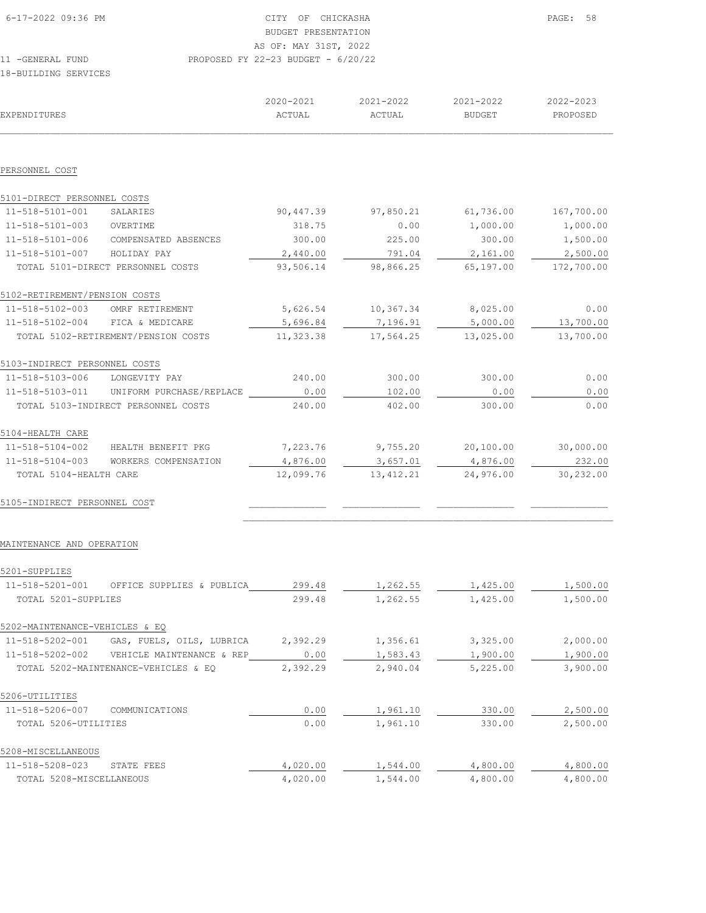| 6-17-2022 09:36 PM<br>CITY OF CHICKASHA                  | PAGE: | 58 |
|----------------------------------------------------------|-------|----|
| BUDGET PRESENTATION                                      |       |    |
| AS OF: MAY 31ST, 2022                                    |       |    |
| PROPOSED FY 22-23 BUDGET - $6/20/22$<br>11 -GENERAL FUND |       |    |
| 18-BUILDING SERVICES                                     |       |    |
|                                                          |       |    |

| EXPENDITURES                  |                                     | 2020-2021<br>ACTUAL | 2021-2022<br>ACTUAL | 2021-2022<br><b>BUDGET</b> | 2022-2023<br>PROPOSED |
|-------------------------------|-------------------------------------|---------------------|---------------------|----------------------------|-----------------------|
|                               |                                     |                     |                     |                            |                       |
| PERSONNEL COST                |                                     |                     |                     |                            |                       |
| 5101-DIRECT PERSONNEL COSTS   |                                     |                     |                     |                            |                       |
| 11-518-5101-001               | SALARIES                            | 90,447.39           | 97,850.21           | 61,736.00                  | 167,700.00            |
| 11-518-5101-003               | OVERTIME                            | 318.75              | 0.00                | 1,000.00                   | 1,000.00              |
| 11-518-5101-006               | COMPENSATED ABSENCES                | 300.00              | 225.00              | 300.00                     | 1,500.00              |
| 11-518-5101-007               | HOLIDAY PAY                         | 2,440.00            | 791.04              | 2,161.00                   | 2,500.00              |
|                               | TOTAL 5101-DIRECT PERSONNEL COSTS   | 93,506.14           | 98,866.25           | 65,197.00                  | 172,700.00            |
| 5102-RETIREMENT/PENSION COSTS |                                     |                     |                     |                            |                       |
| 11-518-5102-003               | OMRF RETIREMENT                     | 5,626.54            | 10,367.34           | 8,025.00                   | 0.00                  |
| 11-518-5102-004               | FICA & MEDICARE                     | 5,696.84            | 7,196.91            | 5,000.00                   | 13,700.00             |
|                               | TOTAL 5102-RETIREMENT/PENSION COSTS | 11,323.38           | 17,564.25           | 13,025.00                  | 13,700.00             |
| 5103-INDIRECT PERSONNEL COSTS |                                     |                     |                     |                            |                       |
| 11-518-5103-006               | LONGEVITY PAY                       | 240.00              | 300.00              | 300.00                     | 0.00                  |
| 11-518-5103-011               | UNIFORM PURCHASE/REPLACE            | 0.00                | 102.00              | 0.00                       | 0.00                  |
|                               | TOTAL 5103-INDIRECT PERSONNEL COSTS | 240.00              | 402.00              | 300.00                     | 0.00                  |
| 5104-HEALTH CARE              |                                     |                     |                     |                            |                       |
| 11-518-5104-002               | HEALTH BENEFIT PKG                  | 7,223.76            | 9,755.20            | 20,100.00                  | 30,000.00             |
| 11-518-5104-003               | WORKERS COMPENSATION                | 4,876.00            | 3,657.01            | 4,876.00                   | 232.00                |
| TOTAL 5104-HEALTH CARE        |                                     | 12,099.76           | 13, 412.21          | 24,976.00                  | 30,232.00             |
|                               |                                     |                     |                     |                            |                       |

5105-INDIRECT PERSONNEL COST \_\_\_\_\_\_\_\_\_\_\_\_\_\_ \_\_\_\_\_\_\_\_\_\_\_\_\_\_ \_\_\_\_\_\_\_\_\_\_\_\_\_\_ \_\_\_\_\_\_\_\_\_\_\_\_\_\_

## MAINTENANCE AND OPERATION

| 5201-SUPPLIES                  |                                      |          |          |          |          |
|--------------------------------|--------------------------------------|----------|----------|----------|----------|
| 11-518-5201-001                | OFFICE SUPPLIES & PUBLICA            | 299.48   | 1,262.55 | 1,425.00 | 1,500.00 |
| TOTAL 5201-SUPPLIES            |                                      | 299.48   | 1,262.55 | 1,425.00 | 1,500.00 |
| 5202-MAINTENANCE-VEHICLES & EO |                                      |          |          |          |          |
| 11-518-5202-001                | GAS, FUELS, OILS, LUBRICA            | 2,392.29 | 1,356.61 | 3,325.00 | 2,000.00 |
| 11-518-5202-002                | VEHICLE MAINTENANCE & REP            | 0.00     | 1,583.43 | 1,900.00 | 1,900.00 |
|                                | TOTAL 5202-MAINTENANCE-VEHICLES & EQ | 2,392.29 | 2,940.04 | 5,225.00 | 3,900.00 |
| 5206-UTILITIES                 |                                      |          |          |          |          |
| 11-518-5206-007                | COMMUNICATIONS                       | 0.00     | 1,961.10 | 330.00   | 2,500.00 |
| TOTAL 5206-UTILITIES           |                                      | 0.00     | 1,961.10 | 330.00   | 2,500.00 |
| 5208-MISCELLANEOUS             |                                      |          |          |          |          |
| 11-518-5208-023                | STATE FEES                           | 4,020.00 | 1,544.00 | 4,800.00 | 4,800.00 |
| TOTAL 5208-MISCELLANEOUS       |                                      | 4,020.00 | 1,544.00 | 4,800.00 | 4,800.00 |

 $\mathcal{L}_\text{max}$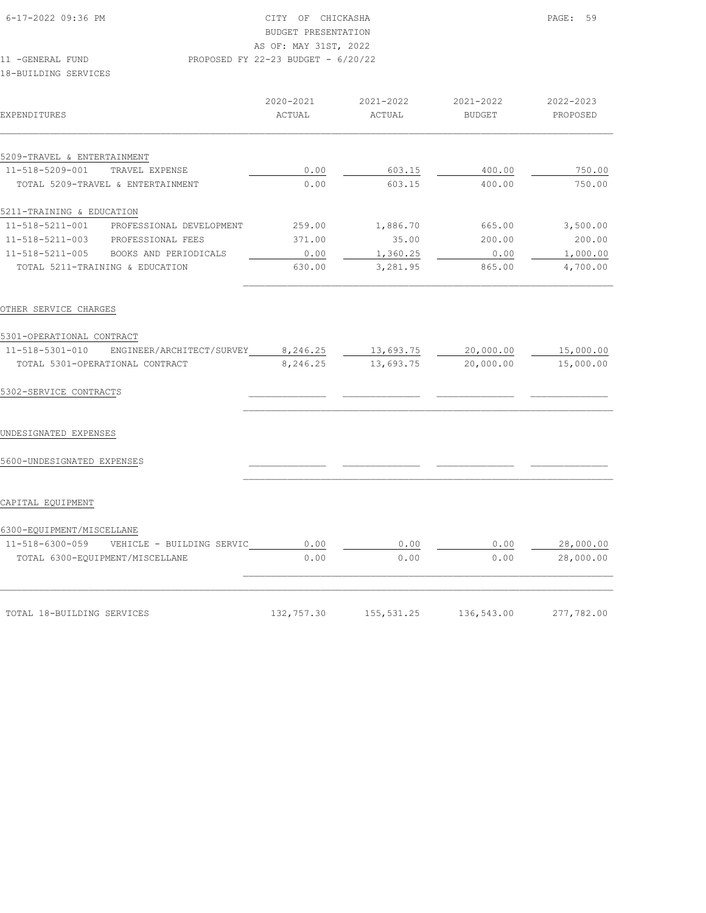| EXPENDITURES                |                                   | 2020-2021<br>ACTUAL | $2021 - 2022$<br>ACTUAL | 2021-2022<br><b>BUDGET</b> | 2022-2023<br>PROPOSED |
|-----------------------------|-----------------------------------|---------------------|-------------------------|----------------------------|-----------------------|
| 5209-TRAVEL & ENTERTAINMENT |                                   |                     |                         |                            |                       |
| 11-518-5209-001             | TRAVEL EXPENSE                    | 0.00                | 603.15                  | 400.00                     | 750.00                |
|                             | TOTAL 5209-TRAVEL & ENTERTAINMENT | 0.00                | 603.15                  | 400.00                     | 750.00                |
| 5211-TRAINING & EDUCATION   |                                   |                     |                         |                            |                       |
| 11-518-5211-001             | PROFESSIONAL DEVELOPMENT          | 259.00              | 1,886.70                | 665.00                     | 3,500.00              |
| $11 - 518 - 5211 - 003$     | PROFESSIONAL FEES                 | 371.00              | 35.00                   | 200.00                     | 200.00                |
| 11-518-5211-005             | BOOKS AND PERIODICALS             | 0.00                | 1,360.25                | 0.00                       | 1,000.00              |
|                             | TOTAL 5211-TRAINING & EDUCATION   | 630.00              | 3,281.95                | 865.00                     | 4,700.00              |

| 5301-OPERATIONAL CONTRACT                    |            |             |            |            |
|----------------------------------------------|------------|-------------|------------|------------|
| 11-518-5301-010<br>ENGINEER/ARCHITECT/SURVEY | 8,246.25   | 13,693.75   | 20,000.00  | 15,000.00  |
| TOTAL 5301-OPERATIONAL CONTRACT              | 8,246.25   | 13,693.75   | 20,000.00  | 15,000.00  |
| 5302-SERVICE CONTRACTS                       |            |             |            |            |
| UNDESIGNATED EXPENSES                        |            |             |            |            |
| 5600-UNDESIGNATED EXPENSES                   |            |             |            |            |
| CAPITAL EQUIPMENT                            |            |             |            |            |
| 6300-EQUIPMENT/MISCELLANE                    |            |             |            |            |
| 11-518-6300-059<br>VEHICLE - BUILDING SERVIC | 0.00       | 0.00        | 0.00       | 28,000.00  |
| TOTAL 6300-EQUIPMENT/MISCELLANE              | 0.00       | 0.00        | 0.00       | 28,000.00  |
|                                              |            |             |            |            |
| TOTAL 18-BUILDING SERVICES                   | 132,757.30 | 155, 531.25 | 136,543.00 | 277,782.00 |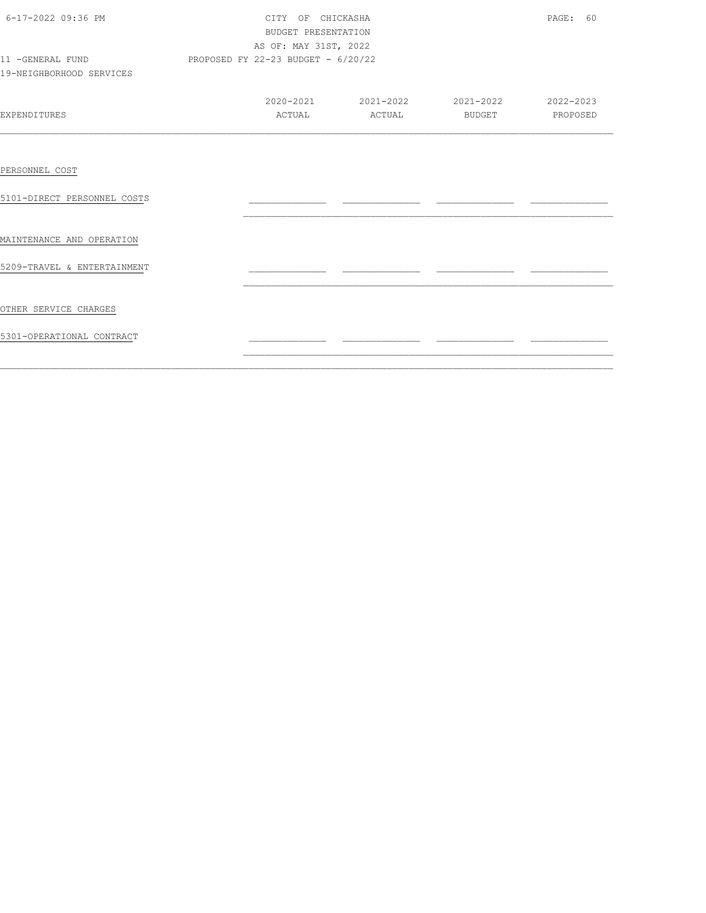| 6-17-2022 09:36 PM<br>11 -GENERAL FUND<br>19-NEIGHBORHOOD SERVICES | CITY OF CHICKASHA<br>BUDGET PRESENTATION<br>AS OF: MAY 31ST, 2022<br>PROPOSED FY 22-23 BUDGET - 6/20/22 | PAGE: 60                                          |                 |  |
|--------------------------------------------------------------------|---------------------------------------------------------------------------------------------------------|---------------------------------------------------|-----------------|--|
| <b>EXPENDITURES</b>                                                | ACTUAL                                                                                                  | 2020-2021 2021-2022 2021-2022 2020-2023<br>ACTUAL | BUDGET PROPOSED |  |
| PERSONNEL COST<br>5101-DIRECT PERSONNEL COSTS                      |                                                                                                         |                                                   |                 |  |
| MAINTENANCE AND OPERATION                                          |                                                                                                         |                                                   |                 |  |
| 5209-TRAVEL & ENTERTAINMENT                                        |                                                                                                         |                                                   |                 |  |
| OTHER SERVICE CHARGES<br>5301-OPERATIONAL CONTRACT                 |                                                                                                         |                                                   |                 |  |

 $\mathcal{L}_\text{max} = \mathcal{L}_\text{max} = \mathcal{L}_\text{max} = \mathcal{L}_\text{max} = \mathcal{L}_\text{max} = \mathcal{L}_\text{max} = \mathcal{L}_\text{max} = \mathcal{L}_\text{max} = \mathcal{L}_\text{max} = \mathcal{L}_\text{max} = \mathcal{L}_\text{max} = \mathcal{L}_\text{max} = \mathcal{L}_\text{max} = \mathcal{L}_\text{max} = \mathcal{L}_\text{max} = \mathcal{L}_\text{max} = \mathcal{L}_\text{max} = \mathcal{L}_\text{max} = \mathcal{$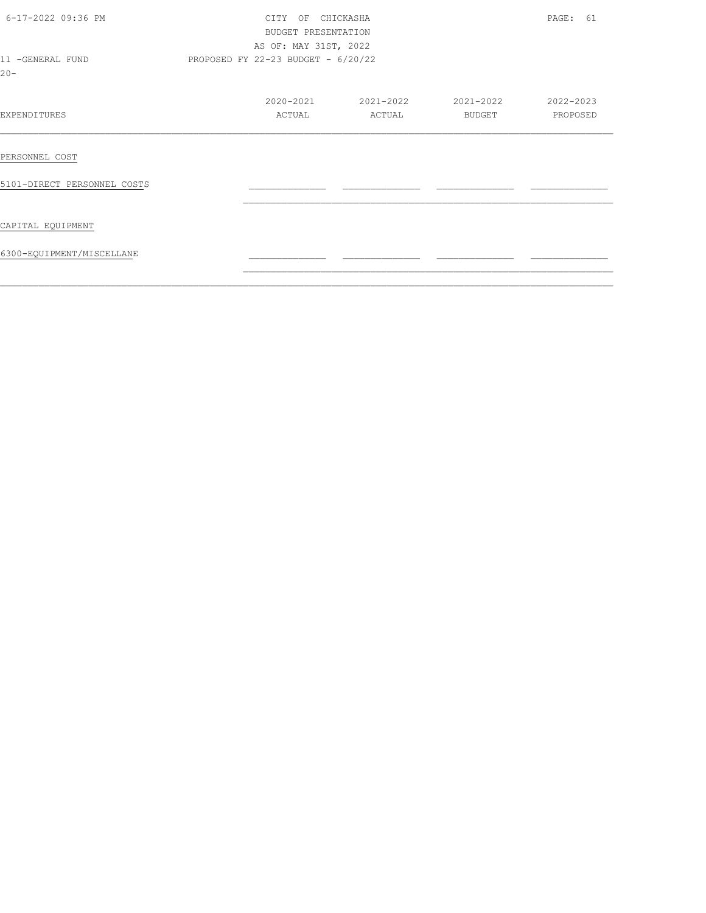| 6-17-2022 09:36 PM          | CITY OF CHICKASHA<br>BUDGET PRESENTATION<br>AS OF: MAY 31ST, 2022 | PAGE: 61                             |                               |           |  |  |  |
|-----------------------------|-------------------------------------------------------------------|--------------------------------------|-------------------------------|-----------|--|--|--|
| 11 -GENERAL FUND<br>$20 -$  |                                                                   | PROPOSED FY 22-23 BUDGET - $6/20/22$ |                               |           |  |  |  |
|                             |                                                                   |                                      | 2020-2021 2021-2022 2021-2022 | 2022-2023 |  |  |  |
| EXPENDITURES                | ACTUAL                                                            | ACTUAL                               | BUDGET                        | PROPOSED  |  |  |  |
| PERSONNEL COST              |                                                                   |                                      |                               |           |  |  |  |
| 5101-DIRECT PERSONNEL COSTS |                                                                   |                                      |                               |           |  |  |  |
| CAPITAL EQUIPMENT           |                                                                   |                                      |                               |           |  |  |  |
| 6300-EQUIPMENT/MISCELLANE   |                                                                   |                                      |                               |           |  |  |  |
|                             |                                                                   |                                      |                               |           |  |  |  |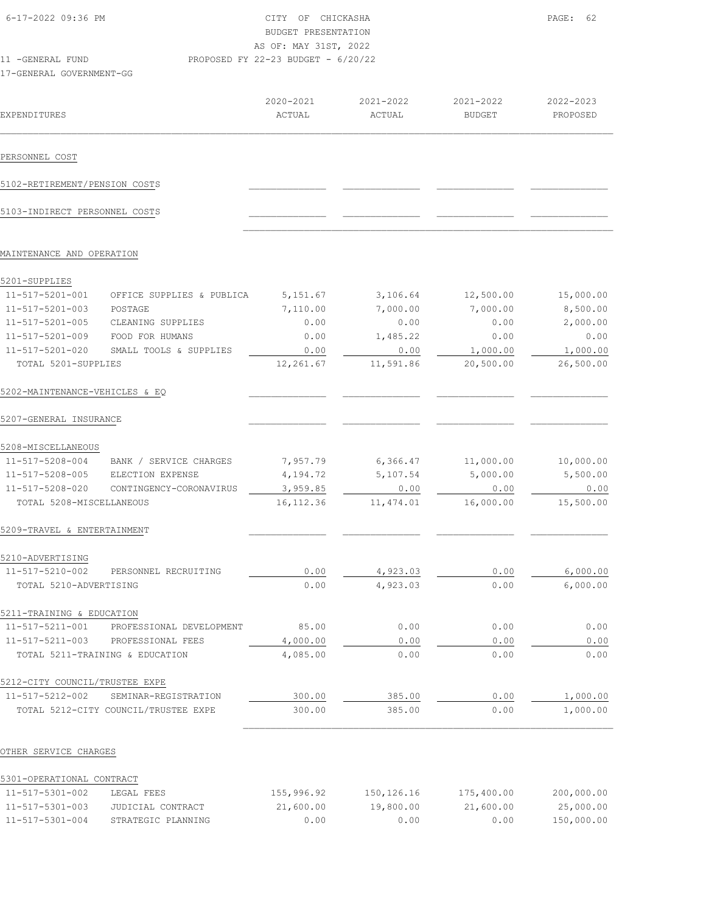| 6-17-2022 09:36 PM             |                                          | CITY OF CHICKASHA<br>BUDGET PRESENTATION<br>AS OF: MAY 31ST, 2022 |           |           | PAGE: 62  |
|--------------------------------|------------------------------------------|-------------------------------------------------------------------|-----------|-----------|-----------|
| 11 - GENERAL FUND              |                                          | PROPOSED FY 22-23 BUDGET - 6/20/22                                |           |           |           |
| 17-GENERAL GOVERNMENT-GG       |                                          |                                                                   |           |           |           |
|                                |                                          | 2020-2021                                                         | 2021-2022 | 2021-2022 | 2022-2023 |
| EXPENDITURES                   |                                          | ACTUAL                                                            | ACTUAL    | BUDGET    | PROPOSED  |
| PERSONNEL COST                 |                                          |                                                                   |           |           |           |
| 5102-RETIREMENT/PENSION COSTS  |                                          |                                                                   |           |           |           |
| 5103-INDIRECT PERSONNEL COSTS  |                                          |                                                                   |           |           |           |
| MAINTENANCE AND OPERATION      |                                          |                                                                   |           |           |           |
| 5201-SUPPLIES                  |                                          |                                                                   |           |           |           |
| 11-517-5201-001                | OFFICE SUPPLIES & PUBLICA                | 5,151.67                                                          | 3,106.64  | 12,500.00 | 15,000.00 |
| 11-517-5201-003                | POSTAGE                                  | 7,110.00                                                          | 7,000.00  | 7,000.00  | 8,500.00  |
| 11-517-5201-005                | CLEANING SUPPLIES                        | 0.00                                                              | 0.00      | 0.00      | 2,000.00  |
| 11-517-5201-009                | FOOD FOR HUMANS                          | 0.00                                                              | 1,485.22  | 0.00      | 0.00      |
| 11-517-5201-020                | SMALL TOOLS & SUPPLIES                   | 0.00                                                              | 0.00      | 1,000.00  | 1,000.00  |
| TOTAL 5201-SUPPLIES            |                                          | 12,261.67                                                         | 11,591.86 | 20,500.00 | 26,500.00 |
| 5202-MAINTENANCE-VEHICLES & EQ |                                          |                                                                   |           |           |           |
| 5207-GENERAL INSURANCE         |                                          |                                                                   |           |           |           |
| 5208-MISCELLANEOUS             |                                          |                                                                   |           |           |           |
|                                | 11-517-5208-004 BANK / SERVICE CHARGES   | 7,957.79                                                          | 6,366.47  | 11,000.00 | 10,000.00 |
| 11-517-5208-005                | ELECTION EXPENSE                         | 4,194.72                                                          | 5,107.54  | 5,000.00  | 5,500.00  |
| 11-517-5208-020                | CONTINGENCY-CORONAVIRUS                  | 3,959.85                                                          | 0.00      | 0.00      | 0.00      |
| TOTAL 5208-MISCELLANEOUS       |                                          | 16, 112.36                                                        | 11,474.01 | 16,000.00 | 15,500.00 |
| 5209-TRAVEL & ENTERTAINMENT    |                                          |                                                                   |           |           |           |
| 5210-ADVERTISING               |                                          |                                                                   |           |           |           |
|                                | 11-517-5210-002 PERSONNEL RECRUITING     | 0.00                                                              | 4,923.03  | 0.00      | 6,000.00  |
| TOTAL 5210-ADVERTISING         |                                          | 0.00                                                              | 4,923.03  | 0.00      | 6,000.00  |
| 5211-TRAINING & EDUCATION      |                                          |                                                                   |           |           |           |
|                                | 11-517-5211-001 PROFESSIONAL DEVELOPMENT | 85.00                                                             | 0.00      | 0.00      | 0.00      |
|                                | 11-517-5211-003 PROFESSIONAL FEES        | 4,000.00                                                          | 0.00      | 0.00      | 0.00      |
|                                | TOTAL 5211-TRAINING & EDUCATION          | 4,085.00                                                          | 0.00      | 0.00      | 0.00      |
| 5212-CITY COUNCIL/TRUSTEE EXPE |                                          |                                                                   |           |           |           |
|                                | 11-517-5212-002 SEMINAR-REGISTRATION     | 300.00                                                            | 385.00    | 0.00      | 1,000.00  |
|                                | TOTAL 5212-CITY COUNCIL/TRUSTEE EXPE     | 300.00                                                            | 385.00    | 0.00      | 1,000.00  |
|                                |                                          |                                                                   |           |           |           |

| 5301-OPERATIONAL CONTRACT |                    |            |            |            |            |
|---------------------------|--------------------|------------|------------|------------|------------|
| $11 - 517 - 5301 - 002$   | LEGAL FEES         | 155,996.92 | 150,126.16 | 175,400.00 | 200,000.00 |
| $11 - 517 - 5301 - 003$   | JUDICIAL CONTRACT  | 21,600.00  | 19,800.00  | 21,600.00  | 25,000.00  |
| $11 - 517 - 5301 - 004$   | STRATEGIC PLANNING | 0.00       | 0.00       | 0.00       | 150,000.00 |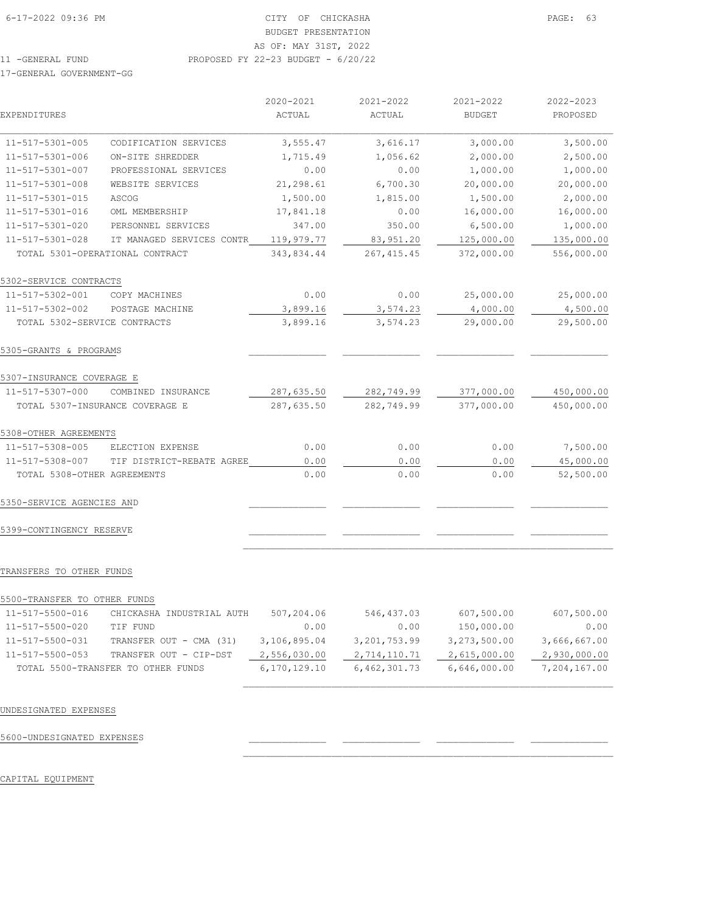|                              |                                 | 2020-2021  | 2021-2022   | 2021-2022     | 2022-2023  |
|------------------------------|---------------------------------|------------|-------------|---------------|------------|
| EXPENDITURES                 |                                 | ACTUAL     | ACTUAL      | <b>BUDGET</b> | PROPOSED   |
| 11-517-5301-005              | CODIFICATION SERVICES           | 3,555.47   | 3,616.17    | 3,000.00      | 3,500.00   |
| 11-517-5301-006              | ON-SITE SHREDDER                | 1,715.49   | 1,056.62    | 2,000.00      | 2,500.00   |
| 11-517-5301-007              | PROFESSIONAL SERVICES           | 0.00       | 0.00        | 1,000.00      | 1,000.00   |
| $11 - 517 - 5301 - 008$      | WEBSITE SERVICES                | 21,298.61  | 6,700.30    | 20,000.00     | 20,000.00  |
| 11-517-5301-015              | ASCOG                           | 1,500.00   | 1,815.00    | 1,500.00      | 2,000.00   |
| 11-517-5301-016              | OML MEMBERSHIP                  | 17,841.18  | 0.00        | 16,000.00     | 16,000.00  |
| 11-517-5301-020              | PERSONNEL SERVICES              | 347.00     | 350.00      | 6,500.00      | 1,000.00   |
| 11-517-5301-028              | IT MANAGED SERVICES CONTR       | 119,979.77 | 83,951.20   | 125,000.00    | 135,000.00 |
|                              | TOTAL 5301-OPERATIONAL CONTRACT | 343,834.44 | 267, 415.45 | 372,000.00    | 556,000.00 |
| 5302-SERVICE CONTRACTS       |                                 |            |             |               |            |
| 11-517-5302-001              | COPY MACHINES                   | 0.00       | 0.00        | 25,000.00     | 25,000.00  |
| 11-517-5302-002              | POSTAGE MACHINE                 | 3,899.16   | 3,574.23    | 4,000.00      | 4,500.00   |
| TOTAL 5302-SERVICE CONTRACTS |                                 | 3,899.16   | 3,574.23    | 29,000.00     | 29,500.00  |
| 5305-GRANTS & PROGRAMS       |                                 |            |             |               |            |
| 5307-INSURANCE COVERAGE E    |                                 |            |             |               |            |
| 11-517-5307-000              | COMBINED INSURANCE              | 287,635.50 | 282,749.99  | 377,000.00    | 450,000.00 |
|                              | TOTAL 5307-INSURANCE COVERAGE E | 287,635.50 | 282,749.99  | 377,000.00    | 450,000.00 |
| 5308-OTHER AGREEMENTS        |                                 |            |             |               |            |
| 11-517-5308-005              | ELECTION EXPENSE                | 0.00       | 0.00        | 0.00          | 7,500.00   |
| 11-517-5308-007              | TIF DISTRICT-REBATE AGREE       | 0.00       | 0.00        | 0.00          | 45,000.00  |
| TOTAL 5308-OTHER AGREEMENTS  |                                 | 0.00       | 0.00        | 0.00          | 52,500.00  |
|                              |                                 |            |             |               |            |

## 5350-SERVICE AGENCIES AND \_\_\_\_\_\_\_\_\_\_\_\_\_\_ \_\_\_\_\_\_\_\_\_\_\_\_\_\_ \_\_\_\_\_\_\_\_\_\_\_\_\_\_ \_\_\_\_\_\_\_\_\_\_\_\_\_\_

5399-CONTINGENCY RESERVE \_\_\_\_\_\_\_\_\_\_\_\_\_\_ \_\_\_\_\_\_\_\_\_\_\_\_\_\_ \_\_\_\_\_\_\_\_\_\_\_\_\_\_ \_\_\_\_\_\_\_\_\_\_\_\_\_\_

#### TRANSFERS TO OTHER FUNDS

| 5500-TRANSFER TO OTHER FUNDS |                                    |              |              |              |              |
|------------------------------|------------------------------------|--------------|--------------|--------------|--------------|
| 11-517-5500-016              | CHICKASHA INDUSTRIAL AUTH          | 507,204.06   | 546,437.03   | 607,500.00   | 607,500.00   |
| 11-517-5500-020              | TIF FUND                           | 0.00         | 0.00         | 150,000.00   | 0.00         |
| 11-517-5500-031              | TRANSFER OUT - CMA (31)            | 3,106,895.04 | 3,201,753.99 | 3,273,500.00 | 3,666,667.00 |
| 11-517-5500-053              | TRANSFER OUT - CIP-DST             | 2,556,030.00 | 2,714,110.71 | 2,615,000.00 | 2,930,000.00 |
|                              | TOTAL 5500-TRANSFER TO OTHER FUNDS | 6,170,129.10 | 6,462,301.73 | 6,646,000.00 | 7,204,167.00 |

 $\mathcal{L}_\text{max}$ 

 $\mathcal{L}_\text{max}$ 

 $\mathcal{L}_\text{max}$ 

## UNDESIGNATED EXPENSES

5600-UNDESIGNATED EXPENSES \_\_\_\_\_\_\_\_\_\_\_\_\_\_ \_\_\_\_\_\_\_\_\_\_\_\_\_\_ \_\_\_\_\_\_\_\_\_\_\_\_\_\_ \_\_\_\_\_\_\_\_\_\_\_\_\_\_

## CAPITAL EQUIPMENT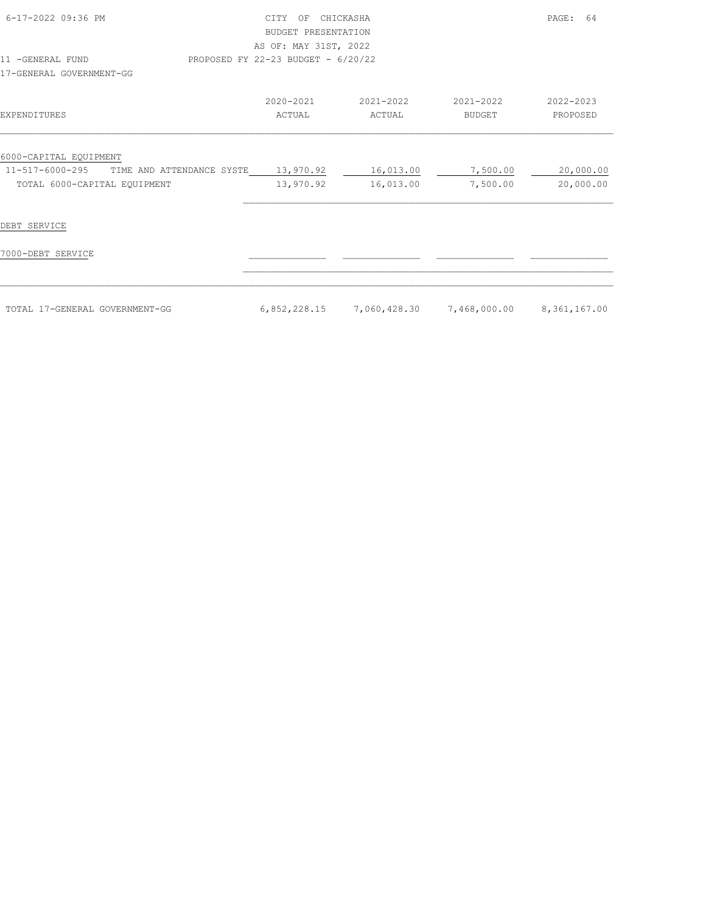| 6-17-2022 09:36 PM                           | OF<br>CTTY<br><b>BUDGET PRESENTATION</b><br>AS OF: MAY 31ST, 2022 | CHICKASHA                 |                     | PAGE:<br>- 64         |
|----------------------------------------------|-------------------------------------------------------------------|---------------------------|---------------------|-----------------------|
| 11 -GENERAL FUND<br>17-GENERAL GOVERNMENT-GG | PROPOSED FY 22-23 BUDGET - 6/20/22                                |                           |                     |                       |
| EXPENDITURES                                 | 2020-2021<br>ACTUAL                                               | 2021-2022<br>ACTUAL       | 2021-2022<br>BUDGET | 2022-2023<br>PROPOSED |
| 6000-CAPITAL EQUIPMENT                       |                                                                   |                           |                     |                       |
| 11-517-6000-295 TIME AND ATTENDANCE SYSTE    | 13,970.92                                                         | 16,013.00                 | 7,500.00            | 20,000.00             |
| TOTAL 6000-CAPITAL EQUIPMENT                 | 13,970.92                                                         | 16,013.00                 | 7,500.00            | 20,000.00             |
| DEBT SERVICE                                 |                                                                   |                           |                     |                       |
| 7000-DEBT SERVICE                            |                                                                   |                           |                     |                       |
|                                              |                                                                   |                           |                     |                       |
| TOTAL 17-GENERAL GOVERNMENT-GG               | 6,852,228.15                                                      | 7,060,428.30 7,468,000.00 |                     | 8,361,167.00          |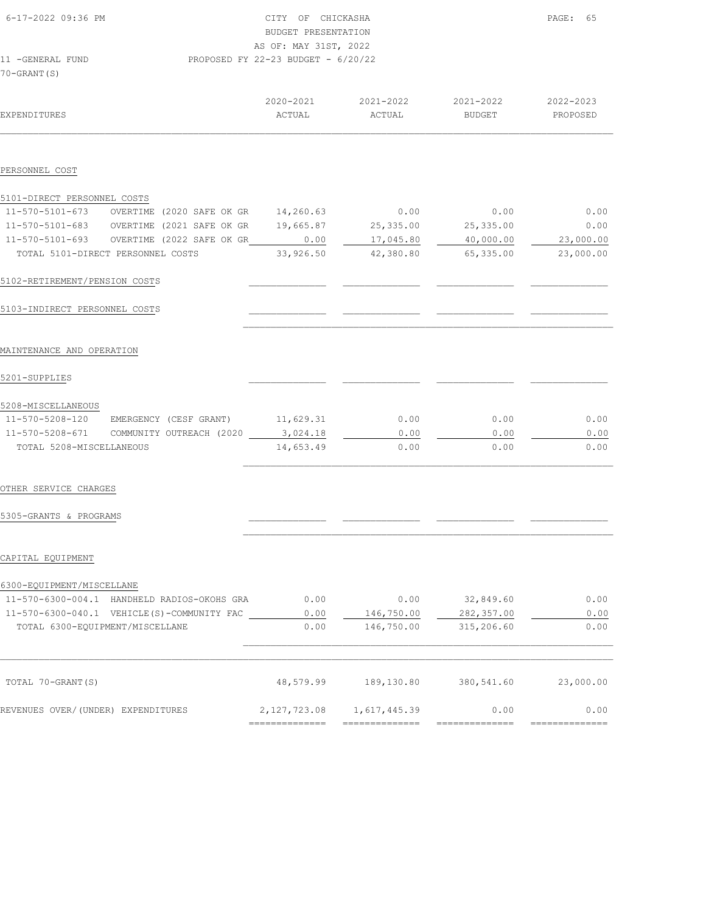| 6-17-2022 09:36 PM                                                                                         | CITY OF CHICKASHA<br>BUDGET PRESENTATION |                               |                     | PAGE: 65              |
|------------------------------------------------------------------------------------------------------------|------------------------------------------|-------------------------------|---------------------|-----------------------|
|                                                                                                            | AS OF: MAY 31ST, 2022                    |                               |                     |                       |
| PROPOSED FY 22-23 BUDGET - 6/20/22<br>11 -GENERAL FUND<br>$70 - GRANT(S)$                                  |                                          |                               |                     |                       |
| EXPENDITURES                                                                                               | ACTUAL                                   | 2020-2021 2021-2022<br>ACTUAL | 2021-2022<br>BUDGET | 2022-2023<br>PROPOSED |
| PERSONNEL COST                                                                                             |                                          |                               |                     |                       |
| 5101-DIRECT PERSONNEL COSTS                                                                                |                                          |                               |                     |                       |
| 11-570-5101-673 OVERTIME (2020 SAFE OK GR 14,260.63<br>11-570-5101-683 OVERTIME (2021 SAFE OK GR 19,665.87 |                                          | 0.00<br>25, 335.00            | 0.00<br>25, 335.00  | 0.00<br>0.00          |
| 11-570-5101-693 OVERTIME (2022 SAFE OK GR_ 0.00                                                            |                                          | 17,045.80                     | 40,000.00           | 23,000.00             |
| TOTAL 5101-DIRECT PERSONNEL COSTS                                                                          | 33,926.50                                | 42,380.80                     | 65, 335.00          | 23,000.00             |
| 5102-RETIREMENT/PENSION COSTS                                                                              |                                          |                               |                     |                       |
| 5103-INDIRECT PERSONNEL COSTS                                                                              |                                          |                               |                     |                       |
| MAINTENANCE AND OPERATION                                                                                  |                                          |                               |                     |                       |
| 5201-SUPPLIES                                                                                              |                                          |                               |                     |                       |
| 5208-MISCELLANEOUS                                                                                         |                                          |                               |                     |                       |
| 11-570-5208-120 EMERGENCY (CESF GRANT) 11,629.31                                                           |                                          | 0.00                          | 0.00                | 0.00                  |
| 11-570-5208-671 COMMUNITY OUTREACH (2020<br>TOTAL 5208-MISCELLANEOUS                                       | 3,024.18<br>14,653.49                    | 0.00<br>0.00                  | 0.00<br>0.00        | 0.00<br>0.00          |
|                                                                                                            |                                          |                               |                     |                       |
| OTHER SERVICE CHARGES                                                                                      |                                          |                               |                     |                       |
| 5305-GRANTS & PROGRAMS                                                                                     |                                          |                               |                     |                       |
|                                                                                                            |                                          |                               |                     |                       |
| CAPITAL EQUIPMENT                                                                                          |                                          |                               |                     |                       |
| 6300-EQUIPMENT/MISCELLANE                                                                                  |                                          |                               |                     |                       |
| 11-570-6300-004.1 HANDHELD RADIOS-OKOHS GRA                                                                | 0.00                                     | 0.00                          | 32,849.60           | 0.00                  |
| 11-570-6300-040.1 VEHICLE(S)-COMMUNITY FAC                                                                 | 0.00                                     | 146,750.00                    | 282,357.00          | 0.00                  |
| TOTAL 6300-EQUIPMENT/MISCELLANE                                                                            | 0.00                                     | 146,750.00                    | 315,206.60          | 0.00                  |

| TOTAL 70-GRANT(S)                  | 48,579.99    | 189,130.80   | 380,541.60 | 23,000.00 |
|------------------------------------|--------------|--------------|------------|-----------|
| REVENUES OVER/(UNDER) EXPENDITURES | 2,127,723.08 | 1,617,445.39 | 0.00       | 0.00      |
|                                    |              |              |            |           |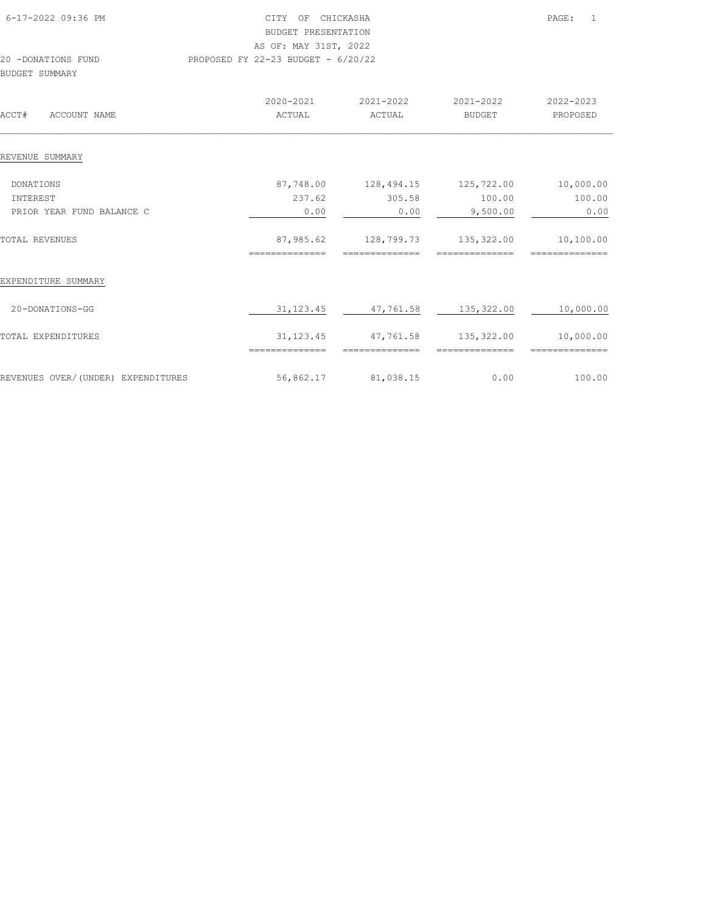| 6-17-2022 09:36 PM                   | OF<br>CITY                         | CHICKASHA |           | PAGE:     |
|--------------------------------------|------------------------------------|-----------|-----------|-----------|
|                                      | BUDGET PRESENTATION                |           |           |           |
|                                      | AS OF: MAY 31ST, 2022              |           |           |           |
| 20 -DONATIONS FUND<br>BUDGET SUMMARY | PROPOSED FY 22-23 BUDGET - 6/20/22 |           |           |           |
|                                      | 2020-2021                          | 2021-2022 | 2021-2022 | 2022-2023 |
| ACCT#<br>ACCOUNT NAME                | ACTUAL                             | ACTUAL    | BUDGET    | PROPOSED  |
| REVENUE SUMMARY                      |                                    |           |           |           |

| DONATIONS                          | 87,748.00  | 128,494.15 | 125,722.00 | 10,000.00 |
|------------------------------------|------------|------------|------------|-----------|
| INTEREST                           | 237.62     | 305.58     | 100.00     | 100.00    |
| PRIOR YEAR FUND BALANCE C          | 0.00       | 0.00       | 9,500.00   | 0.00      |
| TOTAL REVENUES                     | 87,985.62  | 128,799.73 | 135,322.00 | 10,100.00 |
|                                    | =========  |            |            |           |
| EXPENDITURE SUMMARY                |            |            |            |           |
| 20-DONATIONS-GG                    | 31, 123.45 | 47,761.58  | 135,322.00 | 10,000.00 |
| TOTAL EXPENDITURES                 | 31, 123.45 | 47,761.58  | 135,322.00 | 10,000.00 |
|                                    | ---------  |            |            |           |
| REVENUES OVER/(UNDER) EXPENDITURES | 56,862.17  | 81,038.15  | 0.00       | 100.00    |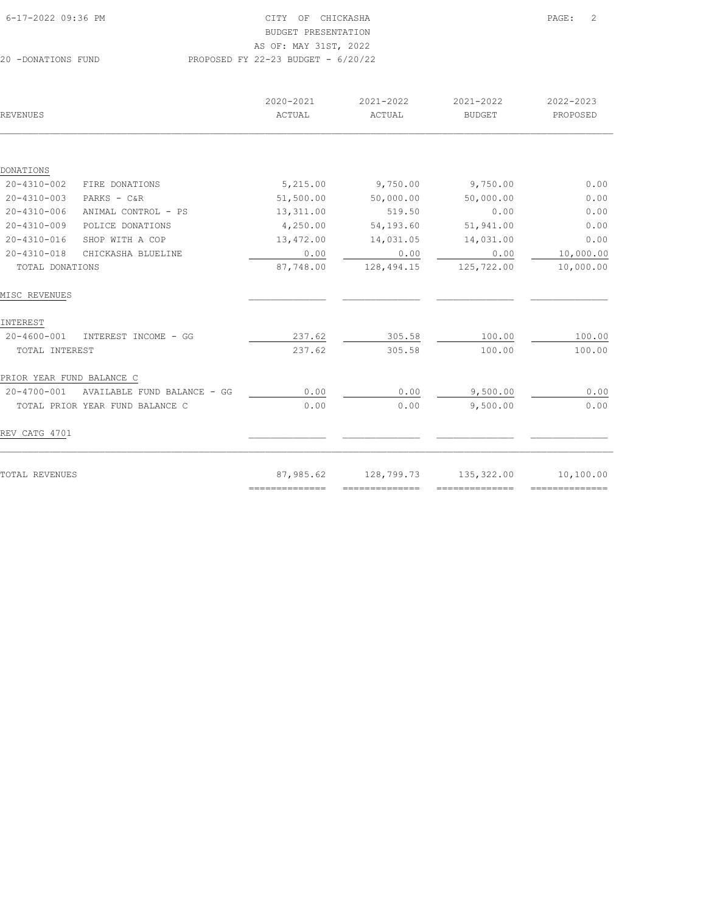AS OF: MAY 31ST, 2022

| REVENUES                  |                                 | 2020-2021<br>ACTUAL | 2021-2022<br>ACTUAL | 2021-2022<br><b>BUDGET</b> | 2022-2023<br>PROPOSED |
|---------------------------|---------------------------------|---------------------|---------------------|----------------------------|-----------------------|
|                           |                                 |                     |                     |                            |                       |
| DONATIONS                 |                                 |                     |                     |                            |                       |
| $20 - 4310 - 002$         | FIRE DONATIONS                  | 5,215.00            | 9,750.00            | 9,750.00                   | 0.00                  |
| 20-4310-003               | PARKS $-$ C&R                   | 51,500.00           | 50,000.00           | 50,000.00                  | 0.00                  |
| $20 - 4310 - 006$         | ANIMAL CONTROL - PS             | 13,311.00           | 519.50              | 0.00                       | 0.00                  |
| $20 - 4310 - 009$         | POLICE DONATIONS                | 4,250.00            | 54,193.60           | 51,941.00                  | 0.00                  |
| $20 - 4310 - 016$         | SHOP WITH A COP                 | 13,472.00           | 14,031.05           | 14,031.00                  | 0.00                  |
| $20 - 4310 - 018$         | CHICKASHA BLUELINE              | 0.00                | 0.00                | 0.00                       | 10,000.00             |
| TOTAL DONATIONS           |                                 | 87,748.00           | 128,494.15          | 125,722.00                 | 10,000.00             |
| MISC REVENUES             |                                 |                     |                     |                            |                       |
| INTEREST                  |                                 |                     |                     |                            |                       |
| 20-4600-001               | INTEREST INCOME - GG            | 237.62              | 305.58              | 100.00                     | 100.00                |
| TOTAL INTEREST            |                                 | 237.62              | 305.58              | 100.00                     | 100.00                |
| PRIOR YEAR FUND BALANCE C |                                 |                     |                     |                            |                       |
| 20-4700-001               | AVAILABLE FUND BALANCE - GG     | 0.00                | 0.00                | 9,500.00                   | 0.00                  |
|                           | TOTAL PRIOR YEAR FUND BALANCE C | 0.00                | 0.00                | 9,500.00                   | 0.00                  |
| REV CATG 4701             |                                 |                     |                     |                            |                       |
| TOTAL REVENUES            |                                 | 87,985.62           | 128,799.73          | 135,322.00                 | 10,100.00             |
|                           |                                 | ==============      | ==============      | ==============             | ==============        |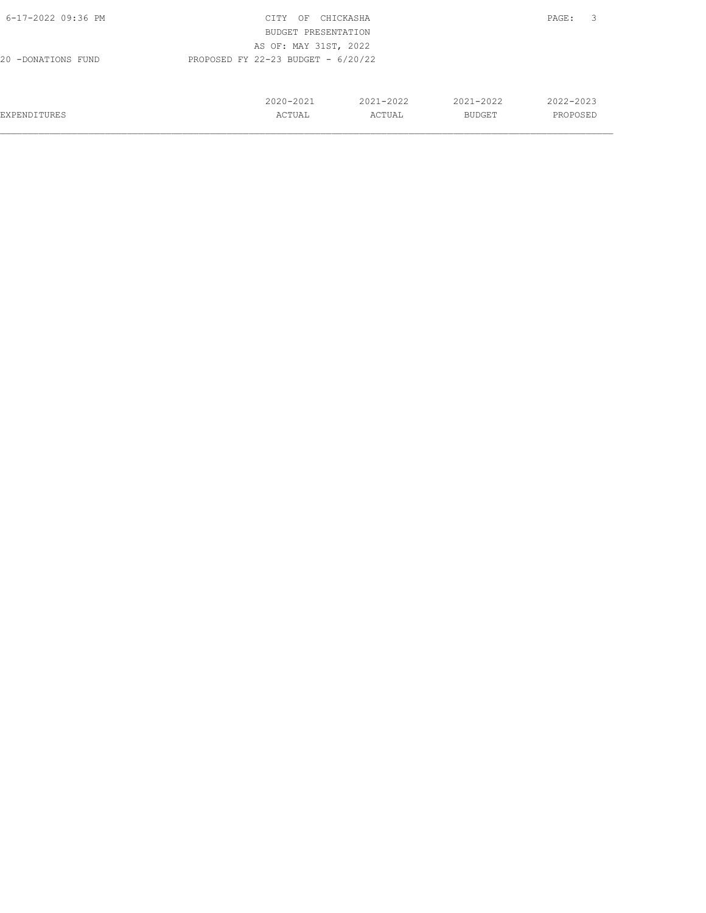| 6-17-2022 09:36 PM  | CITY<br>OF                           | CHICKASHA |           | 3<br>PAGE: |
|---------------------|--------------------------------------|-----------|-----------|------------|
|                     | BUDGET PRESENTATION                  |           |           |            |
|                     | AS OF: MAY 31ST, 2022                |           |           |            |
| 20 -DONATIONS FUND  | PROPOSED FY 22-23 BUDGET - $6/20/22$ |           |           |            |
|                     |                                      |           |           |            |
|                     |                                      |           |           |            |
|                     | 2020-2021                            | 2021-2022 | 2021-2022 | 2022-2023  |
| <b>EXPENDITURES</b> | ACTUAL                               | ACTUAL    | BUDGET    | PROPOSED   |
|                     |                                      |           |           |            |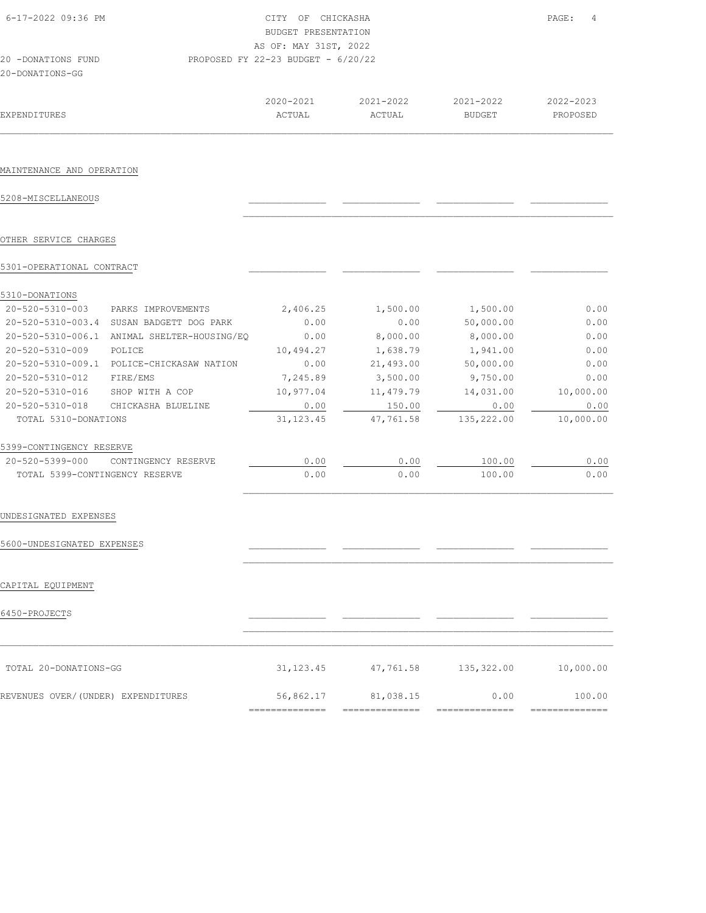| 6-17-2022 09:36 PM<br>20 -DONATIONS FUND |                                             | CITY OF CHICKASHA<br>BUDGET PRESENTATION<br>AS OF: MAY 31ST, 2022<br>PROPOSED FY 22-23 BUDGET - 6/20/22 |                     |                            | PAGE:<br>4            |
|------------------------------------------|---------------------------------------------|---------------------------------------------------------------------------------------------------------|---------------------|----------------------------|-----------------------|
| 20-DONATIONS-GG                          |                                             |                                                                                                         |                     |                            |                       |
| EXPENDITURES                             |                                             | 2020-2021<br>ACTUAL                                                                                     | 2021-2022<br>ACTUAL | 2021-2022<br><b>BUDGET</b> | 2022-2023<br>PROPOSED |
|                                          |                                             |                                                                                                         |                     |                            |                       |
| MAINTENANCE AND OPERATION                |                                             |                                                                                                         |                     |                            |                       |
| 5208-MISCELLANEOUS                       |                                             |                                                                                                         |                     |                            |                       |
| OTHER SERVICE CHARGES                    |                                             |                                                                                                         |                     |                            |                       |
| 5301-OPERATIONAL CONTRACT                |                                             |                                                                                                         |                     |                            |                       |
| 5310-DONATIONS                           |                                             |                                                                                                         |                     |                            |                       |
| 20-520-5310-003                          | PARKS IMPROVEMENTS                          | 2,406.25                                                                                                | 1,500.00            | 1,500.00                   | 0.00                  |
|                                          | 20-520-5310-003.4 SUSAN BADGETT DOG PARK    | 0.00                                                                                                    | 0.00                | 50,000.00                  | 0.00                  |
|                                          | 20-520-5310-006.1 ANIMAL SHELTER-HOUSING/EQ | 0.00                                                                                                    | 8,000.00            | 8,000.00                   | 0.00                  |
| 20-520-5310-009                          | POLICE                                      | 10,494.27                                                                                               | 1,638.79            | 1,941.00                   | 0.00                  |
|                                          | 20-520-5310-009.1 POLICE-CHICKASAW NATION   | 0.00                                                                                                    | 21,493.00           | 50,000.00                  | 0.00                  |
| 20-520-5310-012                          | FIRE/EMS                                    | 7,245.89                                                                                                | 3,500.00            | 9,750.00                   | 0.00                  |
| 20-520-5310-016 SHOP WITH A COP          |                                             | 10,977.04                                                                                               | 11, 479.79          | 14,031.00                  | 10,000.00             |
| 20-520-5310-018                          | CHICKASHA BLUELINE                          | 0.00                                                                                                    | 150.00              | 0.00                       | 0.00                  |
| TOTAL 5310-DONATIONS                     |                                             | 31, 123.45                                                                                              | 47,761.58           | 135,222.00                 | 10,000.00             |
| 5399-CONTINGENCY RESERVE                 |                                             |                                                                                                         |                     |                            |                       |
| 20-520-5399-000                          | CONTINGENCY RESERVE                         | 0.00                                                                                                    | 0.00                | 100.00                     | 0.00                  |
| TOTAL 5399-CONTINGENCY RESERVE           |                                             | 0.00                                                                                                    | 0.00                | 100.00                     | 0.00                  |
| UNDESIGNATED EXPENSES                    |                                             |                                                                                                         |                     |                            |                       |
| 5600-UNDESIGNATED EXPENSES               |                                             |                                                                                                         |                     |                            |                       |
| CAPITAL EQUIPMENT                        |                                             |                                                                                                         |                     |                            |                       |
| 6450-PROJECTS                            |                                             |                                                                                                         |                     |                            |                       |
|                                          |                                             |                                                                                                         |                     |                            |                       |
| TOTAL 20-DONATIONS-GG                    |                                             | 31, 123.45                                                                                              | 47,761.58           | 135,322.00                 | 10,000.00             |
| REVENUES OVER/(UNDER) EXPENDITURES       |                                             | 56,862.17                                                                                               | 81,038.15           | 0.00                       | 100.00                |
|                                          |                                             | ==============                                                                                          | ===============     | ==============             | ==============        |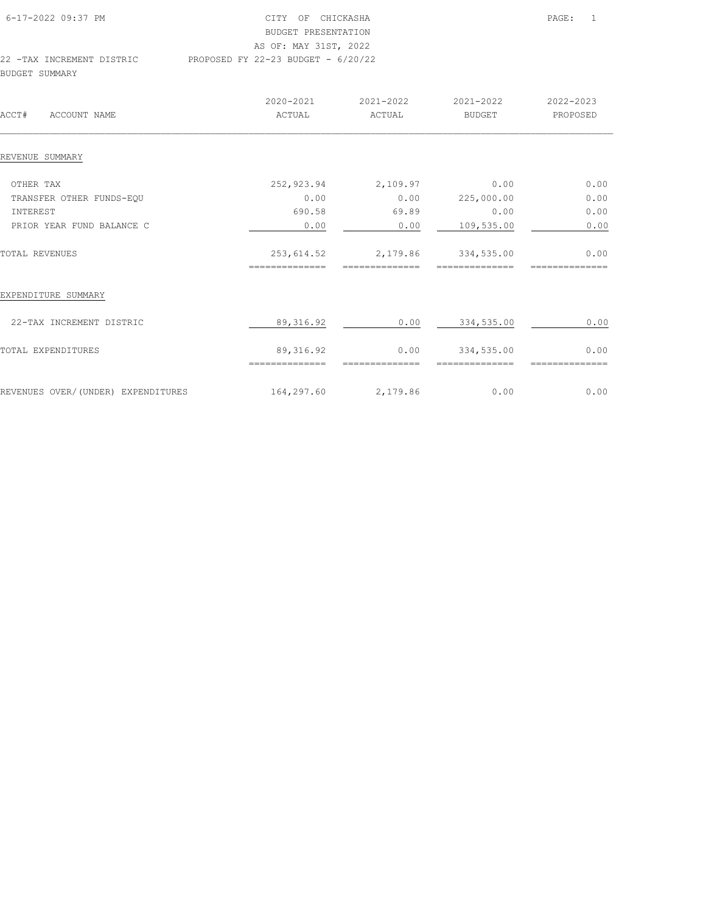| 6-17-2022 09:37 PM        | CITY OF CHICKASHA                    | PAGE: | $\overline{1}$ |
|---------------------------|--------------------------------------|-------|----------------|
|                           | BUDGET PRESENTATION                  |       |                |
|                           | AS OF: MAY 31ST, 2022                |       |                |
| 22 -TAX INCREMENT DISTRIC | PROPOSED FY 22-23 BUDGET - $6/20/22$ |       |                |
| BUDGET SUMMARY            |                                      |       |                |

| ACCT#<br>ACCOUNT NAME              | 2020-2021<br>ACTUAL          | 2021-2022<br>ACTUAL    | 2021-2022<br><b>BUDGET</b> | 2022-2023<br>PROPOSED |
|------------------------------------|------------------------------|------------------------|----------------------------|-----------------------|
| REVENUE SUMMARY                    |                              |                        |                            |                       |
| OTHER TAX                          | 252,923.94                   | 2,109.97               | 0.00                       | 0.00                  |
| TRANSFER OTHER FUNDS-EQU           | 0.00                         | 0.00                   | 225,000.00                 | 0.00                  |
| INTEREST                           | 690.58                       | 69.89                  | 0.00                       | 0.00                  |
| PRIOR YEAR FUND BALANCE C          | 0.00                         | 0.00                   | 109,535.00                 | 0.00                  |
| TOTAL REVENUES                     | 253,614.52                   | 2,179.86               | 334,535.00                 | 0.00                  |
| EXPENDITURE SUMMARY                |                              |                        |                            |                       |
| 22-TAX INCREMENT DISTRIC           | 89, 316.92                   | 0.00                   | 334,535.00                 | 0.00                  |
| TOTAL EXPENDITURES                 | 89, 316.92<br>============== | 0.00<br>-------------- | 334,535.00<br>------------ | 0.00                  |
| REVENUES OVER/(UNDER) EXPENDITURES | 164,297.60                   | 2,179.86               | 0.00                       | 0.00                  |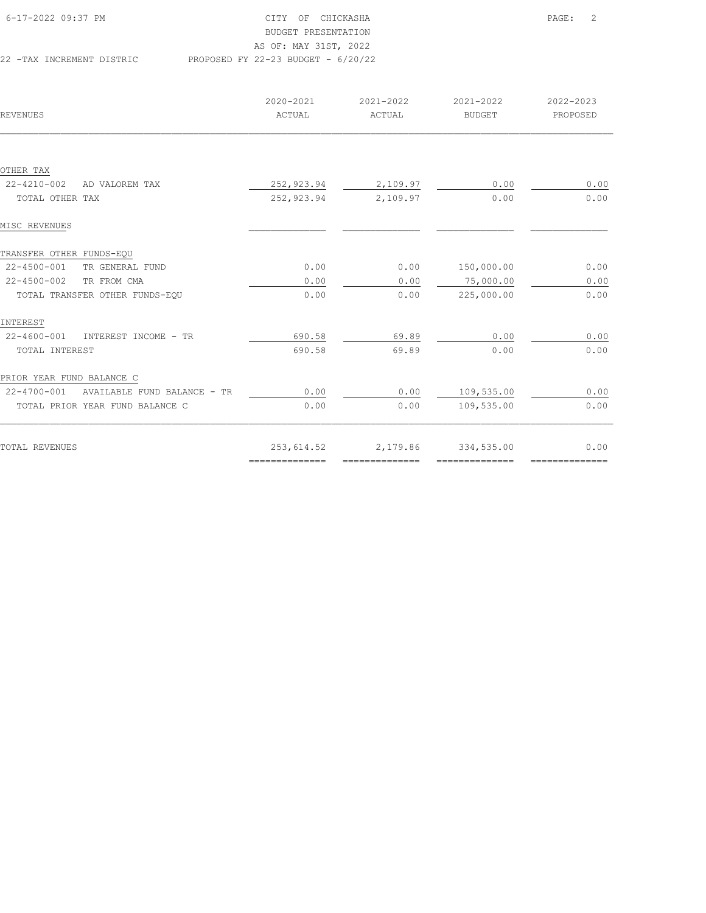| 6-17-2022 09:37 PM        | CITY OF CHICKASHA                    | PAGE: 2 |
|---------------------------|--------------------------------------|---------|
|                           | BUDGET PRESENTATION                  |         |
|                           | AS OF: MAY 31ST, 2022                |         |
| 22 -TAX INCREMENT DISTRIC | PROPOSED FY 22-23 BUDGET - $6/20/22$ |         |

| REVENUES                                   | 2020-2021<br>ACTUAL                                                                                                                                                                                                                                                                                                                                                                                                                                                                    | 2021-2022<br>ACTUAL | 2021-2022<br><b>BUDGET</b> | 2022-2023<br>PROPOSED |
|--------------------------------------------|----------------------------------------------------------------------------------------------------------------------------------------------------------------------------------------------------------------------------------------------------------------------------------------------------------------------------------------------------------------------------------------------------------------------------------------------------------------------------------------|---------------------|----------------------------|-----------------------|
|                                            |                                                                                                                                                                                                                                                                                                                                                                                                                                                                                        |                     |                            |                       |
| OTHER TAX                                  |                                                                                                                                                                                                                                                                                                                                                                                                                                                                                        |                     |                            |                       |
| $22 - 4210 - 002$<br>AD VALOREM TAX        | 252,923.94                                                                                                                                                                                                                                                                                                                                                                                                                                                                             | 2,109.97            | 0.00                       | 0.00                  |
| TOTAL OTHER TAX                            | 252,923.94                                                                                                                                                                                                                                                                                                                                                                                                                                                                             | 2,109.97            | 0.00                       | 0.00                  |
| MISC REVENUES                              |                                                                                                                                                                                                                                                                                                                                                                                                                                                                                        |                     |                            |                       |
| TRANSFER OTHER FUNDS-EQU                   |                                                                                                                                                                                                                                                                                                                                                                                                                                                                                        |                     |                            |                       |
| 22-4500-001<br>TR GENERAL FUND             | 0.00                                                                                                                                                                                                                                                                                                                                                                                                                                                                                   | 0.00                | 150,000.00                 | 0.00                  |
| $22 - 4500 - 002$<br>TR FROM CMA           | 0.00                                                                                                                                                                                                                                                                                                                                                                                                                                                                                   | 0.00                | 75,000.00                  | 0.00                  |
| TOTAL TRANSFER OTHER FUNDS-EQU             | 0.00                                                                                                                                                                                                                                                                                                                                                                                                                                                                                   | 0.00                | 225,000.00                 | 0.00                  |
| INTEREST                                   |                                                                                                                                                                                                                                                                                                                                                                                                                                                                                        |                     |                            |                       |
| 22-4600-001<br>INTEREST INCOME - TR        | 690.58                                                                                                                                                                                                                                                                                                                                                                                                                                                                                 | 69.89               | 0.00                       | 0.00                  |
| TOTAL INTEREST                             | 690.58                                                                                                                                                                                                                                                                                                                                                                                                                                                                                 | 69.89               | 0.00                       | 0.00                  |
| PRIOR YEAR FUND BALANCE C                  |                                                                                                                                                                                                                                                                                                                                                                                                                                                                                        |                     |                            |                       |
| 22-4700-001<br>AVAILABLE FUND BALANCE - TR | 0.00                                                                                                                                                                                                                                                                                                                                                                                                                                                                                   | 0.00                | 109,535.00                 | 0.00                  |
| TOTAL PRIOR YEAR FUND BALANCE C            | 0.00                                                                                                                                                                                                                                                                                                                                                                                                                                                                                   | 0.00                | 109,535.00                 | 0.00                  |
| TOTAL REVENUES                             | 253,614.52                                                                                                                                                                                                                                                                                                                                                                                                                                                                             | 2,179.86            | 334,535.00                 | 0.00                  |
|                                            | $\begin{array}{cccccccccc} \multicolumn{2}{c}{} & \multicolumn{2}{c}{} & \multicolumn{2}{c}{} & \multicolumn{2}{c}{} & \multicolumn{2}{c}{} & \multicolumn{2}{c}{} & \multicolumn{2}{c}{} & \multicolumn{2}{c}{} & \multicolumn{2}{c}{} & \multicolumn{2}{c}{} & \multicolumn{2}{c}{} & \multicolumn{2}{c}{} & \multicolumn{2}{c}{} & \multicolumn{2}{c}{} & \multicolumn{2}{c}{} & \multicolumn{2}{c}{} & \multicolumn{2}{c}{} & \multicolumn{2}{c}{} & \multicolumn{2}{c}{} & \mult$ | --------------      | --------------             | ===============       |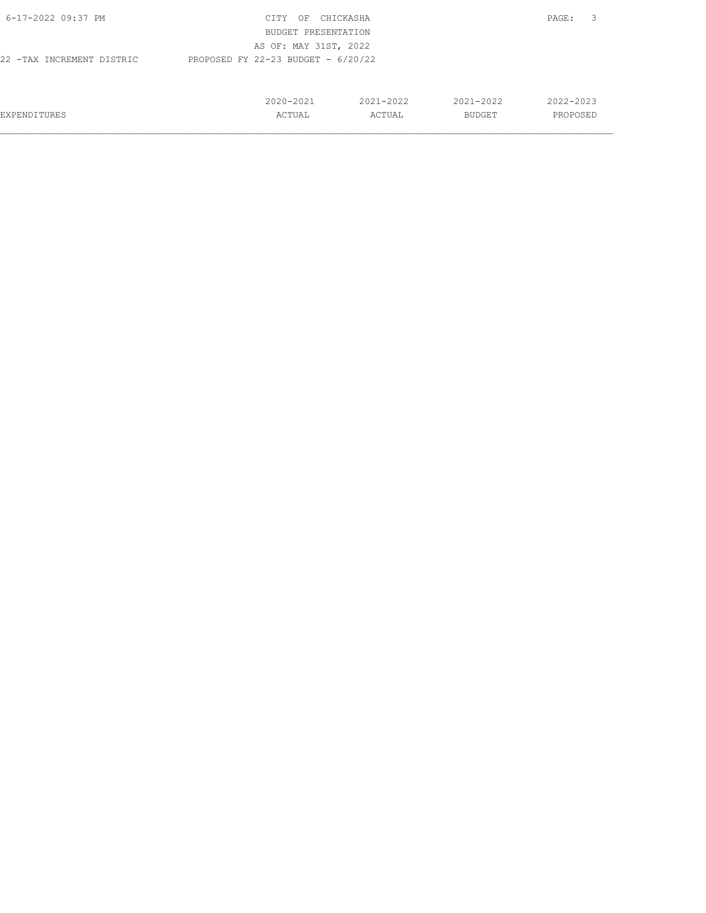| 6-17-2022 09:37 PM                                                | CITY<br>OF            | CHICKASHA     |               | -3<br>PAGE: |
|-------------------------------------------------------------------|-----------------------|---------------|---------------|-------------|
|                                                                   | BUDGET PRESENTATION   |               |               |             |
|                                                                   | AS OF: MAY 31ST, 2022 |               |               |             |
| PROPOSED FY 22-23 BUDGET - $6/20/22$<br>22 -TAX INCREMENT DISTRIC |                       |               |               |             |
|                                                                   |                       |               |               |             |
|                                                                   |                       |               |               |             |
|                                                                   | 2020-2021             | $2021 - 2022$ | $2021 - 2022$ | 2022-2023   |
| EXPENDITURES                                                      | ACTUAL                | ACTUAL        | BUDGET        | PROPOSED    |
|                                                                   |                       |               |               |             |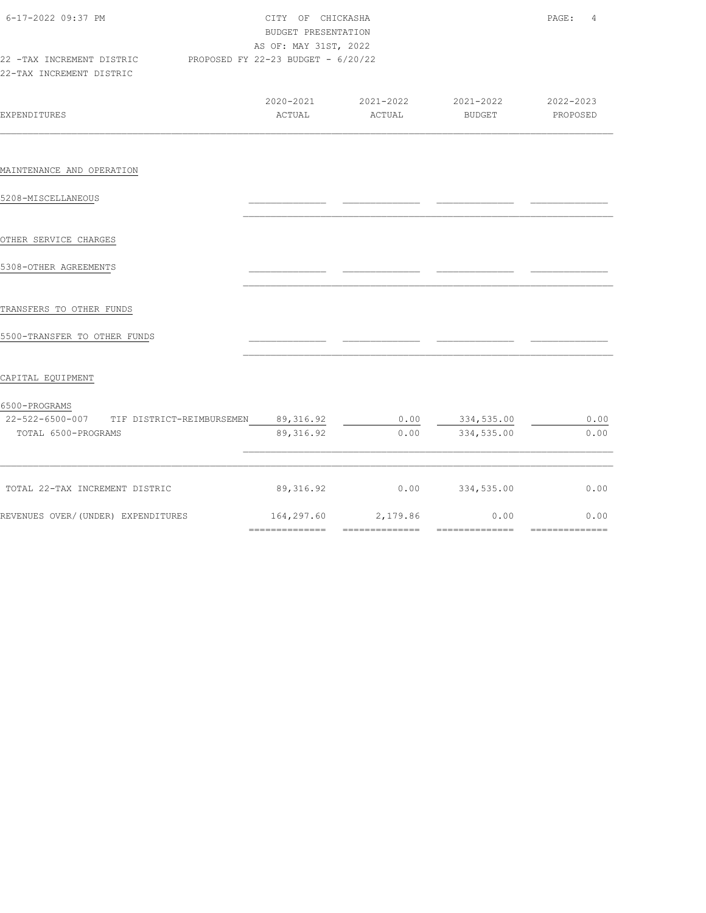| 2020-2021 2021-2022 2021-2022 2020-2023<br><b>EXPENDITURES</b><br>ACTUAL<br>ACTUAL<br>BUDGET<br>89, 316. 92<br>0.00<br>334,535.00<br>TIF DISTRICT-REIMBURSEMEN<br>89, 316.92<br>334,535.00<br>0.00<br>TOTAL 6500-PROGRAMS<br>TOTAL 22-TAX INCREMENT DISTRIC<br>89,316.92<br>0.00<br>334,535.00<br>164,297.60<br>2,179.86<br>0.00                                                                                                                                                                                            | $\overline{4}$ | PAGE:    | CITY OF CHICKASHA<br>BUDGET PRESENTATION<br>AS OF: MAY 31ST, 2022 | 6-17-2022 09:37 PM<br>22 -TAX INCREMENT DISTRIC PROPOSED FY 22-23 BUDGET - 6/20/22<br>22-TAX INCREMENT DISTRIC |  |  |  |
|-----------------------------------------------------------------------------------------------------------------------------------------------------------------------------------------------------------------------------------------------------------------------------------------------------------------------------------------------------------------------------------------------------------------------------------------------------------------------------------------------------------------------------|----------------|----------|-------------------------------------------------------------------|----------------------------------------------------------------------------------------------------------------|--|--|--|
| MAINTENANCE AND OPERATION<br>22-522-6500-007                                                                                                                                                                                                                                                                                                                                                                                                                                                                                |                | PROPOSED |                                                                   |                                                                                                                |  |  |  |
| 5208-MISCELLANEOUS<br>OTHER SERVICE CHARGES<br>5308-OTHER AGREEMENTS<br>TRANSFERS TO OTHER FUNDS<br>5500-TRANSFER TO OTHER FUNDS<br>CAPITAL EQUIPMENT<br>6500-PROGRAMS<br>REVENUES OVER/(UNDER) EXPENDITURES                                                                                                                                                                                                                                                                                                                |                |          |                                                                   |                                                                                                                |  |  |  |
|                                                                                                                                                                                                                                                                                                                                                                                                                                                                                                                             |                |          |                                                                   |                                                                                                                |  |  |  |
|                                                                                                                                                                                                                                                                                                                                                                                                                                                                                                                             |                |          |                                                                   |                                                                                                                |  |  |  |
|                                                                                                                                                                                                                                                                                                                                                                                                                                                                                                                             |                |          |                                                                   |                                                                                                                |  |  |  |
|                                                                                                                                                                                                                                                                                                                                                                                                                                                                                                                             |                |          |                                                                   |                                                                                                                |  |  |  |
|                                                                                                                                                                                                                                                                                                                                                                                                                                                                                                                             |                |          |                                                                   |                                                                                                                |  |  |  |
|                                                                                                                                                                                                                                                                                                                                                                                                                                                                                                                             |                |          |                                                                   |                                                                                                                |  |  |  |
|                                                                                                                                                                                                                                                                                                                                                                                                                                                                                                                             |                |          |                                                                   |                                                                                                                |  |  |  |
|                                                                                                                                                                                                                                                                                                                                                                                                                                                                                                                             | 0.00           |          |                                                                   |                                                                                                                |  |  |  |
|                                                                                                                                                                                                                                                                                                                                                                                                                                                                                                                             | 0.00           |          |                                                                   |                                                                                                                |  |  |  |
|                                                                                                                                                                                                                                                                                                                                                                                                                                                                                                                             | 0.00           |          |                                                                   |                                                                                                                |  |  |  |
| --------------<br>---------------<br>$\begin{array}{cccccccccc} \multicolumn{2}{c}{} & \multicolumn{2}{c}{} & \multicolumn{2}{c}{} & \multicolumn{2}{c}{} & \multicolumn{2}{c}{} & \multicolumn{2}{c}{} & \multicolumn{2}{c}{} & \multicolumn{2}{c}{} & \multicolumn{2}{c}{} & \multicolumn{2}{c}{} & \multicolumn{2}{c}{} & \multicolumn{2}{c}{} & \multicolumn{2}{c}{} & \multicolumn{2}{c}{} & \multicolumn{2}{c}{} & \multicolumn{2}{c}{} & \multicolumn{2}{c}{} & \multicolumn{2}{c}{} & \multicolumn{2}{c}{} & \mult$ | 0.00           |          |                                                                   |                                                                                                                |  |  |  |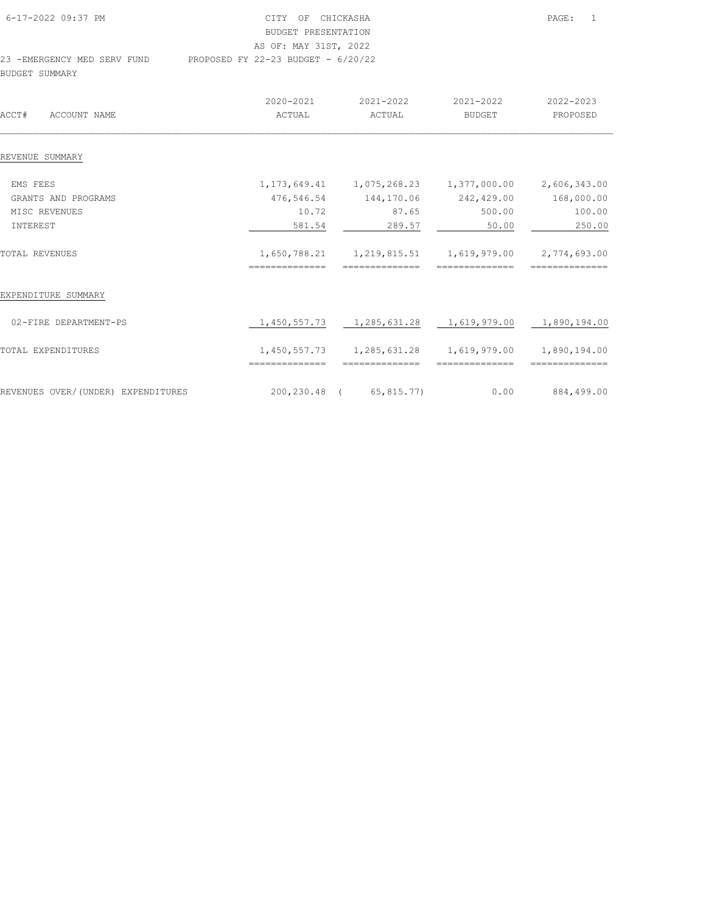| 6-17-2022 09:37 PM          | CITY OF CHICKASHA                    | PAGE: |
|-----------------------------|--------------------------------------|-------|
|                             | BUDGET PRESENTATION                  |       |
|                             | AS OF: MAY 31ST, 2022                |       |
| 23 -EMERGENCY MED SERV FUND | PROPOSED FY 22-23 BUDGET - $6/20/22$ |       |
| BUDGET SUMMARY              |                                      |       |

|                                    | 2020-2021      | 2021-2022                                                           | 2021-2022      | 2022-2023      |
|------------------------------------|----------------|---------------------------------------------------------------------|----------------|----------------|
| ACCT#<br>ACCOUNT NAME              | ACTUAL         | ACTUAL                                                              | BUDGET         | PROPOSED       |
|                                    |                |                                                                     |                |                |
| REVENUE SUMMARY                    |                |                                                                     |                |                |
| EMS FEES                           |                | $1, 173, 649.41$ $1, 075, 268.23$ $1, 377, 000.00$ $2, 606, 343.00$ |                |                |
| GRANTS AND PROGRAMS                | 476,546.54     | 144,170.06                                                          | 242,429.00     | 168,000.00     |
| MISC REVENUES                      | 10.72          | 87.65                                                               | 500.00         | 100.00         |
| INTEREST                           | 581.54         | 289.57                                                              | 50.00          | 250.00         |
| TOTAL REVENUES                     |                | $1,650,788.21$ $1,219,815.51$ $1,619,979.00$ $2,774,693.00$         |                |                |
|                                    | ============== | --------------                                                      | -------------- | -------------- |
| EXPENDITURE SUMMARY                |                |                                                                     |                |                |
| 02-FIRE DEPARTMENT-PS              |                | 1,450,557.73   1,285,631.28   1,619,979.00   1,890,194.00           |                |                |
| TOTAL EXPENDITURES                 | ============== | 1,450,557.73 1,285,631.28<br>==============                         | ============== | ============== |
| REVENUES OVER/(UNDER) EXPENDITURES |                | 200,230.48 (65,815.77)                                              | 0.00           | 884,499.00     |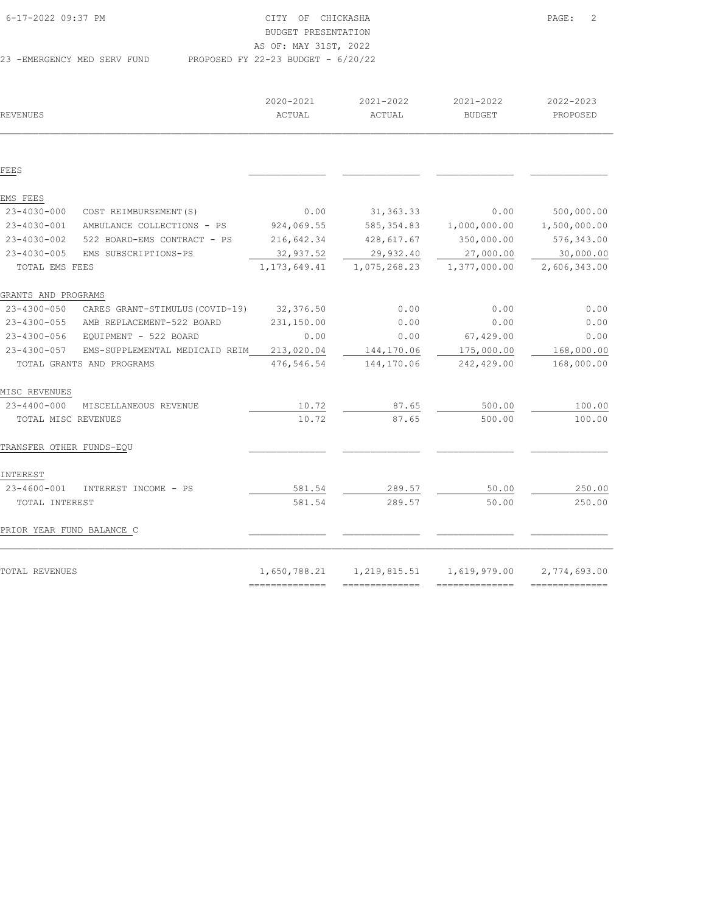| 6-17-2022 09:37 PM          | CITY OF CHICKASHA                    | PAGE: | $\overline{2}$ |
|-----------------------------|--------------------------------------|-------|----------------|
|                             | BUDGET PRESENTATION                  |       |                |
|                             | AS OF: MAY 31ST, 2022                |       |                |
| 23 -EMERGENCY MED SERV FUND | PROPOSED FY 22-23 BUDGET - $6/20/22$ |       |                |

| REVENUES                  |                                       | 2020-2021<br>ACTUAL | 2021-2022<br>ACTUAL | 2021-2022<br><b>BUDGET</b> | 2022-2023<br>PROPOSED |
|---------------------------|---------------------------------------|---------------------|---------------------|----------------------------|-----------------------|
|                           |                                       |                     |                     |                            |                       |
| FEES                      |                                       |                     |                     |                            |                       |
| EMS FEES                  |                                       |                     |                     |                            |                       |
| 23-4030-000               | COST REIMBURSEMENT (S)                | 0.00                | 31, 363.33          | 0.00                       | 500,000.00            |
| 23-4030-001               | AMBULANCE COLLECTIONS - PS            | 924,069.55          | 585,354.83          | 1,000,000.00               | 1,500,000.00          |
| $23 - 4030 - 002$         | 522 BOARD-EMS CONTRACT - PS           | 216,642.34          | 428,617.67          | 350,000.00                 | 576,343.00            |
| $23 - 4030 - 005$         | EMS SUBSCRIPTIONS-PS                  | 32,937.52           | 29,932.40           | 27,000.00                  | 30,000.00             |
| TOTAL EMS FEES            |                                       | 1, 173, 649.41      | 1,075,268.23        | 1,377,000.00               | 2,606,343.00          |
| GRANTS AND PROGRAMS       |                                       |                     |                     |                            |                       |
| 23-4300-050               | CARES GRANT-STIMULUS (COVID-19)       | 32,376.50           | 0.00                | 0.00                       | 0.00                  |
|                           | 23-4300-055 AMB REPLACEMENT-522 BOARD | 231,150.00          | 0.00                | 0.00                       | 0.00                  |
| 23-4300-056               | EQUIPMENT - 522 BOARD                 | 0.00                | 0.00                | 67,429.00                  | 0.00                  |
| 23-4300-057               | EMS-SUPPLEMENTAL MEDICAID REIM        | 213,020.04          | 144,170.06          | 175,000.00                 | 168,000.00            |
|                           | TOTAL GRANTS AND PROGRAMS             | 476,546.54          | 144,170.06          | 242,429.00                 | 168,000.00            |
| MISC REVENUES             |                                       |                     |                     |                            |                       |
| 23-4400-000               | MISCELLANEOUS REVENUE                 | 10.72               | 87.65               | 500.00                     | 100.00                |
| TOTAL MISC REVENUES       |                                       | 10.72               | 87.65               | 500.00                     | 100.00                |
| TRANSFER OTHER FUNDS-EQU  |                                       |                     |                     |                            |                       |
| INTEREST                  |                                       |                     |                     |                            |                       |
| 23-4600-001               | INTEREST INCOME - PS                  | 581.54              | 289.57              | 50.00                      | 250.00                |
| TOTAL INTEREST            |                                       | 581.54              | 289.57              | 50.00                      | 250.00                |
| PRIOR YEAR FUND BALANCE C |                                       |                     |                     |                            |                       |

| TOTAL REVENUES | $1,650,788.21$ $1,219,815.51$ $1,619,979.00$ $2,774,693.00$ |  |
|----------------|-------------------------------------------------------------|--|
|                |                                                             |  |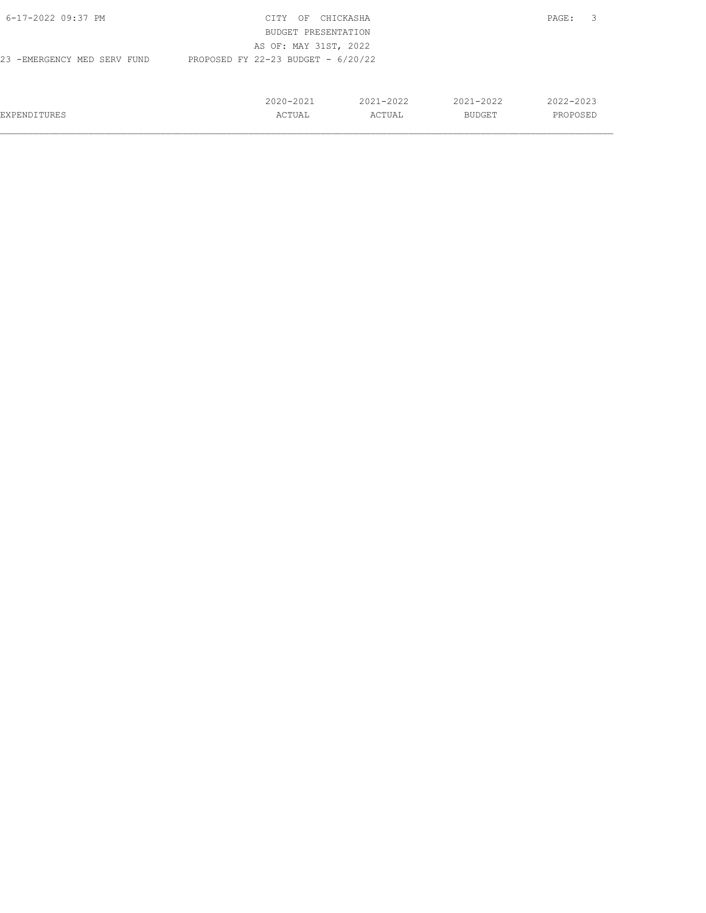| 6-17-2022 09:37 PM          | CITY<br>OF                           | CHICKASHA     |               | PAGE:         |
|-----------------------------|--------------------------------------|---------------|---------------|---------------|
|                             | BUDGET PRESENTATION                  |               |               |               |
|                             | AS OF: MAY 31ST, 2022                |               |               |               |
| 23 -EMERGENCY MED SERV FUND | PROPOSED FY 22-23 BUDGET - $6/20/22$ |               |               |               |
|                             |                                      |               |               |               |
|                             |                                      |               |               |               |
|                             | $2020 - 2021$                        | $2021 - 2022$ | $2021 - 2022$ | $2022 - 2023$ |
| EXPENDITURES                | ACTUAL                               | ACTUAL        | BUDGET        | PROPOSED      |
|                             |                                      |               |               |               |

 $\mathcal{L}_\text{max} = \mathcal{L}_\text{max} = \mathcal{L}_\text{max} = \mathcal{L}_\text{max} = \mathcal{L}_\text{max} = \mathcal{L}_\text{max} = \mathcal{L}_\text{max} = \mathcal{L}_\text{max} = \mathcal{L}_\text{max} = \mathcal{L}_\text{max} = \mathcal{L}_\text{max} = \mathcal{L}_\text{max} = \mathcal{L}_\text{max} = \mathcal{L}_\text{max} = \mathcal{L}_\text{max} = \mathcal{L}_\text{max} = \mathcal{L}_\text{max} = \mathcal{L}_\text{max} = \mathcal{$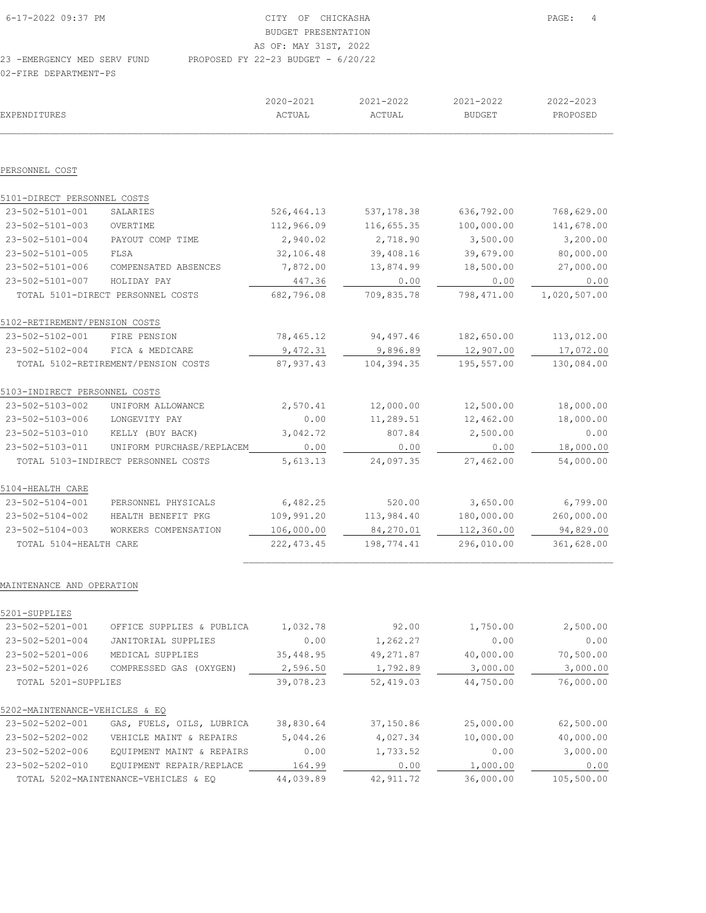2020-2021 2021-2022 2021-2022 2022-2023 EXPENDITURES ACTUAL ACTUAL BUDGET PROPOSED  $\mathcal{L}_\text{max} = \mathcal{L}_\text{max} = \mathcal{L}_\text{max} = \mathcal{L}_\text{max} = \mathcal{L}_\text{max} = \mathcal{L}_\text{max} = \mathcal{L}_\text{max} = \mathcal{L}_\text{max} = \mathcal{L}_\text{max} = \mathcal{L}_\text{max} = \mathcal{L}_\text{max} = \mathcal{L}_\text{max} = \mathcal{L}_\text{max} = \mathcal{L}_\text{max} = \mathcal{L}_\text{max} = \mathcal{L}_\text{max} = \mathcal{L}_\text{max} = \mathcal{L}_\text{max} = \mathcal{$ PERSONNEL COST 5101-DIRECT PERSONNEL COSTS 23-502-5101-001 SALARIES 526,464.13 537,178.38 636,792.00 768,629.00 23-502-5101-003 OVERTIME 112,966.09 116,655.35 100,000.00 141,678.00 23-502-5101-004 PAYOUT COMP TIME 2,940.02 2,718.90 3,500.00 3,200.00 23-502-5101-005 FLSA  $32,106.48$   $39,408.16$   $39,679.00$  80,000.00<br>
23-502-5101-006 COMPENSATED ABSENCES 7,872.00  $13,874.99$  18,500.00 27,000.00<br>
23-502-5101-007 HOLIDAY PAY  $\underbrace{447.36}_{682,796.08}$  709,835.78 798,471.00 23-502-5101-006 COMPENSATED ABSENCES 7,872.00 13,874.99 18,500.00 27,000.00 23-502-5101-007 HOLIDAY PAY 447.36 0.00 0.00 0.00 TOTAL 5101-DIRECT PERSONNEL COSTS 682,796.08 709,835.78 798,471.00 1,020,507.00 5102-RETIREMENT/PENSION COSTS 23-502-5102-001 FIRE PENSION 78,465.12 94,497.46 182,650.00 113,012.00<br>23-502-5102-004 FICA & MEDICARE 9,472.31 9,896.89 12,907.00 17,072.00 23-502-5102-004 FICA & MEDICARE 9,472.31 9,896.89 12,907.00 17,072.00 TOTAL 5102-RETIREMENT/PENSION COSTS 87,937.43 104,394.35 195,557.00 130,084.00 5103-INDIRECT PERSONNEL COSTS 23-502-5103-002 UNIFORM ALLOWANCE 2,570.41 12,000.00 12,500.00 18,000.00 23-502-5103-006 LONGEVITY PAY 0.00 11,289.51 12,462.00 18,000.00<br>23-502-5103-010 KELLY (BUY BACK) 3,042.72 807.84 2,500.00 0.00<br>23-502-5103-010 KELLY (BUY BACK) 3,042.72 807.84 2,500.00 0.00 23-502-5103-010 KELLY (BUY BACK) 3,042.72 807.84 2,500.00 0.00 23-502-5103-011 UNIFORM PURCHASE/REPLACEM TOTAL 5103-INDIRECT PERSONNEL COSTS 5,613.13 24,097.35 27,462.00 54,000.00 5104-HEALTH CARE 23-502-5104-001 PERSONNEL PHYSICALS 6,482.25 520.00 3,650.00 6,799.00 23-502-5104-002 HEALTH BENEFIT PKG 109,991.20 113,984.40 180,000.00 260,000.00 23-502-5104-003 WORKERS COMPENSATION 106,000.00 84,270.01 112,360.00 94,829.00 TOTAL 5104-HEALTH CARE 222,473.45 198,774.41 296,010.00 361,628.00

#### MAINTENANCE AND OPERATION

| 5201-SUPPLIES                  |                                      |           |            |           |            |
|--------------------------------|--------------------------------------|-----------|------------|-----------|------------|
| 23-502-5201-001                | OFFICE SUPPLIES & PUBLICA            | 1,032.78  | 92.00      | 1,750.00  | 2,500.00   |
| 23-502-5201-004                | JANITORIAL SUPPLIES                  | 0.00      | 1,262.27   | 0.00      | 0.00       |
| 23-502-5201-006                | MEDICAL SUPPLIES                     | 35,448.95 | 49, 271.87 | 40,000.00 | 70,500.00  |
| 23-502-5201-026                | COMPRESSED GAS (OXYGEN)              | 2,596.50  | 1,792.89   | 3,000.00  | 3,000.00   |
| TOTAL 5201-SUPPLIES            |                                      | 39,078.23 | 52,419.03  | 44,750.00 | 76,000.00  |
| 5202-MAINTENANCE-VEHICLES & EO |                                      |           |            |           |            |
| 23-502-5202-001                | GAS, FUELS, OILS, LUBRICA            | 38,830.64 | 37,150.86  | 25,000.00 | 62,500.00  |
| 23-502-5202-002                | VEHICLE MAINT & REPAIRS              | 5,044.26  | 4,027.34   | 10,000.00 | 40,000.00  |
| 23-502-5202-006                | EQUIPMENT MAINT & REPAIRS            | 0.00      | 1,733.52   | 0.00      | 3,000.00   |
| 23-502-5202-010                | EOUIPMENT REPAIR/REPLACE             | 164.99    | 0.00       | 1,000.00  | 0.00       |
|                                | TOTAL 5202-MAINTENANCE-VEHICLES & EO | 44,039.89 | 42, 911.72 | 36,000.00 | 105,500.00 |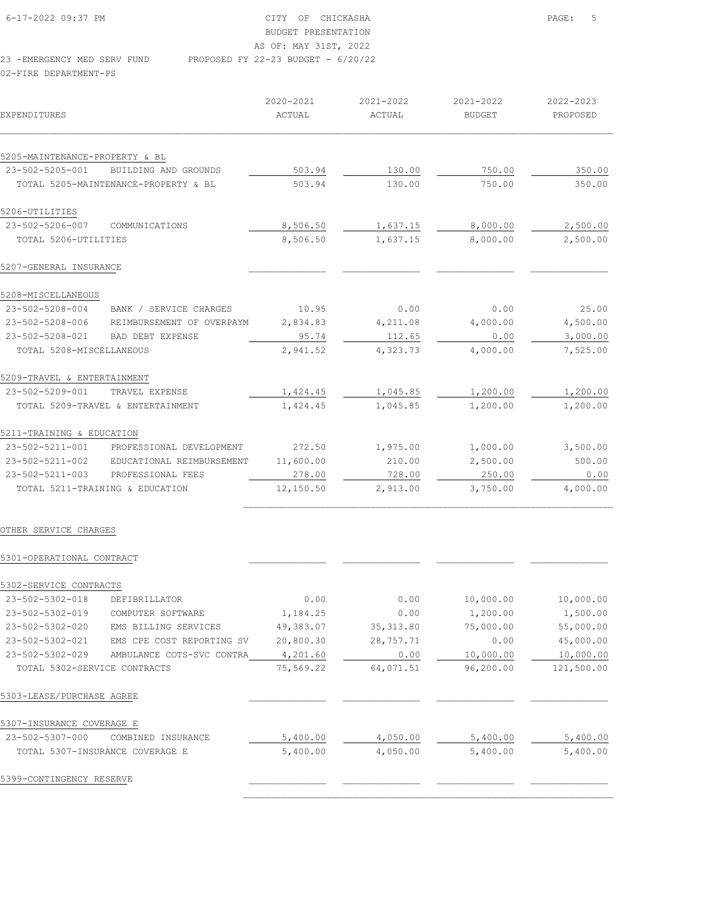| 6-17-2022 09:37 PM          | CITY OF CHICKASHA                    |
|-----------------------------|--------------------------------------|
|                             | BUDGET PRESENTATION                  |
|                             | AS OF: MAY 31ST, 2022                |
| 23 -EMERGENCY MED SERV FUND | PROPOSED FY 22-23 BUDGET - $6/20/22$ |

02-FIRE DEPARTMENT-PS

|                                 |                                      | 2020-2021 | 2021-2022 | 2021-2022     | 2022-2023 |
|---------------------------------|--------------------------------------|-----------|-----------|---------------|-----------|
| <b>EXPENDITURES</b>             |                                      | ACTUAL    | ACTUAL    | <b>BUDGET</b> | PROPOSED  |
| 5205-MAINTENANCE-PROPERTY & BL  |                                      |           |           |               |           |
| 23-502-5205-001                 | BUILDING AND GROUNDS                 | 503.94    | 130.00    | 750.00        | 350.00    |
|                                 | TOTAL 5205-MAINTENANCE-PROPERTY & BL | 503.94    | 130.00    | 750.00        | 350.00    |
| 5206-UTILITIES                  |                                      |           |           |               |           |
| 23-502-5206-007                 | COMMUNICATIONS                       | 8,506.50  | 1,637.15  | 8,000.00      | 2,500.00  |
| TOTAL 5206-UTILITIES            |                                      | 8,506.50  | 1,637.15  | 8,000.00      | 2,500.00  |
| 5207-GENERAL INSURANCE          |                                      |           |           |               |           |
| 5208-MISCELLANEOUS              |                                      |           |           |               |           |
| 23-502-5208-004                 | BANK / SERVICE CHARGES               | 10.95     | 0.00      | 0.00          | 25.00     |
| 23-502-5208-006                 | REIMBURSEMENT OF OVERPAYM            | 2,834.83  | 4,211.08  | 4,000.00      | 4,500.00  |
| 23-502-5208-021                 | BAD DEBT EXPENSE                     | 95.74     | 112.65    | 0.00          | 3,000.00  |
| TOTAL 5208-MISCELLANEOUS        |                                      | 2,941.52  | 4,323.73  | 4,000.00      | 7,525.00  |
| 5209-TRAVEL & ENTERTAINMENT     |                                      |           |           |               |           |
| 23-502-5209-001                 | TRAVEL EXPENSE                       | 1,424.45  | 1,045.85  | 1,200.00      | 1,200.00  |
|                                 | TOTAL 5209-TRAVEL & ENTERTAINMENT    | 1,424.45  | 1,045.85  | 1,200.00      | 1,200.00  |
| 5211-TRAINING & EDUCATION       |                                      |           |           |               |           |
| 23-502-5211-001                 | PROFESSIONAL DEVELOPMENT             | 272.50    | 1,975.00  | 1,000.00      | 3,500.00  |
| 23-502-5211-002                 | EDUCATIONAL REIMBURSEMENT            | 11,600.00 | 210.00    | 2,500.00      | 500.00    |
| $23 - 502 - 5211 - 003$         | PROFESSIONAL FEES                    | 278.00    | 728.00    | 250.00        | 0.00      |
| TOTAL 5211-TRAINING & EDUCATION |                                      | 12,150.50 | 2,913.00  | 3,750.00      | 4,000.00  |
|                                 |                                      |           |           |               |           |

PAGE: 5

## OTHER SERVICE CHARGES

### 5301-OPERATIONAL CONTRACT \_\_\_\_\_\_\_\_\_\_\_\_\_\_ \_\_\_\_\_\_\_\_\_\_\_\_\_\_ \_\_\_\_\_\_\_\_\_\_\_\_\_\_ \_\_\_\_\_\_\_\_\_\_\_\_\_\_

| 5302-SERVICE CONTRACTS       |                                 |           |            |           |            |
|------------------------------|---------------------------------|-----------|------------|-----------|------------|
| 23-502-5302-018              | DEFIBRILLATOR                   | 0.00      | 0.00       | 10,000.00 | 10,000.00  |
| 23-502-5302-019              | COMPUTER SOFTWARE               | 1,184.25  | 0.00       | 1,200.00  | 1,500.00   |
| 23-502-5302-020              | EMS BILLING SERVICES            | 49,383.07 | 35, 313.80 | 75,000.00 | 55,000.00  |
| 23-502-5302-021              | EMS CPE COST REPORTING SV       | 20,800.30 | 28,757.71  | 0.00      | 45,000.00  |
| 23-502-5302-029              | AMBULANCE COTS-SVC CONTRA       | 4,201.60  | 0.00       | 10,000.00 | 10,000.00  |
| TOTAL 5302-SERVICE CONTRACTS |                                 | 75,569.22 | 64,071.51  | 96,200.00 | 121,500.00 |
| 5303-LEASE/PURCHASE AGREE    |                                 |           |            |           |            |
| 5307-INSURANCE COVERAGE E    |                                 |           |            |           |            |
| 23-502-5307-000              | COMBINED<br>INSURANCE           | 5,400.00  | 4,050.00   | 5,400.00  | 5,400.00   |
|                              | TOTAL 5307-INSURANCE COVERAGE E | 5,400.00  | 4,050.00   | 5,400.00  | 5,400.00   |
| 5399-CONTINGENCY RESERVE     |                                 |           |            |           |            |
|                              |                                 |           |            |           |            |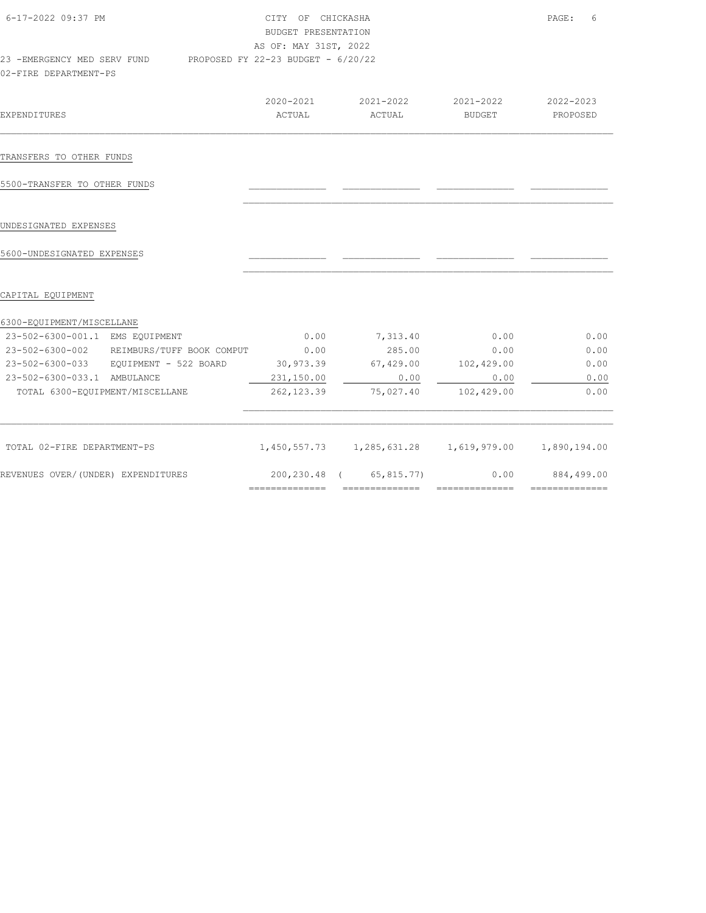| 6-17-2022 09:37 PM                                                                      | CITY OF CHICKASHA<br>BUDGET PRESENTATION<br>AS OF: MAY 31ST, 2022 |                                            |                     | PAGE:<br>6            |
|-----------------------------------------------------------------------------------------|-------------------------------------------------------------------|--------------------------------------------|---------------------|-----------------------|
| 23 -EMERGENCY MED SERV FUND PROPOSED FY 22-23 BUDGET - 6/20/22<br>02-FIRE DEPARTMENT-PS |                                                                   |                                            |                     |                       |
| <b>EXPENDITURES</b>                                                                     | 2020-2021<br>ACTUAL                                               | 2021-2022<br>ACTUAL                        | 2021-2022<br>BUDGET | 2022-2023<br>PROPOSED |
|                                                                                         |                                                                   |                                            |                     |                       |
| TRANSFERS TO OTHER FUNDS                                                                |                                                                   |                                            |                     |                       |
| 5500-TRANSFER TO OTHER FUNDS                                                            |                                                                   |                                            |                     |                       |
| UNDESIGNATED EXPENSES                                                                   |                                                                   |                                            |                     |                       |
| 5600-UNDESIGNATED EXPENSES                                                              |                                                                   |                                            |                     |                       |
| CAPITAL EQUIPMENT                                                                       |                                                                   |                                            |                     |                       |
| 6300-EQUIPMENT/MISCELLANE                                                               |                                                                   |                                            |                     |                       |
| 23-502-6300-001.1 EMS EQUIPMENT                                                         | 0.00                                                              | 7,313.40                                   | 0.00                | 0.00                  |
| 23-502-6300-002 REIMBURS/TUFF BOOK COMPUT                                               | 0.00                                                              | 285.00                                     | 0.00                | 0.00                  |
| 23-502-6300-033 EQUIPMENT - 522 BOARD                                                   |                                                                   | 30,973.39 67,429.00                        | 102,429.00          | 0.00                  |
| 23-502-6300-033.1 AMBULANCE                                                             | 231,150.00                                                        | 0.00                                       | 0.00                | 0.00                  |
| TOTAL 6300-EQUIPMENT/MISCELLANE                                                         | 262, 123.39                                                       | 75,027.40                                  | 102,429.00          | 0.00                  |
| TOTAL 02-FIRE DEPARTMENT-PS                                                             |                                                                   | 1,450,557.73   1,285,631.28   1,619,979.00 |                     | 1,890,194.00          |
| REVENUES OVER/(UNDER) EXPENDITURES                                                      |                                                                   | 200,230.48 (65,815.77)                     | 0.00                | 884,499.00            |
|                                                                                         | ==============                                                    | =================================          |                     | ==============        |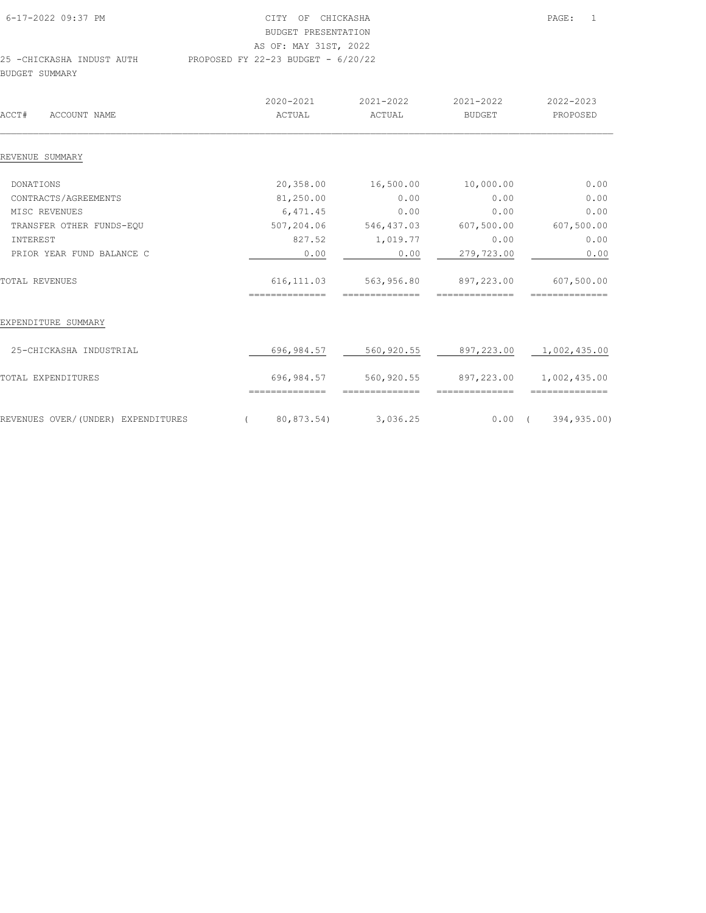| 6-17-2022 09:37 PM        | CITY OF CHICKASHA                    | PAGE: | $\overline{1}$ |
|---------------------------|--------------------------------------|-------|----------------|
|                           | BUDGET PRESENTATION                  |       |                |
|                           | AS OF: MAY 31ST, 2022                |       |                |
| 25 -CHICKASHA INDUST AUTH | PROPOSED FY 22-23 BUDGET - $6/20/22$ |       |                |
| BUDGET SUMMARY            |                                      |       |                |

| ACCT#<br>ACCOUNT NAME              |          | $2020 - 2021$<br>ACTUAL | 2021-2022<br>ACTUAL | 2021-2022<br><b>BUDGET</b> | 2022-2023<br>PROPOSED   |
|------------------------------------|----------|-------------------------|---------------------|----------------------------|-------------------------|
| REVENUE SUMMARY                    |          |                         |                     |                            |                         |
| <b>DONATIONS</b>                   |          | 20,358.00               | 16,500.00           | 10,000.00                  | 0.00                    |
| CONTRACTS/AGREEMENTS               |          | 81,250.00               | 0.00                | 0.00                       | 0.00                    |
| MISC REVENUES                      |          | 6,471.45                | 0.00                | 0.00                       | 0.00                    |
| TRANSFER OTHER FUNDS-EQU           |          | 507,204.06              | 546, 437.03         | 607,500.00                 | 607,500.00              |
| INTEREST                           |          | 827.52                  | 1,019.77            | 0.00                       | 0.00                    |
| PRIOR YEAR FUND BALANCE C          |          | 0.00                    | 0.00                | 279,723.00                 | 0.00                    |
| TOTAL REVENUES                     |          | 616, 111.03             | 563,956.80          | 897,223.00                 | 607,500.00              |
| EXPENDITURE SUMMARY                |          |                         |                     |                            |                         |
| 25-CHICKASHA INDUSTRIAL            |          | 696,984.57              | 560,920.55          | 897,223.00 1,002,435.00    |                         |
| TOTAL EXPENDITURES                 |          | 696,984.57              | 560,920.55          |                            | 897,223.00 1,002,435.00 |
|                                    |          |                         |                     |                            | --------------          |
| REVENUES OVER/(UNDER) EXPENDITURES | $\left($ | 80,873.54)              | 3,036.25            | $0.00$ (                   | 394,935.00)             |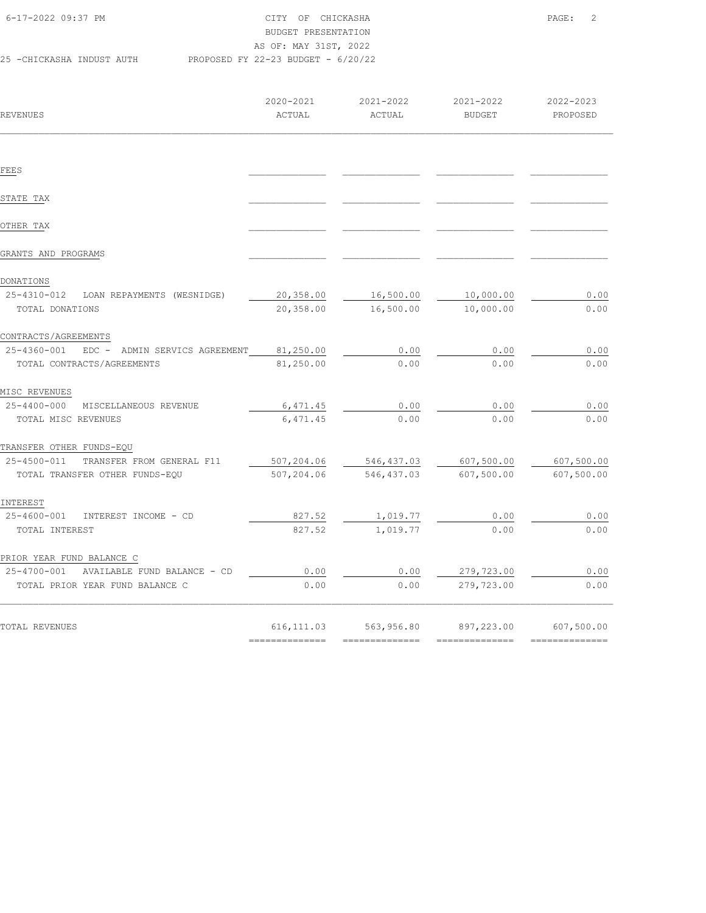| 6-17-2022 09:37 PM        | CITY OF CHICKASHA                    | PAGE: | $\overline{\phantom{0}}$ 2 |
|---------------------------|--------------------------------------|-------|----------------------------|
|                           | BUDGET PRESENTATION                  |       |                            |
|                           | AS OF: MAY 31ST, 2022                |       |                            |
| 25 -CHICKASHA INDUST AUTH | PROPOSED FY 22-23 BUDGET - $6/20/22$ |       |                            |

| REVENUES                                           | 2020-2021<br>ACTUAL | 2021-2022<br>ACTUAL | 2021-2022<br><b>BUDGET</b> | 2022-2023<br>PROPOSED |
|----------------------------------------------------|---------------------|---------------------|----------------------------|-----------------------|
|                                                    |                     |                     |                            |                       |
| FEES                                               |                     |                     |                            |                       |
| STATE TAX                                          |                     |                     |                            |                       |
| OTHER TAX                                          |                     |                     |                            |                       |
| GRANTS AND PROGRAMS                                |                     |                     |                            |                       |
| DONATIONS                                          |                     |                     |                            |                       |
| 25-4310-012<br>LOAN REPAYMENTS (WESNIDGE)          | 20,358.00           | 16,500.00           | 10,000.00                  | 0.00                  |
| TOTAL DONATIONS                                    | 20,358.00           | 16,500.00           | 10,000.00                  | 0.00                  |
| CONTRACTS/AGREEMENTS                               |                     |                     |                            |                       |
| $25 - 4360 - 001$<br>EDC - ADMIN SERVICS AGREEMENT | 81,250.00           | 0.00                | 0.00                       | 0.00                  |
| TOTAL CONTRACTS/AGREEMENTS                         | 81,250.00           | 0.00                | 0.00                       | 0.00                  |
| MISC REVENUES                                      |                     |                     |                            |                       |
| 25-4400-000 MISCELLANEOUS REVENUE                  | 6,471.45            | 0.00                | 0.00                       | 0.00                  |
| TOTAL MISC REVENUES                                | 6,471.45            | 0.00                | 0.00                       | 0.00                  |
| TRANSFER OTHER FUNDS-EQU                           |                     |                     |                            |                       |
| 25-4500-011<br>TRANSFER FROM GENERAL F11           | 507,204.06          | 546,437.03          | 607,500.00                 | 607,500.00            |
| TOTAL TRANSFER OTHER FUNDS-EQU                     | 507,204.06          | 546, 437.03         | 607,500.00                 | 607,500.00            |
| INTEREST                                           |                     |                     |                            |                       |
| 25-4600-001<br>INTEREST INCOME - CD                | 827.52              | 1,019.77            | 0.00                       | 0.00                  |
| TOTAL INTEREST                                     | 827.52              | 1,019.77            | 0.00                       | 0.00                  |
| PRIOR YEAR FUND BALANCE C                          |                     |                     |                            |                       |
| 25-4700-001<br>AVAILABLE FUND BALANCE - CD         | 0.00                | 0.00                | 279,723.00                 | 0.00                  |
| TOTAL PRIOR YEAR FUND BALANCE C                    | 0.00                | 0.00                | 279,723.00                 | 0.00                  |
| TOTAL REVENUES                                     | 616, 111.03         | 563,956.80          | 897,223.00                 | 607,500.00            |
|                                                    | ==============      |                     | ---------------            | ==============        |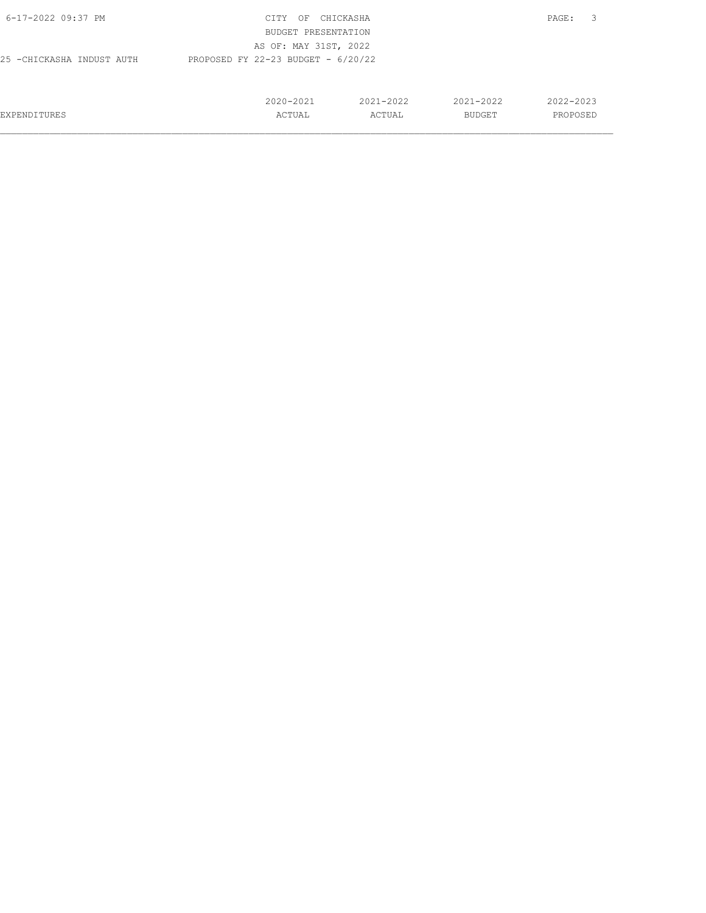| 6-17-2022 09:37 PM                                                | CITY<br>OF            | CHICKASHA     |               | 3<br>PAGE: |  |  |  |  |
|-------------------------------------------------------------------|-----------------------|---------------|---------------|------------|--|--|--|--|
|                                                                   | BUDGET PRESENTATION   |               |               |            |  |  |  |  |
|                                                                   | AS OF: MAY 31ST, 2022 |               |               |            |  |  |  |  |
| PROPOSED FY 22-23 BUDGET - $6/20/22$<br>25 -CHICKASHA INDUST AUTH |                       |               |               |            |  |  |  |  |
|                                                                   |                       |               |               |            |  |  |  |  |
|                                                                   |                       |               |               |            |  |  |  |  |
|                                                                   | $2020 - 2021$         | $2021 - 2022$ | $2021 - 2022$ | 2022-2023  |  |  |  |  |
| EXPENDITURES                                                      | ACTUAL                | ACTUAL        | BUDGET        | PROPOSED   |  |  |  |  |
|                                                                   |                       |               |               |            |  |  |  |  |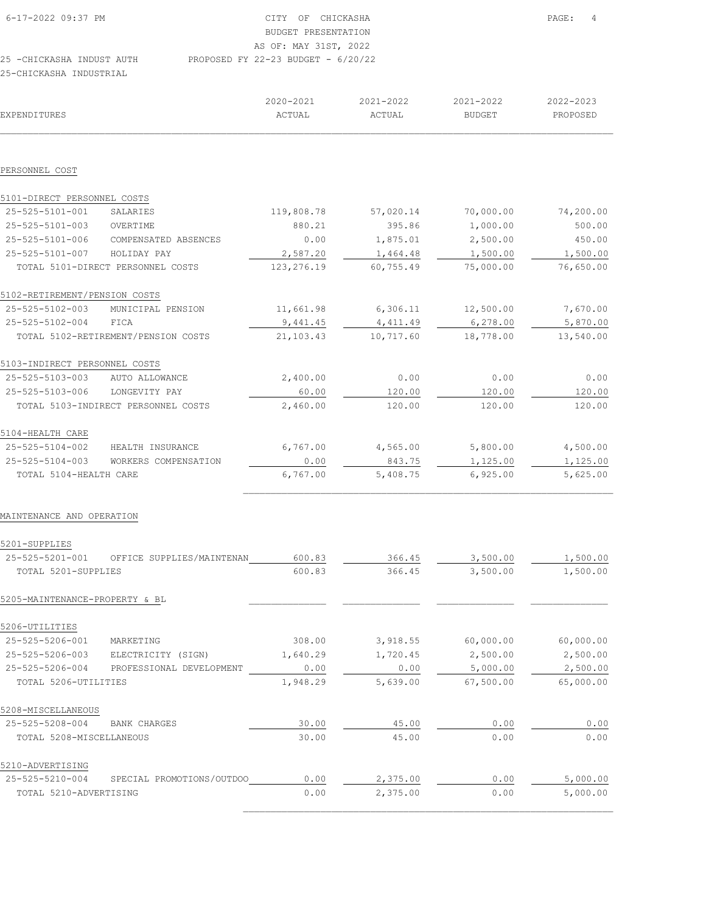| 6-17-2022 09:37 PM        | CITY OF CHICKASHA                    | PAGE: | $\overline{4}$ |
|---------------------------|--------------------------------------|-------|----------------|
|                           | BUDGET PRESENTATION                  |       |                |
|                           | AS OF: MAY 31ST, 2022                |       |                |
| 25 -CHICKASHA INDUST AUTH | PROPOSED FY 22-23 BUDGET - $6/20/22$ |       |                |
| 25-CHICKASHA INDUSTRIAL   |                                      |       |                |

| EXPENDITURES                   |                                     | 2020-2021<br>ACTUAL | 2021-2022<br>ACTUAL | 2021-2022<br><b>BUDGET</b> | 2022-2023<br>PROPOSED |
|--------------------------------|-------------------------------------|---------------------|---------------------|----------------------------|-----------------------|
|                                |                                     |                     |                     |                            |                       |
| PERSONNEL COST                 |                                     |                     |                     |                            |                       |
| 5101-DIRECT PERSONNEL COSTS    |                                     |                     |                     |                            |                       |
| 25-525-5101-001                | SALARIES                            | 119,808.78          | 57,020.14           | 70,000.00                  | 74,200.00             |
| 25-525-5101-003                | OVERTIME                            | 880.21              | 395.86              | 1,000.00                   | 500.00                |
| 25-525-5101-006                | COMPENSATED ABSENCES                | 0.00                | 1,875.01            | 2,500.00                   | 450.00                |
| 25-525-5101-007                | HOLIDAY PAY                         | 2,587.20            | 1,464.48            | 1,500.00                   | 1,500.00              |
|                                | TOTAL 5101-DIRECT PERSONNEL COSTS   | 123,276.19          | 60,755.49           | 75,000.00                  | 76,650.00             |
| 5102-RETIREMENT/PENSION COSTS  |                                     |                     |                     |                            |                       |
| 25-525-5102-003                | MUNICIPAL PENSION                   | 11,661.98           | 6,306.11            | 12,500.00                  | 7,670.00              |
| 25-525-5102-004                | FICA                                | 9,441.45            | 4, 411.49           | 6, 278.00                  | 5,870.00              |
|                                | TOTAL 5102-RETIREMENT/PENSION COSTS | 21,103.43           | 10,717.60           | 18,778.00                  | 13,540.00             |
| 5103-INDIRECT PERSONNEL COSTS  |                                     |                     |                     |                            |                       |
| 25-525-5103-003                | AUTO ALLOWANCE                      | 2,400.00            | 0.00                | 0.00                       | 0.00                  |
| 25-525-5103-006                | LONGEVITY PAY                       | 60.00               | 120.00              | 120.00                     | 120.00                |
|                                | TOTAL 5103-INDIRECT PERSONNEL COSTS | 2,460.00            | 120.00              | 120.00                     | 120.00                |
| 5104-HEALTH CARE               |                                     |                     |                     |                            |                       |
| 25-525-5104-002                | HEALTH INSURANCE                    | 6,767.00            | 4,565.00            | 5,800.00                   | 4,500.00              |
| 25-525-5104-003                | WORKERS COMPENSATION                | 0.00                | 843.75              | 1,125.00                   | 1,125.00              |
| TOTAL 5104-HEALTH CARE         |                                     | 6,767.00            | 5,408.75            | 6,925.00                   | 5,625.00              |
| MAINTENANCE AND OPERATION      |                                     |                     |                     |                            |                       |
| 5201-SUPPLIES                  |                                     |                     |                     |                            |                       |
| 25-525-5201-001                | OFFICE SUPPLIES/MAINTENAN           | 600.83              | 366.45              | 3,500.00                   | 1,500.00              |
| TOTAL 5201-SUPPLIES            |                                     | 600.83              | 366.45              | 3,500.00                   | 1,500.00              |
| 5205-MAINTENANCE-PROPERTY & BL |                                     |                     |                     |                            |                       |
| 5206-UTILITIES                 |                                     |                     |                     |                            |                       |
| 25-525-5206-001                | MARKETING                           | 308.00              | 3,918.55            | 60,000.00                  | 60,000.00             |
| 25-525-5206-003                | ELECTRICITY (SIGN)                  | 1,640.29            | 1,720.45            | 2,500.00                   | 2,500.00              |
| 25-525-5206-004                | PROFESSIONAL DEVELOPMENT            | 0.00                | 0.00                | 5,000.00                   | 2,500.00              |
| TOTAL 5206-UTILITIES           |                                     | 1,948.29            | 5,639.00            | 67,500.00                  | 65,000.00             |
| 5208-MISCELLANEOUS             |                                     |                     |                     |                            |                       |
| 25-525-5208-004                | BANK CHARGES                        | 30.00               | 45.00               | 0.00                       | 0.00                  |
| TOTAL 5208-MISCELLANEOUS       |                                     | 30.00               | 45.00               | 0.00                       | 0.00                  |
|                                |                                     |                     |                     |                            |                       |

5210-ADVERTISING 25-525-5210-004 SPECIAL PROMOTIONS/OUTDOO 0.00 2,375.00 0.00 5,000.00 25-525-5210-004 SPECIAL PROMOTIONS/OUTDOO\_\_\_\_\_\_\_\_\_\_0.00 2,375.00 \_\_\_\_\_\_\_\_\_\_0.00 5,000.00<br>
TOTAL 5210-ADVERTISING 0.00 2,375.00 0.00 5,000.00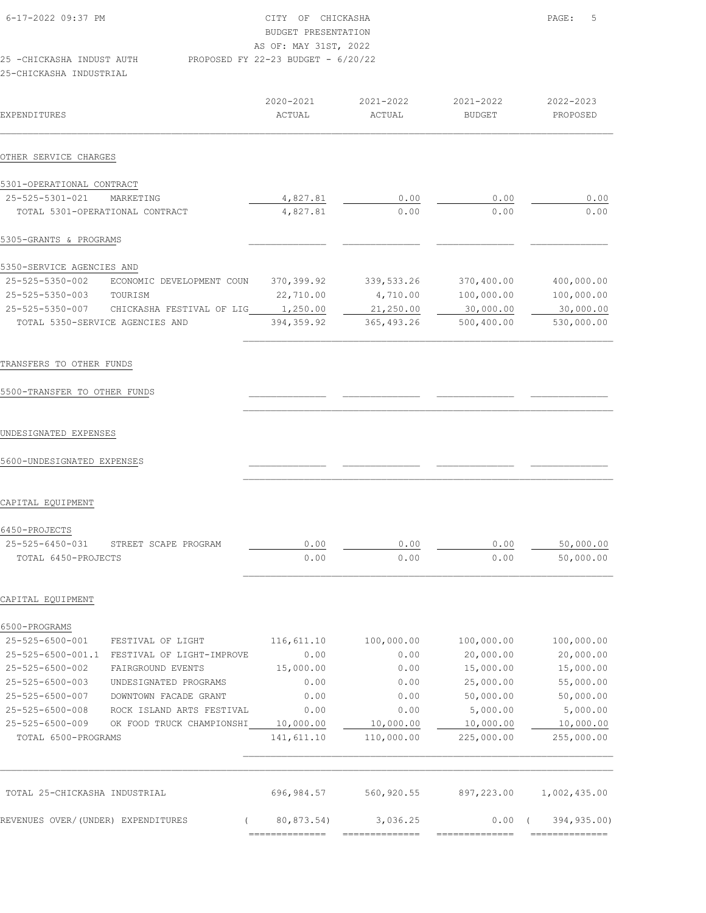| 6-17-2022 09:37 PM         | CITY OF CHICKASHA                    | PAGE: 5 |
|----------------------------|--------------------------------------|---------|
|                            | BUDGET PRESENTATION                  |         |
|                            | AS OF: MAY 31ST, 2022                |         |
| 25 - CHICKASHA INDUST AUTH | PROPOSED FY 22-23 BUDGET - $6/20/22$ |         |
| 25-CHICKASHA INDUSTRIAL    |                                      |         |
|                            |                                      |         |

|                           |                                 | 2020-2021  | 2021-2022   | 2021-2022     | 2022-2023  |
|---------------------------|---------------------------------|------------|-------------|---------------|------------|
| EXPENDITURES              |                                 | ACTUAL     | ACTUAL      | <b>BUDGET</b> | PROPOSED   |
|                           |                                 |            |             |               |            |
| OTHER SERVICE CHARGES     |                                 |            |             |               |            |
| 5301-OPERATIONAL CONTRACT |                                 |            |             |               |            |
| 25-525-5301-021           | MARKETING                       | 4,827.81   | 0.00        | 0.00          | 0.00       |
|                           | TOTAL 5301-OPERATIONAL CONTRACT | 4,827.81   | 0.00        | 0.00          | 0.00       |
| 5305-GRANTS & PROGRAMS    |                                 |            |             |               |            |
| 5350-SERVICE AGENCIES AND |                                 |            |             |               |            |
| 25-525-5350-002           | ECONOMIC<br>DEVELOPMENT COUN    | 370,399.92 | 339,533.26  | 370,400.00    | 400,000.00 |
| 25-525-5350-003           | TOURISM                         | 22,710.00  | 4,710.00    | 100,000.00    | 100,000.00 |
| 25-525-5350-007           | CHICKASHA FESTIVAL OF LIG       | 1,250.00   | 21,250.00   | 30,000.00     | 30,000.00  |
|                           | TOTAL 5350-SERVICE AGENCIES AND | 394,359.92 | 365, 493.26 | 500,400.00    | 530,000.00 |

### TRANSFERS TO OTHER FUNDS

# 5500-TRANSFER TO OTHER FUNDS \_\_\_\_\_\_\_\_\_\_\_\_\_\_ \_\_\_\_\_\_\_\_\_\_\_\_\_\_ \_\_\_\_\_\_\_\_\_\_\_\_\_\_ \_\_\_\_\_\_\_\_\_\_\_\_\_\_

### UNDESIGNATED EXPENSES

## 5600-UNDESIGNATED EXPENSES \_\_\_\_\_\_\_\_\_\_\_\_\_\_ \_\_\_\_\_\_\_\_\_\_\_\_\_\_ \_\_\_\_\_\_\_\_\_\_\_\_\_\_ \_\_\_\_\_\_\_\_\_\_\_\_\_\_

## CAPITAL EQUIPMENT

| 6450-PROJECTS       |                                      |      |      |      |           |
|---------------------|--------------------------------------|------|------|------|-----------|
|                     | 25-525-6450-031 STREET SCAPE PROGRAM | חח ר | 0.00 | 0.00 | 50,000.00 |
| TOTAL 6450-PROJECTS |                                      | 0.00 | 0.00 | 0.00 | 50,000.00 |

 $\mathcal{L}_\text{max}$ 

 $\mathcal{L}_\text{max}$ 

 $\mathcal{L}_\text{max}$ 

### CAPITAL EQUIPMENT

| 6500-PROGRAMS             |                           |            |            |            |              |
|---------------------------|---------------------------|------------|------------|------------|--------------|
| 25-525-6500-001           | FESTIVAL OF LIGHT         | 116,611.10 | 100,000.00 | 100,000.00 | 100,000.00   |
| $25 - 525 - 6500 - 001.1$ | FESTIVAL OF LIGHT-IMPROVE | 0.00       | 0.00       | 20,000.00  | 20,000.00    |
| 25-525-6500-002           | FAIRGROUND EVENTS         | 15,000.00  | 0.00       | 15,000.00  | 15,000.00    |
| 25-525-6500-003           | UNDESIGNATED PROGRAMS     | 0.00       | 0.00       | 25,000.00  | 55,000.00    |
| 25-525-6500-007           | DOWNTOWN FACADE GRANT     | 0.00       | 0.00       | 50,000.00  | 50,000.00    |
| $25 - 525 - 6500 - 008$   | ROCK ISLAND ARTS FESTIVAL | 0.00       | 0.00       | 5,000.00   | 5,000.00     |
| 25-525-6500-009           | OK FOOD TRUCK CHAMPIONSHI | 10,000.00  | 10,000.00  | 10,000.00  | 10,000.00    |
| TOTAL 6500-PROGRAMS       |                           | 141,611.10 | 110,000.00 | 225,000.00 | 255,000.00   |
|                           |                           |            |            |            |              |
| TOTAL 25-CHICKASHA        | INDUSTRIAL                | 696,984.57 | 560,920.55 | 897,223.00 | 1,002,435.00 |
| REVENUES OVER/(UNDER)     | EXPENDITURES              | 80,873.54) | 3,036.25   | 0.00       | 394,935.00)  |

============== ============== ============== ==============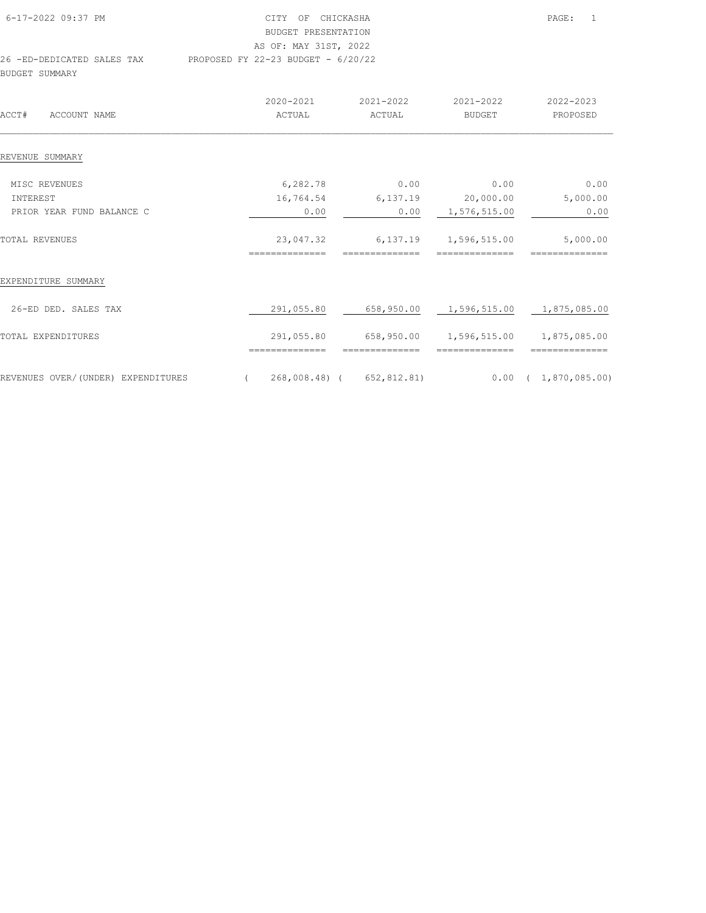| 6-17-2022 09:37 PM         | CITY OF CHICKASHA                    | PAGE: | $\overline{1}$ |
|----------------------------|--------------------------------------|-------|----------------|
|                            | BUDGET PRESENTATION                  |       |                |
|                            | AS OF: MAY 31ST, 2022                |       |                |
| 26 -ED-DEDICATED SALES TAX | PROPOSED FY 22-23 BUDGET - $6/20/22$ |       |                |
| BUDGET SUMMARY             |                                      |       |                |

| ACCT#<br>ACCOUNT NAME              | $2020 - 2021$<br>ACTUAL |            | $2021 - 2022$<br>ACTUAL   | $2021 - 2022$<br><b>BUDGET</b>         | 2022-2023<br>PROPOSED  |
|------------------------------------|-------------------------|------------|---------------------------|----------------------------------------|------------------------|
| REVENUE SUMMARY                    |                         |            |                           |                                        |                        |
| MISC REVENUES                      |                         | 6,282.78   | 0.00                      | 0.00                                   | 0.00                   |
| INTEREST                           |                         | 16,764.54  | 6,137.19                  | 20,000.00                              | 5,000.00               |
| PRIOR YEAR FUND BALANCE C          |                         | 0.00       | 0.00                      | 1,576,515.00                           | 0.00                   |
| TOTAL REVENUES                     |                         | 23,047.32  | 6,137.19                  | 1,596,515.00                           | 5,000.00               |
|                                    |                         |            |                           |                                        |                        |
| EXPENDITURE SUMMARY                |                         |            |                           |                                        |                        |
| 26-ED DED. SALES TAX               |                         | 291,055.80 |                           | 658,950.00  1,596,515.00  1,875,085.00 |                        |
| TOTAL EXPENDITURES                 |                         | 291,055.80 | 658,950.00                | 1,596,515.00 1,875,085.00              |                        |
|                                    |                         |            |                           |                                        |                        |
| REVENUES OVER/(UNDER) EXPENDITURES | $\overline{(\ }$        |            | 268,008.48) ( 652,812.81) |                                        | $0.00$ ( 1,870,085.00) |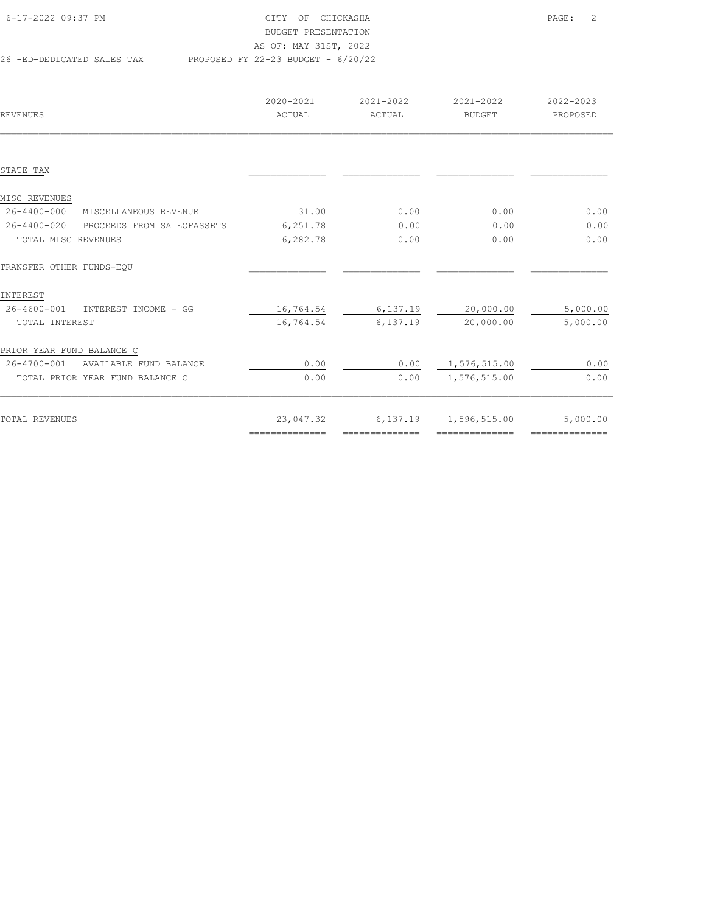| 6-17-2022 09:37 PM         | CITY OF CHICKASHA                    | PAGE: | $\overline{2}$ |
|----------------------------|--------------------------------------|-------|----------------|
|                            | BUDGET PRESENTATION                  |       |                |
|                            | AS OF: MAY 31ST, 2022                |       |                |
| 26 -ED-DEDICATED SALES TAX | PROPOSED FY 22-23 BUDGET - $6/20/22$ |       |                |

| REVENUES                                   | 2020-2021<br>ACTUAL | 2021-2022<br>ACTUAL | 2021-2022<br><b>BUDGET</b> | 2022-2023<br>PROPOSED |
|--------------------------------------------|---------------------|---------------------|----------------------------|-----------------------|
|                                            |                     |                     |                            |                       |
| STATE TAX                                  |                     |                     |                            |                       |
| MISC REVENUES                              |                     |                     |                            |                       |
| $26 - 4400 - 000$<br>MISCELLANEOUS REVENUE | 31.00               | 0.00                | 0.00                       | 0.00                  |
| 26-4400-020<br>PROCEEDS FROM SALEOFASSETS  | 6,251.78            | 0.00                | 0.00                       | 0.00                  |
| TOTAL MISC REVENUES                        | 6,282.78            | 0.00                | 0.00                       | 0.00                  |
| TRANSFER OTHER FUNDS-EQU                   |                     |                     |                            |                       |
| INTEREST                                   |                     |                     |                            |                       |
| 26-4600-001<br>INTEREST INCOME - GG        | 16,764.54           | 6,137.19            | 20,000.00                  | 5,000.00              |
| TOTAL INTEREST                             | 16,764.54           | 6,137.19            | 20,000.00                  | 5,000.00              |
| PRIOR YEAR FUND BALANCE C                  |                     |                     |                            |                       |
| 26-4700-001<br>AVAILABLE FUND BALANCE      | 0.00                |                     | 0.00 1,576,515.00          | 0.00                  |
| TOTAL PRIOR YEAR FUND BALANCE C            | 0.00                | 0.00                | 1,576,515.00               | 0.00                  |
|                                            |                     |                     |                            |                       |
| TOTAL REVENUES                             | 23,047.32           | 6,137.19            | 1,596,515.00               | 5,000.00              |
|                                            | ---------------     | ---------------     | --------------             | ---------------       |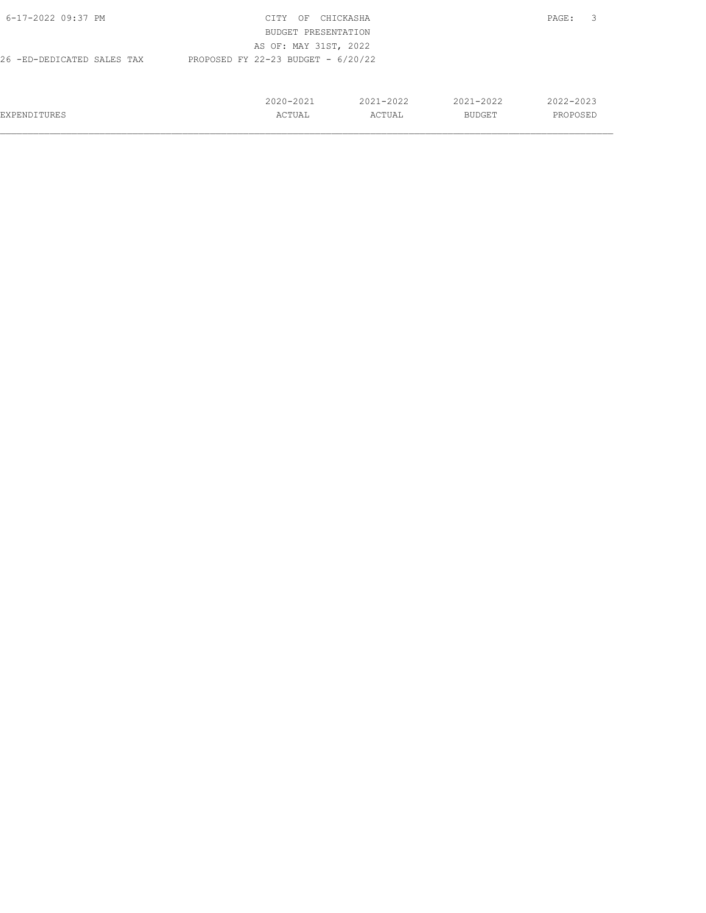| 6-17-2022 09:37 PM         | CITY<br>OF                           | CHICKASHA     |               | 3<br>PAGE: |
|----------------------------|--------------------------------------|---------------|---------------|------------|
|                            | BUDGET PRESENTATION                  |               |               |            |
|                            | AS OF: MAY 31ST, 2022                |               |               |            |
| 26 -ED-DEDICATED SALES TAX | PROPOSED FY 22-23 BUDGET - $6/20/22$ |               |               |            |
|                            |                                      |               |               |            |
|                            |                                      |               |               |            |
|                            | $2020 - 2021$                        | $2021 - 2022$ | $2021 - 2022$ | 2022-2023  |
| EXPENDITURES               | ACTUAL                               | ACTUAL        | BUDGET        | PROPOSED   |
|                            |                                      |               |               |            |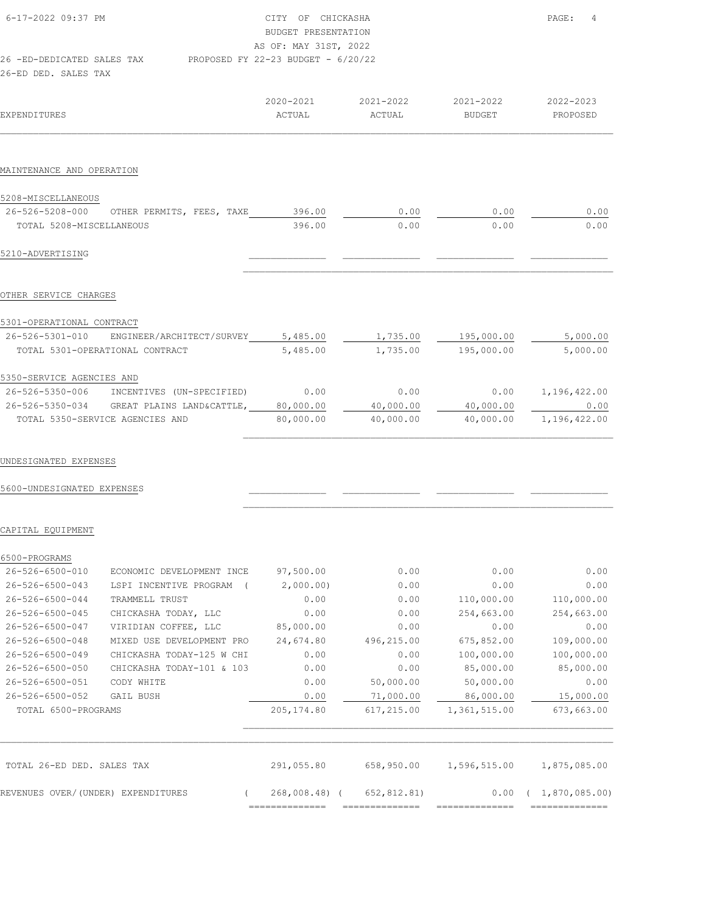| $6 - 17 - 2022$ 09:37 PM   |  | CITY OF CHICKASHA                    |
|----------------------------|--|--------------------------------------|
|                            |  | BUDGET PRESENTATION                  |
|                            |  | AS OF: MAY 31ST, 2022                |
| 26 -ED-DEDICATED SALES TAX |  | PROPOSED FY 22-23 BUDGET - $6/20/22$ |
| 26-ED DED. SALES TAX       |  |                                      |
|                            |  |                                      |

| EXPENDITURES                                                                                                       | 2020-2021<br>ACTUAL | 2021-2022<br>ACTUAL | 2021-2022<br><b>BUDGET</b> | 2022-2023<br>PROPOSED      |
|--------------------------------------------------------------------------------------------------------------------|---------------------|---------------------|----------------------------|----------------------------|
| MAINTENANCE AND OPERATION                                                                                          |                     |                     |                            |                            |
| 5208-MISCELLANEOUS<br>26-526-5208-000 OTHER PERMITS, FEES, TAXE 396.00<br>TOTAL 5208-MISCELLANEOUS                 | 396.00              | 0.00<br>0.00        | 0.00<br>0.00               | 0.00<br>0.00               |
| 5210-ADVERTISING                                                                                                   |                     |                     |                            |                            |
| OTHER SERVICE CHARGES<br>5301-OPERATIONAL CONTRACT                                                                 |                     |                     |                            |                            |
| 26-526-5301-010 ENGINEER/ARCHITECT/SURVEY 5,485.00 1,735.00 195,000.00 5,000.00<br>TOTAL 5301-OPERATIONAL CONTRACT | 5,485.00            |                     | 1,735.00 195,000.00        | 5,000.00                   |
| 5350-SERVICE AGENCIES AND                                                                                          |                     |                     |                            |                            |
| 26-526-5350-006 INCENTIVES (UN-SPECIFIED) 0.00 0.00 0.00                                                           |                     |                     |                            | $0.00 \qquad 1,196,422.00$ |
| 26-526-5350-034 GREAT PLAINS LAND&CATTLE, 80,000.00 40,000.00 40,000.00                                            |                     |                     |                            | 0.00                       |
| TOTAL 5350-SERVICE AGENCIES AND                                                                                    | 80,000.00           | 40,000.00           | 40,000.00 1,196,422.00     |                            |

 $\mathcal{L}_\text{max}$ 

 $\mathcal{L}_\text{max}$ 

PAGE: 4

UNDESIGNATED EXPENSES

5600-UNDESIGNATED EXPENSES \_\_\_\_\_\_\_\_\_\_\_\_\_\_ \_\_\_\_\_\_\_\_\_\_\_\_\_\_ \_\_\_\_\_\_\_\_\_\_\_\_\_\_ \_\_\_\_\_\_\_\_\_\_\_\_\_\_

CAPITAL EQUIPMENT

| 6500-PROGRAMS<br>26-526-6500-010   | ECONOMIC DEVELOPMENT INCE | 97,500.00      | 0.00        | 0.00         | 0.00          |
|------------------------------------|---------------------------|----------------|-------------|--------------|---------------|
|                                    |                           |                |             |              |               |
| 26-526-6500-043                    | LSPI INCENTIVE PROGRAM    | 2,000.00)      | 0.00        | 0.00         | 0.00          |
| $26 - 526 - 6500 - 044$            | TRAMMELL TRUST            | 0.00           | 0.00        | 110,000.00   | 110,000.00    |
| 26-526-6500-045                    | CHICKASHA TODAY, LLC      | 0.00           | 0.00        | 254,663.00   | 254,663.00    |
| 26-526-6500-047                    | VIRIDIAN COFFEE, LLC      | 85,000.00      | 0.00        | 0.00         | 0.00          |
| $26 - 526 - 6500 - 048$            | MIXED USE DEVELOPMENT PRO | 24,674.80      | 496,215.00  | 675,852.00   | 109,000.00    |
| 26-526-6500-049                    | CHICKASHA TODAY-125 W CHI | 0.00           | 0.00        | 100,000.00   | 100,000.00    |
| 26-526-6500-050                    | CHICKASHA TODAY-101 & 103 | 0.00           | 0.00        | 85,000.00    | 85,000.00     |
| 26-526-6500-051                    | CODY WHITE                | 0.00           | 50,000.00   | 50,000.00    | 0.00          |
| 26-526-6500-052                    | <b>GAIL BUSH</b>          | 0.00           | 71,000.00   | 86,000.00    | 15,000.00     |
| TOTAL 6500-PROGRAMS                |                           | 205,174.80     | 617,215.00  | 1,361,515.00 | 673,663.00    |
|                                    |                           |                |             |              |               |
| TOTAL 26-ED DED. SALES TAX         |                           | 291,055.80     | 658,950.00  | 1,596,515.00 | 1,875,085.00  |
| REVENUES OVER/(UNDER) EXPENDITURES |                           | $268,008.48$ ( | 652,812.81) | 0.00         | 1,870,085.00) |
|                                    |                           | ==========     |             |              |               |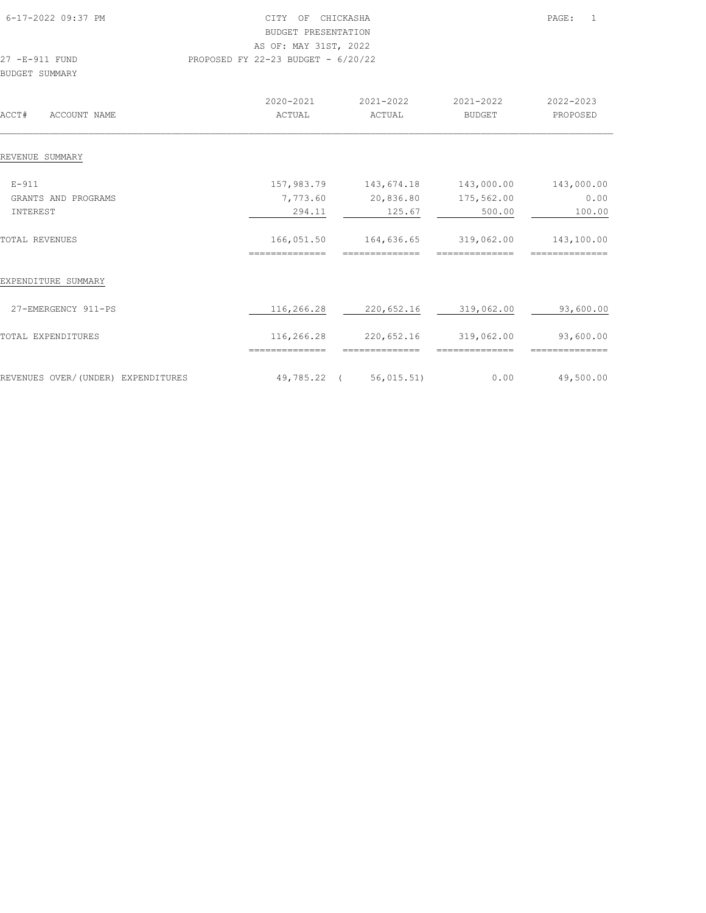| 6-17-2022 09:37 PM               | CHICKASHA<br>CITY<br>OF<br>BUDGET PRESENTATION<br>AS OF: MAY 31ST, 2022 |                     |                            | PAGE:<br>-1           |
|----------------------------------|-------------------------------------------------------------------------|---------------------|----------------------------|-----------------------|
| 27 -E-911 FUND<br>BUDGET SUMMARY | PROPOSED FY 22-23 BUDGET - $6/20/22$                                    |                     |                            |                       |
| ACCOUNT NAME<br>ACCT#            | 2020-2021<br>ACTUAL                                                     | 2021-2022<br>ACTUAL | 2021-2022<br><b>BUDGET</b> | 2022-2023<br>PROPOSED |
| REVENUE SUMMARY                  |                                                                         |                     |                            |                       |
| $E - 911$                        | 157,983.79                                                              | 143,674.18          | 143,000.00                 | 143,000.00            |
| GRANTS AND PROGRAMS<br>INTEREST  | 7,773.60<br>294.11                                                      | 20,836.80<br>125.67 | 175,562.00<br>500.00       | 0.00<br>100.00        |

| REVENUE SUMMARY                    |                |                          |                             |                             |
|------------------------------------|----------------|--------------------------|-----------------------------|-----------------------------|
|                                    |                |                          |                             |                             |
| $E-911$                            | 157,983.79     | 143,674.18               | 143,000.00                  | 143,000.00                  |
| GRANTS AND<br>PROGRAMS             | 7,773.60       | 20,836.80                | 175,562.00                  | 0.00                        |
| INTEREST                           | 294.11         | 125.67                   | 500.00                      | 100.00                      |
| TOTAL REVENUES                     | 166,051.50     | 164,636.65               | 319,062.00                  | 143,100.00                  |
|                                    | =========      |                          |                             |                             |
| EXPENDITURE SUMMARY                |                |                          |                             |                             |
| 27-EMERGENCY 911-PS                | 116,266.28     | 220,652.16               | 319,062.00                  | 93,600.00                   |
| TOTAL EXPENDITURES                 | 116,266.28     | 220,652.16               | 319,062.00<br>------------- | 93,600.00<br>-------------- |
|                                    | ============== | ==============           |                             |                             |
| REVENUES OVER/(UNDER) EXPENDITURES | 49,785.22      | 56,015.51)<br>$\sqrt{2}$ | 0.00                        | 49,500.00                   |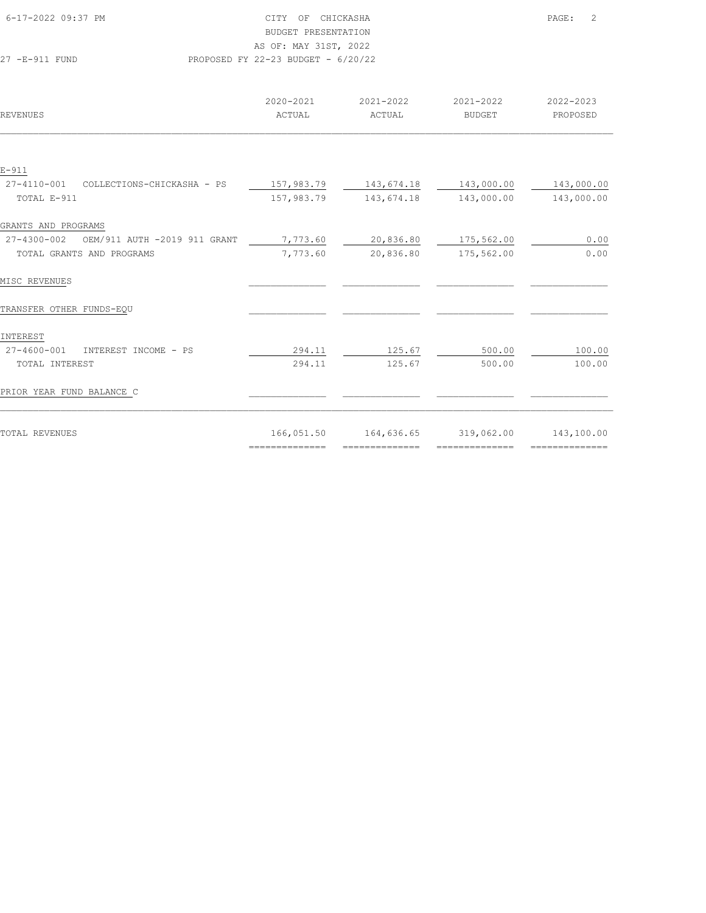| 6-17-2022 09:37 PM |                                      | CITY OF CHICKASHA     | PAGE: | $\overline{\phantom{0}}^2$ |
|--------------------|--------------------------------------|-----------------------|-------|----------------------------|
|                    |                                      | BUDGET PRESENTATION   |       |                            |
|                    |                                      | AS OF: MAY 31ST, 2022 |       |                            |
| 27 - R-911 FUND    | PROPOSED FY 22-23 BUDGET - $6/20/22$ |                       |       |                            |

| REVENUES                                              | 2020-2021<br>ACTUAL                                                                                                                                                                                                                                                                                                                                                                                                                                                                    | 2021-2022<br>ACTUAL             | 2021-2022<br><b>BUDGET</b>                                                                                                                                                                                                                                                                                                                                                                                                                                                             | 2022-2023<br>PROPOSED |
|-------------------------------------------------------|----------------------------------------------------------------------------------------------------------------------------------------------------------------------------------------------------------------------------------------------------------------------------------------------------------------------------------------------------------------------------------------------------------------------------------------------------------------------------------------|---------------------------------|----------------------------------------------------------------------------------------------------------------------------------------------------------------------------------------------------------------------------------------------------------------------------------------------------------------------------------------------------------------------------------------------------------------------------------------------------------------------------------------|-----------------------|
|                                                       |                                                                                                                                                                                                                                                                                                                                                                                                                                                                                        |                                 |                                                                                                                                                                                                                                                                                                                                                                                                                                                                                        |                       |
| $E - 911$                                             |                                                                                                                                                                                                                                                                                                                                                                                                                                                                                        |                                 |                                                                                                                                                                                                                                                                                                                                                                                                                                                                                        |                       |
| 27-4110-001<br>COLLECTIONS-CHICKASHA - PS             | 157,983.79                                                                                                                                                                                                                                                                                                                                                                                                                                                                             | 143,674.18                      | 143,000.00                                                                                                                                                                                                                                                                                                                                                                                                                                                                             | 143,000.00            |
| TOTAL E-911                                           | 157,983.79                                                                                                                                                                                                                                                                                                                                                                                                                                                                             | 143,674.18                      | 143,000.00                                                                                                                                                                                                                                                                                                                                                                                                                                                                             | 143,000.00            |
| GRANTS AND PROGRAMS                                   |                                                                                                                                                                                                                                                                                                                                                                                                                                                                                        |                                 |                                                                                                                                                                                                                                                                                                                                                                                                                                                                                        |                       |
| 27-4300-002<br>OEM/911 AUTH -2019 911 GRANT           | 7,773.60                                                                                                                                                                                                                                                                                                                                                                                                                                                                               | 20,836.80                       | 175,562.00                                                                                                                                                                                                                                                                                                                                                                                                                                                                             | 0.00                  |
| TOTAL GRANTS AND PROGRAMS                             | 7,773.60                                                                                                                                                                                                                                                                                                                                                                                                                                                                               | 20,836.80                       | 175,562.00                                                                                                                                                                                                                                                                                                                                                                                                                                                                             | 0.00                  |
|                                                       |                                                                                                                                                                                                                                                                                                                                                                                                                                                                                        |                                 |                                                                                                                                                                                                                                                                                                                                                                                                                                                                                        |                       |
| MISC REVENUES                                         |                                                                                                                                                                                                                                                                                                                                                                                                                                                                                        |                                 |                                                                                                                                                                                                                                                                                                                                                                                                                                                                                        |                       |
| TRANSFER OTHER FUNDS-EQU                              |                                                                                                                                                                                                                                                                                                                                                                                                                                                                                        |                                 |                                                                                                                                                                                                                                                                                                                                                                                                                                                                                        |                       |
|                                                       |                                                                                                                                                                                                                                                                                                                                                                                                                                                                                        |                                 |                                                                                                                                                                                                                                                                                                                                                                                                                                                                                        |                       |
| INTEREST<br>$27 - 4600 - 001$<br>INTEREST INCOME - PS | 294.11                                                                                                                                                                                                                                                                                                                                                                                                                                                                                 | 125.67                          | 500.00                                                                                                                                                                                                                                                                                                                                                                                                                                                                                 | 100.00                |
| TOTAL INTEREST                                        | 294.11                                                                                                                                                                                                                                                                                                                                                                                                                                                                                 | 125.67                          | 500.00                                                                                                                                                                                                                                                                                                                                                                                                                                                                                 | 100.00                |
|                                                       |                                                                                                                                                                                                                                                                                                                                                                                                                                                                                        |                                 |                                                                                                                                                                                                                                                                                                                                                                                                                                                                                        |                       |
| PRIOR YEAR FUND BALANCE C                             |                                                                                                                                                                                                                                                                                                                                                                                                                                                                                        |                                 |                                                                                                                                                                                                                                                                                                                                                                                                                                                                                        |                       |
|                                                       |                                                                                                                                                                                                                                                                                                                                                                                                                                                                                        |                                 |                                                                                                                                                                                                                                                                                                                                                                                                                                                                                        |                       |
| TOTAL REVENUES                                        | 166,051.50                                                                                                                                                                                                                                                                                                                                                                                                                                                                             | 164,636.65                      | 319,062.00                                                                                                                                                                                                                                                                                                                                                                                                                                                                             | 143,100.00            |
|                                                       | $\begin{array}{cccccccccc} \multicolumn{2}{c}{} & \multicolumn{2}{c}{} & \multicolumn{2}{c}{} & \multicolumn{2}{c}{} & \multicolumn{2}{c}{} & \multicolumn{2}{c}{} & \multicolumn{2}{c}{} & \multicolumn{2}{c}{} & \multicolumn{2}{c}{} & \multicolumn{2}{c}{} & \multicolumn{2}{c}{} & \multicolumn{2}{c}{} & \multicolumn{2}{c}{} & \multicolumn{2}{c}{} & \multicolumn{2}{c}{} & \multicolumn{2}{c}{} & \multicolumn{2}{c}{} & \multicolumn{2}{c}{} & \multicolumn{2}{c}{} & \mult$ | $=$ = = = = = = = = = = = = = = | $\begin{array}{cccccccccc} \multicolumn{2}{c}{} & \multicolumn{2}{c}{} & \multicolumn{2}{c}{} & \multicolumn{2}{c}{} & \multicolumn{2}{c}{} & \multicolumn{2}{c}{} & \multicolumn{2}{c}{} & \multicolumn{2}{c}{} & \multicolumn{2}{c}{} & \multicolumn{2}{c}{} & \multicolumn{2}{c}{} & \multicolumn{2}{c}{} & \multicolumn{2}{c}{} & \multicolumn{2}{c}{} & \multicolumn{2}{c}{} & \multicolumn{2}{c}{} & \multicolumn{2}{c}{} & \multicolumn{2}{c}{} & \multicolumn{2}{c}{} & \mult$ |                       |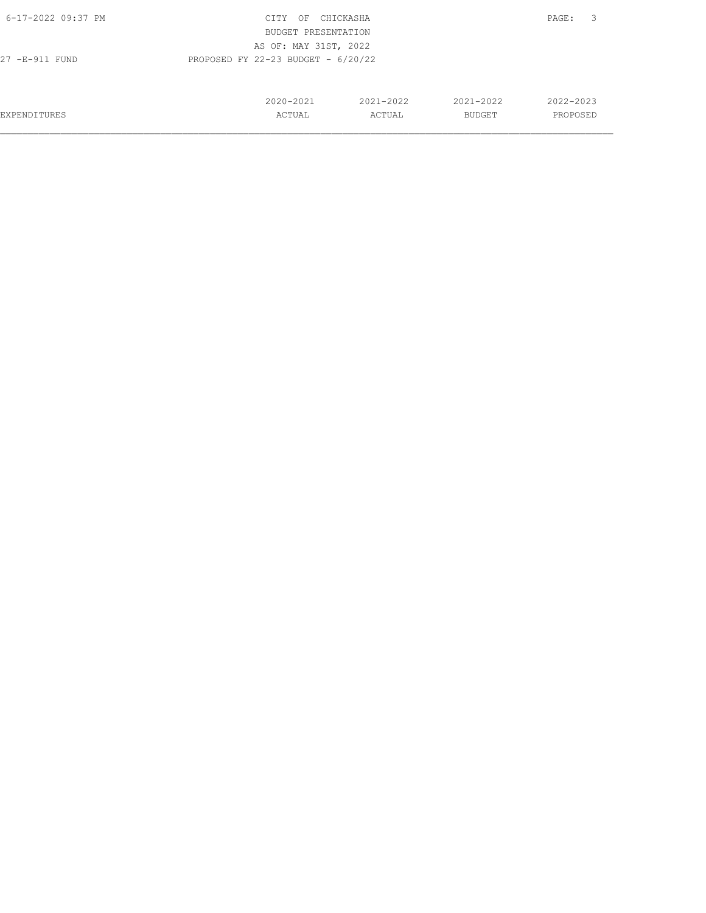| 6-17-2022 09:37 PM  | CITY<br>OF                           | CHICKASHA |               | 3<br>PAGE: |
|---------------------|--------------------------------------|-----------|---------------|------------|
|                     | BUDGET PRESENTATION                  |           |               |            |
|                     | AS OF: MAY 31ST, 2022                |           |               |            |
| 27 -E-911 FUND      | PROPOSED FY 22-23 BUDGET - $6/20/22$ |           |               |            |
|                     |                                      |           |               |            |
|                     |                                      |           |               |            |
|                     | 2020-2021                            | 2021-2022 | $2021 - 2022$ | 2022-2023  |
| <b>EXPENDITURES</b> | ACTUAL                               | ACTUAL    | <b>BUDGET</b> | PROPOSED   |
|                     |                                      |           |               |            |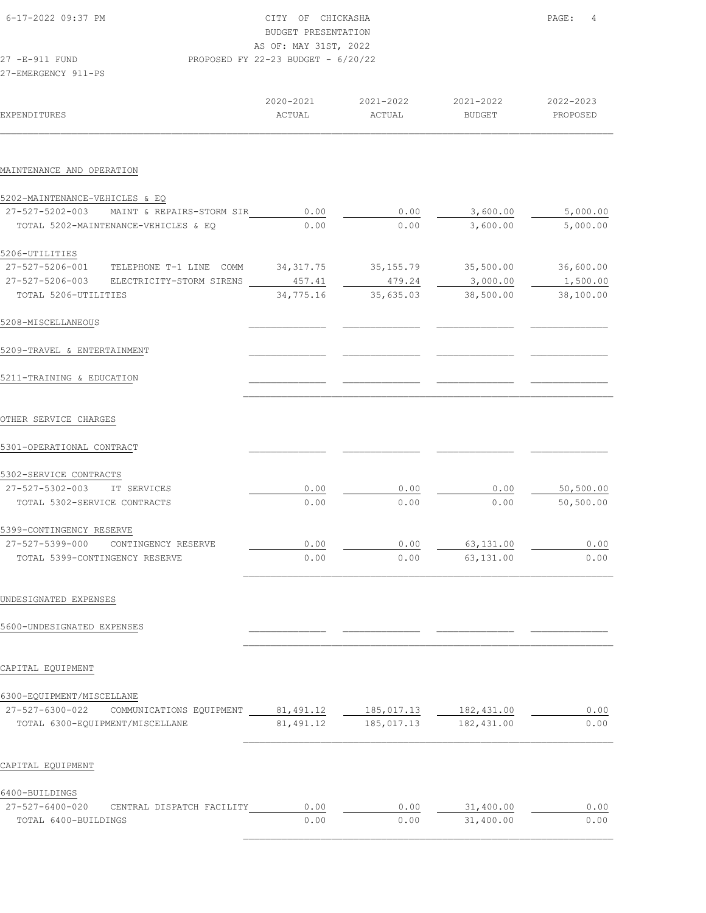|                                                                                | CITY OF CHICKASHA<br>BUDGET PRESENTATION<br>AS OF: MAY 31ST, 2022 | PAGE:<br>4          |                        |                        |
|--------------------------------------------------------------------------------|-------------------------------------------------------------------|---------------------|------------------------|------------------------|
| 27 -E-911 FUND<br>27-EMERGENCY 911-PS                                          | PROPOSED FY 22-23 BUDGET - $6/20/22$                              |                     |                        |                        |
| <b>EXPENDITURES</b>                                                            | 2020-2021<br>ACTUAL                                               | 2021-2022<br>ACTUAL | 2021-2022<br>BUDGET    | 2022-2023<br>PROPOSED  |
| MAINTENANCE AND OPERATION                                                      |                                                                   |                     |                        |                        |
| 5202-MAINTENANCE-VEHICLES & EQ                                                 |                                                                   |                     |                        |                        |
| 27-527-5202-003 MAINT & REPAIRS-STORM SIR                                      | 0.00                                                              | 0.00                | 3,600.00               | 5,000.00               |
| TOTAL 5202-MAINTENANCE-VEHICLES & EO                                           | 0.00                                                              | 0.00                | 3,600.00               | 5,000.00               |
| 5206-UTILITIES                                                                 |                                                                   |                     |                        |                        |
| 27-527-5206-001 TELEPHONE T-1 LINE COMM                                        | 34, 317.75                                                        | 35,155.79           | 35,500.00              | 36,600.00              |
| 27-527-5206-003 ELECTRICITY-STORM SIRENS                                       | 457.41                                                            | 479.24              | 3,000.00               | 1,500.00               |
| TOTAL 5206-UTILITIES                                                           | 34,775.16                                                         | 35,635.03           | 38,500.00              | 38,100.00              |
| 5208-MISCELLANEOUS                                                             |                                                                   |                     |                        |                        |
| 5209-TRAVEL & ENTERTAINMENT                                                    |                                                                   |                     |                        |                        |
| 5211-TRAINING & EDUCATION                                                      |                                                                   |                     |                        |                        |
| OTHER SERVICE CHARGES                                                          |                                                                   |                     |                        |                        |
|                                                                                |                                                                   |                     |                        |                        |
| 5301-OPERATIONAL CONTRACT                                                      |                                                                   |                     |                        |                        |
|                                                                                |                                                                   |                     |                        |                        |
| 5302-SERVICE CONTRACTS<br>27-527-5302-003<br>IT SERVICES                       |                                                                   |                     |                        |                        |
| TOTAL 5302-SERVICE CONTRACTS                                                   | 0.00<br>0.00                                                      | 0.00<br>0.00        | 0.00<br>0.00           | 50,500.00<br>50,500.00 |
|                                                                                |                                                                   |                     |                        |                        |
| 5399-CONTINGENCY RESERVE<br>27-527-5399-000<br>CONTINGENCY RESERVE             |                                                                   |                     |                        |                        |
| TOTAL 5399-CONTINGENCY RESERVE                                                 | 0.00<br>0.00                                                      | 0.00<br>0.00        | 63,131.00<br>63,131.00 | 0.00<br>0.00           |
| UNDESIGNATED EXPENSES                                                          |                                                                   |                     |                        |                        |
| 5600-UNDESIGNATED EXPENSES                                                     |                                                                   |                     |                        |                        |
| CAPITAL EQUIPMENT                                                              |                                                                   |                     |                        |                        |
|                                                                                |                                                                   |                     |                        |                        |
| 6300-EQUIPMENT/MISCELLANE                                                      |                                                                   |                     |                        |                        |
| 27-527-6300-022<br>COMMUNICATIONS EQUIPMENT<br>TOTAL 6300-EQUIPMENT/MISCELLANE | 81,491.12                                                         | 185,017.13          | 182,431.00             | 0.00<br>0.00           |
| CAPITAL EQUIPMENT                                                              |                                                                   |                     |                        |                        |
|                                                                                |                                                                   |                     |                        |                        |
| 6400-BUILDINGS<br>27-527-6400-020<br>CENTRAL DISPATCH FACILITY                 | 0.00                                                              | 0.00                | 31,400.00              | 0.00                   |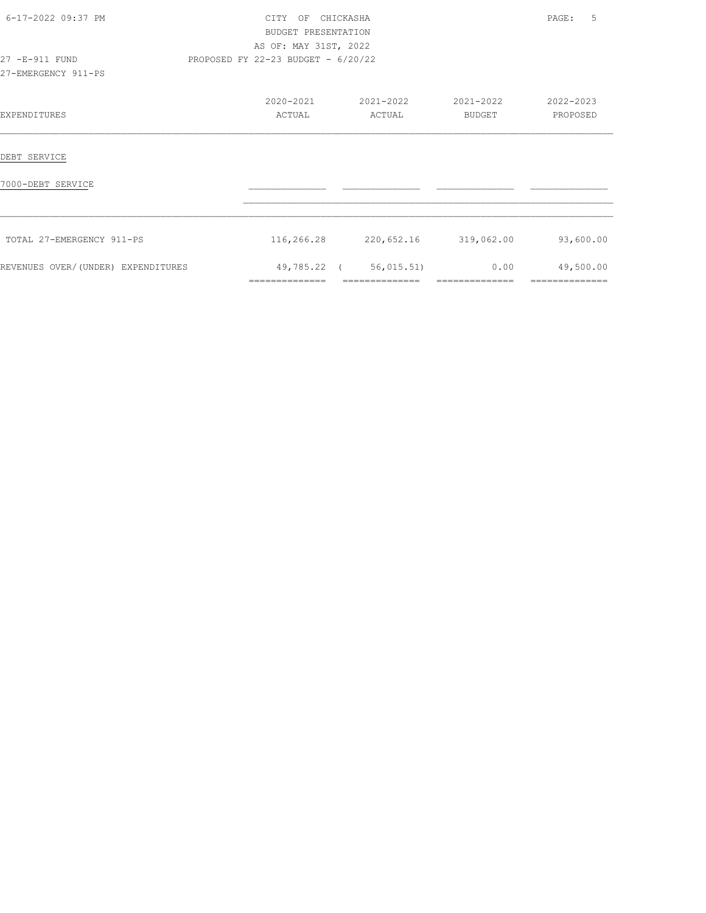| 6-17-2022 09:37 PM                    | CITY OF CHICKASHA<br>BUDGET PRESENTATION<br>AS OF: MAY 31ST, 2022 |                                         |                        | 5<br>PAGE:                  |
|---------------------------------------|-------------------------------------------------------------------|-----------------------------------------|------------------------|-----------------------------|
| 27 -E-911 FUND<br>27-EMERGENCY 911-PS | PROPOSED FY 22-23 BUDGET - 6/20/22                                |                                         |                        |                             |
| EXPENDITURES                          | 2020-2021<br>ACTUAL                                               | 2021-2022<br>ACTUAL                     | 2021-2022<br>BUDGET    | 2022-2023<br>PROPOSED       |
| DEBT SERVICE                          |                                                                   |                                         |                        |                             |
| 7000-DEBT SERVICE                     |                                                                   |                                         |                        |                             |
| TOTAL 27-EMERGENCY 911-PS             |                                                                   | 116,266.28 220,652.16 319,062.00        |                        | 93,600.00                   |
| REVENUES OVER/(UNDER) EXPENDITURES    | ==============                                                    | 49,785.22 (56,015.51)<br>============== | 0.00<br>============== | 49,500.00<br>============== |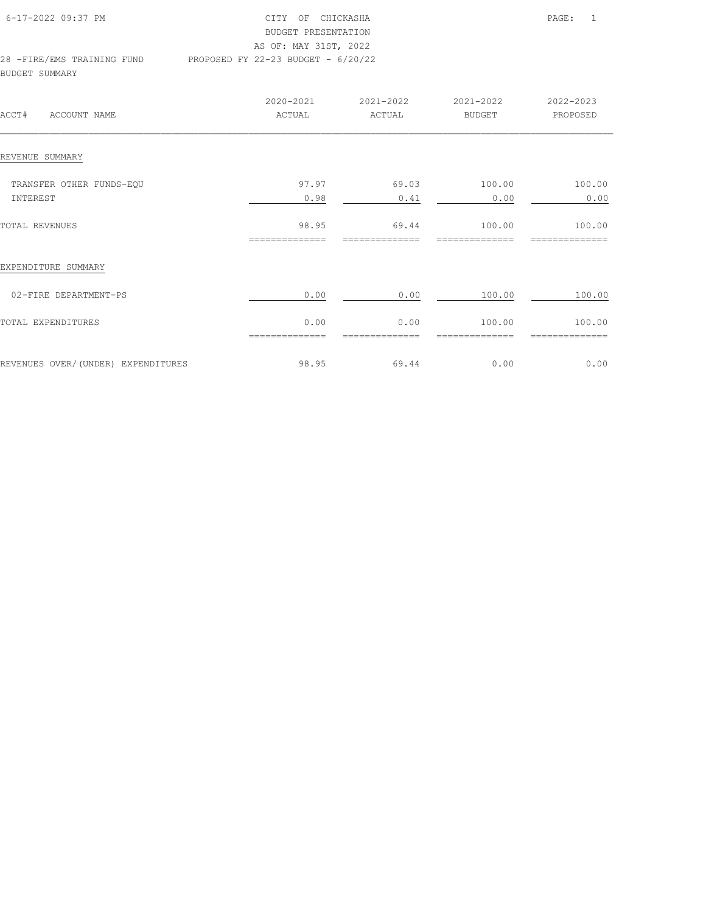| 6-17-2022 09:37 PM         | CITY OF CHICKASHA                    | PAGE: | $\overline{1}$ |
|----------------------------|--------------------------------------|-------|----------------|
|                            | BUDGET PRESENTATION                  |       |                |
|                            | AS OF: MAY 31ST, 2022                |       |                |
| 28 -FIRE/EMS TRAINING FUND | PROPOSED FY 22-23 BUDGET - $6/20/22$ |       |                |
| BUDGET SUMMARY             |                                      |       |                |

| ACCT#<br>ACCOUNT NAME              | 2020-2021<br>ACTUAL     | 2021-2022<br>ACTUAL     | 2021-2022<br><b>BUDGET</b> | 2022-2023<br>PROPOSED |
|------------------------------------|-------------------------|-------------------------|----------------------------|-----------------------|
| REVENUE SUMMARY                    |                         |                         |                            |                       |
| TRANSFER OTHER FUNDS-EQU           | 97.97                   | 69.03                   | 100.00                     | 100.00                |
| INTEREST                           | 0.98                    | 0.41                    | 0.00                       | 0.00                  |
| TOTAL REVENUES                     | 98.95<br>============== | 69.44<br>============== | 100.00<br>-----------      | 100.00<br>=========== |
| EXPENDITURE SUMMARY                |                         |                         |                            |                       |
| 02-FIRE DEPARTMENT-PS              | 0.00                    | 0.00                    | 100.00                     | 100.00                |
| TOTAL EXPENDITURES                 | 0.00                    | 0.00                    | 100.00                     | 100.00                |
| REVENUES OVER/(UNDER) EXPENDITURES | 98.95                   | 69.44                   | 0.00                       | 0.00                  |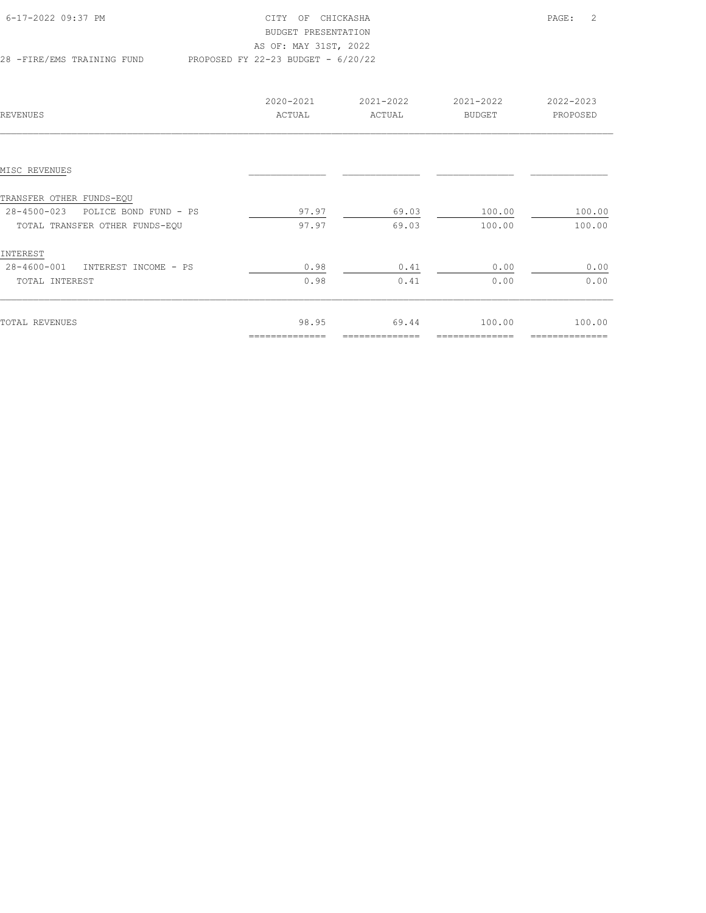| 6-17-2022 09:37 PM         | CITY OF CHICKASHA                    | PAGE: | $\overline{\phantom{0}}^2$ |
|----------------------------|--------------------------------------|-------|----------------------------|
|                            | BUDGET PRESENTATION                  |       |                            |
|                            | AS OF: MAY 31ST, 2022                |       |                            |
| 28 -FIRE/EMS TRAINING FUND | PROPOSED FY 22-23 BUDGET - $6/20/22$ |       |                            |

| REVENUES                             | 2020-2021<br>ACTUAL | 2021-2022<br>ACTUAL | 2021-2022<br>BUDGET | 2022-2023<br>PROPOSED |
|--------------------------------------|---------------------|---------------------|---------------------|-----------------------|
|                                      |                     |                     |                     |                       |
| MISC REVENUES                        |                     |                     |                     |                       |
| TRANSFER OTHER FUNDS-EQU             |                     |                     |                     |                       |
| 28-4500-023<br>POLICE BOND FUND - PS | 97.97               | 69.03               | 100.00              | 100.00                |
| TOTAL TRANSFER OTHER FUNDS-EQU       | 97.97               | 69.03               | 100.00              | 100.00                |
| INTEREST                             |                     |                     |                     |                       |
| 28-4600-001<br>INTEREST INCOME - PS  | 0.98                | 0.41                | 0.00                | 0.00                  |
| TOTAL INTEREST                       | 0.98                | 0.41                | 0.00                | 0.00                  |
|                                      |                     |                     |                     |                       |
| TOTAL REVENUES                       | 98.95               | 69.44               | 100.00              | 100.00                |
|                                      | ==============      | ==============      | ============        | ==============        |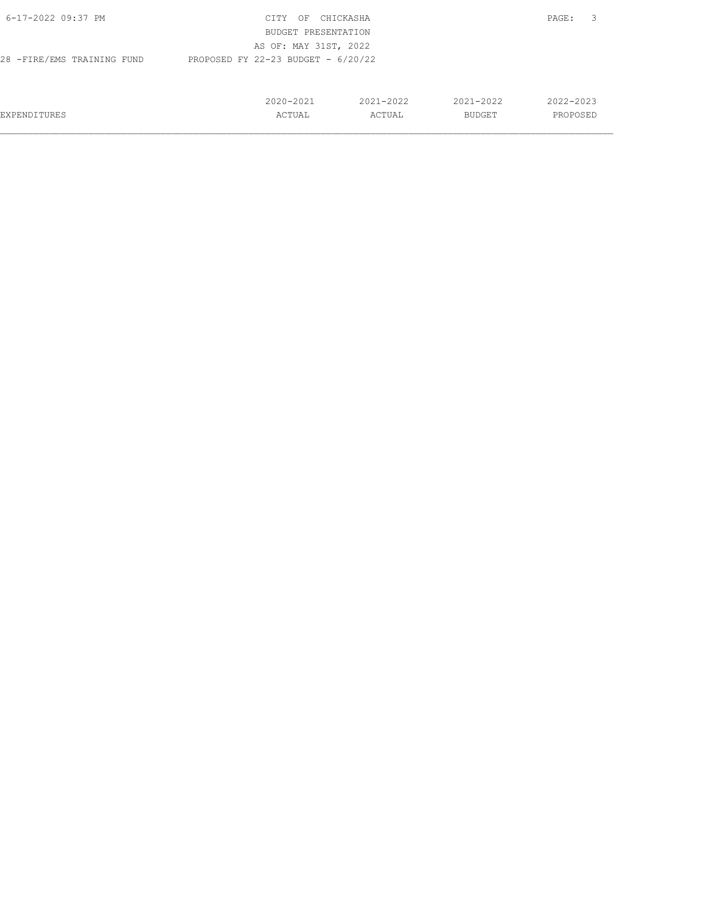| 6-17-2022 09:37 PM         | CITY<br>OF                           | CHICKASHA     |               | 3<br>PAGE: |
|----------------------------|--------------------------------------|---------------|---------------|------------|
|                            | BUDGET PRESENTATION                  |               |               |            |
|                            | AS OF: MAY 31ST, 2022                |               |               |            |
| 28 -FIRE/EMS TRAINING FUND | PROPOSED FY 22-23 BUDGET - $6/20/22$ |               |               |            |
|                            |                                      |               |               |            |
|                            |                                      |               |               |            |
|                            | $2020 - 2021$                        | $2021 - 2022$ | $2021 - 2022$ | 2022-2023  |
| EXPENDITURES               | ACTUAL                               | ACTUAL        | BUDGET        | PROPOSED   |
|                            |                                      |               |               |            |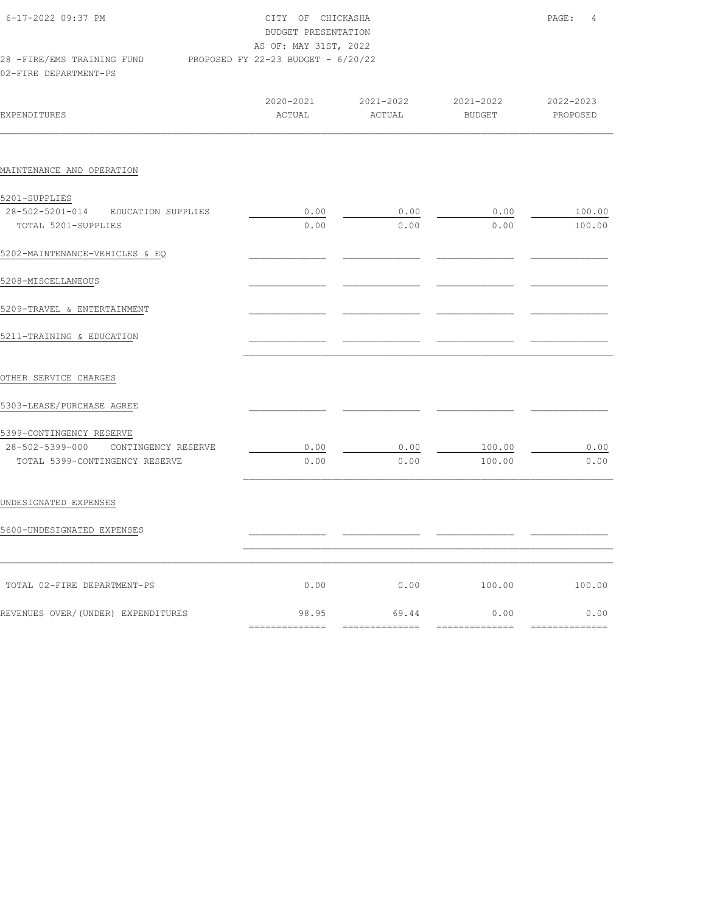| 6-17-2022 09:37 PM<br>28 - FIRE/EMS TRAINING FUND<br>02-FIRE DEPARTMENT-PS    | CITY OF CHICKASHA<br>BUDGET PRESENTATION<br>AS OF: MAY 31ST, 2022<br>PROPOSED FY 22-23 BUDGET - 6/20/22 |                     |                            | PAGE:<br>4            |  |
|-------------------------------------------------------------------------------|---------------------------------------------------------------------------------------------------------|---------------------|----------------------------|-----------------------|--|
| <b>EXPENDITURES</b>                                                           | 2020-2021<br>ACTUAL                                                                                     | 2021-2022<br>ACTUAL | 2021-2022<br><b>BUDGET</b> | 2022-2023<br>PROPOSED |  |
| MAINTENANCE AND OPERATION                                                     |                                                                                                         |                     |                            |                       |  |
| 5201-SUPPLIES<br>28-502-5201-014<br>EDUCATION SUPPLIES<br>TOTAL 5201-SUPPLIES | 0.00<br>0.00                                                                                            | 0.00<br>0.00        | 0.00<br>0.00               | 100.00<br>100.00      |  |
| 5202-MAINTENANCE-VEHICLES & EQ                                                |                                                                                                         |                     |                            |                       |  |
| 5208-MISCELLANEOUS                                                            |                                                                                                         |                     |                            |                       |  |
| 5209-TRAVEL & ENTERTAINMENT                                                   |                                                                                                         |                     |                            |                       |  |
| 5211-TRAINING & EDUCATION                                                     |                                                                                                         |                     |                            |                       |  |
| OTHER SERVICE CHARGES                                                         |                                                                                                         |                     |                            |                       |  |
| 5303-LEASE/PURCHASE AGREE                                                     |                                                                                                         |                     |                            |                       |  |
| 5399-CONTINGENCY RESERVE<br>28-502-5399-000<br>CONTINGENCY RESERVE            | 0.00                                                                                                    | 0.00                | 100.00                     | 0.00                  |  |
| TOTAL 5399-CONTINGENCY RESERVE                                                | 0.00                                                                                                    | 0.00                | 100.00                     | 0.00                  |  |
| UNDESIGNATED EXPENSES                                                         |                                                                                                         |                     |                            |                       |  |
| 5600-UNDESIGNATED EXPENSES                                                    |                                                                                                         |                     |                            |                       |  |
| TOTAL 02-FIRE DEPARTMENT-PS                                                   | 0.00                                                                                                    | 0.00                | 100.00                     | 100.00                |  |

REVENUES OVER/(UNDER) EXPENDITURES 69.95 69.44 0.00 0.00

============== ============== ============== ==============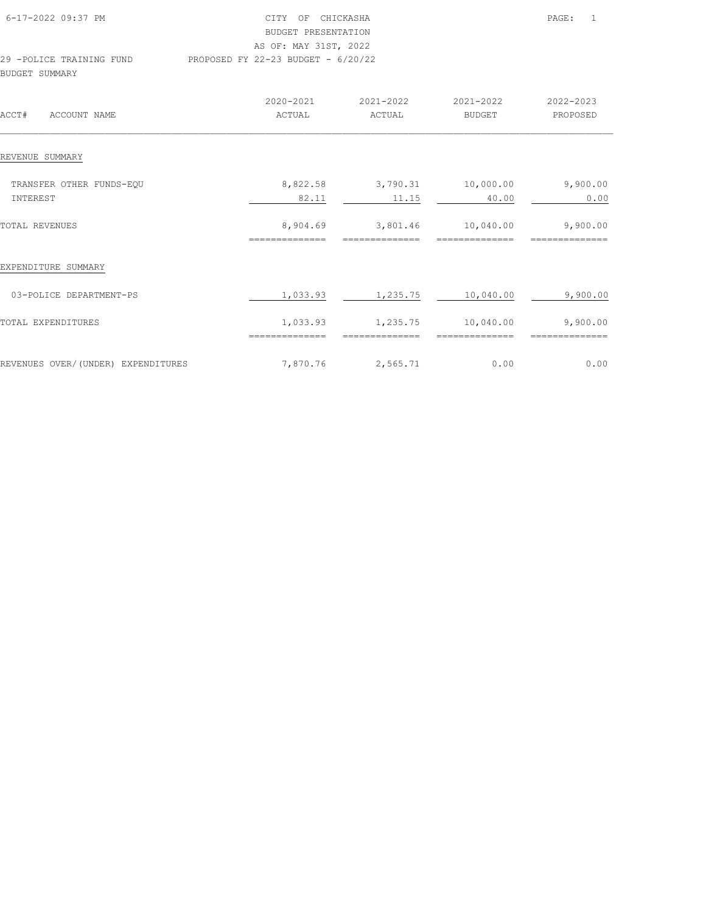| 6-17-2022 09:37 PM       | OF CHICKASHA<br>CTTY.                | $\overline{1}$<br>PAGE: |
|--------------------------|--------------------------------------|-------------------------|
|                          | BUDGET PRESENTATION                  |                         |
|                          | AS OF: MAY 31ST, 2022                |                         |
| 29 -POLICE TRAINING FUND | PROPOSED FY 22-23 BUDGET - $6/20/22$ |                         |
| BUDGET SUMMARY           |                                      |                         |
|                          |                                      |                         |

| ACCT#<br>ACCOUNT NAME              | 2020-2021<br>ACTUAL        | 2021-2022<br>ACTUAL  | 2021-2022<br><b>BUDGET</b> | 2022-2023<br>PROPOSED |
|------------------------------------|----------------------------|----------------------|----------------------------|-----------------------|
| REVENUE SUMMARY                    |                            |                      |                            |                       |
| TRANSFER OTHER FUNDS-EQU           | 8,822.58                   | 3,790.31             | 10,000.00                  | 9,900.00              |
| INTEREST                           | 82.11                      | 11.15                | 40.00                      | 0.00                  |
| TOTAL REVENUES                     | 8,904.69                   | 3,801.46             | 10,040.00                  | 9,900.00              |
| EXPENDITURE SUMMARY                | ==============             |                      |                            |                       |
| 03-POLICE DEPARTMENT-PS            | 1,033.93                   | 1,235.75             | 10,040.00                  | 9,900.00              |
| TOTAL EXPENDITURES                 | 1,033.93<br>============== | 1,235.75<br>======== | 10,040.00<br>====          | 9,900.00              |
| REVENUES OVER/(UNDER) EXPENDITURES | 7,870.76                   | 2,565.71             | 0.00                       | 0.00                  |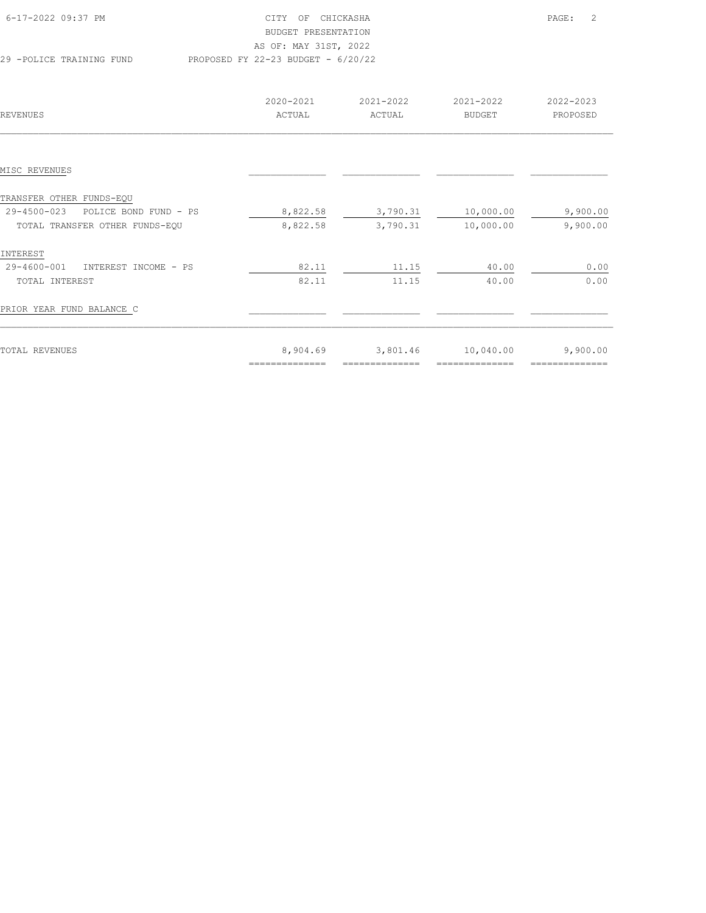| 6-17-2022 09:37 PM       | CITY OF CHICKASHA                    | PAGE: | $\overline{\phantom{0}}$ 2 |
|--------------------------|--------------------------------------|-------|----------------------------|
|                          | BUDGET PRESENTATION                  |       |                            |
|                          | AS OF: MAY 31ST, 2022                |       |                            |
| 29 -POLICE TRAINING FUND | PROPOSED FY 22-23 BUDGET - $6/20/22$ |       |                            |

| REVENUES                             | 2020-2021<br>ACTUAL | 2021-2022<br>ACTUAL | 2021-2022<br><b>BUDGET</b> | 2022-2023<br>PROPOSED |
|--------------------------------------|---------------------|---------------------|----------------------------|-----------------------|
|                                      |                     |                     |                            |                       |
| MISC REVENUES                        |                     |                     |                            |                       |
| TRANSFER OTHER FUNDS-EQU             |                     |                     |                            |                       |
| 29-4500-023<br>POLICE BOND FUND - PS | 8,822.58            | 3,790.31            | 10,000.00                  | 9,900.00              |
| TOTAL TRANSFER OTHER FUNDS-EQU       | 8,822.58            | 3,790.31            | 10,000.00                  | 9,900.00              |
| INTEREST                             |                     |                     |                            |                       |
| 29-4600-001<br>INTEREST INCOME - PS  | 82.11               | 11.15               | 40.00                      | 0.00                  |
| TOTAL INTEREST                       | 82.11               | 11.15               | 40.00                      | 0.00                  |
| PRIOR YEAR FUND BALANCE C            |                     |                     |                            |                       |
| TOTAL REVENUES                       | 8,904.69            | 3,801.46            | 10,040.00                  | 9,900.00              |
|                                      | ==============      |                     |                            |                       |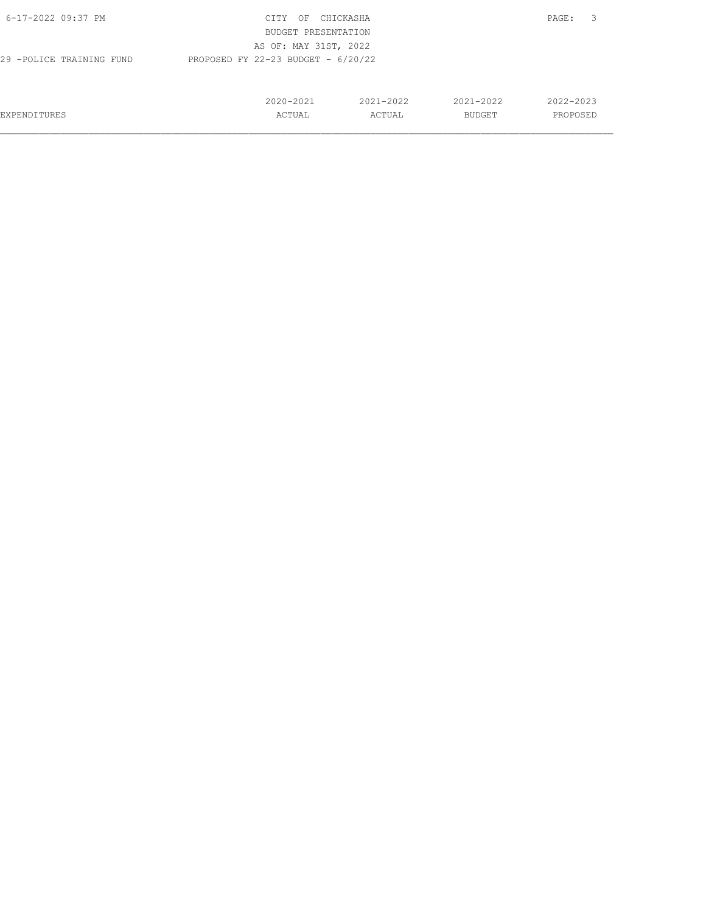| 6-17-2022 09:37 PM       | CITY<br>OF                           | CHICKASHA |               | -3<br>PAGE: |
|--------------------------|--------------------------------------|-----------|---------------|-------------|
|                          | BUDGET PRESENTATION                  |           |               |             |
|                          | AS OF: MAY 31ST, 2022                |           |               |             |
| 29 -POLICE TRAINING FUND | PROPOSED FY 22-23 BUDGET - $6/20/22$ |           |               |             |
|                          |                                      |           |               |             |
|                          |                                      |           |               |             |
|                          | 2020-2021                            | 2021-2022 | $2021 - 2022$ | 2022-2023   |
| <b>EXPENDITURES</b>      | ACTUAL                               | ACTUAL    | BUDGET        | PROPOSED    |
|                          |                                      |           |               |             |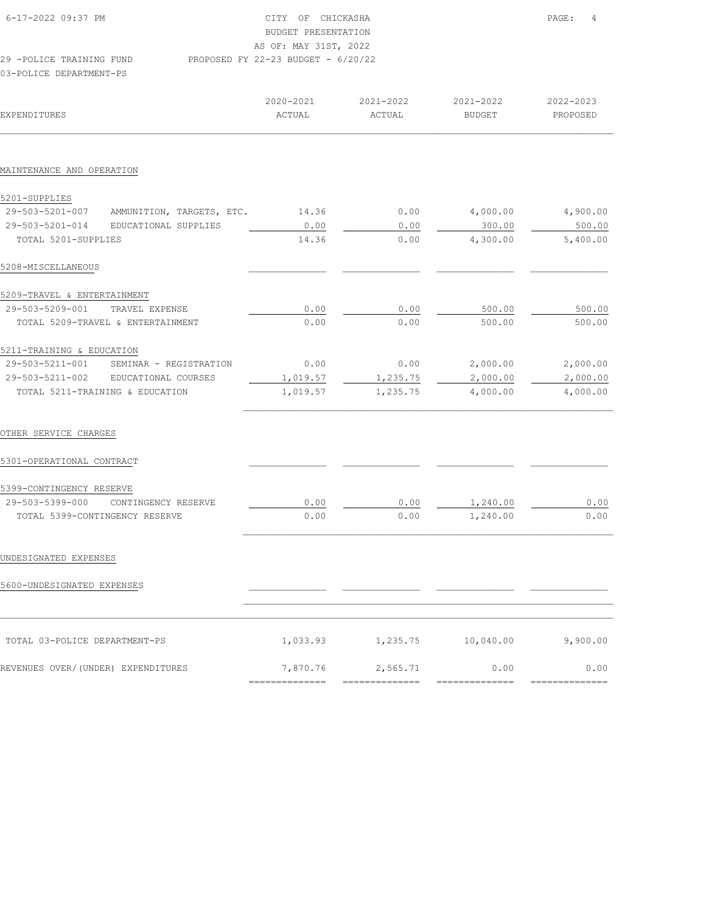| 6-17-2022 09:37 PM       | CITY OF CHICKASHA                    | PAGE: | $\overline{4}$ |
|--------------------------|--------------------------------------|-------|----------------|
|                          | BUDGET PRESENTATION                  |       |                |
|                          | AS OF: MAY 31ST, 2022                |       |                |
| 29 -POLICE TRAINING FUND | PROPOSED FY 22-23 BUDGET - $6/20/22$ |       |                |
| 03-POLICE DEPARTMENT-PS  |                                      |       |                |

| EXPENDITURES                                 | 2020-2021<br>ACTUAL | 2021-2022<br>ACTUAL | 2021-2022<br><b>BUDGET</b> | 2022-2023<br>PROPOSED |
|----------------------------------------------|---------------------|---------------------|----------------------------|-----------------------|
|                                              |                     |                     |                            |                       |
| MAINTENANCE AND OPERATION                    |                     |                     |                            |                       |
| 5201-SUPPLIES                                |                     |                     |                            |                       |
| AMMUNITION, TARGETS, ETC.<br>29-503-5201-007 | 14.36               | 0.00                | 4,000.00                   | 4,900.00              |
| 29-503-5201-014<br>EDUCATIONAL SUPPLIES      | 0.00                | 0.00                | 300.00                     | 500.00                |
| TOTAL 5201-SUPPLIES                          | 14.36               | 0.00                | 4,300.00                   | 5,400.00              |
| 5208-MISCELLANEOUS                           |                     |                     |                            |                       |
| 5209-TRAVEL & ENTERTAINMENT                  |                     |                     |                            |                       |
| 29-503-5209-001<br>TRAVEL EXPENSE            | 0.00                | 0.00                | 500.00                     | 500.00                |
| TOTAL 5209-TRAVEL & ENTERTAINMENT            | 0.00                | 0.00                | 500.00                     | 500.00                |
| 5211-TRAINING & EDUCATION                    |                     |                     |                            |                       |
| 29-503-5211-001<br>SEMINAR - REGISTRATION    | 0.00                | 0.00                | 2,000.00                   | 2,000.00              |
| 29-503-5211-002<br>EDUCATIONAL COURSES       | 1,019.57            | 1,235.75            | 2,000.00                   | 2,000.00              |
| TOTAL 5211-TRAINING & EDUCATION              | 1,019.57            | 1,235.75            | 4,000.00                   | 4,000.00              |
| OTHER SERVICE CHARGES                        |                     |                     |                            |                       |
| 5301-OPERATIONAL CONTRACT                    |                     |                     |                            |                       |
| 5399-CONTINGENCY RESERVE                     |                     |                     |                            |                       |
| 29-503-5399-000<br>CONTINGENCY RESERVE       | 0.00                | 0.00                | 1,240.00                   | 0.00                  |
| TOTAL 5399-CONTINGENCY RESERVE               | 0.00                | 0.00                | 1,240.00                   | 0.00                  |
| UNDESIGNATED EXPENSES                        |                     |                     |                            |                       |
|                                              |                     |                     |                            |                       |
| 5600-UNDESIGNATED EXPENSES                   |                     |                     |                            |                       |
|                                              |                     |                     |                            |                       |
| TOTAL 03-POLICE DEPARTMENT-PS                | 1,033.93            | 1,235.75            | 10,040.00                  | 9,900.00              |
| REVENUES OVER/(UNDER) EXPENDITURES           | 7,870.76            | 2,565.71            | 0.00                       | 0.00                  |
|                                              | ==============      | =========           | ------                     |                       |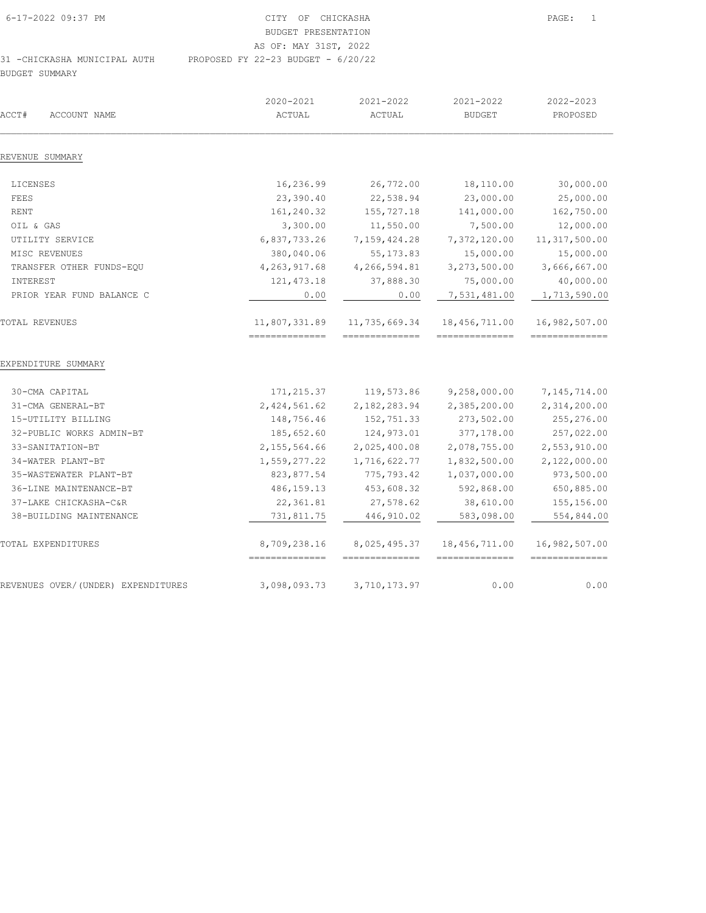| 6-17-2022 09:37 PM           | CITY OF CHICKASHA                    |
|------------------------------|--------------------------------------|
|                              | BUDGET PRESENTATION                  |
|                              | AS OF: MAY 31ST, 2022                |
| 31 -CHICKASHA MUNICIPAL AUTH | PROPOSED FY 22-23 BUDGET - $6/20/22$ |

BUDGET SUMMARY

| ACCT#<br>ACCOUNT NAME              | 2020-2021<br>ACTUAL             | 2021-2022<br><b>ACTUAL</b>                       | 2021-2022<br><b>BUDGET</b>       | 2022-2023<br>PROPOSED            |
|------------------------------------|---------------------------------|--------------------------------------------------|----------------------------------|----------------------------------|
| REVENUE SUMMARY                    |                                 |                                                  |                                  |                                  |
| LICENSES                           | 16,236.99                       | 26,772.00                                        | 18,110.00                        | 30,000.00                        |
| FEES                               | 23,390.40                       | 22,538.94                                        | 23,000.00                        | 25,000.00                        |
| <b>RENT</b>                        | 161,240.32                      | 155,727.18                                       | 141,000.00                       | 162,750.00                       |
| OIL & GAS                          | 3,300.00                        | 11,550.00                                        | 7,500.00                         | 12,000.00                        |
| UTILITY SERVICE                    | 6,837,733.26                    | 7,159,424.28                                     | 7,372,120.00                     | 11, 317, 500.00                  |
| MISC REVENUES                      | 380,040.06                      | 55, 173.83                                       | 15,000.00                        | 15,000.00                        |
| TRANSFER OTHER FUNDS-EQU           | 4, 263, 917.68                  | 4,266,594.81                                     | 3,273,500.00                     | 3,666,667.00                     |
| INTEREST                           | 121, 473.18                     | 37,888.30                                        | 75,000.00                        | 40,000.00                        |
| PRIOR YEAR FUND BALANCE C          | 0.00                            | 0.00                                             | 7,531,481.00                     | 1,713,590.00                     |
| TOTAL REVENUES                     | 11,807,331.89<br>============== | 11,735,669.34<br>$=$ = = = = = = = = = = = = = = | 18,456,711.00<br>==============  | 16,982,507.00<br>==============  |
| EXPENDITURE SUMMARY                |                                 |                                                  |                                  |                                  |
| 30-CMA CAPITAL                     | 171, 215.37                     | 119,573.86                                       | 9,258,000.00                     | 7,145,714.00                     |
| 31-CMA GENERAL-BT                  | 2, 424, 561.62                  | 2,182,283.94                                     | 2,385,200.00                     | 2,314,200.00                     |
| 15-UTILITY BILLING                 | 148,756.46                      | 152,751.33                                       | 273,502.00                       | 255,276.00                       |
| 32-PUBLIC WORKS ADMIN-BT           | 185,652.60                      | 124,973.01                                       | 377,178.00                       | 257,022.00                       |
| 33-SANITATION-BT                   | 2, 155, 564.66                  | 2,025,400.08                                     | 2,078,755.00                     | 2,553,910.00                     |
| 34-WATER PLANT-BT                  | 1,559,277.22                    | 1,716,622.77                                     | 1,832,500.00                     | 2,122,000.00                     |
| 35-WASTEWATER PLANT-BT             | 823, 877.54                     | 775, 793.42                                      | 1,037,000.00                     | 973,500.00                       |
| 36-LINE MAINTENANCE-BT             | 486, 159. 13                    | 453,608.32                                       | 592,868.00                       | 650,885.00                       |
| 37-LAKE CHICKASHA-C&R              | 22,361.81                       | 27,578.62                                        | 38,610.00                        | 155,156.00                       |
| 38-BUILDING MAINTENANCE            | 731,811.75                      | 446, 910.02                                      | 583,098.00                       | 554,844.00                       |
| TOTAL EXPENDITURES                 | 8,709,238.16                    | 8,025,495.37<br>==============                   | 18,456,711.00<br>--------------- | 16,982,507.00<br>--------------- |
| REVENUES OVER/(UNDER) EXPENDITURES | 3,098,093.73                    | 3,710,173.97                                     | 0.00                             | 0.00                             |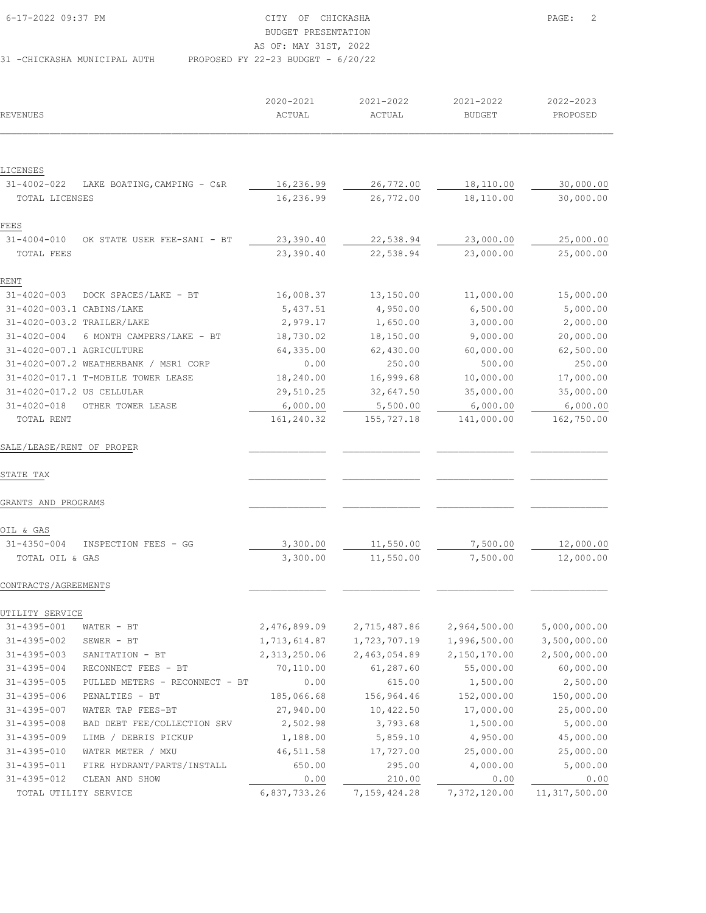| 6-17-2022 09:37 PM           | CITY OF CHICKASHA                    | $\overline{\phantom{0}}^2$<br>PAGE: |
|------------------------------|--------------------------------------|-------------------------------------|
|                              | BUDGET PRESENTATION                  |                                     |
|                              | AS OF: MAY 31ST, 2022                |                                     |
| 31 -CHICKASHA MUNICIPAL AUTH | PROPOSED FY 22-23 BUDGET - $6/20/22$ |                                     |

|                           |                                       | 2020-2021    | 2021-2022    | 2021-2022     | 2022-2023    |
|---------------------------|---------------------------------------|--------------|--------------|---------------|--------------|
| REVENUES                  |                                       | ACTUAL       | ACTUAL       | <b>BUDGET</b> | PROPOSED     |
|                           |                                       |              |              |               |              |
| LICENSES                  |                                       |              |              |               |              |
| $31 - 4002 - 022$         | LAKE BOATING, CAMPING - C&R           | 16,236.99    | 26,772.00    | 18,110.00     | 30,000.00    |
| TOTAL LICENSES            |                                       | 16,236.99    | 26,772.00    | 18,110.00     | 30,000.00    |
| FEES                      |                                       |              |              |               |              |
| $31 - 4004 - 010$         | OK STATE USER FEE-SANI - BT           | 23,390.40    | 22,538.94    | 23,000.00     | 25,000.00    |
| TOTAL FEES                |                                       | 23,390.40    | 22,538.94    | 23,000.00     | 25,000.00    |
| RENT                      |                                       |              |              |               |              |
| $31 - 4020 - 003$         | DOCK SPACES/LAKE - BT                 | 16,008.37    | 13,150.00    | 11,000.00     | 15,000.00    |
| 31-4020-003.1 CABINS/LAKE |                                       | 5,437.51     | 4,950.00     | 6,500.00      | 5,000.00     |
|                           | 31-4020-003.2 TRAILER/LAKE            | 2,979.17     | 1,650.00     | 3,000.00      | 2,000.00     |
| $31 - 4020 - 004$         | 6 MONTH CAMPERS/LAKE - BT             | 18,730.02    | 18,150.00    | 9,000.00      | 20,000.00    |
| 31-4020-007.1 AGRICULTURE |                                       | 64,335.00    | 62,430.00    | 60,000.00     | 62,500.00    |
|                           | 31-4020-007.2 WEATHERBANK / MSR1 CORP | 0.00         | 250.00       | 500.00        | 250.00       |
|                           | 31-4020-017.1 T-MOBILE TOWER LEASE    | 18,240.00    | 16,999.68    | 10,000.00     | 17,000.00    |
| 31-4020-017.2 US CELLULAR |                                       | 29,510.25    | 32,647.50    | 35,000.00     | 35,000.00    |
| $31 - 4020 - 018$         | OTHER TOWER LEASE                     | 6,000.00     | 5,500.00     | 6,000.00      | 6,000.00     |
| TOTAL RENT                |                                       | 161,240.32   | 155,727.18   | 141,000.00    | 162,750.00   |
| SALE/LEASE/RENT OF PROPER |                                       |              |              |               |              |
| STATE TAX                 |                                       |              |              |               |              |
| GRANTS AND PROGRAMS       |                                       |              |              |               |              |
| OIL & GAS                 |                                       |              |              |               |              |
| $31 - 4350 - 004$         | INSPECTION FEES - GG                  | 3,300.00     | 11,550.00    | 7,500.00      | 12,000.00    |
| TOTAL OIL & GAS           |                                       | 3,300.00     | 11,550.00    | 7,500.00      | 12,000.00    |
| CONTRACTS/AGREEMENTS      |                                       |              |              |               |              |
| UTILITY SERVICE           |                                       |              |              |               |              |
| 31-4395-001               | WATER - BT                            | 2,476,899.09 | 2,715,487.86 | 2,964,500.00  | 5,000,000.00 |
| $31 - 4395 - 002$         | $SEWER - BT$                          | 1,713,614.87 | 1,723,707.19 | 1,996,500.00  | 3,500,000.00 |
| $31 - 4395 - 003$         | SANITATION - BT                       | 2,313,250.06 | 2,463,054.89 | 2,150,170.00  | 2,500,000.00 |
| $31 - 4395 - 004$         | RECONNECT FEES - BT                   | 70,110.00    | 61, 287.60   | 55,000.00     | 60,000.00    |
| $31 - 4395 - 005$         | PULLED METERS - RECONNECT - BT        | 0.00         | 615.00       | 1,500.00      | 2,500.00     |
| 31-4395-006               | PENALTIES - BT                        | 185,066.68   | 156,964.46   | 152,000.00    | 150,000.00   |
| $31 - 4395 - 007$         | WATER TAP FEES-BT                     | 27,940.00    | 10,422.50    | 17,000.00     | 25,000.00    |
| $31 - 4395 - 008$         | BAD DEBT FEE/COLLECTION SRV           | 2,502.98     | 3,793.68     | 1,500.00      | 5,000.00     |
| $31 - 4395 - 009$         | LIMB / DEBRIS PICKUP                  | 1,188.00     | 5,859.10     | 4,950.00      | 45,000.00    |
| 31-4395-010               | WATER METER / MXU                     | 46,511.58    | 17,727.00    | 25,000.00     | 25,000.00    |
| 31-4395-011               | FIRE HYDRANT/PARTS/INSTALL            | 650.00       | 295.00       | 4,000.00      | 5,000.00     |
|                           |                                       |              |              |               |              |

 31-4395-012 CLEAN AND SHOW 0.00 210.00 0.00 0.00 TOTAL UTILITY SERVICE 6,837,733.26 7,159,424.28 7,372,120.00 11,317,500.00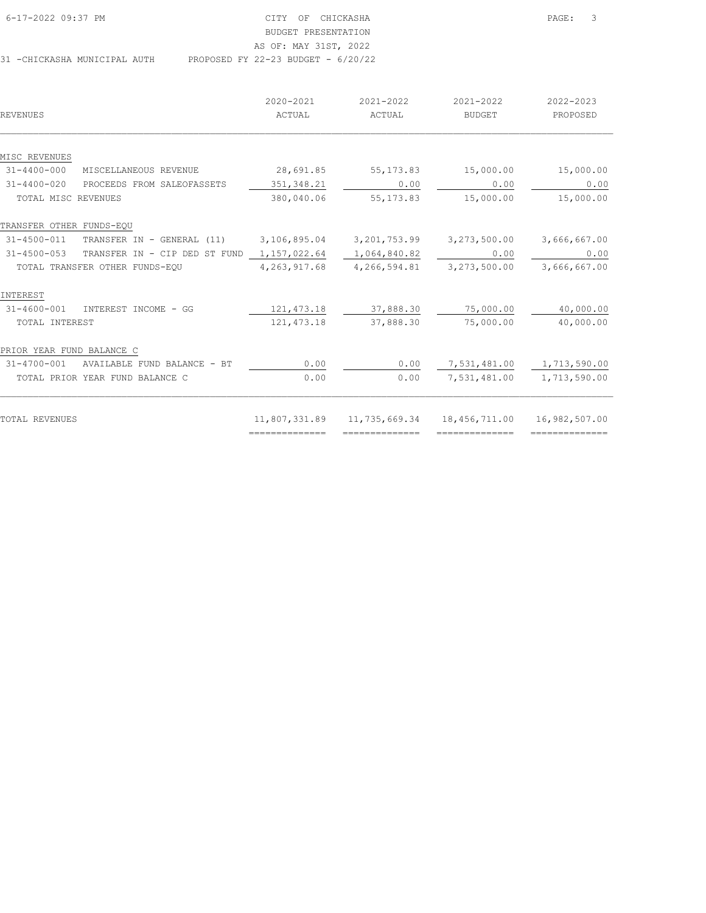| 6-17-2022 09:37 PM           | CITY OF CHICKASHA                    | $\overline{\phantom{a}}$<br>PAGE: |
|------------------------------|--------------------------------------|-----------------------------------|
|                              | BUDGET PRESENTATION                  |                                   |
|                              | AS OF: MAY 31ST, 2022                |                                   |
| 31 -CHICKASHA MUNICIPAL AUTH | PROPOSED FY 22-23 BUDGET - $6/20/22$ |                                   |

|                                                    | 2020-2021       | 2021-2022       | 2021-2022      | 2022-2023       |
|----------------------------------------------------|-----------------|-----------------|----------------|-----------------|
| REVENUES                                           | ACTUAL          | ACTUAL          | <b>BUDGET</b>  | PROPOSED        |
|                                                    |                 |                 |                |                 |
| MISC REVENUES                                      |                 |                 |                |                 |
| $31 - 4400 - 000$<br>MISCELLANEOUS REVENUE         | 28,691.85       | 55, 173.83      | 15,000.00      | 15,000.00       |
| $31 - 4400 - 020$<br>PROCEEDS FROM SALEOFASSETS    | 351, 348.21     | 0.00            | 0.00           | 0.00            |
| TOTAL MISC REVENUES                                | 380,040.06      | 55, 173.83      | 15,000.00      | 15,000.00       |
| TRANSFER OTHER FUNDS-EQU                           |                 |                 |                |                 |
| $31 - 4500 - 011$<br>TRANSFER IN - GENERAL (11)    | 3,106,895.04    | 3, 201, 753.99  | 3,273,500.00   | 3,666,667.00    |
| $31 - 4500 - 053$<br>TRANSFER IN - CIP DED ST FUND | 1,157,022.64    | 1,064,840.82    | 0.00           | 0.00            |
| TOTAL TRANSFER OTHER FUNDS-EQU                     | 4, 263, 917.68  | 4,266,594.81    | 3,273,500.00   | 3,666,667.00    |
| INTEREST                                           |                 |                 |                |                 |
| $31 - 4600 - 001$<br>INTEREST INCOME - GG          | 121, 473.18     | 37,888.30       | 75,000.00      | 40,000.00       |
| TOTAL INTEREST                                     | 121, 473.18     | 37,888.30       | 75,000.00      | 40,000.00       |
| PRIOR YEAR FUND BALANCE C                          |                 |                 |                |                 |
| 31-4700-001<br>AVAILABLE FUND BALANCE - BT         | 0.00            | 0.00            | 7,531,481.00   | 1,713,590.00    |
| TOTAL PRIOR YEAR FUND BALANCE C                    | 0.00            | 0.00            | 7,531,481.00   | 1,713,590.00    |
|                                                    |                 |                 |                |                 |
| TOTAL REVENUES                                     | 11,807,331.89   | 11,735,669.34   | 18,456,711.00  | 16,982,507.00   |
|                                                    | --------------- | --------------- | -------------- | --------------- |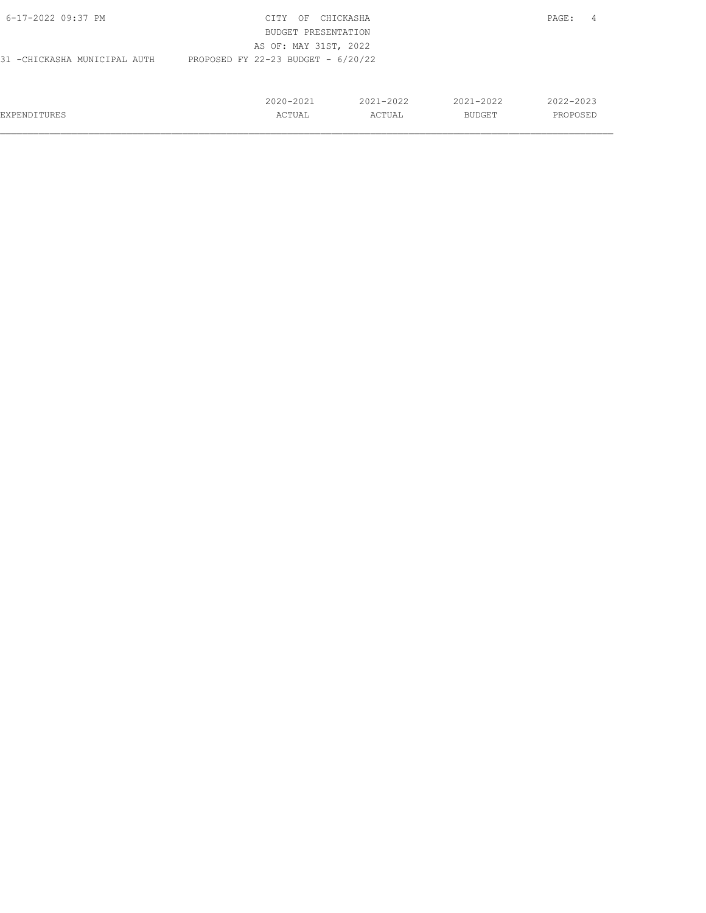| 6-17-2022 09:37 PM            | CITY<br>ΟF                           | CHICKASHA     |               | PAGE:<br>4    |  |
|-------------------------------|--------------------------------------|---------------|---------------|---------------|--|
|                               | BUDGET PRESENTATION                  |               |               |               |  |
|                               | AS OF: MAY 31ST, 2022                |               |               |               |  |
| 31 - CHICKASHA MUNICIPAL AUTH | PROPOSED FY 22-23 BUDGET - $6/20/22$ |               |               |               |  |
|                               |                                      |               |               |               |  |
|                               |                                      |               |               |               |  |
|                               | $2020 - 2021$                        | $2021 - 2022$ | $2021 - 2022$ | $2022 - 2023$ |  |
| EXPENDITURES                  | ACTUAL                               | ACTUAL        | BUDGET        | PROPOSED      |  |
|                               |                                      |               |               |               |  |

 $\mathcal{L}_\text{max} = \mathcal{L}_\text{max} = \mathcal{L}_\text{max} = \mathcal{L}_\text{max} = \mathcal{L}_\text{max} = \mathcal{L}_\text{max} = \mathcal{L}_\text{max} = \mathcal{L}_\text{max} = \mathcal{L}_\text{max} = \mathcal{L}_\text{max} = \mathcal{L}_\text{max} = \mathcal{L}_\text{max} = \mathcal{L}_\text{max} = \mathcal{L}_\text{max} = \mathcal{L}_\text{max} = \mathcal{L}_\text{max} = \mathcal{L}_\text{max} = \mathcal{L}_\text{max} = \mathcal{$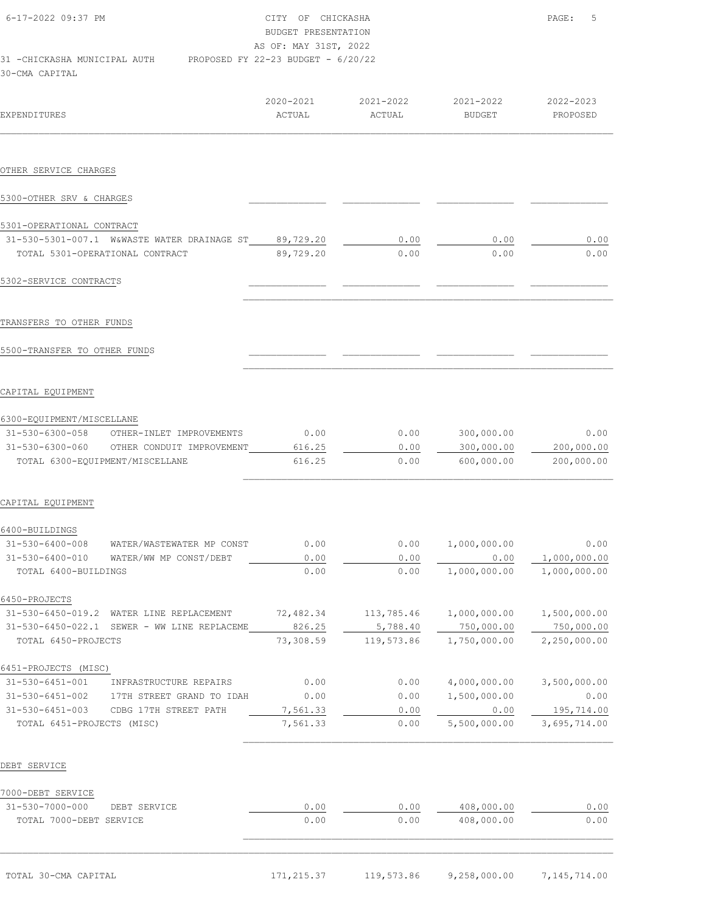| 6-17-2022 09:37 PM                                                                       | CITY OF CHICKASHA<br>BUDGET PRESENTATION<br>AS OF: MAY 31ST, 2022 |                                         |        | 5<br>PAGE:            |
|------------------------------------------------------------------------------------------|-------------------------------------------------------------------|-----------------------------------------|--------|-----------------------|
| 31 -CHICKASHA MUNICIPAL AUTH PROPOSED FY 22-23 BUDGET - 6/20/22<br>30-CMA CAPITAL        |                                                                   |                                         |        |                       |
| <b>EXPENDITURES</b>                                                                      | ACTUAL                                                            | 2020-2021 2021-2022 2021-2022<br>ACTUAL | BUDGET | 2022-2023<br>PROPOSED |
|                                                                                          |                                                                   |                                         |        |                       |
|                                                                                          |                                                                   |                                         |        |                       |
| OTHER SERVICE CHARGES                                                                    |                                                                   |                                         |        |                       |
| 5300-OTHER SRV & CHARGES                                                                 |                                                                   |                                         |        |                       |
|                                                                                          |                                                                   |                                         |        |                       |
| 5301-OPERATIONAL CONTRACT                                                                |                                                                   | 0.00                                    | 0.00   | 0.00                  |
| 31-530-5301-007.1 W&WASTE WATER DRAINAGE ST 89,729.20<br>TOTAL 5301-OPERATIONAL CONTRACT | 89,729.20                                                         | 0.00                                    | 0.00   | 0.00                  |

### CAPITAL EQUIPMENT

| $31 - 530 - 6300 - 058$ | OTHER-INLET IMPROVEMENTS        | 0.00   | 0.00 | 300,000.00 | 0.00       |
|-------------------------|---------------------------------|--------|------|------------|------------|
| 31-530-6300-060         | OTHER CONDUIT IMPROVEMENT       | 616.25 | 0.00 | 300,000.00 | 200,000.00 |
|                         | TOTAL 6300-EQUIPMENT/MISCELLANE | 616.25 | 0.00 | 600,000,00 | 200,000.00 |

 $\mathcal{L}_\text{max}$ 

 $\mathcal{L}_\text{max}$ 

#### CAPITAL EQUIPMENT

| 6400-BUILDINGS            |                              |           |            |              |              |
|---------------------------|------------------------------|-----------|------------|--------------|--------------|
| 31-530-6400-008           | WATER/WASTEWATER MP CONST    | 0.00      | 0.00       | 1,000,000.00 | 0.00         |
| $31 - 530 - 6400 - 010$   | WATER/WW MP CONST/DEBT       | 0.00      | 0.00       | 0.00         | 1,000,000.00 |
| TOTAL 6400-BUILDINGS      |                              | 0.00      | 0.00       | 1,000,000.00 | 1,000,000.00 |
| 6450-PROJECTS             |                              |           |            |              |              |
| $31 - 530 - 6450 - 019.2$ | WATER LINE<br>REPLACEMENT    | 72,482.34 | 113,785.46 | 1,000,000.00 | 1,500,000.00 |
| $31 - 530 - 6450 - 022.1$ | SEWER - WW<br>LINE REPLACEME | 826.25    | 5,788.40   | 750,000.00   | 750,000.00   |
| TOTAL 6450-PROJECTS       |                              | 73,308.59 | 119,573.86 | 1,750,000.00 | 2,250,000.00 |
| 6451-PROJECTS<br>(MISC)   |                              |           |            |              |              |
| 31-530-6451-001           | INFRASTRUCTURE REPAIRS       | 0.00      | 0.00       | 4,000,000.00 | 3,500,000.00 |
| $31 - 530 - 6451 - 002$   | 17TH STREET GRAND TO IDAH    | 0.00      | 0.00       | 1,500,000.00 | 0.00         |
| $31 - 530 - 6451 - 003$   | CDBG 17TH STREET PATH        | 7,561.33  | 0.00       | 0.00         | 195,714.00   |
| TOTAL 6451-PROJECTS       | (MISC)                       | 7,561.33  | 0.00       | 5,500,000.00 | 3,695,714.00 |
|                           |                              |           |            |              |              |

### DEBT SERVICE

| 7000-DEBT SERVICE       |              |      |      |            |      |
|-------------------------|--------------|------|------|------------|------|
| 31-530-7000-000         | DEBT SERVICE | 0.00 | 0.00 | 408,000.00 | 0.00 |
| TOTAL 7000-DEBT SERVICE |              | 0.00 | 0.00 | 408,000.00 | 0.00 |
|                         |              |      |      |            |      |

 $\mathcal{L}_\text{max} = \mathcal{L}_\text{max} = \mathcal{L}_\text{max} = \mathcal{L}_\text{max} = \mathcal{L}_\text{max} = \mathcal{L}_\text{max} = \mathcal{L}_\text{max} = \mathcal{L}_\text{max} = \mathcal{L}_\text{max} = \mathcal{L}_\text{max} = \mathcal{L}_\text{max} = \mathcal{L}_\text{max} = \mathcal{L}_\text{max} = \mathcal{L}_\text{max} = \mathcal{L}_\text{max} = \mathcal{L}_\text{max} = \mathcal{L}_\text{max} = \mathcal{L}_\text{max} = \mathcal{$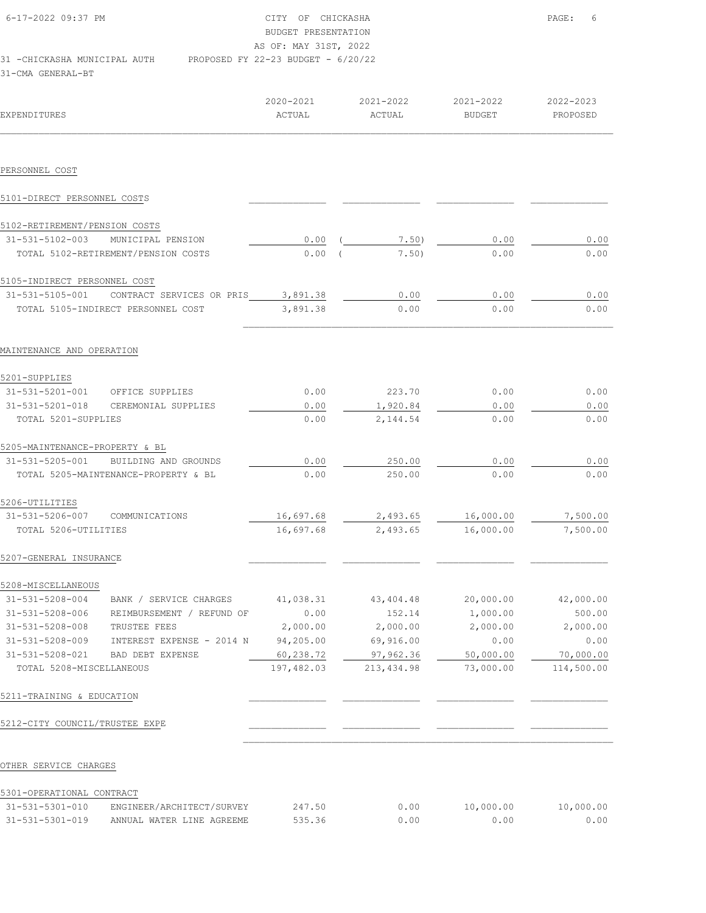| 6-17-2022 09:37 PM            | CITY OF CHICKASHA                    | $\texttt{PAGE}$ : | - 6 |
|-------------------------------|--------------------------------------|-------------------|-----|
|                               | BUDGET PRESENTATION                  |                   |     |
|                               | AS OF: MAY 31ST, 2022                |                   |     |
| 31 - CHICKASHA MUNICIPAL AUTH | PROPOSED FY 22-23 BUDGET - $6/20/22$ |                   |     |
| 31-CMA GENERAL-BT             |                                      |                   |     |

| EXPENDITURES                   |                                      | 2020-2021<br>ACTUAL | 2021-2022<br>ACTUAL | 2021-2022<br><b>BUDGET</b> | 2022-2023<br>PROPOSED |
|--------------------------------|--------------------------------------|---------------------|---------------------|----------------------------|-----------------------|
| PERSONNEL COST                 |                                      |                     |                     |                            |                       |
| 5101-DIRECT PERSONNEL COSTS    |                                      |                     |                     |                            |                       |
| 5102-RETIREMENT/PENSION COSTS  |                                      |                     |                     |                            |                       |
| 31-531-5102-003                | MUNICIPAL PENSION                    | 0.00                | 7.50)               | 0.00                       | 0.00                  |
|                                | TOTAL 5102-RETIREMENT/PENSION COSTS  | 0.00                | 7.50)               | 0.00                       | 0.00                  |
| 5105-INDIRECT PERSONNEL COST   |                                      |                     |                     |                            |                       |
| 31-531-5105-001                | CONTRACT SERVICES OR PRIS            | 3,891.38            | 0.00                | 0.00                       | 0.00                  |
|                                | TOTAL 5105-INDIRECT PERSONNEL COST   | 3,891.38            | 0.00                | 0.00                       | 0.00                  |
| MAINTENANCE AND OPERATION      |                                      |                     |                     |                            |                       |
| 5201-SUPPLIES                  |                                      |                     |                     |                            |                       |
| 31-531-5201-001                | OFFICE SUPPLIES                      | 0.00                | 223.70              | 0.00                       | 0.00                  |
| 31-531-5201-018                | CEREMONIAL SUPPLIES                  | 0.00                | 1,920.84            | 0.00                       | 0.00                  |
| TOTAL 5201-SUPPLIES            |                                      | 0.00                | 2,144.54            | 0.00                       | 0.00                  |
| 5205-MAINTENANCE-PROPERTY & BL |                                      |                     |                     |                            |                       |
| 31-531-5205-001                | BUILDING AND GROUNDS                 | 0.00                | 250.00              | 0.00                       | 0.00                  |
|                                | TOTAL 5205-MAINTENANCE-PROPERTY & BL | 0.00                | 250.00              | 0.00                       | 0.00                  |
| 5206-UTILITIES                 |                                      |                     |                     |                            |                       |
| 31-531-5206-007                | COMMUNICATIONS                       | 16,697.68           | 2,493.65            | 16,000.00                  | 7,500.00              |
| TOTAL 5206-UTILITIES           |                                      | 16,697.68           | 2,493.65            | 16,000.00                  | 7,500.00              |
| 5207-GENERAL INSURANCE         |                                      |                     |                     |                            |                       |
| 5208-MISCELLANEOUS             |                                      |                     |                     |                            |                       |
| 31-531-5208-004                | BANK / SERVICE CHARGES               | 41,038.31           | 43, 404. 48         | 20,000.00                  | 42,000.00             |
| 31-531-5208-006                | REIMBURSEMENT / REFUND OF            | 0.00                | 152.14              | 1,000.00                   | 500.00                |
| $31 - 531 - 5208 - 008$        | TRUSTEE FEES                         | 2,000.00            | 2,000.00            | 2,000.00                   | 2,000.00              |
| $31 - 531 - 5208 - 009$        | INTEREST EXPENSE - 2014 N            | 94,205.00           | 69,916.00           | 0.00                       | 0.00                  |
| 31-531-5208-021                | BAD DEBT EXPENSE                     | 60,238.72           | 97,962.36           | 50,000.00                  | 70,000.00             |
| TOTAL 5208-MISCELLANEOUS       |                                      | 197,482.03          | 213, 434.98         | 73,000.00                  | 114,500.00            |
| 5211-TRAINING & EDUCATION      |                                      |                     |                     |                            |                       |
| 5212-CITY COUNCIL/TRUSTEE EXPE |                                      |                     |                     |                            |                       |

## OTHER SERVICE CHARGES

## 5301-OPERATIONAL CONTRACT

| $31 - 531 - 5301 - 010$ | ENGINEER/ARCHITECT/SURVEY | 147 | 0.00 | .000.00 | 10.000.00 |
|-------------------------|---------------------------|-----|------|---------|-----------|
| $31 - 531 - 5301 - 019$ | ANNUAL WATER LINE AGREEME |     | . nn | .00     | n n       |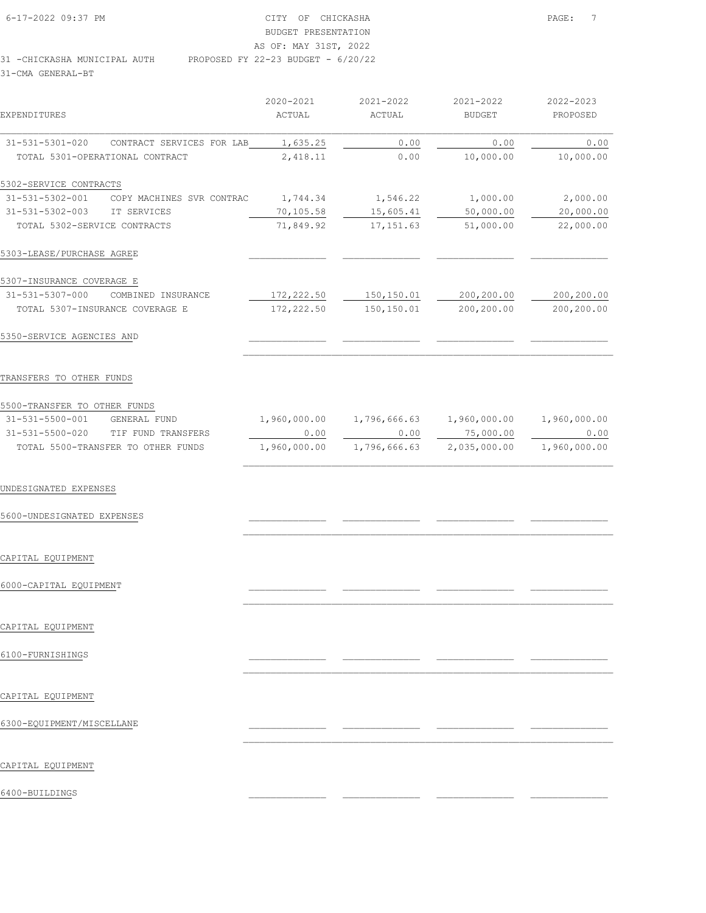| 6-17-2022 09:37 PM           | CITY OF CHICKASHA                    | PAGE: |
|------------------------------|--------------------------------------|-------|
|                              | BUDGET PRESENTATION                  |       |
|                              | AS OF: MAY 31ST, 2022                |       |
| 31 -CHICKASHA MUNICIPAL AUTH | PROPOSED FY 22-23 BUDGET - $6/20/22$ |       |

|                              |                                 | 2020-2021  | 2021-2022  | 2021-2022     | 2022-2023  |
|------------------------------|---------------------------------|------------|------------|---------------|------------|
| EXPENDITURES                 |                                 | ACTUAL     | ACTUAL     | <b>BUDGET</b> | PROPOSED   |
| 31-531-5301-020              | CONTRACT SERVICES FOR LAB       | 1,635.25   | 0.00       | 0.00          | 0.00       |
|                              | TOTAL 5301-OPERATIONAL CONTRACT | 2,418.11   | 0.00       | 10,000.00     | 10,000.00  |
| 5302-SERVICE CONTRACTS       |                                 |            |            |               |            |
| 31-531-5302-001              | COPY MACHINES SVR CONTRAC       | 1,744.34   | 1,546.22   | 1,000.00      | 2,000.00   |
| $31 - 531 - 5302 - 003$      | IT SERVICES                     | 70,105.58  | 15,605.41  | 50,000.00     | 20,000.00  |
| TOTAL 5302-SERVICE CONTRACTS |                                 | 71,849.92  | 17, 151.63 | 51,000.00     | 22,000.00  |
| 5303-LEASE/PURCHASE AGREE    |                                 |            |            |               |            |
| 5307-INSURANCE COVERAGE E    |                                 |            |            |               |            |
| 31-531-5307-000              | COMBINED INSURANCE              | 172,222.50 | 150,150.01 | 200,200.00    | 200,200.00 |
|                              | TOTAL 5307-INSURANCE COVERAGE E | 172,222.50 | 150,150.01 | 200,200.00    | 200,200.00 |
| 5350-SERVICE AGENCIES AND    |                                 |            |            |               |            |
|                              |                                 |            |            |               |            |

## TRANSFERS TO OTHER FUNDS

| 5500-TRANSFER TO OTHER FUNDS |                                    |              |              |              |              |
|------------------------------|------------------------------------|--------------|--------------|--------------|--------------|
| $31 - 531 - 5500 - 001$      | GENERAL FUND                       | 1,960,000.00 | 1,796,666.63 | 1,960,000.00 | 1,960,000.00 |
| 31-531-5500-020              | TIF FUND TRANSFERS                 | 0.00         | 0.00         | 75,000.00    | 0.00         |
|                              | TOTAL 5500-TRANSFER TO OTHER FUNDS | 1,960,000.00 | 1,796,666.63 | 2,035,000.00 | 1,960,000.00 |

 $\mathcal{L}_\text{max}$ 

 $\mathcal{L}_\text{max}$ 

 $\mathcal{L}_\text{max}$ 

 $\mathcal{L}_\text{max}$ 

 $\mathcal{L}_\text{max}$ 

#### UNDESIGNATED EXPENSES

# 5600-UNDESIGNATED EXPENSES \_\_\_\_\_\_\_\_\_\_\_\_\_\_ \_\_\_\_\_\_\_\_\_\_\_\_\_\_ \_\_\_\_\_\_\_\_\_\_\_\_\_\_ \_\_\_\_\_\_\_\_\_\_\_\_\_\_

### CAPITAL EQUIPMENT

# 6000-CAPITAL EQUIPMENT \_\_\_\_\_\_\_\_\_\_\_\_\_\_ \_\_\_\_\_\_\_\_\_\_\_\_\_\_ \_\_\_\_\_\_\_\_\_\_\_\_\_\_ \_\_\_\_\_\_\_\_\_\_\_\_\_\_

## CAPITAL EQUIPMENT

## 6100-FURNISHINGS \_\_\_\_\_\_\_\_\_\_\_\_\_\_ \_\_\_\_\_\_\_\_\_\_\_\_\_\_ \_\_\_\_\_\_\_\_\_\_\_\_\_\_ \_\_\_\_\_\_\_\_\_\_\_\_\_\_

## CAPITAL EQUIPMENT

# 6300-EQUIPMENT/MISCELLANE \_\_\_\_\_\_\_\_\_\_\_\_\_\_ \_\_\_\_\_\_\_\_\_\_\_\_\_\_ \_\_\_\_\_\_\_\_\_\_\_\_\_\_ \_\_\_\_\_\_\_\_\_\_\_\_\_\_

### CAPITAL EQUIPMENT

6400-BUILDINGS \_\_\_\_\_\_\_\_\_\_\_\_\_\_ \_\_\_\_\_\_\_\_\_\_\_\_\_\_ \_\_\_\_\_\_\_\_\_\_\_\_\_\_ \_\_\_\_\_\_\_\_\_\_\_\_\_\_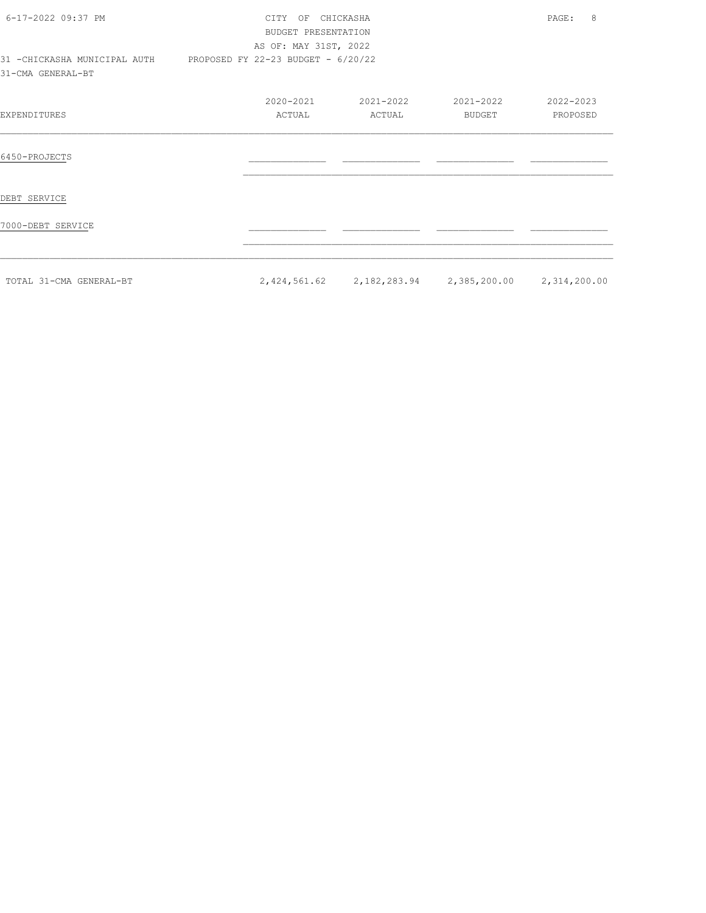| 6-17-2022 09:37 PM<br>31 - CHICKASHA MUNICIPAL AUTH | CITY OF CHICKASHA<br>BUDGET PRESENTATION<br>AS OF: MAY 31ST, 2022<br>PROPOSED FY 22-23 BUDGET - 6/20/22 |                     |                                                     | 8<br>PAGE:            |
|-----------------------------------------------------|---------------------------------------------------------------------------------------------------------|---------------------|-----------------------------------------------------|-----------------------|
| 31-CMA GENERAL-BT                                   |                                                                                                         |                     |                                                     |                       |
| EXPENDITURES                                        | 2020-2021<br>ACTUAL                                                                                     | 2021-2022<br>ACTUAL | 2021-2022<br>BUDGET                                 | 2022-2023<br>PROPOSED |
| 6450-PROJECTS                                       |                                                                                                         |                     |                                                     |                       |
| DEBT SERVICE                                        |                                                                                                         |                     |                                                     |                       |
| 7000-DEBT SERVICE                                   |                                                                                                         |                     |                                                     |                       |
| TOTAL 31-CMA GENERAL-BT                             |                                                                                                         |                     | 2,424,561.62 2,182,283.94 2,385,200.00 2,314,200.00 |                       |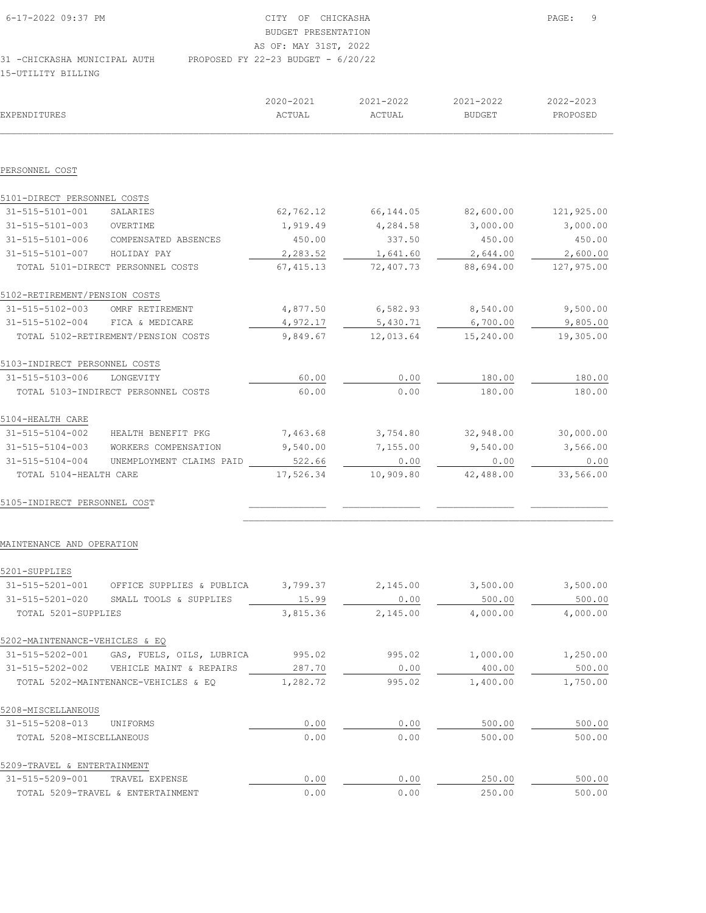| $6 - 17 - 2022$ 09:37 PM     | CITY OF CHICKASHA                    | PAGE: 9 |
|------------------------------|--------------------------------------|---------|
|                              | BUDGET PRESENTATION                  |         |
|                              | AS OF: MAY 31ST, 2022                |         |
| 31 -CHICKASHA MUNICIPAL AUTH | PROPOSED FY 22-23 BUDGET - $6/20/22$ |         |

15-UTILITY BILLING

| <b>EXPENDITURES</b>             |                                           | 2020-2021<br>ACTUAL | 2021-2022<br>ACTUAL | 2021-2022<br><b>BUDGET</b> | 2022-2023<br>PROPOSED |
|---------------------------------|-------------------------------------------|---------------------|---------------------|----------------------------|-----------------------|
| PERSONNEL COST                  |                                           |                     |                     |                            |                       |
| 5101-DIRECT PERSONNEL COSTS     |                                           |                     |                     |                            |                       |
| 31-515-5101-001                 | SALARIES                                  | 62,762.12           | 66,144.05           | 82,600.00                  | 121,925.00            |
| 31-515-5101-003                 | OVERTIME                                  | 1,919.49            | 4,284.58            | 3,000.00                   | 3,000.00              |
|                                 | 31-515-5101-006 COMPENSATED ABSENCES      | 450.00              | 337.50              | 450.00                     | 450.00                |
| 31-515-5101-007                 | HOLIDAY PAY                               | 2,283.52            | 1,641.60            | 2,644.00                   | 2,600.00              |
|                                 | TOTAL 5101-DIRECT PERSONNEL COSTS         | 67, 415.13          | 72,407.73           | 88,694.00                  | 127,975.00            |
| 5102-RETIREMENT/PENSION COSTS   |                                           |                     |                     |                            |                       |
| 31-515-5102-003 OMRF RETIREMENT |                                           | 4,877.50            | 6,582.93            | 8,540.00                   | 9,500.00              |
| 31-515-5102-004 FICA & MEDICARE |                                           | 4,972.17            | 5,430.71            | 6,700.00                   | 9,805.00              |
|                                 | TOTAL 5102-RETIREMENT/PENSION COSTS       | 9,849.67            | 12,013.64           | 15,240.00                  | 19,305.00             |
| 5103-INDIRECT PERSONNEL COSTS   |                                           |                     |                     |                            |                       |
| 31-515-5103-006                 | LONGEVITY                                 | 60.00               | 0.00                | 180.00                     | 180.00                |
|                                 | TOTAL 5103-INDIRECT PERSONNEL COSTS       | 60.00               | 0.00                | 180.00                     | 180.00                |
| 5104-HEALTH CARE                |                                           |                     |                     |                            |                       |
| 31-515-5104-002                 | HEALTH BENEFIT PKG                        | 7,463.68            | 3,754.80            | 32,948.00                  | 30,000.00             |
| 31-515-5104-003                 | WORKERS COMPENSATION                      | 9,540.00            | 7,155.00            | 9,540.00                   | 3,566.00              |
| 31-515-5104-004                 | UNEMPLOYMENT CLAIMS PAID                  | 522.66              | 0.00                | 0.00                       | 0.00                  |
| TOTAL 5104-HEALTH CARE          |                                           | 17,526.34           | 10,909.80           | 42,488.00                  | 33,566.00             |
| 5105-INDIRECT PERSONNEL COST    |                                           |                     |                     |                            |                       |
| MAINTENANCE AND OPERATION       |                                           |                     |                     |                            |                       |
| 5201-SUPPLIES                   |                                           |                     |                     |                            |                       |
| 31-515-5201-001                 | OFFICE SUPPLIES & PUBLICA                 | 3,799.37            | 2,145.00            | 3,500.00                   | 3,500.00              |
| 31-515-5201-020                 | SMALL TOOLS & SUPPLIES                    | 15.99               | 0.00                | 500.00                     | 500.00                |
| TOTAL 5201-SUPPLIES             |                                           | 3,815.36            | 2,145.00            | 4,000.00                   | 4,000.00              |
| 5202-MAINTENANCE-VEHICLES & EQ  |                                           |                     |                     |                            |                       |
|                                 | 31-515-5202-001 GAS, FUELS, OILS, LUBRICA | 995.02              | 995.02              | 1,000.00                   | 1,250.00              |
|                                 | 31-515-5202-002 VEHICLE MAINT & REPAIRS   | 287.70              | 0.00                | 400.00                     | 500.00                |
|                                 | TOTAL 5202-MAINTENANCE-VEHICLES & EQ      | 1,282.72            | 995.02              | 1,400.00                   | 1,750.00              |
| 5208-MISCELLANEOUS              |                                           |                     |                     |                            |                       |
| 31-515-5208-013                 | UNIFORMS                                  | 0.00                | 0.00                | 500.00                     | 500.00                |
| TOTAL 5208-MISCELLANEOUS        |                                           | 0.00                | 0.00                | 500.00                     | 500.00                |
| 5209-TRAVEL & ENTERTAINMENT     |                                           |                     |                     |                            |                       |

| $31 - 515 - 5209 - 001$ | TRAVEL EXPENSE                    |     |         | 250.   | 500.00 |
|-------------------------|-----------------------------------|-----|---------|--------|--------|
|                         | TOTAL 5209-TRAVEL & ENTERTAINMENT | .00 | .) . 00 | 250.00 | 500.00 |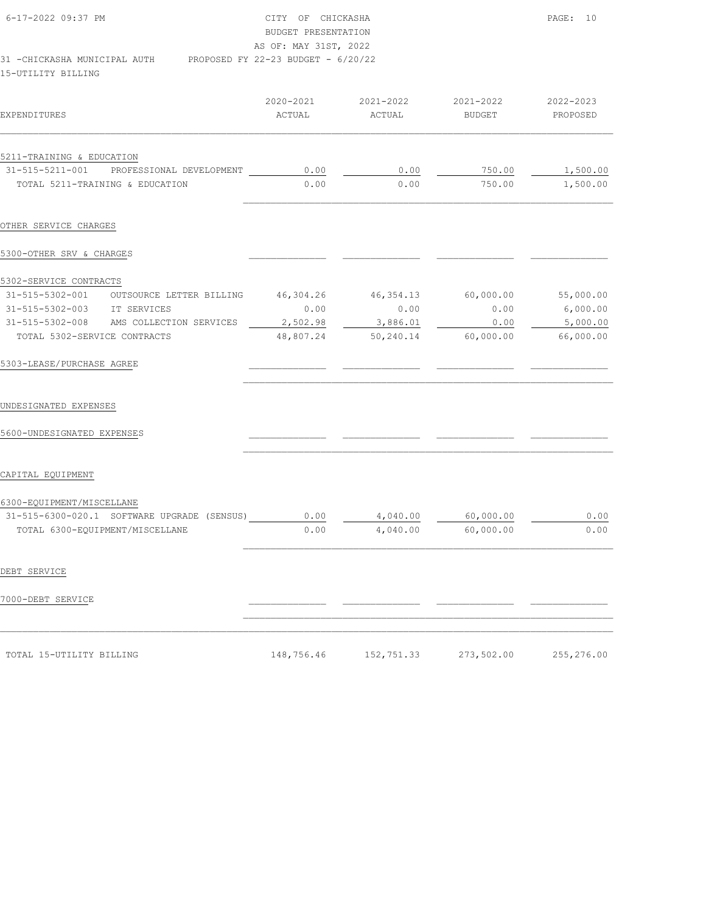| 6-17-2022 09:37 PM<br>PROPOSED FY 22-23 BUDGET - 6/20/22<br>31 - CHICKASHA MUNICIPAL AUTH<br>15-UTILITY BILLING                                                                 | CITY OF CHICKASHA<br>BUDGET PRESENTATION<br>AS OF: MAY 31ST, 2022 | PAGE: 10                                   |                                        |                                                                                      |
|---------------------------------------------------------------------------------------------------------------------------------------------------------------------------------|-------------------------------------------------------------------|--------------------------------------------|----------------------------------------|--------------------------------------------------------------------------------------|
| <b>EXPENDITURES</b>                                                                                                                                                             | 2020-2021<br>ACTUAL                                               | 2021-2022<br>ACTUAL                        | 2021-2022<br>BUDGET                    | 2022-2023<br>PROPOSED                                                                |
| 5211-TRAINING & EDUCATION<br>31-515-5211-001<br>PROFESSIONAL DEVELOPMENT<br>TOTAL 5211-TRAINING & EDUCATION                                                                     | 0.00<br>0.00                                                      | 0.00<br>0.00                               | 750.00<br>750.00                       | 1,500.00<br>1,500.00                                                                 |
| OTHER SERVICE CHARGES                                                                                                                                                           |                                                                   |                                            |                                        |                                                                                      |
| 5300-OTHER SRV & CHARGES                                                                                                                                                        |                                                                   |                                            |                                        |                                                                                      |
| 5302-SERVICE CONTRACTS<br>31-515-5302-001 OUTSOURCE LETTER BILLING<br>31-515-5302-003 IT SERVICES<br>31-515-5302-008<br>AMS COLLECTION SERVICES<br>TOTAL 5302-SERVICE CONTRACTS | 46,304.26<br>0.00<br>2,502.98<br>48,807.24                        | 46,354.13<br>0.00<br>3,886.01<br>50,240.14 | 60,000.00<br>0.00<br>0.00<br>60,000.00 | 55,000.00<br>6,000.00<br>5,000.00<br>66,000.00                                       |
| 5303-LEASE/PURCHASE AGREE                                                                                                                                                       |                                                                   |                                            |                                        |                                                                                      |
| UNDESIGNATED EXPENSES<br>5600-UNDESIGNATED EXPENSES                                                                                                                             |                                                                   |                                            |                                        |                                                                                      |
| CAPITAL EQUIPMENT                                                                                                                                                               |                                                                   |                                            |                                        |                                                                                      |
| 6300-EQUIPMENT/MISCELLANE<br>31-515-6300-020.1 SOFTWARE UPGRADE (SENSUS)<br>TOTAL 6300-EQUIPMENT/MISCELLANE                                                                     | 0.00<br>0.00                                                      | 4,040.00<br>4,040.00                       | 60,000.00<br>60,000.00                 | 0.00<br>$\ensuremath{\mathbf{0}}$ . $\ensuremath{\mathbf{0}}\ensuremath{\mathbf{0}}$ |
| DEBT SERVICE                                                                                                                                                                    |                                                                   |                                            |                                        |                                                                                      |
| 7000-DEBT SERVICE                                                                                                                                                               |                                                                   |                                            |                                        |                                                                                      |
| TOTAL 15-UTILITY BILLING                                                                                                                                                        | 148,756.46                                                        | 152,751.33                                 | 273,502.00                             | 255,276.00                                                                           |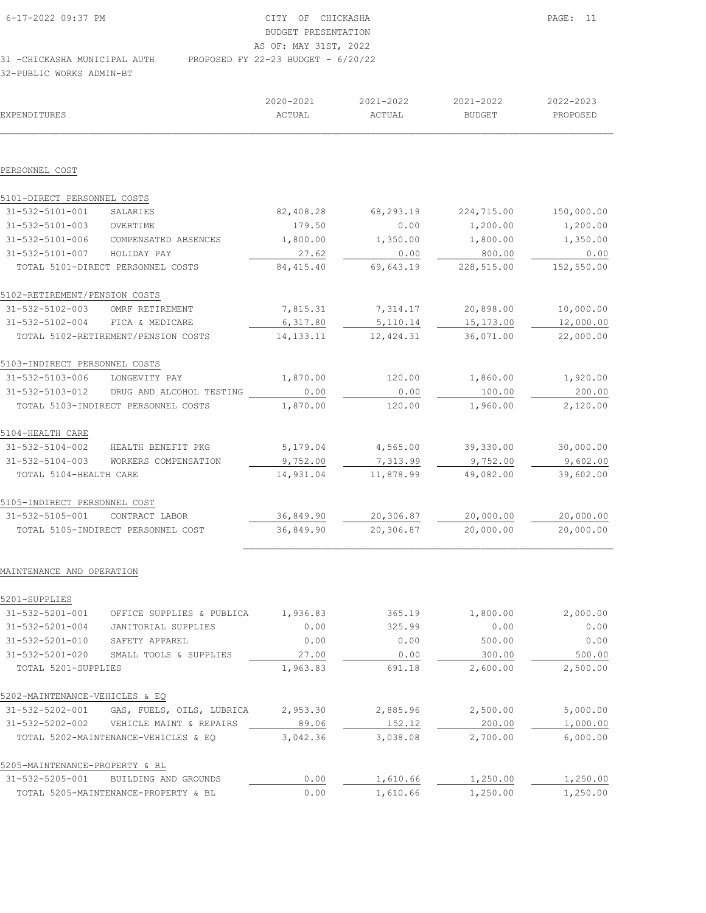| 6-17-2022 09:37 PM           |                                      | CITY OF CHICKASHA     |  |  |
|------------------------------|--------------------------------------|-----------------------|--|--|
|                              |                                      | BUDGET PRESENTATION   |  |  |
|                              |                                      | AS OF: MAY 31ST, 2022 |  |  |
| 31 -CHICKASHA MUNICIPAL AUTH | PROPOSED FY 22-23 BUDGET - $6/20/22$ |                       |  |  |

32-PUBLIC WORKS ADMIN-BT

| EXPENDITURES                   |                                          | 2020-2021<br>ACTUAL | 2021-2022<br>ACTUAL | 2021-2022<br><b>BUDGET</b> | 2022-2023<br>PROPOSED |
|--------------------------------|------------------------------------------|---------------------|---------------------|----------------------------|-----------------------|
|                                |                                          |                     |                     |                            |                       |
| PERSONNEL COST                 |                                          |                     |                     |                            |                       |
| 5101-DIRECT PERSONNEL COSTS    |                                          |                     |                     |                            |                       |
| 31-532-5101-001                | SALARIES                                 | 82,408.28           | 68,293.19           | 224,715.00                 | 150,000.00            |
| 31-532-5101-003                | OVERTIME                                 | 179.50              | 0.00                | 1,200.00                   | 1,200.00              |
| 31-532-5101-006                | COMPENSATED ABSENCES                     | 1,800.00            | 1,350.00            | 1,800.00                   | 1,350.00              |
| 31-532-5101-007                | HOLIDAY PAY                              | 27.62               | 0.00                | 800.00                     | 0.00                  |
|                                | TOTAL 5101-DIRECT PERSONNEL COSTS        | 84, 415.40          | 69,643.19           | 228,515.00                 | 152,550.00            |
| 5102-RETIREMENT/PENSION COSTS  |                                          |                     |                     |                            |                       |
| 31-532-5102-003                | OMRF RETIREMENT                          | 7,815.31            | 7,314.17            | 20,898.00                  | 10,000.00             |
| 31-532-5102-004                | FICA & MEDICARE                          | 6,317.80            | 5, 110.14           | 15,173.00                  | 12,000.00             |
|                                | TOTAL 5102-RETIREMENT/PENSION COSTS      | 14, 133. 11         | 12,424.31           | 36,071.00                  | 22,000.00             |
| 5103-INDIRECT PERSONNEL COSTS  |                                          |                     |                     |                            |                       |
| 31-532-5103-006                | LONGEVITY PAY                            | 1,870.00            | 120.00              | 1,860.00                   | 1,920.00              |
|                                | 31-532-5103-012 DRUG AND ALCOHOL TESTING | 0.00                | 0.00                | 100.00                     | 200.00                |
|                                | TOTAL 5103-INDIRECT PERSONNEL COSTS      | 1,870.00            | 120.00              | 1,960.00                   | 2,120.00              |
| 5104-HEALTH CARE               |                                          |                     |                     |                            |                       |
|                                | 31-532-5104-002 HEALTH BENEFIT PKG       | 5,179.04            | 4,565.00            | 39,330.00                  | 30,000.00             |
| $31 - 532 - 5104 - 003$        | WORKERS COMPENSATION                     | 9,752.00            | 7,313.99            | 9,752.00                   | 9,602.00              |
| TOTAL 5104-HEALTH CARE         |                                          | 14,931.04           | 11,878.99           | 49,082.00                  | 39,602.00             |
| 5105-INDIRECT PERSONNEL COST   |                                          |                     |                     |                            |                       |
| 31-532-5105-001                | CONTRACT LABOR                           | 36,849.90           | 20,306.87           | 20,000.00                  | 20,000.00             |
|                                | TOTAL 5105-INDIRECT PERSONNEL COST       | 36,849.90           | 20,306.87           | 20,000.00                  | 20,000.00             |
| MAINTENANCE AND OPERATION      |                                          |                     |                     |                            |                       |
| 5201-SUPPLIES                  |                                          |                     |                     |                            |                       |
| 31-532-5201-001                | OFFICE SUPPLIES & PUBLICA                | 1,936.83            | 365.19              | 1,800.00                   | 2,000.00              |
| $31 - 532 - 5201 - 004$        | JANITORIAL SUPPLIES                      | 0.00                | 325.99              | 0.00                       | 0.00                  |
| 31-532-5201-010                | SAFETY APPAREL                           | 0.00                | 0.00                | 500.00                     | 0.00                  |
| $31 - 532 - 5201 - 020$        | SMALL TOOLS & SUPPLIES                   | 27.00               | 0.00                | 300.00                     | 500.00                |
| TOTAL 5201-SUPPLIES            |                                          | 1,963.83            | 691.18              | 2,600.00                   | 2,500.00              |
| 5202-MAINTENANCE-VEHICLES & EQ |                                          |                     |                     |                            |                       |
| 31-532-5202-001                | GAS, FUELS, OILS, LUBRICA                | 2,953.30            | 2,885.96            | 2,500.00                   | 5,000.00              |
| 31-532-5202-002                | VEHICLE MAINT & REPAIRS                  | 89.06               | 152.12              | 200.00                     | 1,000.00              |
|                                | TOTAL 5202-MAINTENANCE-VEHICLES & EQ     | 3,042.36            | 3,038.08            | 2,700.00                   | 6,000.00              |
| 5205-MAINTENANCE-PROPERTY & BL |                                          |                     |                     |                            |                       |
| 31-532-5205-001                | BUILDING AND GROUNDS                     | 0.00                | 1,610.66            | 1,250.00                   | 1,250.00              |

TOTAL 5205-MAINTENANCE-PROPERTY & BL 0.00 1,610.66 1,250.00 1,250.00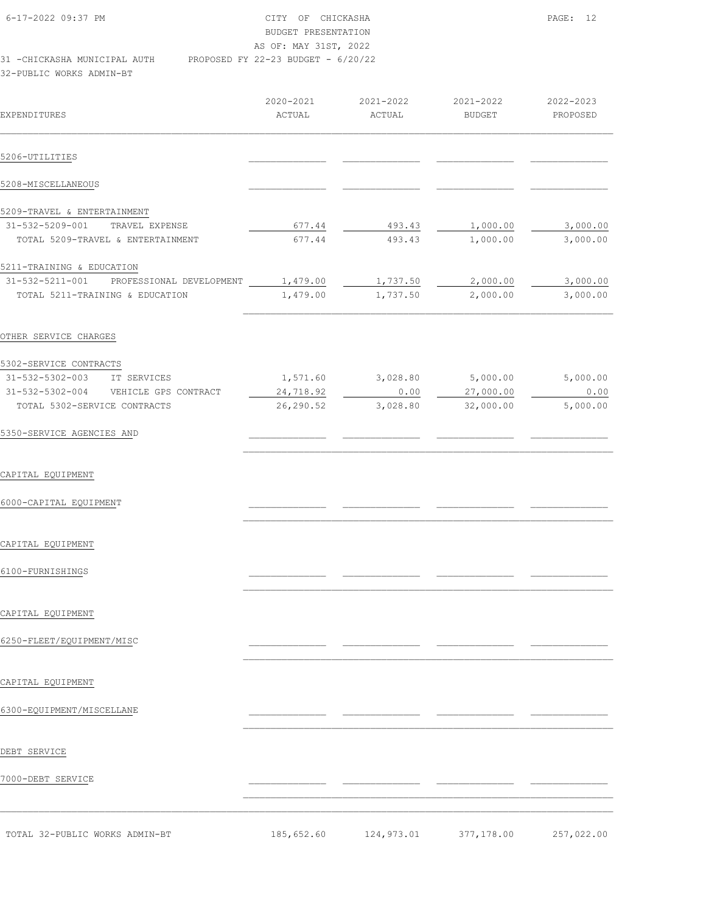| 6-17-2022 09:37 PM           | CITY OF CHICKASHA                    | PAGE: 12 |
|------------------------------|--------------------------------------|----------|
|                              | BUDGET PRESENTATION                  |          |
|                              | AS OF: MAY 31ST, 2022                |          |
| 31 -CHICKASHA MUNICIPAL AUTH | PROPOSED FY 22-23 BUDGET - $6/20/22$ |          |
| 32-PUBLIC WORKS ADMIN-BT     |                                      |          |

 2020-2021 2021-2022 2021-2022 2022-2023 EXPENDITURES ACTUAL ACTUAL BUDGET PROPOSED  $\mathcal{L}_\text{max} = \mathcal{L}_\text{max} = \mathcal{L}_\text{max} = \mathcal{L}_\text{max} = \mathcal{L}_\text{max} = \mathcal{L}_\text{max} = \mathcal{L}_\text{max} = \mathcal{L}_\text{max} = \mathcal{L}_\text{max} = \mathcal{L}_\text{max} = \mathcal{L}_\text{max} = \mathcal{L}_\text{max} = \mathcal{L}_\text{max} = \mathcal{L}_\text{max} = \mathcal{L}_\text{max} = \mathcal{L}_\text{max} = \mathcal{L}_\text{max} = \mathcal{L}_\text{max} = \mathcal{$ 5206-UTIL<u>ITIE</u>S 5208-MISCELLANEOUS \_\_\_\_\_\_\_\_\_\_\_\_\_\_ \_\_\_\_\_\_\_\_\_\_\_\_\_\_ \_\_\_\_\_\_\_\_\_\_\_\_\_\_ \_\_\_\_\_\_\_\_\_\_\_\_\_\_ 5209-TRAVEL & ENTERTAINMENT<br>31-532-5209-001 TRAVEL EXPENSE<br>TOTAL 5209-TRAVEL & ENTERTAINMENT 31-532-5209-001 TRAVEL EXPENSE 677.44 493.43 1,000.00 3,000.00 TOTAL 5209-TRAVEL & ENTERTAINMENT 677.44 493.43 1,000.00 3,000.00 5211-TRAINING & EDUCATION 31-532-5211-001 PROFESSIONAL DEVELOPMENT 1,479.00 1,737.50 2,000.00 3,000.00 TOTAL 5211-TRAINING & EDUCATION 1,479.00 1,737.50 2,000.00 3,000.00  $\mathcal{L}_\text{max}$ OTHER SERVICE CHARGES 5302-SERVICE CONTRACTS 31-532-5302-003 IT SERVICES 1,571.60 3,028.80 5,000.00 5,000.00 31-532-5302-004 VEHICLE GPS CONTRACT 24,718.92 0.00 27,000.00 0.00 TOTAL 5302-SERVICE CONTRACTS 26,290.52 3,028.80 32,000.00 5,000.00 5350-SERVICE AGENCIES AND  $\mathcal{L}_\text{max}$ CAPITAL EQUIPMENT 6000-CAPITAL EQUIPMENT \_\_\_\_\_\_\_\_\_\_\_\_\_\_ \_\_\_\_\_\_\_\_\_\_\_\_\_\_ \_\_\_\_\_\_\_\_\_\_\_\_\_\_ \_\_\_\_\_\_\_\_\_\_\_\_\_\_  $\mathcal{L}_\text{max}$ CAPITAL EQUIPMENT 6100-FURNISHINGS \_\_\_\_\_\_\_\_\_\_\_\_\_\_ \_\_\_\_\_\_\_\_\_\_\_\_\_\_ \_\_\_\_\_\_\_\_\_\_\_\_\_\_ \_\_\_\_\_\_\_\_\_\_\_\_\_\_  $\mathcal{L}_\text{max}$ 

CAPITAL EQUIPMENT

6250-FLEET/EQUIPMENT/MISC \_\_\_\_\_\_\_\_\_\_\_\_\_\_ \_\_\_\_\_\_\_\_\_\_\_\_\_\_ \_\_\_\_\_\_\_\_\_\_\_\_\_\_ \_\_\_\_\_\_\_\_\_\_\_\_\_\_

CAPITAL EQUIPMENT

6300-EQUIPMENT/MISCELLANE \_\_\_\_\_\_\_\_\_\_\_\_\_\_ \_\_\_\_\_\_\_\_\_\_\_\_\_\_ \_\_\_\_\_\_\_\_\_\_\_\_\_\_ \_\_\_\_\_\_\_\_\_\_\_\_\_\_

DEBT SERVICE

7000-DEBT SERVICE

TOTAL 32-PUBLIC WORKS ADMIN-BT 185,652.60 124,973.01 377,178.00 257,022.00

 $\mathcal{L}_\text{max}$ 

 $\mathcal{L}_\text{max}$ 

 $\mathcal{L}_\text{max}$  $\mathcal{L}_\text{max} = \mathcal{L}_\text{max} = \mathcal{L}_\text{max} = \mathcal{L}_\text{max} = \mathcal{L}_\text{max} = \mathcal{L}_\text{max} = \mathcal{L}_\text{max} = \mathcal{L}_\text{max} = \mathcal{L}_\text{max} = \mathcal{L}_\text{max} = \mathcal{L}_\text{max} = \mathcal{L}_\text{max} = \mathcal{L}_\text{max} = \mathcal{L}_\text{max} = \mathcal{L}_\text{max} = \mathcal{L}_\text{max} = \mathcal{L}_\text{max} = \mathcal{L}_\text{max} = \mathcal{$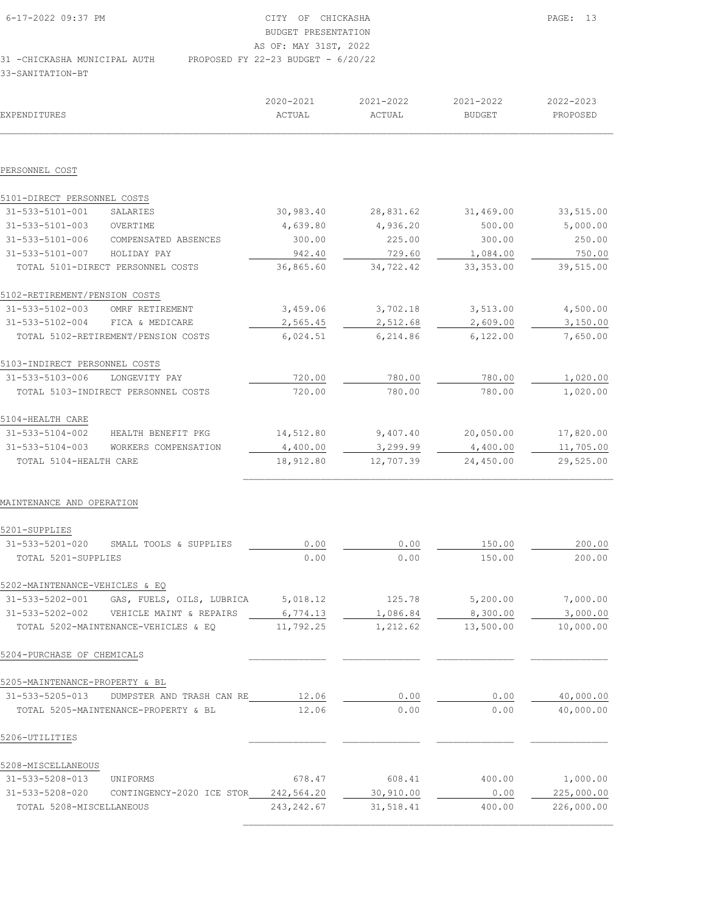| 6-17-2022 09:37 PM           | CITY OF CHICKASHA                    | PAGE: 13 |
|------------------------------|--------------------------------------|----------|
|                              | BUDGET PRESENTATION                  |          |
|                              | AS OF: MAY 31ST, 2022                |          |
| 31 -CHICKASHA MUNICIPAL AUTH | PROPOSED FY 22-23 BUDGET - $6/20/22$ |          |
| 33-SANITATION-BT             |                                      |          |

| EXPENDITURES                   |                                         | 2020-2021<br>ACTUAL | 2021-2022<br><b>ACTUAL</b> | 2021-2022<br><b>BUDGET</b> | 2022-2023<br>PROPOSED |
|--------------------------------|-----------------------------------------|---------------------|----------------------------|----------------------------|-----------------------|
|                                |                                         |                     |                            |                            |                       |
| PERSONNEL COST                 |                                         |                     |                            |                            |                       |
| 5101-DIRECT PERSONNEL COSTS    |                                         |                     |                            |                            |                       |
| 31-533-5101-001                | SALARIES                                | 30,983.40           | 28,831.62                  | 31,469.00                  | 33,515.00             |
| 31-533-5101-003                | OVERTIME                                | 4,639.80            | 4,936.20                   | 500.00                     | 5,000.00              |
| 31-533-5101-006                | COMPENSATED ABSENCES                    | 300.00              | 225.00                     | 300.00                     | 250.00                |
| 31-533-5101-007                | HOLIDAY PAY                             | 942.40              | 729.60                     | 1,084.00                   | 750.00                |
|                                | TOTAL 5101-DIRECT PERSONNEL COSTS       | 36,865.60           | 34,722.42                  | 33, 353.00                 | 39,515.00             |
| 5102-RETIREMENT/PENSION COSTS  |                                         |                     |                            |                            |                       |
| 31-533-5102-003                | OMRF RETIREMENT                         | 3,459.06            | 3,702.18                   | 3,513.00                   | 4,500.00              |
| $31 - 533 - 5102 - 004$        | FICA & MEDICARE                         | 2,565.45            | 2,512.68                   | 2,609.00                   | 3,150.00              |
|                                | TOTAL 5102-RETIREMENT/PENSION COSTS     | 6,024.51            | 6,214.86                   | 6,122.00                   | 7,650.00              |
| 5103-INDIRECT PERSONNEL COSTS  |                                         |                     |                            |                            |                       |
| 31-533-5103-006                | LONGEVITY PAY                           | 720.00              | 780.00                     | 780.00                     | 1,020.00              |
|                                | TOTAL 5103-INDIRECT PERSONNEL COSTS     | 720.00              | 780.00                     | 780.00                     | 1,020.00              |
| 5104-HEALTH CARE               |                                         |                     |                            |                            |                       |
| 31-533-5104-002                | HEALTH BENEFIT PKG                      | 14,512.80           | 9,407.40                   | 20,050.00                  | 17,820.00             |
| $31 - 533 - 5104 - 003$        | WORKERS COMPENSATION                    | 4,400.00            | 3,299.99                   | 4,400.00                   | 11,705.00             |
| TOTAL 5104-HEALTH CARE         |                                         | 18,912.80           | 12,707.39                  | 24,450.00                  | 29,525.00             |
| MAINTENANCE AND OPERATION      |                                         |                     |                            |                            |                       |
| 5201-SUPPLIES                  |                                         |                     |                            |                            |                       |
| $31 - 533 - 5201 - 020$        | SMALL TOOLS & SUPPLIES                  | 0.00                | 0.00                       | 150.00                     | 200.00                |
| TOTAL 5201-SUPPLIES            |                                         | 0.00                | 0.00                       | 150.00                     | 200.00                |
| 5202-MAINTENANCE-VEHICLES & EQ |                                         |                     |                            |                            |                       |
| 31-533-5202-001                | GAS, FUELS, OILS, LUBRICA               | 5,018.12            | 125.78                     | 5,200.00                   | 7,000.00              |
|                                | 31-533-5202-002 VEHICLE MAINT & REPAIRS | 6,774.13            | 1,086.84                   | 8,300.00                   | 3,000.00              |
|                                | TOTAL 5202-MAINTENANCE-VEHICLES & EQ    | 11,792.25           | 1,212.62                   | 13,500.00                  | 10,000.00             |
| 5204-PURCHASE OF CHEMICALS     |                                         |                     |                            |                            |                       |
| 5205-MAINTENANCE-PROPERTY & BL |                                         |                     |                            |                            |                       |
| 31-533-5205-013                | DUMPSTER AND TRASH CAN RE               | 12.06               | 0.00                       | 0.00                       | 40,000.00             |
|                                | TOTAL 5205-MAINTENANCE-PROPERTY & BL    | 12.06               | 0.00                       | 0.00                       | 40,000.00             |
| 5206-UTILITIES                 |                                         |                     |                            |                            |                       |
| 5208-MISCELLANEOUS             |                                         |                     |                            |                            |                       |
| 31-533-5208-013                | UNIFORMS                                | 678.47              | 608.41                     | 400.00                     | 1,000.00              |
| 31-533-5208-020                | CONTINGENCY-2020 ICE STOR               | 242,564.20          | 30,910.00                  | 0.00                       | 225,000.00            |
| TOTAL 5208-MISCELLANEOUS       |                                         | 243, 242.67         | 31,518.41                  | 400.00                     | 226,000.00            |

 $\mathcal{L}_\text{max}$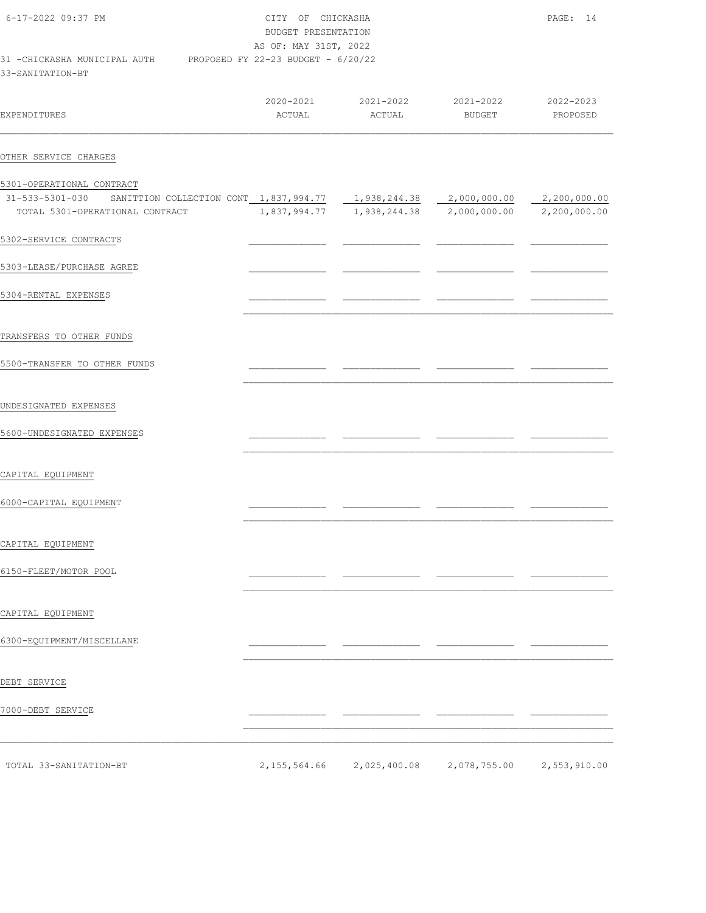| 6-17-2022 09:37 PM                                | OF<br>CITY<br>BUDGET PRESENTATION<br>AS OF: MAY 31ST, 2022 | PAGE: 14            |                     |                       |
|---------------------------------------------------|------------------------------------------------------------|---------------------|---------------------|-----------------------|
| 31 - CHICKASHA MUNICIPAL AUTH<br>33-SANITATION-BT | PROPOSED FY 22-23 BUDGET - 6/20/22                         |                     |                     |                       |
| EXPENDITURES                                      | 2020-2021<br>ACTUAL                                        | 2021-2022<br>ACTUAL | 2021-2022<br>BUDGET | 2022-2023<br>PROPOSED |
| OTHER SERVICE CHARGES                             |                                                            |                     |                     |                       |

| 31-533-5301-030           | SANITTION COLLECTION CONT 1,837,994.77 |              | 1,938,244.38 | 2,000,000.00 | 2,200,000.00 |
|---------------------------|----------------------------------------|--------------|--------------|--------------|--------------|
|                           | TOTAL 5301-OPERATIONAL CONTRACT        | 1,837,994.77 | 1,938,244.38 | 2,000,000.00 | 2,200,000.00 |
| 5302-SERVICE CONTRACTS    |                                        |              |              |              |              |
| 5303-LEASE/PURCHASE AGREE |                                        |              |              |              |              |
| 5304-RENTAL EXPENSES      |                                        |              |              |              |              |

 $\mathcal{L}_\text{max}$ 

 $\mathcal{L}_\text{max}$ 

 $\mathcal{L}_\text{max}$ 

 $\mathcal{L}_\text{max}$ 

 $\mathcal{L}_\text{max}$ 

 $\mathcal{L}_\text{max}$ 

TRANSFERS TO OTHER FUNDS

5301-OPERATIONAL CONTRACT

5500-TRANSFER TO OTHER FUNDS \_\_\_\_\_\_\_\_\_\_\_\_\_\_ \_\_\_\_\_\_\_\_\_\_\_\_\_\_ \_\_\_\_\_\_\_\_\_\_\_\_\_\_ \_\_\_\_\_\_\_\_\_\_\_\_\_\_

### UNDESIGNATED EXPENSES

5600-UNDESIGNATED EXPENSES \_\_\_\_\_\_\_\_\_\_\_\_\_\_ \_\_\_\_\_\_\_\_\_\_\_\_\_\_ \_\_\_\_\_\_\_\_\_\_\_\_\_\_ \_\_\_\_\_\_\_\_\_\_\_\_\_\_

CAPITAL EQUIPMENT

6000-CAPITAL EQUIPMENT \_\_\_\_\_\_\_\_\_\_\_\_\_\_ \_\_\_\_\_\_\_\_\_\_\_\_\_\_ \_\_\_\_\_\_\_\_\_\_\_\_\_\_ \_\_\_\_\_\_\_\_\_\_\_\_\_\_

#### CAPITAL EQUIPMENT

6150-FLEET/MOTOR POOL \_\_\_\_\_\_\_\_\_\_\_\_\_\_ \_\_\_\_\_\_\_\_\_\_\_\_\_\_ \_\_\_\_\_\_\_\_\_\_\_\_\_\_ \_\_\_\_\_\_\_\_\_\_\_\_\_\_

CAPITAL EQUIPMENT

6300-EQUIPMENT/MISCELLANE \_\_\_\_\_\_\_\_\_\_\_\_\_\_ \_\_\_\_\_\_\_\_\_\_\_\_\_\_ \_\_\_\_\_\_\_\_\_\_\_\_\_\_ \_\_\_\_\_\_\_\_\_\_\_\_\_\_

DEBT SERVICE

7000-DEBT SERVICE \_\_\_\_\_\_\_\_\_\_\_\_\_\_ \_\_\_\_\_\_\_\_\_\_\_\_\_\_ \_\_\_\_\_\_\_\_\_\_\_\_\_\_ \_\_\_\_\_\_\_\_\_\_\_\_\_\_

TOTAL 33-SANITATION-BT 2,155,564.66 2,025,400.08 2,078,755.00 2,553,910.00

 $\mathcal{L}_\text{max}$  $\mathcal{L}_\text{max} = \mathcal{L}_\text{max} = \mathcal{L}_\text{max} = \mathcal{L}_\text{max} = \mathcal{L}_\text{max} = \mathcal{L}_\text{max} = \mathcal{L}_\text{max} = \mathcal{L}_\text{max} = \mathcal{L}_\text{max} = \mathcal{L}_\text{max} = \mathcal{L}_\text{max} = \mathcal{L}_\text{max} = \mathcal{L}_\text{max} = \mathcal{L}_\text{max} = \mathcal{L}_\text{max} = \mathcal{L}_\text{max} = \mathcal{L}_\text{max} = \mathcal{L}_\text{max} = \mathcal{$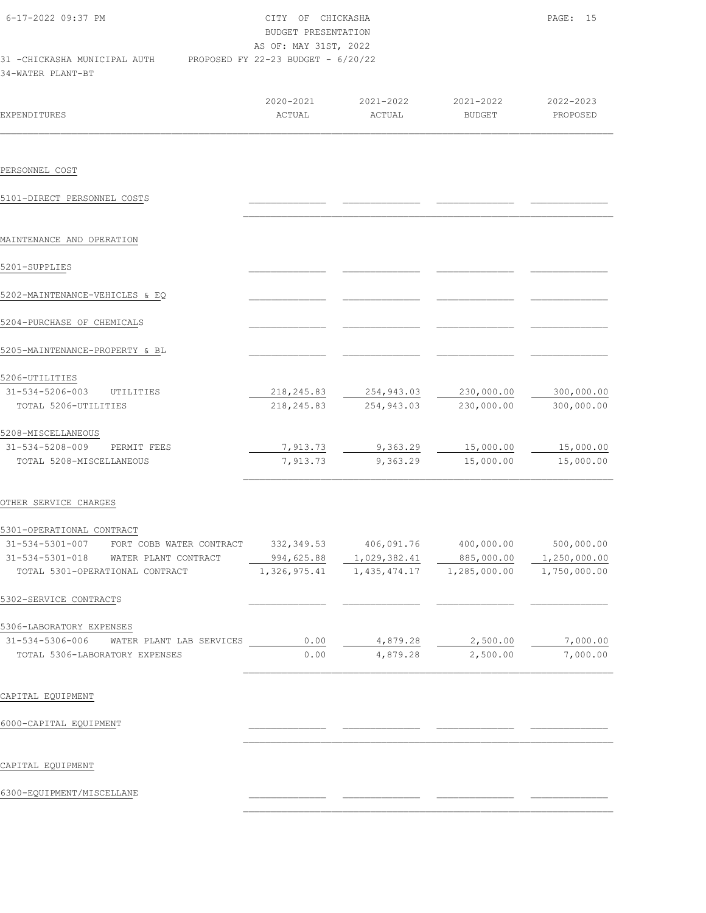| 6-17-2022 09:37 PM                                 | OF<br>CTTY .                         | CHICKASHA |           | PAGE:         | 15 |
|----------------------------------------------------|--------------------------------------|-----------|-----------|---------------|----|
|                                                    | BUDGET PRESENTATION                  |           |           |               |    |
|                                                    | AS OF: MAY 31ST, 2022                |           |           |               |    |
| 31 - CHICKASHA MUNICIPAL AUTH<br>34-WATER PLANT-BT | PROPOSED FY 22-23 BUDGET - $6/20/22$ |           |           |               |    |
|                                                    | 2020-2021                            | 2021-2022 | 2021-2022 | $2022 - 2023$ |    |

| <b>EXPENDITURES</b>             |                          | ACTUAL       | ACTUAL         | <b>BUDGET</b> | PROPOSED     |
|---------------------------------|--------------------------|--------------|----------------|---------------|--------------|
|                                 |                          |              |                |               |              |
| PERSONNEL COST                  |                          |              |                |               |              |
| 5101-DIRECT PERSONNEL COSTS     |                          |              |                |               |              |
| MAINTENANCE AND OPERATION       |                          |              |                |               |              |
| 5201-SUPPLIES                   |                          |              |                |               |              |
| 5202-MAINTENANCE-VEHICLES & EQ  |                          |              |                |               |              |
| 5204-PURCHASE OF CHEMICALS      |                          |              |                |               |              |
| 5205-MAINTENANCE-PROPERTY & BL  |                          |              |                |               |              |
| 5206-UTILITIES                  |                          |              |                |               |              |
| 31-534-5206-003                 | UTILITIES                | 218, 245.83  | 254,943.03     | 230,000.00    | 300,000.00   |
| TOTAL 5206-UTILITIES            |                          | 218, 245.83  | 254, 943.03    | 230,000.00    | 300,000.00   |
| 5208-MISCELLANEOUS              |                          |              |                |               |              |
| 31-534-5208-009                 | PERMIT FEES              | 7,913.73     | 9,363.29       | 15,000.00     | 15,000.00    |
| TOTAL 5208-MISCELLANEOUS        |                          | 7,913.73     | 9,363.29       | 15,000.00     | 15,000.00    |
| OTHER SERVICE CHARGES           |                          |              |                |               |              |
| 5301-OPERATIONAL CONTRACT       |                          |              |                |               |              |
| 31-534-5301-007                 | FORT COBB WATER CONTRACT | 332, 349.53  | 406,091.76     | 400,000.00    | 500,000.00   |
| 31-534-5301-018                 | WATER PLANT CONTRACT     | 994,625.88   | 1,029,382.41   | 885,000.00    | 1,250,000.00 |
| TOTAL 5301-OPERATIONAL CONTRACT |                          | 1,326,975.41 | 1, 435, 474.17 | 1,285,000.00  | 1,750,000.00 |
| 5302-SERVICE CONTRACTS          |                          |              |                |               |              |

5306-LABORATORY EXPENSES

| $31 - 534 - 5306 - 006$ | WATER PLANT LAB SERVICES       | 0.00 | 4,879.28 | 2,500.00 | 7,000.00 |
|-------------------------|--------------------------------|------|----------|----------|----------|
|                         | TOTAL 5306-LABORATORY EXPENSES | 0.00 | 4.879.28 | 2,500.00 | 7,000.00 |
|                         |                                |      |          |          |          |

 $\mathcal{L}_\text{max}$ 

 $\mathcal{L}_\text{max}$ 

## CAPITAL EQUIPMENT

6000-CAPITAL EQUIPMENT \_\_\_\_\_\_\_\_\_\_\_\_\_\_ \_\_\_\_\_\_\_\_\_\_\_\_\_\_ \_\_\_\_\_\_\_\_\_\_\_\_\_\_ \_\_\_\_\_\_\_\_\_\_\_\_\_\_

### CAPITAL EQUIPMENT

6300-EQUIPMENT/MISCELLANE \_\_\_\_\_\_\_\_\_\_\_\_\_\_ \_\_\_\_\_\_\_\_\_\_\_\_\_\_ \_\_\_\_\_\_\_\_\_\_\_\_\_\_ \_\_\_\_\_\_\_\_\_\_\_\_\_\_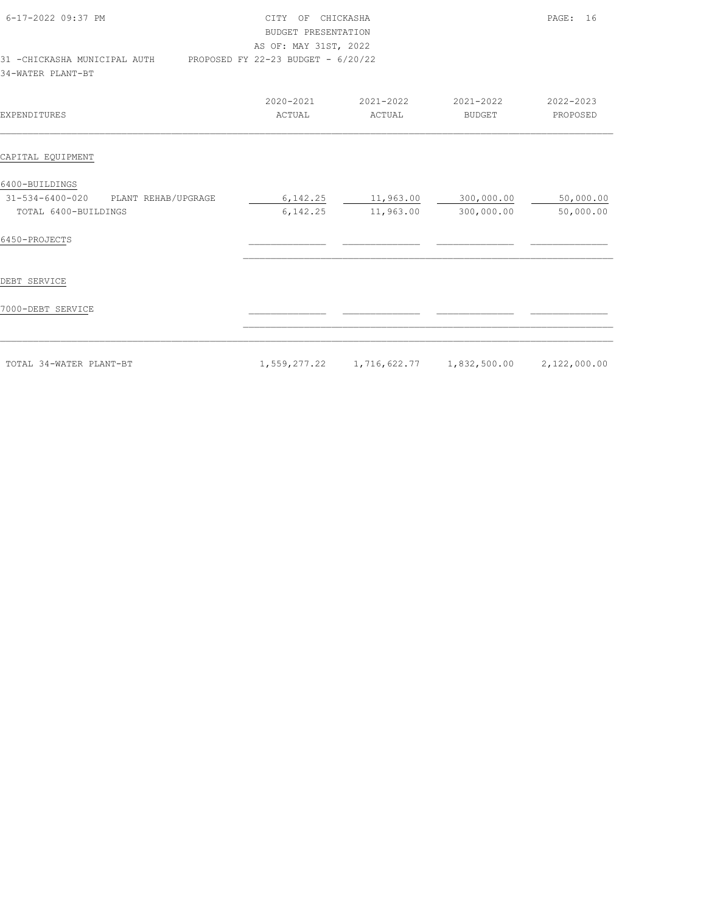| 6-17-2022 09:37 PM<br>31 -CHICKASHA MUNICIPAL AUTH PROPOSED FY 22-23 BUDGET - 6/20/22 | CITY OF CHICKASHA<br>BUDGET PRESENTATION<br>AS OF: MAY 31ST, 2022 |                     |                                                             | PAGE: 16               |
|---------------------------------------------------------------------------------------|-------------------------------------------------------------------|---------------------|-------------------------------------------------------------|------------------------|
| 34-WATER PLANT-BT                                                                     |                                                                   |                     |                                                             |                        |
| <b>EXPENDITURES</b>                                                                   | 2020-2021<br>ACTUAL                                               | 2021-2022<br>ACTUAL | 2021-2022<br>BUDGET                                         | 2022-2023<br>PROPOSED  |
| CAPITAL EQUIPMENT                                                                     |                                                                   |                     |                                                             |                        |
| 6400-BUILDINGS<br>PLANT REHAB/UPGRAGE<br>31-534-6400-020<br>TOTAL 6400-BUILDINGS      | 6,142.25                                                          | 11,963.00           | $6,142.25$ 11,963.00 300,000.00<br>300,000.00               | 50,000.00<br>50,000.00 |
| 6450-PROJECTS                                                                         |                                                                   |                     |                                                             |                        |
| DEBT SERVICE                                                                          |                                                                   |                     |                                                             |                        |
| 7000-DEBT SERVICE                                                                     |                                                                   |                     |                                                             |                        |
| TOTAL 34-WATER PLANT-BT                                                               |                                                                   |                     | $1,559,277.22$ $1,716,622.77$ $1,832,500.00$ $2,122,000.00$ |                        |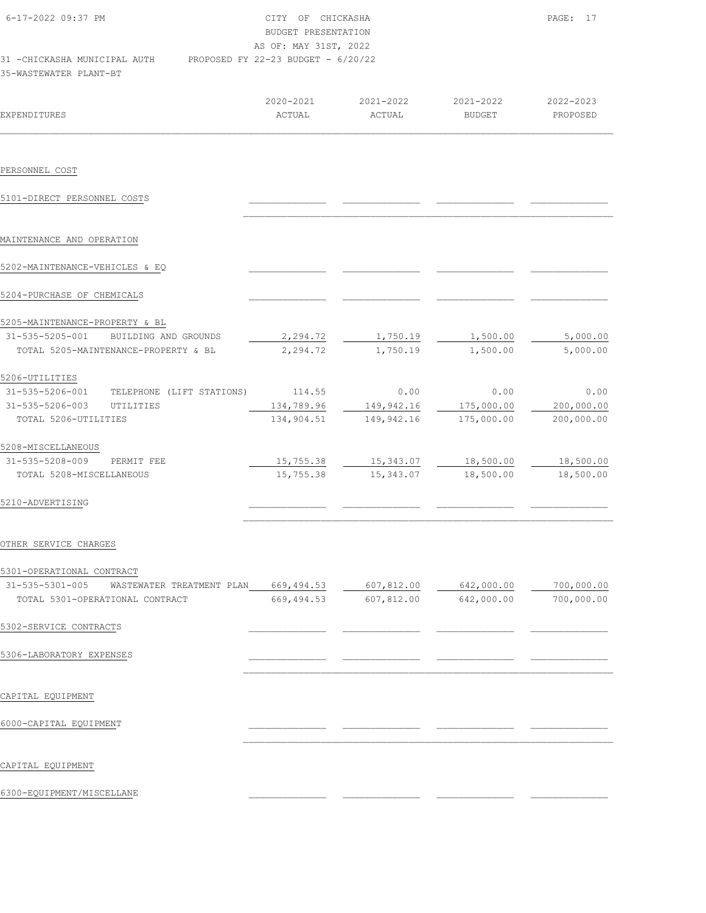| 6-17-2022 09:37 PM                                                                                                     | CITY OF CHICKASHA<br>BUDGET PRESENTATION<br>AS OF: MAY 31ST, 2022 |                                  |                                  | PAGE: 17                         |  |
|------------------------------------------------------------------------------------------------------------------------|-------------------------------------------------------------------|----------------------------------|----------------------------------|----------------------------------|--|
| 31 - CHICKASHA MUNICIPAL AUTH<br>35-WASTEWATER PLANT-BT                                                                | PROPOSED FY 22-23 BUDGET - 6/20/22                                |                                  |                                  |                                  |  |
| <b>EXPENDITURES</b>                                                                                                    | 2020-2021<br>ACTUAL                                               | 2021-2022<br>ACTUAL              | 2021-2022<br><b>BUDGET</b>       | 2022-2023<br>PROPOSED            |  |
| PERSONNEL COST                                                                                                         |                                                                   |                                  |                                  |                                  |  |
| 5101-DIRECT PERSONNEL COSTS                                                                                            |                                                                   |                                  |                                  |                                  |  |
| MAINTENANCE AND OPERATION                                                                                              |                                                                   |                                  |                                  |                                  |  |
| 5202-MAINTENANCE-VEHICLES & EQ                                                                                         |                                                                   |                                  |                                  |                                  |  |
| 5204-PURCHASE OF CHEMICALS                                                                                             |                                                                   |                                  |                                  |                                  |  |
| 5205-MAINTENANCE-PROPERTY & BL<br>31-535-5205-001<br>BUILDING AND GROUNDS<br>TOTAL 5205-MAINTENANCE-PROPERTY & BL      | 2,294.72<br>2,294.72                                              | 1,750.19<br>1,750.19             | 1,500.00<br>1,500.00             | 5,000.00<br>5,000.00             |  |
| 5206-UTILITIES<br>31-535-5206-001<br>TELEPHONE (LIFT STATIONS)<br>31-535-5206-003<br>UTILITIES<br>TOTAL 5206-UTILITIES | 114.55<br>134,789.96<br>134,904.51                                | 0.00<br>149,942.16<br>149,942.16 | 0.00<br>175,000.00<br>175,000.00 | 0.00<br>200,000.00<br>200,000.00 |  |
| 5208-MISCELLANEOUS<br>31-535-5208-009<br>PERMIT FEE<br>TOTAL 5208-MISCELLANEOUS                                        | 15,755.38<br>15,755.38                                            | 15,343.07<br>15,343.07           | 18,500.00<br>18,500.00           | 18,500.00<br>18,500.00           |  |
| 5210-ADVERTISING                                                                                                       |                                                                   |                                  |                                  |                                  |  |
| OTHER SERVICE CHARGES                                                                                                  |                                                                   |                                  |                                  |                                  |  |
| 5301-OPERATIONAL CONTRACT<br>31-535-5301-005<br>WASTEWATER TREATMENT PLAN<br>TOTAL 5301-OPERATIONAL CONTRACT           | 669,494.53<br>669, 494.53                                         | 607,812.00<br>607,812.00         | 642,000.00<br>642,000.00         | 700,000.00<br>700,000.00         |  |
| 5302-SERVICE CONTRACTS                                                                                                 |                                                                   |                                  |                                  |                                  |  |
| 5306-LABORATORY EXPENSES                                                                                               |                                                                   |                                  |                                  |                                  |  |
| CAPITAL EQUIPMENT                                                                                                      |                                                                   |                                  |                                  |                                  |  |
| 6000-CAPITAL EQUIPMENT                                                                                                 |                                                                   |                                  |                                  |                                  |  |
|                                                                                                                        |                                                                   |                                  |                                  |                                  |  |

CAPITAL EQUIPMENT

6300-EQUIPMENT/MISCELLANE \_\_\_\_\_\_\_\_\_\_\_\_\_\_ \_\_\_\_\_\_\_\_\_\_\_\_\_\_ \_\_\_\_\_\_\_\_\_\_\_\_\_\_ \_\_\_\_\_\_\_\_\_\_\_\_\_\_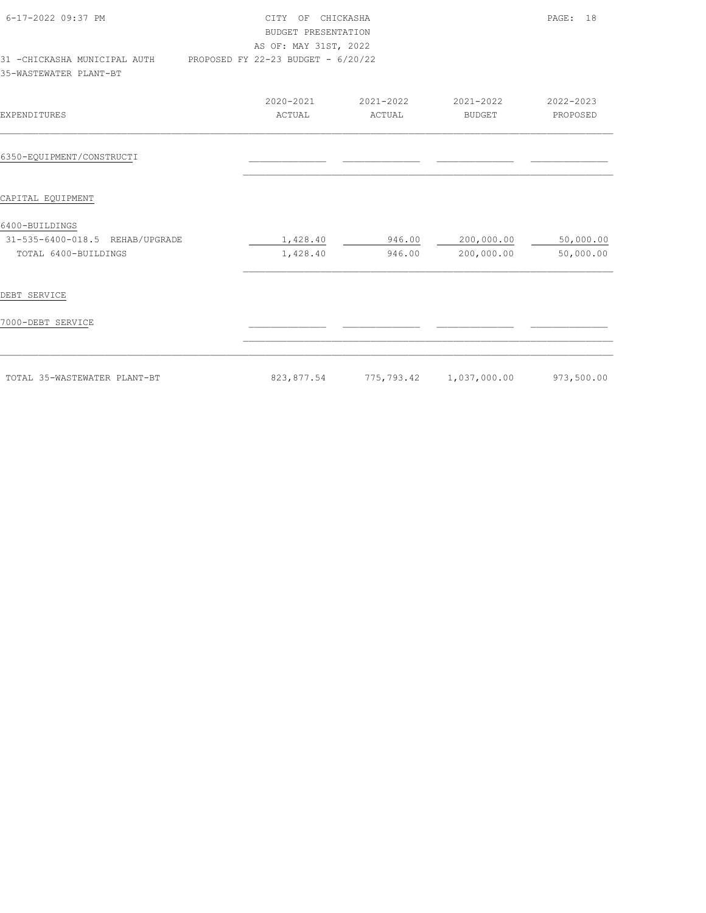| 6-17-2022 09:37 PM<br>31 -CHICKASHA MUNICIPAL AUTH PROPOSED FY 22-23 BUDGET - 6/20/22 | CITY OF CHICKASHA<br>BUDGET PRESENTATION<br>AS OF: MAY 31ST, 2022 |           |                         | PAGE: 18   |
|---------------------------------------------------------------------------------------|-------------------------------------------------------------------|-----------|-------------------------|------------|
| 35-WASTEWATER PLANT-BT                                                                |                                                                   |           |                         |            |
|                                                                                       | 2020-2021                                                         | 2021-2022 | 2021-2022               | 2022-2023  |
| <b>EXPENDITURES</b>                                                                   | ACTUAL                                                            | ACTUAL    | <b>BUDGET</b>           | PROPOSED   |
| 6350-EQUIPMENT/CONSTRUCTI                                                             |                                                                   |           |                         |            |
| CAPITAL EQUIPMENT                                                                     |                                                                   |           |                         |            |
| 6400-BUILDINGS                                                                        |                                                                   |           |                         |            |
| 31-535-6400-018.5 REHAB/UPGRADE                                                       | 1,428.40                                                          | 946.00    | 200,000.00              | 50,000.00  |
| TOTAL 6400-BUILDINGS                                                                  | 1,428.40                                                          | 946.00    | 200,000.00              | 50,000.00  |
| DEBT SERVICE                                                                          |                                                                   |           |                         |            |
| 7000-DEBT SERVICE                                                                     |                                                                   |           |                         |            |
|                                                                                       |                                                                   |           |                         |            |
| TOTAL 35-WASTEWATER PLANT-BT                                                          | 823,877.54                                                        |           | 775,793.42 1,037,000.00 | 973,500.00 |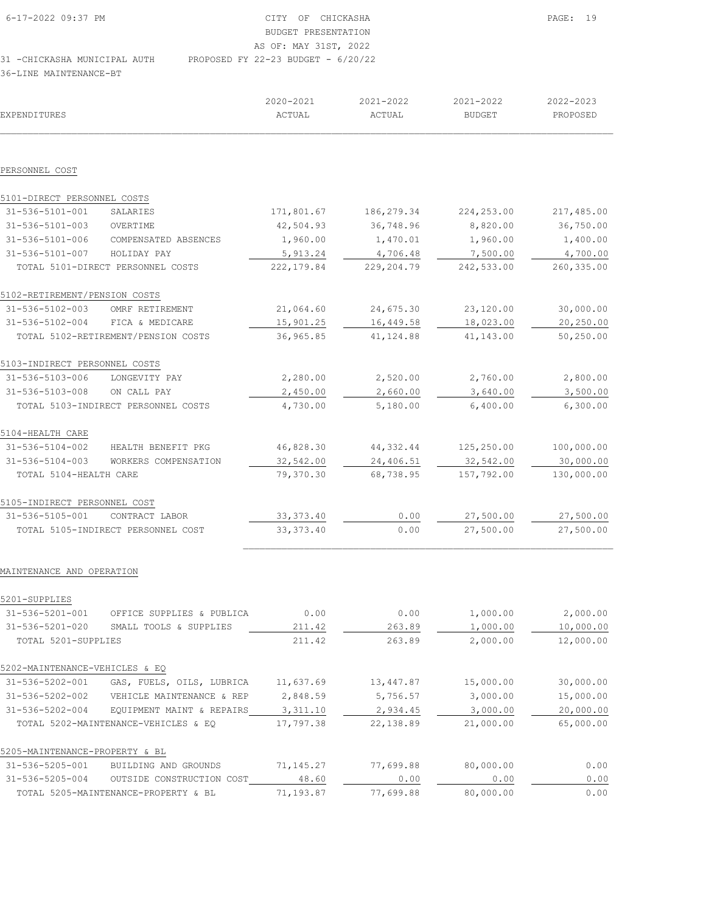| 6-17-2022 09:37 PM           | CITY OF CHICKASHA                    |
|------------------------------|--------------------------------------|
|                              | BUDGET PRESENTATION                  |
|                              | AS OF: MAY 31ST, 2022                |
| 31 -CHICKASHA MUNICIPAL AUTH | PROPOSED FY 22-23 BUDGET - $6/20/22$ |

36-LINE MAINTENANCE-BT

| EXPENDITURES                   |                                           | 2020-2021<br>ACTUAL | 2021-2022<br>ACTUAL | 2021-2022<br><b>BUDGET</b> | 2022-2023<br>PROPOSED |
|--------------------------------|-------------------------------------------|---------------------|---------------------|----------------------------|-----------------------|
| PERSONNEL COST                 |                                           |                     |                     |                            |                       |
| 5101-DIRECT PERSONNEL COSTS    |                                           |                     |                     |                            |                       |
| $31 - 536 - 5101 - 001$        | SALARIES                                  | 171,801.67          | 186,279.34          | 224,253.00                 | 217,485.00            |
| $31 - 536 - 5101 - 003$        | OVERTIME                                  | 42,504.93           | 36,748.96           | 8,820.00                   | 36,750.00             |
| 31-536-5101-006                | COMPENSATED ABSENCES                      | 1,960.00            | 1,470.01            | 1,960.00                   | 1,400.00              |
| 31-536-5101-007                | HOLIDAY PAY                               | 5,913.24            | 4,706.48            | 7,500.00                   | 4,700.00              |
|                                | TOTAL 5101-DIRECT PERSONNEL COSTS         | 222,179.84          | 229,204.79          | 242,533.00                 | 260,335.00            |
| 5102-RETIREMENT/PENSION COSTS  |                                           |                     |                     |                            |                       |
| 31-536-5102-003                | OMRF RETIREMENT                           | 21,064.60           | 24,675.30           | 23,120.00                  | 30,000.00             |
| 31-536-5102-004                | FICA & MEDICARE                           | 15,901.25           | 16,449.58           | 18,023.00                  | 20,250.00             |
|                                | TOTAL 5102-RETIREMENT/PENSION COSTS       | 36,965.85           | 41, 124.88          | 41,143.00                  | 50,250.00             |
| 5103-INDIRECT PERSONNEL COSTS  |                                           |                     |                     |                            |                       |
| 31-536-5103-006                | LONGEVITY PAY                             | 2,280.00            | 2,520.00            | 2,760.00                   | 2,800.00              |
| 31-536-5103-008                | ON CALL PAY                               | 2,450.00            | 2,660.00            | 3,640.00                   | 3,500.00              |
|                                | TOTAL 5103-INDIRECT PERSONNEL COSTS       | 4,730.00            | 5,180.00            | 6,400.00                   | 6,300.00              |
| 5104-HEALTH CARE               |                                           |                     |                     |                            |                       |
| 31-536-5104-002                | HEALTH BENEFIT PKG                        | 46,828.30           | 44, 332.44          | 125,250.00                 | 100,000.00            |
| 31-536-5104-003                | WORKERS COMPENSATION                      | 32,542.00           | 24,406.51           | 32,542.00                  | 30,000.00             |
| TOTAL 5104-HEALTH CARE         |                                           | 79,370.30           | 68,738.95           | 157,792.00                 | 130,000.00            |
| 5105-INDIRECT PERSONNEL COST   |                                           |                     |                     |                            |                       |
| 31-536-5105-001                | CONTRACT LABOR                            | 33, 373.40          | 0.00                | 27,500.00                  | 27,500.00             |
|                                | TOTAL 5105-INDIRECT PERSONNEL COST        | 33, 373.40          | 0.00                | 27,500.00                  | 27,500.00             |
| MAINTENANCE AND OPERATION      |                                           |                     |                     |                            |                       |
| 5201-SUPPLIES                  |                                           |                     |                     |                            |                       |
| 31-536-5201-001                | OFFICE SUPPLIES & PUBLICA                 | 0.00                | 0.00                | 1,000.00                   | 2,000.00              |
| 31-536-5201-020                | SMALL TOOLS & SUPPLIES                    | 211.42              | 263.89              | 1,000.00                   | 10,000.00             |
| TOTAL 5201-SUPPLIES            |                                           | 211.42              | 263.89              | 2,000.00                   | 12,000.00             |
| 5202-MAINTENANCE-VEHICLES & EQ |                                           |                     |                     |                            |                       |
| 31-536-5202-001                | GAS, FUELS, OILS, LUBRICA                 | 11,637.69           | 13, 447.87          | 15,000.00                  | 30,000.00             |
|                                | 31-536-5202-002 VEHICLE MAINTENANCE & REP | 2,848.59            | 5,756.57            | 3,000.00                   | 15,000.00             |
| 31-536-5202-004                | EQUIPMENT MAINT & REPAIRS                 | 3,311.10            | 2,934.45            | 3,000.00                   | 20,000.00             |
|                                | TOTAL 5202-MAINTENANCE-VEHICLES & EO      | 17,797.38           | 22, 138.89          | 21,000.00                  | 65,000.00             |
| 5205-MAINTENANCE-PROPERTY & BL |                                           |                     |                     |                            |                       |
| 31-536-5205-001                | BUILDING AND GROUNDS                      | 71,145.27           | 77,699.88           | 80,000.00                  | 0.00                  |
| 31-536-5205-004                | OUTSIDE CONSTRUCTION COST                 | 48.60               | 0.00                | 0.00                       | 0.00                  |
|                                | TOTAL 5205-MAINTENANCE-PROPERTY & BL      | 71,193.87           | 77,699.88           | 80,000.00                  | 0.00                  |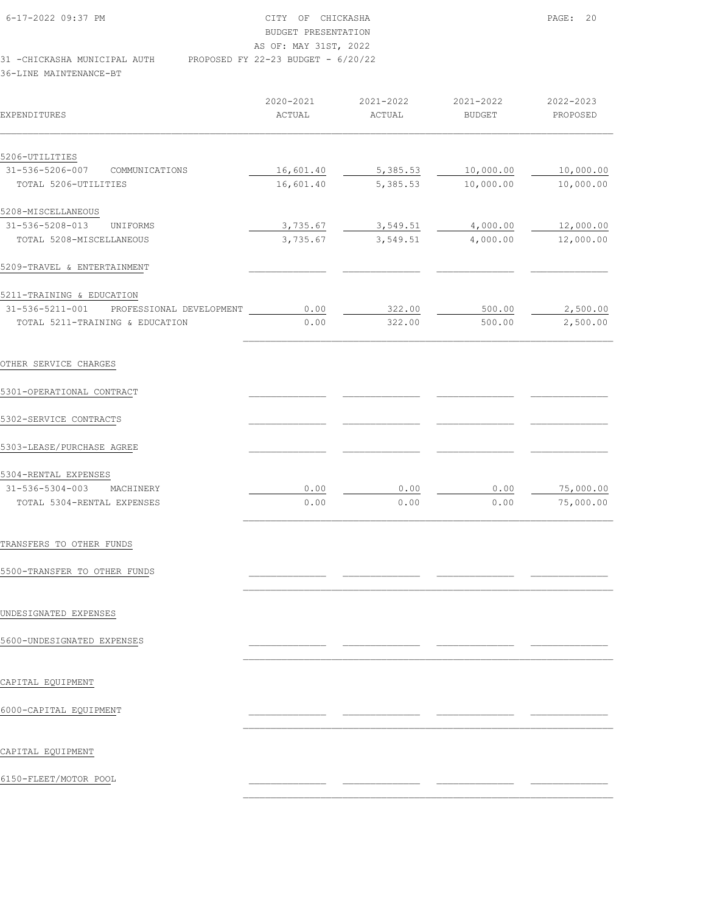| 6-17-2022 09:37 PM            | CITY OF CHICKASHA                  | PAGE: 20 |
|-------------------------------|------------------------------------|----------|
|                               | BUDGET PRESENTATION                |          |
|                               | AS OF: MAY 31ST, 2022              |          |
| 31 - CHICKASHA MUNICIPAL AUTH | PROPOSED FY 22-23 BUDGET - 6/20/22 |          |

| EXPENDITURES                                | 2020-2021<br>ACTUAL | 2021-2022<br>ACTUAL | 2021-2022<br><b>BUDGET</b> | 2022-2023<br>PROPOSED |
|---------------------------------------------|---------------------|---------------------|----------------------------|-----------------------|
|                                             |                     |                     |                            |                       |
| 5206-UTILITIES                              |                     |                     |                            |                       |
| 31-536-5206-007<br>COMMUNICATIONS           | 16,601.40           | 5,385.53            | 10,000.00                  | 10,000.00             |
| TOTAL 5206-UTILITIES                        | 16,601.40           | 5,385.53            | 10,000.00                  | 10,000.00             |
| 5208-MISCELLANEOUS                          |                     |                     |                            |                       |
| 31-536-5208-013<br>UNIFORMS                 | 3,735.67            | 3,549.51            | 4,000.00                   | 12,000.00             |
| TOTAL 5208-MISCELLANEOUS                    | 3,735.67            | 3,549.51            | 4,000.00                   | 12,000.00             |
| 5209-TRAVEL & ENTERTAINMENT                 |                     |                     |                            |                       |
| 5211-TRAINING & EDUCATION                   |                     |                     |                            |                       |
| 31-536-5211-001<br>PROFESSIONAL DEVELOPMENT | 0.00                | 322.00              | 500.00                     | 2,500.00              |
| TOTAL 5211-TRAINING & EDUCATION             | 0.00                | 322.00              | 500.00                     | 2,500.00              |
| OTHER SERVICE CHARGES                       |                     |                     |                            |                       |
| 5301-OPERATIONAL CONTRACT                   |                     |                     |                            |                       |
| 5302-SERVICE CONTRACTS                      |                     |                     |                            |                       |
| 5303-LEASE/PURCHASE AGREE                   |                     |                     |                            |                       |
| 5304-RENTAL EXPENSES                        |                     |                     |                            |                       |
| 31-536-5304-003<br>MACHINERY                | 0.00                | 0.00                | 0.00                       | 75,000.00             |
| TOTAL 5304-RENTAL EXPENSES                  | 0.00                | 0.00                | 0.00                       | 75,000.00             |

 $\mathcal{L}_\text{max}$ 

 $\mathcal{L}_\text{max}$ 

 $\mathcal{L}_\text{max}$ 

 $\mathcal{L}_\text{max}$ 

 $\mathcal{L}_\text{max}$ 

TRANSFERS TO OTHER FUNDS

5500-TRANSFER TO OTHER FUNDS \_\_\_\_\_\_\_\_\_\_\_\_\_\_ \_\_\_\_\_\_\_\_\_\_\_\_\_\_ \_\_\_\_\_\_\_\_\_\_\_\_\_\_ \_\_\_\_\_\_\_\_\_\_\_\_\_\_

UNDESIGNATED EXPENSES

5600-UNDESIGNATED EXPENSES \_\_\_\_\_\_\_\_\_\_\_\_\_\_ \_\_\_\_\_\_\_\_\_\_\_\_\_\_ \_\_\_\_\_\_\_\_\_\_\_\_\_\_ \_\_\_\_\_\_\_\_\_\_\_\_\_\_

CAPITAL EQUIPMENT

6000-CAPITAL EQUIPMENT \_\_\_\_\_\_\_\_\_\_\_\_\_\_ \_\_\_\_\_\_\_\_\_\_\_\_\_\_ \_\_\_\_\_\_\_\_\_\_\_\_\_\_ \_\_\_\_\_\_\_\_\_\_\_\_\_\_

CAPITAL EQUIPMENT

6150-FLEET/MOTOR POOL \_\_\_\_\_\_\_\_\_\_\_\_\_\_ \_\_\_\_\_\_\_\_\_\_\_\_\_\_ \_\_\_\_\_\_\_\_\_\_\_\_\_\_ \_\_\_\_\_\_\_\_\_\_\_\_\_\_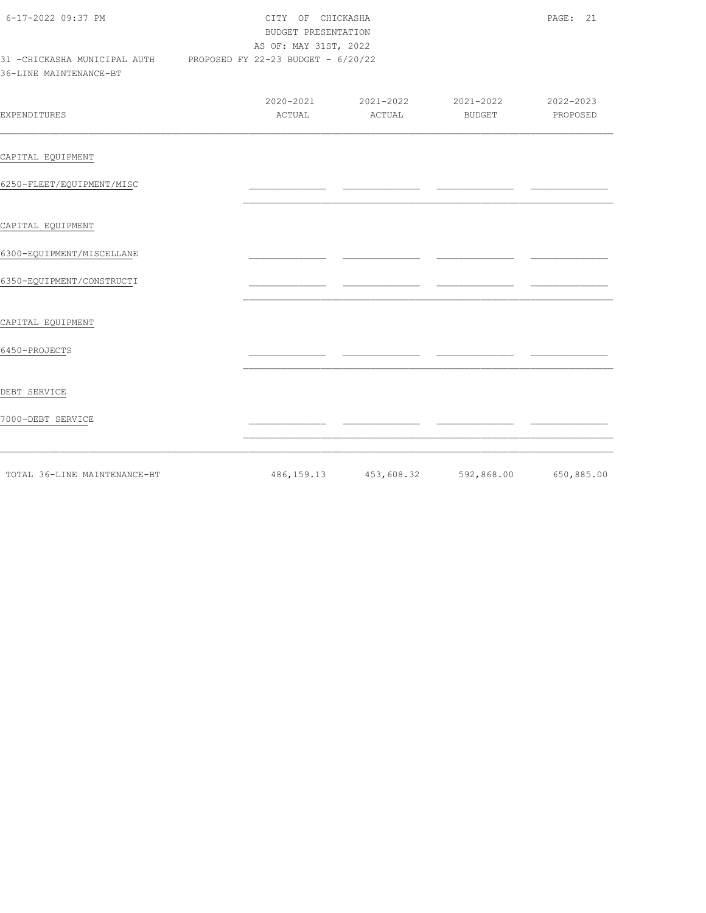| 6-17-2022 09:37 PM                                                                         |        | CITY OF CHICKASHA<br>BUDGET PRESENTATION<br>AS OF: MAY 31ST, 2022 |                                             |                       |  |
|--------------------------------------------------------------------------------------------|--------|-------------------------------------------------------------------|---------------------------------------------|-----------------------|--|
| 31 - CHICKASHA MUNICIPAL AUTH PROPOSED FY 22-23 BUDGET - 6/20/22<br>36-LINE MAINTENANCE-BT |        |                                                                   |                                             |                       |  |
| <b>EXPENDITURES</b>                                                                        | ACTUAL | ACTUAL                                                            | 2020-2021 2021-2022 2021-2022<br>BUDGET     | 2022-2023<br>PROPOSED |  |
| CAPITAL EQUIPMENT                                                                          |        |                                                                   |                                             |                       |  |
| 6250-FLEET/EQUIPMENT/MISC                                                                  |        |                                                                   |                                             |                       |  |
| CAPITAL EQUIPMENT                                                                          |        |                                                                   |                                             |                       |  |
| 6300-EQUIPMENT/MISCELLANE                                                                  |        |                                                                   |                                             |                       |  |
| 6350-EQUIPMENT/CONSTRUCTI                                                                  |        |                                                                   |                                             |                       |  |
| CAPITAL EQUIPMENT                                                                          |        |                                                                   |                                             |                       |  |
| 6450-PROJECTS                                                                              |        |                                                                   |                                             |                       |  |
| DEBT SERVICE                                                                               |        |                                                                   |                                             |                       |  |
| 7000-DEBT SERVICE                                                                          |        |                                                                   |                                             |                       |  |
| TOTAL 36-LINE MAINTENANCE-BT                                                               |        |                                                                   | 486,159.13 453,608.32 592,868.00 650,885.00 |                       |  |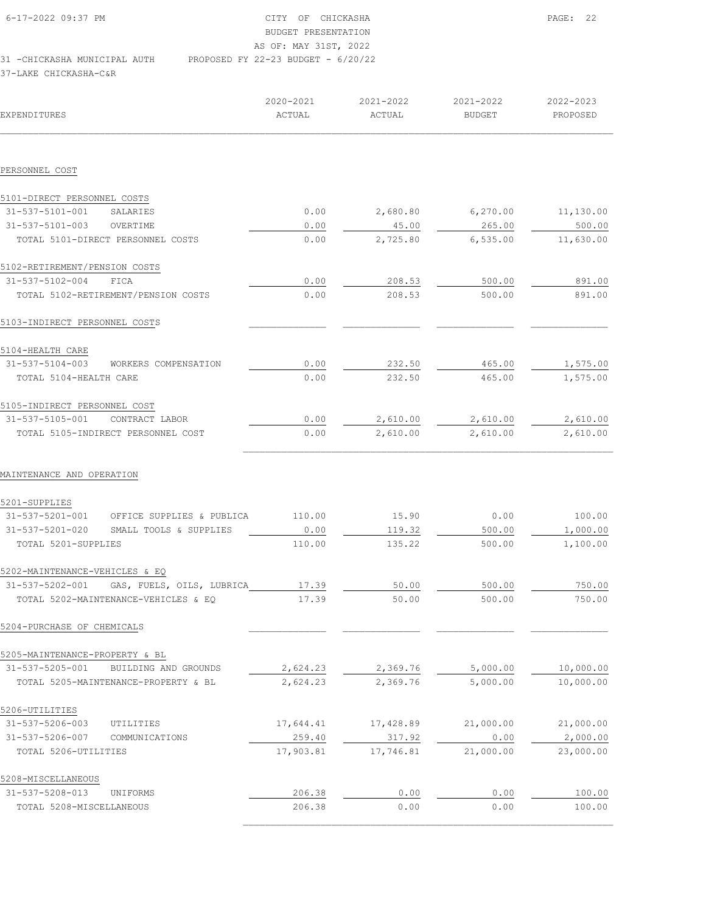| 6-17-2022 09:37 PM           | CITY OF CHICKASHA                    | PAGE: 22 |
|------------------------------|--------------------------------------|----------|
|                              | BUDGET PRESENTATION                  |          |
|                              | AS OF: MAY 31ST, 2022                |          |
| 31 -CHICKASHA MUNICIPAL AUTH | PROPOSED FY 22-23 BUDGET - $6/20/22$ |          |
| 37-LAKE CHICKASHA-C&R        |                                      |          |

| EXPENDITURES                                 | 2020-2021<br>ACTUAL | 2021-2022<br>ACTUAL | 2021-2022<br><b>BUDGET</b> | 2022-2023<br>PROPOSED |
|----------------------------------------------|---------------------|---------------------|----------------------------|-----------------------|
|                                              |                     |                     |                            |                       |
| PERSONNEL COST                               |                     |                     |                            |                       |
| 5101-DIRECT PERSONNEL COSTS                  |                     |                     |                            |                       |
| 31-537-5101-001<br>SALARIES                  | 0.00                | 2,680.80            | 6, 270.00                  | 11,130.00             |
| 31-537-5101-003<br>OVERTIME                  | 0.00                | 45.00               | 265.00                     | 500.00                |
| TOTAL 5101-DIRECT PERSONNEL COSTS            | 0.00                | 2,725.80            | 6, 535.00                  | 11,630.00             |
| 5102-RETIREMENT/PENSION COSTS                |                     |                     |                            |                       |
| 31-537-5102-004<br>FICA                      | 0.00                | 208.53              | 500.00                     | 891.00                |
| TOTAL 5102-RETIREMENT/PENSION COSTS          | 0.00                | 208.53              | 500.00                     | 891.00                |
| 5103-INDIRECT PERSONNEL COSTS                |                     |                     |                            |                       |
| 5104-HEALTH CARE                             |                     |                     |                            |                       |
| 31-537-5104-003<br>WORKERS COMPENSATION      | 0.00                | 232.50              | 465.00                     | 1,575.00              |
| TOTAL 5104-HEALTH CARE                       | 0.00                | 232.50              | 465.00                     | 1,575.00              |
| 5105-INDIRECT PERSONNEL COST                 |                     |                     |                            |                       |
| 31-537-5105-001<br>CONTRACT LABOR            | 0.00                | 2,610.00            | 2,610.00                   | 2,610.00              |
| TOTAL 5105-INDIRECT PERSONNEL COST           | 0.00                | 2,610.00            | 2,610.00                   | 2,610.00              |
| MAINTENANCE AND OPERATION<br>5201-SUPPLIES   |                     |                     |                            |                       |
| 31-537-5201-001<br>OFFICE SUPPLIES & PUBLICA | 110.00              | 15.90               | 0.00                       | 100.00                |
| 31-537-5201-020<br>SMALL TOOLS & SUPPLIES    | 0.00                | 119.32              | 500.00                     | 1,000.00              |
| TOTAL 5201-SUPPLIES                          | 110.00              | 135.22              | 500.00                     | 1,100.00              |
| 5202-MAINTENANCE-VEHICLES & EQ               |                     |                     |                            |                       |
| 31-537-5202-001<br>GAS, FUELS, OILS, LUBRICA | 17.39               | 50.00               | 500.00                     | 750.00                |
| TOTAL 5202-MAINTENANCE-VEHICLES & EQ         | 17.39               | 50.00               | 500.00                     | 750.00                |
| 5204-PURCHASE OF CHEMICALS                   |                     |                     |                            |                       |
| 5205-MAINTENANCE-PROPERTY & BL               |                     |                     |                            |                       |
| 31-537-5205-001<br>BUILDING AND GROUNDS      | 2,624.23            | 2,369.76            | 5,000.00                   | 10,000.00             |
| TOTAL 5205-MAINTENANCE-PROPERTY & BL         | 2,624.23            | 2,369.76            | 5,000.00                   | 10,000.00             |
| 5206-UTILITIES                               |                     |                     |                            |                       |
| 31-537-5206-003<br>UTILITIES                 | 17,644.41           | 17,428.89           | 21,000.00                  | 21,000.00             |
| 31-537-5206-007<br>COMMUNICATIONS            | 259.40              | 317.92              | 0.00                       | 2,000.00              |
| TOTAL 5206-UTILITIES                         | 17,903.81           | 17,746.81           | 21,000.00                  | 23,000.00             |
| 5208-MISCELLANEOUS                           |                     |                     |                            |                       |
| 31-537-5208-013<br>UNIFORMS                  | 206.38              | 0.00                | 0.00                       | 100.00                |
| TOTAL 5208-MISCELLANEOUS                     | 206.38              | 0.00                | 0.00                       | 100.00                |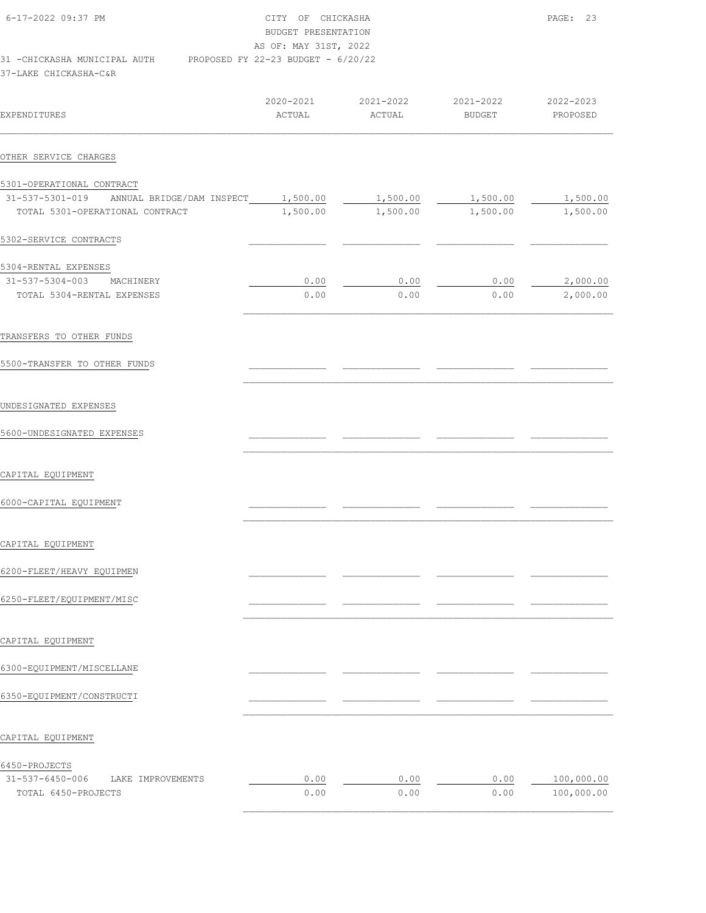| 6-17-2022 09:37 PM           | CITY OF CHICKASHA                    | PAGE: 23 |
|------------------------------|--------------------------------------|----------|
|                              | BUDGET PRESENTATION                  |          |
|                              | AS OF: MAY 31ST, 2022                |          |
| 31 -CHICKASHA MUNICIPAL AUTH | PROPOSED FY 22-23 BUDGET - $6/20/22$ |          |
| 37-LAKE CHICKASHA-C&R        |                                      |          |

| EXPENDITURES                                                                                                        | 2020-2021<br>ACTUAL | 2021-2022 2021-2022<br>ACTUAL | BUDGET       | 2022-2023<br>PROPOSED    |
|---------------------------------------------------------------------------------------------------------------------|---------------------|-------------------------------|--------------|--------------------------|
| OTHER SERVICE CHARGES                                                                                               |                     |                               |              |                          |
| 5301-OPERATIONAL CONTRACT<br>31-537-5301-019 ANNUAL BRIDGE/DAM INSPECT 1,500.00 1,500.00 1,500.00 1,500.00 1,500.00 |                     |                               |              |                          |
| TOTAL 5301-OPERATIONAL CONTRACT                                                                                     |                     | 1,500.00 1,500.00 1,500.00    |              | 1,500.00                 |
| 5302-SERVICE CONTRACTS                                                                                              |                     |                               |              |                          |
| 5304-RENTAL EXPENSES                                                                                                |                     |                               |              |                          |
| 31-537-5304-003 MACHINERY<br>TOTAL 5304-RENTAL EXPENSES                                                             | 0.00<br>0.00        | 0.00<br>0.00                  | 0.00<br>0.00 | 2,000.00<br>2,000.00     |
| TRANSFERS TO OTHER FUNDS                                                                                            |                     |                               |              |                          |
| 5500-TRANSFER TO OTHER FUNDS                                                                                        |                     |                               |              |                          |
| UNDESIGNATED EXPENSES                                                                                               |                     |                               |              |                          |
| 5600-UNDESIGNATED EXPENSES                                                                                          |                     |                               |              |                          |
| CAPITAL EQUIPMENT                                                                                                   |                     |                               |              |                          |
| 6000-CAPITAL EQUIPMENT                                                                                              |                     |                               |              |                          |
| CAPITAL EQUIPMENT                                                                                                   |                     |                               |              |                          |
| 6200-FLEET/HEAVY EQUIPMEN                                                                                           |                     |                               |              |                          |
| 6250-FLEET/EQUIPMENT/MISC                                                                                           |                     |                               |              |                          |
| CAPITAL EQUIPMENT                                                                                                   |                     |                               |              |                          |
| 6300-EQUIPMENT/MISCELLANE                                                                                           |                     |                               |              |                          |
| 6350-EQUIPMENT/CONSTRUCTI                                                                                           |                     |                               |              |                          |
| CAPITAL EQUIPMENT                                                                                                   |                     |                               |              |                          |
| 6450-PROJECTS                                                                                                       |                     |                               |              |                          |
| 31-537-6450-006<br>LAKE IMPROVEMENTS<br>TOTAL 6450-PROJECTS                                                         | 0.00<br>0.00        | 0.00<br>0.00                  | 0.00<br>0.00 | 100,000.00<br>100,000.00 |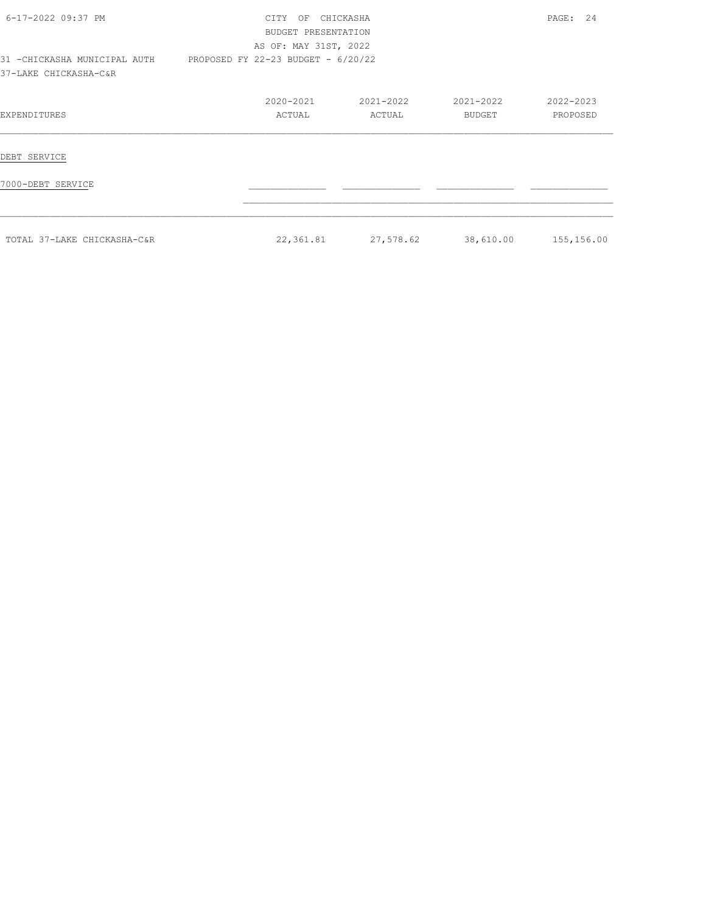| 6-17-2022 09:37 PM                                     | CHICKASHA<br><b>CTTY</b><br>OF<br>BUDGET PRESENTATION<br>AS OF: MAY 31ST, 2022 | PAGE: 24            |                     |                       |
|--------------------------------------------------------|--------------------------------------------------------------------------------|---------------------|---------------------|-----------------------|
| 31 - CHICKASHA MUNICIPAL AUTH<br>37-LAKE CHICKASHA-C&R | PROPOSED FY 22-23 BUDGET - 6/20/22                                             |                     |                     |                       |
| EXPENDITURES                                           | 2020-2021<br>ACTUAL                                                            | 2021-2022<br>ACTUAL | 2021-2022<br>BUDGET | 2022-2023<br>PROPOSED |
| DEBT SERVICE                                           |                                                                                |                     |                     |                       |
| 7000-DEBT SERVICE                                      |                                                                                |                     |                     |                       |
| TOTAL 37-LAKE CHICKASHA-C&R                            | 22,361.81                                                                      | 27,578.62           | 38,610.00           | 155,156.00            |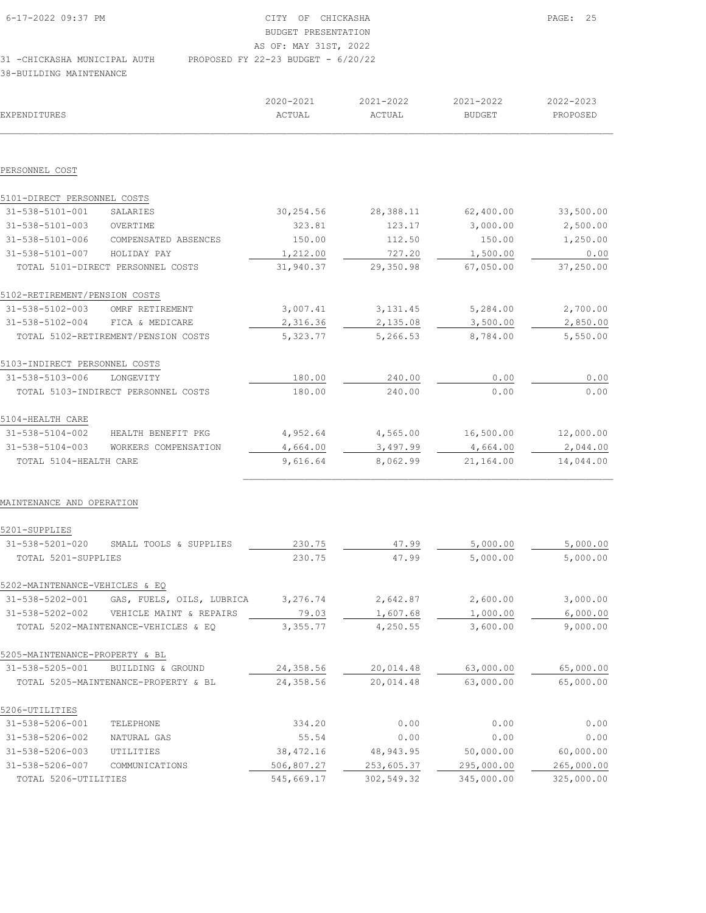| 6-17-2022 09:37 PM           |                                      | CITY OF CHICKASHA     |  |  |
|------------------------------|--------------------------------------|-----------------------|--|--|
|                              |                                      | BUDGET PRESENTATION   |  |  |
|                              |                                      | AS OF: MAY 31ST, 2022 |  |  |
| 31 -CHICKASHA MUNICIPAL AUTH | PROPOSED FY 22-23 BUDGET - $6/20/22$ |                       |  |  |

38-BUILDING MAINTENANCE

| <b>EXPENDITURES</b>            |                                      | 2020-2021<br>ACTUAL | 2021-2022<br>ACTUAL | 2021-2022<br><b>BUDGET</b> | 2022-2023<br>PROPOSED |
|--------------------------------|--------------------------------------|---------------------|---------------------|----------------------------|-----------------------|
|                                |                                      |                     |                     |                            |                       |
| PERSONNEL COST                 |                                      |                     |                     |                            |                       |
| 5101-DIRECT PERSONNEL COSTS    |                                      |                     |                     |                            |                       |
| 31-538-5101-001                | SALARIES                             | 30,254.56           | 28,388.11           | 62,400.00                  | 33,500.00             |
| 31-538-5101-003                | OVERTIME                             | 323.81              | 123.17              | 3,000.00                   | 2,500.00              |
| 31-538-5101-006                | COMPENSATED ABSENCES                 | 150.00              | 112.50              | 150.00                     | 1,250.00              |
| 31-538-5101-007                | HOLIDAY PAY                          | 1,212.00            | 727.20              | 1,500.00                   | 0.00                  |
|                                | TOTAL 5101-DIRECT PERSONNEL COSTS    | 31,940.37           | 29,350.98           | 67,050.00                  | 37,250.00             |
| 5102-RETIREMENT/PENSION COSTS  |                                      |                     |                     |                            |                       |
| 31-538-5102-003                | OMRF RETIREMENT                      | 3,007.41            | 3, 131.45           | 5,284.00                   | 2,700.00              |
| 31-538-5102-004                | FICA & MEDICARE                      | 2,316.36            | 2,135.08            | 3,500.00                   | 2,850.00              |
|                                | TOTAL 5102-RETIREMENT/PENSION COSTS  | 5,323.77            | 5,266.53            | 8,784.00                   | 5,550.00              |
| 5103-INDIRECT PERSONNEL COSTS  |                                      |                     |                     |                            |                       |
| 31-538-5103-006                | LONGEVITY                            | 180.00              | 240.00              | 0.00                       | 0.00                  |
|                                | TOTAL 5103-INDIRECT PERSONNEL COSTS  | 180.00              | 240.00              | 0.00                       | 0.00                  |
| 5104-HEALTH CARE               |                                      |                     |                     |                            |                       |
| 31-538-5104-002                | HEALTH BENEFIT PKG                   | 4,952.64            | 4,565.00            | 16,500.00                  | 12,000.00             |
| 31-538-5104-003                | WORKERS COMPENSATION                 | 4,664.00            | 3,497.99            | 4,664.00                   | 2,044.00              |
| TOTAL 5104-HEALTH CARE         |                                      | 9,616.64            | 8,062.99            | 21,164.00                  | 14,044.00             |
| MAINTENANCE AND OPERATION      |                                      |                     |                     |                            |                       |
| 5201-SUPPLIES                  |                                      |                     |                     |                            |                       |
| $31 - 538 - 5201 - 020$        | SMALL TOOLS & SUPPLIES               | 230.75              | 47.99               | 5,000.00                   | 5,000.00              |
| TOTAL 5201-SUPPLIES            |                                      | 230.75              | 47.99               | 5,000.00                   | 5,000.00              |
| 5202-MAINTENANCE-VEHICLES & EQ |                                      |                     |                     |                            |                       |
| 31-538-5202-001                | GAS, FUELS, OILS, LUBRICA            | 3,276.74            | 2,642.87            | 2,600.00                   | 3,000.00              |
| 31-538-5202-002                | VEHICLE MAINT & REPAIRS              | 79.03               | 1,607.68            | 1,000.00                   | 6,000.00              |
|                                | TOTAL 5202-MAINTENANCE-VEHICLES & EQ | 3,355.77            | 4,250.55            | 3,600.00                   | 9,000.00              |
| 5205-MAINTENANCE-PROPERTY & BL |                                      |                     |                     |                            |                       |
| 31-538-5205-001                | BUILDING & GROUND                    | 24,358.56           | 20,014.48           | 63,000.00                  | 65,000.00             |
|                                | TOTAL 5205-MAINTENANCE-PROPERTY & BL | 24,358.56           | 20,014.48           | 63,000.00                  | 65,000.00             |
| 5206-UTILITIES                 |                                      |                     |                     |                            |                       |
| 31-538-5206-001                | TELEPHONE                            | 334.20              | 0.00                | 0.00                       | 0.00                  |
| 31-538-5206-002                | NATURAL GAS                          | 55.54               | 0.00                | 0.00                       | 0.00                  |
| 31-538-5206-003                | UTILITIES                            | 38, 472.16          | 48, 943. 95         | 50,000.00                  | 60,000.00             |
| 31-538-5206-007                | COMMUNICATIONS                       | 506,807.27          | 253,605.37          | 295,000.00                 | 265,000.00            |
| TOTAL 5206-UTILITIES           |                                      | 545,669.17          | 302,549.32          | 345,000.00                 | 325,000.00            |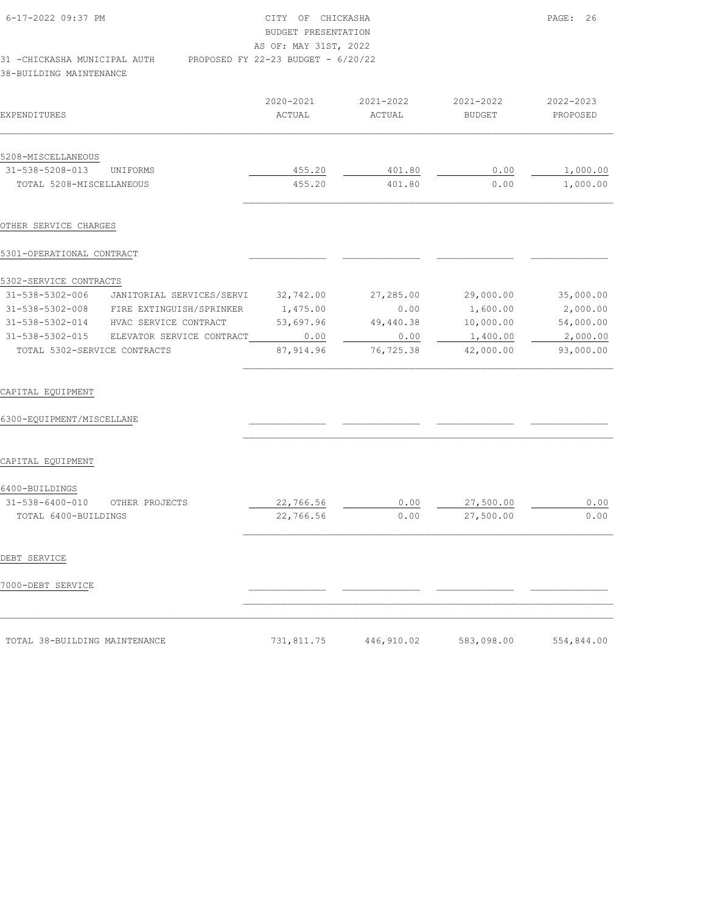| 6-17-2022 09:37 PM<br>31 - CHICKASHA MUNICIPAL AUTH<br>38-BUILDING MAINTENANCE |                     | CITY OF CHICKASHA<br>BUDGET PRESENTATION<br>AS OF: MAY 31ST, 2022<br>PROPOSED FY 22-23 BUDGET - 6/20/22 |                            |                       |  |  |
|--------------------------------------------------------------------------------|---------------------|---------------------------------------------------------------------------------------------------------|----------------------------|-----------------------|--|--|
| EXPENDITURES                                                                   | 2020-2021<br>ACTUAL | 2021-2022<br>ACTUAL                                                                                     | 2021-2022<br><b>BUDGET</b> | 2022-2023<br>PROPOSED |  |  |
| 5208-MISCELLANEOUS                                                             |                     |                                                                                                         |                            |                       |  |  |
| 31-538-5208-013<br>UNIFORMS                                                    | 455.20              | 401.80                                                                                                  | 0.00                       | 1,000.00              |  |  |
| TOTAL 5208-MISCELLANEOUS                                                       | 455.20              | 401.80                                                                                                  | 0.00                       | 1,000.00              |  |  |
| OTHER SERVICE CHARGES<br>5301-OPERATIONAL CONTRACT                             |                     |                                                                                                         |                            |                       |  |  |
| 5302-SERVICE CONTRACTS                                                         |                     |                                                                                                         |                            |                       |  |  |
| 31-538-5302-006<br>JANITORIAL SERVICES/SERVI                                   | 32,742.00           | 27,285.00                                                                                               | 29,000.00                  | 35,000.00             |  |  |
| 31-538-5302-008 FIRE EXTINGUISH/SPRINKER                                       | 1,475.00            | 0.00                                                                                                    | 1,600.00                   | 2,000.00              |  |  |
| 31-538-5302-014 HVAC SERVICE CONTRACT                                          | 53,697.96           | 49,440.38                                                                                               | 10,000.00                  | 54,000.00             |  |  |
| 31-538-5302-015 ELEVATOR SERVICE CONTRACT                                      | 0.00                | 0.00                                                                                                    | 1,400.00                   | 2,000.00              |  |  |
| TOTAL 5302-SERVICE CONTRACTS                                                   | 87, 914.96          | 76,725.38                                                                                               | 42,000.00                  | 93,000.00             |  |  |
| CAPITAL EQUIPMENT<br>6300-EQUIPMENT/MISCELLANE                                 |                     |                                                                                                         |                            |                       |  |  |
| CAPITAL EQUIPMENT                                                              |                     |                                                                                                         |                            |                       |  |  |
| 6400-BUILDINGS                                                                 |                     |                                                                                                         |                            |                       |  |  |
| 31-538-6400-010<br>OTHER PROJECTS                                              | 22,766.56           | 0.00                                                                                                    | 27,500.00                  | 0.00                  |  |  |
| TOTAL 6400-BUILDINGS                                                           | 22,766.56           | 0.00                                                                                                    | 27,500.00                  | 0.00                  |  |  |
| DEBT SERVICE                                                                   |                     |                                                                                                         |                            |                       |  |  |

# 7000-DEBT SERVICE \_\_\_\_\_\_\_\_\_\_\_\_\_\_ \_\_\_\_\_\_\_\_\_\_\_\_\_\_ \_\_\_\_\_\_\_\_\_\_\_\_\_\_ \_\_\_\_\_\_\_\_\_\_\_\_\_\_

| TOTAL 38-BUILDING MAINTENANCE<br>$\sim$ . The contract of the contract of the contract of the contract of the contract of the contract of the contract of the contract of the contract of the contract of the contract of the contract of the contract of the co | 731,811.75 | 446,910.02 | 583,098.00 | 554,844.00 |
|------------------------------------------------------------------------------------------------------------------------------------------------------------------------------------------------------------------------------------------------------------------|------------|------------|------------|------------|

 $\mathcal{L}_\text{max}$  $\mathcal{L}_\text{max} = \mathcal{L}_\text{max} = \mathcal{L}_\text{max} = \mathcal{L}_\text{max} = \mathcal{L}_\text{max} = \mathcal{L}_\text{max} = \mathcal{L}_\text{max} = \mathcal{L}_\text{max} = \mathcal{L}_\text{max} = \mathcal{L}_\text{max} = \mathcal{L}_\text{max} = \mathcal{L}_\text{max} = \mathcal{L}_\text{max} = \mathcal{L}_\text{max} = \mathcal{L}_\text{max} = \mathcal{L}_\text{max} = \mathcal{L}_\text{max} = \mathcal{L}_\text{max} = \mathcal{$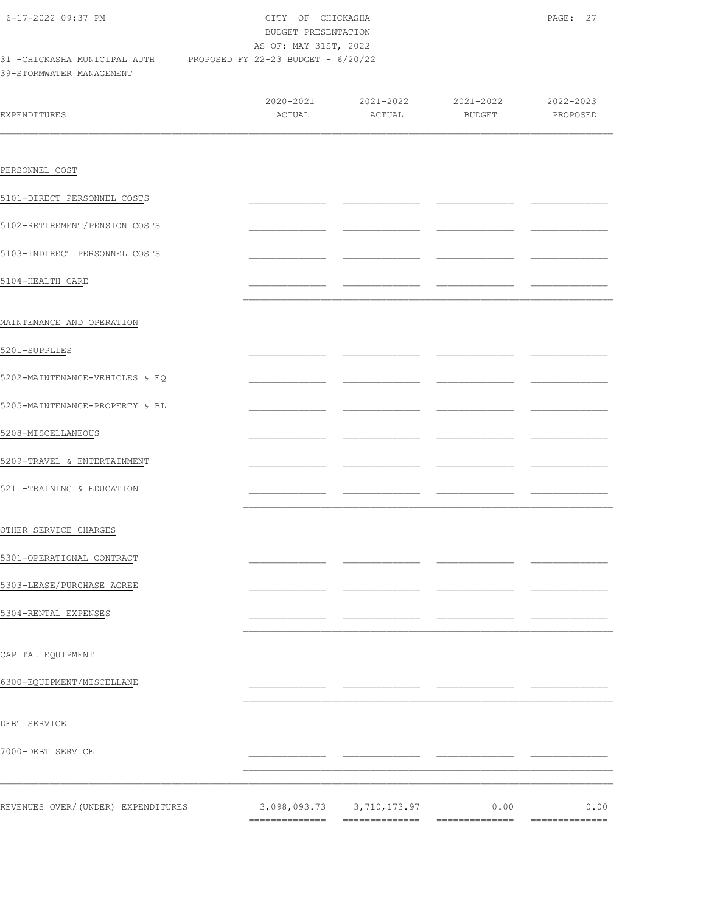| 6-17-2022 09:37 PM                                                                          |        | CITY OF CHICKASHA<br>BUDGET PRESENTATION<br>AS OF: MAY 31ST, 2022 |        |                       |  |  |
|---------------------------------------------------------------------------------------------|--------|-------------------------------------------------------------------|--------|-----------------------|--|--|
| 31 -CHICKASHA MUNICIPAL AUTH PROPOSED FY 22-23 BUDGET - 6/20/22<br>39-STORMWATER MANAGEMENT |        |                                                                   |        |                       |  |  |
| <b>EXPENDITURES</b>                                                                         | ACTUAL | 2020-2021 2021-2022 2021-2022<br>ACTUAL                           | BUDGET | 2022-2023<br>PROPOSED |  |  |
|                                                                                             |        |                                                                   |        |                       |  |  |
| PERSONNEL COST                                                                              |        |                                                                   |        |                       |  |  |
| 5101-DIRECT PERSONNEL COSTS                                                                 |        |                                                                   |        |                       |  |  |
| 5102-RETIREMENT/PENSION COSTS                                                               |        |                                                                   |        |                       |  |  |
| 5103-INDIRECT PERSONNEL COSTS                                                               |        |                                                                   |        |                       |  |  |
| 5104-HEALTH CARE                                                                            |        |                                                                   |        |                       |  |  |
| MAINTENANCE AND OPERATION                                                                   |        |                                                                   |        |                       |  |  |
| 5201-SUPPLIES                                                                               |        |                                                                   |        |                       |  |  |
| 5202-MAINTENANCE-VEHICLES & EQ                                                              |        |                                                                   |        |                       |  |  |
| 5205-MAINTENANCE-PROPERTY & BL                                                              |        |                                                                   |        |                       |  |  |
| 5208-MISCELLANEOUS                                                                          |        |                                                                   |        |                       |  |  |
| 5209-TRAVEL & ENTERTAINMENT                                                                 |        |                                                                   |        |                       |  |  |
| 5211-TRAINING & EDUCATION                                                                   |        |                                                                   |        |                       |  |  |
| OTHER SERVICE CHARGES                                                                       |        |                                                                   |        |                       |  |  |
| 5301-OPERATIONAL CONTRACT                                                                   |        |                                                                   |        |                       |  |  |
| 5303-LEASE/PURCHASE AGREE                                                                   |        |                                                                   |        |                       |  |  |
| 5304-RENTAL EXPENSES                                                                        |        |                                                                   |        |                       |  |  |
|                                                                                             |        |                                                                   |        |                       |  |  |
| CAPITAL EQUIPMENT                                                                           |        |                                                                   |        |                       |  |  |
| 6300-EQUIPMENT/MISCELLANE                                                                   |        |                                                                   |        |                       |  |  |
| DEBT SERVICE                                                                                |        |                                                                   |        |                       |  |  |
| 7000-DEBT SERVICE                                                                           |        |                                                                   |        |                       |  |  |
|                                                                                             |        |                                                                   |        |                       |  |  |
| REVENUES OVER/(UNDER) EXPENDITURES                                                          |        | 3,098,093.73 3,710,173.97                                         | 0.00   | 0.00                  |  |  |

============== ============== ============== ==============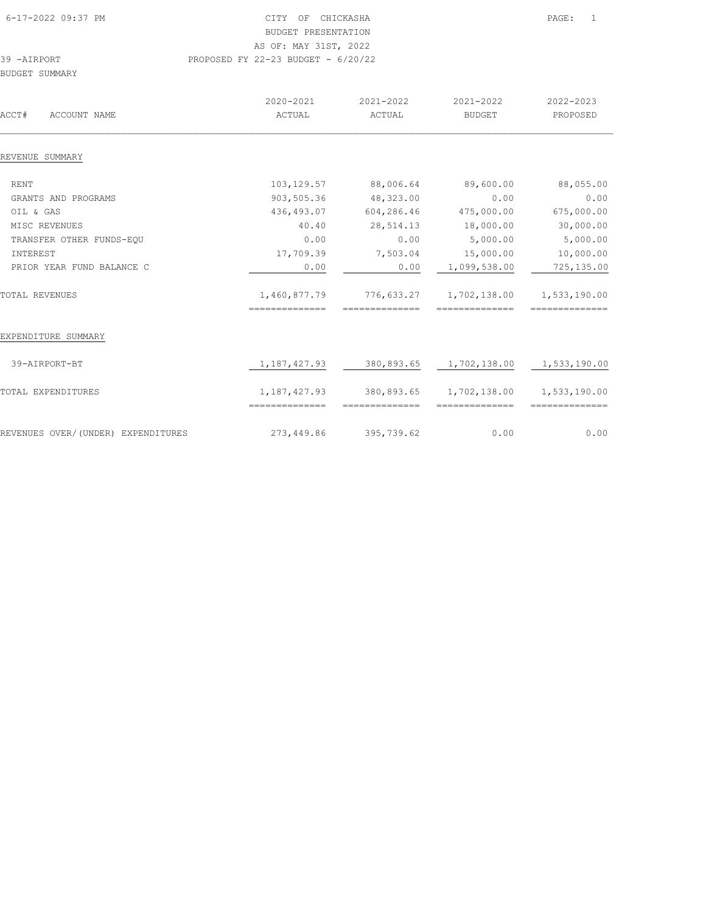| 6-17-2022 09:37 PM | CITY OF CHICKASHA                    | $\texttt{PAGE}$ : |
|--------------------|--------------------------------------|-------------------|
|                    | BUDGET PRESENTATION                  |                   |
|                    | AS OF: MAY 31ST, 2022                |                   |
| 39 -AIRPORT        | PROPOSED FY 22-23 BUDGET - $6/20/22$ |                   |

BUDGET SUMMARY

| ACCT#<br>ACCOUNT NAME              | 2020-2021<br>2021-2022<br>ACTUAL<br>ACTUAL |                | 2021-2022<br><b>BUDGET</b> | 2022-2023<br>PROPOSED |
|------------------------------------|--------------------------------------------|----------------|----------------------------|-----------------------|
| REVENUE SUMMARY                    |                                            |                |                            |                       |
| <b>RENT</b>                        | 103,129.57                                 | 88,006.64      | 89,600.00                  | 88,055.00             |
| GRANTS AND PROGRAMS                | 903,505.36                                 | 48,323.00      | 0.00                       | 0.00                  |
| OIL & GAS                          | 436,493.07                                 | 604,286.46     | 475,000.00                 | 675,000.00            |
|                                    |                                            |                |                            |                       |
| MISC REVENUES                      | 40.40                                      | 28,514.13      | 18,000.00                  | 30,000.00             |
| TRANSFER OTHER FUNDS-EQU           | 0.00                                       | 0.00           | 5,000.00                   | 5,000.00              |
| INTEREST                           | 17,709.39                                  | 7,503.04       | 15,000.00                  | 10,000.00             |
| PRIOR YEAR FUND BALANCE C          | 0.00                                       | 0.00           | 1,099,538.00               | 725,135.00            |
| <b>TOTAL REVENUES</b>              | 1,460,877.79                               |                | 776,633.27 1,702,138.00    | 1,533,190.00          |
|                                    | ==============                             | ============== | ==============             | ==============        |
| EXPENDITURE SUMMARY                |                                            |                |                            |                       |
| 39-AIRPORT-BT                      | 1,187,427.93                               |                | 380,893.65 1,702,138.00    | 1,533,190.00          |
| TOTAL EXPENDITURES                 | 1,187,427.93                               | 380,893.65     | 1,702,138.00               | 1,533,190.00          |
|                                    | ---------------                            | ============== | --------------             | ==============        |
| REVENUES OVER/(UNDER) EXPENDITURES | 273,449.86                                 | 395,739.62     | 0.00                       | 0.00                  |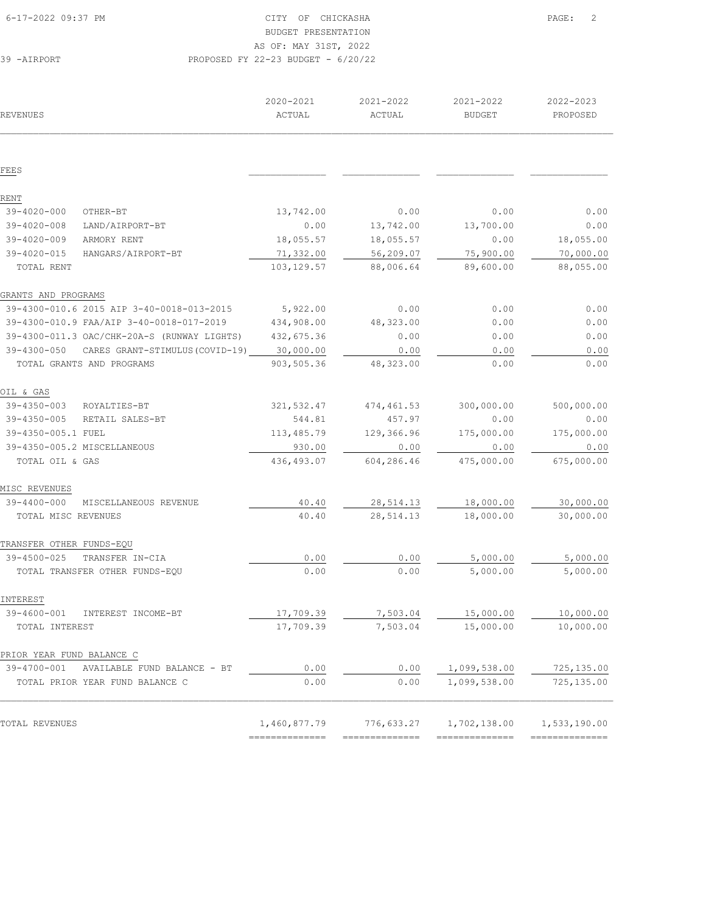|  |  | AS OF: MAY 31ST, 2022 |  |                                |  |
|--|--|-----------------------|--|--------------------------------|--|
|  |  |                       |  | OSED FY 22-23 BUDGET - 6/20/22 |  |

| REVENUES                                             | 2020-2021<br>ACTUAL | 2021-2022<br>ACTUAL | 2021-2022<br><b>BUDGET</b> | 2022-2023<br>PROPOSED |
|------------------------------------------------------|---------------------|---------------------|----------------------------|-----------------------|
|                                                      |                     |                     |                            |                       |
| FEES                                                 |                     |                     |                            |                       |
| RENT                                                 |                     |                     |                            |                       |
| 39-4020-000<br>OTHER-BT                              | 13,742.00           | 0.00                | 0.00                       | 0.00                  |
| $39 - 4020 - 008$<br>LAND/AIRPORT-BT                 | 0.00                | 13,742.00           | 13,700.00                  | 0.00                  |
| $39 - 4020 - 009$<br>ARMORY RENT                     | 18,055.57           | 18,055.57           | 0.00                       | 18,055.00             |
| $39 - 4020 - 015$<br>HANGARS/AIRPORT-BT              | 71,332.00           | 56,209.07           | 75,900.00                  | 70,000.00             |
| TOTAL RENT                                           | 103, 129.57         | 88,006.64           | 89,600.00                  | 88,055.00             |
| GRANTS AND PROGRAMS                                  |                     |                     |                            |                       |
| 39-4300-010.6 2015 AIP 3-40-0018-013-2015            | 5,922.00            | 0.00                | 0.00                       | 0.00                  |
| 39-4300-010.9 FAA/AIP 3-40-0018-017-2019             | 434,908.00          | 48, 323.00          | 0.00                       | 0.00                  |
| 39-4300-011.3 OAC/CHK-20A-S (RUNWAY LIGHTS)          | 432,675.36          | 0.00                | 0.00                       | 0.00                  |
| $39 - 4300 - 050$<br>CARES GRANT-STIMULUS (COVID-19) | 30,000.00           | 0.00                | 0.00                       | 0.00                  |
| TOTAL GRANTS AND PROGRAMS                            | 903,505.36          | 48,323.00           | 0.00                       | 0.00                  |
| OIL & GAS                                            |                     |                     |                            |                       |
| 39-4350-003<br>ROYALTIES-BT                          | 321,532.47          | 474, 461.53         | 300,000.00                 | 500,000.00            |
| $39 - 4350 - 005$<br>RETAIL SALES-BT                 | 544.81              | 457.97              | 0.00                       | 0.00                  |
| 39-4350-005.1 FUEL                                   | 113,485.79          | 129,366.96          | 175,000.00                 | 175,000.00            |
| 39-4350-005.2 MISCELLANEOUS                          | 930.00              | 0.00                | 0.00                       | 0.00                  |
| TOTAL OIL & GAS                                      | 436, 493.07         | 604,286.46          | 475,000.00                 | 675,000.00            |
| MISC REVENUES                                        |                     |                     |                            |                       |
| $39 - 4400 - 000$<br>MISCELLANEOUS REVENUE           | 40.40               | 28, 514.13          | 18,000.00                  | 30,000.00             |
| TOTAL MISC REVENUES                                  | 40.40               | 28, 514.13          | 18,000.00                  | 30,000.00             |
| TRANSFER OTHER FUNDS-EQU                             |                     |                     |                            |                       |
| 39-4500-025<br>TRANSFER IN-CIA                       | 0.00                | 0.00                | 5,000.00                   | 5,000.00              |
| TOTAL TRANSFER OTHER FUNDS-EQU                       | 0.00                | 0.00                | 5,000.00                   | 5,000.00              |
| INTEREST                                             |                     |                     |                            |                       |
| 39-4600-001<br>INTEREST INCOME-BT                    | 17,709.39           | 7,503.04            | 15,000.00                  | 10,000.00             |
| TOTAL INTEREST                                       | 17,709.39           | 7,503.04            | 15,000.00                  | 10,000.00             |
|                                                      |                     |                     |                            |                       |
| PRIOR YEAR FUND BALANCE C<br>39-4700-001             | 0.00                |                     |                            |                       |
| AVAILABLE FUND BALANCE - BT                          |                     | 0.00                | 1,099,538.00               | 725,135.00            |
| TOTAL PRIOR YEAR FUND BALANCE C                      | 0.00                | 0.00                | 1,099,538.00               | 725,135.00            |
| TOTAL REVENUES                                       | 1,460,877.79        | 776,633.27          | 1,702,138.00               | 1,533,190.00          |
|                                                      | ---------------     | --------------      | ==============             | ==============        |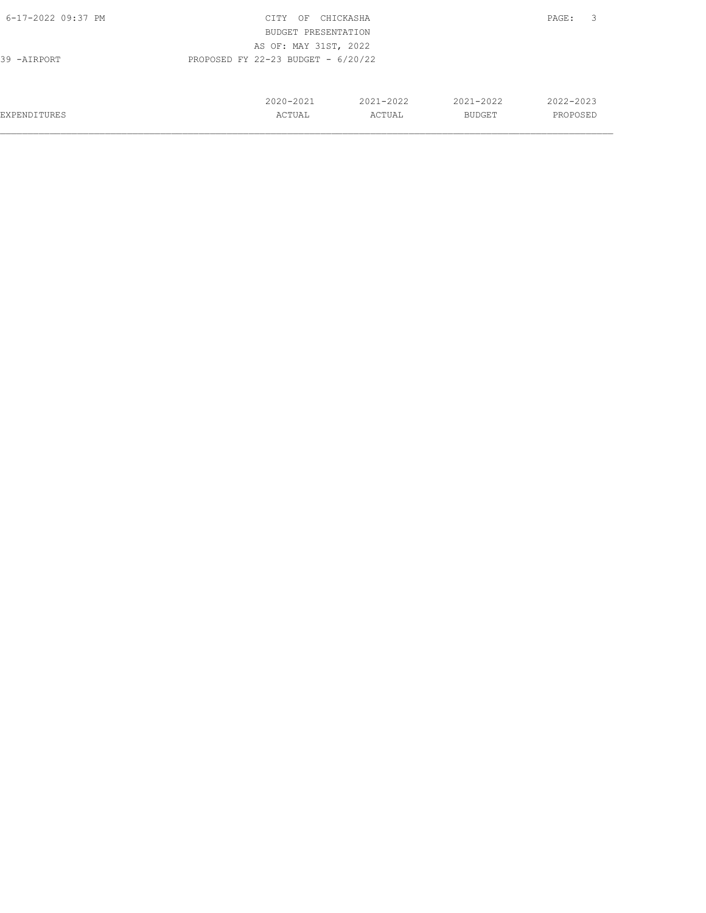| 6-17-2022 09:37 PM                                  | CITY<br>OF          | CHICKASHA |               | 3<br>PAGE: |  |
|-----------------------------------------------------|---------------------|-----------|---------------|------------|--|
|                                                     | BUDGET PRESENTATION |           |               |            |  |
| AS OF: MAY 31ST, 2022                               |                     |           |               |            |  |
| PROPOSED FY 22-23 BUDGET - $6/20/22$<br>39 -AIRPORT |                     |           |               |            |  |
|                                                     |                     |           |               |            |  |
|                                                     |                     |           |               |            |  |
|                                                     | 2020-2021           | 2021-2022 | $2021 - 2022$ | 2022-2023  |  |
| EXPENDITURES                                        | ACTUAL              | ACTUAL    | <b>BUDGET</b> | PROPOSED   |  |
|                                                     |                     |           |               |            |  |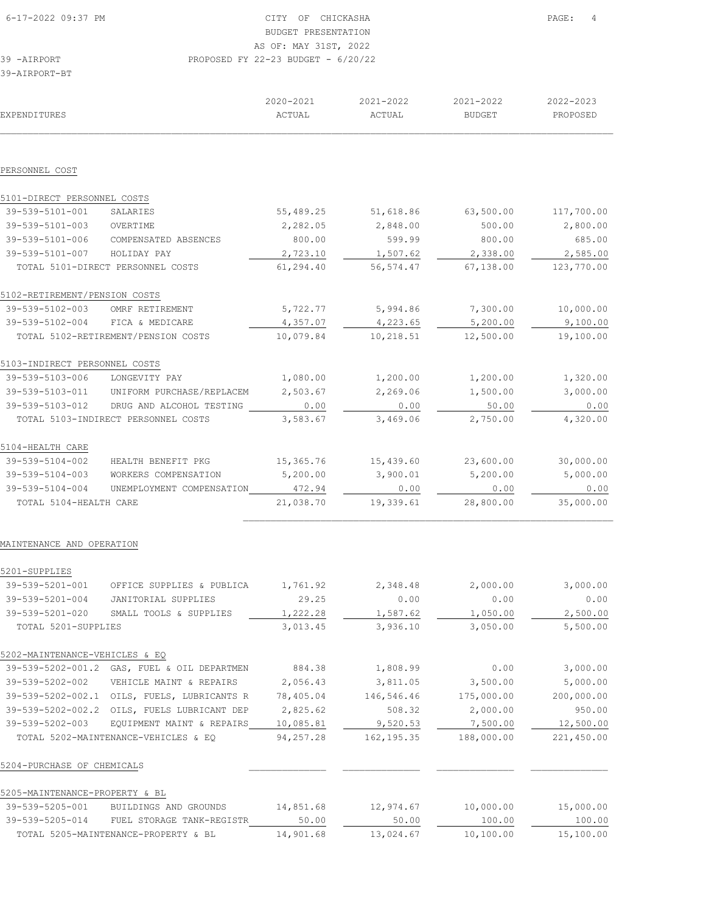| EXPENDITURES                  |                                     | 2020-2021<br>ACTUAL | 2021-2022<br>ACTUAL | 2021-2022<br><b>BUDGET</b> | 2022-2023<br>PROPOSED |
|-------------------------------|-------------------------------------|---------------------|---------------------|----------------------------|-----------------------|
|                               |                                     |                     |                     |                            |                       |
|                               |                                     |                     |                     |                            |                       |
| PERSONNEL COST                |                                     |                     |                     |                            |                       |
| 5101-DIRECT PERSONNEL COSTS   |                                     |                     |                     |                            |                       |
| 39-539-5101-001               | SALARIES                            | 55,489.25           | 51,618.86           | 63,500.00                  | 117,700.00            |
| 39-539-5101-003               | OVERTIME                            | 2,282.05            | 2,848.00            | 500.00                     | 2,800.00              |
| 39-539-5101-006               | COMPENSATED ABSENCES                | 800.00              | 599.99              | 800.00                     | 685.00                |
| 39-539-5101-007               | HOLIDAY PAY                         | 2,723.10            | 1,507.62            | 2,338.00                   | 2,585.00              |
|                               | TOTAL 5101-DIRECT PERSONNEL COSTS   | 61,294.40           | 56, 574.47          | 67,138.00                  | 123,770.00            |
| 5102-RETIREMENT/PENSION COSTS |                                     |                     |                     |                            |                       |
| 39-539-5102-003               | OMRF RETIREMENT                     | 5,722.77            | 5,994.86            | 7,300.00                   | 10,000.00             |
| 39-539-5102-004               | FICA & MEDICARE                     | 4,357.07            | 4,223.65            | 5,200.00                   | 9,100.00              |
|                               | TOTAL 5102-RETIREMENT/PENSION COSTS | 10,079.84           | 10,218.51           | 12,500.00                  | 19,100.00             |
| 5103-INDIRECT PERSONNEL COSTS |                                     |                     |                     |                            |                       |
| 39-539-5103-006               | LONGEVITY PAY                       | 1,080.00            | 1,200.00            | 1,200.00                   | 1,320.00              |
| 39-539-5103-011               | UNIFORM PURCHASE/REPLACEM           | 2,503.67            | 2,269.06            | 1,500.00                   | 3,000.00              |
| 39-539-5103-012               | DRUG AND ALCOHOL TESTING            | 0.00                | 0.00                | 50.00                      | 0.00                  |
|                               | TOTAL 5103-INDIRECT PERSONNEL COSTS | 3,583.67            | 3,469.06            | 2,750.00                   | 4,320.00              |
| 5104-HEALTH CARE              |                                     |                     |                     |                            |                       |
| 39-539-5104-002               | HEALTH BENEFIT PKG                  | 15,365.76           | 15,439.60           | 23,600.00                  | 30,000.00             |
| 39-539-5104-003               | WORKERS COMPENSATION                | 5,200.00            | 3,900.01            | 5,200.00                   | 5,000.00              |
| 39-539-5104-004               | UNEMPLOYMENT COMPENSATION           | 472.94              | 0.00                | 0.00                       | 0.00                  |
| TOTAL 5104-HEALTH CARE        |                                     | 21,038.70           | 19,339.61           | 28,800.00                  | 35,000.00             |
|                               |                                     |                     |                     |                            |                       |

#### MAINTENANCE AND OPERATION

| 5201-SUPPLIES                  |                                      |           |             |            |            |
|--------------------------------|--------------------------------------|-----------|-------------|------------|------------|
| 39-539-5201-001                | OFFICE SUPPLIES & PUBLICA            | 1,761.92  | 2,348.48    | 2,000.00   | 3,000.00   |
| 39-539-5201-004                | JANITORIAL SUPPLIES                  | 29.25     | 0.00        | 0.00       | 0.00       |
| 39-539-5201-020                | SMALL TOOLS & SUPPLIES               | 1,222.28  | 1,587.62    | 1,050.00   | 2,500.00   |
| TOTAL 5201-SUPPLIES            |                                      | 3,013.45  | 3,936.10    | 3,050.00   | 5,500.00   |
| 5202-MAINTENANCE-VEHICLES & EQ |                                      |           |             |            |            |
| 39-539-5202-001.2              | GAS, FUEL & OIL DEPARTMEN            | 884.38    | 1,808.99    | 0.00       | 3,000.00   |
| 39-539-5202-002                | VEHICLE MAINT & REPAIRS              | 2,056.43  | 3,811.05    | 3,500.00   | 5,000.00   |
| 39-539-5202-002.1              | OILS, FUELS, LUBRICANTS R            | 78,405.04 | 146,546.46  | 175,000.00 | 200,000.00 |
| 39-539-5202-002.2              | OILS, FUELS LUBRICANT<br>DEP         | 2,825.62  | 508.32      | 2,000.00   | 950.00     |
| 39-539-5202-003                | EQUIPMENT MAINT<br>& REPAIRS         | 10,085.81 | 9,520.53    | 7,500.00   | 12,500.00  |
|                                | TOTAL 5202-MAINTENANCE-VEHICLES & EQ | 94,257.28 | 162, 195.35 | 188,000.00 | 221,450.00 |
| 5204-PURCHASE OF CHEMICALS     |                                      |           |             |            |            |
| 5205-MAINTENANCE-PROPERTY & BL |                                      |           |             |            |            |
| 39-539-5205-001                | BUILDINGS AND GROUNDS                | 14,851.68 | 12,974.67   | 10,000.00  | 15,000.00  |
| 39-539-5205-014                | TANK-REGISTR<br>FUEL STORAGE         | 50.00     | 50.00       | 100.00     | 100.00     |
|                                | TOTAL 5205-MAINTENANCE-PROPERTY & BL | 14,901.68 | 13,024.67   | 10,100.00  | 15,100.00  |
|                                |                                      |           |             |            |            |

 $\mathcal{L}_\text{max}$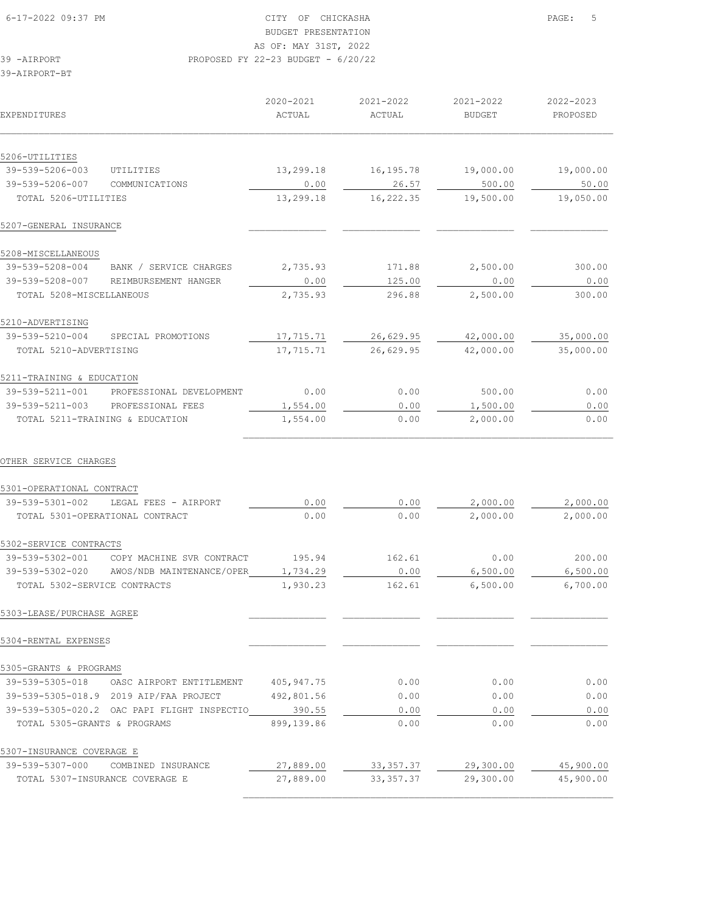# BUDGET PRESENTATION

AS OF: MAY 31ST, 2022

39 -AIRPORT PROPOSED FY 22-23 BUDGET - 6/20/22

39-AIRPORT-BT

| EXPENDITURES                                       | 2020-2021<br>ACTUAL | 2021-2022<br>ACTUAL | 2021-2022<br><b>BUDGET</b> | 2022-2023<br>PROPOSED |
|----------------------------------------------------|---------------------|---------------------|----------------------------|-----------------------|
| 5206-UTILITIES                                     |                     |                     |                            |                       |
| 39-539-5206-003<br>UTILITIES                       |                     |                     |                            |                       |
| 39-539-5206-007<br>COMMUNICATIONS                  | 13,299.18<br>0.00   | 16, 195.78<br>26.57 | 19,000.00<br>500.00        | 19,000.00<br>50.00    |
| TOTAL 5206-UTILITIES                               | 13,299.18           | 16,222.35           | 19,500.00                  | 19,050.00             |
| 5207-GENERAL INSURANCE                             |                     |                     |                            |                       |
|                                                    |                     |                     |                            |                       |
| 5208-MISCELLANEOUS                                 |                     |                     |                            |                       |
| 39-539-5208-004<br>BANK / SERVICE CHARGES          | 2,735.93            | 171.88              | 2,500.00                   | 300.00                |
| 39-539-5208-007<br>REIMBURSEMENT HANGER            | 0.00                | 125.00              | 0.00                       | 0.00                  |
| TOTAL 5208-MISCELLANEOUS                           | 2,735.93            | 296.88              | 2,500.00                   | 300.00                |
| 5210-ADVERTISING                                   |                     |                     |                            |                       |
| 39-539-5210-004<br>SPECIAL PROMOTIONS              | 17,715.71           | 26,629.95           | 42,000.00                  | 35,000.00             |
| TOTAL 5210-ADVERTISING                             | 17,715.71           | 26,629.95           | 42,000.00                  | 35,000.00             |
|                                                    |                     |                     |                            |                       |
| 5211-TRAINING & EDUCATION                          |                     |                     |                            |                       |
| 39-539-5211-001<br>PROFESSIONAL DEVELOPMENT        | 0.00                | 0.00                | 500.00                     | 0.00                  |
| 39-539-5211-003<br>PROFESSIONAL FEES               | 1,554.00            | 0.00                | 1,500.00                   | 0.00                  |
| TOTAL 5211-TRAINING & EDUCATION                    | 1,554.00            | 0.00                | 2,000.00                   | 0.00                  |
| OTHER SERVICE CHARGES<br>5301-OPERATIONAL CONTRACT |                     |                     |                            |                       |
| 39-539-5301-002<br>LEGAL FEES - AIRPORT            | 0.00                | 0.00                | 2,000.00                   | 2,000.00              |
| TOTAL 5301-OPERATIONAL CONTRACT                    | 0.00                | 0.00                | 2,000.00                   | 2,000.00              |
| 5302-SERVICE CONTRACTS                             |                     |                     |                            |                       |
| 39-539-5302-001<br>COPY MACHINE SVR CONTRACT       | 195.94              | 162.61              | 0.00                       | 200.00                |
| 39-539-5302-020<br>AWOS/NDB MAINTENANCE/OPER       | 1,734.29            | 0.00                | 6,500.00                   | 6,500.00              |
| TOTAL 5302-SERVICE CONTRACTS                       | 1,930.23            | 162.61              | 6,500.00                   | 6,700.00              |
| 5303-LEASE/PURCHASE AGREE                          |                     |                     |                            |                       |
| 5304-RENTAL EXPENSES                               |                     |                     |                            |                       |
| 5305-GRANTS & PROGRAMS                             |                     |                     |                            |                       |
| 39-539-5305-018<br>OASC AIRPORT ENTITLEMENT        | 405, 947. 75        | 0.00                | 0.00                       | 0.00                  |
| 39-539-5305-018.9 2019 AIP/FAA PROJECT             | 492,801.56          | 0.00                | 0.00                       | 0.00                  |
| 39-539-5305-020.2 OAC PAPI FLIGHT INSPECTIO        | 390.55              | 0.00                | 0.00                       | 0.00                  |
| TOTAL 5305-GRANTS & PROGRAMS                       | 899,139.86          | 0.00                | 0.00                       | 0.00                  |
| 5307-INSURANCE COVERAGE E                          |                     |                     |                            |                       |
| 39-539-5307-000<br>COMBINED INSURANCE              | 27,889.00           | 33, 357.37          | 29,300.00                  | 45,900.00             |
| TOTAL 5307-INSURANCE COVERAGE E                    | 27,889.00           | 33, 357.37          | 29,300.00                  | 45,900.00             |

 $\mathcal{L}_\text{max}$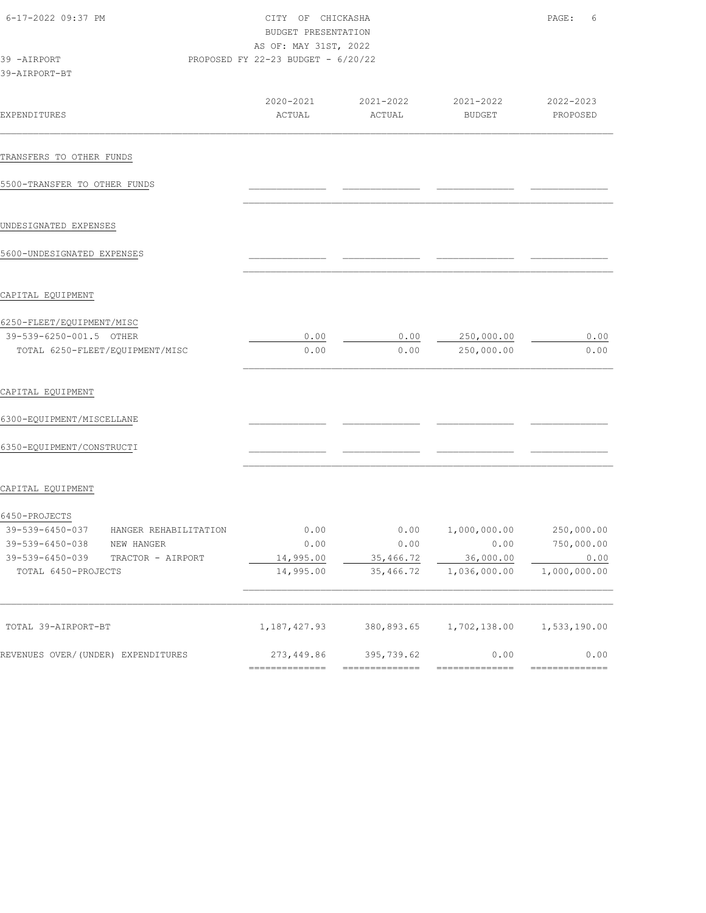| 6-17-2022 09:37 PM<br>39 -AIRPORT<br>39-AIRPORT-BT |                     | CITY OF CHICKASHA<br>BUDGET PRESENTATION<br>AS OF: MAY 31ST, 2022<br>PROPOSED FY 22-23 BUDGET - $6/20/22$ |                            |                       |  |
|----------------------------------------------------|---------------------|-----------------------------------------------------------------------------------------------------------|----------------------------|-----------------------|--|
| <b>EXPENDITURES</b>                                | 2020-2021<br>ACTUAL | 2021-2022<br>ACTUAL                                                                                       | 2021-2022<br><b>BUDGET</b> | 2022-2023<br>PROPOSED |  |
| TRANSFERS TO OTHER FUNDS                           |                     |                                                                                                           |                            |                       |  |
| 5500-TRANSFER TO OTHER FUNDS                       |                     |                                                                                                           |                            |                       |  |
| UNDESIGNATED EXPENSES                              |                     |                                                                                                           |                            |                       |  |
| 5600-UNDESIGNATED EXPENSES                         |                     |                                                                                                           |                            |                       |  |
| CAPITAL EQUIPMENT                                  |                     |                                                                                                           |                            |                       |  |
| 6250-FLEET/EQUIPMENT/MISC                          |                     |                                                                                                           |                            |                       |  |
| 39-539-6250-001.5 OTHER                            | 0.00                | 0.00                                                                                                      | 250,000.00                 | 0.00                  |  |
| TOTAL 6250-FLEET/EQUIPMENT/MISC                    | 0.00                | 0.00                                                                                                      | 250,000.00                 | 0.00                  |  |
| CAPITAL EQUIPMENT                                  |                     |                                                                                                           |                            |                       |  |
| 6300-EQUIPMENT/MISCELLANE                          |                     |                                                                                                           |                            |                       |  |
| 6350-EQUIPMENT/CONSTRUCTI                          |                     |                                                                                                           |                            |                       |  |
| CAPITAL EQUIPMENT                                  |                     |                                                                                                           |                            |                       |  |
| 6450-PROJECTS                                      |                     |                                                                                                           |                            |                       |  |
| 39-539-6450-037<br>HANGER REHABILITATION           | 0.00                | 0.00                                                                                                      | 1,000,000.00               | 250,000.00            |  |
| 39-539-6450-038<br>NEW HANGER                      | 0.00                | 0.00                                                                                                      | 0.00                       | 750,000.00            |  |
| 39-539-6450-039<br>TRACTOR - AIRPORT               | 14,995.00           | 35,466.72                                                                                                 | 36,000.00                  | 0.00                  |  |
| TOTAL 6450-PROJECTS                                | 14,995.00           | 35,466.72                                                                                                 | 1,036,000.00               | 1,000,000.00          |  |
| TOTAL 39-AIRPORT-BT                                | 1, 187, 427.93      | 380,893.65                                                                                                | 1,702,138.00               | 1,533,190.00          |  |
| REVENUES OVER/(UNDER) EXPENDITURES                 | 273,449.86          | 395,739.62                                                                                                | 0.00                       | 0.00                  |  |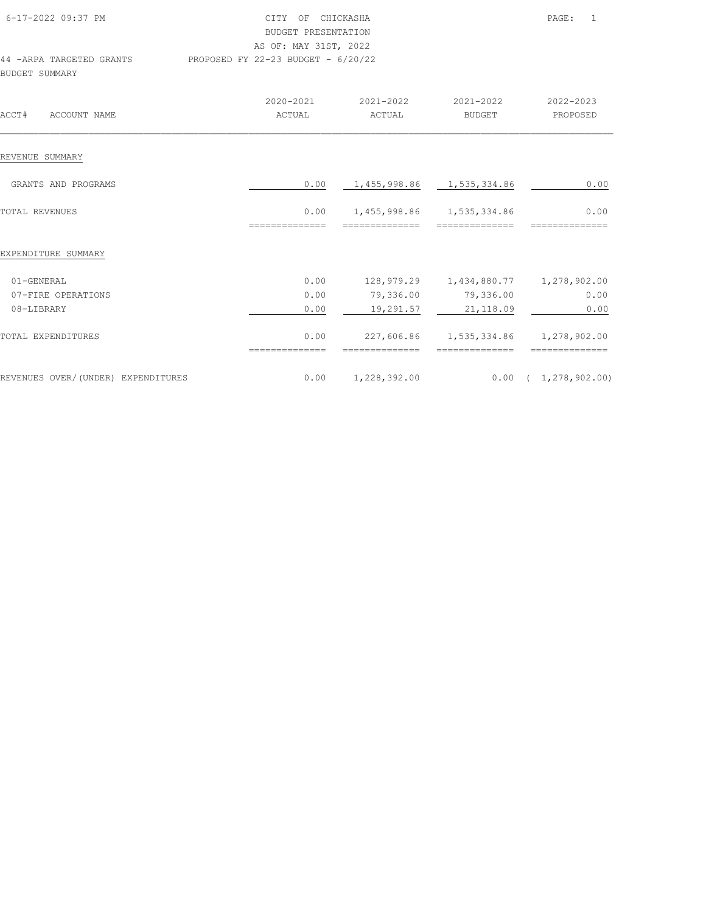| 6-17-2022 09:37 PM                                 |                                    | CITY OF CHICKASHA<br><b>BUDGET PRESENTATION</b><br>AS OF: MAY 31ST, 2022 |                                                          |                             |  |
|----------------------------------------------------|------------------------------------|--------------------------------------------------------------------------|----------------------------------------------------------|-----------------------------|--|
| 44 - ARPA TARGETED GRANTS<br><b>BUDGET SUMMARY</b> | PROPOSED FY 22-23 BUDGET - 6/20/22 |                                                                          |                                                          |                             |  |
|                                                    | 2020-2021                          | 2021-2022                                                                | 2021-2022                                                | 2022-2023                   |  |
| ACCT#<br>ACCOUNT NAME                              | ACTUAL                             | ACTUAL                                                                   | BUDGET                                                   | PROPOSED                    |  |
| REVENUE SUMMARY                                    |                                    |                                                                          |                                                          |                             |  |
| GRANTS AND PROGRAMS                                | 0.00                               | 1,455,998.86 1,535,334.86                                                |                                                          | 0.00                        |  |
| <b>TOTAL REVENUES</b>                              | 0.00                               | 1,455,998.86 1,535,334.86                                                |                                                          | 0.00                        |  |
|                                                    | --------------                     | ---------------                                                          | ==============                                           | ==============              |  |
| EXPENDITURE SUMMARY                                |                                    |                                                                          |                                                          |                             |  |
| 01-GENERAL                                         | 0.00                               |                                                                          | 128,979.29   1,434,880.77   1,278,902.00                 |                             |  |
| 07-FIRE OPERATIONS                                 | 0.00                               | 79,336.00                                                                | 79,336.00                                                | 0.00                        |  |
| 08-LIBRARY                                         | 0.00                               | 19,291.57                                                                | 21,118.09                                                | 0.00                        |  |
| TOTAL EXPENDITURES                                 | 0.00<br>==============             | ==============                                                           | 227,606.86  1,535,334.86  1,278,902.00<br>-------------- | ==============              |  |
| REVENUES OVER/(UNDER) EXPENDITURES                 | 0.00                               | 1,228,392.00                                                             |                                                          | $0.00 \quad (1,278,902.00)$ |  |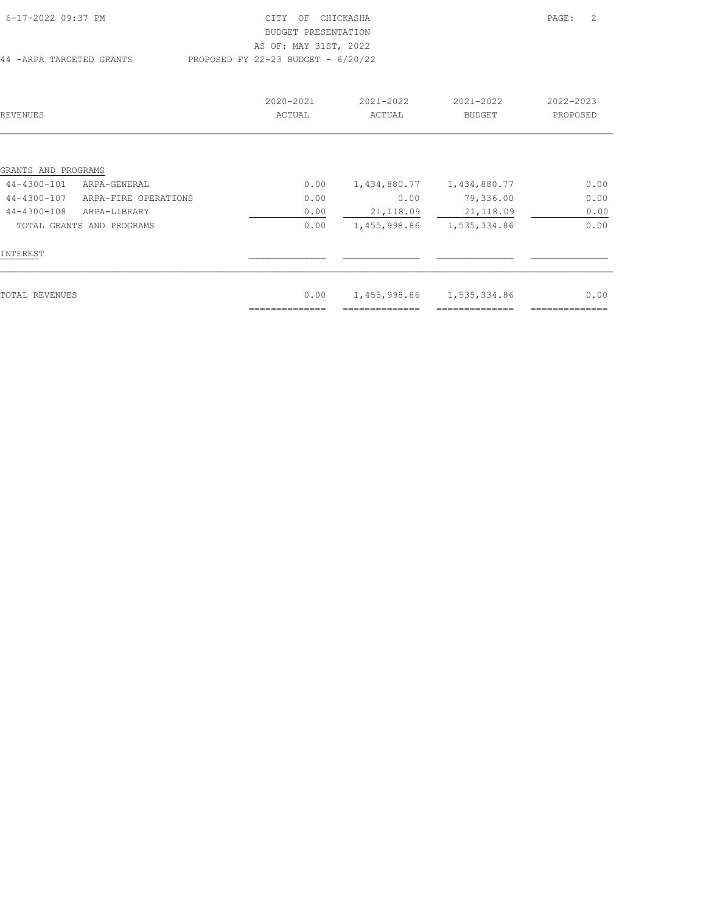| 6-17-2022 09:37 PM       | CITY OF CHICKASHA                    | PAGE: | $\overline{\phantom{0}}^2$ |
|--------------------------|--------------------------------------|-------|----------------------------|
|                          | BUDGET PRESENTATION                  |       |                            |
|                          | AS OF: MAY 31ST, 2022                |       |                            |
| 44 -ARPA TARGETED GRANTS | PROPOSED FY 22-23 BUDGET - $6/20/22$ |       |                            |

| REVENUES            |                           | 2020-2021<br>ACTUAL | 2021-2022<br>ACTUAL | 2021-2022<br><b>BUDGET</b> | 2022-2023<br>PROPOSED |
|---------------------|---------------------------|---------------------|---------------------|----------------------------|-----------------------|
|                     |                           |                     |                     |                            |                       |
| GRANTS AND PROGRAMS |                           |                     |                     |                            |                       |
| 44-4300-101         | ARPA-GENERAL              | 0.00                | 1,434,880.77        | 1,434,880.77               | 0.00                  |
| 44-4300-107         | ARPA-FIRE OPERATIONS      | 0.00                | 0.00                | 79,336.00                  | 0.00                  |
| 44-4300-108         | ARPA-LIBRARY              | 0.00                | 21, 118.09          | 21,118.09                  | 0.00                  |
|                     | TOTAL GRANTS AND PROGRAMS | 0.00                | 1,455,998.86        | 1,535,334.86               | 0.00                  |
| INTEREST            |                           |                     |                     |                            |                       |
| TOTAL REVENUES      |                           | 0.00                | 1,455,998.86        | 1,535,334.86               | 0.00                  |
|                     |                           |                     |                     |                            |                       |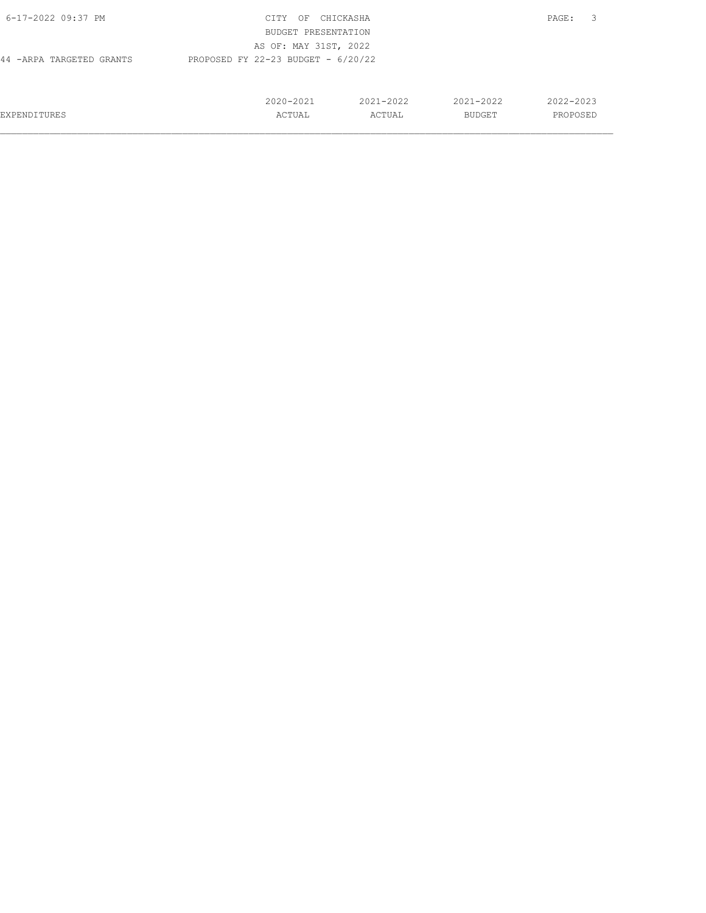| 6-17-2022 09:37 PM                                                | CITY<br>OF          | CHICKASHA |               | 3<br>PAGE: |  |
|-------------------------------------------------------------------|---------------------|-----------|---------------|------------|--|
|                                                                   | BUDGET PRESENTATION |           |               |            |  |
| AS OF: MAY 31ST, 2022                                             |                     |           |               |            |  |
| PROPOSED FY 22-23 BUDGET - $6/20/22$<br>44 - ARPA TARGETED GRANTS |                     |           |               |            |  |
|                                                                   |                     |           |               |            |  |
|                                                                   |                     |           |               |            |  |
|                                                                   | 2020-2021           | 2021-2022 | $2021 - 2022$ | 2022-2023  |  |
| <b>EXPENDITURES</b>                                               | ACTUAL              | ACTUAL    | BUDGET        | PROPOSED   |  |
|                                                                   |                     |           |               |            |  |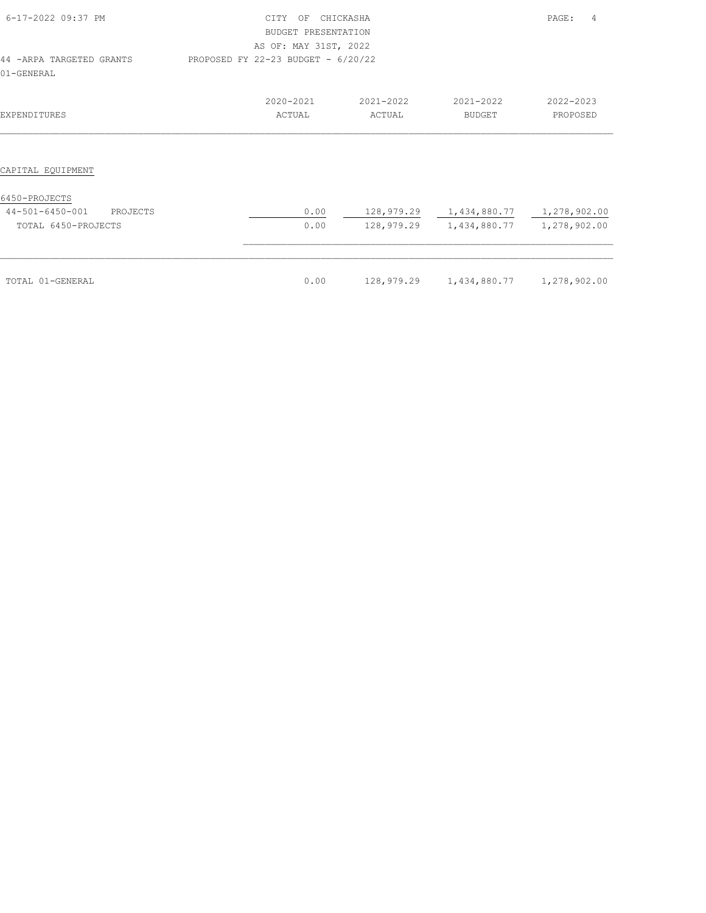| 6-17-2022 09:37 PM                                                  | <b>CTTY</b><br>CHICKASHA<br>OF<br>BUDGET PRESENTATION<br>AS OF: MAY 31ST, 2022 | PAGE:<br>4                         |                     |                                                                                      |                       |
|---------------------------------------------------------------------|--------------------------------------------------------------------------------|------------------------------------|---------------------|--------------------------------------------------------------------------------------|-----------------------|
| 44 - ARPA TARGETED GRANTS<br>01-GENERAL                             |                                                                                | PROPOSED FY 22-23 BUDGET - 6/20/22 |                     |                                                                                      |                       |
| EXPENDITURES                                                        |                                                                                | 2020-2021<br>ACTUAL                | 2021-2022<br>ACTUAL | 2021-2022<br><b>BUDGET</b>                                                           | 2022-2023<br>PROPOSED |
| CAPITAL EQUIPMENT                                                   |                                                                                |                                    |                     |                                                                                      |                       |
| 6450-PROJECTS<br>44-501-6450-001<br>PROJECTS<br>TOTAL 6450-PROJECTS |                                                                                | 0.00<br>0.00                       |                     | 128,979.29   1,434,880.77   1,278,902.00<br>128,979.29   1,434,880.77   1,278,902.00 |                       |
| TOTAL 01-GENERAL                                                    |                                                                                | 0.00                               | 128,979.29          | 1,434,880.77 1,278,902.00                                                            |                       |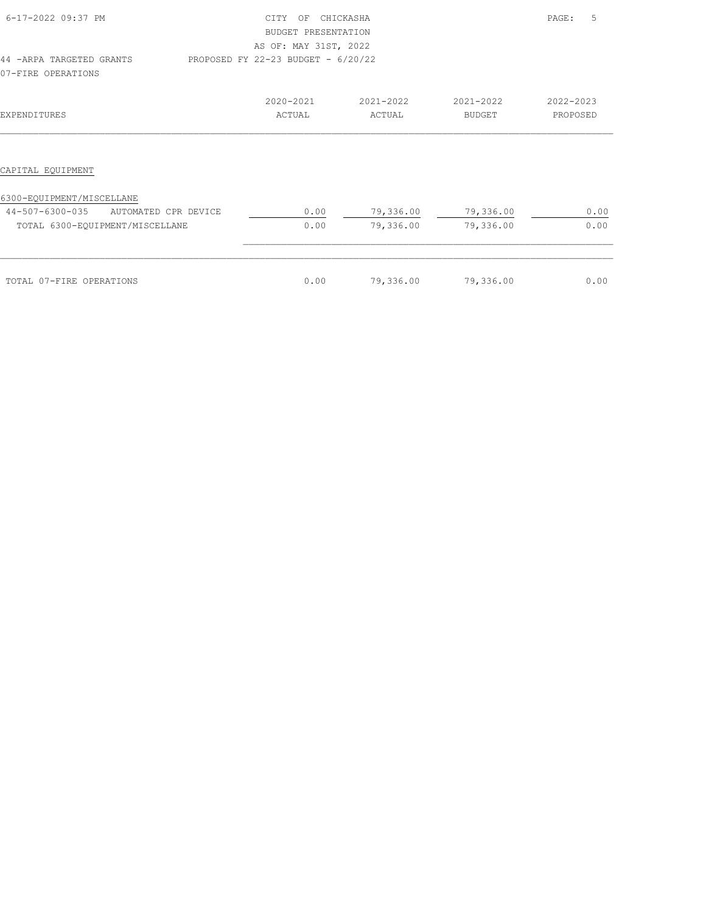| 6-17-2022 09:37 PM                                                         | <b>CTTY</b><br>OF<br>BUDGET PRESENTATION<br>AS OF: MAY 31ST, 2022 | CHICKASHA              |                            | 5<br>PAGE:            |
|----------------------------------------------------------------------------|-------------------------------------------------------------------|------------------------|----------------------------|-----------------------|
| 44 - ARPA TARGETED GRANTS<br>07-FIRE OPERATIONS                            | PROPOSED FY 22-23 BUDGET - 6/20/22                                |                        |                            |                       |
| EXPENDITURES                                                               | 2020-2021<br>ACTUAL                                               | 2021-2022<br>ACTUAL    | 2021-2022<br><b>BUDGET</b> | 2022-2023<br>PROPOSED |
| CAPITAL EQUIPMENT                                                          |                                                                   |                        |                            |                       |
| 6300-EQUIPMENT/MISCELLANE                                                  |                                                                   |                        |                            |                       |
| 44-507-6300-035<br>AUTOMATED CPR DEVICE<br>TOTAL 6300-EQUIPMENT/MISCELLANE | 0.00<br>0.00                                                      | 79,336.00<br>79,336.00 | 79,336.00<br>79,336.00     | 0.00<br>0.00          |
|                                                                            |                                                                   |                        |                            |                       |
| TOTAL 07-FIRE OPERATIONS                                                   | 0.00                                                              | 79,336.00              | 79,336.00                  | 0.00                  |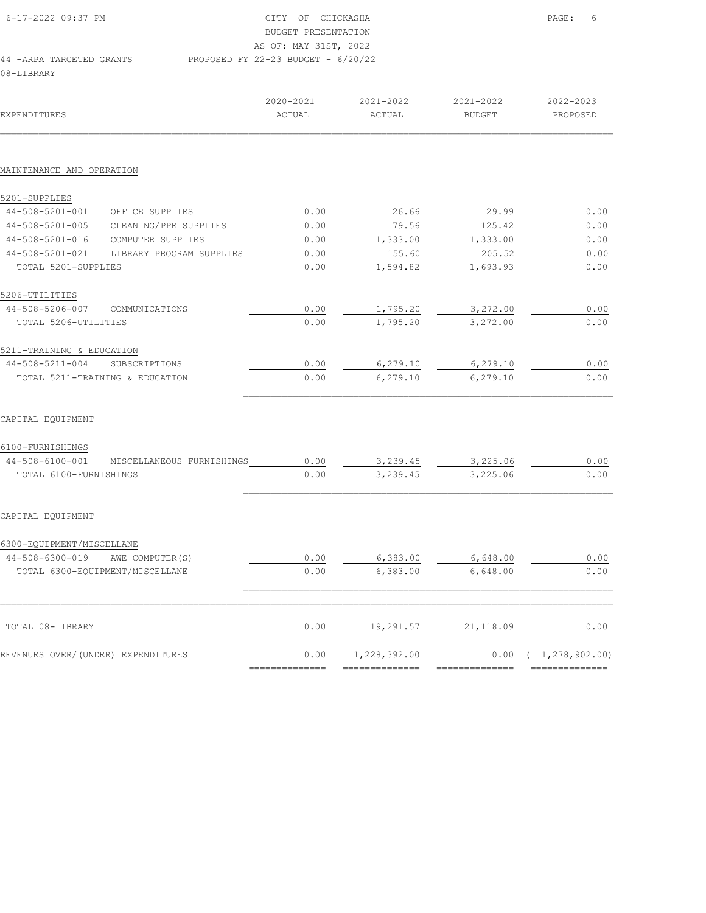| 6-17-2022 09:37 PM        | CITY OF CHICKASHA                    | PAGE: | - 6 |
|---------------------------|--------------------------------------|-------|-----|
|                           | BUDGET PRESENTATION                  |       |     |
|                           | AS OF: MAY 31ST, 2022                |       |     |
| 44 - ARPA TARGETED GRANTS | PROPOSED FY 22-23 BUDGET - $6/20/22$ |       |     |
| 08-LIBRARY                |                                      |       |     |

| EXPENDITURES                       |                           | 2020-2021<br>ACTUAL | 2021-2022<br>ACTUAL | 2021-2022<br><b>BUDGET</b> | 2022-2023<br>PROPOSED       |
|------------------------------------|---------------------------|---------------------|---------------------|----------------------------|-----------------------------|
|                                    |                           |                     |                     |                            |                             |
| MAINTENANCE AND OPERATION          |                           |                     |                     |                            |                             |
| 5201-SUPPLIES                      |                           |                     |                     |                            |                             |
| 44-508-5201-001                    | OFFICE SUPPLIES           | 0.00                | 26.66               | 29.99                      | 0.00                        |
| 44-508-5201-005                    | CLEANING/PPE SUPPLIES     | 0.00                | 79.56               | 125.42                     | 0.00                        |
| 44-508-5201-016                    | COMPUTER SUPPLIES         | 0.00                | 1,333.00            | 1,333.00                   | 0.00                        |
| 44-508-5201-021                    | LIBRARY PROGRAM SUPPLIES  | 0.00                | 155.60              | 205.52                     | 0.00                        |
| TOTAL 5201-SUPPLIES                |                           | 0.00                | 1,594.82            | 1,693.93                   | 0.00                        |
| 5206-UTILITIES                     |                           |                     |                     |                            |                             |
| 44-508-5206-007                    | COMMUNICATIONS            | 0.00                | 1,795.20            | 3,272.00                   | 0.00                        |
| TOTAL 5206-UTILITIES               |                           | 0.00                | 1,795.20            | 3,272.00                   | 0.00                        |
| 5211-TRAINING & EDUCATION          |                           |                     |                     |                            |                             |
| 44-508-5211-004                    | SUBSCRIPTIONS             | 0.00                | 6,279.10            | 6, 279.10                  | 0.00                        |
| TOTAL 5211-TRAINING & EDUCATION    |                           | 0.00                | 6, 279.10           | 6,279.10                   | 0.00                        |
| CAPITAL EQUIPMENT                  |                           |                     |                     |                            |                             |
| 6100-FURNISHINGS                   |                           |                     |                     |                            |                             |
| 44-508-6100-001                    | MISCELLANEOUS FURNISHINGS | 0.00                | 3,239.45            | 3,225.06                   | 0.00                        |
| TOTAL 6100-FURNISHINGS             |                           | 0.00                | 3,239.45            | 3,225.06                   | 0.00                        |
| CAPITAL EQUIPMENT                  |                           |                     |                     |                            |                             |
| 6300-EQUIPMENT/MISCELLANE          |                           |                     |                     |                            |                             |
| 44-508-6300-019 AWE COMPUTER(S)    |                           | 0.00                | 6,383.00            | 6,648.00                   | 0.00                        |
| TOTAL 6300-EQUIPMENT/MISCELLANE    |                           | 0.00                | 6,383.00            | 6,648.00                   | 0.00                        |
|                                    |                           |                     |                     |                            |                             |
| TOTAL 08-LIBRARY                   |                           | 0.00                | 19,291.57           | 21,118.09                  | 0.00                        |
| REVENUES OVER/(UNDER) EXPENDITURES |                           | 0.00                | 1,228,392.00        |                            | $0.00 \quad (1,278,902.00)$ |
|                                    |                           | --------------      | ---------------     |                            | --------------              |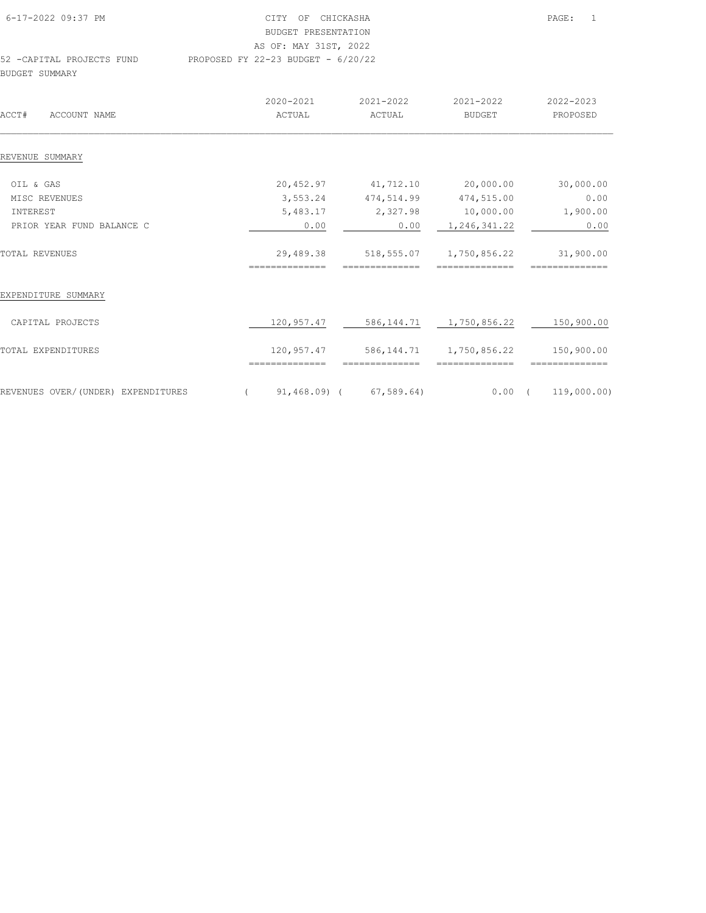| 6-17-2022 09:37 PM        | CITY OF CHICKASHA                    | $\overline{1}$<br>PAGE: |
|---------------------------|--------------------------------------|-------------------------|
|                           | BUDGET PRESENTATION                  |                         |
|                           | AS OF: MAY 31ST, 2022                |                         |
| 52 -CAPITAL PROJECTS FUND | PROPOSED FY 22-23 BUDGET - $6/20/22$ |                         |
| BUDGET SUMMARY            |                                      |                         |

| ACCT#<br>ACCOUNT NAME              | 2020-2021<br>ACTUAL          | 2021-2022<br>ACTUAL      | 2021-2022<br><b>BUDGET</b>                   | 2022-2023<br>PROPOSED        |
|------------------------------------|------------------------------|--------------------------|----------------------------------------------|------------------------------|
| REVENUE SUMMARY                    |                              |                          |                                              |                              |
| OIL & GAS                          | 20,452.97                    | 41,712.10                | 20,000.00                                    | 30,000.00                    |
| MISC REVENUES                      | 3,553.24                     | 474,514.99               | 474,515.00                                   | 0.00                         |
| INTEREST                           | 5,483.17                     | 2,327.98                 | 10,000.00                                    | 1,900.00                     |
| PRIOR YEAR FUND BALANCE C          | 0.00                         | 0.00                     | 1,246,341.22                                 | 0.00                         |
| TOTAL REVENUES                     | 29,489.38                    | 518,555.07               | 1,750,856.22                                 | 31,900.00                    |
| EXPENDITURE SUMMARY                |                              |                          |                                              |                              |
| CAPITAL PROJECTS                   | 120,957.47                   |                          | 586, 144.71 1, 750, 856.22                   | 150,900.00                   |
| TOTAL EXPENDITURES                 | 120,957.47<br>============== | ==============           | 586, 144.71 1, 750, 856.22<br>============== | 150,900.00<br>============== |
| REVENUES OVER/(UNDER) EXPENDITURES |                              | $91,468.09$ ( 67,589.64) | $0.00$ (                                     | 119,000.00)                  |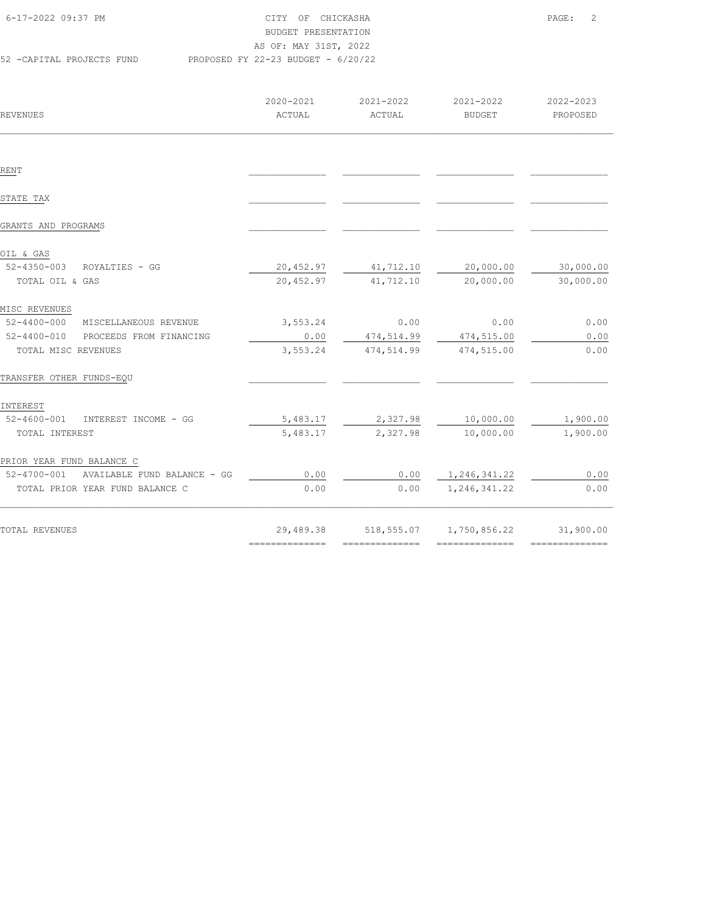| 6-17-2022 09:37 PM        | CITY OF CHICKASHA                    | $\overline{\phantom{0}}^2$<br>PAGE: |  |
|---------------------------|--------------------------------------|-------------------------------------|--|
|                           | BUDGET PRESENTATION                  |                                     |  |
|                           | AS OF: MAY 31ST, 2022                |                                     |  |
| 52 -CAPITAL PROJECTS FUND | PROPOSED FY 22-23 BUDGET - $6/20/22$ |                                     |  |

| REVENUES                                | 2020-2021<br>ACTUAL | 2021-2022<br>ACTUAL   | 2021-2022<br>BUDGET                  | 2022-2023<br>PROPOSED |
|-----------------------------------------|---------------------|-----------------------|--------------------------------------|-----------------------|
|                                         |                     |                       |                                      |                       |
| RENT                                    |                     |                       |                                      |                       |
| STATE TAX                               |                     |                       |                                      |                       |
| GRANTS AND PROGRAMS                     |                     |                       |                                      |                       |
| OIL & GAS                               |                     |                       |                                      |                       |
| 52-4350-003 ROYALTIES - GG              |                     | 20,452.97 41,712.10   | 20,000.00                            | 30,000.00             |
| TOTAL OIL & GAS                         |                     | 20,452.97 41,712.10   | 20,000.00                            | 30,000.00             |
| MISC REVENUES                           |                     |                       |                                      |                       |
| 52-4400-000 MISCELLANEOUS REVENUE       | 3,553.24            | 0.00                  | 0.00                                 | 0.00                  |
| 52-4400-010 PROCEEDS FROM FINANCING     | 0.00                | 474,514.99            | 474,515.00                           | 0.00                  |
| TOTAL MISC REVENUES                     | 3,553.24            | 474,514.99 474,515.00 |                                      | 0.00                  |
| TRANSFER OTHER FUNDS-EQU                |                     |                       |                                      |                       |
| INTEREST                                |                     |                       |                                      |                       |
| 52-4600-001 INTEREST INCOME - GG        |                     |                       | 5,483.17 2,327.98 10,000.00 1,900.00 |                       |
| TOTAL INTEREST                          | 5,483.17            | 2,327.98              | 10,000.00                            | 1,900.00              |
| PRIOR YEAR FUND BALANCE C               |                     |                       |                                      |                       |
| 52-4700-001 AVAILABLE FUND BALANCE - GG | 0.00                |                       | $0.00$ $1,246,341.22$                | 0.00                  |
| TOTAL PRIOR YEAR FUND BALANCE C         | 0.00                | 0.00                  | 1,246,341.22                         | 0.00                  |
| TOTAL REVENUES                          |                     |                       | 29,489.38 518,555.07 1,750,856.22    | 31,900.00             |
|                                         | ===============     | ===============       | ===============                      | ===============       |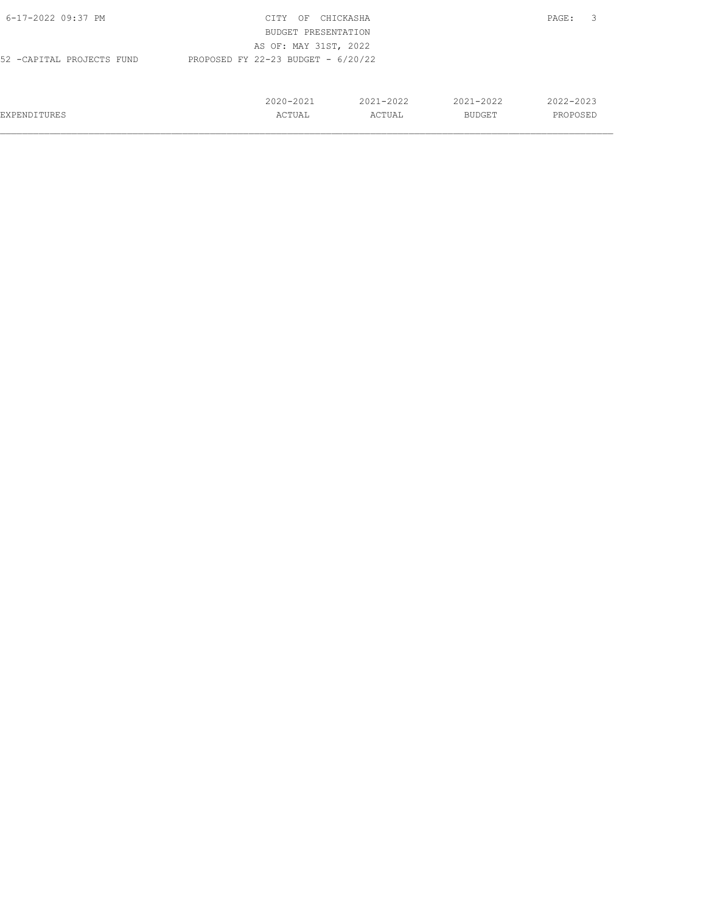| 6-17-2022 09:37 PM        | CITY<br>OF                           | CHICKASHA     |               | 3<br>PAGE: |
|---------------------------|--------------------------------------|---------------|---------------|------------|
|                           | BUDGET PRESENTATION                  |               |               |            |
|                           | AS OF: MAY 31ST, 2022                |               |               |            |
| 52 -CAPITAL PROJECTS FUND | PROPOSED FY 22-23 BUDGET - $6/20/22$ |               |               |            |
|                           |                                      |               |               |            |
|                           |                                      |               |               |            |
|                           | $2020 - 2021$                        | $2021 - 2022$ | $2021 - 2022$ | 2022-2023  |
| EXPENDITURES              | ACTUAL                               | ACTUAL        | BUDGET        | PROPOSED   |
|                           |                                      |               |               |            |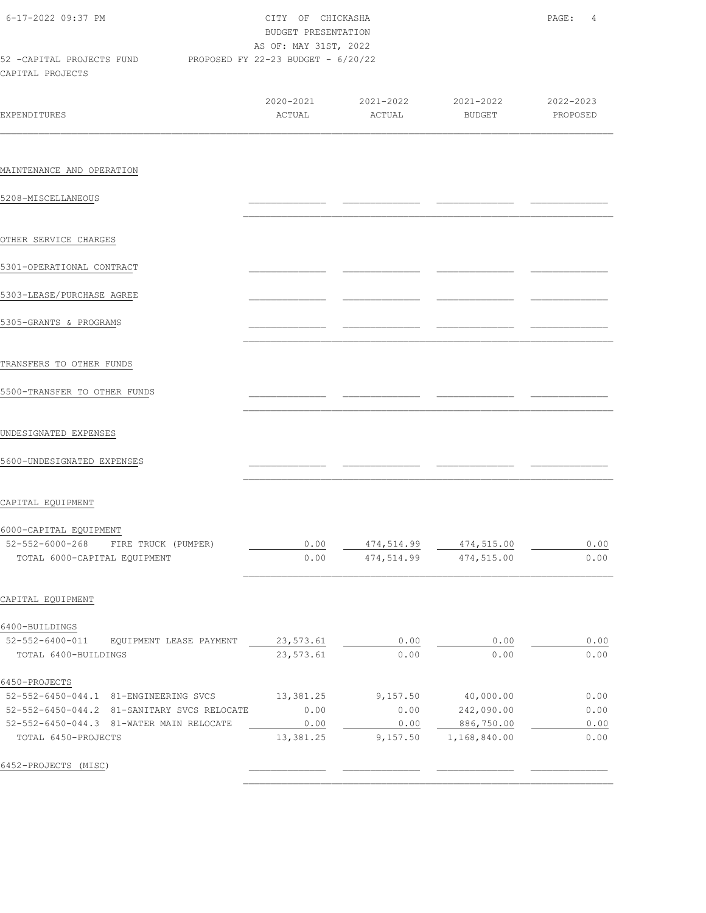| 6-17-2022 09:37 PM                                                               | CITY OF CHICKASHA<br>BUDGET PRESENTATION<br>AS OF: MAY 31ST, 2022 | PAGE:<br>4       |                                         |              |
|----------------------------------------------------------------------------------|-------------------------------------------------------------------|------------------|-----------------------------------------|--------------|
| 52 -CAPITAL PROJECTS FUND PROPOSED FY 22-23 BUDGET - 6/20/22<br>CAPITAL PROJECTS |                                                                   |                  |                                         |              |
|                                                                                  |                                                                   |                  | 2020-2021 2021-2022 2021-2022 2022-2023 |              |
| <b>EXPENDITURES</b>                                                              | ACTUAL                                                            | ACTUAL           | BUDGET                                  | PROPOSED     |
| MAINTENANCE AND OPERATION                                                        |                                                                   |                  |                                         |              |
| 5208-MISCELLANEOUS                                                               |                                                                   |                  |                                         |              |
| OTHER SERVICE CHARGES                                                            |                                                                   |                  |                                         |              |
| 5301-OPERATIONAL CONTRACT                                                        |                                                                   |                  |                                         |              |
| 5303-LEASE/PURCHASE AGREE                                                        |                                                                   |                  |                                         |              |
| 5305-GRANTS & PROGRAMS                                                           |                                                                   |                  |                                         |              |
| TRANSFERS TO OTHER FUNDS                                                         |                                                                   |                  |                                         |              |
| 5500-TRANSFER TO OTHER FUNDS                                                     |                                                                   |                  |                                         |              |
| UNDESIGNATED EXPENSES                                                            |                                                                   |                  |                                         |              |
| 5600-UNDESIGNATED EXPENSES                                                       |                                                                   |                  |                                         |              |
| CAPITAL EQUIPMENT                                                                |                                                                   |                  |                                         |              |
| 6000-CAPITAL EQUIPMENT<br>$52 - 552 - 6000 - 268$<br>FIRE TRUCK (PUMPER)         | 0.00                                                              | 474,514.99       | 474,515.00                              | 0.00         |
| TOTAL 6000-CAPITAL EQUIPMENT                                                     | 0.00                                                              | 474,514.99       | 474,515.00                              | 0.00         |
| CAPITAL EQUIPMENT                                                                |                                                                   |                  |                                         |              |
| 6400-BUILDINGS<br>52-552-6400-011<br>EQUIPMENT LEASE PAYMENT                     | 23,573.61                                                         | 0.00             | 0.00                                    | 0.00         |
| TOTAL 6400-BUILDINGS                                                             | 23,573.61                                                         | 0.00             | 0.00                                    | 0.00         |
| 6450-PROJECTS                                                                    |                                                                   |                  |                                         |              |
| 52-552-6450-044.1 81-ENGINEERING SVCS                                            | 13,381.25                                                         | 9,157.50         | 40,000.00                               | 0.00         |
| 52-552-6450-044.2 81-SANITARY SVCS RELOCATE                                      | 0.00                                                              | 0.00             | 242,090.00                              | 0.00         |
| 52-552-6450-044.3 81-WATER MAIN RELOCATE<br>TOTAL 6450-PROJECTS                  | 0.00<br>13,381.25                                                 | 0.00<br>9,157.50 | 886,750.00<br>1,168,840.00              | 0.00<br>0.00 |
| 6452-PROJECTS (MISC)                                                             |                                                                   |                  |                                         |              |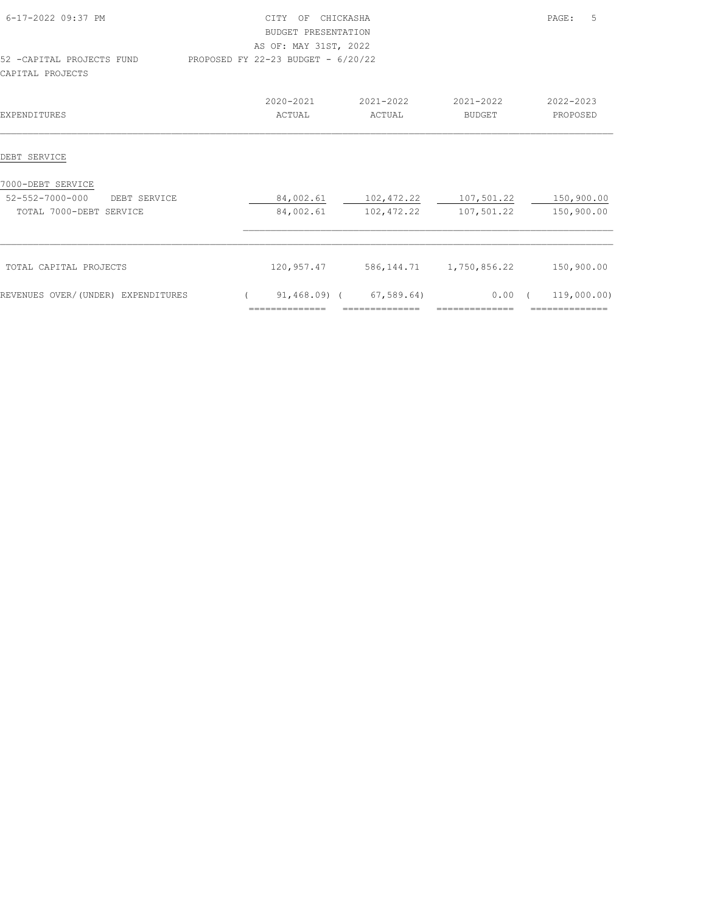| 6-17-2022 09:37 PM                 | CITY OF CHICKASHA                  |                          |                            |            | .5<br>PAGE:    |
|------------------------------------|------------------------------------|--------------------------|----------------------------|------------|----------------|
|                                    | BUDGET PRESENTATION                |                          |                            |            |                |
|                                    | AS OF: MAY 31ST, 2022              |                          |                            |            |                |
| 52 - CAPITAL PROJECTS FUND         | PROPOSED FY 22-23 BUDGET - 6/20/22 |                          |                            |            |                |
| CAPITAL PROJECTS                   |                                    |                          |                            |            |                |
|                                    | 2020-2021                          | 2021-2022                | 2021-2022                  |            | 2022-2023      |
| <b>EXPENDITURES</b>                | ACTUAL                             | ACTUAL                   | <b>BUDGET</b>              |            | PROPOSED       |
| DEBT SERVICE                       |                                    |                          |                            |            |                |
|                                    |                                    |                          |                            |            |                |
| 7000-DEBT SERVICE                  |                                    |                          |                            |            |                |
| 52-552-7000-000<br>DEBT SERVICE    |                                    | 84,002.61 102,472.22     | 107,501.22                 |            | 150,900.00     |
| TOTAL 7000-DEBT SERVICE            | 84,002.61                          | 102,472.22               | 107,501.22                 |            | 150,900.00     |
|                                    |                                    |                          |                            |            |                |
| TOTAL CAPITAL PROJECTS             | 120,957.47                         |                          | 586, 144.71 1, 750, 856.22 |            | 150,900.00     |
| REVENUES OVER/(UNDER) EXPENDITURES |                                    | $91,468.09$ ( 67,589.64) | 0.00                       | $\sqrt{2}$ | 119,000.00)    |
|                                    | --------------                     | --------------           | ==============             |            | ============== |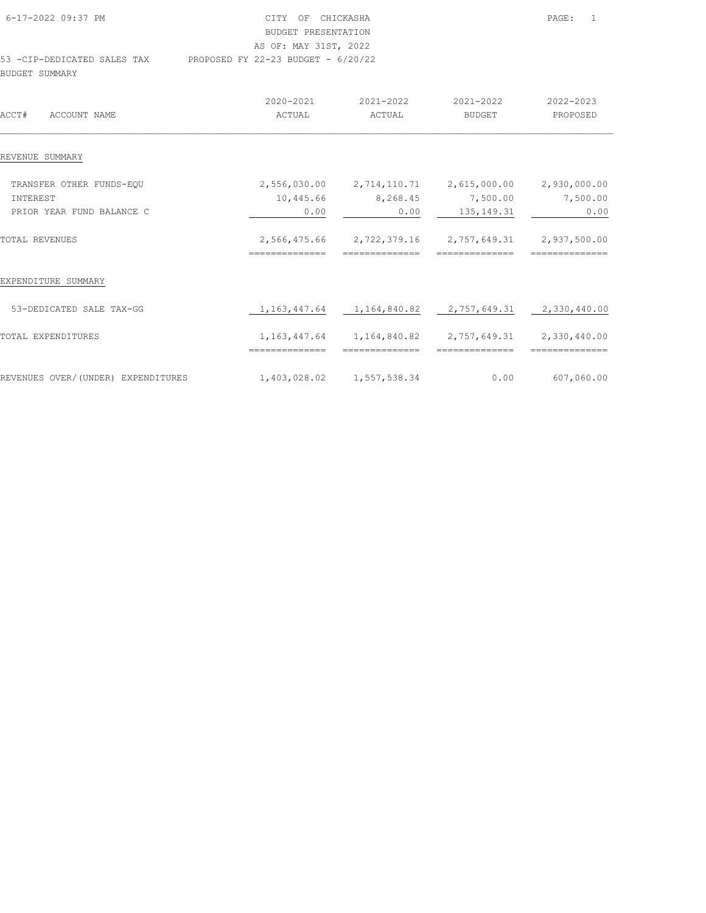| 6-17-2022 09:37 PM          | CITY OF CHICKASHA                    | PAGE: | $\overline{1}$ |
|-----------------------------|--------------------------------------|-------|----------------|
|                             | BUDGET PRESENTATION                  |       |                |
|                             | AS OF: MAY 31ST, 2022                |       |                |
| 53 -CIP-DEDICATED SALES TAX | PROPOSED FY 22-23 BUDGET - $6/20/22$ |       |                |
| BUDGET SUMMARY              |                                      |       |                |

|                                    | 2020-2021      | 2021-2022                 | 2021-2022                                                             | 2022-2023      |
|------------------------------------|----------------|---------------------------|-----------------------------------------------------------------------|----------------|
| ACCT#<br>ACCOUNT NAME              | ACTUAL         | ACTUAL                    | <b>BUDGET</b>                                                         | PROPOSED       |
| REVENUE SUMMARY                    |                |                           |                                                                       |                |
|                                    |                |                           |                                                                       |                |
| TRANSFER OTHER FUNDS-EOU           |                |                           | 2,556,030.00  2,714,110.71  2,615,000.00  2,930,000.00                |                |
| <b>INTEREST</b>                    | 10,445.66      | 8,268.45                  | 7,500.00                                                              | 7,500.00       |
| PRIOR YEAR FUND BALANCE C          | 0.00           | 0.00                      | 135, 149. 31                                                          | 0.00           |
| TOTAL REVENUES                     |                |                           | 2,566,475.66 2,722,379.16 2,757,649.31 2,937,500.00                   |                |
|                                    | ============== | --------------            | --------------                                                        | -------------- |
| EXPENDITURE SUMMARY                |                |                           |                                                                       |                |
| 53-DEDICATED SALE TAX-GG           |                |                           | 1, 163, 447.64 1, 164, 840.82 2, 757, 649.31 2, 330, 440.00           |                |
| TOTAL EXPENDITURES                 |                |                           | 1, 163, 447. 64   1, 164, 840. 82   2, 757, 649. 31   2, 330, 440. 00 |                |
|                                    | ============== | ==============            | ==============                                                        | -------------- |
| REVENUES OVER/(UNDER) EXPENDITURES |                | 1,403,028.02 1,557,538.34 | 0.00                                                                  | 607,060.00     |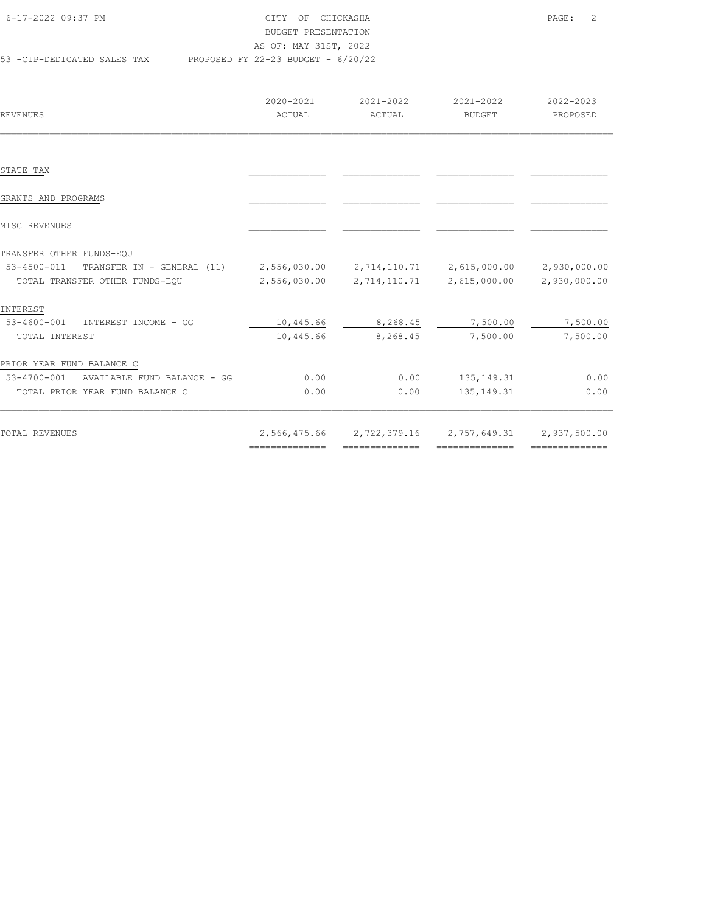| 6-17-2022 09:37 PM          | CITY OF CHICKASHA                    | PAGE: 2 |  |
|-----------------------------|--------------------------------------|---------|--|
|                             | BUDGET PRESENTATION                  |         |  |
|                             | AS OF: MAY 31ST, 2022                |         |  |
| 53 -CIP-DEDICATED SALES TAX | PROPOSED FY 22-23 BUDGET - $6/20/22$ |         |  |

| REVENUES                                  | 2020-2021<br>ACTUAL                                         | 2021-2022<br>ACTUAL | 2021-2022<br>BUDGET                                                    | 2022-2023<br>PROPOSED                                                                                                                                                                                                                                                                                                                                                                                                                                                                  |
|-------------------------------------------|-------------------------------------------------------------|---------------------|------------------------------------------------------------------------|----------------------------------------------------------------------------------------------------------------------------------------------------------------------------------------------------------------------------------------------------------------------------------------------------------------------------------------------------------------------------------------------------------------------------------------------------------------------------------------|
|                                           |                                                             |                     |                                                                        |                                                                                                                                                                                                                                                                                                                                                                                                                                                                                        |
| STATE TAX                                 |                                                             |                     |                                                                        |                                                                                                                                                                                                                                                                                                                                                                                                                                                                                        |
| GRANTS AND PROGRAMS                       |                                                             |                     |                                                                        |                                                                                                                                                                                                                                                                                                                                                                                                                                                                                        |
| MISC REVENUES                             |                                                             |                     |                                                                        |                                                                                                                                                                                                                                                                                                                                                                                                                                                                                        |
| TRANSFER OTHER FUNDS-EQU                  |                                                             |                     |                                                                        |                                                                                                                                                                                                                                                                                                                                                                                                                                                                                        |
| 53-4500-011<br>TRANSFER IN - GENERAL (11) | $2,556,030.00$ $2,714,110.71$ $2,615,000.00$ $2,930,000.00$ |                     |                                                                        |                                                                                                                                                                                                                                                                                                                                                                                                                                                                                        |
| TOTAL TRANSFER OTHER FUNDS-EQU            |                                                             |                     | 2,556,030.00 2,714,110.71 2,615,000.00                                 | 2,930,000.00                                                                                                                                                                                                                                                                                                                                                                                                                                                                           |
| INTEREST                                  |                                                             |                     |                                                                        |                                                                                                                                                                                                                                                                                                                                                                                                                                                                                        |
| 53-4600-001<br>INTEREST INCOME - GG       | 10,445.66                                                   | 8,268.45            | 7,500.00                                                               | 7,500.00                                                                                                                                                                                                                                                                                                                                                                                                                                                                               |
| TOTAL INTEREST                            | 10,445.66                                                   | 8,268.45            | 7,500.00                                                               | 7,500.00                                                                                                                                                                                                                                                                                                                                                                                                                                                                               |
| PRIOR YEAR FUND BALANCE C                 |                                                             |                     |                                                                        |                                                                                                                                                                                                                                                                                                                                                                                                                                                                                        |
| 53-4700-001 AVAILABLE FUND BALANCE - GG   | 0.00                                                        | 0.00                | 135, 149. 31                                                           | 0.00                                                                                                                                                                                                                                                                                                                                                                                                                                                                                   |
| TOTAL PRIOR YEAR FUND BALANCE C           | 0.00                                                        | 0.00                | 135, 149. 31                                                           | 0.00                                                                                                                                                                                                                                                                                                                                                                                                                                                                                   |
|                                           |                                                             |                     |                                                                        |                                                                                                                                                                                                                                                                                                                                                                                                                                                                                        |
| TOTAL REVENUES                            | ==============                                              | ==============      | 2,566,475.66 2,722,379.16 2,757,649.31 2,937,500.00<br>--------------- | $\begin{array}{cccccccccc} \multicolumn{2}{c}{} & \multicolumn{2}{c}{} & \multicolumn{2}{c}{} & \multicolumn{2}{c}{} & \multicolumn{2}{c}{} & \multicolumn{2}{c}{} & \multicolumn{2}{c}{} & \multicolumn{2}{c}{} & \multicolumn{2}{c}{} & \multicolumn{2}{c}{} & \multicolumn{2}{c}{} & \multicolumn{2}{c}{} & \multicolumn{2}{c}{} & \multicolumn{2}{c}{} & \multicolumn{2}{c}{} & \multicolumn{2}{c}{} & \multicolumn{2}{c}{} & \multicolumn{2}{c}{} & \multicolumn{2}{c}{} & \mult$ |
|                                           |                                                             |                     |                                                                        |                                                                                                                                                                                                                                                                                                                                                                                                                                                                                        |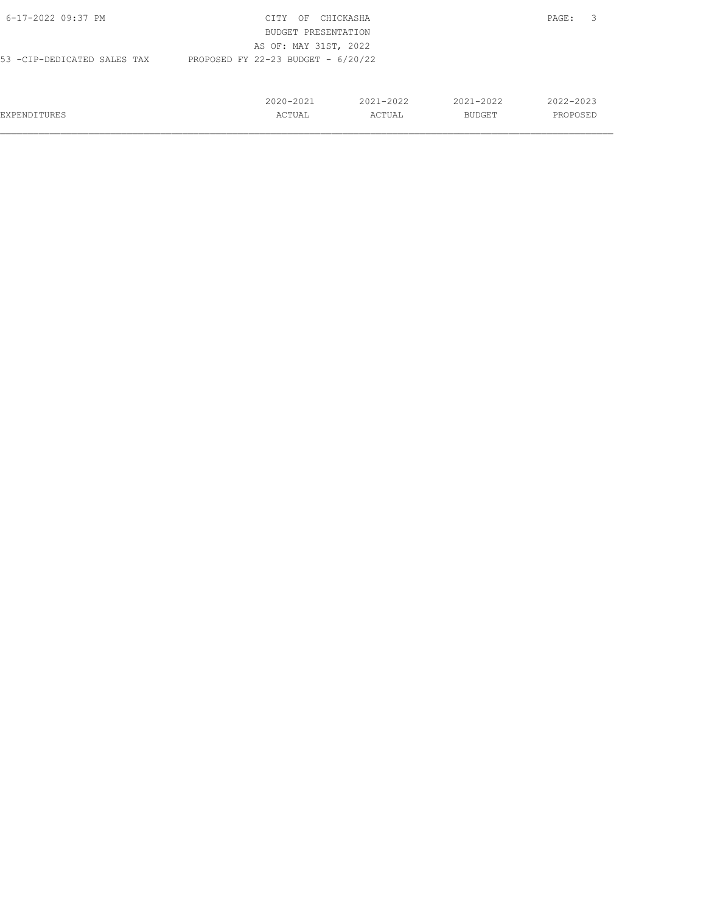| 6-17-2022 09:37 PM           | CITY<br>ΟF                           | CHICKASHA     |               | 3<br>PAGE: |
|------------------------------|--------------------------------------|---------------|---------------|------------|
|                              | BUDGET PRESENTATION                  |               |               |            |
|                              | AS OF: MAY 31ST, 2022                |               |               |            |
| 53 - CIP-DEDICATED SALES TAX | PROPOSED FY 22-23 BUDGET - $6/20/22$ |               |               |            |
|                              |                                      |               |               |            |
|                              |                                      |               |               |            |
|                              | $2020 - 2021$                        | $2021 - 2022$ | $2021 - 2022$ | 2022-2023  |
| <b>EXPENDITURES</b>          | ACTUAL                               | ACTUAL        | <b>BUDGET</b> | PROPOSED   |
|                              |                                      |               |               |            |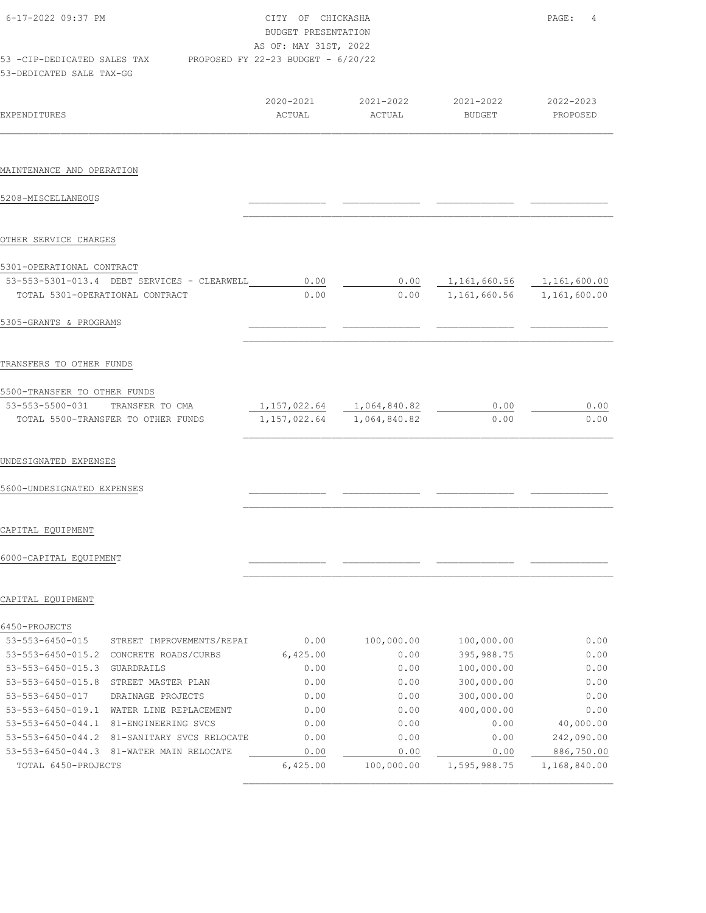| 6-17-2022 09:37 PM                                                                         | CITY OF CHICKASHA<br>BUDGET PRESENTATION<br>AS OF: MAY 31ST, 2022 |                     |                            | PAGE:<br>4            |
|--------------------------------------------------------------------------------------------|-------------------------------------------------------------------|---------------------|----------------------------|-----------------------|
| 53 -CIP-DEDICATED SALES TAX PROPOSED FY 22-23 BUDGET - 6/20/22<br>53-DEDICATED SALE TAX-GG |                                                                   |                     |                            |                       |
| <b>EXPENDITURES</b>                                                                        | 2020-2021<br>ACTUAL                                               | 2021-2022<br>ACTUAL | 2021-2022<br><b>BUDGET</b> | 2022-2023<br>PROPOSED |
|                                                                                            |                                                                   |                     |                            |                       |
| MAINTENANCE AND OPERATION                                                                  |                                                                   |                     |                            |                       |
| 5208-MISCELLANEOUS                                                                         |                                                                   |                     |                            |                       |
| OTHER SERVICE CHARGES                                                                      |                                                                   |                     |                            |                       |
| 5301-OPERATIONAL CONTRACT                                                                  |                                                                   |                     |                            |                       |
| 53-553-5301-013.4 DEBT SERVICES - CLEARWELL                                                | 0.00                                                              | 0.00                | 1,161,660.56               | 1,161,600.00          |
| TOTAL 5301-OPERATIONAL CONTRACT                                                            | 0.00                                                              | 0.00                | 1,161,660.56               | 1,161,600.00          |
| 5305-GRANTS & PROGRAMS                                                                     |                                                                   |                     |                            |                       |
| TRANSFERS TO OTHER FUNDS                                                                   |                                                                   |                     |                            |                       |
| 5500-TRANSFER TO OTHER FUNDS                                                               |                                                                   |                     |                            |                       |
| 53-553-5500-031 TRANSFER TO CMA                                                            | 1, 157, 022.64 1, 064, 840.82                                     |                     | 0.00                       | 0.00                  |
| TOTAL 5500-TRANSFER TO OTHER FUNDS                                                         | 1, 157, 022.64                                                    | 1,064,840.82        | 0.00                       | 0.00                  |
| UNDESIGNATED EXPENSES                                                                      |                                                                   |                     |                            |                       |
| 5600-UNDESIGNATED EXPENSES                                                                 |                                                                   |                     |                            |                       |
| CAPITAL EQUIPMENT                                                                          |                                                                   |                     |                            |                       |
| 6000-CAPITAL EQUIPMENT                                                                     |                                                                   |                     |                            |                       |
| CAPITAL EQUIPMENT                                                                          |                                                                   |                     |                            |                       |
| 6450-PROJECTS                                                                              |                                                                   |                     |                            |                       |
| $53 - 553 - 6450 - 015$<br>STREET IMPROVEMENTS/REPAI                                       | 0.00                                                              | 100,000.00          | 100,000.00                 | 0.00                  |
| $53 - 553 - 6450 - 015.2$<br>CONCRETE ROADS/CURBS                                          | 6,425.00                                                          | 0.00                | 395,988.75                 | 0.00                  |
| $53 - 553 - 6450 - 015.3$<br>GUARDRAILS                                                    | 0.00                                                              | 0.00                | 100,000.00                 | 0.00                  |

| $53 - 553 - 6450 - 015.3$ | GUARDRATLS                | 0.00     | 0.00       | 100,000.00   | 0.00         |
|---------------------------|---------------------------|----------|------------|--------------|--------------|
| $53 - 553 - 6450 - 015.8$ | STREET MASTER PLAN        | 0.00     | 0.00       | 300,000.00   | 0.00         |
| 53-553-6450-017           | DRAINAGE PROJECTS         | 0.00     | 0.00       | 300,000.00   | 0.00         |
| $53 - 553 - 6450 - 019.1$ | WATER LINE REPLACEMENT    | 0.00     | 0.00       | 400,000.00   | 0.00         |
| $53 - 553 - 6450 - 044.1$ | 81-ENGINEERING SVCS       | 0.00     | 0.00       | 0.00         | 40,000.00    |
| $53 - 553 - 6450 - 044.2$ | 81-SANITARY SVCS RELOCATE | 0.00     | 0.00       | 0.00         | 242,090.00   |
| $53 - 553 - 6450 - 044.3$ | 81-WATER MAIN RELOCATE    | 0.00     | 0.00       | 0.00         | 886,750.00   |
| TOTAL 6450-PROJECTS       |                           | 6,425.00 | 100,000.00 | 1,595,988.75 | 1,168,840.00 |
|                           |                           |          |            |              |              |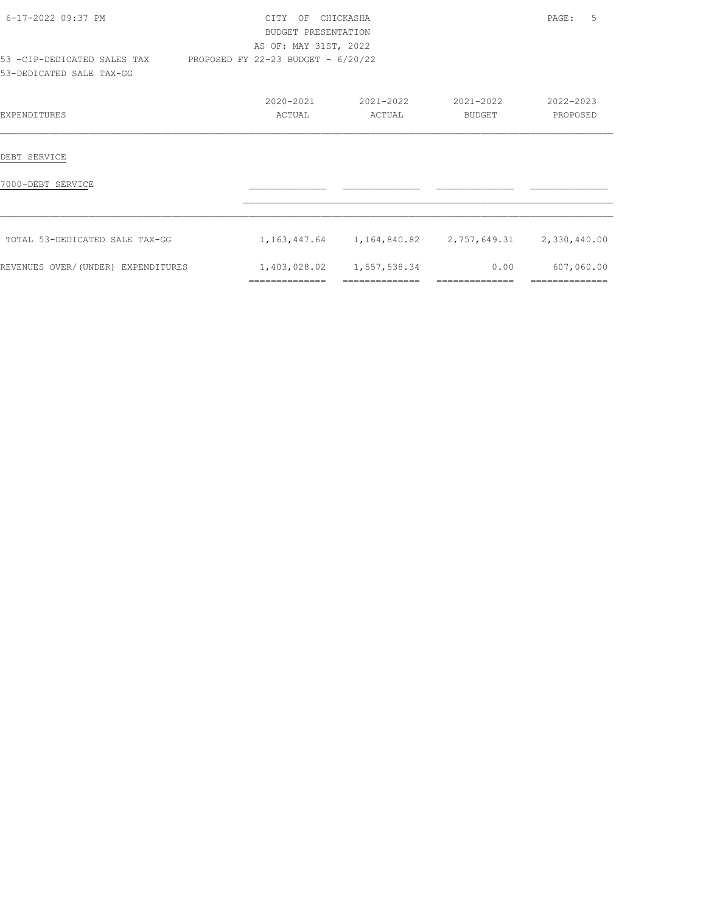| 6-17-2022 09:37 PM                                             | OF CHICKASHA<br>CTTY C<br>BUDGET PRESENTATION |                           |                                                             | 5<br>PAGE: |
|----------------------------------------------------------------|-----------------------------------------------|---------------------------|-------------------------------------------------------------|------------|
|                                                                | AS OF: MAY 31ST, 2022                         |                           |                                                             |            |
| 53 -CIP-DEDICATED SALES TAX PROPOSED FY 22-23 BUDGET - 6/20/22 |                                               |                           |                                                             |            |
| 53-DEDICATED SALE TAX-GG                                       |                                               |                           |                                                             |            |
|                                                                | 2020-2021                                     | 2021-2022                 | 2021-2022                                                   | 2022-2023  |
| <b>EXPENDITURES</b>                                            | ACTUAL                                        | ACTUAL                    | BUDGET                                                      | PROPOSED   |
|                                                                |                                               |                           |                                                             |            |
| DEBT SERVICE                                                   |                                               |                           |                                                             |            |
| 7000-DEBT SERVICE                                              |                                               |                           |                                                             |            |
|                                                                |                                               |                           |                                                             |            |
| TOTAL 53-DEDICATED SALE TAX-GG                                 |                                               |                           | 1, 163, 447.64 1, 164, 840.82 2, 757, 649.31 2, 330, 440.00 |            |
| REVENUES OVER/(UNDER) EXPENDITURES                             |                                               | 1,403,028.02 1,557,538.34 | 0.00                                                        | 607,060.00 |
|                                                                | ==============                                |                           |                                                             |            |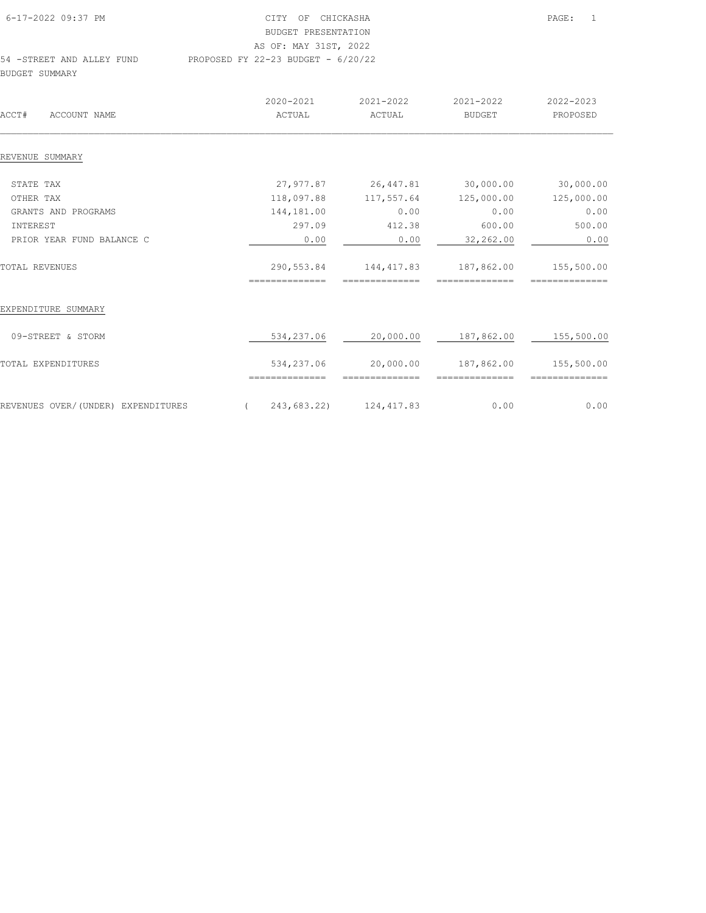| 6-17-2022 09:37 PM        | CITY OF CHICKASHA                    | PAGE: | $\overline{1}$ |
|---------------------------|--------------------------------------|-------|----------------|
|                           | BUDGET PRESENTATION                  |       |                |
|                           | AS OF: MAY 31ST, 2022                |       |                |
| 54 -STREET AND ALLEY FUND | PROPOSED FY 22-23 BUDGET - $6/20/22$ |       |                |
| BUDGET SUMMARY            |                                      |       |                |

| ACCT#<br>ACCOUNT NAME              | 2020-2021<br>ACTUAL          | 2021-2022<br>ACTUAL           | 2021-2022<br><b>BUDGET</b>   | 2022-2023<br>PROPOSED        |
|------------------------------------|------------------------------|-------------------------------|------------------------------|------------------------------|
| REVENUE SUMMARY                    |                              |                               |                              |                              |
| STATE TAX                          | 27,977.87                    | 26,447.81                     | 30,000.00                    | 30,000.00                    |
| OTHER TAX                          | 118,097.88                   | 117,557.64                    | 125,000.00                   | 125,000.00                   |
| GRANTS AND PROGRAMS                | 144,181.00                   | 0.00                          | 0.00                         | 0.00                         |
| INTEREST                           | 297.09                       | 412.38                        | 600.00                       | 500.00                       |
| PRIOR YEAR FUND BALANCE C          | 0.00                         | 0.00                          | 32,262.00                    | 0.00                         |
| TOTAL REVENUES                     | 290,553.84<br>============== | 144, 417.83<br>-------------- | 187,862.00<br>-------------- | 155,500.00<br>============== |
| EXPENDITURE SUMMARY                |                              |                               |                              |                              |
| 09-STREET & STORM                  | 534,237.06                   | 20,000.00                     | 187,862.00                   | 155,500.00                   |
| TOTAL EXPENDITURES                 | 534,237.06                   | 20,000.00                     | 187,862.00                   | 155,500.00                   |
| REVENUES OVER/(UNDER) EXPENDITURES | 243,683.22)                  | 124, 417.83                   | 0.00                         | 0.00                         |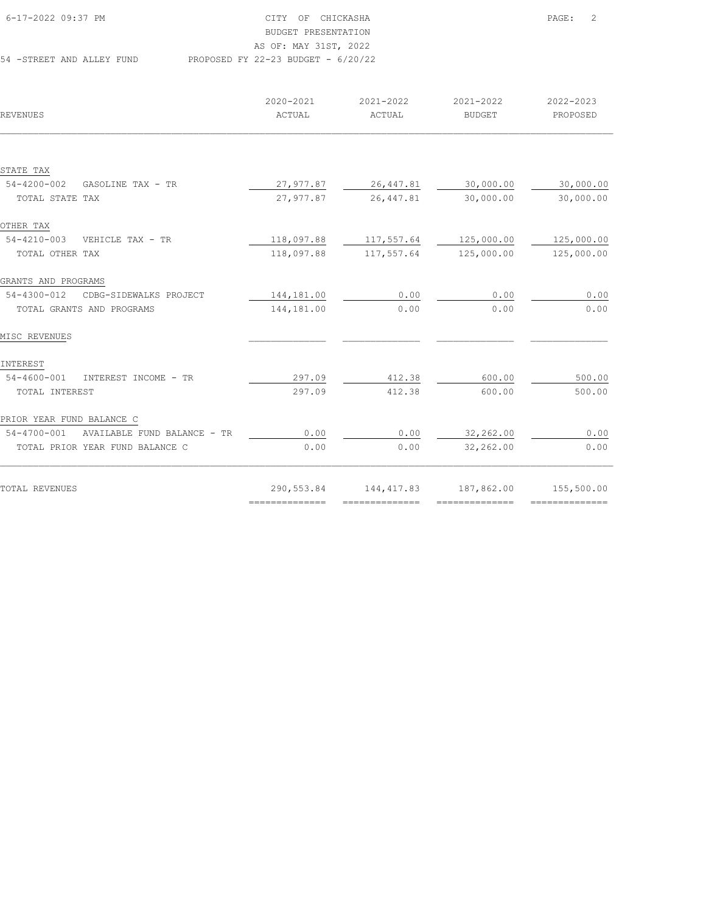| 6-17-2022 09:37 PM        | CITY OF CHICKASHA                    | $\overline{2}$<br>PAGE: |
|---------------------------|--------------------------------------|-------------------------|
|                           | BUDGET PRESENTATION                  |                         |
|                           | AS OF: MAY 31ST, 2022                |                         |
| 54 -STREET AND ALLEY FUND | PROPOSED FY 22-23 BUDGET - $6/20/22$ |                         |

| REVENUES                                   | 2020-2021<br>ACTUAL | 2021-2022<br>ACTUAL             | 2021-2022<br><b>BUDGET</b>                                                                                                                                                                                                                                                                                                                                                                                                                                                             | 2022-2023<br>PROPOSED |
|--------------------------------------------|---------------------|---------------------------------|----------------------------------------------------------------------------------------------------------------------------------------------------------------------------------------------------------------------------------------------------------------------------------------------------------------------------------------------------------------------------------------------------------------------------------------------------------------------------------------|-----------------------|
|                                            |                     |                                 |                                                                                                                                                                                                                                                                                                                                                                                                                                                                                        |                       |
| STATE TAX                                  |                     |                                 |                                                                                                                                                                                                                                                                                                                                                                                                                                                                                        |                       |
| 54-4200-002<br>GASOLINE TAX - TR           | 27,977.87           | 26, 447.81                      | 30,000.00                                                                                                                                                                                                                                                                                                                                                                                                                                                                              | 30,000.00             |
| TOTAL STATE TAX                            | 27,977.87           | 26, 447.81                      | 30,000.00                                                                                                                                                                                                                                                                                                                                                                                                                                                                              | 30,000.00             |
| OTHER TAX                                  |                     |                                 |                                                                                                                                                                                                                                                                                                                                                                                                                                                                                        |                       |
| $54 - 4210 - 003$<br>VEHICLE TAX - TR      | 118,097.88          | 117,557.64                      | 125,000.00                                                                                                                                                                                                                                                                                                                                                                                                                                                                             | 125,000.00            |
| TOTAL OTHER TAX                            | 118,097.88          | 117,557.64                      | 125,000.00                                                                                                                                                                                                                                                                                                                                                                                                                                                                             | 125,000.00            |
| GRANTS AND PROGRAMS                        |                     |                                 |                                                                                                                                                                                                                                                                                                                                                                                                                                                                                        |                       |
| 54-4300-012<br>CDBG-SIDEWALKS PROJECT      | 144,181.00          | 0.00                            | 0.00                                                                                                                                                                                                                                                                                                                                                                                                                                                                                   | 0.00                  |
| TOTAL GRANTS AND PROGRAMS                  | 144,181.00          | 0.00                            | 0.00                                                                                                                                                                                                                                                                                                                                                                                                                                                                                   | 0.00                  |
| MISC REVENUES                              |                     |                                 |                                                                                                                                                                                                                                                                                                                                                                                                                                                                                        |                       |
| INTEREST                                   |                     |                                 |                                                                                                                                                                                                                                                                                                                                                                                                                                                                                        |                       |
| 54-4600-001<br>INTEREST INCOME - TR        | 297.09              | 412.38                          | 600.00                                                                                                                                                                                                                                                                                                                                                                                                                                                                                 | 500.00                |
| TOTAL INTEREST                             | 297.09              | 412.38                          | 600.00                                                                                                                                                                                                                                                                                                                                                                                                                                                                                 | 500.00                |
| PRIOR YEAR FUND BALANCE C                  |                     |                                 |                                                                                                                                                                                                                                                                                                                                                                                                                                                                                        |                       |
| 54-4700-001<br>AVAILABLE FUND BALANCE - TR | 0.00                | 0.00                            | 32,262.00                                                                                                                                                                                                                                                                                                                                                                                                                                                                              | 0.00                  |
| TOTAL PRIOR YEAR FUND BALANCE C            | 0.00                | 0.00                            | 32,262.00                                                                                                                                                                                                                                                                                                                                                                                                                                                                              | 0.00                  |
| TOTAL REVENUES                             | 290,553.84          | 144, 417.83                     | 187,862.00                                                                                                                                                                                                                                                                                                                                                                                                                                                                             | 155,500.00            |
|                                            | ==============      | $=$ = = = = = = = = = = = = = = | $\begin{array}{cccccccccc} \multicolumn{2}{c}{} & \multicolumn{2}{c}{} & \multicolumn{2}{c}{} & \multicolumn{2}{c}{} & \multicolumn{2}{c}{} & \multicolumn{2}{c}{} & \multicolumn{2}{c}{} & \multicolumn{2}{c}{} & \multicolumn{2}{c}{} & \multicolumn{2}{c}{} & \multicolumn{2}{c}{} & \multicolumn{2}{c}{} & \multicolumn{2}{c}{} & \multicolumn{2}{c}{} & \multicolumn{2}{c}{} & \multicolumn{2}{c}{} & \multicolumn{2}{c}{} & \multicolumn{2}{c}{} & \multicolumn{2}{c}{} & \mult$ | ===============       |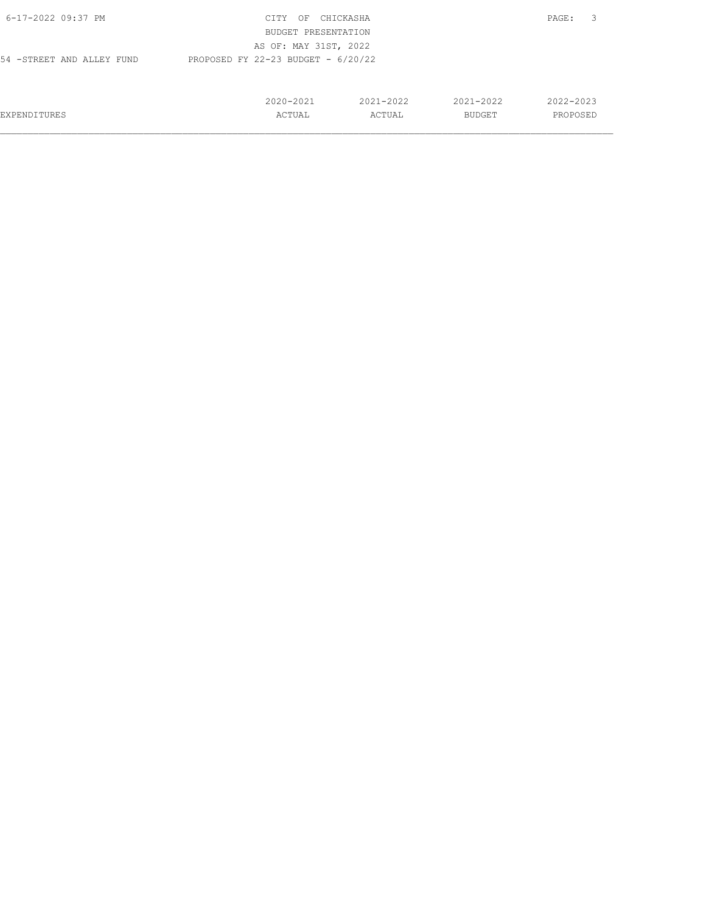| 6-17-2022 09:37 PM         | CITY<br>OF                           | CHICKASHA     |               | -3<br>PAGE: |
|----------------------------|--------------------------------------|---------------|---------------|-------------|
|                            | BUDGET PRESENTATION                  |               |               |             |
|                            | AS OF: MAY 31ST, 2022                |               |               |             |
| 54 - STREET AND ALLEY FUND | PROPOSED FY 22-23 BUDGET - $6/20/22$ |               |               |             |
|                            |                                      |               |               |             |
|                            |                                      |               |               |             |
|                            | $2020 - 2021$                        | $2021 - 2022$ | $2021 - 2022$ | 2022-2023   |
| <b>EXPENDITURES</b>        | ACTUAL                               | ACTUAL        | BUDGET        | PROPOSED    |
|                            |                                      |               |               |             |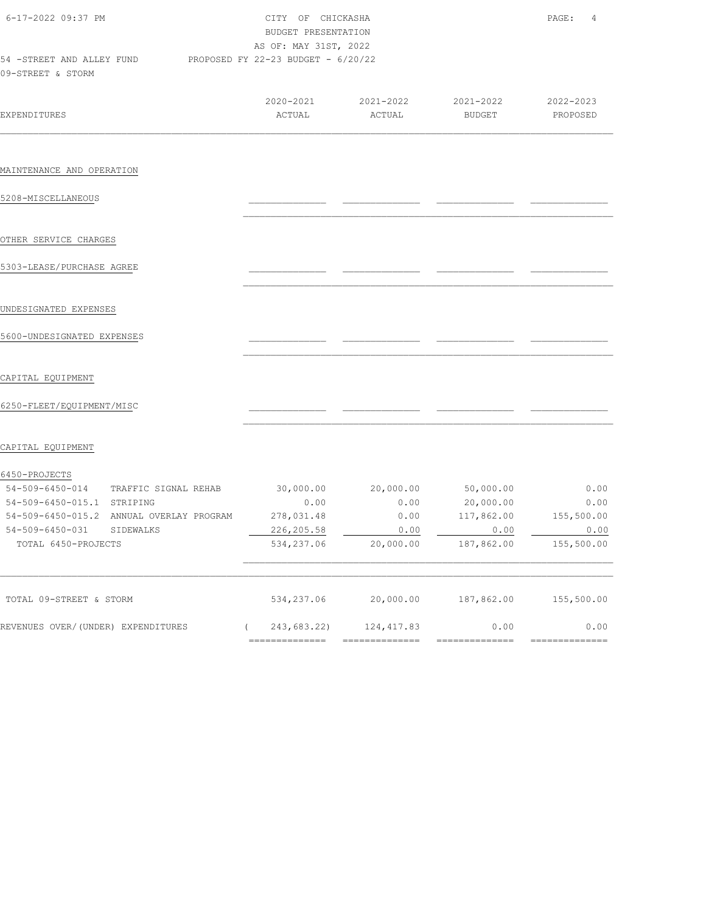| 6-17-2022 09:37 PM<br>54 -STREET AND ALLEY FUND             | CITY OF CHICKASHA<br>BUDGET PRESENTATION<br>AS OF: MAY 31ST, 2022<br>PROPOSED FY 22-23 BUDGET - 6/20/22 | PAGE:<br>4          |                     |                       |
|-------------------------------------------------------------|---------------------------------------------------------------------------------------------------------|---------------------|---------------------|-----------------------|
| 09-STREET & STORM                                           |                                                                                                         |                     |                     |                       |
| <b>EXPENDITURES</b>                                         | 2020-2021<br>ACTUAL                                                                                     | 2021-2022<br>ACTUAL | 2021-2022<br>BUDGET | 2022-2023<br>PROPOSED |
| MAINTENANCE AND OPERATION                                   |                                                                                                         |                     |                     |                       |
| 5208-MISCELLANEOUS                                          |                                                                                                         |                     |                     |                       |
| OTHER SERVICE CHARGES                                       |                                                                                                         |                     |                     |                       |
| 5303-LEASE/PURCHASE AGREE                                   |                                                                                                         |                     |                     |                       |
| UNDESIGNATED EXPENSES                                       |                                                                                                         |                     |                     |                       |
| 5600-UNDESIGNATED EXPENSES                                  |                                                                                                         |                     |                     |                       |
| CAPITAL EQUIPMENT                                           |                                                                                                         |                     |                     |                       |
| 6250-FLEET/EQUIPMENT/MISC                                   |                                                                                                         |                     |                     |                       |
| CAPITAL EQUIPMENT                                           |                                                                                                         |                     |                     |                       |
| 6450-PROJECTS<br>54-509-6450-014<br>TRAFFIC SIGNAL REHAB    | 30,000.00                                                                                               | 20,000.00           | 50,000.00           | 0.00                  |
| 54-509-6450-015.1 STRIPING                                  | 0.00                                                                                                    | 0.00                | 20,000.00           | 0.00                  |
| 54-509-6450-015.2 ANNUAL OVERLAY PROGRAM                    | 278,031.48                                                                                              | 0.00                | 117,862.00          | 155,500.00            |
| $54 - 509 - 6450 - 031$<br>SIDEWALKS<br>TOTAL 6450-PROJECTS | 226,205.58<br>534,237.06                                                                                | 0.00<br>20,000.00   | 0.00<br>187,862.00  | 0.00<br>155,500.00    |
| TOTAL 09-STREET & STORM                                     | 534,237.06                                                                                              | 20,000.00           | 187,862.00          | 155,500.00            |
| REVENUES OVER/(UNDER) EXPENDITURES                          | (243, 683.22)                                                                                           | 124,417.83          | 0.00                | 0.00                  |
|                                                             | ==============                                                                                          | ==============      | ==============      | ==============        |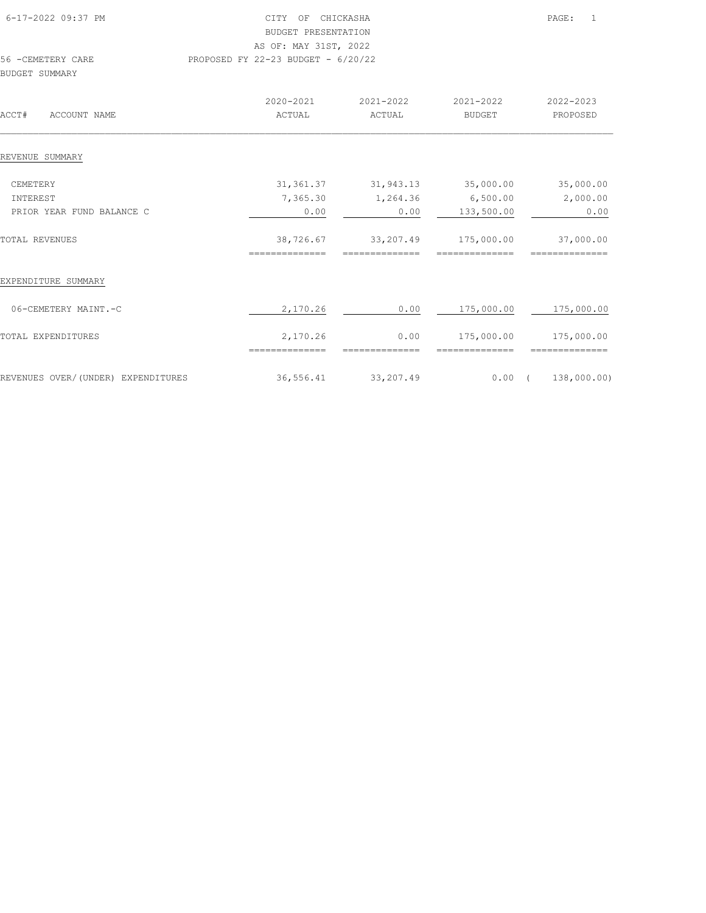|                | 6-17-2022 09:37 PM | CHICKASHA<br>CTTY .<br>OF<br>BUDGET PRESENTATION |                         |                     | PAGE:                 |
|----------------|--------------------|--------------------------------------------------|-------------------------|---------------------|-----------------------|
|                |                    | AS OF: MAY 31ST, 2022                            |                         |                     |                       |
| BUDGET SUMMARY | 56 - CEMETERY CARE | PROPOSED FY 22-23 BUDGET - $6/20/22$             |                         |                     |                       |
| ACCT#          | ACCOUNT NAME       | 2020-2021<br>ACTUAL                              | $2021 - 2022$<br>ACTUAL | 2021-2022<br>BUDGET | 2022-2023<br>PROPOSED |

## REVENUE SUMMARY

| CEMETERY                           | 31, 361.37    | 31,943.13   | 35,000.00   | 35,000.00   |
|------------------------------------|---------------|-------------|-------------|-------------|
| INTEREST                           | 7,365.30      | 1,264.36    | 6,500.00    | 2,000.00    |
| PRIOR YEAR FUND BALANCE C          | 0.00          | 0.00        | 133,500.00  | 0.00        |
| <b>TOTAL REVENUES</b>              | 38,726.67     | 33,207.49   | 175,000.00  | 37,000.00   |
|                                    | :============ | ___________ | =========== | =========== |
| EXPENDITURE SUMMARY                |               |             |             |             |
| 06-CEMETERY MAINT.-C               | 2,170.26      | 0.00        | 175,000.00  | 175,000.00  |
| TOTAL EXPENDITURES                 | 2,170.26      | 0.00        | 175,000.00  | 175,000.00  |
|                                    |               |             |             |             |
| REVENUES OVER/(UNDER) EXPENDITURES | 36,556.41     | 33,207.49   | 0.00        | 138,000.00) |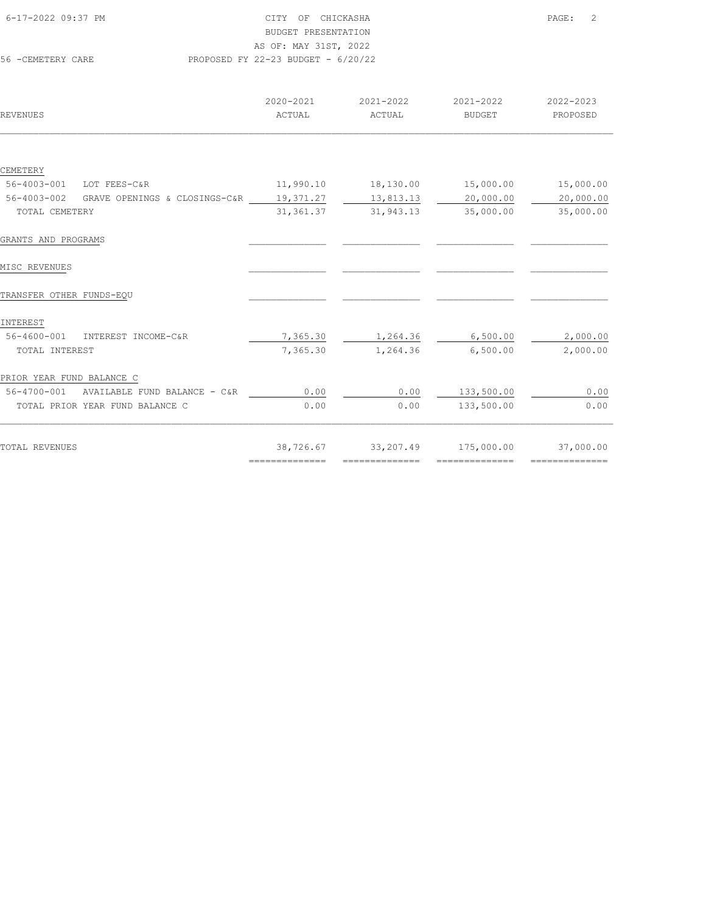| 6-17-2022 09:37 PM | CITY OF CHICKASHA                    | PAGE: | $\overline{2}$ |
|--------------------|--------------------------------------|-------|----------------|
|                    |                                      |       |                |
|                    | BUDGET PRESENTATION                  |       |                |
|                    | AS OF: MAY 31ST, 2022                |       |                |
| 56 - CEMETERY CARE | PROPOSED FY 22-23 BUDGET - $6/20/22$ |       |                |

| REVENUES                                     | 2020-2021<br>ACTUAL                                                                                                                                                                                                                                                                                                                                                                                                                                                                    | 2021-2022<br>ACTUAL | 2021-2022<br><b>BUDGET</b> | 2022-2023<br>PROPOSED |
|----------------------------------------------|----------------------------------------------------------------------------------------------------------------------------------------------------------------------------------------------------------------------------------------------------------------------------------------------------------------------------------------------------------------------------------------------------------------------------------------------------------------------------------------|---------------------|----------------------------|-----------------------|
|                                              |                                                                                                                                                                                                                                                                                                                                                                                                                                                                                        |                     |                            |                       |
|                                              |                                                                                                                                                                                                                                                                                                                                                                                                                                                                                        |                     |                            |                       |
| CEMETERY                                     |                                                                                                                                                                                                                                                                                                                                                                                                                                                                                        |                     |                            |                       |
| 56-4003-001<br>LOT FEES-C&R                  | 11,990.10                                                                                                                                                                                                                                                                                                                                                                                                                                                                              | 18,130.00           | 15,000.00                  | 15,000.00             |
| 56-4003-002<br>GRAVE OPENINGS & CLOSINGS-C&R | 19,371.27                                                                                                                                                                                                                                                                                                                                                                                                                                                                              | 13,813.13           | 20,000.00                  | 20,000.00             |
| TOTAL CEMETERY                               | 31, 361.37                                                                                                                                                                                                                                                                                                                                                                                                                                                                             | 31,943.13           | 35,000.00                  | 35,000.00             |
| GRANTS AND PROGRAMS                          |                                                                                                                                                                                                                                                                                                                                                                                                                                                                                        |                     |                            |                       |
| MISC REVENUES                                |                                                                                                                                                                                                                                                                                                                                                                                                                                                                                        |                     |                            |                       |
| TRANSFER OTHER FUNDS-EQU                     |                                                                                                                                                                                                                                                                                                                                                                                                                                                                                        |                     |                            |                       |
| INTEREST                                     |                                                                                                                                                                                                                                                                                                                                                                                                                                                                                        |                     |                            |                       |
| $56 - 4600 - 001$<br>INTEREST INCOME-C&R     | 7,365.30                                                                                                                                                                                                                                                                                                                                                                                                                                                                               | 1,264.36            | 6,500.00                   | 2,000.00              |
| TOTAL INTEREST                               | 7,365.30                                                                                                                                                                                                                                                                                                                                                                                                                                                                               | 1,264.36            | 6,500.00                   | 2,000.00              |
| PRIOR YEAR FUND BALANCE C                    |                                                                                                                                                                                                                                                                                                                                                                                                                                                                                        |                     |                            |                       |
| 56-4700-001 AVAILABLE FUND BALANCE - C&R     | 0.00                                                                                                                                                                                                                                                                                                                                                                                                                                                                                   | 0.00                | 133,500.00                 | 0.00                  |
| TOTAL PRIOR YEAR FUND BALANCE C              | 0.00                                                                                                                                                                                                                                                                                                                                                                                                                                                                                   | 0.00                | 133,500.00                 | 0.00                  |
| TOTAL REVENUES                               | 38,726.67                                                                                                                                                                                                                                                                                                                                                                                                                                                                              | 33,207.49           | 175,000.00                 | 37,000.00             |
|                                              | $\begin{array}{cccccccccc} \multicolumn{2}{c}{} & \multicolumn{2}{c}{} & \multicolumn{2}{c}{} & \multicolumn{2}{c}{} & \multicolumn{2}{c}{} & \multicolumn{2}{c}{} & \multicolumn{2}{c}{} & \multicolumn{2}{c}{} & \multicolumn{2}{c}{} & \multicolumn{2}{c}{} & \multicolumn{2}{c}{} & \multicolumn{2}{c}{} & \multicolumn{2}{c}{} & \multicolumn{2}{c}{} & \multicolumn{2}{c}{} & \multicolumn{2}{c}{} & \multicolumn{2}{c}{} & \multicolumn{2}{c}{} & \multicolumn{2}{c}{} & \mult$ | --------------      | --------------             |                       |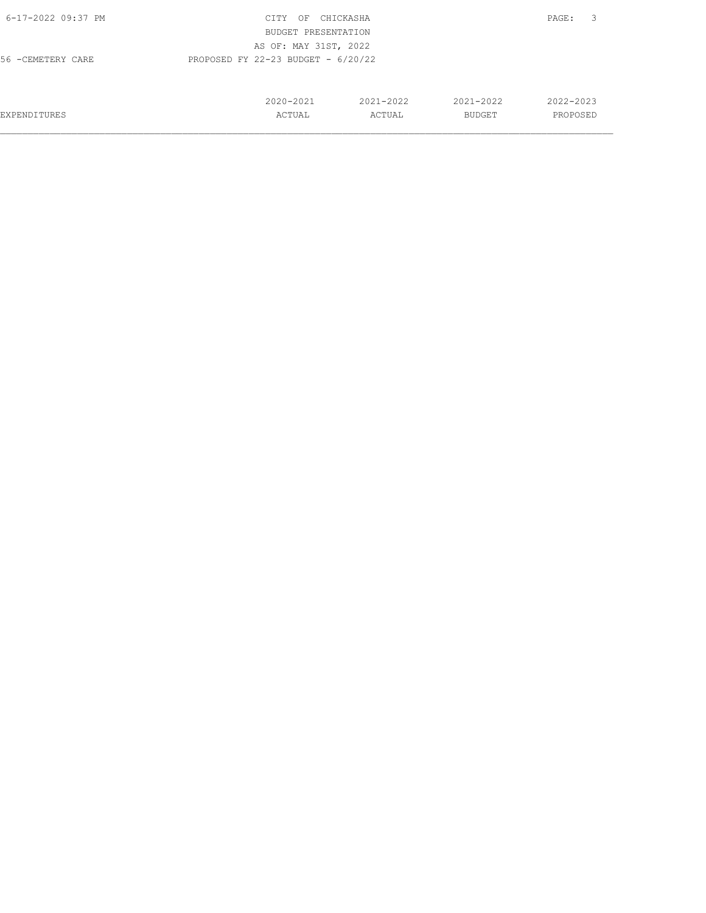| 6-17-2022 09:37 PM                                         | CITY<br>OF            | CHICKASHA |               | 3<br>PAGE: |  |
|------------------------------------------------------------|-----------------------|-----------|---------------|------------|--|
|                                                            | BUDGET PRESENTATION   |           |               |            |  |
|                                                            | AS OF: MAY 31ST, 2022 |           |               |            |  |
| PROPOSED FY 22-23 BUDGET - $6/20/22$<br>56 - CEMETERY CARE |                       |           |               |            |  |
|                                                            |                       |           |               |            |  |
|                                                            |                       |           |               |            |  |
|                                                            | 2020-2021             | 2021-2022 | $2021 - 2022$ | 2022-2023  |  |
| EXPENDITURES                                               | ACTUAL                | ACTUAL    | BUDGET        | PROPOSED   |  |
|                                                            |                       |           |               |            |  |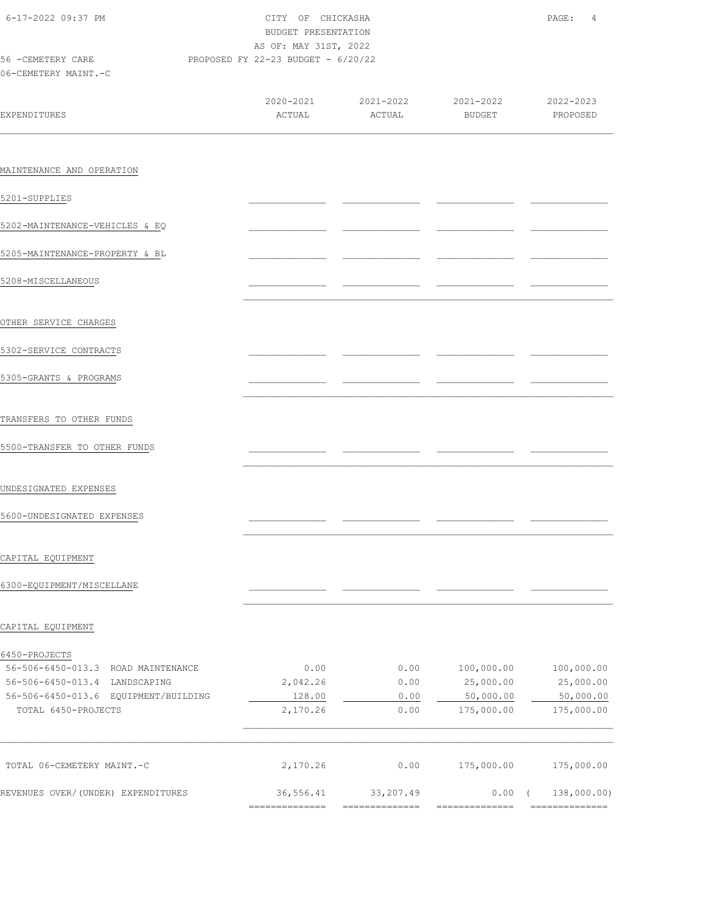| 6-17-2022 09:37 PM<br>CITY OF CHICKASHA<br>BUDGET PRESENTATION |           |                                                                     |                                                                                          |
|----------------------------------------------------------------|-----------|---------------------------------------------------------------------|------------------------------------------------------------------------------------------|
|                                                                |           |                                                                     |                                                                                          |
|                                                                |           |                                                                     |                                                                                          |
|                                                                |           |                                                                     |                                                                                          |
| ACTUAL                                                         | ACTUAL    |                                                                     |                                                                                          |
|                                                                |           |                                                                     |                                                                                          |
|                                                                |           |                                                                     |                                                                                          |
|                                                                |           |                                                                     |                                                                                          |
|                                                                |           |                                                                     |                                                                                          |
|                                                                |           |                                                                     |                                                                                          |
|                                                                |           |                                                                     |                                                                                          |
|                                                                |           |                                                                     |                                                                                          |
|                                                                |           |                                                                     |                                                                                          |
|                                                                |           |                                                                     |                                                                                          |
|                                                                |           |                                                                     |                                                                                          |
|                                                                |           |                                                                     |                                                                                          |
|                                                                |           |                                                                     |                                                                                          |
|                                                                |           |                                                                     |                                                                                          |
|                                                                |           |                                                                     |                                                                                          |
|                                                                |           |                                                                     |                                                                                          |
|                                                                |           |                                                                     |                                                                                          |
|                                                                |           |                                                                     |                                                                                          |
|                                                                |           |                                                                     |                                                                                          |
|                                                                |           |                                                                     |                                                                                          |
|                                                                |           |                                                                     |                                                                                          |
| 0.00                                                           | 0.00      | 100,000.00                                                          | 100,000.00                                                                               |
| 2,042.26                                                       | 0.00      | 25,000.00                                                           | 25,000.00                                                                                |
| 128.00                                                         | 0.00      | 50,000.00                                                           | 50,000.00                                                                                |
| 2,170.26                                                       | 0.00      | 175,000.00                                                          | 175,000.00                                                                               |
|                                                                |           |                                                                     |                                                                                          |
|                                                                |           |                                                                     | 175,000.00                                                                               |
| 36,556.41<br>---------------                                   | 33,207.49 | $0.00$ (<br>--------------                                          | 138,000.00)<br>---------------                                                           |
|                                                                | 2,170.26  | AS OF: MAY 31ST, 2022<br>PROPOSED FY 22-23 BUDGET - 6/20/22<br>0.00 | $2020 - 2021$ $2021 - 2022$ $2021 - 2022$ $2022 - 2023$<br>BUDGET PROPOSED<br>175,000.00 |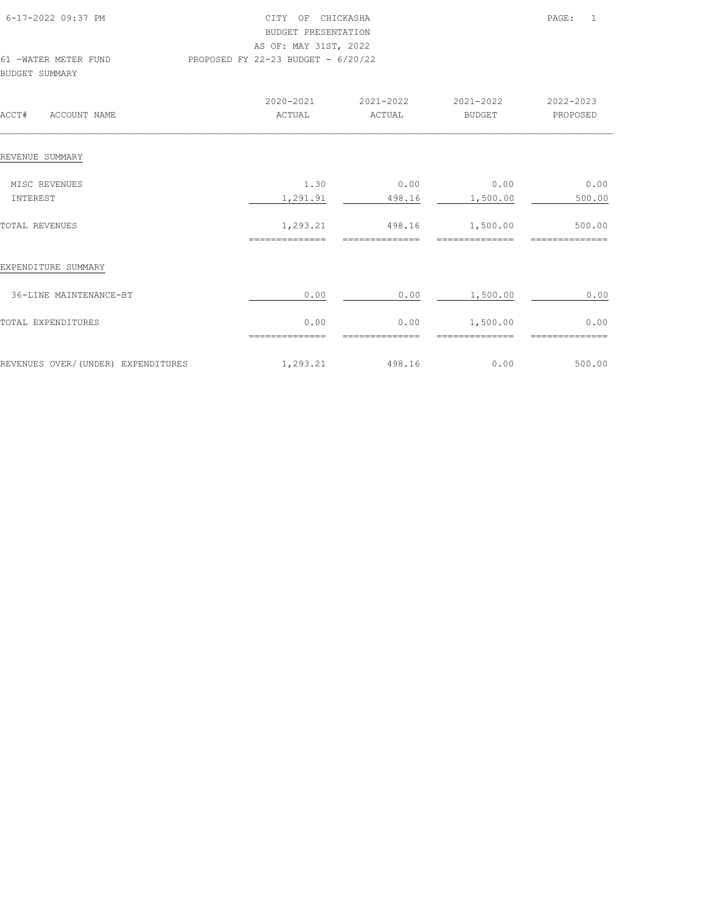| 6-17-2022 09:37 PM                            | CITY OF CHICKASHA<br>BUDGET PRESENTATION                    |                          |                            | PAGE:<br>$\mathbf{1}$     |
|-----------------------------------------------|-------------------------------------------------------------|--------------------------|----------------------------|---------------------------|
| 61 -WATER METER FUND<br><b>BUDGET SUMMARY</b> | AS OF: MAY 31ST, 2022<br>PROPOSED FY 22-23 BUDGET - 6/20/22 |                          |                            |                           |
| ACCT#<br>ACCOUNT NAME                         | 2020-2021<br>ACTUAL                                         | 2021-2022<br>ACTUAL      | 2021-2022<br>BUDGET        | 2022-2023<br>PROPOSED     |
| REVENUE SUMMARY                               |                                                             |                          |                            |                           |
| MISC REVENUES<br>INTEREST                     | 1.30<br>1,291.91                                            | 0.00<br>498.16           | 0.00<br>1,500.00           | 0.00<br>500.00            |
| <b>TOTAL REVENUES</b>                         | 1,293.21<br>==============                                  | 498.16<br>============== | 1,500.00<br>============== | 500.00<br>--------------- |
| EXPENDITURE SUMMARY                           |                                                             |                          |                            |                           |
| 36-LINE MAINTENANCE-BT                        | 0.00                                                        | 0.00                     | 1,500.00                   | 0.00                      |
| TOTAL EXPENDITURES                            | 0.00<br>--------------                                      | 0.00<br>--------------   | 1,500.00<br>-------------- | 0.00                      |
| REVENUES OVER/(UNDER) EXPENDITURES            | 1,293.21                                                    | 498.16                   | 0.00                       | 500.00                    |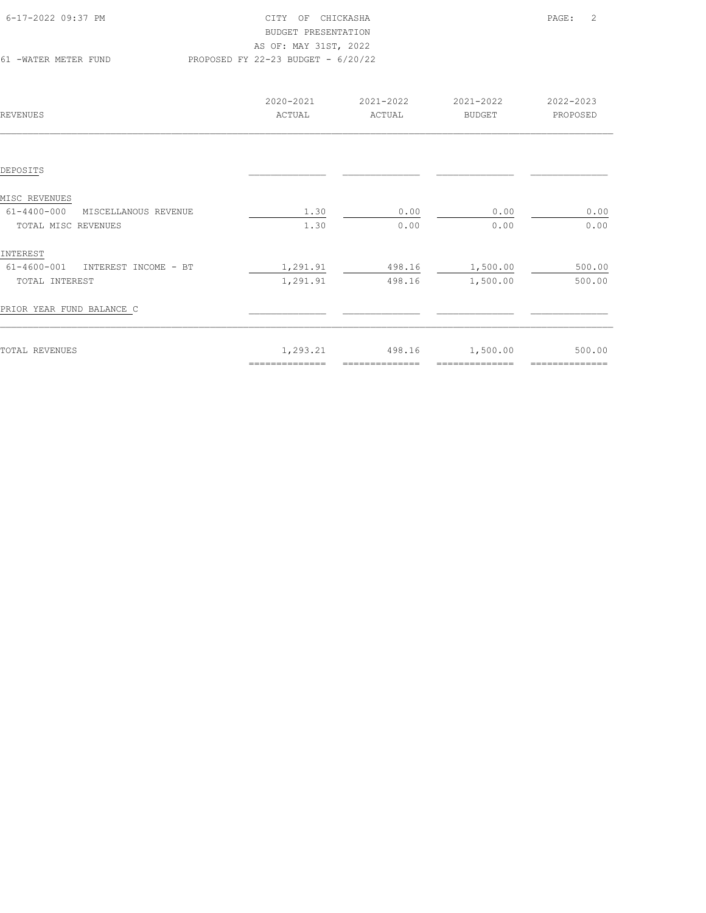| 6-17-2022 09:37 PM   | CITY OF CHICKASHA                    | PAGE: 2 |  |
|----------------------|--------------------------------------|---------|--|
|                      | BUDGET PRESENTATION                  |         |  |
|                      | AS OF: MAY 31ST, 2022                |         |  |
| 61 -WATER METER FUND | PROPOSED FY 22-23 BUDGET - $6/20/22$ |         |  |
|                      |                                      |         |  |

| REVENUES                                  | 2020-2021<br>ACTUAL        | 2021-2022<br>ACTUAL      | 2021-2022<br><b>BUDGET</b> | 2022-2023<br>PROPOSED    |
|-------------------------------------------|----------------------------|--------------------------|----------------------------|--------------------------|
|                                           |                            |                          |                            |                          |
| DEPOSITS                                  |                            |                          |                            |                          |
| MISC REVENUES                             |                            |                          |                            |                          |
| $61 - 4400 - 000$<br>MISCELLANOUS REVENUE | 1.30                       | 0.00                     | 0.00                       | 0.00                     |
| TOTAL MISC REVENUES                       | 1.30                       | 0.00                     | 0.00                       | 0.00                     |
| INTEREST                                  |                            |                          |                            |                          |
| 61-4600-001<br>INTEREST INCOME - BT       | 1,291.91                   | 498.16                   | 1,500.00                   | 500.00                   |
| TOTAL INTEREST                            | 1,291.91                   | 498.16                   | 1,500.00                   | 500.00                   |
| PRIOR YEAR FUND BALANCE C                 |                            |                          |                            |                          |
| TOTAL REVENUES                            | 1,293.21<br>-------------- | 498.16<br>============== | 1,500.00<br>============== | 500.00<br>============== |
|                                           |                            |                          |                            |                          |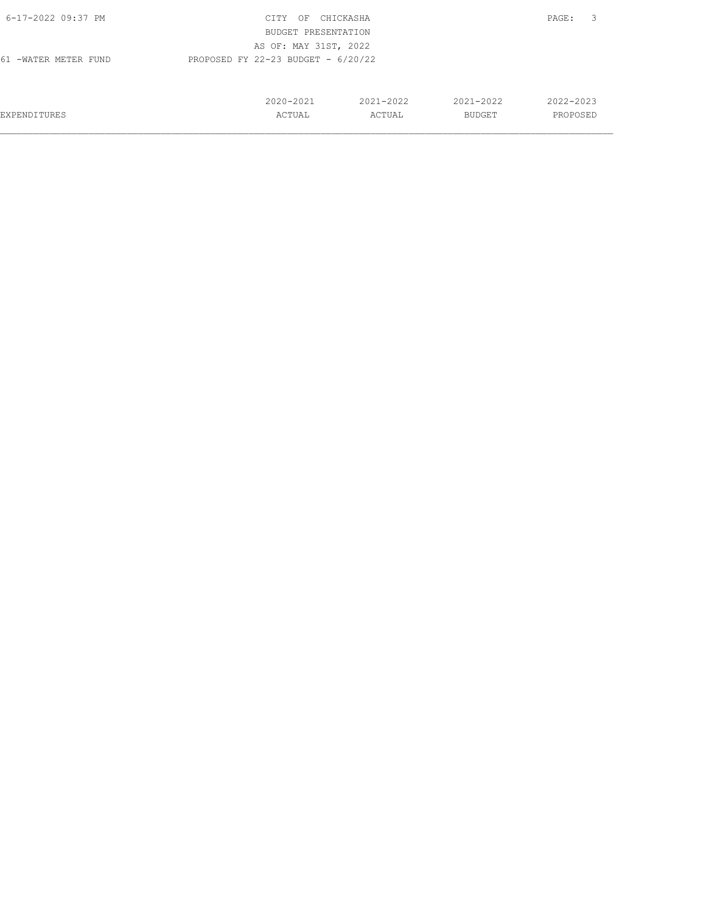| 6-17-2022 09:37 PM   | CITY<br>ΟF                           | CHICKASHA |               | 3<br>PAGE: |
|----------------------|--------------------------------------|-----------|---------------|------------|
|                      | BUDGET PRESENTATION                  |           |               |            |
|                      | AS OF: MAY 31ST, 2022                |           |               |            |
| 61 -WATER METER FUND | PROPOSED FY 22-23 BUDGET - $6/20/22$ |           |               |            |
|                      |                                      |           |               |            |
|                      |                                      |           |               |            |
|                      | 2020-2021                            | 2021-2022 | 2021-2022     | 2022-2023  |
| <b>EXPENDITURES</b>  | ACTUAL                               | ACTUAL    | <b>BUDGET</b> | PROPOSED   |
|                      |                                      |           |               |            |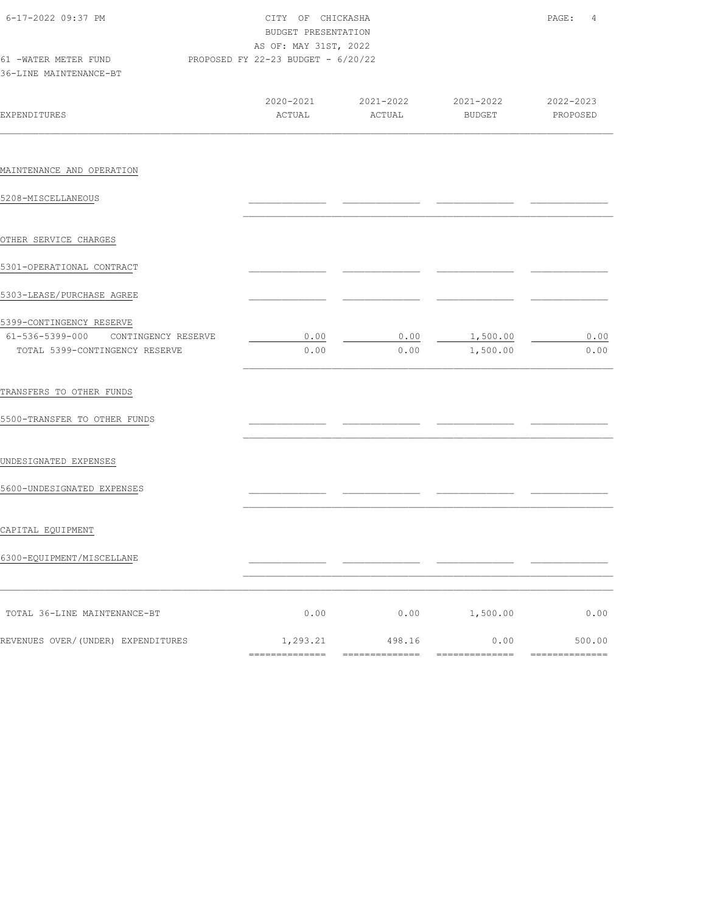| 6-17-2022 09:37 PM<br>61 -WATER METER FUND<br>36-LINE MAINTENANCE-BT                              | CITY OF CHICKASHA<br>BUDGET PRESENTATION<br>AS OF: MAY 31ST, 2022<br>PROPOSED FY 22-23 BUDGET - 6/20/22                                                                                                                                                                                                                                                                                                                                                                                   |                                                                                                                                                                                                                                                                                                                                                                                                                                                                                                  |                            | PAGE:<br>4               |  |  |
|---------------------------------------------------------------------------------------------------|-------------------------------------------------------------------------------------------------------------------------------------------------------------------------------------------------------------------------------------------------------------------------------------------------------------------------------------------------------------------------------------------------------------------------------------------------------------------------------------------|--------------------------------------------------------------------------------------------------------------------------------------------------------------------------------------------------------------------------------------------------------------------------------------------------------------------------------------------------------------------------------------------------------------------------------------------------------------------------------------------------|----------------------------|--------------------------|--|--|
| EXPENDITURES                                                                                      | 2020-2021<br>ACTUAL                                                                                                                                                                                                                                                                                                                                                                                                                                                                       | 2021-2022<br>ACTUAL                                                                                                                                                                                                                                                                                                                                                                                                                                                                              | 2021-2022<br><b>BUDGET</b> | 2022-2023<br>PROPOSED    |  |  |
| MAINTENANCE AND OPERATION                                                                         |                                                                                                                                                                                                                                                                                                                                                                                                                                                                                           |                                                                                                                                                                                                                                                                                                                                                                                                                                                                                                  |                            |                          |  |  |
| 5208-MISCELLANEOUS                                                                                |                                                                                                                                                                                                                                                                                                                                                                                                                                                                                           |                                                                                                                                                                                                                                                                                                                                                                                                                                                                                                  |                            |                          |  |  |
| OTHER SERVICE CHARGES                                                                             |                                                                                                                                                                                                                                                                                                                                                                                                                                                                                           |                                                                                                                                                                                                                                                                                                                                                                                                                                                                                                  |                            |                          |  |  |
| 5301-OPERATIONAL CONTRACT                                                                         |                                                                                                                                                                                                                                                                                                                                                                                                                                                                                           |                                                                                                                                                                                                                                                                                                                                                                                                                                                                                                  |                            |                          |  |  |
| 5303-LEASE/PURCHASE AGREE                                                                         |                                                                                                                                                                                                                                                                                                                                                                                                                                                                                           |                                                                                                                                                                                                                                                                                                                                                                                                                                                                                                  |                            |                          |  |  |
| 5399-CONTINGENCY RESERVE<br>61-536-5399-000 CONTINGENCY RESERVE<br>TOTAL 5399-CONTINGENCY RESERVE | 0.00<br>0.00                                                                                                                                                                                                                                                                                                                                                                                                                                                                              | 0.00<br>0.00                                                                                                                                                                                                                                                                                                                                                                                                                                                                                     | 1,500.00<br>1,500.00       | 0.00<br>0.00             |  |  |
| TRANSFERS TO OTHER FUNDS                                                                          |                                                                                                                                                                                                                                                                                                                                                                                                                                                                                           |                                                                                                                                                                                                                                                                                                                                                                                                                                                                                                  |                            |                          |  |  |
| 5500-TRANSFER TO OTHER FUNDS                                                                      |                                                                                                                                                                                                                                                                                                                                                                                                                                                                                           |                                                                                                                                                                                                                                                                                                                                                                                                                                                                                                  |                            |                          |  |  |
| UNDESIGNATED EXPENSES                                                                             |                                                                                                                                                                                                                                                                                                                                                                                                                                                                                           |                                                                                                                                                                                                                                                                                                                                                                                                                                                                                                  |                            |                          |  |  |
| 5600-UNDESIGNATED EXPENSES                                                                        |                                                                                                                                                                                                                                                                                                                                                                                                                                                                                           |                                                                                                                                                                                                                                                                                                                                                                                                                                                                                                  |                            |                          |  |  |
| CAPITAL EQUIPMENT                                                                                 |                                                                                                                                                                                                                                                                                                                                                                                                                                                                                           |                                                                                                                                                                                                                                                                                                                                                                                                                                                                                                  |                            |                          |  |  |
| 6300-EQUIPMENT/MISCELLANE                                                                         |                                                                                                                                                                                                                                                                                                                                                                                                                                                                                           |                                                                                                                                                                                                                                                                                                                                                                                                                                                                                                  |                            |                          |  |  |
| TOTAL 36-LINE MAINTENANCE-BT                                                                      | 0.00                                                                                                                                                                                                                                                                                                                                                                                                                                                                                      | 0.00                                                                                                                                                                                                                                                                                                                                                                                                                                                                                             | 1,500.00                   | 0.00                     |  |  |
| REVENUES OVER/(UNDER) EXPENDITURES                                                                | 1,293.21<br>$\begin{array}{cccccc} \multicolumn{2}{c}{{\color{red}z}} & \multicolumn{2}{c}{{\color{red}z}} & \multicolumn{2}{c}{{\color{red}z}} & \multicolumn{2}{c}{{\color{red}z}} & \multicolumn{2}{c}{{\color{red}z}} & \multicolumn{2}{c}{{\color{red}z}} & \multicolumn{2}{c}{{\color{red}z}} & \multicolumn{2}{c}{{\color{red}z}} & \multicolumn{2}{c}{{\color{red}z}} & \multicolumn{2}{c}{{\color{red}z}} & \multicolumn{2}{c}{{\color{red}z}} & \multicolumn{2}{c}{{\color{red$ | 498.16<br>$\begin{array}{cccccccccc} \multicolumn{2}{c}{} & \multicolumn{2}{c}{} & \multicolumn{2}{c}{} & \multicolumn{2}{c}{} & \multicolumn{2}{c}{} & \multicolumn{2}{c}{} & \multicolumn{2}{c}{} & \multicolumn{2}{c}{} & \multicolumn{2}{c}{} & \multicolumn{2}{c}{} & \multicolumn{2}{c}{} & \multicolumn{2}{c}{} & \multicolumn{2}{c}{} & \multicolumn{2}{c}{} & \multicolumn{2}{c}{} & \multicolumn{2}{c}{} & \multicolumn{2}{c}{} & \multicolumn{2}{c}{} & \multicolumn{2}{c}{} & \mult$ | 0.00                       | 500.00<br>============== |  |  |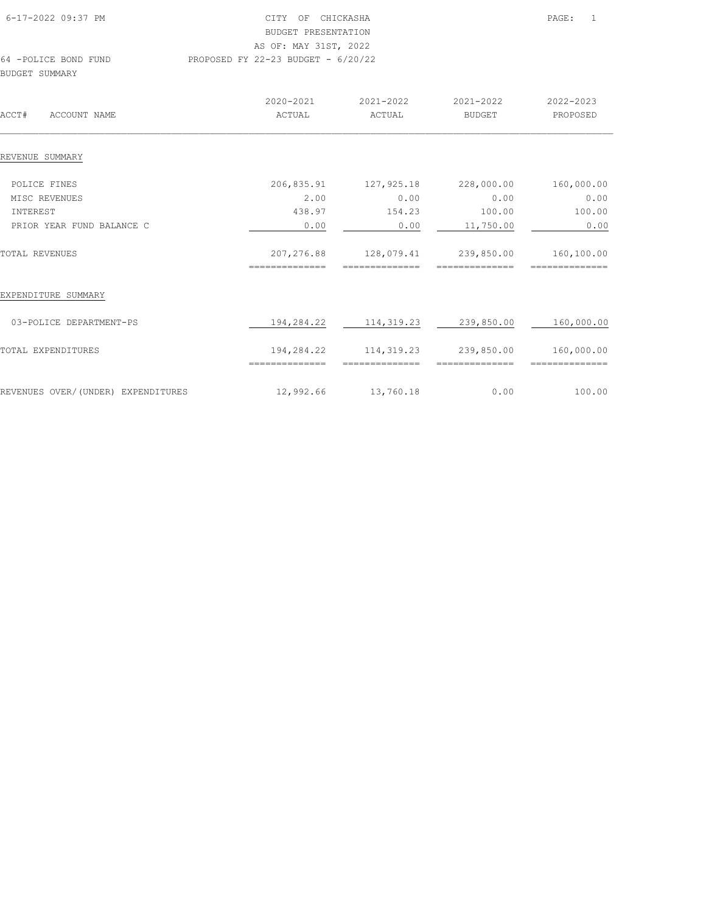| 6-17-2022 09:37 PM                     | CITY<br>BUDGET PRESENTATION<br>AS OF: MAY 31ST, 2022 | OF CHICKASHA        |                     | 1<br>PAGE:            |
|----------------------------------------|------------------------------------------------------|---------------------|---------------------|-----------------------|
| 64 -POLICE BOND FUND<br>BUDGET SUMMARY | PROPOSED FY 22-23 BUDGET - $6/20/22$                 |                     |                     |                       |
| ACCT#<br>ACCOUNT NAME                  | 2020-2021<br>ACTUAL                                  | 2021-2022<br>ACTUAL | 2021-2022<br>BUDGET | 2022-2023<br>PROPOSED |
| REVENUE SUMMARY                        |                                                      |                     |                     |                       |

| POLICE FINES                       | 206,835.91                   | 127,925.18                    | 228,000.00 | 160,000.00                   |
|------------------------------------|------------------------------|-------------------------------|------------|------------------------------|
| MISC REVENUES                      | 2.00                         | 0.00                          | 0.00       | 0.00                         |
| INTEREST                           | 438.97                       | 154.23                        | 100.00     | 100.00                       |
| PRIOR YEAR FUND BALANCE C          | 0.00                         | 0.00                          | 11,750.00  | 0.00                         |
| TOTAL REVENUES                     | 207,276.88<br>============== | 128,079.41<br>==============  | 239,850.00 | 160,100.00<br>============== |
| EXPENDITURE SUMMARY                |                              |                               |            |                              |
| 03-POLICE DEPARTMENT-PS            | 194,284.22                   | 114, 319.23                   | 239,850.00 | 160,000.00                   |
| TOTAL EXPENDITURES                 | 194,284.22<br>============== | 114, 319.23<br>-------------- | 239,850.00 | 160,000.00<br>:============  |
| REVENUES OVER/(UNDER) EXPENDITURES | 12,992.66                    | 13,760.18                     | 0.00       | 100.00                       |
|                                    |                              |                               |            |                              |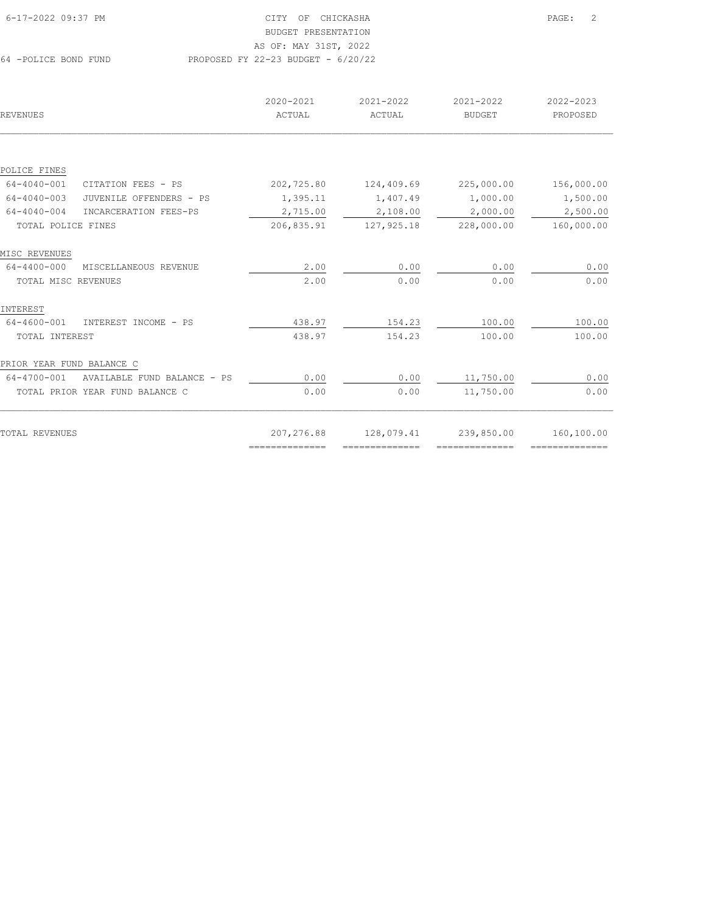| REVENUES                                   | 2020-2021<br>ACTUAL                                                                                                                                                                                                                                                                                                                                                                                                                                                                    | 2021-2022<br>ACTUAL             | 2021-2022<br><b>BUDGET</b> | 2022-2023<br>PROPOSED |
|--------------------------------------------|----------------------------------------------------------------------------------------------------------------------------------------------------------------------------------------------------------------------------------------------------------------------------------------------------------------------------------------------------------------------------------------------------------------------------------------------------------------------------------------|---------------------------------|----------------------------|-----------------------|
|                                            |                                                                                                                                                                                                                                                                                                                                                                                                                                                                                        |                                 |                            |                       |
| POLICE FINES                               |                                                                                                                                                                                                                                                                                                                                                                                                                                                                                        |                                 |                            |                       |
| 64-4040-001<br>CITATION FEES - PS          | 202,725.80                                                                                                                                                                                                                                                                                                                                                                                                                                                                             | 124,409.69                      | 225,000.00                 | 156,000.00            |
| 64-4040-003<br>JUVENILE OFFENDERS - PS     | 1,395.11                                                                                                                                                                                                                                                                                                                                                                                                                                                                               | 1,407.49                        | 1,000.00                   | 1,500.00              |
| $64 - 4040 - 004$<br>INCARCERATION FEES-PS | 2,715.00                                                                                                                                                                                                                                                                                                                                                                                                                                                                               | 2,108.00                        | 2,000.00                   | 2,500.00              |
| TOTAL POLICE FINES                         | 206,835.91                                                                                                                                                                                                                                                                                                                                                                                                                                                                             | 127, 925.18                     | 228,000.00                 | 160,000.00            |
| MISC REVENUES                              |                                                                                                                                                                                                                                                                                                                                                                                                                                                                                        |                                 |                            |                       |
| 64-4400-000<br>MISCELLANEOUS REVENUE       | 2.00                                                                                                                                                                                                                                                                                                                                                                                                                                                                                   | 0.00                            | 0.00                       | 0.00                  |
| TOTAL MISC REVENUES                        | 2.00                                                                                                                                                                                                                                                                                                                                                                                                                                                                                   | 0.00                            | 0.00                       | 0.00                  |
| INTEREST                                   |                                                                                                                                                                                                                                                                                                                                                                                                                                                                                        |                                 |                            |                       |
| 64-4600-001<br>INTEREST INCOME - PS        | 438.97                                                                                                                                                                                                                                                                                                                                                                                                                                                                                 | 154.23                          | 100.00                     | 100.00                |
| TOTAL INTEREST                             | 438.97                                                                                                                                                                                                                                                                                                                                                                                                                                                                                 | 154.23                          | 100.00                     | 100.00                |
| PRIOR YEAR FUND BALANCE C                  |                                                                                                                                                                                                                                                                                                                                                                                                                                                                                        |                                 |                            |                       |
| 64-4700-001<br>AVAILABLE FUND BALANCE - PS | 0.00                                                                                                                                                                                                                                                                                                                                                                                                                                                                                   | 0.00                            | 11,750.00                  | 0.00                  |
| TOTAL PRIOR YEAR FUND BALANCE C            | 0.00                                                                                                                                                                                                                                                                                                                                                                                                                                                                                   | 0.00                            | 11,750.00                  | 0.00                  |
|                                            |                                                                                                                                                                                                                                                                                                                                                                                                                                                                                        |                                 |                            |                       |
| TOTAL REVENUES                             | 207,276.88                                                                                                                                                                                                                                                                                                                                                                                                                                                                             | 128,079.41                      | 239,850.00                 | 160,100.00            |
|                                            | $\begin{array}{cccccccccccccc} \multicolumn{2}{c}{} & \multicolumn{2}{c}{} & \multicolumn{2}{c}{} & \multicolumn{2}{c}{} & \multicolumn{2}{c}{} & \multicolumn{2}{c}{} & \multicolumn{2}{c}{} & \multicolumn{2}{c}{} & \multicolumn{2}{c}{} & \multicolumn{2}{c}{} & \multicolumn{2}{c}{} & \multicolumn{2}{c}{} & \multicolumn{2}{c}{} & \multicolumn{2}{c}{} & \multicolumn{2}{c}{} & \multicolumn{2}{c}{} & \multicolumn{2}{c}{} & \multicolumn{2}{c}{} & \multicolumn{2}{c}{} & \$ | $=$ = = = = = = = = = = = = = = | ==============             | ===============       |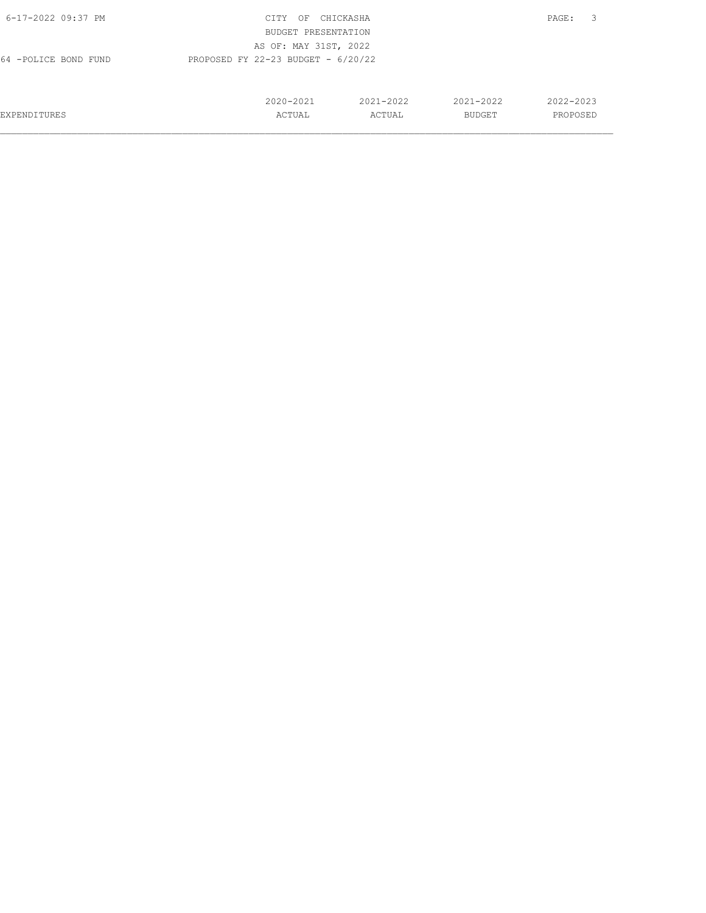| 6-17-2022 09:37 PM   | CITY<br>OF                           | CHICKASHA |               | 3<br>PAGE: |
|----------------------|--------------------------------------|-----------|---------------|------------|
|                      | BUDGET PRESENTATION                  |           |               |            |
|                      | AS OF: MAY 31ST, 2022                |           |               |            |
| 64 -POLICE BOND FUND | PROPOSED FY 22-23 BUDGET - $6/20/22$ |           |               |            |
|                      |                                      |           |               |            |
|                      |                                      |           |               |            |
|                      | 2020-2021                            | 2021-2022 | $2021 - 2022$ | 2022-2023  |
| <b>EXPENDITURES</b>  | ACTUAL                               | ACTUAL    | BUDGET        | PROPOSED   |
|                      |                                      |           |               |            |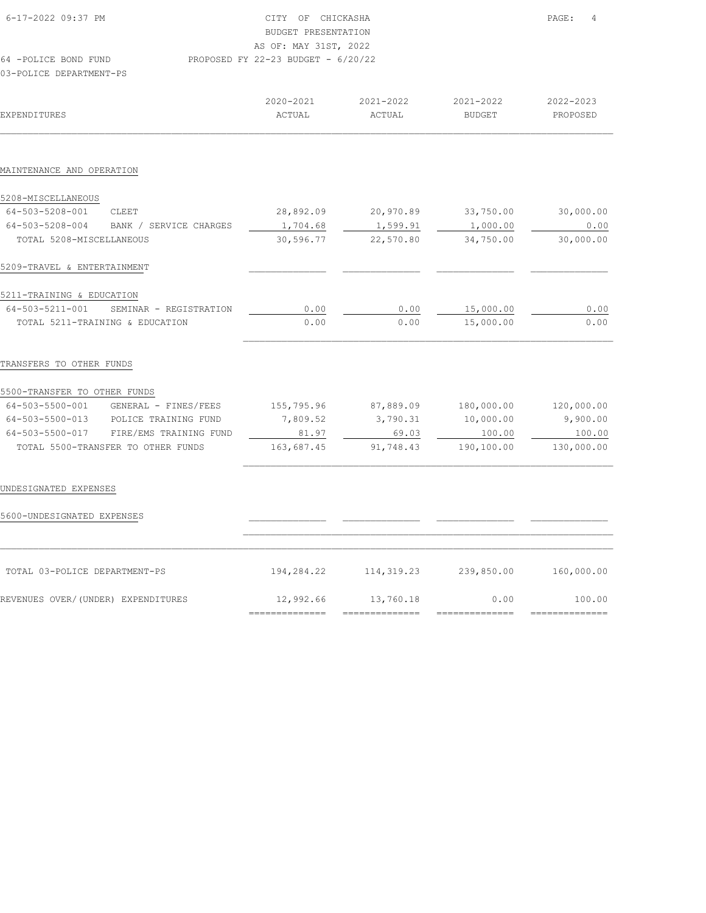| 6-17-2022 09:37 PM                        | CITY OF CHICKASHA<br><b>BUDGET PRESENTATION</b><br>AS OF: MAY 31ST, 2022 |                |               | PAGE:<br>4   |  |
|-------------------------------------------|--------------------------------------------------------------------------|----------------|---------------|--------------|--|
| 64 -POLICE BOND FUND                      | PROPOSED FY 22-23 BUDGET - 6/20/22                                       |                |               |              |  |
| 03-POLICE DEPARTMENT-PS                   |                                                                          |                |               |              |  |
|                                           | 2020-2021                                                                | 2021-2022      | 2021-2022     | 2022-2023    |  |
| <b>EXPENDITURES</b>                       | ACTUAL                                                                   | ACTUAL         | <b>BUDGET</b> | PROPOSED     |  |
|                                           |                                                                          |                |               |              |  |
| MAINTENANCE AND OPERATION                 |                                                                          |                |               |              |  |
| 5208-MISCELLANEOUS                        |                                                                          |                |               |              |  |
| 64-503-5208-001<br>CLEET                  | 28,892.09                                                                | 20,970.89      | 33,750.00     | 30,000.00    |  |
| 64-503-5208-004<br>BANK / SERVICE CHARGES | 1,704.68                                                                 | 1,599.91       | 1,000.00      | 0.00         |  |
| TOTAL 5208-MISCELLANEOUS                  | 30,596.77                                                                | 22,570.80      | 34,750.00     | 30,000.00    |  |
| 5209-TRAVEL & ENTERTAINMENT               |                                                                          |                |               |              |  |
| 5211-TRAINING & EDUCATION                 |                                                                          |                |               |              |  |
| 64-503-5211-001<br>SEMINAR - REGISTRATION | 0.00                                                                     | 0.00           | 15,000.00     | 0.00         |  |
| TOTAL 5211-TRAINING & EDUCATION           | 0.00                                                                     | 0.00           | 15,000.00     | 0.00         |  |
| TRANSFERS TO OTHER FUNDS                  |                                                                          |                |               |              |  |
| 5500-TRANSFER TO OTHER FUNDS              |                                                                          |                |               |              |  |
| 64-503-5500-001 GENERAL - FINES/FEES      | 155,795.96                                                               | 87,889.09      | 180,000.00    | 120,000.00   |  |
| 64-503-5500-013 POLICE TRAINING FUND      | 7,809.52                                                                 | 3,790.31       | 10,000.00     | 9,900.00     |  |
| 64-503-5500-017 FIRE/EMS TRAINING FUND    | 81.97                                                                    | 69.03          | 100.00        | 100.00       |  |
| TOTAL 5500-TRANSFER TO OTHER FUNDS        | 163,687.45                                                               | 91,748.43      | 190,100.00    | 130,000.00   |  |
| UNDESIGNATED EXPENSES                     |                                                                          |                |               |              |  |
|                                           |                                                                          |                |               |              |  |
| 5600-UNDESIGNATED EXPENSES                |                                                                          |                |               |              |  |
| TOTAL 03-POLICE DEPARTMENT-PS             | 194,284.22                                                               | 114, 319.23    | 239,850.00    | 160,000.00   |  |
| REVENUES OVER/(UNDER) EXPENDITURES        | 12,992.66                                                                | 13,760.18      | 0.00          | 100.00       |  |
|                                           | ==============                                                           | ============== | =========     | ============ |  |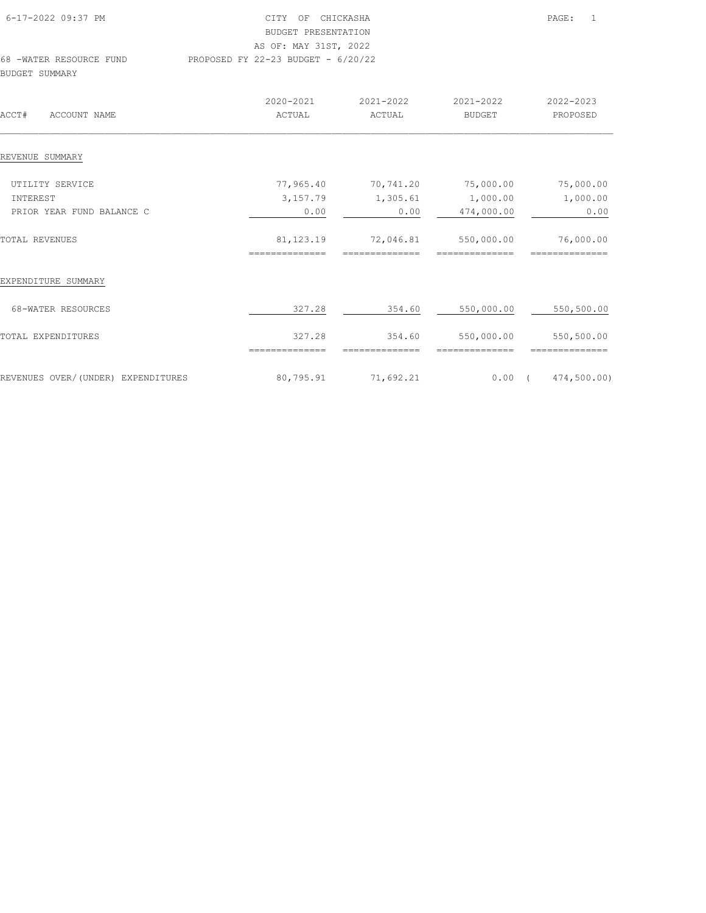| 6-17-2022 09:37 PM      | CITY OF CHICKASHA                    | $\overline{1}$<br>PAGE: |
|-------------------------|--------------------------------------|-------------------------|
|                         | BUDGET PRESENTATION                  |                         |
|                         | AS OF: MAY 31ST, 2022                |                         |
| 68 -WATER RESOURCE FUND | PROPOSED FY 22-23 BUDGET - $6/20/22$ |                         |
| BUDGET SUMMARY          |                                      |                         |
|                         |                                      |                         |

| ACCT#<br>ACCOUNT NAME              | 2020-2021<br>ACTUAL           | 2021-2022<br>ACTUAL         | 2021-2022<br><b>BUDGET</b>   | 2022-2023<br>PROPOSED        |
|------------------------------------|-------------------------------|-----------------------------|------------------------------|------------------------------|
| REVENUE SUMMARY                    |                               |                             |                              |                              |
| UTILITY SERVICE                    | 77,965.40                     | 70,741.20                   | 75,000.00                    | 75,000.00                    |
| INTEREST                           | 3,157.79                      | 1,305.61                    | 1,000.00                     | 1,000.00                     |
| PRIOR YEAR FUND BALANCE C          | 0.00                          | 0.00                        | 474,000.00                   | 0.00                         |
| TOTAL REVENUES                     | 81, 123. 19<br>============== | 72,046.81<br>============== | 550,000.00<br>============== | 76,000.00<br>--------------  |
| EXPENDITURE SUMMARY                |                               |                             |                              |                              |
| 68-WATER RESOURCES                 | 327.28                        | 354.60                      | 550,000.00                   | 550,500.00                   |
| TOTAL EXPENDITURES                 | 327.28<br>==============      | 354.60<br>--------------    | 550,000.00<br>============== | 550,500.00<br>============== |
| REVENUES OVER/(UNDER) EXPENDITURES | 80,795.91                     | 71,692.21                   |                              | $0.00$ ( $474,500.00$ )      |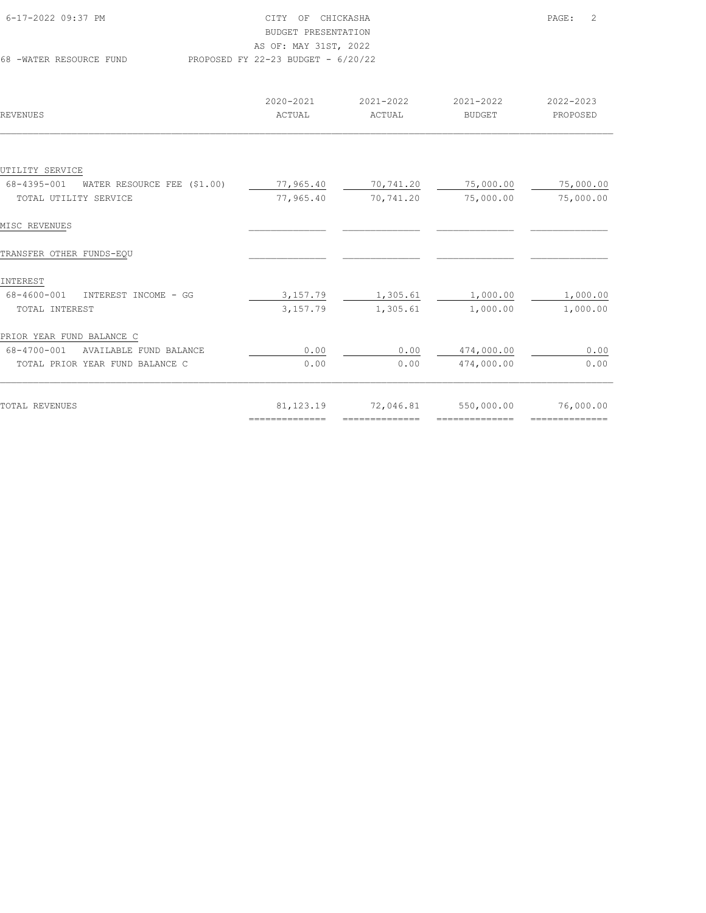| 6-17-2022 09:37 PM      | CITY OF CHICKASHA                    | PAGE: | $\overline{2}$ |
|-------------------------|--------------------------------------|-------|----------------|
|                         | BUDGET PRESENTATION                  |       |                |
|                         | AS OF: MAY 31ST, 2022                |       |                |
| 68 -WATER RESOURCE FUND | PROPOSED FY 22-23 BUDGET - $6/20/22$ |       |                |

| REVENUES                                   | 2020-2021<br>ACTUAL | 2021-2022<br>ACTUAL | 2021-2022<br><b>BUDGET</b> | 2022-2023<br>PROPOSED |
|--------------------------------------------|---------------------|---------------------|----------------------------|-----------------------|
|                                            |                     |                     |                            |                       |
| UTILITY SERVICE                            |                     |                     |                            |                       |
| WATER RESOURCE FEE (\$1.00)<br>68-4395-001 | 77,965.40           | 70,741.20           | 75,000.00                  | 75,000.00             |
| TOTAL UTILITY SERVICE                      | 77,965.40           | 70,741.20           | 75,000.00                  | 75,000.00             |
| MISC REVENUES                              |                     |                     |                            |                       |
| TRANSFER OTHER FUNDS-EQU                   |                     |                     |                            |                       |
| INTEREST                                   |                     |                     |                            |                       |
| 68-4600-001<br>INTEREST INCOME - GG        | 3,157.79            | 1,305.61            | 1,000.00                   | 1,000.00              |
| TOTAL INTEREST                             | 3,157.79            | 1,305.61            | 1,000.00                   | 1,000.00              |
| PRIOR YEAR FUND BALANCE C                  |                     |                     |                            |                       |
| 68-4700-001<br>AVAILABLE FUND BALANCE      | 0.00                | 0.00                | 474,000.00                 | 0.00                  |
| TOTAL PRIOR YEAR FUND BALANCE C            | 0.00                | 0.00                | 474,000.00                 | 0.00                  |
|                                            |                     |                     |                            |                       |
| TOTAL REVENUES                             | 81, 123. 19         | 72,046.81           | 550,000.00                 | 76,000.00             |
|                                            | ==============      | --------------      | --------------             | --------------        |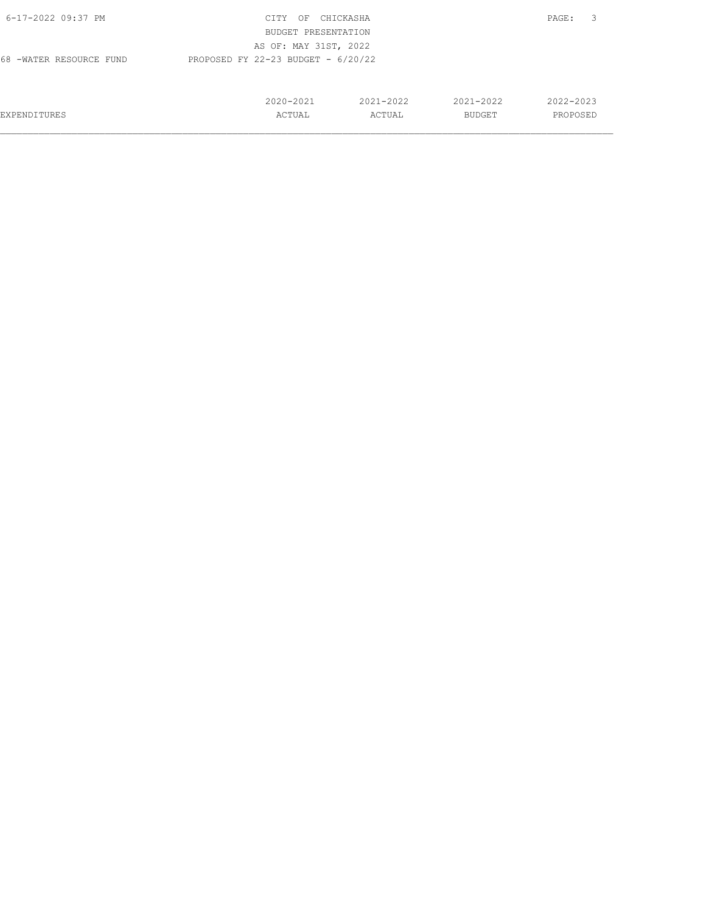| 6-17-2022 09:37 PM      | CITY<br>OF                           | CHICKASHA     |               | $\overline{\mathbf{3}}$<br>PAGE: |
|-------------------------|--------------------------------------|---------------|---------------|----------------------------------|
|                         | BUDGET PRESENTATION                  |               |               |                                  |
|                         | AS OF: MAY 31ST, 2022                |               |               |                                  |
| 68 -WATER RESOURCE FUND | PROPOSED FY 22-23 BUDGET - $6/20/22$ |               |               |                                  |
|                         |                                      |               |               |                                  |
|                         |                                      |               |               |                                  |
|                         | 2020-2021                            | $2021 - 2022$ | $2021 - 2022$ | 2022-2023                        |
| EXPENDITURES            | ACTUAL                               | ACTUAL        | BUDGET        | PROPOSED                         |
|                         |                                      |               |               |                                  |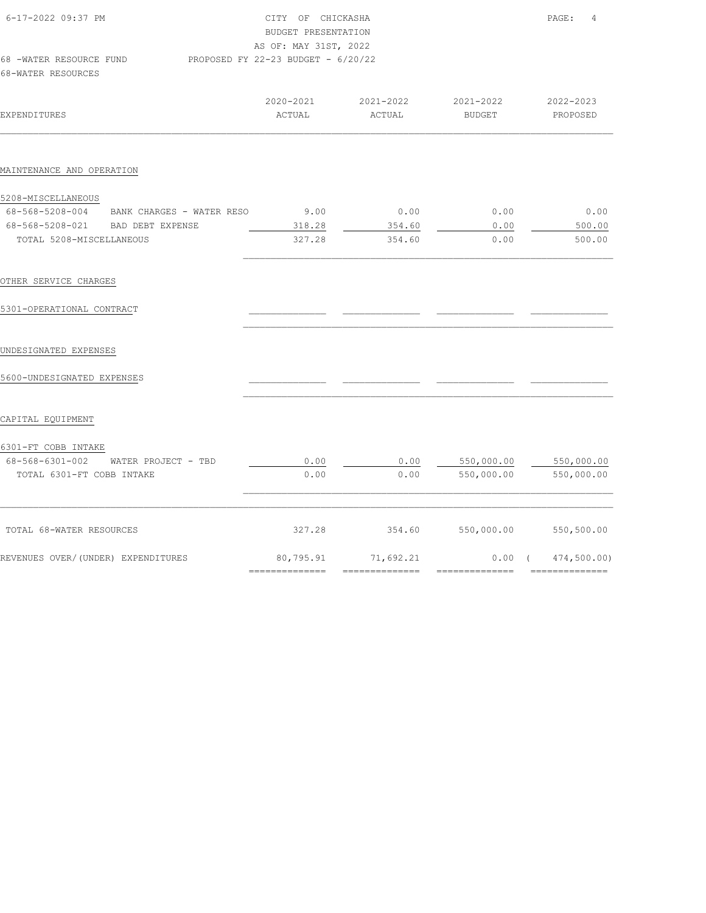| 6-17-2022 09:37 PM<br>68 -WATER RESOURCE FUND<br>68-WATER RESOURCES | CITY OF CHICKASHA<br>BUDGET PRESENTATION<br>AS OF: MAY 31ST, 2022<br>PROPOSED FY 22-23 BUDGET - 6/20/22 | PAGE:<br>4          |                            |                       |
|---------------------------------------------------------------------|---------------------------------------------------------------------------------------------------------|---------------------|----------------------------|-----------------------|
| <b>EXPENDITURES</b>                                                 | 2020-2021<br>ACTUAL                                                                                     | 2021-2022<br>ACTUAL | 2021-2022<br><b>BUDGET</b> | 2022-2023<br>PROPOSED |
| MAINTENANCE AND OPERATION                                           |                                                                                                         |                     |                            |                       |
| 5208-MISCELLANEOUS                                                  |                                                                                                         |                     |                            |                       |
| 68-568-5208-004 BANK CHARGES - WATER RESO                           | 9.00                                                                                                    | 0.00                | 0.00                       | 0.00                  |
| 68-568-5208-021 BAD DEBT EXPENSE                                    | 318.28                                                                                                  | 354.60              | 0.00                       | 500.00                |
| TOTAL 5208-MISCELLANEOUS                                            | 327.28                                                                                                  | 354.60              | 0.00                       | 500.00                |
| OTHER SERVICE CHARGES                                               |                                                                                                         |                     |                            |                       |
| 5301-OPERATIONAL CONTRACT                                           |                                                                                                         |                     |                            |                       |
| UNDESIGNATED EXPENSES                                               |                                                                                                         |                     |                            |                       |
| 5600-UNDESIGNATED EXPENSES                                          |                                                                                                         |                     |                            |                       |
| CAPITAL EQUIPMENT                                                   |                                                                                                         |                     |                            |                       |
| 6301-FT COBB INTAKE                                                 |                                                                                                         |                     |                            |                       |
| 68-568-6301-002 WATER PROJECT - TBD                                 | 0.00                                                                                                    | 0.00                | 550,000.00                 | 550,000.00            |
| TOTAL 6301-FT COBB INTAKE                                           | 0.00                                                                                                    | 0.00                | 550,000.00                 | 550,000.00            |
|                                                                     |                                                                                                         |                     |                            |                       |
| TOTAL 68-WATER RESOURCES                                            | 327.28                                                                                                  | 354.60              | 550,000.00                 | 550,500.00            |
| REVENUES OVER/(UNDER) EXPENDITURES                                  | 80,795.91                                                                                               | 71,692.21           | $0.00$ (                   | 474,500.00)           |
|                                                                     | ==============                                                                                          | --------------      | ==============             | ==============        |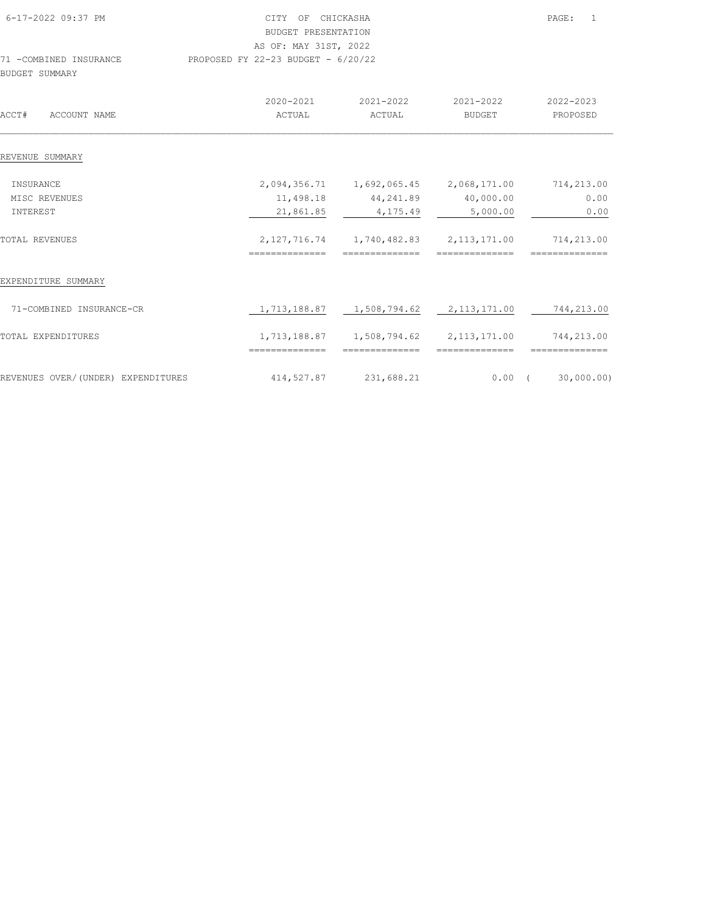| 6-17-2022 09:37 PM<br>71 -COMBINED INSURANCE<br>BUDGET SUMMARY | CITY OF CHICKASHA<br>BUDGET PRESENTATION<br>AS OF: MAY 31ST, 2022<br>PROPOSED FY 22-23 BUDGET - 6/20/22 |                                           |                                                                                  | PAGE:<br>$\overline{1}$ |
|----------------------------------------------------------------|---------------------------------------------------------------------------------------------------------|-------------------------------------------|----------------------------------------------------------------------------------|-------------------------|
| ACCT#<br>ACCOUNT NAME                                          | 2020-2021<br>ACTUAL                                                                                     | 2021-2022 2021-2022<br>ACTUAL             | BUDGET                                                                           | 2022-2023<br>PROPOSED   |
| REVENUE SUMMARY                                                |                                                                                                         |                                           |                                                                                  |                         |
| INSURANCE<br>MISC REVENUES<br>INTEREST                         | 21,861.85                                                                                               | 11,498.18 44,241.89 40,000.00<br>4,175.49 | 2,094,356.71  1,692,065.45  2,068,171.00  714,213.00<br>5,000.00                 | 0.00<br>0.00            |
| TOTAL REVENUES                                                 | ==============                                                                                          | ==============                            | 2, 127, 716.74   1, 740, 482.83   2, 113, 171.00   714, 213.00<br>============== | ==============          |
| EXPENDITURE SUMMARY                                            |                                                                                                         |                                           |                                                                                  |                         |
| 71-COMBINED INSURANCE-CR                                       |                                                                                                         |                                           | $1,713,188.87$ $1,508,794.62$ $2,113,171.00$ $744,213.00$                        |                         |
| TOTAL EXPENDITURES                                             | ==============                                                                                          | ==============                            | $1,713,188.87$ $1,508,794.62$ $2,113,171.00$ $744,213.00$<br>==============      | ==============          |
|                                                                |                                                                                                         |                                           |                                                                                  |                         |

REVENUES OVER/(UNDER) EXPENDITURES 414,527.87 231,688.21 0.00 (30,000.00)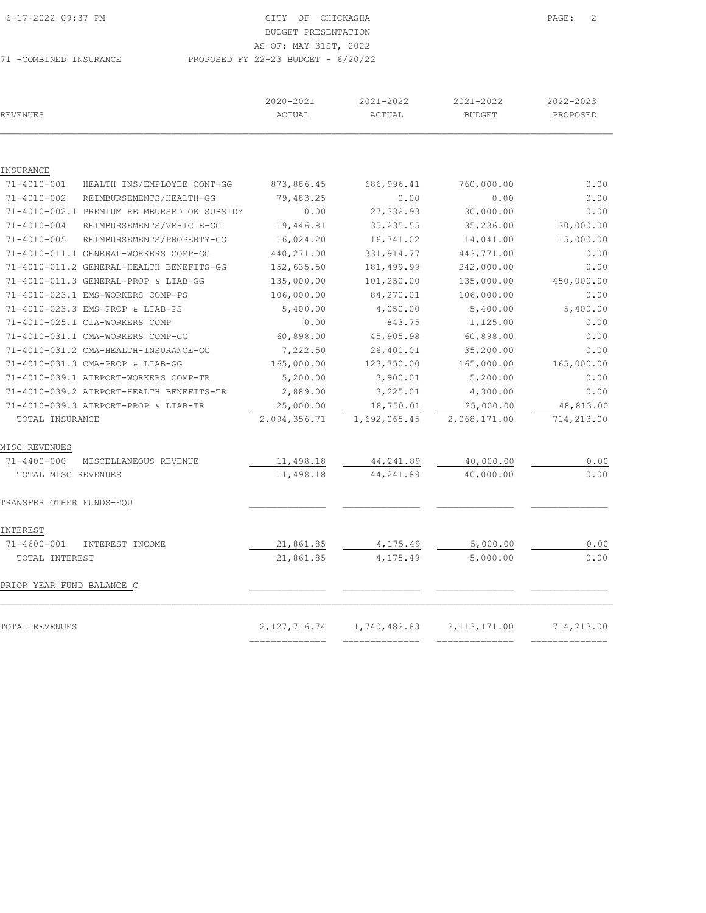## 6-17-2022 09:37 PM CITY OF CHICKASHA PAGE: 2 BUDGET PRESENTATION

AS OF: MAY 31ST, 2022

71 -COMBINED INSURANCE PROPOSED FY 22-23 BUDGET - 6/20/22

| REVENUES                                       | 2020-2021<br>ACTUAL | 2021-2022<br>ACTUAL | 2021-2022<br><b>BUDGET</b> | 2022-2023<br>PROPOSED |
|------------------------------------------------|---------------------|---------------------|----------------------------|-----------------------|
|                                                |                     |                     |                            |                       |
| INSURANCE                                      |                     |                     |                            |                       |
| 71-4010-001<br>HEALTH INS/EMPLOYEE CONT-GG     | 873,886.45          | 686,996.41          | 760,000.00                 | 0.00                  |
| $71 - 4010 - 002$<br>REIMBURSEMENTS/HEALTH-GG  | 79,483.25           | 0.00                | 0.00                       | 0.00                  |
| 71-4010-002.1 PREMIUM REIMBURSED OK SUBSIDY    | 0.00                | 27, 332.93          | 30,000.00                  | 0.00                  |
| $71 - 4010 - 004$<br>REIMBURSEMENTS/VEHICLE-GG | 19,446.81           | 35, 235.55          | 35,236.00                  | 30,000.00             |
| 71-4010-005<br>REIMBURSEMENTS/PROPERTY-GG      | 16,024.20           | 16,741.02           | 14,041.00                  | 15,000.00             |
| 71-4010-011.1 GENERAL-WORKERS COMP-GG          | 440,271.00          | 331, 914.77         | 443,771.00                 | 0.00                  |
| 71-4010-011.2 GENERAL-HEALTH BENEFITS-GG       | 152,635.50          | 181, 499.99         | 242,000.00                 | 0.00                  |
| 71-4010-011.3 GENERAL-PROP & LIAB-GG           | 135,000.00          | 101,250.00          | 135,000.00                 | 450,000.00            |
| 71-4010-023.1 EMS-WORKERS COMP-PS              | 106,000.00          | 84,270.01           | 106,000.00                 | 0.00                  |
| 71-4010-023.3 EMS-PROP & LIAB-PS               | 5,400.00            | 4,050.00            | 5,400.00                   | 5,400.00              |
| 71-4010-025.1 CIA-WORKERS COMP                 | 0.00                | 843.75              | 1,125.00                   | 0.00                  |
| 71-4010-031.1 CMA-WORKERS COMP-GG              | 60,898.00           | 45,905.98           | 60,898.00                  | 0.00                  |
| 71-4010-031.2 CMA-HEALTH-INSURANCE-GG          | 7,222.50            | 26,400.01           | 35,200.00                  | 0.00                  |
| 71-4010-031.3 CMA-PROP & LIAB-GG               | 165,000.00          | 123,750.00          | 165,000.00                 | 165,000.00            |
| 71-4010-039.1 AIRPORT-WORKERS COMP-TR          | 5,200.00            | 3,900.01            | 5,200.00                   | 0.00                  |
| 71-4010-039.2 AIRPORT-HEALTH BENEFITS-TR       | 2,889.00            | 3,225.01            | 4,300.00                   | 0.00                  |
| 71-4010-039.3 AIRPORT-PROP & LIAB-TR           | 25,000.00           | 18,750.01           | 25,000.00                  | 48,813.00             |
| TOTAL INSURANCE                                | 2,094,356.71        | 1,692,065.45        | 2,068,171.00               | 714,213.00            |
| MISC REVENUES                                  |                     |                     |                            |                       |
| $71 - 4400 - 000$<br>MISCELLANEOUS REVENUE     | 11,498.18           | 44, 241.89          | 40,000.00                  | 0.00                  |
| TOTAL MISC REVENUES                            | 11,498.18           | 44, 241.89          | 40,000.00                  | 0.00                  |
| TRANSFER OTHER FUNDS-EQU                       |                     |                     |                            |                       |
| INTEREST                                       |                     |                     |                            |                       |
| 71-4600-001<br>INTEREST INCOME                 | 21,861.85           | 4,175.49            | 5,000.00                   | 0.00                  |
| TOTAL INTEREST                                 | 21,861.85           | 4,175.49            | 5,000.00                   | 0.00                  |
| PRIOR YEAR FUND BALANCE C                      |                     |                     |                            |                       |
| TOTAL REVENUES                                 | 2, 127, 716.74      | 1,740,482.83        | 2, 113, 171.00             | 714,213.00            |
|                                                |                     |                     |                            |                       |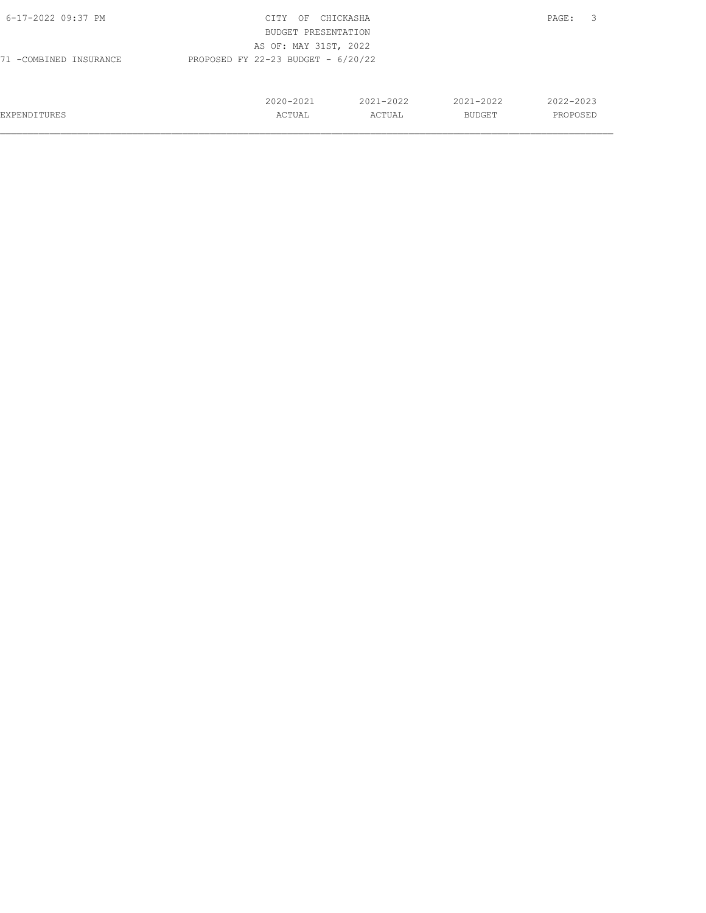| 6-17-2022 09:37 PM     | CITY<br>OF                           | CHICKASHA |               | 3<br>PAGE: |
|------------------------|--------------------------------------|-----------|---------------|------------|
|                        | BUDGET PRESENTATION                  |           |               |            |
|                        | AS OF: MAY 31ST, 2022                |           |               |            |
| 71 -COMBINED INSURANCE | PROPOSED FY 22-23 BUDGET - $6/20/22$ |           |               |            |
|                        |                                      |           |               |            |
|                        |                                      |           |               |            |
|                        | 2020-2021                            | 2021-2022 | $2021 - 2022$ | 2022-2023  |
| EXPENDITURES           | ACTUAL                               | ACTUAL    | BUDGET        | PROPOSED   |
|                        |                                      |           |               |            |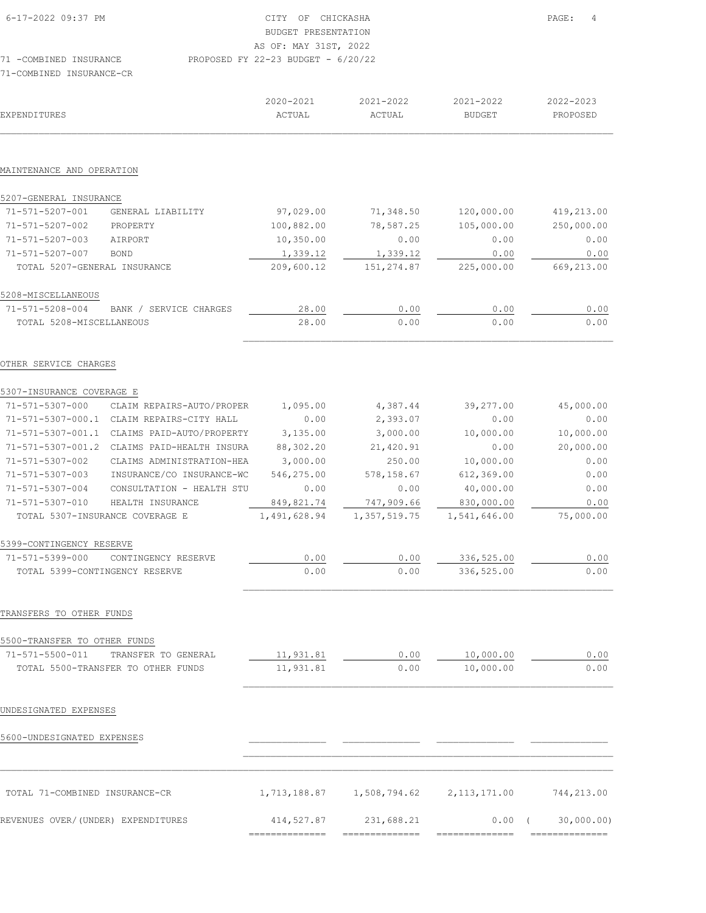| 6-17-2022 09:37 PM       | CITY OF CHICKASHA                    | $\overline{4}$<br>PAGE: |
|--------------------------|--------------------------------------|-------------------------|
|                          | BUDGET PRESENTATION                  |                         |
|                          | AS OF: MAY 31ST, 2022                |                         |
| 71 -COMBINED INSURANCE   | PROPOSED FY 22-23 BUDGET - $6/20/22$ |                         |
| 71-COMBINED INSURANCE-CR |                                      |                         |

| EXPENDITURES                       |                                           | 2020-2021<br>ACTUAL | 2021-2022<br>ACTUAL   | 2021-2022<br><b>BUDGET</b> | 2022-2023<br>PROPOSED |
|------------------------------------|-------------------------------------------|---------------------|-----------------------|----------------------------|-----------------------|
|                                    |                                           |                     |                       |                            |                       |
| MAINTENANCE AND OPERATION          |                                           |                     |                       |                            |                       |
| 5207-GENERAL INSURANCE             |                                           |                     |                       |                            |                       |
| 71-571-5207-001                    | GENERAL LIABILITY                         | 97,029.00           | 71,348.50             | 120,000.00                 | 419,213.00            |
| 71-571-5207-002                    | PROPERTY                                  | 100,882.00          | 78,587.25             | 105,000.00                 | 250,000.00            |
| 71-571-5207-003                    | AIRPORT                                   | 10,350.00           | 0.00                  | 0.00                       | 0.00                  |
| 71-571-5207-007                    | <b>BOND</b>                               | 1,339.12            | 1,339.12              | 0.00                       | 0.00                  |
| TOTAL 5207-GENERAL INSURANCE       |                                           | 209,600.12          | 151,274.87            | 225,000.00                 | 669,213.00            |
| 5208-MISCELLANEOUS                 |                                           |                     |                       |                            |                       |
| 71-571-5208-004                    | BANK / SERVICE CHARGES                    | 28.00               | 0.00                  | 0.00                       | 0.00                  |
| TOTAL 5208-MISCELLANEOUS           |                                           | 28.00               | 0.00                  | 0.00                       | 0.00                  |
| OTHER SERVICE CHARGES              |                                           |                     |                       |                            |                       |
| 5307-INSURANCE COVERAGE E          |                                           |                     |                       |                            |                       |
| 71-571-5307-000                    | CLAIM REPAIRS-AUTO/PROPER                 | 1,095.00            | 4,387.44              | 39,277.00                  | 45,000.00             |
|                                    | 71-571-5307-000.1 CLAIM REPAIRS-CITY HALL | 0.00                | 2,393.07              | 0.00                       | 0.00                  |
| 71-571-5307-001.1                  | CLAIMS PAID-AUTO/PROPERTY                 | 3,135.00            | 3,000.00              | 10,000.00                  | 10,000.00             |
| 71-571-5307-001.2                  | CLAIMS PAID-HEALTH INSURA                 | 88,302.20           | 21,420.91             | 0.00                       | 20,000.00             |
| 71-571-5307-002                    | CLAIMS ADMINISTRATION-HEA                 | 3,000.00            | 250.00                | 10,000.00                  | 0.00                  |
| 71-571-5307-003                    | INSURANCE/CO INSURANCE-WC                 | 546,275.00          | 578,158.67            | 612,369.00                 | 0.00                  |
| 71-571-5307-004                    | CONSULTATION - HEALTH STU                 | 0.00                | 0.00                  | 40,000.00                  | 0.00                  |
| 71-571-5307-010                    | HEALTH INSURANCE                          | 849,821.74          | 747,909.66            | 830,000.00                 | 0.00                  |
| TOTAL 5307-INSURANCE COVERAGE E    |                                           | 1,491,628.94        | 1,357,519.75          | 1,541,646.00               | 75,000.00             |
| 5399-CONTINGENCY RESERVE           |                                           |                     |                       |                            |                       |
| 71-571-5399-000                    | CONTINGENCY RESERVE                       | 0.00                | 0.00                  | 336,525.00                 | 0.00                  |
| TOTAL 5399-CONTINGENCY RESERVE     |                                           | 0.00                | 0.00                  | 336,525.00                 | 0.00                  |
| TRANSFERS TO OTHER FUNDS           |                                           |                     |                       |                            |                       |
| 5500-TRANSFER TO OTHER FUNDS       |                                           |                     |                       |                            |                       |
| 71-571-5500-011                    | TRANSFER TO GENERAL                       | 11,931.81           | 0.00                  | 10,000.00                  | 0.00                  |
|                                    | TOTAL 5500-TRANSFER TO OTHER FUNDS        | 11,931.81           | ${\bf 0}$ . ${\bf 0}$ | 10,000.00                  | 0.00                  |
| UNDESIGNATED EXPENSES              |                                           |                     |                       |                            |                       |
|                                    |                                           |                     |                       |                            |                       |
| 5600-UNDESIGNATED EXPENSES         |                                           |                     |                       |                            |                       |
|                                    |                                           |                     |                       |                            |                       |
| TOTAL 71-COMBINED INSURANCE-CR     |                                           | 1,713,188.87        |                       | 1,508,794.62 2,113,171.00  | 744,213.00            |
| REVENUES OVER/(UNDER) EXPENDITURES |                                           | 414,527.87          | 231,688.21            | 0.00                       | 30,000.00)            |

============== ============== ============== ==============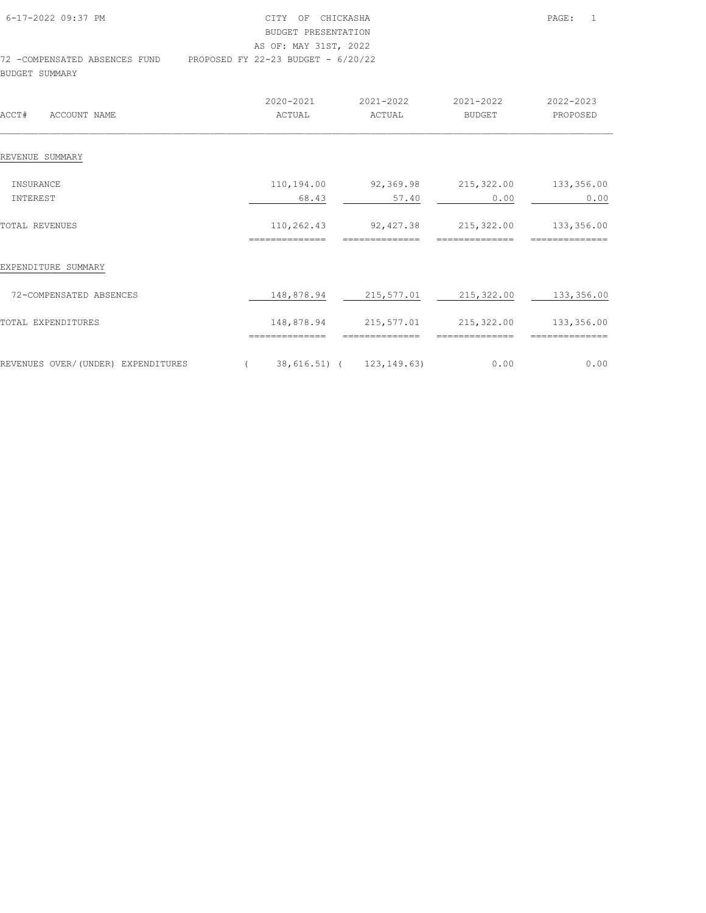| 6-17-2022 09:37 PM            | CITY OF CHICKASHA                    | PAGE: | $\overline{1}$ |
|-------------------------------|--------------------------------------|-------|----------------|
|                               | BUDGET PRESENTATION                  |       |                |
|                               | AS OF: MAY 31ST, 2022                |       |                |
| 72 -COMPENSATED ABSENCES FUND | PROPOSED FY 22-23 BUDGET - $6/20/22$ |       |                |
| BUDGET SUMMARY                |                                      |       |                |

| ACCT#<br>ACCOUNT NAME              | 2020-2021<br>ACTUAL          | 2021-2022<br>ACTUAL         | 2021-2022<br><b>BUDGET</b>   | 2022-2023<br>PROPOSED        |
|------------------------------------|------------------------------|-----------------------------|------------------------------|------------------------------|
| REVENUE SUMMARY                    |                              |                             |                              |                              |
| INSURANCE<br>INTEREST              | 110,194.00<br>68.43          | 92,369.98<br>57.40          | 215,322.00<br>0.00           | 133,356.00<br>0.00           |
| TOTAL REVENUES                     | 110,262.43<br>============== | 92,427.38<br>============== | 215,322.00<br>============== | 133,356.00<br>============== |
| EXPENDITURE SUMMARY                |                              |                             |                              |                              |
| 72-COMPENSATED ABSENCES            | 148,878.94                   | 215,577.01                  | 215,322.00                   | 133,356.00                   |
| TOTAL EXPENDITURES                 | 148,878.94<br>===========    | 215,577.01                  | 215,322.00                   | 133,356.00                   |
| REVENUES OVER/(UNDER) EXPENDITURES |                              | 38,616.51) ( 123,149.63)    | 0.00                         | 0.00                         |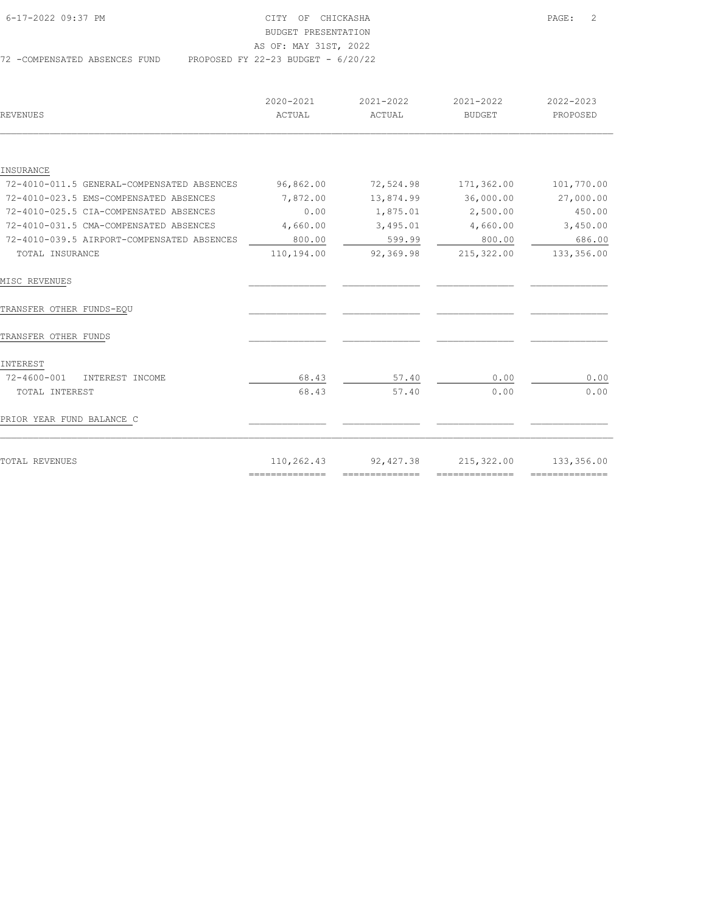| 6-17-2022 09:37 PM             | CITY OF CHICKASHA                    | $\overline{2}$<br>PAGE: |
|--------------------------------|--------------------------------------|-------------------------|
|                                | BUDGET PRESENTATION                  |                         |
|                                | AS OF: MAY 31ST, 2022                |                         |
| 72 - COMPENSATED ABSENCES FUND | PROPOSED FY 22-23 BUDGET - $6/20/22$ |                         |

| REVENUES                                   | 2020-2021<br>ACTUAL                                                                                                                                                                                                                                                                                                                                                                                                                                                                    | 2021-2022<br>ACTUAL | 2021-2022<br><b>BUDGET</b>                                                                                                                                                                                                                                                                                                                                                                                                                                                             | 2022-2023<br>PROPOSED |
|--------------------------------------------|----------------------------------------------------------------------------------------------------------------------------------------------------------------------------------------------------------------------------------------------------------------------------------------------------------------------------------------------------------------------------------------------------------------------------------------------------------------------------------------|---------------------|----------------------------------------------------------------------------------------------------------------------------------------------------------------------------------------------------------------------------------------------------------------------------------------------------------------------------------------------------------------------------------------------------------------------------------------------------------------------------------------|-----------------------|
|                                            |                                                                                                                                                                                                                                                                                                                                                                                                                                                                                        |                     |                                                                                                                                                                                                                                                                                                                                                                                                                                                                                        |                       |
| INSURANCE                                  |                                                                                                                                                                                                                                                                                                                                                                                                                                                                                        |                     |                                                                                                                                                                                                                                                                                                                                                                                                                                                                                        |                       |
| 72-4010-011.5 GENERAL-COMPENSATED ABSENCES | 96,862.00                                                                                                                                                                                                                                                                                                                                                                                                                                                                              | 72,524.98           | 171,362.00                                                                                                                                                                                                                                                                                                                                                                                                                                                                             | 101,770.00            |
| 72-4010-023.5 EMS-COMPENSATED ABSENCES     | 7,872.00                                                                                                                                                                                                                                                                                                                                                                                                                                                                               | 13,874.99           | 36,000.00                                                                                                                                                                                                                                                                                                                                                                                                                                                                              | 27,000.00             |
| 72-4010-025.5 CIA-COMPENSATED ABSENCES     | 0.00                                                                                                                                                                                                                                                                                                                                                                                                                                                                                   | 1,875.01            | 2,500.00                                                                                                                                                                                                                                                                                                                                                                                                                                                                               | 450.00                |
| 72-4010-031.5 CMA-COMPENSATED ABSENCES     | 4,660.00                                                                                                                                                                                                                                                                                                                                                                                                                                                                               | 3,495.01            | 4,660.00                                                                                                                                                                                                                                                                                                                                                                                                                                                                               | 3,450.00              |
| 72-4010-039.5 AIRPORT-COMPENSATED ABSENCES | 800.00                                                                                                                                                                                                                                                                                                                                                                                                                                                                                 | 599.99              | 800.00                                                                                                                                                                                                                                                                                                                                                                                                                                                                                 | 686.00                |
| TOTAL INSURANCE                            | 110,194.00                                                                                                                                                                                                                                                                                                                                                                                                                                                                             | 92,369.98           | 215,322.00                                                                                                                                                                                                                                                                                                                                                                                                                                                                             | 133,356.00            |
| MISC REVENUES                              |                                                                                                                                                                                                                                                                                                                                                                                                                                                                                        |                     |                                                                                                                                                                                                                                                                                                                                                                                                                                                                                        |                       |
| TRANSFER OTHER FUNDS-EQU                   |                                                                                                                                                                                                                                                                                                                                                                                                                                                                                        |                     |                                                                                                                                                                                                                                                                                                                                                                                                                                                                                        |                       |
| TRANSFER OTHER FUNDS                       |                                                                                                                                                                                                                                                                                                                                                                                                                                                                                        |                     |                                                                                                                                                                                                                                                                                                                                                                                                                                                                                        |                       |
| INTEREST                                   |                                                                                                                                                                                                                                                                                                                                                                                                                                                                                        |                     |                                                                                                                                                                                                                                                                                                                                                                                                                                                                                        |                       |
| 72-4600-001<br>INTEREST INCOME             | 68.43                                                                                                                                                                                                                                                                                                                                                                                                                                                                                  | 57.40               | 0.00                                                                                                                                                                                                                                                                                                                                                                                                                                                                                   | 0.00                  |
| TOTAL INTEREST                             | 68.43                                                                                                                                                                                                                                                                                                                                                                                                                                                                                  | 57.40               | 0.00                                                                                                                                                                                                                                                                                                                                                                                                                                                                                   | 0.00                  |
| PRIOR YEAR FUND BALANCE C                  |                                                                                                                                                                                                                                                                                                                                                                                                                                                                                        |                     |                                                                                                                                                                                                                                                                                                                                                                                                                                                                                        |                       |
| TOTAL REVENUES                             | 110,262.43                                                                                                                                                                                                                                                                                                                                                                                                                                                                             | 92, 427.38          | 215,322.00                                                                                                                                                                                                                                                                                                                                                                                                                                                                             | 133,356.00            |
|                                            | $\begin{array}{cccccccccc} \multicolumn{2}{c}{} & \multicolumn{2}{c}{} & \multicolumn{2}{c}{} & \multicolumn{2}{c}{} & \multicolumn{2}{c}{} & \multicolumn{2}{c}{} & \multicolumn{2}{c}{} & \multicolumn{2}{c}{} & \multicolumn{2}{c}{} & \multicolumn{2}{c}{} & \multicolumn{2}{c}{} & \multicolumn{2}{c}{} & \multicolumn{2}{c}{} & \multicolumn{2}{c}{} & \multicolumn{2}{c}{} & \multicolumn{2}{c}{} & \multicolumn{2}{c}{} & \multicolumn{2}{c}{} & \multicolumn{2}{c}{} & \mult$ | ---------------     | $\begin{array}{cccccccccc} \multicolumn{2}{c}{} & \multicolumn{2}{c}{} & \multicolumn{2}{c}{} & \multicolumn{2}{c}{} & \multicolumn{2}{c}{} & \multicolumn{2}{c}{} & \multicolumn{2}{c}{} & \multicolumn{2}{c}{} & \multicolumn{2}{c}{} & \multicolumn{2}{c}{} & \multicolumn{2}{c}{} & \multicolumn{2}{c}{} & \multicolumn{2}{c}{} & \multicolumn{2}{c}{} & \multicolumn{2}{c}{} & \multicolumn{2}{c}{} & \multicolumn{2}{c}{} & \multicolumn{2}{c}{} & \multicolumn{2}{c}{} & \mult$ | ---------------       |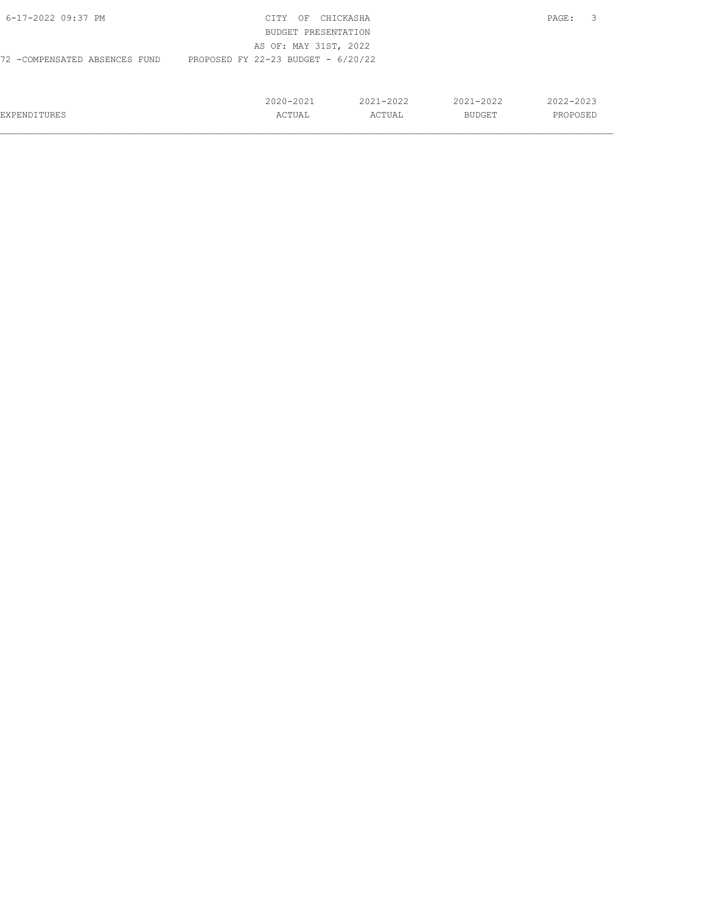| 6-17-2022 09:37 PM            | CTTY<br>OF                           | CHICKASHA     |               | PAGE:         |
|-------------------------------|--------------------------------------|---------------|---------------|---------------|
|                               | BUDGET PRESENTATION                  |               |               |               |
|                               | AS OF: MAY 31ST, 2022                |               |               |               |
| 72 -COMPENSATED ABSENCES FUND | PROPOSED FY 22-23 BUDGET - $6/20/22$ |               |               |               |
|                               |                                      |               |               |               |
|                               |                                      |               |               |               |
|                               | 2020-2021                            | $2021 - 2022$ | $2021 - 2022$ | $2022 - 2023$ |
| <b>EXPENDITURES</b>           | ACTUAL                               | ACTUAL        | BUDGET        | PROPOSED      |

 $\mathcal{L}_\text{max} = \mathcal{L}_\text{max} = \mathcal{L}_\text{max} = \mathcal{L}_\text{max} = \mathcal{L}_\text{max} = \mathcal{L}_\text{max} = \mathcal{L}_\text{max} = \mathcal{L}_\text{max} = \mathcal{L}_\text{max} = \mathcal{L}_\text{max} = \mathcal{L}_\text{max} = \mathcal{L}_\text{max} = \mathcal{L}_\text{max} = \mathcal{L}_\text{max} = \mathcal{L}_\text{max} = \mathcal{L}_\text{max} = \mathcal{L}_\text{max} = \mathcal{L}_\text{max} = \mathcal{$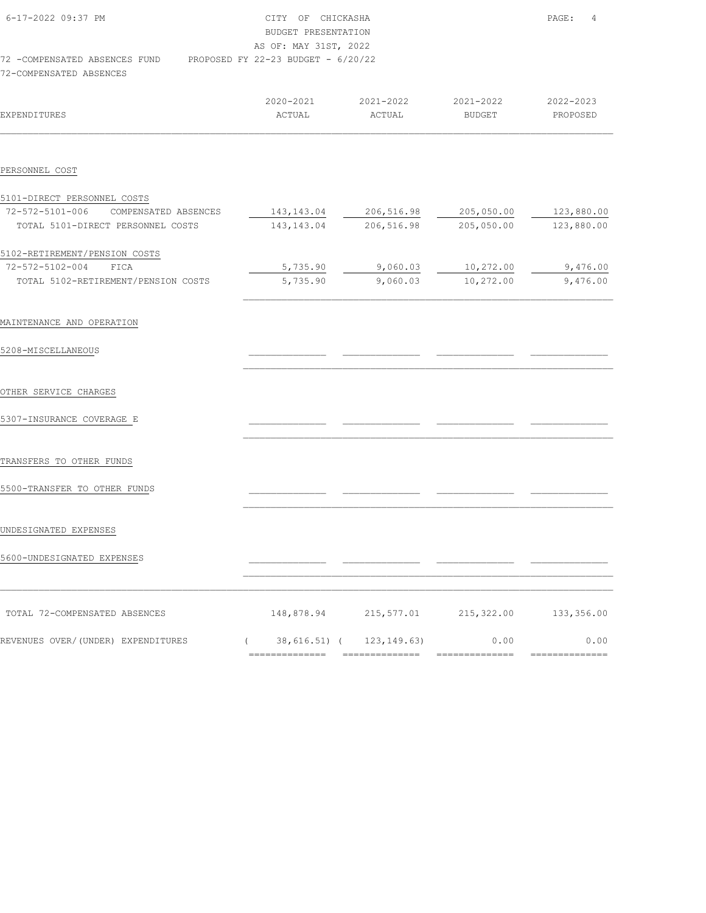| 6-17-2022 09:37 PM             | CITY OF CHICKASHA                    | $\overline{4}$<br>PAGE: |
|--------------------------------|--------------------------------------|-------------------------|
|                                |                                      |                         |
|                                | BUDGET PRESENTATION                  |                         |
|                                | AS OF: MAY 31ST, 2022                |                         |
| 72 - COMPENSATED ABSENCES FUND | PROPOSED FY 22-23 BUDGET - $6/20/22$ |                         |
| 72-COMPENSATED ABSENCES        |                                      |                         |

| EXPENDITURES                         | 2020-2021<br>ACTUAL              | 2021-2022<br>ACTUAL                                                                                                                                                                                                                                                                                                                                                                                                                                                                    | 2021-2022<br>BUDGET   | 2022-2023<br>PROPOSED |
|--------------------------------------|----------------------------------|----------------------------------------------------------------------------------------------------------------------------------------------------------------------------------------------------------------------------------------------------------------------------------------------------------------------------------------------------------------------------------------------------------------------------------------------------------------------------------------|-----------------------|-----------------------|
| PERSONNEL COST                       |                                  |                                                                                                                                                                                                                                                                                                                                                                                                                                                                                        |                       |                       |
| 5101-DIRECT PERSONNEL COSTS          |                                  |                                                                                                                                                                                                                                                                                                                                                                                                                                                                                        |                       |                       |
| 72-572-5101-006 COMPENSATED ABSENCES | 143,143.04                       | 206,516.98                                                                                                                                                                                                                                                                                                                                                                                                                                                                             | 205,050.00            | 123,880.00            |
| TOTAL 5101-DIRECT PERSONNEL COSTS    | 143,143.04                       | 206,516.98                                                                                                                                                                                                                                                                                                                                                                                                                                                                             | 205,050.00            | 123,880.00            |
| 5102-RETIREMENT/PENSION COSTS        |                                  |                                                                                                                                                                                                                                                                                                                                                                                                                                                                                        |                       |                       |
| 72-572-5102-004 FICA                 | 5,735.90                         | 9,060.03                                                                                                                                                                                                                                                                                                                                                                                                                                                                               | 10,272.00             | 9,476.00              |
| TOTAL 5102-RETIREMENT/PENSION COSTS  | 5,735.90                         | 9,060.03                                                                                                                                                                                                                                                                                                                                                                                                                                                                               | 10,272.00             | 9,476.00              |
|                                      |                                  |                                                                                                                                                                                                                                                                                                                                                                                                                                                                                        |                       |                       |
| MAINTENANCE AND OPERATION            |                                  |                                                                                                                                                                                                                                                                                                                                                                                                                                                                                        |                       |                       |
| 5208-MISCELLANEOUS                   |                                  |                                                                                                                                                                                                                                                                                                                                                                                                                                                                                        |                       |                       |
|                                      |                                  |                                                                                                                                                                                                                                                                                                                                                                                                                                                                                        |                       |                       |
| OTHER SERVICE CHARGES                |                                  |                                                                                                                                                                                                                                                                                                                                                                                                                                                                                        |                       |                       |
|                                      |                                  |                                                                                                                                                                                                                                                                                                                                                                                                                                                                                        |                       |                       |
| 5307-INSURANCE COVERAGE E            |                                  |                                                                                                                                                                                                                                                                                                                                                                                                                                                                                        |                       |                       |
|                                      |                                  |                                                                                                                                                                                                                                                                                                                                                                                                                                                                                        |                       |                       |
| TRANSFERS TO OTHER FUNDS             |                                  |                                                                                                                                                                                                                                                                                                                                                                                                                                                                                        |                       |                       |
| 5500-TRANSFER TO OTHER FUNDS         |                                  |                                                                                                                                                                                                                                                                                                                                                                                                                                                                                        |                       |                       |
|                                      |                                  |                                                                                                                                                                                                                                                                                                                                                                                                                                                                                        |                       |                       |
|                                      |                                  |                                                                                                                                                                                                                                                                                                                                                                                                                                                                                        |                       |                       |
| UNDESIGNATED EXPENSES                |                                  |                                                                                                                                                                                                                                                                                                                                                                                                                                                                                        |                       |                       |
| 5600-UNDESIGNATED EXPENSES           |                                  |                                                                                                                                                                                                                                                                                                                                                                                                                                                                                        |                       |                       |
|                                      |                                  |                                                                                                                                                                                                                                                                                                                                                                                                                                                                                        |                       |                       |
|                                      |                                  |                                                                                                                                                                                                                                                                                                                                                                                                                                                                                        |                       |                       |
| TOTAL 72-COMPENSATED ABSENCES        |                                  | 148,878.94 215,577.01                                                                                                                                                                                                                                                                                                                                                                                                                                                                  | 215,322.00 133,356.00 |                       |
| REVENUES OVER/(UNDER) EXPENDITURES   | $($ 38, 616.51) $($ 123, 149.63) |                                                                                                                                                                                                                                                                                                                                                                                                                                                                                        | 0.00                  | 0.00                  |
|                                      | ---------------                  | $\begin{array}{cccccccccc} \multicolumn{2}{c}{} & \multicolumn{2}{c}{} & \multicolumn{2}{c}{} & \multicolumn{2}{c}{} & \multicolumn{2}{c}{} & \multicolumn{2}{c}{} & \multicolumn{2}{c}{} & \multicolumn{2}{c}{} & \multicolumn{2}{c}{} & \multicolumn{2}{c}{} & \multicolumn{2}{c}{} & \multicolumn{2}{c}{} & \multicolumn{2}{c}{} & \multicolumn{2}{c}{} & \multicolumn{2}{c}{} & \multicolumn{2}{c}{} & \multicolumn{2}{c}{} & \multicolumn{2}{c}{} & \multicolumn{2}{c}{} & \mult$ | ==============        | ==============        |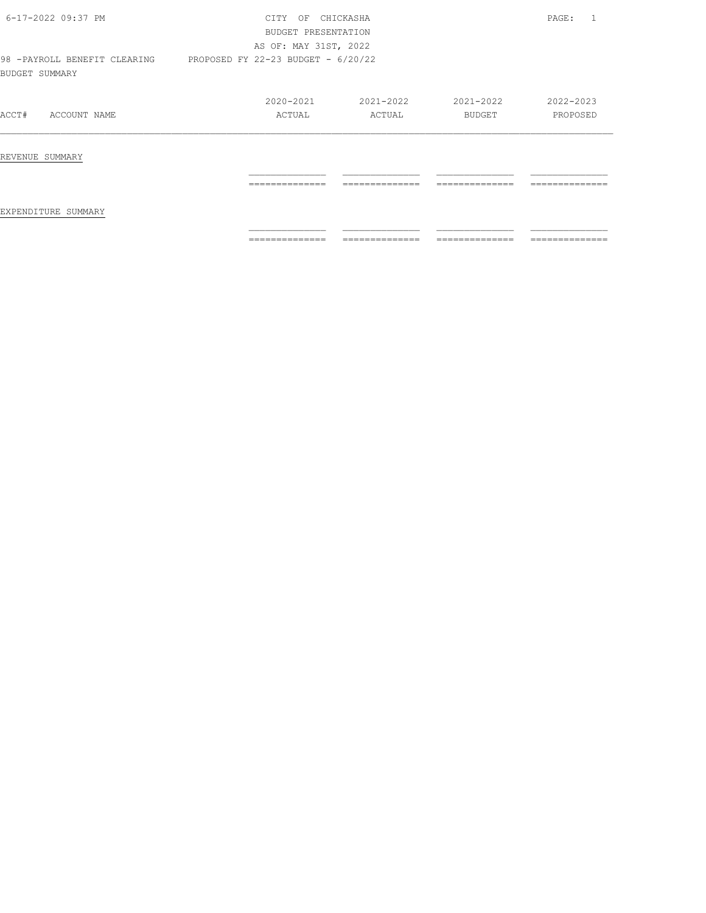| 6-17-2022 09:37 PM                              | <b>CTTY</b><br>OF<br>BUDGET PRESENTATION | CHICKASHA      |                | PAGE:           |  |  |
|-------------------------------------------------|------------------------------------------|----------------|----------------|-----------------|--|--|
|                                                 | AS OF: MAY 31ST, 2022                    |                |                |                 |  |  |
| 98 - PAYROLL BENEFIT CLEARING<br>BUDGET SUMMARY | PROPOSED FY 22-23 BUDGET - 6/20/22       |                |                |                 |  |  |
|                                                 | $2020 - 2021$                            | 2021-2022      | 2021-2022      | 2022-2023       |  |  |
| ACCT#<br>ACCOUNT NAME                           | ACTUAL                                   | ACTUAL         | <b>BUDGET</b>  | PROPOSED        |  |  |
| REVENUE SUMMARY                                 |                                          |                |                |                 |  |  |
| EXPENDITURE SUMMARY                             | ==============                           | ============== | ============== | --------------  |  |  |
|                                                 | ==============                           | ============== | -------------- | --------------- |  |  |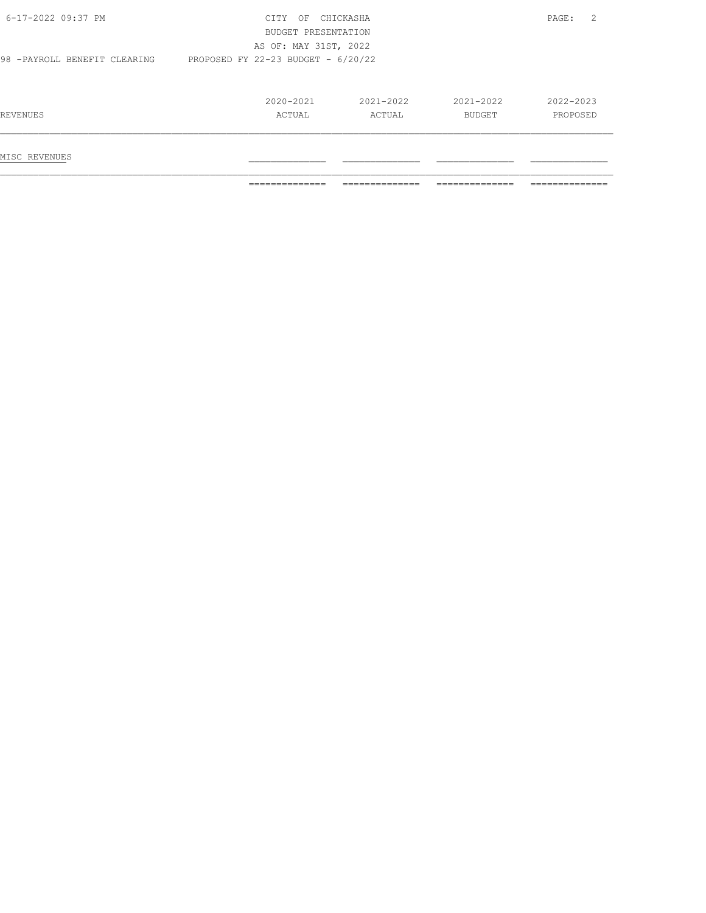|                               | ==============                                                | ==============          | --------------<br>------------- | ==============        |
|-------------------------------|---------------------------------------------------------------|-------------------------|---------------------------------|-----------------------|
| MISC REVENUES                 |                                                               |                         |                                 |                       |
| REVENUES                      | $2020 - 2021$<br>ACTUAL                                       | $2021 - 2022$<br>ACTUAL | $2021 - 2022$<br>BUDGET         | 2022-2023<br>PROPOSED |
| 98 - PAYROLL BENEFIT CLEARING | AS OF: MAY 31ST, 2022<br>PROPOSED FY 22-23 BUDGET - $6/20/22$ |                         |                                 |                       |
|                               | BUDGET PRESENTATION                                           |                         |                                 |                       |
| 6-17-2022 09:37 PM            | CITY OF CHICKASHA                                             |                         |                                 | 2<br>PAGE:            |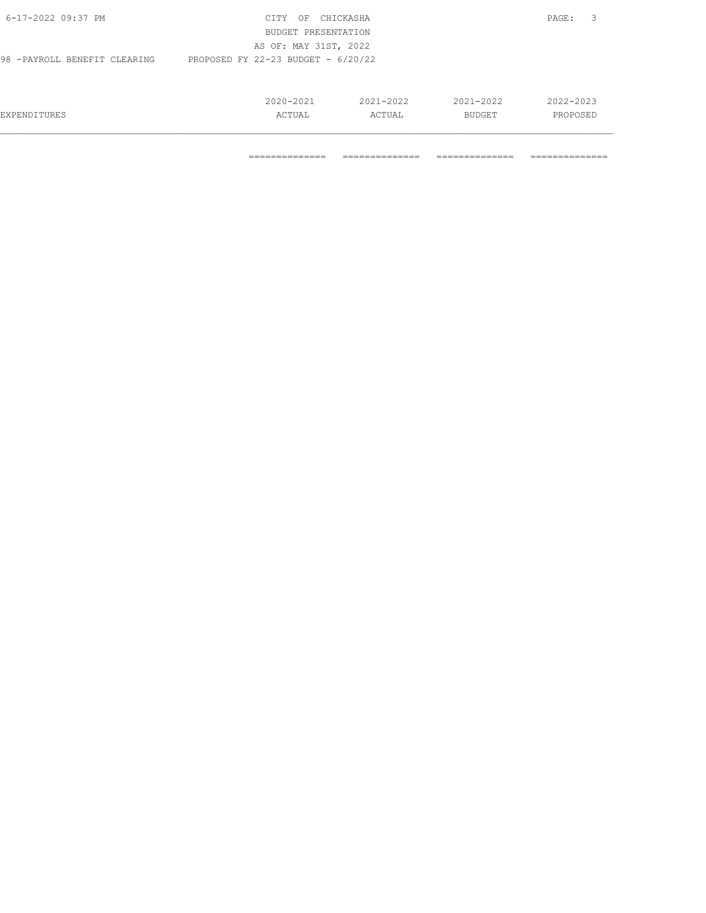| 6-17-2022 09:37 PM                                                    | <b>CTTY</b><br>OF<br>BUDGET PRESENTATION | CHICKASHA     |               | - 3<br>PAGE: |
|-----------------------------------------------------------------------|------------------------------------------|---------------|---------------|--------------|
|                                                                       | AS OF: MAY 31ST, 2022                    |               |               |              |
| PROPOSED FY 22-23 BUDGET - $6/20/22$<br>98 - PAYROLL BENEFIT CLEARING |                                          |               |               |              |
|                                                                       |                                          |               |               |              |
|                                                                       | 2020-2021                                | $2021 - 2022$ | $2021 - 2022$ | 2022-2023    |
| EXPENDITURES                                                          | ACTUAL                                   | ACTUAL        | BUDGET        | PROPOSED     |
|                                                                       |                                          |               |               |              |

============== ============== ============== ==============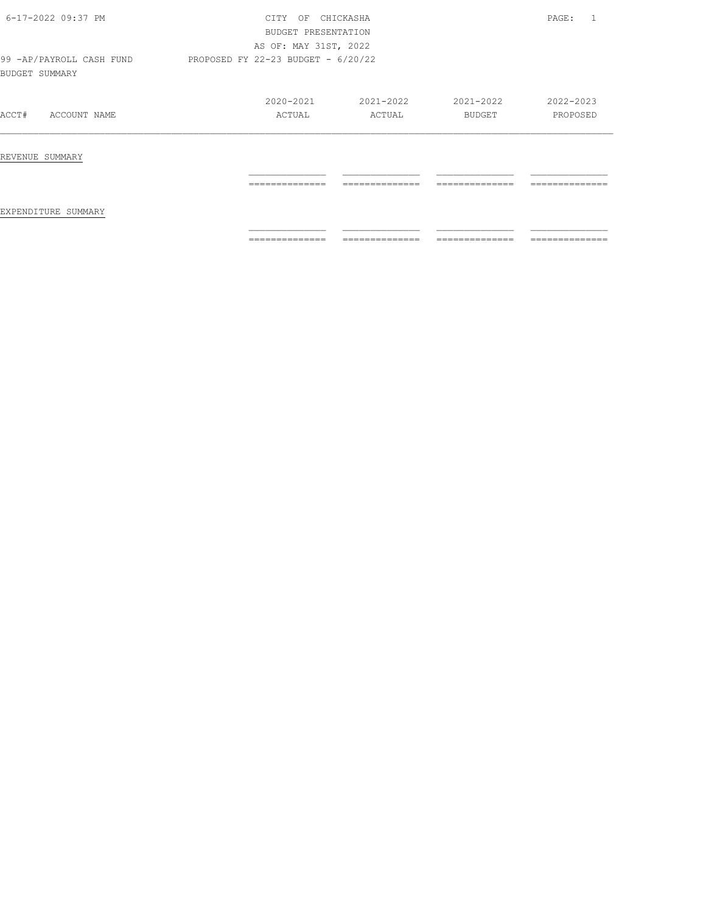| 6-17-2022 09:37 PM                          | CTTY<br>OF<br>BUDGET PRESENTATION | CHICKASHA                          |                | PAGE:          |  |
|---------------------------------------------|-----------------------------------|------------------------------------|----------------|----------------|--|
|                                             | AS OF: MAY 31ST, 2022             |                                    |                |                |  |
| 99 - AP/PAYROLL CASH FUND<br>BUDGET SUMMARY |                                   | PROPOSED FY 22-23 BUDGET - 6/20/22 |                |                |  |
|                                             | $2020 - 2021$                     | 2021-2022                          | 2021-2022      | 2022-2023      |  |
| ACCT#<br>ACCOUNT NAME                       | ACTUAL                            | ACTUAL                             | BUDGET         | PROPOSED       |  |
| REVENUE SUMMARY                             |                                   |                                    |                |                |  |
| EXPENDITURE SUMMARY                         | ==============                    | --------------                     | ------------   | ============== |  |
|                                             | ==============                    | ==============                     | ============== | ============== |  |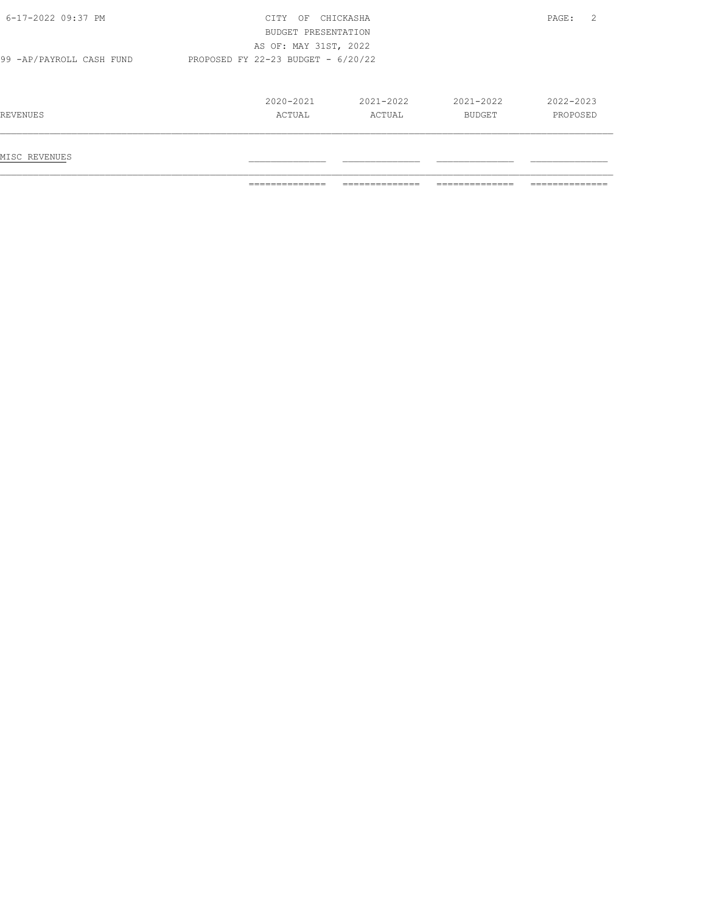|                           | ==============                       | ============== | -------------- | -------------- |
|---------------------------|--------------------------------------|----------------|----------------|----------------|
| MISC REVENUES             |                                      |                |                |                |
| REVENUES                  | ACTUAL                               | ACTUAL         | BUDGET         | PROPOSED       |
|                           | 2020-2021                            | 2021-2022      | 2021-2022      | 2022-2023      |
| 99 - AP/PAYROLL CASH FUND | PROPOSED FY 22-23 BUDGET - $6/20/22$ |                |                |                |
|                           | AS OF: MAY 31ST, 2022                |                |                |                |
|                           | BUDGET PRESENTATION                  |                |                |                |
| 6-17-2022 09:37 PM        | CITY OF                              | CHICKASHA      |                | 2<br>PAGE:     |